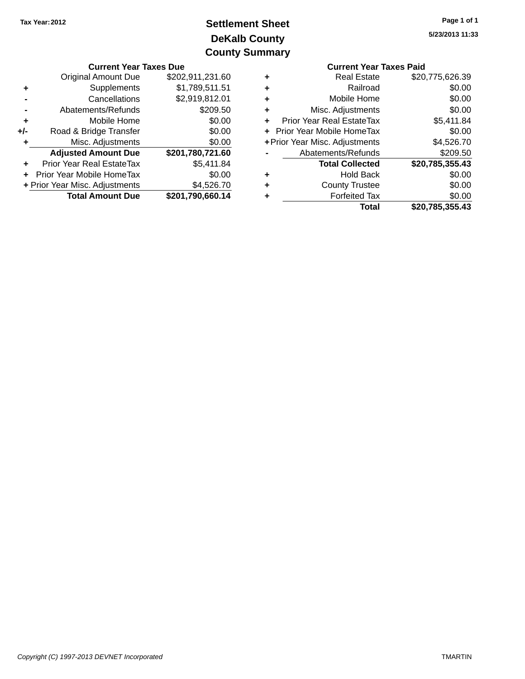### **DeKalb County Settlement Sheet Tax Year:2012 County Summary**

|       | <b>Current Year Taxes Due</b>    |                  |                             | <b>Current Year Taxes Paid</b> |                 |
|-------|----------------------------------|------------------|-----------------------------|--------------------------------|-----------------|
|       | <b>Original Amount Due</b>       | \$202,911,231.60 | ٠                           | <b>Real Estate</b>             | \$20,775,626.39 |
|       | Supplements                      | \$1,789,511.51   | ٠                           | Railroad                       | \$0.00          |
|       | Cancellations                    | \$2,919,812.01   | ٠                           | Mobile Home                    | \$0.00          |
|       | Abatements/Refunds               | \$209.50         | ÷                           | Misc. Adjustments              | \$0.00          |
| ٠     | Mobile Home                      | \$0.00           | ÷                           | Prior Year Real EstateTax      | \$5,411.84      |
| $+/-$ | Road & Bridge Transfer           | \$0.00           | + Prior Year Mobile HomeTax |                                | \$0.00          |
|       | Misc. Adjustments                | \$0.00           |                             | + Prior Year Misc. Adjustments | \$4,526.70      |
|       | <b>Adjusted Amount Due</b>       | \$201,780,721.60 |                             | Abatements/Refunds             | \$209.50        |
| ÷     | <b>Prior Year Real EstateTax</b> | \$5,411.84       |                             | <b>Total Collected</b>         | \$20,785,355.43 |
|       | + Prior Year Mobile HomeTax      | \$0.00           | ٠                           | <b>Hold Back</b>               | \$0.00          |
|       | + Prior Year Misc. Adjustments   | \$4,526.70       | ٠                           | <b>County Trustee</b>          | \$0.00          |
|       | <b>Total Amount Due</b>          | \$201,790,660.14 | ٠                           | <b>Forfeited Tax</b>           | \$0.00          |
|       |                                  |                  |                             | Total                          | \$20,785,355,43 |

|   | <b>Current Year Taxes Paid</b> |                 |
|---|--------------------------------|-----------------|
| ٠ | <b>Real Estate</b>             | \$20,775,626.39 |
| ٠ | Railroad                       | \$0.00          |
| ٠ | Mobile Home                    | \$0.00          |
| ٠ | Misc. Adjustments              | \$0.00          |
| ÷ | Prior Year Real EstateTax      | \$5,411.84      |
| ٠ | Prior Year Mobile HomeTax      | \$0.00          |
|   | + Prior Year Misc. Adjustments | \$4,526.70      |
|   | Abatements/Refunds             | \$209.50        |
|   | <b>Total Collected</b>         | \$20,785,355.43 |
| ٠ | <b>Hold Back</b>               | \$0.00          |
|   | <b>County Trustee</b>          | \$0.00          |
| ٠ | <b>Forfeited Tax</b>           | \$0.00          |
|   | Total                          | \$20.785.355.43 |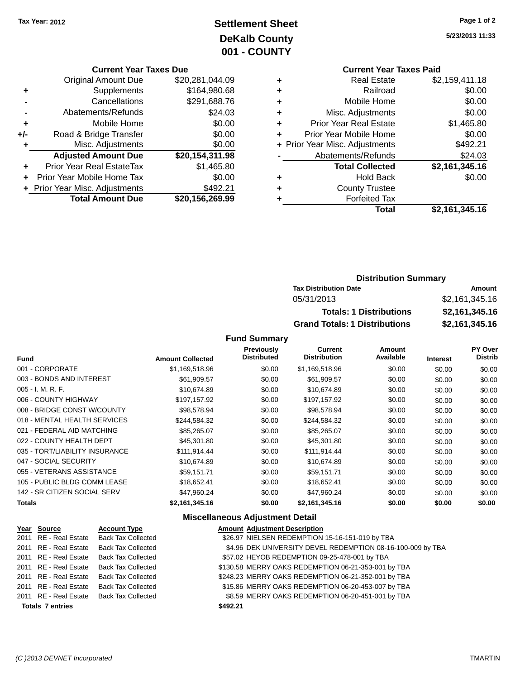### **Settlement Sheet Tax Year: 2012 Page 1 of 2 DeKalb County 001 - COUNTY**

**5/23/2013 11:33**

### **Current Year Taxes Due**

| ٠     | <b>Original Amount Due</b><br>Supplements | \$20,281,044.09<br>\$164,980.68 |
|-------|-------------------------------------------|---------------------------------|
|       | Cancellations                             | \$291,688.76                    |
|       | Abatements/Refunds                        | \$24.03                         |
| ٠     | Mobile Home                               | \$0.00                          |
| $+/-$ |                                           | \$0.00                          |
|       | Road & Bridge Transfer                    |                                 |
| ٠     | Misc. Adjustments                         | \$0.00                          |
|       |                                           |                                 |
|       | <b>Adjusted Amount Due</b>                | \$20,154,311.98                 |
|       | Prior Year Real EstateTax                 | \$1,465.80                      |
|       | Prior Year Mobile Home Tax                | \$0.00                          |
|       | + Prior Year Misc. Adjustments            | \$492.21                        |

# **Current Year Taxes Paid**

| <b>Real Estate</b>            | \$2,159,411.18                 |
|-------------------------------|--------------------------------|
| Railroad                      | \$0.00                         |
| Mobile Home                   | \$0.00                         |
| Misc. Adjustments             | \$0.00                         |
| <b>Prior Year Real Estate</b> | \$1,465.80                     |
| Prior Year Mobile Home        | \$0.00                         |
|                               | \$492.21                       |
| Abatements/Refunds            | \$24.03                        |
| <b>Total Collected</b>        | \$2,161,345.16                 |
| <b>Hold Back</b>              | \$0.00                         |
| <b>County Trustee</b>         |                                |
| <b>Forfeited Tax</b>          |                                |
| Total                         | \$2,161,345.16                 |
|                               | + Prior Year Misc. Adjustments |

### **Distribution Summary Tax Distribution Date Amount** 05/31/2013 \$2,161,345.16 **Totals: 1 Distributions \$2,161,345.16 Grand Totals: 1 Distributions \$2,161,345.16**

#### **Fund Summary**

| <b>Fund</b>                    | <b>Amount Collected</b> | <b>Previously</b><br><b>Distributed</b> | <b>Current</b><br><b>Distribution</b> | Amount<br>Available | <b>Interest</b> | PY Over<br><b>Distrib</b> |
|--------------------------------|-------------------------|-----------------------------------------|---------------------------------------|---------------------|-----------------|---------------------------|
|                                |                         |                                         |                                       |                     |                 |                           |
| 001 - CORPORATE                | \$1,169,518.96          | \$0.00                                  | \$1,169,518.96                        | \$0.00              | \$0.00          | \$0.00                    |
| 003 - BONDS AND INTEREST       | \$61,909.57             | \$0.00                                  | \$61,909.57                           | \$0.00              | \$0.00          | \$0.00                    |
| 005 - I. M. R. F.              | \$10,674.89             | \$0.00                                  | \$10,674.89                           | \$0.00              | \$0.00          | \$0.00                    |
| 006 - COUNTY HIGHWAY           | \$197,157.92            | \$0.00                                  | \$197,157.92                          | \$0.00              | \$0.00          | \$0.00                    |
| 008 - BRIDGE CONST W/COUNTY    | \$98,578.94             | \$0.00                                  | \$98,578.94                           | \$0.00              | \$0.00          | \$0.00                    |
| 018 - MENTAL HEALTH SERVICES   | \$244,584.32            | \$0.00                                  | \$244,584.32                          | \$0.00              | \$0.00          | \$0.00                    |
| 021 - FEDERAL AID MATCHING     | \$85,265.07             | \$0.00                                  | \$85,265.07                           | \$0.00              | \$0.00          | \$0.00                    |
| 022 - COUNTY HEALTH DEPT       | \$45,301.80             | \$0.00                                  | \$45,301.80                           | \$0.00              | \$0.00          | \$0.00                    |
| 035 - TORT/LIABILITY INSURANCE | \$111,914.44            | \$0.00                                  | \$111,914.44                          | \$0.00              | \$0.00          | \$0.00                    |
| 047 - SOCIAL SECURITY          | \$10.674.89             | \$0.00                                  | \$10.674.89                           | \$0.00              | \$0.00          | \$0.00                    |
| 055 - VETERANS ASSISTANCE      | \$59,151.71             | \$0.00                                  | \$59,151.71                           | \$0.00              | \$0.00          | \$0.00                    |
| 105 - PUBLIC BLDG COMM LEASE   | \$18,652.41             | \$0.00                                  | \$18,652.41                           | \$0.00              | \$0.00          | \$0.00                    |
| 142 - SR CITIZEN SOCIAL SERV   | \$47,960.24             | \$0.00                                  | \$47,960.24                           | \$0.00              | \$0.00          | \$0.00                    |
| <b>Totals</b>                  | \$2,161,345.16          | \$0.00                                  | \$2,161,345.16                        | \$0.00              | \$0.00          | \$0.00                    |

#### **Miscellaneous Adjustment Detail**

| Year Source             | <b>Account Type</b>                      |          | <b>Amount Adjustment Description</b>                        |
|-------------------------|------------------------------------------|----------|-------------------------------------------------------------|
|                         | 2011 RE - Real Estate Back Tax Collected |          | \$26.97 NIELSEN REDEMPTION 15-16-151-019 by TBA             |
|                         | 2011 RE - Real Estate Back Tax Collected |          | \$4.96 DEK UNIVERSITY DEVEL REDEMPTION 08-16-100-009 by TBA |
| 2011 RE - Real Estate   | <b>Back Tax Collected</b>                |          | \$57.02 HEYOB REDEMPTION 09-25-478-001 by TBA               |
|                         | 2011 RE - Real Estate Back Tax Collected |          | \$130.58 MERRY OAKS REDEMPTION 06-21-353-001 by TBA         |
|                         | 2011 RE - Real Estate Back Tax Collected |          | \$248.23 MERRY OAKS REDEMPTION 06-21-352-001 by TBA         |
| 2011 RE - Real Estate   | Back Tax Collected                       |          | \$15.86 MERRY OAKS REDEMPTION 06-20-453-007 by TBA          |
|                         | 2011 RE - Real Estate Back Tax Collected |          | \$8.59 MERRY OAKS REDEMPTION 06-20-451-001 by TBA           |
| <b>Totals 7 entries</b> |                                          | \$492.21 |                                                             |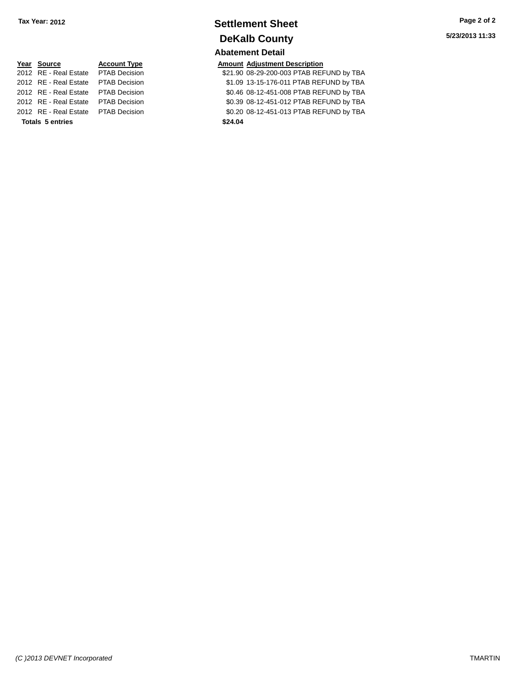### **Settlement Sheet Tax Year: 2012 Page 2 of 2 DeKalb County Abatement Detail**

21.90 08-29-200-003 PTAB REFUND by TBA 2012 rion and Estate PTAB REFUND by TBA 2014 80.46 108-12-451-008 PTAB REFUND by TBA 2012 right process and the S0.39 08-12-451-012 PTAB REFUND by TBA 2012 80.2010 REAL PART ASSEMBLE FOR A SOLE OF \$0.2012 POINT A PTAB REFUND by TBA

| Year Source                         | <b>Account Type</b> |         | <b>Amount Adjustment Description</b> |
|-------------------------------------|---------------------|---------|--------------------------------------|
| 2012 RE - Real Estate PTAB Decision |                     |         | \$21.90 08-29-200-003 PTAB REF       |
| 2012 RE - Real Estate PTAB Decision |                     |         | \$1.09 13-15-176-011 PTAB REF        |
| 2012 RE - Real Estate PTAB Decision |                     |         | \$0.46 08-12-451-008 PTAB REF        |
| 2012 RE - Real Estate PTAB Decision |                     |         | \$0.39 08-12-451-012 PTAB REF        |
| 2012 RE - Real Estate PTAB Decision |                     |         | \$0.20 08-12-451-013 PTAB REF        |
| <b>Totals 5 entries</b>             |                     | \$24.04 |                                      |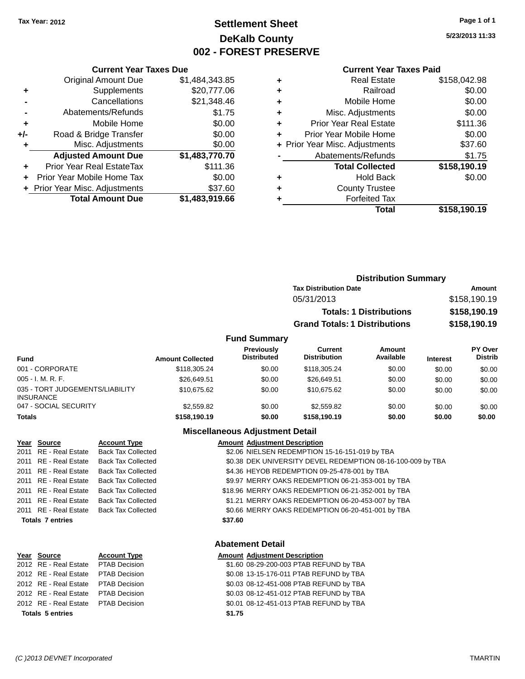### **Settlement Sheet Tax Year: 2012 Page 1 of 1 DeKalb County 002 - FOREST PRESERVE**

**5/23/2013 11:33**

#### **Current Year Taxes Paid**

|     | <b>Current Year Taxes Due</b>  |                |
|-----|--------------------------------|----------------|
|     | <b>Original Amount Due</b>     | \$1,484,343.85 |
| ÷   | Supplements                    | \$20,777.06    |
|     | Cancellations                  | \$21,348.46    |
|     | Abatements/Refunds             | \$1.75         |
| ٠   | Mobile Home                    | \$0.00         |
| +/- | Road & Bridge Transfer         | \$0.00         |
|     | Misc. Adjustments              | \$0.00         |
|     | <b>Adjusted Amount Due</b>     | \$1,483,770.70 |
| ÷   | Prior Year Real EstateTax      | \$111.36       |
|     | Prior Year Mobile Home Tax     | \$0.00         |
|     | + Prior Year Misc. Adjustments | \$37.60        |
|     | <b>Total Amount Due</b>        | \$1,483,919.66 |

|   | Real Estate                    | \$158,042.98 |
|---|--------------------------------|--------------|
| ٠ | Railroad                       | \$0.00       |
| ٠ | Mobile Home                    | \$0.00       |
| ٠ | Misc. Adjustments              | \$0.00       |
| ٠ | <b>Prior Year Real Estate</b>  | \$111.36     |
|   | Prior Year Mobile Home         | \$0.00       |
|   | + Prior Year Misc. Adjustments | \$37.60      |
|   | Abatements/Refunds             | \$1.75       |
|   | <b>Total Collected</b>         | \$158,190.19 |
| ٠ | <b>Hold Back</b>               | \$0.00       |
| ٠ | <b>County Trustee</b>          |              |
|   | <b>Forfeited Tax</b>           |              |
|   | Total                          | \$158,190.19 |
|   |                                |              |

|                     |                                      | <b>Distribution Summary</b>    |                |
|---------------------|--------------------------------------|--------------------------------|----------------|
|                     | <b>Tax Distribution Date</b>         |                                | Amount         |
|                     | 05/31/2013                           |                                | \$158,190.19   |
|                     |                                      | <b>Totals: 1 Distributions</b> | \$158,190.19   |
|                     | <b>Grand Totals: 1 Distributions</b> |                                | \$158,190.19   |
| <b>Fund Summary</b> |                                      |                                |                |
| Previously          | Current                              | Amount                         | <b>PY Over</b> |

| <b>Fund</b>                                         | <b>Amount Collected</b> | <b>Previously</b><br><b>Distributed</b> | Current<br><b>Distribution</b> | Amount<br>Available | <b>Interest</b> | PY Over<br><b>Distrib</b> |
|-----------------------------------------------------|-------------------------|-----------------------------------------|--------------------------------|---------------------|-----------------|---------------------------|
| 001 - CORPORATE                                     | \$118,305.24            | \$0.00                                  | \$118,305.24                   | \$0.00              | \$0.00          | \$0.00                    |
| $005 - I. M. R. F.$                                 | \$26,649.51             | \$0.00                                  | \$26,649.51                    | \$0.00              | \$0.00          | \$0.00                    |
| 035 - TORT JUDGEMENTS/LIABILITY<br><b>INSURANCE</b> | \$10.675.62             | \$0.00                                  | \$10.675.62                    | \$0.00              | \$0.00          | \$0.00                    |
| 047 - SOCIAL SECURITY                               | \$2,559.82              | \$0.00                                  | \$2,559.82                     | \$0.00              | \$0.00          | \$0.00                    |
| <b>Totals</b>                                       | \$158,190.19            | \$0.00                                  | \$158,190.19                   | \$0.00              | \$0.00          | \$0.00                    |

#### **Miscellaneous Adjustment Detail**

| Year Source             | <b>Account Type</b>                      | <b>Amount Adjustment Description</b>                        |  |
|-------------------------|------------------------------------------|-------------------------------------------------------------|--|
| 2011 RE - Real Estate   | <b>Back Tax Collected</b>                | \$2.06 NIELSEN REDEMPTION 15-16-151-019 by TBA              |  |
| 2011 RE - Real Estate   | <b>Back Tax Collected</b>                | \$0.38 DEK UNIVERSITY DEVEL REDEMPTION 08-16-100-009 by TBA |  |
| 2011 RE - Real Estate   | Back Tax Collected                       | \$4.36 HEYOB REDEMPTION 09-25-478-001 by TBA                |  |
| 2011 RE - Real Estate   | <b>Back Tax Collected</b>                | \$9.97 MERRY OAKS REDEMPTION 06-21-353-001 by TBA           |  |
| 2011 RE - Real Estate   | Back Tax Collected                       | \$18.96 MERRY OAKS REDEMPTION 06-21-352-001 by TBA          |  |
| 2011 RE - Real Estate   | Back Tax Collected                       | \$1.21 MERRY OAKS REDEMPTION 06-20-453-007 by TBA           |  |
|                         | 2011 RE - Real Estate Back Tax Collected | \$0.66 MERRY OAKS REDEMPTION 06-20-451-001 by TBA           |  |
| <b>Totals 7 entries</b> |                                          | \$37.60                                                     |  |
|                         |                                          |                                                             |  |

#### **Year** Source **Account Type Account Type Amount Adjustment Description**  $\overline{2012}$  RE - Real Estate PTAB Decision 2012 RE - Real Estate PTAB Decision 2012 RE - Real Estate PTAB Decision 2012 RE - Real Estate PTAB Decision 2012 RE - Real Estate PTAB Decision **Totals 5 entries**

#### **Abatement Detail**

| \$1.75 |                                         |  |
|--------|-----------------------------------------|--|
|        | \$0.01 08-12-451-013 PTAB REFUND by TBA |  |
|        | \$0.03 08-12-451-012 PTAB REFUND by TBA |  |
|        | \$0.03 08-12-451-008 PTAB REFUND by TBA |  |
|        | \$0.08 13-15-176-011 PTAB REFUND by TBA |  |
|        | \$1.60 08-29-200-003 PTAB REFUND by TBA |  |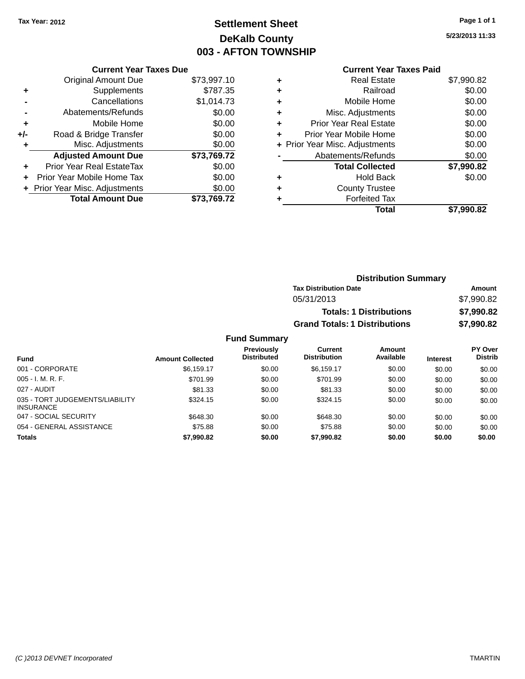### **Settlement Sheet Tax Year: 2012 Page 1 of 1 DeKalb County 003 - AFTON TOWNSHIP**

**5/23/2013 11:33**

#### **Current Year Taxes Paid**

| <b>Current Year Taxes Due</b>  |             |
|--------------------------------|-------------|
| <b>Original Amount Due</b>     | \$73,997.10 |
| Supplements                    | \$787.35    |
| Cancellations                  | \$1,014.73  |
| Abatements/Refunds             | \$0.00      |
| Mobile Home                    | \$0.00      |
| Road & Bridge Transfer         | \$0.00      |
| Misc. Adjustments              | \$0.00      |
| <b>Adjusted Amount Due</b>     | \$73,769.72 |
| Prior Year Real EstateTax      | \$0.00      |
| Prior Year Mobile Home Tax     | \$0.00      |
| + Prior Year Misc. Adjustments | \$0.00      |
| <b>Total Amount Due</b>        | \$73.769.72 |
|                                |             |

| ٠ | <b>Real Estate</b>             | \$7,990.82 |
|---|--------------------------------|------------|
| ٠ | Railroad                       | \$0.00     |
| ٠ | Mobile Home                    | \$0.00     |
| ٠ | Misc. Adjustments              | \$0.00     |
| ٠ | <b>Prior Year Real Estate</b>  | \$0.00     |
| ÷ | Prior Year Mobile Home         | \$0.00     |
|   | + Prior Year Misc. Adjustments | \$0.00     |
|   | Abatements/Refunds             | \$0.00     |
|   | <b>Total Collected</b>         | \$7,990.82 |
| ٠ | <b>Hold Back</b>               | \$0.00     |
| ٠ | <b>County Trustee</b>          |            |
| ٠ | <b>Forfeited Tax</b>           |            |
|   | Total                          | \$7,990.82 |
|   |                                |            |

| <b>Distribution Summary</b>          |            |
|--------------------------------------|------------|
| <b>Tax Distribution Date</b>         | Amount     |
| 05/31/2013                           | \$7,990.82 |
| <b>Totals: 1 Distributions</b>       | \$7,990.82 |
| <b>Grand Totals: 1 Distributions</b> | \$7,990.82 |

|                                                     |                         | <b>Previously</b>  | Current             | Amount    |                 | PY Over        |
|-----------------------------------------------------|-------------------------|--------------------|---------------------|-----------|-----------------|----------------|
| <b>Fund</b>                                         | <b>Amount Collected</b> | <b>Distributed</b> | <b>Distribution</b> | Available | <b>Interest</b> | <b>Distrib</b> |
| 001 - CORPORATE                                     | \$6.159.17              | \$0.00             | \$6.159.17          | \$0.00    | \$0.00          | \$0.00         |
| $005 - I. M. R. F.$                                 | \$701.99                | \$0.00             | \$701.99            | \$0.00    | \$0.00          | \$0.00         |
| 027 - AUDIT                                         | \$81.33                 | \$0.00             | \$81.33             | \$0.00    | \$0.00          | \$0.00         |
| 035 - TORT JUDGEMENTS/LIABILITY<br><b>INSURANCE</b> | \$324.15                | \$0.00             | \$324.15            | \$0.00    | \$0.00          | \$0.00         |
| 047 - SOCIAL SECURITY                               | \$648.30                | \$0.00             | \$648.30            | \$0.00    | \$0.00          | \$0.00         |
| 054 - GENERAL ASSISTANCE                            | \$75.88                 | \$0.00             | \$75.88             | \$0.00    | \$0.00          | \$0.00         |
| <b>Totals</b>                                       | \$7.990.82              | \$0.00             | \$7,990.82          | \$0.00    | \$0.00          | \$0.00         |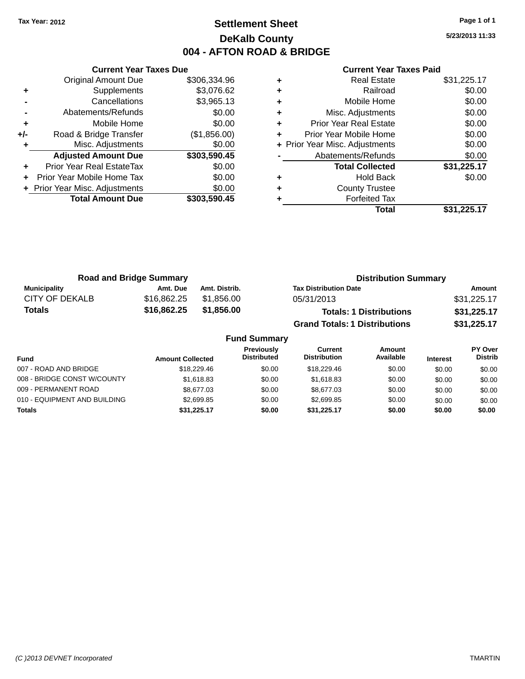### **Settlement Sheet Tax Year: 2012 Page 1 of 1 DeKalb County 004 - AFTON ROAD & BRIDGE**

**5/23/2013 11:33**

|     | <b>Current Year Taxes Due</b>  |              |
|-----|--------------------------------|--------------|
|     | <b>Original Amount Due</b>     | \$306,334.96 |
| ÷   | Supplements                    | \$3,076.62   |
|     | Cancellations                  | \$3,965.13   |
|     | Abatements/Refunds             | \$0.00       |
| ٠   | Mobile Home                    | \$0.00       |
| +/- | Road & Bridge Transfer         | (\$1,856.00) |
| ٠   | Misc. Adjustments              | \$0.00       |
|     | <b>Adjusted Amount Due</b>     | \$303,590.45 |
| ÷   | Prior Year Real EstateTax      | \$0.00       |
| ÷   | Prior Year Mobile Home Tax     | \$0.00       |
|     | + Prior Year Misc. Adjustments | \$0.00       |
|     | <b>Total Amount Due</b>        | \$303,590.45 |
|     |                                |              |

| <b>Real Estate</b>             | \$31,225.17 |
|--------------------------------|-------------|
| Railroad                       | \$0.00      |
| Mobile Home                    | \$0.00      |
| Misc. Adjustments              | \$0.00      |
| <b>Prior Year Real Estate</b>  | \$0.00      |
| Prior Year Mobile Home         | \$0.00      |
| + Prior Year Misc. Adjustments | \$0.00      |
| Abatements/Refunds             | \$0.00      |
| <b>Total Collected</b>         | \$31,225.17 |
| <b>Hold Back</b>               | \$0.00      |
| <b>County Trustee</b>          |             |
| <b>Forfeited Tax</b>           |             |
| Total                          | \$31,225.17 |
|                                |             |

| <b>Road and Bridge Summary</b> |             |               | <b>Distribution Summary</b>          |             |
|--------------------------------|-------------|---------------|--------------------------------------|-------------|
| Municipality                   | Amt. Due    | Amt. Distrib. | <b>Tax Distribution Date</b>         | Amount      |
| CITY OF DEKALB                 | \$16,862.25 | \$1.856.00    | 05/31/2013                           | \$31,225.17 |
| <b>Totals</b>                  | \$16,862.25 | \$1,856.00    | <b>Totals: 1 Distributions</b>       | \$31,225.17 |
|                                |             |               | <b>Grand Totals: 1 Distributions</b> | \$31,225.17 |

| <b>Fund Summary</b>          |                         |                                         |                                |                     |                 |                                  |
|------------------------------|-------------------------|-----------------------------------------|--------------------------------|---------------------|-----------------|----------------------------------|
| <b>Fund</b>                  | <b>Amount Collected</b> | <b>Previously</b><br><b>Distributed</b> | Current<br><b>Distribution</b> | Amount<br>Available | <b>Interest</b> | <b>PY Over</b><br><b>Distrib</b> |
| 007 - ROAD AND BRIDGE        | \$18,229.46             | \$0.00                                  | \$18,229.46                    | \$0.00              | \$0.00          | \$0.00                           |
| 008 - BRIDGE CONST W/COUNTY  | \$1,618,83              | \$0.00                                  | \$1.618.83                     | \$0.00              | \$0.00          | \$0.00                           |
| 009 - PERMANENT ROAD         | \$8,677,03              | \$0.00                                  | \$8,677,03                     | \$0.00              | \$0.00          | \$0.00                           |
| 010 - EQUIPMENT AND BUILDING | \$2,699.85              | \$0.00                                  | \$2,699.85                     | \$0.00              | \$0.00          | \$0.00                           |
| <b>Totals</b>                | \$31.225.17             | \$0.00                                  | \$31.225.17                    | \$0.00              | \$0.00          | \$0.00                           |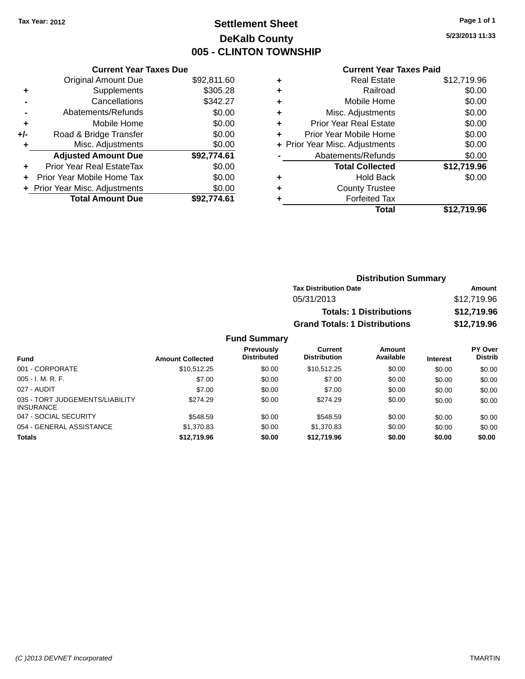### **Settlement Sheet Tax Year: 2012 Page 1 of 1 DeKalb County 005 - CLINTON TOWNSHIP**

**5/23/2013 11:33**

|       | <b>Current Year Taxes Due</b>  |             |
|-------|--------------------------------|-------------|
|       | <b>Original Amount Due</b>     | \$92,811.60 |
| ٠     | Supplements                    | \$305.28    |
|       | Cancellations                  | \$342.27    |
|       | Abatements/Refunds             | \$0.00      |
| ٠     | Mobile Home                    | \$0.00      |
| $+/-$ | Road & Bridge Transfer         | \$0.00      |
| ٠     | Misc. Adjustments              | \$0.00      |
|       | <b>Adjusted Amount Due</b>     | \$92,774.61 |
| ٠     | Prior Year Real EstateTax      | \$0.00      |
|       | Prior Year Mobile Home Tax     | \$0.00      |
|       | + Prior Year Misc. Adjustments | \$0.00      |
|       | <b>Total Amount Due</b>        | \$92.774.61 |
|       |                                |             |

#### **Current Year Taxes Paid**

|   | Total                          | \$12,719.96 |
|---|--------------------------------|-------------|
| ٠ | <b>Forfeited Tax</b>           |             |
| ٠ | <b>County Trustee</b>          |             |
| ٠ | Hold Back                      | \$0.00      |
|   | <b>Total Collected</b>         | \$12,719.96 |
|   | Abatements/Refunds             | \$0.00      |
|   | + Prior Year Misc. Adjustments | \$0.00      |
| ٠ | Prior Year Mobile Home         | \$0.00      |
| ٠ | <b>Prior Year Real Estate</b>  | \$0.00      |
| ٠ | Misc. Adjustments              | \$0.00      |
| ٠ | Mobile Home                    | \$0.00      |
| ÷ | Railroad                       | \$0.00      |
| ٠ | <b>Real Estate</b>             | \$12,719.96 |

### **Distribution Summary Tax Distribution Date Amount** 05/31/2013 \$12,719.96 **Totals: 1 Distributions \$12,719.96 Grand Totals: 1 Distributions \$12,719.96**

| Fund                                                | <b>Amount Collected</b> | <b>Previously</b><br><b>Distributed</b> | Current<br><b>Distribution</b> | <b>Amount</b><br>Available | <b>Interest</b> | PY Over<br><b>Distrib</b> |
|-----------------------------------------------------|-------------------------|-----------------------------------------|--------------------------------|----------------------------|-----------------|---------------------------|
| 001 - CORPORATE                                     | \$10.512.25             | \$0.00                                  | \$10.512.25                    | \$0.00                     | \$0.00          | \$0.00                    |
| $005 - I. M. R. F.$                                 | \$7.00                  | \$0.00                                  | \$7.00                         | \$0.00                     | \$0.00          | \$0.00                    |
| 027 - AUDIT                                         | \$7.00                  | \$0.00                                  | \$7.00                         | \$0.00                     | \$0.00          | \$0.00                    |
| 035 - TORT JUDGEMENTS/LIABILITY<br><b>INSURANCE</b> | \$274.29                | \$0.00                                  | \$274.29                       | \$0.00                     | \$0.00          | \$0.00                    |
| 047 - SOCIAL SECURITY                               | \$548.59                | \$0.00                                  | \$548.59                       | \$0.00                     | \$0.00          | \$0.00                    |
| 054 - GENERAL ASSISTANCE                            | \$1,370.83              | \$0.00                                  | \$1,370.83                     | \$0.00                     | \$0.00          | \$0.00                    |
| <b>Totals</b>                                       | \$12,719.96             | \$0.00                                  | \$12,719.96                    | \$0.00                     | \$0.00          | \$0.00                    |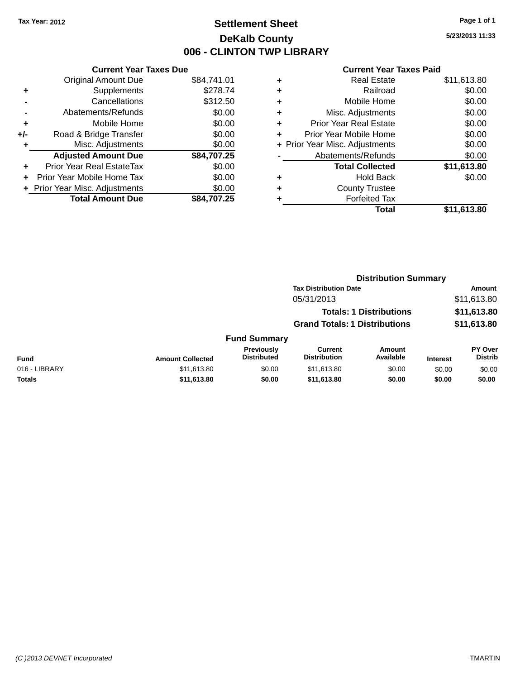### **Settlement Sheet Tax Year: 2012 Page 1 of 1 DeKalb County 006 - CLINTON TWP LIBRARY**

**5/23/2013 11:33**

|     | <b>Current Year Taxes Due</b>  |             |  |  |  |
|-----|--------------------------------|-------------|--|--|--|
|     | <b>Original Amount Due</b>     | \$84,741.01 |  |  |  |
| ÷   | Supplements                    | \$278.74    |  |  |  |
|     | Cancellations                  | \$312.50    |  |  |  |
|     | Abatements/Refunds             | \$0.00      |  |  |  |
| ٠   | Mobile Home                    | \$0.00      |  |  |  |
| +/- | Road & Bridge Transfer         | \$0.00      |  |  |  |
| ٠   | \$0.00<br>Misc. Adjustments    |             |  |  |  |
|     | <b>Adjusted Amount Due</b>     | \$84,707.25 |  |  |  |
| ٠   | Prior Year Real EstateTax      | \$0.00      |  |  |  |
| ÷   | Prior Year Mobile Home Tax     | \$0.00      |  |  |  |
|     | + Prior Year Misc. Adjustments | \$0.00      |  |  |  |
|     | <b>Total Amount Due</b>        | \$84.707.25 |  |  |  |

|   | <b>Real Estate</b>             | \$11,613.80 |
|---|--------------------------------|-------------|
| ٠ | Railroad                       | \$0.00      |
| ٠ | Mobile Home                    | \$0.00      |
| ٠ | Misc. Adjustments              | \$0.00      |
| ٠ | <b>Prior Year Real Estate</b>  | \$0.00      |
| ٠ | Prior Year Mobile Home         | \$0.00      |
|   | + Prior Year Misc. Adjustments | \$0.00      |
|   | Abatements/Refunds             | \$0.00      |
|   | <b>Total Collected</b>         | \$11,613.80 |
| ٠ | Hold Back                      | \$0.00      |
| ٠ | <b>County Trustee</b>          |             |
| ٠ | <b>Forfeited Tax</b>           |             |
|   | Total                          | \$11,613.80 |
|   |                                |             |

|               |                         |                                  | <b>Distribution Summary</b>           |                                |                 |                                  |  |
|---------------|-------------------------|----------------------------------|---------------------------------------|--------------------------------|-----------------|----------------------------------|--|
|               |                         |                                  | <b>Tax Distribution Date</b>          |                                |                 | <b>Amount</b>                    |  |
|               |                         |                                  | 05/31/2013                            |                                |                 | \$11,613.80                      |  |
|               |                         |                                  |                                       | <b>Totals: 1 Distributions</b> |                 | \$11,613.80                      |  |
|               |                         |                                  | <b>Grand Totals: 1 Distributions</b>  |                                |                 | \$11,613.80                      |  |
|               |                         | <b>Fund Summary</b>              |                                       |                                |                 |                                  |  |
| <b>Fund</b>   | <b>Amount Collected</b> | Previously<br><b>Distributed</b> | <b>Current</b><br><b>Distribution</b> | <b>Amount</b><br>Available     | <b>Interest</b> | <b>PY Over</b><br><b>Distrib</b> |  |
| 016 - LIBRARY | \$11,613.80             | \$0.00                           | \$11,613.80                           | \$0.00                         | \$0.00          | \$0.00                           |  |
| <b>Totals</b> | \$11,613.80             | \$0.00                           | \$11,613.80                           | \$0.00                         | \$0.00          | \$0.00                           |  |
|               |                         |                                  |                                       |                                |                 |                                  |  |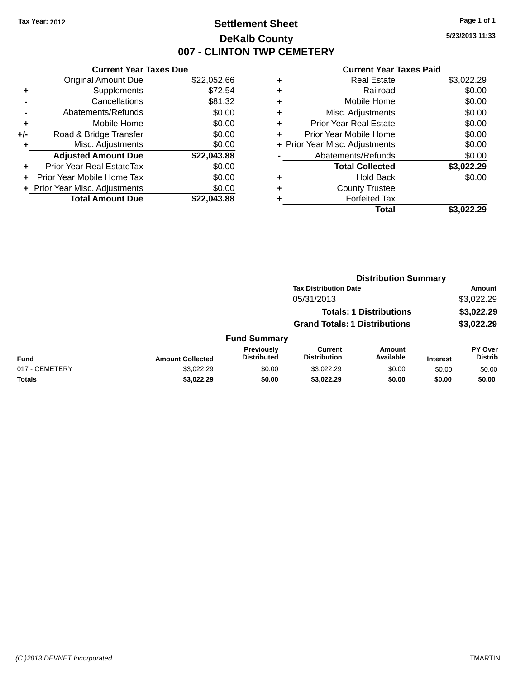### **Settlement Sheet Tax Year: 2012 Page 1 of 1 DeKalb County 007 - CLINTON TWP CEMETERY**

**5/23/2013 11:33**

|     | <b>Current Year Taxes Due</b>  |             |  |  |  |
|-----|--------------------------------|-------------|--|--|--|
|     | <b>Original Amount Due</b>     | \$22,052.66 |  |  |  |
| ٠   | Supplements                    | \$72.54     |  |  |  |
|     | Cancellations                  | \$81.32     |  |  |  |
|     | Abatements/Refunds             | \$0.00      |  |  |  |
| ٠   | Mobile Home                    | \$0.00      |  |  |  |
| +/- | Road & Bridge Transfer         | \$0.00      |  |  |  |
|     | Misc. Adjustments              | \$0.00      |  |  |  |
|     | <b>Adjusted Amount Due</b>     | \$22,043.88 |  |  |  |
| ٠   | Prior Year Real EstateTax      | \$0.00      |  |  |  |
|     | Prior Year Mobile Home Tax     | \$0.00      |  |  |  |
|     | + Prior Year Misc. Adjustments | \$0.00      |  |  |  |
|     | <b>Total Amount Due</b>        | \$22.043.88 |  |  |  |
|     |                                |             |  |  |  |

| ٠ | <b>Real Estate</b>             | \$3,022.29 |
|---|--------------------------------|------------|
| ٠ | Railroad                       | \$0.00     |
| ٠ | Mobile Home                    | \$0.00     |
| ٠ | Misc. Adjustments              | \$0.00     |
| ٠ | <b>Prior Year Real Estate</b>  | \$0.00     |
| ٠ | Prior Year Mobile Home         | \$0.00     |
|   | + Prior Year Misc. Adjustments | \$0.00     |
|   | Abatements/Refunds             | \$0.00     |
|   | <b>Total Collected</b>         | \$3,022.29 |
| ٠ | <b>Hold Back</b>               | \$0.00     |
| ٠ | <b>County Trustee</b>          |            |
| ٠ | <b>Forfeited Tax</b>           |            |
|   | Total                          | \$3.022.29 |
|   |                                |            |

|                |                         |                                  | <b>Distribution Summary</b>           |                                |                 |                                  |  |
|----------------|-------------------------|----------------------------------|---------------------------------------|--------------------------------|-----------------|----------------------------------|--|
|                |                         |                                  | <b>Tax Distribution Date</b>          |                                |                 | Amount                           |  |
|                |                         |                                  | 05/31/2013                            |                                |                 | \$3,022.29                       |  |
|                |                         |                                  |                                       | <b>Totals: 1 Distributions</b> |                 | \$3,022.29                       |  |
|                |                         |                                  | <b>Grand Totals: 1 Distributions</b>  |                                |                 | \$3,022.29                       |  |
|                |                         | <b>Fund Summary</b>              |                                       |                                |                 |                                  |  |
| <b>Fund</b>    | <b>Amount Collected</b> | Previously<br><b>Distributed</b> | <b>Current</b><br><b>Distribution</b> | Amount<br>Available            | <b>Interest</b> | <b>PY Over</b><br><b>Distrib</b> |  |
| 017 - CEMETERY | \$3.022.29              | \$0.00                           | \$3.022.29                            | \$0.00                         | \$0.00          | \$0.00                           |  |
| Totals         | \$3,022.29              | \$0.00                           | \$3,022.29                            | \$0.00                         | \$0.00          | \$0.00                           |  |
|                |                         |                                  |                                       |                                |                 |                                  |  |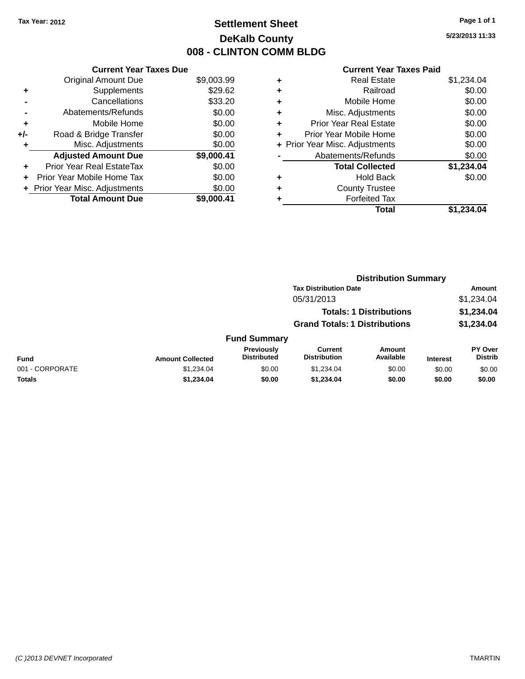### **Settlement Sheet Tax Year: 2012 Page 1 of 1 DeKalb County 008 - CLINTON COMM BLDG**

**5/23/2013 11:33**

|     | <b>Current Year Taxes Due</b>            |            |  |  |  |  |  |
|-----|------------------------------------------|------------|--|--|--|--|--|
|     | <b>Original Amount Due</b><br>\$9,003.99 |            |  |  |  |  |  |
| ٠   | Supplements                              | \$29.62    |  |  |  |  |  |
|     | Cancellations                            | \$33.20    |  |  |  |  |  |
|     | Abatements/Refunds                       | \$0.00     |  |  |  |  |  |
| ٠   | Mobile Home                              | \$0.00     |  |  |  |  |  |
| +/- | Road & Bridge Transfer                   | \$0.00     |  |  |  |  |  |
| ٠   | Misc. Adjustments                        | \$0.00     |  |  |  |  |  |
|     | <b>Adjusted Amount Due</b>               | \$9,000.41 |  |  |  |  |  |
| ٠   | Prior Year Real EstateTax                | \$0.00     |  |  |  |  |  |
| ÷   | Prior Year Mobile Home Tax               | \$0.00     |  |  |  |  |  |
|     | + Prior Year Misc. Adjustments           | \$0.00     |  |  |  |  |  |
|     | <b>Total Amount Due</b>                  | \$9.000.41 |  |  |  |  |  |

| ٠ | <b>Real Estate</b>             | \$1,234.04 |
|---|--------------------------------|------------|
| ٠ | Railroad                       | \$0.00     |
| ٠ | Mobile Home                    | \$0.00     |
| ٠ | Misc. Adjustments              | \$0.00     |
| ٠ | <b>Prior Year Real Estate</b>  | \$0.00     |
| ٠ | Prior Year Mobile Home         | \$0.00     |
|   | + Prior Year Misc. Adjustments | \$0.00     |
|   | Abatements/Refunds             | \$0.00     |
|   | <b>Total Collected</b>         | \$1,234.04 |
| ٠ | <b>Hold Back</b>               | \$0.00     |
| ٠ | <b>County Trustee</b>          |            |
| ٠ | <b>Forfeited Tax</b>           |            |
|   | Total                          | \$1,234.04 |
|   |                                |            |

|                 |                         |                                  | <b>Distribution Summary</b>           |                                |                 |                           |  |
|-----------------|-------------------------|----------------------------------|---------------------------------------|--------------------------------|-----------------|---------------------------|--|
|                 |                         |                                  | <b>Tax Distribution Date</b>          |                                |                 | <b>Amount</b>             |  |
|                 |                         |                                  | 05/31/2013                            |                                |                 | \$1,234.04                |  |
|                 |                         |                                  |                                       | <b>Totals: 1 Distributions</b> |                 | \$1,234.04                |  |
|                 |                         |                                  | <b>Grand Totals: 1 Distributions</b>  |                                |                 | \$1,234.04                |  |
|                 |                         | <b>Fund Summary</b>              |                                       |                                |                 |                           |  |
| <b>Fund</b>     | <b>Amount Collected</b> | Previously<br><b>Distributed</b> | <b>Current</b><br><b>Distribution</b> | Amount<br>Available            | <b>Interest</b> | PY Over<br><b>Distrib</b> |  |
| 001 - CORPORATE | \$1,234.04              | \$0.00                           | \$1,234.04                            | \$0.00                         | \$0.00          | \$0.00                    |  |
| <b>Totals</b>   | \$1,234.04              | \$0.00                           | \$1,234.04                            | \$0.00                         | \$0.00          | \$0.00                    |  |
|                 |                         |                                  |                                       |                                |                 |                           |  |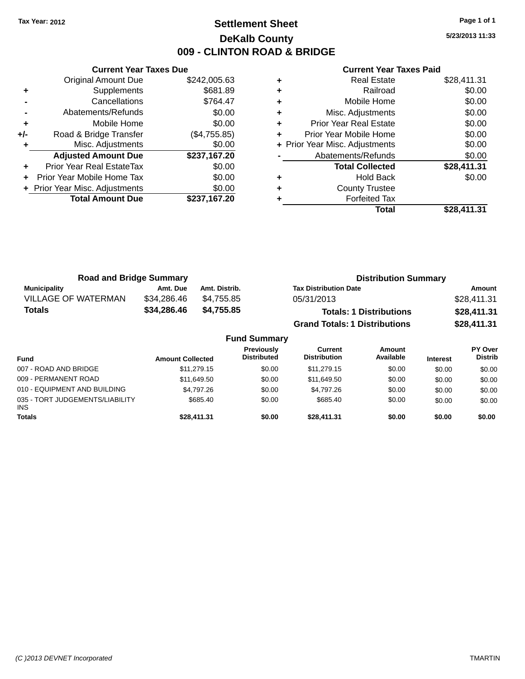### **Settlement Sheet Tax Year: 2012 Page 1 of 1 DeKalb County 009 - CLINTON ROAD & BRIDGE**

**5/23/2013 11:33**

|       | <b>Current Year Taxes Due</b>  |              |  |  |  |
|-------|--------------------------------|--------------|--|--|--|
|       | <b>Original Amount Due</b>     | \$242,005.63 |  |  |  |
| ٠     | Supplements                    | \$681.89     |  |  |  |
|       | Cancellations                  | \$764.47     |  |  |  |
|       | Abatements/Refunds             | \$0.00       |  |  |  |
| ٠     | Mobile Home                    | \$0.00       |  |  |  |
| $+/-$ | Road & Bridge Transfer         | (\$4,755.85) |  |  |  |
|       | Misc. Adjustments<br>\$0.00    |              |  |  |  |
|       | <b>Adjusted Amount Due</b>     | \$237,167.20 |  |  |  |
| ÷     | Prior Year Real EstateTax      | \$0.00       |  |  |  |
|       | Prior Year Mobile Home Tax     | \$0.00       |  |  |  |
|       | + Prior Year Misc. Adjustments | \$0.00       |  |  |  |
|       | <b>Total Amount Due</b>        | \$237,167.20 |  |  |  |
|       |                                |              |  |  |  |

| ٠ | <b>Real Estate</b>             | \$28,411.31 |
|---|--------------------------------|-------------|
| ٠ | Railroad                       | \$0.00      |
| ٠ | Mobile Home                    | \$0.00      |
| ٠ | Misc. Adjustments              | \$0.00      |
| ٠ | <b>Prior Year Real Estate</b>  | \$0.00      |
| ٠ | Prior Year Mobile Home         | \$0.00      |
|   | + Prior Year Misc. Adjustments | \$0.00      |
|   | Abatements/Refunds             | \$0.00      |
|   | <b>Total Collected</b>         | \$28,411.31 |
| ٠ | <b>Hold Back</b>               | \$0.00      |
| ٠ | <b>County Trustee</b>          |             |
|   | <b>Forfeited Tax</b>           |             |
|   | Total                          | \$28.411.31 |

| <b>Road and Bridge Summary</b> |             |                     | <b>Distribution Summary</b>          |             |  |
|--------------------------------|-------------|---------------------|--------------------------------------|-------------|--|
| <b>Municipality</b>            | Amt. Due    | Amt. Distrib.       | <b>Tax Distribution Date</b>         | Amount      |  |
| <b>VILLAGE OF WATERMAN</b>     | \$34,286.46 | \$4.755.85          | 05/31/2013                           | \$28,411.31 |  |
| Totals                         | \$34,286.46 | \$4,755.85          | <b>Totals: 1 Distributions</b>       | \$28,411.31 |  |
|                                |             |                     | <b>Grand Totals: 1 Distributions</b> | \$28,411.31 |  |
|                                |             | <b>Fund Summary</b> |                                      |             |  |

|                                               |                         | . 9119 YYU 1111141 Y                    |                                |                     |                 |                                  |
|-----------------------------------------------|-------------------------|-----------------------------------------|--------------------------------|---------------------|-----------------|----------------------------------|
| <b>Fund</b>                                   | <b>Amount Collected</b> | <b>Previously</b><br><b>Distributed</b> | Current<br><b>Distribution</b> | Amount<br>Available | <b>Interest</b> | <b>PY Over</b><br><b>Distrib</b> |
| 007 - ROAD AND BRIDGE                         | \$11,279.15             | \$0.00                                  | \$11,279.15                    | \$0.00              | \$0.00          | \$0.00                           |
| 009 - PERMANENT ROAD                          | \$11,649.50             | \$0.00                                  | \$11,649.50                    | \$0.00              | \$0.00          | \$0.00                           |
| 010 - EQUIPMENT AND BUILDING                  | \$4.797.26              | \$0.00                                  | \$4.797.26                     | \$0.00              | \$0.00          | \$0.00                           |
| 035 - TORT JUDGEMENTS/LIABILITY<br><b>INS</b> | \$685.40                | \$0.00                                  | \$685.40                       | \$0.00              | \$0.00          | \$0.00                           |
| <b>Totals</b>                                 | \$28,411.31             | \$0.00                                  | \$28,411.31                    | \$0.00              | \$0.00          | \$0.00                           |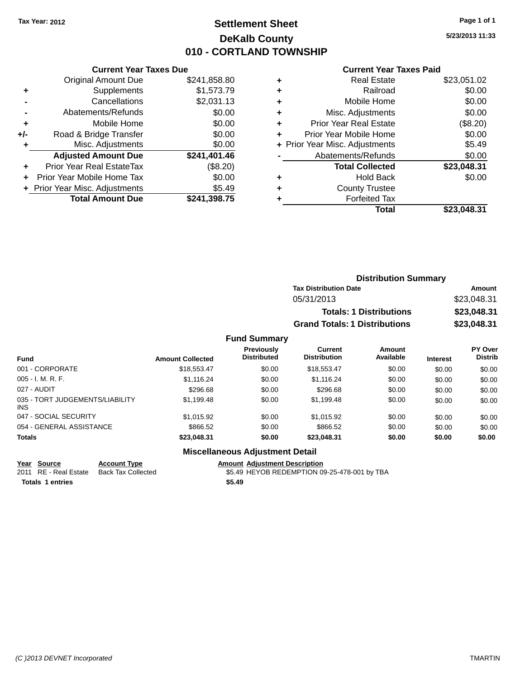### **Settlement Sheet Tax Year: 2012 Page 1 of 1 DeKalb County 010 - CORTLAND TOWNSHIP**

**5/23/2013 11:33**

#### **Current Year Taxes Paid**

|       | <b>Current Year Taxes Due</b>  |              |
|-------|--------------------------------|--------------|
|       | <b>Original Amount Due</b>     | \$241,858.80 |
| ٠     | Supplements                    | \$1,573.79   |
|       | Cancellations                  | \$2,031.13   |
|       | Abatements/Refunds             | \$0.00       |
| ÷     | Mobile Home                    | \$0.00       |
| $+/-$ | Road & Bridge Transfer         | \$0.00       |
|       | Misc. Adjustments              | \$0.00       |
|       | <b>Adjusted Amount Due</b>     | \$241,401.46 |
| ÷     | Prior Year Real EstateTax      | (\$8.20)     |
|       | Prior Year Mobile Home Tax     | \$0.00       |
|       | + Prior Year Misc. Adjustments | \$5.49       |
|       | <b>Total Amount Due</b>        | \$241,398.75 |
|       |                                |              |

| ٠ | <b>Real Estate</b>             | \$23,051.02 |
|---|--------------------------------|-------------|
| ٠ | Railroad                       | \$0.00      |
| ٠ | Mobile Home                    | \$0.00      |
| ٠ | Misc. Adjustments              | \$0.00      |
| ٠ | Prior Year Real Estate         | (\$8.20)    |
| ٠ | Prior Year Mobile Home         | \$0.00      |
|   | + Prior Year Misc. Adjustments | \$5.49      |
|   | Abatements/Refunds             | \$0.00      |
|   | <b>Total Collected</b>         | \$23,048.31 |
| ٠ | <b>Hold Back</b>               | \$0.00      |
| ٠ | <b>County Trustee</b>          |             |
| ٠ | <b>Forfeited Tax</b>           |             |
|   | Total                          | \$23.048.31 |
|   |                                |             |

| <b>Distribution Summary</b>          |             |
|--------------------------------------|-------------|
| <b>Tax Distribution Date</b>         | Amount      |
| 05/31/2013                           | \$23,048.31 |
| <b>Totals: 1 Distributions</b>       | \$23,048.31 |
| <b>Grand Totals: 1 Distributions</b> | \$23,048.31 |

#### **Fund Summary**

| <b>Fund</b>                                   | <b>Amount Collected</b> | <b>Previously</b><br><b>Distributed</b> | <b>Current</b><br><b>Distribution</b> | Amount<br>Available | <b>Interest</b> | PY Over<br><b>Distrib</b> |
|-----------------------------------------------|-------------------------|-----------------------------------------|---------------------------------------|---------------------|-----------------|---------------------------|
| 001 - CORPORATE                               | \$18,553,47             | \$0.00                                  | \$18,553,47                           | \$0.00              | \$0.00          | \$0.00                    |
| $005 - I. M. R. F.$                           | \$1,116.24              | \$0.00                                  | \$1.116.24                            | \$0.00              | \$0.00          | \$0.00                    |
| 027 - AUDIT                                   | \$296.68                | \$0.00                                  | \$296.68                              | \$0.00              | \$0.00          | \$0.00                    |
| 035 - TORT JUDGEMENTS/LIABILITY<br><b>INS</b> | \$1,199.48              | \$0.00                                  | \$1,199.48                            | \$0.00              | \$0.00          | \$0.00                    |
| 047 - SOCIAL SECURITY                         | \$1.015.92              | \$0.00                                  | \$1,015.92                            | \$0.00              | \$0.00          | \$0.00                    |
| 054 - GENERAL ASSISTANCE                      | \$866.52                | \$0.00                                  | \$866.52                              | \$0.00              | \$0.00          | \$0.00                    |
| <b>Totals</b>                                 | \$23,048.31             | \$0.00                                  | \$23,048.31                           | \$0.00              | \$0.00          | \$0.00                    |

### **Miscellaneous Adjustment Detail**

| Year Source             | <b>Account Type</b>                      | <b>Amount Adiustment Description</b>         |
|-------------------------|------------------------------------------|----------------------------------------------|
|                         | 2011 RE - Real Estate Back Tax Collected | \$5.49 HEYOB REDEMPTION 09-25-478-001 by TBA |
| <b>Totals 1 entries</b> |                                          | \$5.49                                       |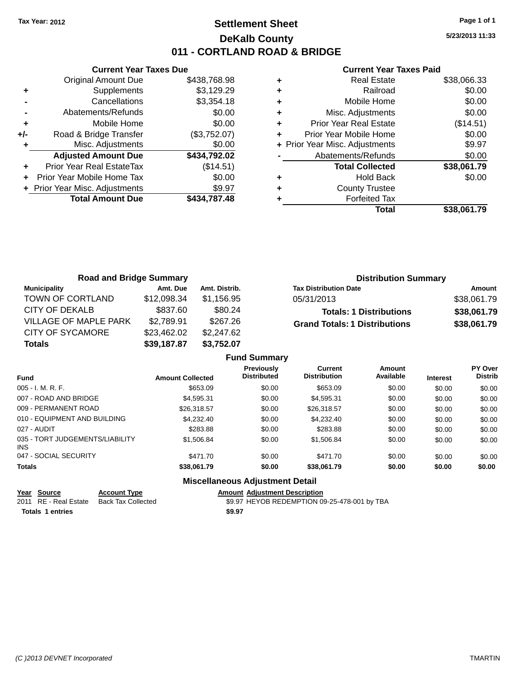### **Settlement Sheet Tax Year: 2012 Page 1 of 1 DeKalb County 011 - CORTLAND ROAD & BRIDGE**

**5/23/2013 11:33**

#### **Current Year Taxes Paid**

|       | <b>Current Year Taxes Due</b>  |              |
|-------|--------------------------------|--------------|
|       | <b>Original Amount Due</b>     | \$438,768.98 |
| ÷     | Supplements                    | \$3,129.29   |
|       | Cancellations                  | \$3,354.18   |
|       | Abatements/Refunds             | \$0.00       |
| ٠     | Mobile Home                    | \$0.00       |
| $+/-$ | Road & Bridge Transfer         | (\$3,752.07) |
|       | Misc. Adjustments              | \$0.00       |
|       | <b>Adjusted Amount Due</b>     | \$434,792.02 |
|       | Prior Year Real EstateTax      | (\$14.51)    |
|       | Prior Year Mobile Home Tax     | \$0.00       |
|       | + Prior Year Misc. Adjustments | \$9.97       |
|       | <b>Total Amount Due</b>        | \$434.787.48 |
|       |                                |              |

|   | <b>Real Estate</b>             | \$38,066.33 |
|---|--------------------------------|-------------|
| ٠ | Railroad                       | \$0.00      |
| ٠ | Mobile Home                    | \$0.00      |
| ٠ | Misc. Adjustments              | \$0.00      |
| ٠ | <b>Prior Year Real Estate</b>  | (\$14.51)   |
| ٠ | Prior Year Mobile Home         | \$0.00      |
|   | + Prior Year Misc. Adjustments | \$9.97      |
|   | Abatements/Refunds             | \$0.00      |
|   | <b>Total Collected</b>         | \$38,061.79 |
| ٠ | Hold Back                      | \$0.00      |
| ٠ | <b>County Trustee</b>          |             |
|   |                                |             |
|   | <b>Forfeited Tax</b>           |             |

| <b>Road and Bridge Summary</b> |             |               | <b>Distribution Summary</b>          |             |
|--------------------------------|-------------|---------------|--------------------------------------|-------------|
| <b>Municipality</b>            | Amt. Due    | Amt. Distrib. | <b>Tax Distribution Date</b>         | Amount      |
| TOWN OF CORTLAND               | \$12,098.34 | \$1.156.95    | 05/31/2013                           | \$38,061.79 |
| CITY OF DEKALB                 | \$837.60    | \$80.24       | <b>Totals: 1 Distributions</b>       | \$38,061.79 |
| VILLAGE OF MAPLE PARK          | \$2,789.91  | \$267.26      | <b>Grand Totals: 1 Distributions</b> | \$38,061.79 |
| <b>CITY OF SYCAMORE</b>        | \$23,462.02 | \$2,247.62    |                                      |             |
| <b>Totals</b>                  | \$39,187.87 | \$3,752.07    |                                      |             |

|                                         |                         | <b>Fund Summary</b>              |                                |                     |                 |                           |
|-----------------------------------------|-------------------------|----------------------------------|--------------------------------|---------------------|-----------------|---------------------------|
| <b>Fund</b>                             | <b>Amount Collected</b> | Previously<br><b>Distributed</b> | Current<br><b>Distribution</b> | Amount<br>Available | <b>Interest</b> | PY Over<br><b>Distrib</b> |
| $005 - I. M. R. F.$                     | \$653.09                | \$0.00                           | \$653.09                       | \$0.00              | \$0.00          | \$0.00                    |
| 007 - ROAD AND BRIDGE                   | \$4.595.31              | \$0.00                           | \$4,595.31                     | \$0.00              | \$0.00          | \$0.00                    |
| 009 - PERMANENT ROAD                    | \$26,318.57             | \$0.00                           | \$26,318.57                    | \$0.00              | \$0.00          | \$0.00                    |
| 010 - EQUIPMENT AND BUILDING            | \$4,232,40              | \$0.00                           | \$4,232,40                     | \$0.00              | \$0.00          | \$0.00                    |
| 027 - AUDIT                             | \$283.88                | \$0.00                           | \$283.88                       | \$0.00              | \$0.00          | \$0.00                    |
| 035 - TORT JUDGEMENTS/LIABILITY<br>INS. | \$1,506.84              | \$0.00                           | \$1,506.84                     | \$0.00              | \$0.00          | \$0.00                    |
| 047 - SOCIAL SECURITY                   | \$471.70                | \$0.00                           | \$471.70                       | \$0.00              | \$0.00          | \$0.00                    |
| <b>Totals</b>                           | \$38,061.79             | \$0.00                           | \$38,061.79                    | \$0.00              | \$0.00          | \$0.00                    |
|                                         |                         | Miccollanceus Adjustment Detail  |                                |                     |                 |                           |

|  | <b>Miscellaneous Adjustment Detail</b> |
|--|----------------------------------------|
|--|----------------------------------------|

|  | <b>Amount Adjustment Descripti</b> |  |
|--|------------------------------------|--|
|--|------------------------------------|--|

**Year Source Account Type Account Type Amount Adjustment Description**<br>2011 RE - Real Estate Back Tax Collected \$9.97 HEYOB REDEMPTION 09 \$9.97 HEYOB REDEMPTION 09-25-478-001 by TBA **Totals 1 entries \$9.97**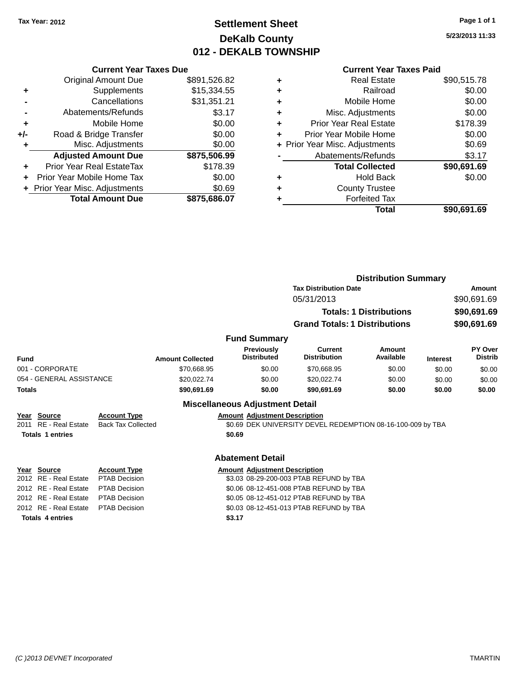### **Settlement Sheet Tax Year: 2012 Page 1 of 1 DeKalb County 012 - DEKALB TOWNSHIP**

**5/23/2013 11:33**

|     | <b>Current Year Taxes Due</b>  |              |  |  |  |
|-----|--------------------------------|--------------|--|--|--|
|     | Original Amount Due            | \$891,526.82 |  |  |  |
| ٠   | Supplements                    | \$15,334.55  |  |  |  |
|     | Cancellations                  | \$31,351.21  |  |  |  |
|     | Abatements/Refunds             | \$3.17       |  |  |  |
| ٠   | Mobile Home                    | \$0.00       |  |  |  |
| +/- | Road & Bridge Transfer         | \$0.00       |  |  |  |
|     | Misc. Adjustments              | \$0.00       |  |  |  |
|     | <b>Adjusted Amount Due</b>     | \$875,506.99 |  |  |  |
|     | Prior Year Real EstateTax      | \$178.39     |  |  |  |
|     | Prior Year Mobile Home Tax     | \$0.00       |  |  |  |
|     | + Prior Year Misc. Adjustments | \$0.69       |  |  |  |
|     | <b>Total Amount Due</b>        | \$875,686.07 |  |  |  |
|     |                                |              |  |  |  |

|   | <b>Real Estate</b>             | \$90,515.78 |
|---|--------------------------------|-------------|
| ٠ | Railroad                       | \$0.00      |
| ٠ | Mobile Home                    | \$0.00      |
| ٠ | Misc. Adjustments              | \$0.00      |
| ٠ | <b>Prior Year Real Estate</b>  | \$178.39    |
|   | Prior Year Mobile Home         | \$0.00      |
|   | + Prior Year Misc. Adjustments | \$0.69      |
|   | Abatements/Refunds             | \$3.17      |
|   | <b>Total Collected</b>         | \$90,691.69 |
| ٠ | Hold Back                      | \$0.00      |
|   | <b>County Trustee</b>          |             |
|   | <b>Forfeited Tax</b>           |             |
|   | Total                          | \$90,691.69 |
|   |                                |             |

|               |                                                                                                                                                                                                                                                           |                      |                                                                                    |                                         |                                      | <b>Distribution Summary</b>    |                 |                           |
|---------------|-----------------------------------------------------------------------------------------------------------------------------------------------------------------------------------------------------------------------------------------------------------|----------------------|------------------------------------------------------------------------------------|-----------------------------------------|--------------------------------------|--------------------------------|-----------------|---------------------------|
|               |                                                                                                                                                                                                                                                           |                      |                                                                                    |                                         | <b>Tax Distribution Date</b>         |                                |                 | Amount                    |
|               |                                                                                                                                                                                                                                                           |                      |                                                                                    |                                         | 05/31/2013                           |                                |                 | \$90,691.69               |
|               |                                                                                                                                                                                                                                                           |                      |                                                                                    |                                         |                                      | <b>Totals: 1 Distributions</b> |                 | \$90,691.69               |
|               |                                                                                                                                                                                                                                                           |                      |                                                                                    |                                         | <b>Grand Totals: 1 Distributions</b> |                                |                 | \$90,691.69               |
|               |                                                                                                                                                                                                                                                           |                      |                                                                                    |                                         |                                      |                                |                 |                           |
|               |                                                                                                                                                                                                                                                           |                      |                                                                                    | <b>Fund Summary</b>                     |                                      |                                |                 |                           |
| Fund          |                                                                                                                                                                                                                                                           |                      | <b>Amount Collected</b>                                                            | <b>Previously</b><br><b>Distributed</b> | Current<br><b>Distribution</b>       | Amount<br>Available            | <b>Interest</b> | PY Over<br><b>Distrib</b> |
|               |                                                                                                                                                                                                                                                           |                      | \$70,668.95                                                                        | \$0.00                                  | \$70,668.95                          | \$0.00                         | \$0.00          | \$0.00                    |
|               | 001 - CORPORATE<br>054 - GENERAL ASSISTANCE<br><b>Account Type</b><br>Year Source<br>2011 RE - Real Estate<br><b>Back Tax Collected</b><br><b>Totals 1 entries</b><br><b>Account Type</b><br>Year Source<br>2012 RE - Real Estate<br><b>PTAB Decision</b> |                      | \$20,022.74                                                                        | \$0.00                                  | \$20,022.74                          | \$0.00                         | \$0.00          | \$0.00                    |
| <b>Totals</b> |                                                                                                                                                                                                                                                           |                      | \$90,691.69                                                                        | \$0.00                                  | \$90,691.69                          | \$0.00                         | \$0.00          | \$0.00                    |
|               |                                                                                                                                                                                                                                                           |                      |                                                                                    | <b>Miscellaneous Adjustment Detail</b>  |                                      |                                |                 |                           |
|               |                                                                                                                                                                                                                                                           |                      |                                                                                    | <b>Amount Adjustment Description</b>    |                                      |                                |                 |                           |
|               |                                                                                                                                                                                                                                                           |                      | \$0.69 DEK UNIVERSITY DEVEL REDEMPTION 08-16-100-009 by TBA                        |                                         |                                      |                                |                 |                           |
|               |                                                                                                                                                                                                                                                           |                      |                                                                                    | \$0.69                                  |                                      |                                |                 |                           |
|               |                                                                                                                                                                                                                                                           |                      |                                                                                    | <b>Abatement Detail</b>                 |                                      |                                |                 |                           |
|               |                                                                                                                                                                                                                                                           |                      |                                                                                    |                                         |                                      |                                |                 |                           |
|               |                                                                                                                                                                                                                                                           |                      |                                                                                    | <b>Amount Adjustment Description</b>    |                                      |                                |                 |                           |
|               | 2012 RE - Real Estate                                                                                                                                                                                                                                     | <b>PTAB Decision</b> | \$3.03 08-29-200-003 PTAB REFUND by TBA<br>\$0.06 08-12-451-008 PTAB REFUND by TBA |                                         |                                      |                                |                 |                           |
|               | 2012 RE - Real Estate                                                                                                                                                                                                                                     | <b>PTAB Decision</b> | \$0.05 08-12-451-012 PTAB REFUND by TBA                                            |                                         |                                      |                                |                 |                           |
|               | 2012 RE - Real Estate                                                                                                                                                                                                                                     | <b>PTAB Decision</b> |                                                                                    | \$0.03 08-12-451-013 PTAB REFUND by TBA |                                      |                                |                 |                           |
|               | <b>Totals 4 entries</b>                                                                                                                                                                                                                                   |                      |                                                                                    | \$3.17                                  |                                      |                                |                 |                           |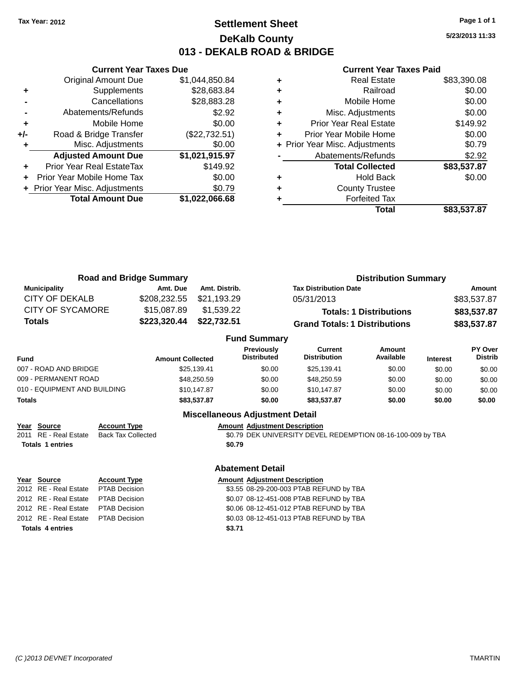### **Settlement Sheet Tax Year: 2012 Page 1 of 1 DeKalb County 013 - DEKALB ROAD & BRIDGE**

**5/23/2013 11:33**

#### **Current Year Taxes Paid**

|     | <b>Total Amount Due</b>        | \$1,022,066.68 |
|-----|--------------------------------|----------------|
|     | + Prior Year Misc. Adjustments | \$0.79         |
| ÷   | Prior Year Mobile Home Tax     | \$0.00         |
| ٠   | Prior Year Real EstateTax      | \$149.92       |
|     | <b>Adjusted Amount Due</b>     | \$1,021,915.97 |
| ٠   | Misc. Adjustments              | \$0.00         |
| +/- | Road & Bridge Transfer         | (\$22,732.51)  |
| ٠   | Mobile Home                    | \$0.00         |
|     | Abatements/Refunds             | \$2.92         |
|     | Cancellations                  | \$28,883.28    |
| ٠   | Supplements                    | \$28,683.84    |
|     | <b>Original Amount Due</b>     | \$1,044,850.84 |
|     |                                |                |

**Current Year Taxes Due**

|   | <b>Real Estate</b>             | \$83,390.08 |
|---|--------------------------------|-------------|
| ٠ | Railroad                       | \$0.00      |
| ٠ | Mobile Home                    | \$0.00      |
| ٠ | Misc. Adjustments              | \$0.00      |
| ٠ | <b>Prior Year Real Estate</b>  | \$149.92    |
|   | Prior Year Mobile Home         | \$0.00      |
|   | + Prior Year Misc. Adjustments | \$0.79      |
|   | Abatements/Refunds             | \$2.92      |
|   | <b>Total Collected</b>         | \$83,537.87 |
| ٠ | <b>Hold Back</b>               | \$0.00      |
|   | <b>County Trustee</b>          |             |
|   | <b>Forfeited Tax</b>           |             |
|   | Total                          | \$83.537.87 |

| <b>Road and Bridge Summary</b> |              |                     | <b>Distribution Summary</b>          |             |  |
|--------------------------------|--------------|---------------------|--------------------------------------|-------------|--|
| <b>Municipality</b>            | Amt. Due     | Amt. Distrib.       | <b>Tax Distribution Date</b>         | Amount      |  |
| CITY OF DEKALB                 | \$208,232.55 | \$21,193.29         | 05/31/2013                           | \$83,537.87 |  |
| <b>CITY OF SYCAMORE</b>        | \$15,087.89  | \$1,539.22          | <b>Totals: 1 Distributions</b>       | \$83,537.87 |  |
| Totals                         | \$223,320.44 | \$22,732.51         | <b>Grand Totals: 1 Distributions</b> | \$83,537.87 |  |
|                                |              | <b>Fund Summary</b> |                                      |             |  |

| Fund                         | <b>Amount Collected</b> | Previously<br><b>Distributed</b> | Current<br><b>Distribution</b> | Amount<br>Available | <b>Interest</b> | PY Over<br><b>Distrib</b> |  |
|------------------------------|-------------------------|----------------------------------|--------------------------------|---------------------|-----------------|---------------------------|--|
| 007 - ROAD AND BRIDGE        | \$25.139.41             | \$0.00                           | \$25.139.41                    | \$0.00              | \$0.00          | \$0.00                    |  |
| 009 - PERMANENT ROAD         | \$48,250.59             | \$0.00                           | \$48,250.59                    | \$0.00              | \$0.00          | \$0.00                    |  |
| 010 - EQUIPMENT AND BUILDING | \$10,147.87             | \$0.00                           | \$10.147.87                    | \$0.00              | \$0.00          | \$0.00                    |  |
| Totals                       | \$83,537.87             | \$0.00                           | \$83.537.87                    | \$0.00              | \$0.00          | \$0.00                    |  |

#### **Miscellaneous Adjustment Detail**

# **Year Source Account Type Amount Adjustment Description**

\$0.79 DEK UNIVERSITY DEVEL REDEMPTION 08-16-100-009 by TBA **Totals 1 entries \$0.79**

# **Year Source Account Type Account Type Amount Adjustment Description Totals 4 entries \$3.71**

#### **Abatement Detail**

2012 RE - Real Estate PTAB Decision \$3.55 08-29-200-003 PTAB REFUND by TBA 2012 RE - Real Estate PTAB Decision \$0.07 08-12-451-008 PTAB REFUND by TBA 2012 RE - Real Estate PTAB Decision \$0.06 08-12-451-012 PTAB REFUND by TBA 2012 RE - Real Estate PTAB Decision \$0.03 08-12-451-013 PTAB REFUND by TBA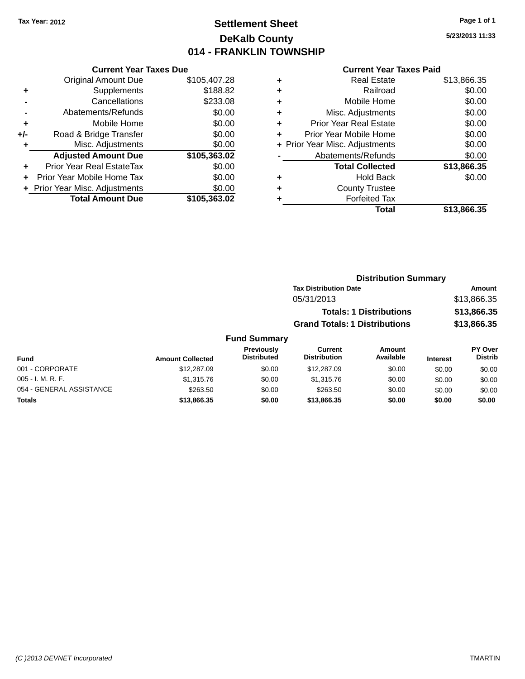### **Settlement Sheet Tax Year: 2012 Page 1 of 1 DeKalb County 014 - FRANKLIN TOWNSHIP**

**5/23/2013 11:33**

#### **Current Year Taxes Paid**

|     | <b>Current Year Taxes Due</b>  |              |  |  |  |
|-----|--------------------------------|--------------|--|--|--|
|     | <b>Original Amount Due</b>     | \$105,407.28 |  |  |  |
| ٠   | Supplements                    | \$188.82     |  |  |  |
|     | \$233.08<br>Cancellations      |              |  |  |  |
|     | Abatements/Refunds             | \$0.00       |  |  |  |
| ٠   | Mobile Home                    | \$0.00       |  |  |  |
| +/- | Road & Bridge Transfer         | \$0.00       |  |  |  |
| ٠   | Misc. Adjustments              | \$0.00       |  |  |  |
|     | <b>Adjusted Amount Due</b>     | \$105,363.02 |  |  |  |
| ٠   | Prior Year Real EstateTax      | \$0.00       |  |  |  |
|     | Prior Year Mobile Home Tax     | \$0.00       |  |  |  |
|     | + Prior Year Misc. Adjustments | \$0.00       |  |  |  |
|     | <b>Total Amount Due</b>        | \$105,363.02 |  |  |  |
|     |                                |              |  |  |  |

|   | <b>Real Estate</b>             | \$13,866.35 |
|---|--------------------------------|-------------|
| ٠ | Railroad                       | \$0.00      |
| ٠ | Mobile Home                    | \$0.00      |
| ٠ | Misc. Adjustments              | \$0.00      |
| ٠ | <b>Prior Year Real Estate</b>  | \$0.00      |
| ٠ | Prior Year Mobile Home         | \$0.00      |
|   | + Prior Year Misc. Adjustments | \$0.00      |
|   | Abatements/Refunds             | \$0.00      |
|   | <b>Total Collected</b>         | \$13,866.35 |
| ٠ | Hold Back                      | \$0.00      |
| ٠ | <b>County Trustee</b>          |             |
| ٠ | <b>Forfeited Tax</b>           |             |
|   | Total                          | \$13,866.35 |
|   |                                |             |

| <b>Distribution Summary</b>          |             |
|--------------------------------------|-------------|
| <b>Tax Distribution Date</b>         | Amount      |
| 05/31/2013                           | \$13,866.35 |
| <b>Totals: 1 Distributions</b>       | \$13,866.35 |
| <b>Grand Totals: 1 Distributions</b> | \$13,866.35 |

|                          | <b>Fund Summary</b>     |                                         |                                       |                     |                 |                                  |
|--------------------------|-------------------------|-----------------------------------------|---------------------------------------|---------------------|-----------------|----------------------------------|
| Fund                     | <b>Amount Collected</b> | <b>Previously</b><br><b>Distributed</b> | <b>Current</b><br><b>Distribution</b> | Amount<br>Available | <b>Interest</b> | <b>PY Over</b><br><b>Distrib</b> |
| 001 - CORPORATE          | \$12,287.09             | \$0.00                                  | \$12,287.09                           | \$0.00              | \$0.00          | \$0.00                           |
| $005 - I. M. R. F.$      | \$1,315.76              | \$0.00                                  | \$1,315.76                            | \$0.00              | \$0.00          | \$0.00                           |
| 054 - GENERAL ASSISTANCE | \$263.50                | \$0.00                                  | \$263.50                              | \$0.00              | \$0.00          | \$0.00                           |

**Totals \$13,866.35 \$0.00 \$13,866.35 \$0.00 \$0.00 \$0.00**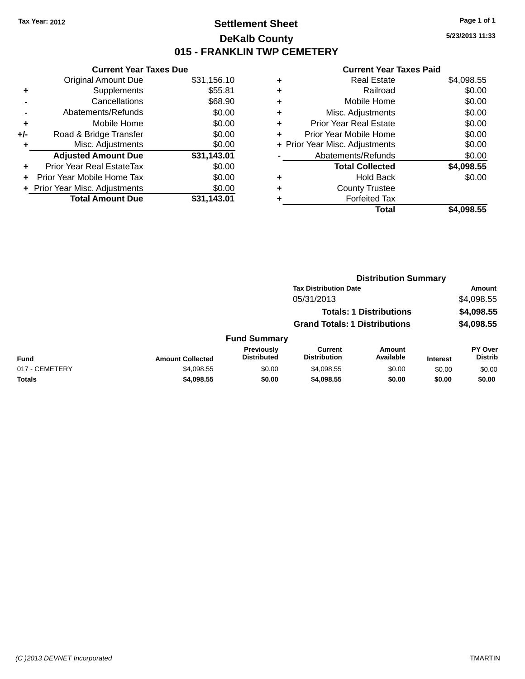### **Settlement Sheet Tax Year: 2012 Page 1 of 1 DeKalb County 015 - FRANKLIN TWP CEMETERY**

**5/23/2013 11:33**

| <b>Current Year Taxes Due</b> |             |  |  |  |
|-------------------------------|-------------|--|--|--|
| <b>Original Amount Due</b>    | \$31,156.10 |  |  |  |
| \$55.81<br>Supplements<br>÷   |             |  |  |  |
| Cancellations                 | \$68.90     |  |  |  |
| \$0.00<br>Abatements/Refunds  |             |  |  |  |
| Mobile Home                   | \$0.00      |  |  |  |
| Road & Bridge Transfer        | \$0.00      |  |  |  |
| Misc. Adjustments             | \$0.00      |  |  |  |
| <b>Adjusted Amount Due</b>    | \$31,143.01 |  |  |  |
| Prior Year Real EstateTax     | \$0.00      |  |  |  |
| Prior Year Mobile Home Tax    | \$0.00      |  |  |  |
| Prior Year Misc. Adjustments  | \$0.00      |  |  |  |
| <b>Total Amount Due</b>       | \$31,143.01 |  |  |  |
|                               |             |  |  |  |

| ٠ | <b>Real Estate</b>             | \$4,098.55 |
|---|--------------------------------|------------|
| ٠ | Railroad                       | \$0.00     |
| ٠ | Mobile Home                    | \$0.00     |
| ٠ | Misc. Adjustments              | \$0.00     |
| ٠ | <b>Prior Year Real Estate</b>  | \$0.00     |
| ٠ | Prior Year Mobile Home         | \$0.00     |
|   | + Prior Year Misc. Adjustments | \$0.00     |
|   | Abatements/Refunds             | \$0.00     |
|   | <b>Total Collected</b>         | \$4,098.55 |
| ٠ | <b>Hold Back</b>               | \$0.00     |
| ٠ | <b>County Trustee</b>          |            |
| ٠ | <b>Forfeited Tax</b>           |            |
|   | Total                          | \$4,098.55 |
|   |                                |            |

|                |                         |                                         | <b>Distribution Summary</b>           |                                |                 |                           |
|----------------|-------------------------|-----------------------------------------|---------------------------------------|--------------------------------|-----------------|---------------------------|
|                |                         |                                         | <b>Tax Distribution Date</b>          |                                |                 | <b>Amount</b>             |
|                |                         |                                         | 05/31/2013                            |                                |                 | \$4,098.55                |
|                |                         |                                         |                                       | <b>Totals: 1 Distributions</b> |                 | \$4,098.55                |
|                |                         |                                         | <b>Grand Totals: 1 Distributions</b>  |                                |                 | \$4,098.55                |
|                |                         | <b>Fund Summary</b>                     |                                       |                                |                 |                           |
| <b>Fund</b>    | <b>Amount Collected</b> | <b>Previously</b><br><b>Distributed</b> | <b>Current</b><br><b>Distribution</b> | Amount<br>Available            | <b>Interest</b> | PY Over<br><b>Distrib</b> |
| 017 - CEMETERY | \$4,098.55              | \$0.00                                  | \$4.098.55                            | \$0.00                         | \$0.00          | \$0.00                    |
| <b>Totals</b>  | \$4,098.55              | \$0.00                                  | \$4,098.55                            | \$0.00                         | \$0.00          | \$0.00                    |
|                |                         |                                         |                                       |                                |                 |                           |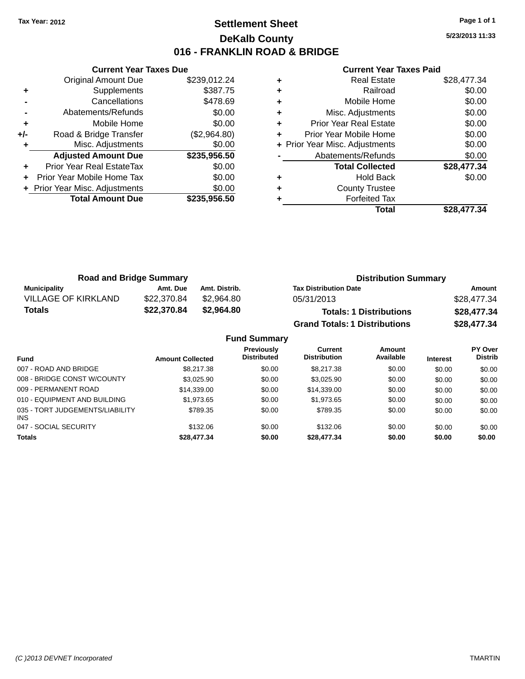### **Settlement Sheet Tax Year: 2012 Page 1 of 1 DeKalb County 016 - FRANKLIN ROAD & BRIDGE**

**5/23/2013 11:33**

|     | <b>Current Year Taxes Due</b>  |              |  |  |
|-----|--------------------------------|--------------|--|--|
|     | <b>Original Amount Due</b>     | \$239,012.24 |  |  |
| ٠   | Supplements                    | \$387.75     |  |  |
|     | Cancellations                  | \$478.69     |  |  |
|     | Abatements/Refunds             | \$0.00       |  |  |
| ٠   | Mobile Home                    | \$0.00       |  |  |
| +/- | Road & Bridge Transfer         | (\$2,964.80) |  |  |
|     | Misc. Adjustments              | \$0.00       |  |  |
|     | <b>Adjusted Amount Due</b>     | \$235,956.50 |  |  |
| ٠   | Prior Year Real EstateTax      | \$0.00       |  |  |
|     | Prior Year Mobile Home Tax     | \$0.00       |  |  |
|     | + Prior Year Misc. Adjustments | \$0.00       |  |  |
|     | <b>Total Amount Due</b>        | \$235.956.50 |  |  |
|     |                                |              |  |  |

| ٠ | <b>Real Estate</b>             | \$28,477.34 |
|---|--------------------------------|-------------|
| ٠ | Railroad                       | \$0.00      |
| ٠ | Mobile Home                    | \$0.00      |
| ٠ | Misc. Adjustments              | \$0.00      |
| ٠ | <b>Prior Year Real Estate</b>  | \$0.00      |
| ٠ | Prior Year Mobile Home         | \$0.00      |
|   | + Prior Year Misc. Adjustments | \$0.00      |
|   | Abatements/Refunds             | \$0.00      |
|   | <b>Total Collected</b>         | \$28,477.34 |
| ٠ | <b>Hold Back</b>               | \$0.00      |
| ٠ | <b>County Trustee</b>          |             |
|   | <b>Forfeited Tax</b>           |             |
|   | Total                          | \$28.477.34 |

| <b>Road and Bridge Summary</b> |             |               | <b>Distribution Summary</b>          |             |  |
|--------------------------------|-------------|---------------|--------------------------------------|-------------|--|
| <b>Municipality</b>            | Amt. Due    | Amt. Distrib. | <b>Tax Distribution Date</b>         | Amount      |  |
| <b>VILLAGE OF KIRKLAND</b>     | \$22,370.84 | \$2.964.80    | 05/31/2013                           | \$28,477.34 |  |
| <b>Totals</b>                  | \$22,370.84 | \$2,964.80    | <b>Totals: 1 Distributions</b>       | \$28,477.34 |  |
|                                |             |               | <b>Grand Totals: 1 Distributions</b> | \$28,477.34 |  |

|                                         |                         | <b>Fund Summary</b>                     |                                |                     |                 |                           |
|-----------------------------------------|-------------------------|-----------------------------------------|--------------------------------|---------------------|-----------------|---------------------------|
| <b>Fund</b>                             | <b>Amount Collected</b> | <b>Previously</b><br><b>Distributed</b> | Current<br><b>Distribution</b> | Amount<br>Available | <b>Interest</b> | PY Over<br><b>Distrib</b> |
| 007 - ROAD AND BRIDGE                   | \$8,217,38              | \$0.00                                  | \$8,217,38                     | \$0.00              | \$0.00          | \$0.00                    |
| 008 - BRIDGE CONST W/COUNTY             | \$3.025.90              | \$0.00                                  | \$3.025.90                     | \$0.00              | \$0.00          | \$0.00                    |
| 009 - PERMANENT ROAD                    | \$14,339.00             | \$0.00                                  | \$14.339.00                    | \$0.00              | \$0.00          | \$0.00                    |
| 010 - EQUIPMENT AND BUILDING            | \$1,973.65              | \$0.00                                  | \$1,973.65                     | \$0.00              | \$0.00          | \$0.00                    |
| 035 - TORT JUDGEMENTS/LIABILITY<br>INS. | \$789.35                | \$0.00                                  | \$789.35                       | \$0.00              | \$0.00          | \$0.00                    |
| 047 - SOCIAL SECURITY                   | \$132.06                | \$0.00                                  | \$132.06                       | \$0.00              | \$0.00          | \$0.00                    |
| <b>Totals</b>                           | \$28,477.34             | \$0.00                                  | \$28,477.34                    | \$0.00              | \$0.00          | \$0.00                    |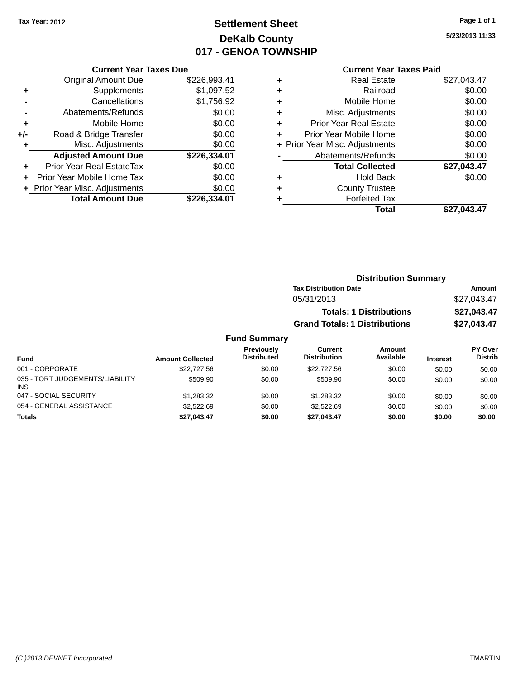### **Settlement Sheet Tax Year: 2012 Page 1 of 1 DeKalb County 017 - GENOA TOWNSHIP**

**5/23/2013 11:33**

#### **Current Year Taxes Paid**

|     | <b>Current Year Taxes Due</b>  |              |  |  |  |
|-----|--------------------------------|--------------|--|--|--|
|     | <b>Original Amount Due</b>     | \$226,993.41 |  |  |  |
| ٠   | Supplements                    | \$1,097.52   |  |  |  |
|     | Cancellations                  | \$1,756.92   |  |  |  |
|     | Abatements/Refunds             | \$0.00       |  |  |  |
| ٠   | Mobile Home                    | \$0.00       |  |  |  |
| +/- | Road & Bridge Transfer         | \$0.00       |  |  |  |
| ٠   | Misc. Adjustments              | \$0.00       |  |  |  |
|     | <b>Adjusted Amount Due</b>     | \$226,334.01 |  |  |  |
| ÷   | Prior Year Real EstateTax      | \$0.00       |  |  |  |
| ÷   | Prior Year Mobile Home Tax     | \$0.00       |  |  |  |
|     | + Prior Year Misc. Adjustments | \$0.00       |  |  |  |
|     | <b>Total Amount Due</b>        | \$226.334.01 |  |  |  |

| ٠ | <b>Real Estate</b>             | \$27,043.47 |
|---|--------------------------------|-------------|
| ٠ | Railroad                       | \$0.00      |
| ٠ | Mobile Home                    | \$0.00      |
| ٠ | Misc. Adjustments              | \$0.00      |
| ٠ | <b>Prior Year Real Estate</b>  | \$0.00      |
| ٠ | Prior Year Mobile Home         | \$0.00      |
|   | + Prior Year Misc. Adjustments | \$0.00      |
|   | Abatements/Refunds             | \$0.00      |
|   | <b>Total Collected</b>         | \$27,043.47 |
| ٠ | <b>Hold Back</b>               | \$0.00      |
| ٠ | <b>County Trustee</b>          |             |
| ٠ | <b>Forfeited Tax</b>           |             |
|   | Total                          | \$27.043.47 |
|   |                                |             |

| <b>Distribution Summary</b>          |             |
|--------------------------------------|-------------|
| <b>Tax Distribution Date</b>         | Amount      |
| 05/31/2013                           | \$27,043.47 |
| <b>Totals: 1 Distributions</b>       | \$27,043.47 |
| <b>Grand Totals: 1 Distributions</b> | \$27,043.47 |

| <b>Fund</b>                                   | <b>Amount Collected</b> | <b>Previously</b><br><b>Distributed</b> | Current<br><b>Distribution</b> | Amount<br>Available | <b>Interest</b> | PY Over<br><b>Distrib</b> |
|-----------------------------------------------|-------------------------|-----------------------------------------|--------------------------------|---------------------|-----------------|---------------------------|
| 001 - CORPORATE                               | \$22,727.56             | \$0.00                                  | \$22,727.56                    | \$0.00              | \$0.00          | \$0.00                    |
| 035 - TORT JUDGEMENTS/LIABILITY<br><b>INS</b> | \$509.90                | \$0.00                                  | \$509.90                       | \$0.00              | \$0.00          | \$0.00                    |
| 047 - SOCIAL SECURITY                         | \$1,283,32              | \$0.00                                  | \$1.283.32                     | \$0.00              | \$0.00          | \$0.00                    |
| 054 - GENERAL ASSISTANCE                      | \$2.522.69              | \$0.00                                  | \$2.522.69                     | \$0.00              | \$0.00          | \$0.00                    |
| <b>Totals</b>                                 | \$27.043.47             | \$0.00                                  | \$27.043.47                    | \$0.00              | \$0.00          | \$0.00                    |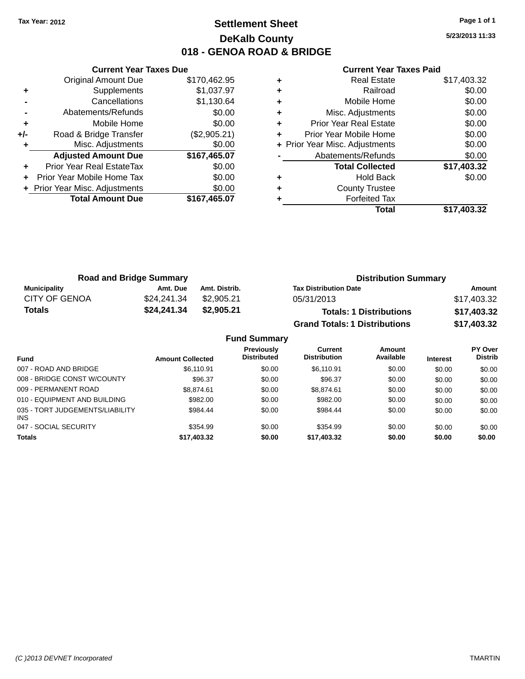### **Settlement Sheet Tax Year: 2012 Page 1 of 1 DeKalb County 018 - GENOA ROAD & BRIDGE**

**5/23/2013 11:33**

|     | <b>Current Year Taxes Due</b>  |              |  |  |  |
|-----|--------------------------------|--------------|--|--|--|
|     | <b>Original Amount Due</b>     | \$170,462.95 |  |  |  |
| ÷   | Supplements                    | \$1,037.97   |  |  |  |
|     | Cancellations                  | \$1,130.64   |  |  |  |
|     | Abatements/Refunds             | \$0.00       |  |  |  |
| ٠   | Mobile Home                    | \$0.00       |  |  |  |
| +/- | Road & Bridge Transfer         | (\$2,905.21) |  |  |  |
|     | Misc. Adjustments              | \$0.00       |  |  |  |
|     | <b>Adjusted Amount Due</b>     | \$167,465.07 |  |  |  |
| ÷   | Prior Year Real EstateTax      | \$0.00       |  |  |  |
|     | Prior Year Mobile Home Tax     | \$0.00       |  |  |  |
|     | + Prior Year Misc. Adjustments | \$0.00       |  |  |  |
|     | <b>Total Amount Due</b>        | \$167.465.07 |  |  |  |
|     |                                |              |  |  |  |

| <b>Real Estate</b>             | \$17,403.32 |
|--------------------------------|-------------|
| Railroad                       | \$0.00      |
| Mobile Home                    | \$0.00      |
| Misc. Adjustments              | \$0.00      |
| <b>Prior Year Real Estate</b>  | \$0.00      |
| Prior Year Mobile Home         | \$0.00      |
| + Prior Year Misc. Adjustments | \$0.00      |
| Abatements/Refunds             | \$0.00      |
| <b>Total Collected</b>         | \$17,403.32 |
| <b>Hold Back</b>               | \$0.00      |
| <b>County Trustee</b>          |             |
| <b>Forfeited Tax</b>           |             |
| Total                          | \$17,403.32 |
|                                |             |

| <b>Road and Bridge Summary</b> |             |               | <b>Distribution Summary</b>          |             |  |
|--------------------------------|-------------|---------------|--------------------------------------|-------------|--|
| Municipality                   | Amt. Due    | Amt. Distrib. | <b>Tax Distribution Date</b>         | Amount      |  |
| <b>CITY OF GENOA</b>           | \$24,241.34 | \$2,905.21    | 05/31/2013                           | \$17,403.32 |  |
| <b>Totals</b>                  | \$24,241.34 | \$2.905.21    | <b>Totals: 1 Distributions</b>       | \$17,403.32 |  |
|                                |             |               | <b>Grand Totals: 1 Distributions</b> | \$17,403.32 |  |

| <b>Fund Summary</b>                     |                         |                                         |                                |                     |                 |                           |  |
|-----------------------------------------|-------------------------|-----------------------------------------|--------------------------------|---------------------|-----------------|---------------------------|--|
| <b>Fund</b>                             | <b>Amount Collected</b> | <b>Previously</b><br><b>Distributed</b> | Current<br><b>Distribution</b> | Amount<br>Available | <b>Interest</b> | PY Over<br><b>Distrib</b> |  |
| 007 - ROAD AND BRIDGE                   | \$6,110.91              | \$0.00                                  | \$6,110.91                     | \$0.00              | \$0.00          | \$0.00                    |  |
| 008 - BRIDGE CONST W/COUNTY             | \$96.37                 | \$0.00                                  | \$96.37                        | \$0.00              | \$0.00          | \$0.00                    |  |
| 009 - PERMANENT ROAD                    | \$8,874.61              | \$0.00                                  | \$8,874.61                     | \$0.00              | \$0.00          | \$0.00                    |  |
| 010 - EQUIPMENT AND BUILDING            | \$982.00                | \$0.00                                  | \$982.00                       | \$0.00              | \$0.00          | \$0.00                    |  |
| 035 - TORT JUDGEMENTS/LIABILITY<br>INS. | \$984.44                | \$0.00                                  | \$984.44                       | \$0.00              | \$0.00          | \$0.00                    |  |
| 047 - SOCIAL SECURITY                   | \$354.99                | \$0.00                                  | \$354.99                       | \$0.00              | \$0.00          | \$0.00                    |  |
| <b>Totals</b>                           | \$17,403.32             | \$0.00                                  | \$17,403.32                    | \$0.00              | \$0.00          | \$0.00                    |  |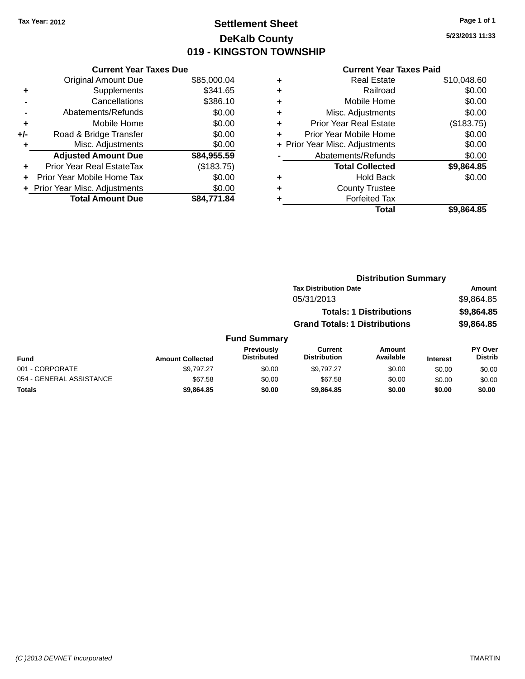### **Settlement Sheet Tax Year: 2012 Page 1 of 1 DeKalb County 019 - KINGSTON TOWNSHIP**

**5/23/2013 11:33**

| <b>Current Year Taxes Due</b> |                              |  |  |  |  |
|-------------------------------|------------------------------|--|--|--|--|
| <b>Original Amount Due</b>    | \$85,000.04                  |  |  |  |  |
| Supplements                   | \$341.65                     |  |  |  |  |
| Cancellations                 | \$386.10                     |  |  |  |  |
| Abatements/Refunds            | \$0.00                       |  |  |  |  |
| Mobile Home                   | \$0.00                       |  |  |  |  |
| Road & Bridge Transfer        | \$0.00                       |  |  |  |  |
| Misc. Adjustments             | \$0.00                       |  |  |  |  |
| <b>Adjusted Amount Due</b>    | \$84,955.59                  |  |  |  |  |
| Prior Year Real EstateTax     | (\$183.75)                   |  |  |  |  |
| Prior Year Mobile Home Tax    | \$0.00                       |  |  |  |  |
|                               | \$0.00                       |  |  |  |  |
| <b>Total Amount Due</b>       | \$84.771.84                  |  |  |  |  |
|                               | Prior Year Misc. Adjustments |  |  |  |  |

|   | <b>Real Estate</b>             | \$10,048.60 |
|---|--------------------------------|-------------|
| ٠ | Railroad                       | \$0.00      |
| ٠ | Mobile Home                    | \$0.00      |
| ٠ | Misc. Adjustments              | \$0.00      |
| ٠ | Prior Year Real Estate         | (\$183.75)  |
| ٠ | Prior Year Mobile Home         | \$0.00      |
|   | + Prior Year Misc. Adjustments | \$0.00      |
|   | Abatements/Refunds             | \$0.00      |
|   | <b>Total Collected</b>         | \$9,864.85  |
| ٠ | Hold Back                      | \$0.00      |
| ٠ | <b>County Trustee</b>          |             |
| ٠ | <b>Forfeited Tax</b>           |             |
|   | Total                          | \$9,864.85  |
|   |                                |             |

|                         |                                  | <b>Distribution Summary</b>          |                                |                 |                                  |  |
|-------------------------|----------------------------------|--------------------------------------|--------------------------------|-----------------|----------------------------------|--|
|                         |                                  | <b>Tax Distribution Date</b>         |                                |                 | Amount                           |  |
|                         |                                  | 05/31/2013                           |                                |                 | \$9,864.85                       |  |
|                         |                                  |                                      | <b>Totals: 1 Distributions</b> |                 | \$9,864.85                       |  |
|                         |                                  | <b>Grand Totals: 1 Distributions</b> |                                | \$9,864.85      |                                  |  |
|                         | <b>Fund Summary</b>              |                                      |                                |                 |                                  |  |
| <b>Amount Collected</b> | Previously<br><b>Distributed</b> | Current<br><b>Distribution</b>       | Amount<br>Available            | <b>Interest</b> | <b>PY Over</b><br><b>Distrib</b> |  |
| \$9,797.27              | \$0.00                           | \$9.797.27                           | \$0.00                         | \$0.00          | \$0.00                           |  |

| <b>Fund</b>              | <b>Amount Collected</b> | <b>Previously</b><br><b>Distributed</b> | Current<br><b>Distribution</b> | Amount<br>Available | <b>Interest</b> | PY Over<br><b>Distrib</b> |
|--------------------------|-------------------------|-----------------------------------------|--------------------------------|---------------------|-----------------|---------------------------|
| 001 - CORPORATE          | \$9.797.27              | \$0.00                                  | \$9.797.27                     | \$0.00              | \$0.00          | \$0.00                    |
| 054 - GENERAL ASSISTANCE | \$67.58                 | \$0.00                                  | \$67.58                        | \$0.00              | \$0.00          | \$0.00                    |
| <b>Totals</b>            | \$9.864.85              | \$0.00                                  | \$9,864.85                     | \$0.00              | \$0.00          | \$0.00                    |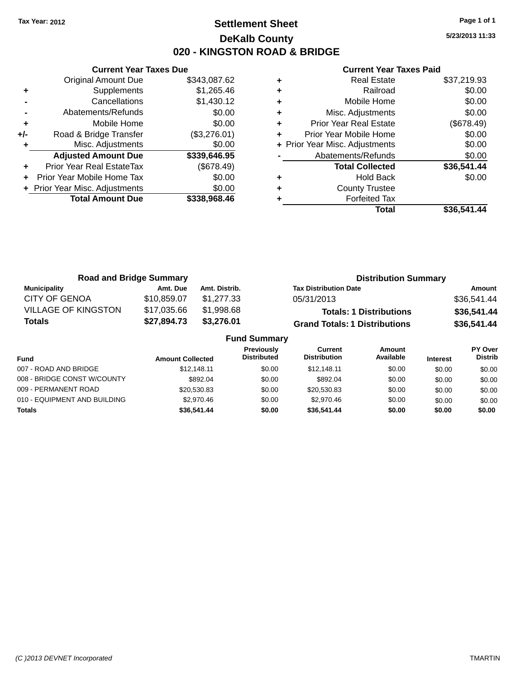### **Settlement Sheet Tax Year: 2012 Page 1 of 1 DeKalb County 020 - KINGSTON ROAD & BRIDGE**

**5/23/2013 11:33**

|       | <b>Current Year Taxes Due</b>  |              |  |  |  |  |
|-------|--------------------------------|--------------|--|--|--|--|
|       | <b>Original Amount Due</b>     | \$343,087.62 |  |  |  |  |
| ٠     | Supplements                    | \$1,265.46   |  |  |  |  |
|       | Cancellations                  | \$1,430.12   |  |  |  |  |
|       | Abatements/Refunds             | \$0.00       |  |  |  |  |
| ٠     | Mobile Home                    | \$0.00       |  |  |  |  |
| $+/-$ | Road & Bridge Transfer         | (\$3,276.01) |  |  |  |  |
|       | Misc. Adjustments              | \$0.00       |  |  |  |  |
|       | <b>Adjusted Amount Due</b>     | \$339,646.95 |  |  |  |  |
| ÷     | Prior Year Real EstateTax      | (\$678.49)   |  |  |  |  |
|       | Prior Year Mobile Home Tax     | \$0.00       |  |  |  |  |
|       | + Prior Year Misc. Adjustments | \$0.00       |  |  |  |  |
|       | <b>Total Amount Due</b>        | \$338,968.46 |  |  |  |  |
|       |                                |              |  |  |  |  |

|   | <b>Real Estate</b>             | \$37,219.93 |
|---|--------------------------------|-------------|
| ٠ | Railroad                       | \$0.00      |
| ٠ | Mobile Home                    | \$0.00      |
| ٠ | Misc. Adjustments              | \$0.00      |
| ٠ | Prior Year Real Estate         | (\$678.49)  |
|   | Prior Year Mobile Home         | \$0.00      |
|   | + Prior Year Misc. Adjustments | \$0.00      |
|   | Abatements/Refunds             | \$0.00      |
|   | <b>Total Collected</b>         | \$36,541.44 |
| ٠ | <b>Hold Back</b>               | \$0.00      |
| ٠ | <b>County Trustee</b>          |             |
|   | <b>Forfeited Tax</b>           |             |
|   | Total                          | \$36.541.44 |

| <b>Road and Bridge Summary</b> |             |               | <b>Distribution Summary</b>          |             |  |
|--------------------------------|-------------|---------------|--------------------------------------|-------------|--|
| <b>Municipality</b>            | Amt. Due    | Amt. Distrib. | <b>Tax Distribution Date</b>         | Amount      |  |
| <b>CITY OF GENOA</b>           | \$10,859.07 | \$1.277.33    | 05/31/2013                           | \$36,541.44 |  |
| <b>VILLAGE OF KINGSTON</b>     | \$17,035.66 | \$1,998.68    | <b>Totals: 1 Distributions</b>       | \$36,541.44 |  |
| <b>Totals</b>                  | \$27,894.73 | \$3,276.01    | <b>Grand Totals: 1 Distributions</b> | \$36,541.44 |  |
| <b>Fund Summary</b>            |             |               |                                      |             |  |

|                              |                         | . 989 YAN 1988                          |                                |                     |                 |                                  |
|------------------------------|-------------------------|-----------------------------------------|--------------------------------|---------------------|-----------------|----------------------------------|
| <b>Fund</b>                  | <b>Amount Collected</b> | <b>Previously</b><br><b>Distributed</b> | Current<br><b>Distribution</b> | Amount<br>Available | <b>Interest</b> | <b>PY Over</b><br><b>Distrib</b> |
| 007 - ROAD AND BRIDGE        | \$12,148.11             | \$0.00                                  | \$12.148.11                    | \$0.00              | \$0.00          | \$0.00                           |
| 008 - BRIDGE CONST W/COUNTY  | \$892.04                | \$0.00                                  | \$892.04                       | \$0.00              | \$0.00          | \$0.00                           |
| 009 - PERMANENT ROAD         | \$20.530.83             | \$0.00                                  | \$20,530.83                    | \$0.00              | \$0.00          | \$0.00                           |
| 010 - EQUIPMENT AND BUILDING | \$2.970.46              | \$0.00                                  | \$2,970.46                     | \$0.00              | \$0.00          | \$0.00                           |
| <b>Totals</b>                | \$36,541.44             | \$0.00                                  | \$36,541.44                    | \$0.00              | \$0.00          | \$0.00                           |
|                              |                         |                                         |                                |                     |                 |                                  |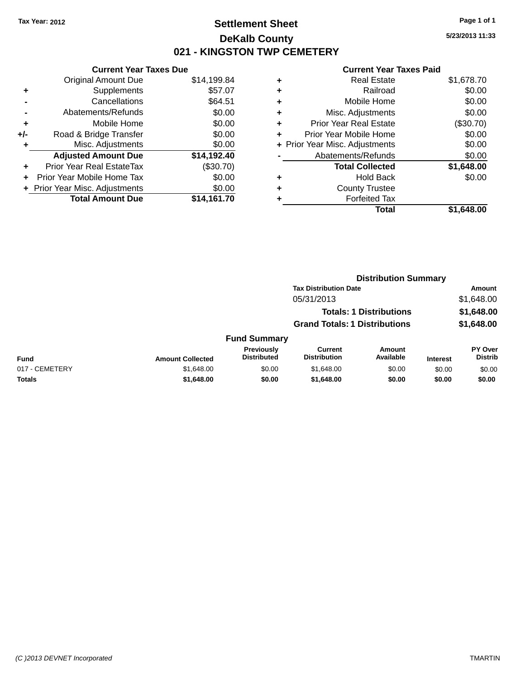### **Settlement Sheet Tax Year: 2012 Page 1 of 1 DeKalb County 021 - KINGSTON TWP CEMETERY**

**Current Year Taxes Due** Original Amount Due \$14,199.84 **+** Supplements \$57.07 **-** Cancellations \$64.51 **-** Abatements/Refunds \$0.00 **+** Mobile Home \$0.00 **+/-** Road & Bridge Transfer \$0.00 **+** Misc. Adjustments \$0.00 **Adjusted Amount Due \$14,192.40 +** Prior Year Real EstateTax (\$30.70) **+** Prior Year Mobile Home Tax \$0.00 **+ Prior Year Misc. Adjustments**  $$0.00$ **Total Amount Due \$14,161.70**

#### **Current Year Taxes Paid**

| ٠ | <b>Real Estate</b>             | \$1,678.70 |
|---|--------------------------------|------------|
| ÷ | Railroad                       | \$0.00     |
| ٠ | Mobile Home                    | \$0.00     |
| ٠ | Misc. Adjustments              | \$0.00     |
| ٠ | <b>Prior Year Real Estate</b>  | (\$30.70)  |
| ٠ | Prior Year Mobile Home         | \$0.00     |
|   | + Prior Year Misc. Adjustments | \$0.00     |
|   | Abatements/Refunds             | \$0.00     |
|   | <b>Total Collected</b>         | \$1,648.00 |
| ٠ | <b>Hold Back</b>               | \$0.00     |
| ٠ | <b>County Trustee</b>          |            |
| ٠ | <b>Forfeited Tax</b>           |            |
|   | Total                          | \$1.648.00 |
|   |                                |            |

|                |                         |                                  |                                       | <b>Distribution Summary</b>    |                 |                                  |
|----------------|-------------------------|----------------------------------|---------------------------------------|--------------------------------|-----------------|----------------------------------|
|                |                         |                                  | <b>Tax Distribution Date</b>          |                                |                 | Amount                           |
|                |                         |                                  | 05/31/2013                            |                                |                 | \$1,648.00                       |
|                |                         |                                  |                                       | <b>Totals: 1 Distributions</b> |                 | \$1,648.00                       |
|                |                         |                                  | <b>Grand Totals: 1 Distributions</b>  |                                |                 | \$1,648.00                       |
|                |                         | <b>Fund Summary</b>              |                                       |                                |                 |                                  |
| Fund           | <b>Amount Collected</b> | Previously<br><b>Distributed</b> | <b>Current</b><br><b>Distribution</b> | <b>Amount</b><br>Available     | <b>Interest</b> | <b>PY Over</b><br><b>Distrib</b> |
| 017 - CEMETERY | \$1,648.00              | \$0.00                           | \$1,648.00                            | \$0.00                         | \$0.00          | \$0.00                           |
| <b>Totals</b>  | \$1,648.00              | \$0.00                           | \$1,648.00                            | \$0.00                         | \$0.00          | \$0.00                           |

**5/23/2013 11:33**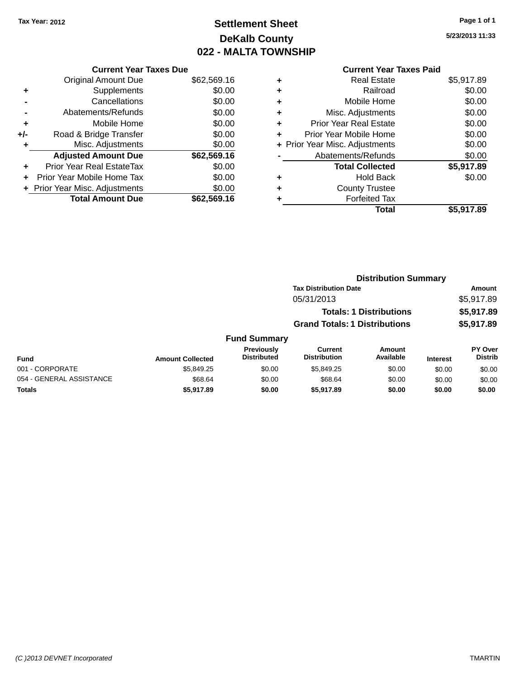### **Settlement Sheet Tax Year: 2012 Page 1 of 1 DeKalb County 022 - MALTA TOWNSHIP**

**5/23/2013 11:33**

|     | <b>Current Year Taxes Due</b>  |             |
|-----|--------------------------------|-------------|
|     | <b>Original Amount Due</b>     | \$62,569.16 |
|     | Supplements                    | \$0.00      |
|     | Cancellations                  | \$0.00      |
|     | Abatements/Refunds             | \$0.00      |
| ٠   | Mobile Home                    | \$0.00      |
| +/- | Road & Bridge Transfer         | \$0.00      |
|     | Misc. Adjustments              | \$0.00      |
|     | <b>Adjusted Amount Due</b>     | \$62,569.16 |
| ٠   | Prior Year Real EstateTax      | \$0.00      |
|     | Prior Year Mobile Home Tax     | \$0.00      |
|     | + Prior Year Misc. Adjustments | \$0.00      |
|     | <b>Total Amount Due</b>        | \$62,569.16 |
|     |                                |             |

|   | <b>Real Estate</b>             | \$5,917.89 |
|---|--------------------------------|------------|
| ٠ | Railroad                       | \$0.00     |
| ٠ | Mobile Home                    | \$0.00     |
| ٠ | Misc. Adjustments              | \$0.00     |
| ÷ | <b>Prior Year Real Estate</b>  | \$0.00     |
| ٠ | Prior Year Mobile Home         | \$0.00     |
|   | + Prior Year Misc. Adjustments | \$0.00     |
|   | Abatements/Refunds             | \$0.00     |
|   | <b>Total Collected</b>         | \$5,917.89 |
| ٠ | Hold Back                      | \$0.00     |
| ٠ | <b>County Trustee</b>          |            |
|   | <b>Forfeited Tax</b>           |            |
|   | Total                          | \$5,917.89 |
|   |                                |            |

|           |                                         |                                      | <b>Distribution Summary</b>    |                 |                                  |
|-----------|-----------------------------------------|--------------------------------------|--------------------------------|-----------------|----------------------------------|
|           |                                         | <b>Tax Distribution Date</b>         |                                |                 | Amount                           |
|           |                                         | 05/31/2013                           |                                |                 | \$5,917.89                       |
|           |                                         |                                      | <b>Totals: 1 Distributions</b> |                 | \$5,917.89                       |
|           |                                         | <b>Grand Totals: 1 Distributions</b> |                                |                 | \$5,917.89                       |
|           | <b>Fund Summary</b>                     |                                      |                                |                 |                                  |
| Collected | <b>Previously</b><br><b>Distributed</b> | Current<br><b>Distribution</b>       | Amount<br>Available            | <b>Interest</b> | <b>PY Over</b><br><b>Distrib</b> |

| <b>Fund</b>              | <b>Amount Collected</b> | Previously<br><b>Distributed</b> | Current<br><b>Distribution</b> | Amount<br>Available | <b>Interest</b> | <b>PY Over</b><br>Distrib |
|--------------------------|-------------------------|----------------------------------|--------------------------------|---------------------|-----------------|---------------------------|
| 001 - CORPORATE          | \$5.849.25              | \$0.00                           | \$5.849.25                     | \$0.00              | \$0.00          | \$0.00                    |
| 054 - GENERAL ASSISTANCE | \$68.64                 | \$0.00                           | \$68.64                        | \$0.00              | \$0.00          | \$0.00                    |
| Totals                   | \$5,917.89              | \$0.00                           | \$5,917.89                     | \$0.00              | \$0.00          | \$0.00                    |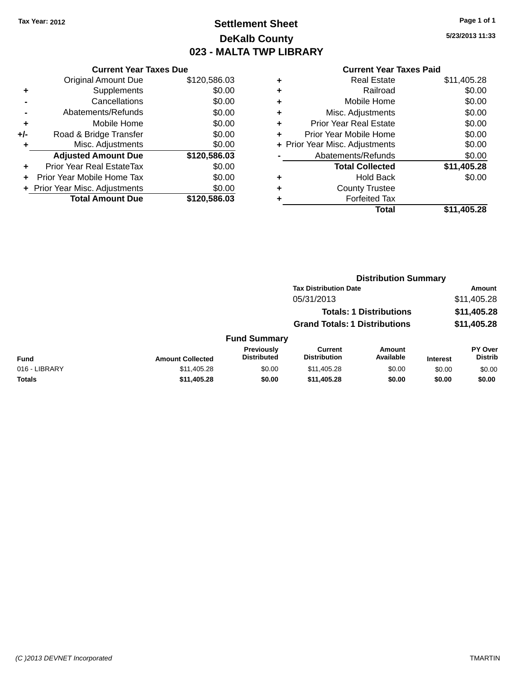### **Settlement Sheet Tax Year: 2012 Page 1 of 1 DeKalb County 023 - MALTA TWP LIBRARY**

**5/23/2013 11:33**

|     | <b>Current Year Taxes Due</b>  |              |
|-----|--------------------------------|--------------|
|     | <b>Original Amount Due</b>     | \$120,586.03 |
| ÷   | Supplements                    | \$0.00       |
|     | Cancellations                  | \$0.00       |
|     | Abatements/Refunds             | \$0.00       |
| ٠   | Mobile Home                    | \$0.00       |
| +/- | Road & Bridge Transfer         | \$0.00       |
| ٠   | Misc. Adjustments              | \$0.00       |
|     | <b>Adjusted Amount Due</b>     | \$120,586.03 |
| ÷   | Prior Year Real EstateTax      | \$0.00       |
|     | Prior Year Mobile Home Tax     | \$0.00       |
|     | + Prior Year Misc. Adjustments | \$0.00       |
|     | <b>Total Amount Due</b>        | \$120,586.03 |
|     |                                |              |

| ٠ | <b>Real Estate</b>             | \$11,405.28 |
|---|--------------------------------|-------------|
| ٠ | Railroad                       | \$0.00      |
| ٠ | Mobile Home                    | \$0.00      |
| ٠ | Misc. Adjustments              | \$0.00      |
| ٠ | <b>Prior Year Real Estate</b>  | \$0.00      |
| ٠ | Prior Year Mobile Home         | \$0.00      |
|   | + Prior Year Misc. Adjustments | \$0.00      |
|   | Abatements/Refunds             | \$0.00      |
|   | <b>Total Collected</b>         | \$11,405.28 |
| ٠ | Hold Back                      | \$0.00      |
| ٠ | <b>County Trustee</b>          |             |
| ٠ | <b>Forfeited Tax</b>           |             |
|   | Total                          | \$11,405.28 |
|   |                                |             |

|               |                         | <b>Distribution Summary</b>      |                                       |                                |                 |                                  |  |
|---------------|-------------------------|----------------------------------|---------------------------------------|--------------------------------|-----------------|----------------------------------|--|
|               |                         |                                  | <b>Tax Distribution Date</b>          |                                |                 | Amount                           |  |
|               |                         |                                  | 05/31/2013                            |                                |                 | \$11,405.28                      |  |
|               |                         |                                  |                                       | <b>Totals: 1 Distributions</b> |                 | \$11,405.28                      |  |
|               |                         |                                  | <b>Grand Totals: 1 Distributions</b>  |                                |                 | \$11,405.28                      |  |
|               |                         | <b>Fund Summary</b>              |                                       |                                |                 |                                  |  |
| Fund          | <b>Amount Collected</b> | Previously<br><b>Distributed</b> | <b>Current</b><br><b>Distribution</b> | Amount<br>Available            | <b>Interest</b> | <b>PY Over</b><br><b>Distrib</b> |  |
| 016 - LIBRARY | \$11,405.28             | \$0.00                           | \$11,405.28                           | \$0.00                         | \$0.00          | \$0.00                           |  |
| <b>Totals</b> | \$11,405.28             | \$0.00                           | \$11,405.28                           | \$0.00                         | \$0.00          | \$0.00                           |  |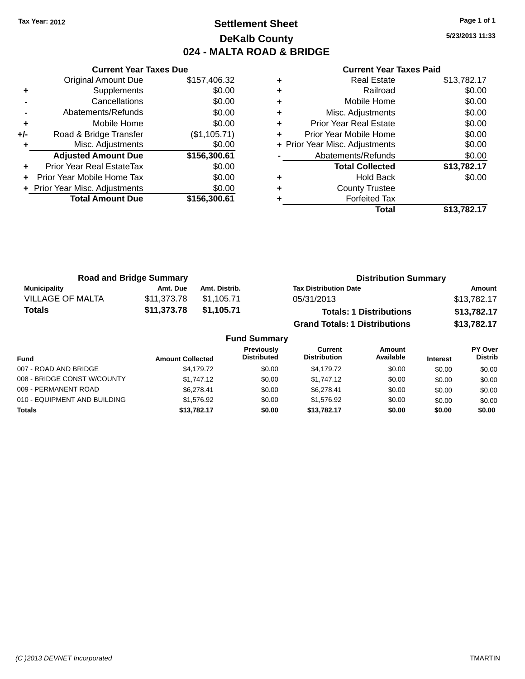### **Settlement Sheet Tax Year: 2012 Page 1 of 1 DeKalb County 024 - MALTA ROAD & BRIDGE**

**5/23/2013 11:33**

| Cur                   |   |              | <b>Current Year Taxes Due</b>  |       |
|-----------------------|---|--------------|--------------------------------|-------|
| R                     | ٠ | \$157,406.32 | <b>Original Amount Due</b>     |       |
|                       | ٠ | \$0.00       | Supplements                    |       |
| Mo                    | ٠ | \$0.00       | Cancellations                  |       |
| Misc. Ac              | ٠ | \$0.00       | Abatements/Refunds             |       |
| Prior Year R          | ÷ | \$0.00       | Mobile Home                    | ٠     |
| Prior Year Mo         |   | (\$1,105.71) | Road & Bridge Transfer         | $+/-$ |
| + Prior Year Misc. Ac |   | \$0.00       | Misc. Adjustments              |       |
| Abatement             |   | \$156,300.61 | <b>Adjusted Amount Due</b>     |       |
| Total                 |   | \$0.00       | Prior Year Real EstateTax      |       |
|                       | ٠ | \$0.00       | Prior Year Mobile Home Tax     |       |
| Coun                  | ٠ | \$0.00       | + Prior Year Misc. Adjustments |       |
| For                   |   | \$156,300.61 | <b>Total Amount Due</b>        |       |
|                       |   |              |                                |       |

|   | <b>Real Estate</b>             | \$13,782.17 |
|---|--------------------------------|-------------|
| ÷ | Railroad                       | \$0.00      |
| ٠ | Mobile Home                    | \$0.00      |
| ٠ | Misc. Adjustments              | \$0.00      |
| ٠ | Prior Year Real Estate         | \$0.00      |
|   | Prior Year Mobile Home         | \$0.00      |
|   | + Prior Year Misc. Adjustments | \$0.00      |
|   | Abatements/Refunds             | \$0.00      |
|   | <b>Total Collected</b>         | \$13,782.17 |
|   | <b>Hold Back</b>               | \$0.00      |
| ٠ | <b>County Trustee</b>          |             |
|   | <b>Forfeited Tax</b>           |             |
|   | Total                          | \$13,782.17 |

| <b>Road and Bridge Summary</b> |             |               | <b>Distribution Summary</b>          |             |  |
|--------------------------------|-------------|---------------|--------------------------------------|-------------|--|
| Municipality                   | Amt. Due    | Amt. Distrib. | <b>Tax Distribution Date</b>         | Amount      |  |
| <b>VILLAGE OF MALTA</b>        | \$11.373.78 | \$1,105.71    | 05/31/2013                           | \$13,782.17 |  |
| Totals                         | \$11,373.78 | \$1,105.71    | <b>Totals: 1 Distributions</b>       | \$13,782.17 |  |
|                                |             |               | <b>Grand Totals: 1 Distributions</b> | \$13,782.17 |  |

| <b>Fund Summary</b>          |                         |                                         |                                |                     |                 |                           |
|------------------------------|-------------------------|-----------------------------------------|--------------------------------|---------------------|-----------------|---------------------------|
| <b>Fund</b>                  | <b>Amount Collected</b> | <b>Previously</b><br><b>Distributed</b> | Current<br><b>Distribution</b> | Amount<br>Available | <b>Interest</b> | PY Over<br><b>Distrib</b> |
| 007 - ROAD AND BRIDGE        | \$4.179.72              | \$0.00                                  | \$4.179.72                     | \$0.00              | \$0.00          | \$0.00                    |
| 008 - BRIDGE CONST W/COUNTY  | \$1.747.12              | \$0.00                                  | \$1,747.12                     | \$0.00              | \$0.00          | \$0.00                    |
| 009 - PERMANENT ROAD         | \$6.278.41              | \$0.00                                  | \$6.278.41                     | \$0.00              | \$0.00          | \$0.00                    |
| 010 - EQUIPMENT AND BUILDING | \$1.576.92              | \$0.00                                  | \$1.576.92                     | \$0.00              | \$0.00          | \$0.00                    |
| <b>Totals</b>                | \$13,782.17             | \$0.00                                  | \$13,782,17                    | \$0.00              | \$0.00          | \$0.00                    |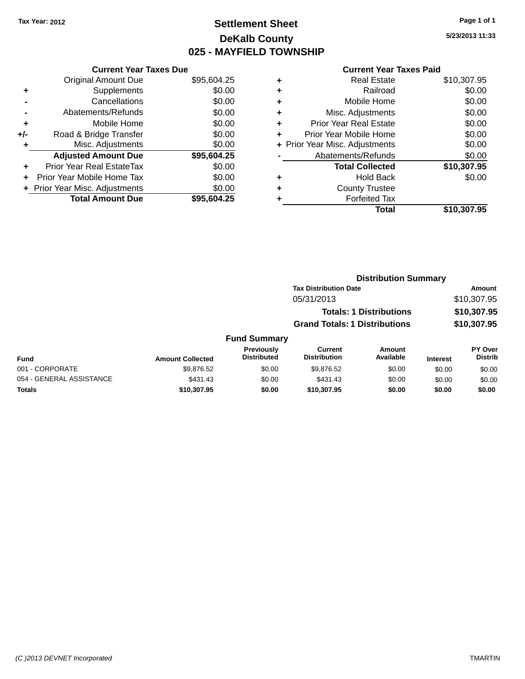### **Settlement Sheet Tax Year: 2012 Page 1 of 1 DeKalb County 025 - MAYFIELD TOWNSHIP**

**5/23/2013 11:33**

|     | <b>Current Year Taxes Due</b>  |             |
|-----|--------------------------------|-------------|
|     | <b>Original Amount Due</b>     | \$95,604.25 |
| ٠   | Supplements                    | \$0.00      |
|     | Cancellations                  | \$0.00      |
|     | Abatements/Refunds             | \$0.00      |
| ٠   | Mobile Home                    | \$0.00      |
| +/- | Road & Bridge Transfer         | \$0.00      |
| ٠   | Misc. Adjustments              | \$0.00      |
|     | <b>Adjusted Amount Due</b>     | \$95,604.25 |
| ٠   | Prior Year Real EstateTax      | \$0.00      |
|     | Prior Year Mobile Home Tax     | \$0.00      |
|     | + Prior Year Misc. Adjustments | \$0.00      |
|     | <b>Total Amount Due</b>        | \$95.604.25 |
|     |                                |             |

|   | <b>Real Estate</b>             | \$10,307.95 |
|---|--------------------------------|-------------|
| ٠ | Railroad                       | \$0.00      |
| ٠ | Mobile Home                    | \$0.00      |
| ٠ | Misc. Adjustments              | \$0.00      |
| ٠ | <b>Prior Year Real Estate</b>  | \$0.00      |
| ٠ | Prior Year Mobile Home         | \$0.00      |
|   | + Prior Year Misc. Adjustments | \$0.00      |
|   | Abatements/Refunds             | \$0.00      |
|   | <b>Total Collected</b>         | \$10,307.95 |
| ٠ | Hold Back                      | \$0.00      |
|   | <b>County Trustee</b>          |             |
| ٠ | <b>Forfeited Tax</b>           |             |
|   | Total                          | \$10,307.95 |
|   |                                |             |

|                 |                                         |                                       | <b>Distribution Summary</b>    |                 |                                  |
|-----------------|-----------------------------------------|---------------------------------------|--------------------------------|-----------------|----------------------------------|
|                 |                                         | <b>Tax Distribution Date</b>          |                                | <b>Amount</b>   |                                  |
|                 |                                         | 05/31/2013                            |                                |                 | \$10,307.95                      |
|                 |                                         |                                       | <b>Totals: 1 Distributions</b> |                 | \$10,307.95                      |
|                 |                                         | <b>Grand Totals: 1 Distributions</b>  |                                |                 | \$10,307.95                      |
|                 | <b>Fund Summary</b>                     |                                       |                                |                 |                                  |
| mount Collected | <b>Previously</b><br><b>Distributed</b> | <b>Current</b><br><b>Distribution</b> | <b>Amount</b><br>Available     | <b>Interest</b> | <b>PY Over</b><br><b>Distrib</b> |
|                 |                                         |                                       |                                |                 |                                  |

|                          |                         | <b>Previously</b>  | Current             | Amount    |                 | <b>PY Over</b> |
|--------------------------|-------------------------|--------------------|---------------------|-----------|-----------------|----------------|
| <b>Fund</b>              | <b>Amount Collected</b> | <b>Distributed</b> | <b>Distribution</b> | Available | <b>Interest</b> | Distrib        |
| 001 - CORPORATE          | \$9.876.52              | \$0.00             | \$9.876.52          | \$0.00    | \$0.00          | \$0.00         |
| 054 - GENERAL ASSISTANCE | \$431.43                | \$0.00             | \$431.43            | \$0.00    | \$0.00          | \$0.00         |
| <b>Totals</b>            | \$10,307.95             | \$0.00             | \$10,307.95         | \$0.00    | \$0.00          | \$0.00         |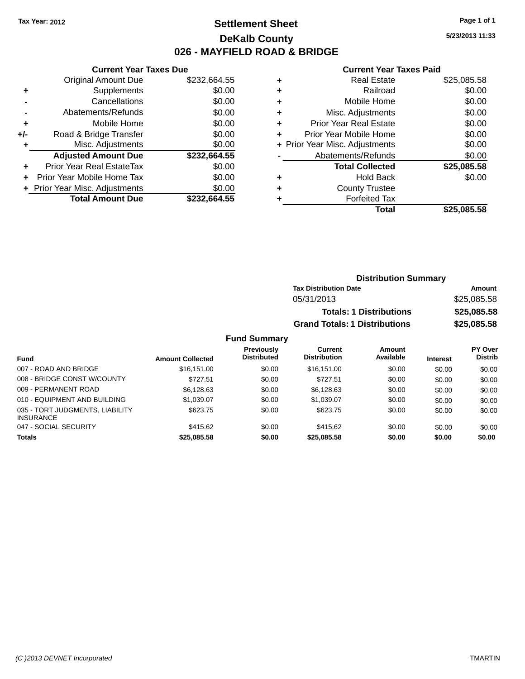### **Settlement Sheet Tax Year: 2012 Page 1 of 1 DeKalb County 026 - MAYFIELD ROAD & BRIDGE**

**5/23/2013 11:33**

#### **Current Year Taxes Paid**

|       | <b>Current Year Taxes Due</b>  |              |  |  |
|-------|--------------------------------|--------------|--|--|
|       | <b>Original Amount Due</b>     | \$232,664.55 |  |  |
| ٠     | Supplements                    | \$0.00       |  |  |
|       | Cancellations                  | \$0.00       |  |  |
|       | Abatements/Refunds             | \$0.00       |  |  |
| ٠     | Mobile Home                    | \$0.00       |  |  |
| $+/-$ | Road & Bridge Transfer         | \$0.00       |  |  |
|       | Misc. Adjustments              | \$0.00       |  |  |
|       | <b>Adjusted Amount Due</b>     | \$232,664.55 |  |  |
|       | Prior Year Real EstateTax      | \$0.00       |  |  |
|       | Prior Year Mobile Home Tax     | \$0.00       |  |  |
|       | + Prior Year Misc. Adjustments | \$0.00       |  |  |
|       | <b>Total Amount Due</b>        | \$232.664.55 |  |  |

|   | <b>Real Estate</b>             | \$25,085.58 |
|---|--------------------------------|-------------|
| ٠ | Railroad                       | \$0.00      |
| ٠ | Mobile Home                    | \$0.00      |
| ٠ | Misc. Adjustments              | \$0.00      |
| ٠ | <b>Prior Year Real Estate</b>  | \$0.00      |
| ٠ | Prior Year Mobile Home         | \$0.00      |
|   | + Prior Year Misc. Adjustments | \$0.00      |
|   | Abatements/Refunds             | \$0.00      |
|   | <b>Total Collected</b>         | \$25,085.58 |
| ٠ | <b>Hold Back</b>               | \$0.00      |
| ٠ | <b>County Trustee</b>          |             |
| ٠ | <b>Forfeited Tax</b>           |             |
|   | Total                          | \$25,085.58 |
|   |                                |             |

| <b>Distribution Summary</b>          |             |
|--------------------------------------|-------------|
| <b>Tax Distribution Date</b>         | Amount      |
| 05/31/2013                           | \$25,085.58 |
| <b>Totals: 1 Distributions</b>       | \$25,085.58 |
| <b>Grand Totals: 1 Distributions</b> | \$25,085.58 |

| <b>Fund</b>                                         | <b>Amount Collected</b> | <b>Previously</b><br><b>Distributed</b> | Current<br><b>Distribution</b> | Amount<br>Available | <b>Interest</b> | <b>PY Over</b><br><b>Distrib</b> |
|-----------------------------------------------------|-------------------------|-----------------------------------------|--------------------------------|---------------------|-----------------|----------------------------------|
| 007 - ROAD AND BRIDGE                               | \$16,151,00             | \$0.00                                  | \$16,151,00                    | \$0.00              | \$0.00          | \$0.00                           |
| 008 - BRIDGE CONST W/COUNTY                         | \$727.51                | \$0.00                                  | \$727.51                       | \$0.00              | \$0.00          | \$0.00                           |
| 009 - PERMANENT ROAD                                | \$6,128.63              | \$0.00                                  | \$6.128.63                     | \$0.00              | \$0.00          | \$0.00                           |
| 010 - EQUIPMENT AND BUILDING                        | \$1,039.07              | \$0.00                                  | \$1.039.07                     | \$0.00              | \$0.00          | \$0.00                           |
| 035 - TORT JUDGMENTS, LIABILITY<br><b>INSURANCE</b> | \$623.75                | \$0.00                                  | \$623.75                       | \$0.00              | \$0.00          | \$0.00                           |
| 047 - SOCIAL SECURITY                               | \$415.62                | \$0.00                                  | \$415.62                       | \$0.00              | \$0.00          | \$0.00                           |
| <b>Totals</b>                                       | \$25,085.58             | \$0.00                                  | \$25,085.58                    | \$0.00              | \$0.00          | \$0.00                           |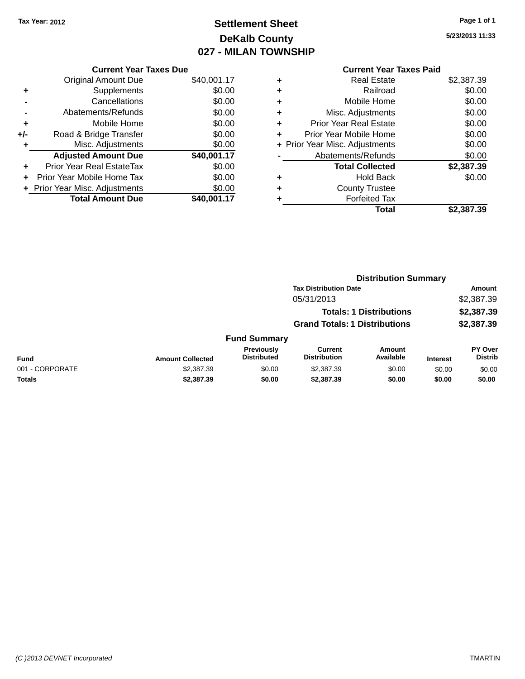### **Settlement Sheet Tax Year: 2012 Page 1 of 1 DeKalb County 027 - MILAN TOWNSHIP**

**5/23/2013 11:33**

|     | <b>Current Year Taxes Due</b>  |             |
|-----|--------------------------------|-------------|
|     | <b>Original Amount Due</b>     | \$40,001.17 |
| ٠   | Supplements                    | \$0.00      |
|     | Cancellations                  | \$0.00      |
|     | Abatements/Refunds             | \$0.00      |
| ٠   | Mobile Home                    | \$0.00      |
| +/- | Road & Bridge Transfer         | \$0.00      |
| ٠   | Misc. Adjustments              | \$0.00      |
|     | <b>Adjusted Amount Due</b>     | \$40,001.17 |
|     | Prior Year Real EstateTax      | \$0.00      |
|     | Prior Year Mobile Home Tax     | \$0.00      |
|     | + Prior Year Misc. Adjustments | \$0.00      |
|     | <b>Total Amount Due</b>        | \$40,001.17 |
|     |                                |             |

|   | <b>Real Estate</b>             | \$2,387.39 |
|---|--------------------------------|------------|
| ٠ | Railroad                       | \$0.00     |
| ٠ | Mobile Home                    | \$0.00     |
| ٠ | Misc. Adjustments              | \$0.00     |
| ٠ | <b>Prior Year Real Estate</b>  | \$0.00     |
| ٠ | Prior Year Mobile Home         | \$0.00     |
|   | + Prior Year Misc. Adjustments | \$0.00     |
|   | Abatements/Refunds             | \$0.00     |
|   | <b>Total Collected</b>         | \$2,387.39 |
| ٠ | <b>Hold Back</b>               | \$0.00     |
| ٠ | <b>County Trustee</b>          |            |
| ٠ | <b>Forfeited Tax</b>           |            |
|   | Total                          | \$2,387.39 |
|   |                                |            |

|                 |                         | <b>Distribution Summary</b>      |                                       |                                |                 |                           |
|-----------------|-------------------------|----------------------------------|---------------------------------------|--------------------------------|-----------------|---------------------------|
|                 |                         |                                  | <b>Tax Distribution Date</b>          |                                |                 | <b>Amount</b>             |
|                 |                         |                                  | 05/31/2013                            |                                |                 | \$2,387.39                |
|                 |                         |                                  |                                       | <b>Totals: 1 Distributions</b> |                 | \$2,387.39                |
|                 |                         |                                  | <b>Grand Totals: 1 Distributions</b>  |                                |                 | \$2,387.39                |
|                 |                         | <b>Fund Summary</b>              |                                       |                                |                 |                           |
| <b>Fund</b>     | <b>Amount Collected</b> | Previously<br><b>Distributed</b> | <b>Current</b><br><b>Distribution</b> | <b>Amount</b><br>Available     | <b>Interest</b> | PY Over<br><b>Distrib</b> |
| 001 - CORPORATE | \$2,387.39              | \$0.00                           | \$2,387.39                            | \$0.00                         | \$0.00          | \$0.00                    |
| <b>Totals</b>   | \$2,387.39              | \$0.00                           | \$2,387.39                            | \$0.00                         | \$0.00          | \$0.00                    |
|                 |                         |                                  |                                       |                                |                 |                           |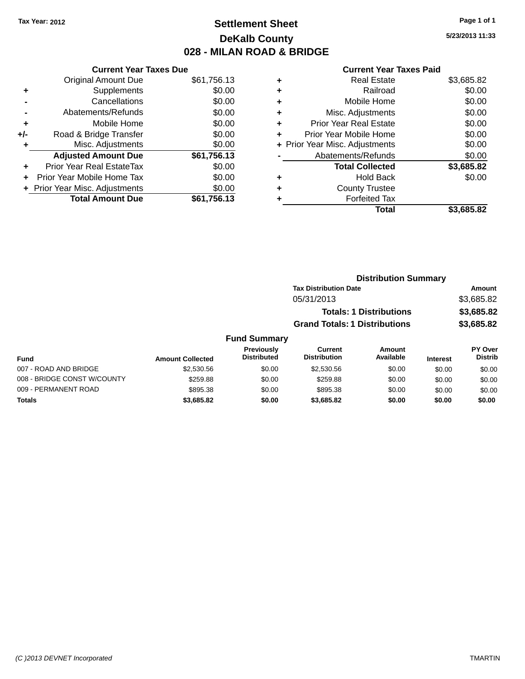### **Settlement Sheet Tax Year: 2012 Page 1 of 1 DeKalb County 028 - MILAN ROAD & BRIDGE**

**Current Year Taxes Due** Original Amount Due \$61,756.13<br>Supplements \$0.00 **+** Supplements **-** Cancellations \$0.00 **-** Abatements/Refunds \$0.00 **+** Mobile Home \$0.00 **+/-** Road & Bridge Transfer \$0.00 **+** Misc. Adjustments \$0.00 **Adjusted Amount Due \$61,756.13 +** Prior Year Real EstateTax \$0.00 **+** Prior Year Mobile Home Tax \$0.00 **+ Prior Year Misc. Adjustments**  $$0.00$ **Total Amount Due \$61,756.13**

#### **Current Year Taxes Paid**

| ٠ | <b>Real Estate</b>             | \$3,685.82 |
|---|--------------------------------|------------|
| ÷ | Railroad                       | \$0.00     |
| ٠ | Mobile Home                    | \$0.00     |
| ٠ | Misc. Adjustments              | \$0.00     |
| ٠ | <b>Prior Year Real Estate</b>  | \$0.00     |
| ٠ | Prior Year Mobile Home         | \$0.00     |
|   | + Prior Year Misc. Adjustments | \$0.00     |
|   | Abatements/Refunds             | \$0.00     |
|   | <b>Total Collected</b>         | \$3,685.82 |
| ٠ | <b>Hold Back</b>               | \$0.00     |
| ٠ | <b>County Trustee</b>          |            |
| ٠ | <b>Forfeited Tax</b>           |            |
|   | Total                          | \$3,685.82 |
|   |                                |            |

| <b>Distribution Summary</b>          |            |
|--------------------------------------|------------|
| <b>Tax Distribution Date</b>         | Amount     |
| 05/31/2013                           | \$3,685.82 |
| <b>Totals: 1 Distributions</b>       | \$3,685.82 |
| <b>Grand Totals: 1 Distributions</b> | \$3,685.82 |

| Fund                        | <b>Amount Collected</b> | <b>Previously</b><br><b>Distributed</b> | Current<br><b>Distribution</b> | Amount<br>Available | <b>Interest</b> | <b>PY Over</b><br><b>Distrib</b> |
|-----------------------------|-------------------------|-----------------------------------------|--------------------------------|---------------------|-----------------|----------------------------------|
| 007 - ROAD AND BRIDGE       | \$2,530.56              | \$0.00                                  | \$2,530.56                     | \$0.00              | \$0.00          | \$0.00                           |
| 008 - BRIDGE CONST W/COUNTY | \$259.88                | \$0.00                                  | \$259.88                       | \$0.00              | \$0.00          | \$0.00                           |
| 009 - PERMANENT ROAD        | \$895.38                | \$0.00                                  | \$895.38                       | \$0.00              | \$0.00          | \$0.00                           |
| Totals                      | \$3,685.82              | \$0.00                                  | \$3,685.82                     | \$0.00              | \$0.00          | \$0.00                           |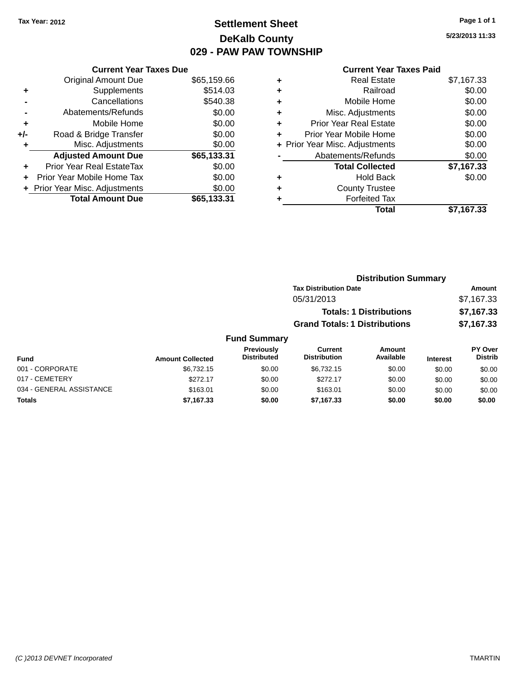### **Settlement Sheet Tax Year: 2012 Page 1 of 1 DeKalb County 029 - PAW PAW TOWNSHIP**

**5/23/2013 11:33**

|  | <b>Current Year Taxes Paid</b> |  |  |  |
|--|--------------------------------|--|--|--|
|--|--------------------------------|--|--|--|

|     | <b>Current Year Taxes Due</b>  |             |
|-----|--------------------------------|-------------|
|     | <b>Original Amount Due</b>     | \$65,159.66 |
| ٠   | Supplements                    | \$514.03    |
|     | Cancellations                  | \$540.38    |
|     | Abatements/Refunds             | \$0.00      |
| ٠   | Mobile Home                    | \$0.00      |
| +/- | Road & Bridge Transfer         | \$0.00      |
|     | Misc. Adjustments              | \$0.00      |
|     | <b>Adjusted Amount Due</b>     | \$65,133.31 |
| ÷   | Prior Year Real EstateTax      | \$0.00      |
| ÷   | Prior Year Mobile Home Tax     | \$0.00      |
|     | + Prior Year Misc. Adjustments | \$0.00      |
|     | <b>Total Amount Due</b>        | \$65,133.31 |

| ٠ | <b>Real Estate</b>             | \$7,167.33 |
|---|--------------------------------|------------|
| ٠ | Railroad                       | \$0.00     |
| ٠ | Mobile Home                    | \$0.00     |
| ٠ | Misc. Adjustments              | \$0.00     |
| ٠ | <b>Prior Year Real Estate</b>  | \$0.00     |
| ٠ | Prior Year Mobile Home         | \$0.00     |
|   | + Prior Year Misc. Adjustments | \$0.00     |
|   | Abatements/Refunds             | \$0.00     |
|   | <b>Total Collected</b>         | \$7,167.33 |
| ٠ | Hold Back                      | \$0.00     |
| ٠ | <b>County Trustee</b>          |            |
| ٠ | <b>Forfeited Tax</b>           |            |
|   | <b>Total</b>                   | \$7,167.33 |
|   |                                |            |

|                     |                                      | <b>Distribution Summary</b>    |                |
|---------------------|--------------------------------------|--------------------------------|----------------|
|                     | <b>Tax Distribution Date</b>         |                                | Amount         |
|                     | 05/31/2013                           |                                | \$7,167.33     |
|                     |                                      | <b>Totals: 1 Distributions</b> | \$7,167.33     |
|                     | <b>Grand Totals: 1 Distributions</b> |                                | \$7,167.33     |
| <b>Fund Summary</b> |                                      |                                |                |
| <b>Previously</b>   | Current                              | Amount                         | <b>PY Over</b> |

| Fund                     | <b>Amount Collected</b> | Previously<br><b>Distributed</b> | Current<br><b>Distribution</b> | Amount<br>Available | <b>Interest</b> | <b>PY Over</b><br><b>Distrib</b> |
|--------------------------|-------------------------|----------------------------------|--------------------------------|---------------------|-----------------|----------------------------------|
| 001 - CORPORATE          | \$6.732.15              | \$0.00                           | \$6.732.15                     | \$0.00              | \$0.00          | \$0.00                           |
| 017 - CEMETERY           | \$272.17                | \$0.00                           | \$272.17                       | \$0.00              | \$0.00          | \$0.00                           |
| 034 - GENERAL ASSISTANCE | \$163.01                | \$0.00                           | \$163.01                       | \$0.00              | \$0.00          | \$0.00                           |
| <b>Totals</b>            | \$7,167.33              | \$0.00                           | \$7,167,33                     | \$0.00              | \$0.00          | \$0.00                           |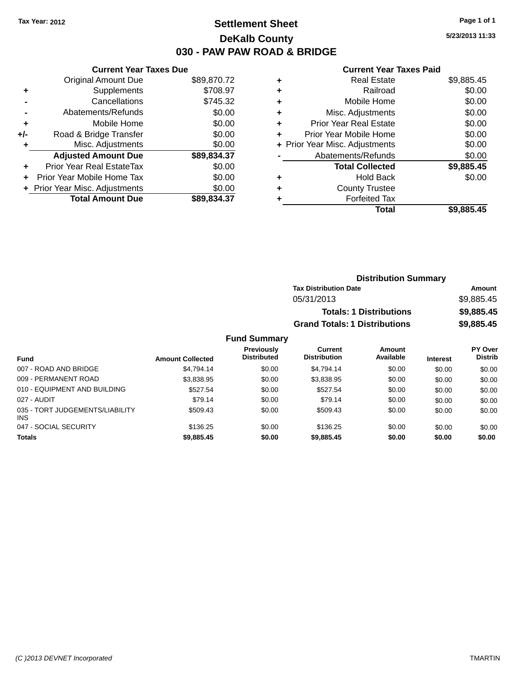### **Settlement Sheet Tax Year: 2012 Page 1 of 1 DeKalb County 030 - PAW PAW ROAD & BRIDGE**

**5/23/2013 11:33**

#### **Current Year Taxes Paid**

|     | <b>Current Year Taxes Due</b>     |             |
|-----|-----------------------------------|-------------|
|     | <b>Original Amount Due</b>        | \$89,870.72 |
| ٠   | Supplements                       | \$708.97    |
|     | Cancellations                     | \$745.32    |
|     | Abatements/Refunds                | \$0.00      |
| ٠   | Mobile Home                       | \$0.00      |
| +/- | Road & Bridge Transfer            | \$0.00      |
| ٠   | Misc. Adjustments                 | \$0.00      |
|     | <b>Adjusted Amount Due</b>        | \$89,834.37 |
| ÷   | Prior Year Real EstateTax         | \$0.00      |
| ÷   | <b>Prior Year Mobile Home Tax</b> | \$0.00      |
|     | + Prior Year Misc. Adjustments    | \$0.00      |
|     | <b>Total Amount Due</b>           | \$89,834.37 |

| ٠ | <b>Real Estate</b>             | \$9,885.45 |
|---|--------------------------------|------------|
| ٠ | Railroad                       | \$0.00     |
| ٠ | Mobile Home                    | \$0.00     |
| ٠ | Misc. Adjustments              | \$0.00     |
| ٠ | <b>Prior Year Real Estate</b>  | \$0.00     |
| ٠ | Prior Year Mobile Home         | \$0.00     |
|   | + Prior Year Misc. Adjustments | \$0.00     |
|   | Abatements/Refunds             | \$0.00     |
|   | <b>Total Collected</b>         | \$9,885.45 |
| ٠ | <b>Hold Back</b>               | \$0.00     |
| ٠ | <b>County Trustee</b>          |            |
| ٠ | <b>Forfeited Tax</b>           |            |
|   | Total                          | \$9,885.45 |

| <b>Distribution Summary</b>          |            |
|--------------------------------------|------------|
| <b>Tax Distribution Date</b>         | Amount     |
| 05/31/2013                           | \$9.885.45 |
| <b>Totals: 1 Distributions</b>       | \$9,885.45 |
| <b>Grand Totals: 1 Distributions</b> | \$9,885.45 |

| <b>Fund</b>                                   | <b>Amount Collected</b> | <b>Previously</b><br><b>Distributed</b> | Current<br><b>Distribution</b> | Amount<br>Available | <b>Interest</b> | <b>PY Over</b><br><b>Distrib</b> |
|-----------------------------------------------|-------------------------|-----------------------------------------|--------------------------------|---------------------|-----------------|----------------------------------|
| 007 - ROAD AND BRIDGE                         | \$4.794.14              | \$0.00                                  | \$4.794.14                     | \$0.00              | \$0.00          | \$0.00                           |
| 009 - PERMANENT ROAD                          | \$3,838.95              | \$0.00                                  | \$3.838.95                     | \$0.00              | \$0.00          | \$0.00                           |
| 010 - EQUIPMENT AND BUILDING                  | \$527.54                | \$0.00                                  | \$527.54                       | \$0.00              | \$0.00          | \$0.00                           |
| 027 - AUDIT                                   | \$79.14                 | \$0.00                                  | \$79.14                        | \$0.00              | \$0.00          | \$0.00                           |
| 035 - TORT JUDGEMENTS/LIABILITY<br><b>INS</b> | \$509.43                | \$0.00                                  | \$509.43                       | \$0.00              | \$0.00          | \$0.00                           |
| 047 - SOCIAL SECURITY                         | \$136.25                | \$0.00                                  | \$136.25                       | \$0.00              | \$0.00          | \$0.00                           |
| <b>Totals</b>                                 | \$9,885.45              | \$0.00                                  | \$9,885,45                     | \$0.00              | \$0.00          | \$0.00                           |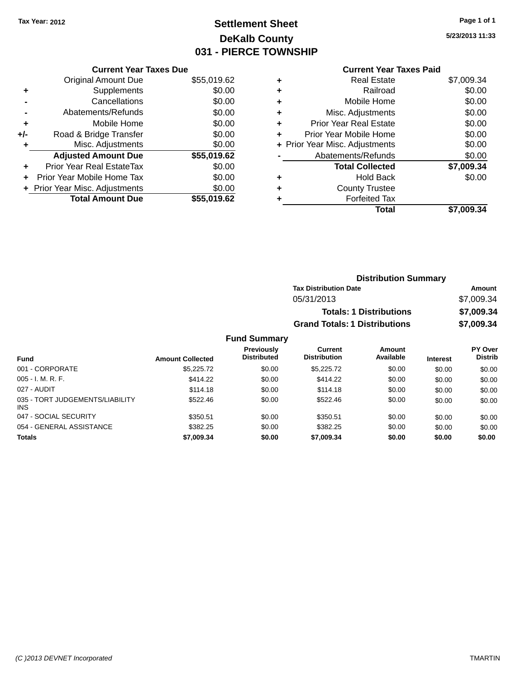### **Settlement Sheet Tax Year: 2012 Page 1 of 1 DeKalb County 031 - PIERCE TOWNSHIP**

**5/23/2013 11:33**

#### **Current Year Taxes Paid**

| <b>Current Year Taxes Due</b> |                                |
|-------------------------------|--------------------------------|
| <b>Original Amount Due</b>    | \$55,019.62                    |
| Supplements                   | \$0.00                         |
| Cancellations                 | \$0.00                         |
| Abatements/Refunds            | \$0.00                         |
| Mobile Home                   | \$0.00                         |
| Road & Bridge Transfer        | \$0.00                         |
| Misc. Adjustments             | \$0.00                         |
| <b>Adjusted Amount Due</b>    | \$55,019.62                    |
| Prior Year Real EstateTax     | \$0.00                         |
| Prior Year Mobile Home Tax    | \$0.00                         |
|                               | \$0.00                         |
| <b>Total Amount Due</b>       | \$55,019.62                    |
|                               | + Prior Year Misc. Adjustments |

| ٠ | <b>Real Estate</b>             | \$7,009.34 |
|---|--------------------------------|------------|
| ÷ | Railroad                       | \$0.00     |
| ٠ | Mobile Home                    | \$0.00     |
| ٠ | Misc. Adjustments              | \$0.00     |
| ٠ | <b>Prior Year Real Estate</b>  | \$0.00     |
| ٠ | Prior Year Mobile Home         | \$0.00     |
|   | + Prior Year Misc. Adjustments | \$0.00     |
|   | Abatements/Refunds             | \$0.00     |
|   | <b>Total Collected</b>         | \$7,009.34 |
| ٠ | <b>Hold Back</b>               | \$0.00     |
| ٠ | <b>County Trustee</b>          |            |
| ٠ | <b>Forfeited Tax</b>           |            |
|   | Total                          | \$7,009.34 |
|   |                                |            |

| <b>Distribution Summary</b>          |            |
|--------------------------------------|------------|
| <b>Tax Distribution Date</b>         | Amount     |
| 05/31/2013                           | \$7,009.34 |
| <b>Totals: 1 Distributions</b>       | \$7,009.34 |
| <b>Grand Totals: 1 Distributions</b> | \$7,009.34 |

| <b>Fund</b>                                   | <b>Amount Collected</b> | <b>Previously</b><br><b>Distributed</b> | Current<br><b>Distribution</b> | Amount<br>Available | <b>Interest</b> | PY Over<br><b>Distrib</b> |
|-----------------------------------------------|-------------------------|-----------------------------------------|--------------------------------|---------------------|-----------------|---------------------------|
| 001 - CORPORATE                               | \$5,225.72              | \$0.00                                  | \$5,225,72                     | \$0.00              | \$0.00          | \$0.00                    |
| $005 - I. M. R. F.$                           | \$414.22                | \$0.00                                  | \$414.22                       | \$0.00              | \$0.00          | \$0.00                    |
| 027 - AUDIT                                   | \$114.18                | \$0.00                                  | \$114.18                       | \$0.00              | \$0.00          | \$0.00                    |
| 035 - TORT JUDGEMENTS/LIABILITY<br><b>INS</b> | \$522.46                | \$0.00                                  | \$522.46                       | \$0.00              | \$0.00          | \$0.00                    |
| 047 - SOCIAL SECURITY                         | \$350.51                | \$0.00                                  | \$350.51                       | \$0.00              | \$0.00          | \$0.00                    |
| 054 - GENERAL ASSISTANCE                      | \$382.25                | \$0.00                                  | \$382.25                       | \$0.00              | \$0.00          | \$0.00                    |
| <b>Totals</b>                                 | \$7,009.34              | \$0.00                                  | \$7,009.34                     | \$0.00              | \$0.00          | \$0.00                    |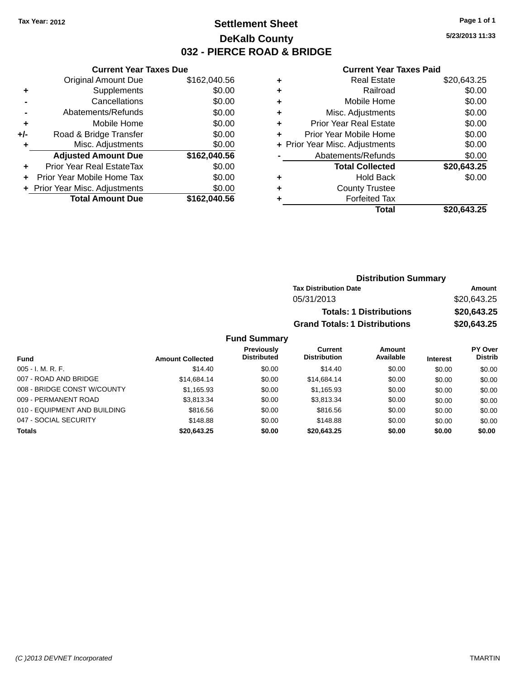### **Settlement Sheet Tax Year: 2012 Page 1 of 1 DeKalb County 032 - PIERCE ROAD & BRIDGE**

**5/23/2013 11:33**

#### **Current Year Taxes Paid**

|       | <b>Current Year Taxes Due</b>  |              |
|-------|--------------------------------|--------------|
|       | <b>Original Amount Due</b>     | \$162,040.56 |
| ٠     | Supplements                    | \$0.00       |
|       | Cancellations                  | \$0.00       |
|       | Abatements/Refunds             | \$0.00       |
| ٠     | Mobile Home                    | \$0.00       |
| $+/-$ | Road & Bridge Transfer         | \$0.00       |
|       | Misc. Adjustments              | \$0.00       |
|       | <b>Adjusted Amount Due</b>     | \$162,040.56 |
| ٠     | Prior Year Real EstateTax      | \$0.00       |
| ٠     | Prior Year Mobile Home Tax     | \$0.00       |
|       | + Prior Year Misc. Adjustments | \$0.00       |
|       | <b>Total Amount Due</b>        | \$162,040.56 |
|       |                                |              |

|   | <b>Real Estate</b>             | \$20,643.25 |
|---|--------------------------------|-------------|
| ٠ | Railroad                       | \$0.00      |
| ٠ | Mobile Home                    | \$0.00      |
| ٠ | Misc. Adjustments              | \$0.00      |
| ٠ | <b>Prior Year Real Estate</b>  | \$0.00      |
| ٠ | Prior Year Mobile Home         | \$0.00      |
|   | + Prior Year Misc. Adjustments | \$0.00      |
|   | Abatements/Refunds             | \$0.00      |
|   | <b>Total Collected</b>         | \$20,643.25 |
| ٠ | <b>Hold Back</b>               | \$0.00      |
| ٠ | <b>County Trustee</b>          |             |
| ٠ | <b>Forfeited Tax</b>           |             |
|   | Total                          | \$20,643.25 |
|   |                                |             |

| <b>Distribution Summary</b>          |             |
|--------------------------------------|-------------|
| <b>Tax Distribution Date</b>         | Amount      |
| 05/31/2013                           | \$20,643.25 |
| <b>Totals: 1 Distributions</b>       | \$20,643.25 |
| <b>Grand Totals: 1 Distributions</b> | \$20,643.25 |

| <b>Fund</b>                  | <b>Amount Collected</b> | Previously<br><b>Distributed</b> | Current<br><b>Distribution</b> | Amount<br>Available | <b>Interest</b> | PY Over<br><b>Distrib</b> |
|------------------------------|-------------------------|----------------------------------|--------------------------------|---------------------|-----------------|---------------------------|
| $005 - I. M. R. F.$          | \$14.40                 | \$0.00                           | \$14.40                        | \$0.00              | \$0.00          | \$0.00                    |
| 007 - ROAD AND BRIDGE        | \$14,684.14             | \$0.00                           | \$14,684.14                    | \$0.00              | \$0.00          | \$0.00                    |
| 008 - BRIDGE CONST W/COUNTY  | \$1,165.93              | \$0.00                           | \$1.165.93                     | \$0.00              | \$0.00          | \$0.00                    |
| 009 - PERMANENT ROAD         | \$3.813.34              | \$0.00                           | \$3.813.34                     | \$0.00              | \$0.00          | \$0.00                    |
| 010 - EQUIPMENT AND BUILDING | \$816.56                | \$0.00                           | \$816.56                       | \$0.00              | \$0.00          | \$0.00                    |
| 047 - SOCIAL SECURITY        | \$148.88                | \$0.00                           | \$148.88                       | \$0.00              | \$0.00          | \$0.00                    |
| <b>Totals</b>                | \$20,643.25             | \$0.00                           | \$20,643.25                    | \$0.00              | \$0.00          | \$0.00                    |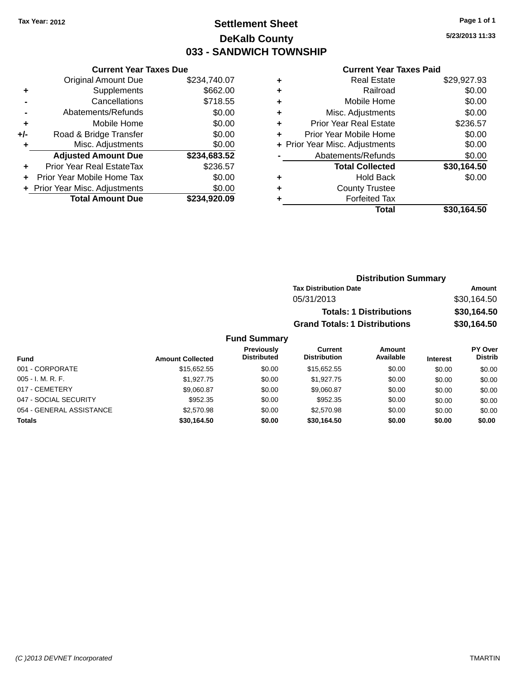### **Settlement Sheet Tax Year: 2012 Page 1 of 1 DeKalb County 033 - SANDWICH TOWNSHIP**

**5/23/2013 11:33**

#### **Current Year Taxes Paid**

|     | <b>Current Year Taxes Due</b>  |              |
|-----|--------------------------------|--------------|
|     | <b>Original Amount Due</b>     | \$234,740.07 |
| ٠   | Supplements                    | \$662.00     |
|     | Cancellations                  | \$718.55     |
|     | Abatements/Refunds             | \$0.00       |
| ٠   | Mobile Home                    | \$0.00       |
| +/- | Road & Bridge Transfer         | \$0.00       |
|     | Misc. Adjustments              | \$0.00       |
|     | <b>Adjusted Amount Due</b>     | \$234,683.52 |
| ٠   | Prior Year Real EstateTax      | \$236.57     |
|     | Prior Year Mobile Home Tax     | \$0.00       |
|     | + Prior Year Misc. Adjustments | \$0.00       |
|     | <b>Total Amount Due</b>        | \$234,920.09 |
|     |                                |              |

| ٠ | <b>Real Estate</b>             | \$29,927.93 |
|---|--------------------------------|-------------|
| ٠ | Railroad                       | \$0.00      |
| ٠ | Mobile Home                    | \$0.00      |
| ٠ | Misc. Adjustments              | \$0.00      |
| ٠ | <b>Prior Year Real Estate</b>  | \$236.57    |
| ٠ | Prior Year Mobile Home         | \$0.00      |
|   | + Prior Year Misc. Adjustments | \$0.00      |
|   | Abatements/Refunds             | \$0.00      |
|   | <b>Total Collected</b>         | \$30,164.50 |
| ٠ | <b>Hold Back</b>               | \$0.00      |
| ٠ | <b>County Trustee</b>          |             |
| ٠ | <b>Forfeited Tax</b>           |             |
|   | Total                          | \$30,164.50 |
|   |                                |             |

| <b>Distribution Summary</b>          |             |
|--------------------------------------|-------------|
| <b>Tax Distribution Date</b>         | Amount      |
| 05/31/2013                           | \$30,164.50 |
| <b>Totals: 1 Distributions</b>       | \$30,164.50 |
| <b>Grand Totals: 1 Distributions</b> | \$30,164.50 |

| Fund                     | <b>Amount Collected</b> | Previously<br><b>Distributed</b> | Current<br><b>Distribution</b> | Amount<br>Available | <b>Interest</b> | <b>PY Over</b><br>Distrib |
|--------------------------|-------------------------|----------------------------------|--------------------------------|---------------------|-----------------|---------------------------|
| 001 - CORPORATE          | \$15,652.55             | \$0.00                           | \$15.652.55                    | \$0.00              | \$0.00          | \$0.00                    |
| $005 - I. M. R. F.$      | \$1.927.75              | \$0.00                           | \$1.927.75                     | \$0.00              | \$0.00          | \$0.00                    |
| 017 - CEMETERY           | \$9,060.87              | \$0.00                           | \$9.060.87                     | \$0.00              | \$0.00          | \$0.00                    |
| 047 - SOCIAL SECURITY    | \$952.35                | \$0.00                           | \$952.35                       | \$0.00              | \$0.00          | \$0.00                    |
| 054 - GENERAL ASSISTANCE | \$2,570.98              | \$0.00                           | \$2.570.98                     | \$0.00              | \$0.00          | \$0.00                    |
| <b>Totals</b>            | \$30.164.50             | \$0.00                           | \$30.164.50                    | \$0.00              | \$0.00          | \$0.00                    |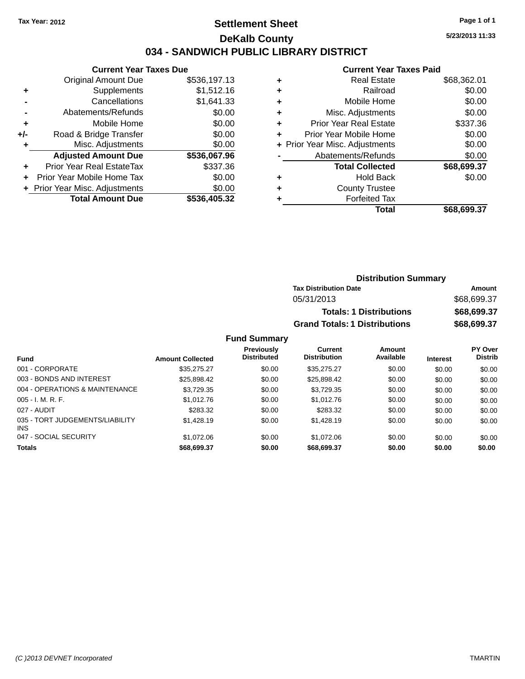### **Settlement Sheet Tax Year: 2012 Page 1 of 1 DeKalb County 034 - SANDWICH PUBLIC LIBRARY DISTRICT**

**5/23/2013 11:33**

## **Current Year Taxes Paid**

|     | <b>Current Year Taxes Due</b>    |              |
|-----|----------------------------------|--------------|
|     | <b>Original Amount Due</b>       | \$536,197.13 |
| ٠   | Supplements                      | \$1,512.16   |
|     | Cancellations                    | \$1,641.33   |
|     | Abatements/Refunds               | \$0.00       |
| ٠   | Mobile Home                      | \$0.00       |
| +/- | Road & Bridge Transfer           | \$0.00       |
| ٠   | Misc. Adjustments                | \$0.00       |
|     | <b>Adjusted Amount Due</b>       | \$536,067.96 |
|     | <b>Prior Year Real EstateTax</b> | \$337.36     |
|     | Prior Year Mobile Home Tax       | \$0.00       |
|     | + Prior Year Misc. Adjustments   | \$0.00       |
|     | <b>Total Amount Due</b>          | \$536,405.32 |
|     |                                  |              |

|   | Total                          | \$68,699.37 |
|---|--------------------------------|-------------|
|   | <b>Forfeited Tax</b>           |             |
| ٠ | <b>County Trustee</b>          |             |
| ٠ | <b>Hold Back</b>               | \$0.00      |
|   | <b>Total Collected</b>         | \$68,699.37 |
|   | Abatements/Refunds             | \$0.00      |
|   | + Prior Year Misc. Adjustments | \$0.00      |
| ٠ | Prior Year Mobile Home         | \$0.00      |
| ٠ | <b>Prior Year Real Estate</b>  | \$337.36    |
| ٠ | Misc. Adjustments              | \$0.00      |
| ٠ | Mobile Home                    | \$0.00      |
| ٠ | Railroad                       | \$0.00      |
| ٠ | <b>Real Estate</b>             | \$68,362.01 |
|   |                                |             |

| <b>Distribution Summary</b>          |             |
|--------------------------------------|-------------|
| <b>Tax Distribution Date</b>         | Amount      |
| 05/31/2013                           | \$68,699.37 |
| <b>Totals: 1 Distributions</b>       | \$68,699.37 |
| <b>Grand Totals: 1 Distributions</b> | \$68,699.37 |

| <b>Fund</b>                                   | <b>Amount Collected</b> | <b>Previously</b><br><b>Distributed</b> | Current<br><b>Distribution</b> | Amount<br>Available | <b>Interest</b> | <b>PY Over</b><br><b>Distrib</b> |
|-----------------------------------------------|-------------------------|-----------------------------------------|--------------------------------|---------------------|-----------------|----------------------------------|
| 001 - CORPORATE                               | \$35,275.27             | \$0.00                                  | \$35,275.27                    | \$0.00              | \$0.00          | \$0.00                           |
| 003 - BONDS AND INTEREST                      | \$25,898.42             | \$0.00                                  | \$25,898.42                    | \$0.00              | \$0.00          | \$0.00                           |
| 004 - OPERATIONS & MAINTENANCE                | \$3,729.35              | \$0.00                                  | \$3,729.35                     | \$0.00              | \$0.00          | \$0.00                           |
| $005 - I. M. R. F.$                           | \$1,012.76              | \$0.00                                  | \$1,012.76                     | \$0.00              | \$0.00          | \$0.00                           |
| 027 - AUDIT                                   | \$283.32                | \$0.00                                  | \$283.32                       | \$0.00              | \$0.00          | \$0.00                           |
| 035 - TORT JUDGEMENTS/LIABILITY<br><b>INS</b> | \$1,428.19              | \$0.00                                  | \$1,428.19                     | \$0.00              | \$0.00          | \$0.00                           |
| 047 - SOCIAL SECURITY                         | \$1,072,06              | \$0.00                                  | \$1,072,06                     | \$0.00              | \$0.00          | \$0.00                           |
| <b>Totals</b>                                 | \$68,699.37             | \$0.00                                  | \$68,699,37                    | \$0.00              | \$0.00          | \$0.00                           |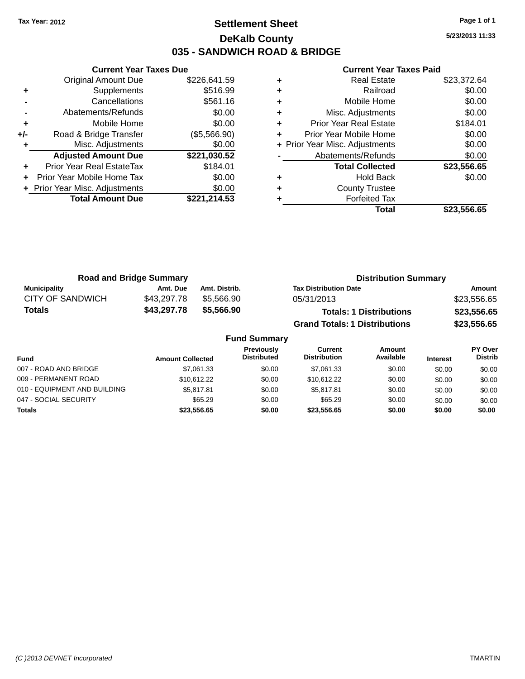### **Settlement Sheet Tax Year: 2012 Page 1 of 1 DeKalb County 035 - SANDWICH ROAD & BRIDGE**

**5/23/2013 11:33**

|     | <b>Current Year Taxes Due</b>  |              |  |  |  |
|-----|--------------------------------|--------------|--|--|--|
|     | <b>Original Amount Due</b>     | \$226,641.59 |  |  |  |
| ٠   | Supplements                    | \$516.99     |  |  |  |
|     | Cancellations                  | \$561.16     |  |  |  |
|     | Abatements/Refunds             | \$0.00       |  |  |  |
| ٠   | Mobile Home                    | \$0.00       |  |  |  |
| +/- | Road & Bridge Transfer         | (\$5,566.90) |  |  |  |
|     | Misc. Adjustments              | \$0.00       |  |  |  |
|     | <b>Adjusted Amount Due</b>     | \$221,030.52 |  |  |  |
|     | Prior Year Real EstateTax      | \$184.01     |  |  |  |
|     | Prior Year Mobile Home Tax     | \$0.00       |  |  |  |
|     | + Prior Year Misc. Adjustments | \$0.00       |  |  |  |
|     | <b>Total Amount Due</b>        | \$221,214.53 |  |  |  |
|     |                                |              |  |  |  |

|   | Total                          | \$23,556.65 |
|---|--------------------------------|-------------|
|   | <b>Forfeited Tax</b>           |             |
| ٠ | <b>County Trustee</b>          |             |
| ٠ | <b>Hold Back</b>               | \$0.00      |
|   | <b>Total Collected</b>         | \$23,556.65 |
|   | Abatements/Refunds             | \$0.00      |
|   | + Prior Year Misc. Adjustments | \$0.00      |
| ٠ | Prior Year Mobile Home         | \$0.00      |
| ٠ | <b>Prior Year Real Estate</b>  | \$184.01    |
| ٠ | Misc. Adjustments              | \$0.00      |
| ٠ | Mobile Home                    | \$0.00      |
| ٠ | Railroad                       | \$0.00      |
| ٠ | <b>Real Estate</b>             | \$23,372.64 |

| <b>Road and Bridge Summary</b> |             |               | <b>Distribution Summary</b>          |             |  |
|--------------------------------|-------------|---------------|--------------------------------------|-------------|--|
| Municipality                   | Amt. Due    | Amt. Distrib. | <b>Tax Distribution Date</b>         | Amount      |  |
| <b>CITY OF SANDWICH</b>        | \$43.297.78 | \$5.566.90    | 05/31/2013                           | \$23,556.65 |  |
| Totals                         | \$43,297.78 | \$5,566.90    | <b>Totals: 1 Distributions</b>       | \$23,556.65 |  |
|                                |             |               | <b>Grand Totals: 1 Distributions</b> | \$23,556.65 |  |

| <b>Fund Summary</b>          |                         |                                         |                                |                     |                 |                                  |
|------------------------------|-------------------------|-----------------------------------------|--------------------------------|---------------------|-----------------|----------------------------------|
| <b>Fund</b>                  | <b>Amount Collected</b> | <b>Previously</b><br><b>Distributed</b> | Current<br><b>Distribution</b> | Amount<br>Available | <b>Interest</b> | <b>PY Over</b><br><b>Distrib</b> |
| 007 - ROAD AND BRIDGE        | \$7,061.33              | \$0.00                                  | \$7,061.33                     | \$0.00              | \$0.00          | \$0.00                           |
| 009 - PERMANENT ROAD         | \$10.612.22             | \$0.00                                  | \$10.612.22                    | \$0.00              | \$0.00          | \$0.00                           |
| 010 - EQUIPMENT AND BUILDING | \$5,817.81              | \$0.00                                  | \$5.817.81                     | \$0.00              | \$0.00          | \$0.00                           |
| 047 - SOCIAL SECURITY        | \$65.29                 | \$0.00                                  | \$65.29                        | \$0.00              | \$0.00          | \$0.00                           |
| <b>Totals</b>                | \$23,556.65             | \$0.00                                  | \$23,556.65                    | \$0.00              | \$0.00          | \$0.00                           |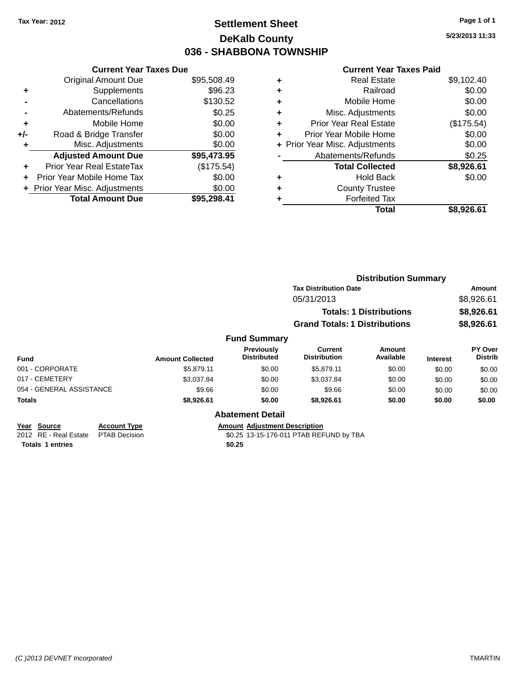# **Settlement Sheet Tax Year: 2012 Page 1 of 1 DeKalb County 036 - SHABBONA TOWNSHIP**

**5/23/2013 11:33**

#### **Current Year Taxes Paid**

|     | <b>Current Year Taxes Due</b>  |             |
|-----|--------------------------------|-------------|
|     | <b>Original Amount Due</b>     | \$95,508.49 |
| ٠   | Supplements                    | \$96.23     |
|     | Cancellations                  | \$130.52    |
|     | Abatements/Refunds             | \$0.25      |
| ٠   | Mobile Home                    | \$0.00      |
| +/- | Road & Bridge Transfer         | \$0.00      |
| ٠   | Misc. Adjustments              | \$0.00      |
|     | <b>Adjusted Amount Due</b>     | \$95,473.95 |
| ÷   | Prior Year Real EstateTax      | (\$175.54)  |
| ÷   | Prior Year Mobile Home Tax     | \$0.00      |
|     | + Prior Year Misc. Adjustments | \$0.00      |
|     | <b>Total Amount Due</b>        | \$95.298.41 |

|   | <b>Real Estate</b>             | \$9,102.40 |
|---|--------------------------------|------------|
| ٠ | Railroad                       | \$0.00     |
| ٠ | Mobile Home                    | \$0.00     |
| ٠ | Misc. Adjustments              | \$0.00     |
| ٠ | Prior Year Real Estate         | (\$175.54) |
| ٠ | Prior Year Mobile Home         | \$0.00     |
|   | + Prior Year Misc. Adjustments | \$0.00     |
|   | Abatements/Refunds             | \$0.25     |
|   | <b>Total Collected</b>         | \$8,926.61 |
| ٠ | <b>Hold Back</b>               | \$0.00     |
| ٠ | <b>County Trustee</b>          |            |
| ٠ | <b>Forfeited Tax</b>           |            |
|   | Total                          | \$8,926.61 |
|   |                                |            |

|                                                          |                                             |                         |                                         | <b>Distribution Summary</b>             |                                |                 |                                  |
|----------------------------------------------------------|---------------------------------------------|-------------------------|-----------------------------------------|-----------------------------------------|--------------------------------|-----------------|----------------------------------|
|                                                          |                                             |                         |                                         | <b>Tax Distribution Date</b>            |                                |                 | Amount                           |
|                                                          |                                             |                         |                                         | 05/31/2013                              |                                |                 | \$8,926.61                       |
|                                                          |                                             |                         |                                         |                                         | <b>Totals: 1 Distributions</b> |                 | \$8,926.61                       |
|                                                          |                                             |                         |                                         | <b>Grand Totals: 1 Distributions</b>    |                                |                 | \$8,926.61                       |
|                                                          |                                             |                         | <b>Fund Summary</b>                     |                                         |                                |                 |                                  |
| <b>Fund</b>                                              |                                             | <b>Amount Collected</b> | <b>Previously</b><br><b>Distributed</b> | <b>Current</b><br><b>Distribution</b>   | Amount<br>Available            | <b>Interest</b> | <b>PY Over</b><br><b>Distrib</b> |
| 001 - CORPORATE                                          |                                             | \$5,879.11              | \$0.00                                  | \$5,879.11                              | \$0.00                         | \$0.00          | \$0.00                           |
| 017 - CEMETERY                                           |                                             | \$3,037.84              | \$0.00                                  | \$3,037.84                              | \$0.00                         | \$0.00          | \$0.00                           |
| 054 - GENERAL ASSISTANCE                                 |                                             | \$9.66                  | \$0.00                                  | \$9.66                                  | \$0.00                         | \$0.00          | \$0.00                           |
| <b>Totals</b>                                            |                                             | \$8,926.61              | \$0.00                                  | \$8,926.61                              | \$0.00                         | \$0.00          | \$0.00                           |
|                                                          |                                             |                         | <b>Abatement Detail</b>                 |                                         |                                |                 |                                  |
| <b>Source</b><br>Year<br><b>RE</b> - Real Estate<br>2012 | <b>Account Type</b><br><b>PTAB Decision</b> |                         | <b>Amount Adjustment Description</b>    | \$0.25 13-15-176-011 PTAB REFUND by TBA |                                |                 |                                  |

**Totals 1 entries \$0.25**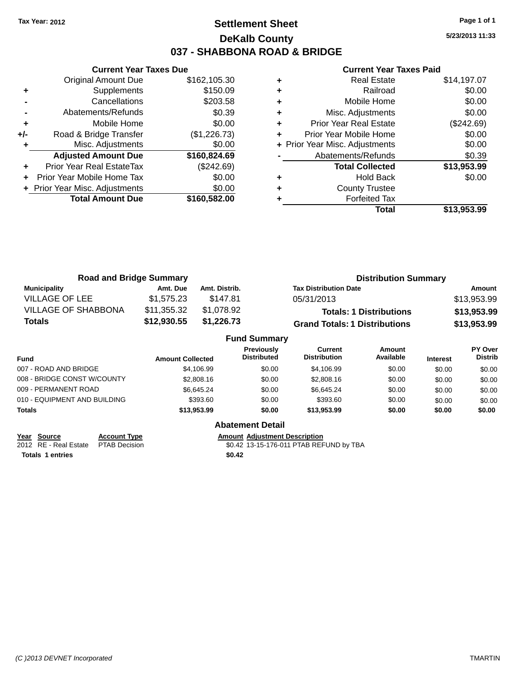### **Settlement Sheet Tax Year: 2012 Page 1 of 1 DeKalb County 037 - SHABBONA ROAD & BRIDGE**

**5/23/2013 11:33**

#### **Current Year Taxes Paid**

|       | <b>Current Year Taxes Due</b>  |              |  |  |  |  |
|-------|--------------------------------|--------------|--|--|--|--|
|       | <b>Original Amount Due</b>     | \$162,105.30 |  |  |  |  |
| ٠     | Supplements                    | \$150.09     |  |  |  |  |
|       | Cancellations                  | \$203.58     |  |  |  |  |
|       | Abatements/Refunds             | \$0.39       |  |  |  |  |
| ٠     | Mobile Home                    | \$0.00       |  |  |  |  |
| $+/-$ | Road & Bridge Transfer         | (\$1,226.73) |  |  |  |  |
| ٠     | Misc. Adjustments              | \$0.00       |  |  |  |  |
|       | <b>Adjusted Amount Due</b>     | \$160,824.69 |  |  |  |  |
| ٠     | Prior Year Real EstateTax      | (\$242.69)   |  |  |  |  |
|       | Prior Year Mobile Home Tax     | \$0.00       |  |  |  |  |
|       | + Prior Year Misc. Adjustments | \$0.00       |  |  |  |  |
|       | <b>Total Amount Due</b>        | \$160,582.00 |  |  |  |  |
|       |                                |              |  |  |  |  |

|   | <b>Real Estate</b>             | \$14,197.07 |
|---|--------------------------------|-------------|
| ٠ | Railroad                       | \$0.00      |
| ٠ | Mobile Home                    | \$0.00      |
| ٠ | Misc. Adjustments              | \$0.00      |
| ٠ | Prior Year Real Estate         | (\$242.69)  |
| ٠ | Prior Year Mobile Home         | \$0.00      |
|   | + Prior Year Misc. Adjustments | \$0.00      |
|   | Abatements/Refunds             | \$0.39      |
|   | <b>Total Collected</b>         | \$13,953.99 |
| ٠ | <b>Hold Back</b>               | \$0.00      |
| ٠ | <b>County Trustee</b>          |             |
|   | <b>Forfeited Tax</b>           |             |
|   | Total                          | \$13.953.99 |

| <b>Road and Bridge Summary</b> |             |               | <b>Distribution Summary</b>          |             |  |
|--------------------------------|-------------|---------------|--------------------------------------|-------------|--|
| <b>Municipality</b>            | Amt. Due    | Amt. Distrib. | <b>Tax Distribution Date</b>         | Amount      |  |
| VILLAGE OF LEE                 | \$1.575.23  | \$147.81      | 05/31/2013                           | \$13,953.99 |  |
| <b>VILLAGE OF SHABBONA</b>     | \$11,355.32 | \$1,078.92    | <b>Totals: 1 Distributions</b>       | \$13,953.99 |  |
| Totals                         | \$12,930.55 | \$1,226.73    | <b>Grand Totals: 1 Distributions</b> | \$13,953.99 |  |
| <b>Fund Summary</b>            |             |               |                                      |             |  |

|                              |                         | <b>Fund Summary</b>                     |                                |                     |                 |                                  |
|------------------------------|-------------------------|-----------------------------------------|--------------------------------|---------------------|-----------------|----------------------------------|
| <b>Fund</b>                  | <b>Amount Collected</b> | <b>Previously</b><br><b>Distributed</b> | Current<br><b>Distribution</b> | Amount<br>Available | <b>Interest</b> | <b>PY Over</b><br><b>Distrib</b> |
| 007 - ROAD AND BRIDGE        | \$4,106.99              | \$0.00                                  | \$4,106.99                     | \$0.00              | \$0.00          | \$0.00                           |
| 008 - BRIDGE CONST W/COUNTY  | \$2,808.16              | \$0.00                                  | \$2,808.16                     | \$0.00              | \$0.00          | \$0.00                           |
| 009 - PERMANENT ROAD         | \$6.645.24              | \$0.00                                  | \$6.645.24                     | \$0.00              | \$0.00          | \$0.00                           |
| 010 - EQUIPMENT AND BUILDING | \$393.60                | \$0.00                                  | \$393.60                       | \$0.00              | \$0.00          | \$0.00                           |
| <b>Totals</b>                | \$13,953.99             | \$0.00                                  | \$13,953,99                    | \$0.00              | \$0.00          | \$0.00                           |
|                              |                         |                                         |                                |                     |                 |                                  |

| Year Source                         | <b>Account Type</b> | <b>Amount Adjustment Description</b> |
|-------------------------------------|---------------------|--------------------------------------|
| 2012 RE - Real Estate PTAB Decision |                     | \$0.42 13-15-176-011 PTAB REF        |
| <b>Totals 1 entries</b>             |                     | \$0.42                               |

**Abatement Detail**

\$0.42 13-15-176-011 PTAB REFUND by TBA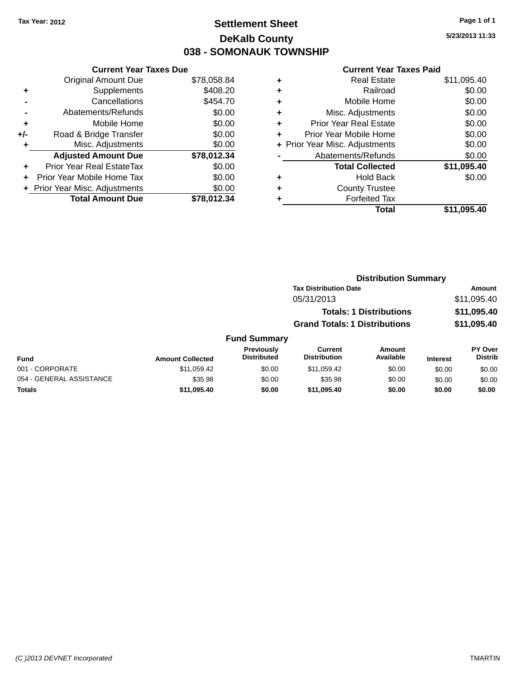### **Settlement Sheet Tax Year: 2012 Page 1 of 1 DeKalb County 038 - SOMONAUK TOWNSHIP**

**5/23/2013 11:33**

|     | <b>Current Year Taxes Due</b>  |             |
|-----|--------------------------------|-------------|
|     | <b>Original Amount Due</b>     | \$78,058.84 |
| ÷   | Supplements                    | \$408.20    |
|     | Cancellations                  | \$454.70    |
|     | Abatements/Refunds             | \$0.00      |
| ٠   | Mobile Home                    | \$0.00      |
| +/- | Road & Bridge Transfer         | \$0.00      |
| ٠   | Misc. Adjustments              | \$0.00      |
|     | <b>Adjusted Amount Due</b>     | \$78,012.34 |
| ٠   | Prior Year Real EstateTax      | \$0.00      |
|     | Prior Year Mobile Home Tax     | \$0.00      |
|     | + Prior Year Misc. Adjustments | \$0.00      |
|     | <b>Total Amount Due</b>        | \$78,012.34 |

| ٠ | <b>Real Estate</b>             | \$11,095.40 |
|---|--------------------------------|-------------|
| ٠ | Railroad                       | \$0.00      |
| ٠ | Mobile Home                    | \$0.00      |
| ٠ | Misc. Adjustments              | \$0.00      |
| ٠ | <b>Prior Year Real Estate</b>  | \$0.00      |
| ٠ | Prior Year Mobile Home         | \$0.00      |
|   | + Prior Year Misc. Adjustments | \$0.00      |
|   | Abatements/Refunds             | \$0.00      |
|   | <b>Total Collected</b>         | \$11,095.40 |
| ٠ | <b>Hold Back</b>               | \$0.00      |
| ٠ | <b>County Trustee</b>          |             |
| ٠ | <b>Forfeited Tax</b>           |             |
|   | Total                          | \$11,095.40 |
|   |                                |             |

|                     | <b>Distribution Summary</b>          |             |
|---------------------|--------------------------------------|-------------|
|                     | <b>Tax Distribution Date</b>         | Amount      |
|                     | 05/31/2013                           | \$11,095.40 |
|                     | <b>Totals: 1 Distributions</b>       | \$11,095.40 |
|                     | <b>Grand Totals: 1 Distributions</b> | \$11,095.40 |
| <b>Fund Summary</b> |                                      |             |

| <b>Fund</b>              | <b>Amount Collected</b> | <b>Previously</b><br><b>Distributed</b> | Current<br><b>Distribution</b> | Amount<br>Available | <b>Interest</b> | <b>PY Over</b><br><b>Distrib</b> |
|--------------------------|-------------------------|-----------------------------------------|--------------------------------|---------------------|-----------------|----------------------------------|
| 001 - CORPORATE          | \$11.059.42             | \$0.00                                  | \$11.059.42                    | \$0.00              | \$0.00          | \$0.00                           |
| 054 - GENERAL ASSISTANCE | \$35.98                 | \$0.00                                  | \$35.98                        | \$0.00              | \$0.00          | \$0.00                           |
| Totals                   | \$11,095.40             | \$0.00                                  | \$11.095.40                    | \$0.00              | \$0.00          | \$0.00                           |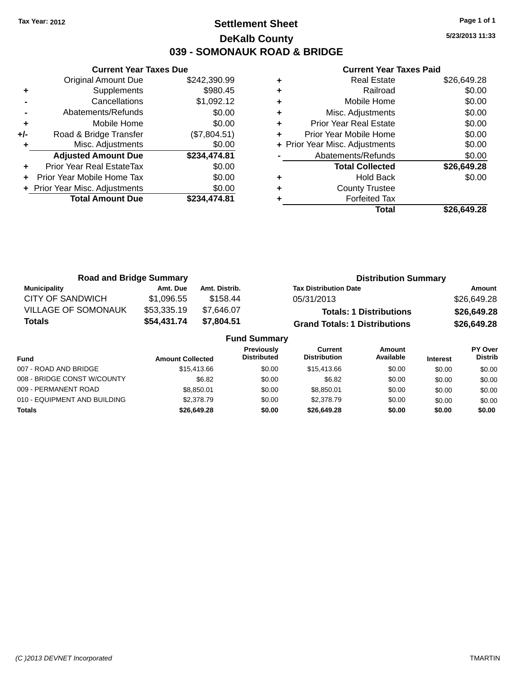### **Settlement Sheet Tax Year: 2012 Page 1 of 1 DeKalb County 039 - SOMONAUK ROAD & BRIDGE**

**5/23/2013 11:33**

|       | <b>Current Year Taxes Due</b>  |              |
|-------|--------------------------------|--------------|
|       | <b>Original Amount Due</b>     | \$242,390.99 |
| ٠     | Supplements                    | \$980.45     |
|       | Cancellations                  | \$1,092.12   |
|       | Abatements/Refunds             | \$0.00       |
| ٠     | Mobile Home                    | \$0.00       |
| $+/-$ | Road & Bridge Transfer         | (\$7,804.51) |
|       | Misc. Adjustments              | \$0.00       |
|       | <b>Adjusted Amount Due</b>     | \$234,474.81 |
| ÷     | Prior Year Real EstateTax      | \$0.00       |
|       | Prior Year Mobile Home Tax     | \$0.00       |
|       | + Prior Year Misc. Adjustments | \$0.00       |
|       | <b>Total Amount Due</b>        | \$234.474.81 |
|       |                                |              |

|   | <b>Real Estate</b>             | \$26,649.28 |
|---|--------------------------------|-------------|
| ٠ | Railroad                       | \$0.00      |
| ٠ | Mobile Home                    | \$0.00      |
| ٠ | Misc. Adjustments              | \$0.00      |
| ٠ | <b>Prior Year Real Estate</b>  | \$0.00      |
| ٠ | Prior Year Mobile Home         | \$0.00      |
|   | + Prior Year Misc. Adjustments | \$0.00      |
|   | Abatements/Refunds             | \$0.00      |
|   | <b>Total Collected</b>         | \$26,649.28 |
| ٠ | <b>Hold Back</b>               | \$0.00      |
| ٠ | <b>County Trustee</b>          |             |
|   | <b>Forfeited Tax</b>           |             |
|   | Total                          | \$26.649.28 |

| <b>Road and Bridge Summary</b> |             |               | <b>Distribution Summary</b>          |             |  |
|--------------------------------|-------------|---------------|--------------------------------------|-------------|--|
| <b>Municipality</b>            | Amt. Due    | Amt. Distrib. | <b>Tax Distribution Date</b>         | Amount      |  |
| <b>CITY OF SANDWICH</b>        | \$1.096.55  | \$158.44      | 05/31/2013                           | \$26,649.28 |  |
| <b>VILLAGE OF SOMONAUK</b>     | \$53,335.19 | \$7.646.07    | <b>Totals: 1 Distributions</b>       | \$26,649.28 |  |
| <b>Totals</b>                  | \$54,431.74 | \$7,804.51    | <b>Grand Totals: 1 Distributions</b> | \$26,649.28 |  |
| <b>Fund Summary</b>            |             |               |                                      |             |  |

| -                            |                         |                                         |                                |                     |                 |                                  |
|------------------------------|-------------------------|-----------------------------------------|--------------------------------|---------------------|-----------------|----------------------------------|
| <b>Fund</b>                  | <b>Amount Collected</b> | <b>Previously</b><br><b>Distributed</b> | Current<br><b>Distribution</b> | Amount<br>Available | <b>Interest</b> | <b>PY Over</b><br><b>Distrib</b> |
| 007 - ROAD AND BRIDGE        | \$15,413.66             | \$0.00                                  | \$15,413.66                    | \$0.00              | \$0.00          | \$0.00                           |
| 008 - BRIDGE CONST W/COUNTY  | \$6.82                  | \$0.00                                  | \$6.82                         | \$0.00              | \$0.00          | \$0.00                           |
| 009 - PERMANENT ROAD         | \$8.850.01              | \$0.00                                  | \$8.850.01                     | \$0.00              | \$0.00          | \$0.00                           |
| 010 - EQUIPMENT AND BUILDING | \$2,378.79              | \$0.00                                  | \$2,378.79                     | \$0.00              | \$0.00          | \$0.00                           |
| <b>Totals</b>                | \$26,649.28             | \$0.00                                  | \$26,649.28                    | \$0.00              | \$0.00          | \$0.00                           |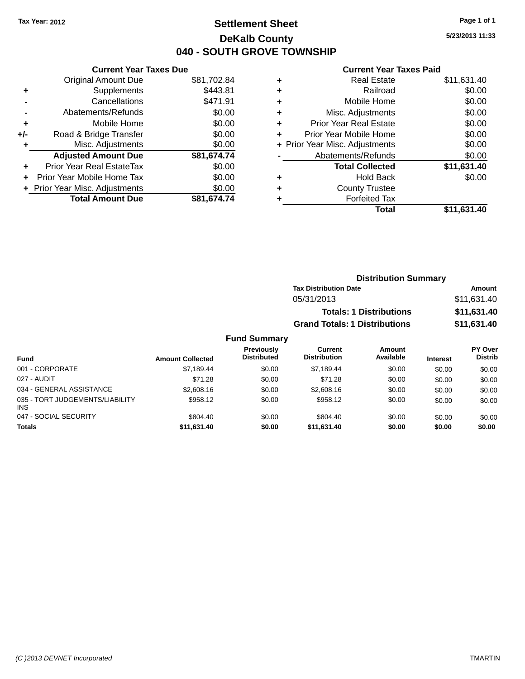### **Settlement Sheet Tax Year: 2012 Page 1 of 1 DeKalb County 040 - SOUTH GROVE TOWNSHIP**

**5/23/2013 11:33**

#### **Current Year Taxes Paid**

|     | <b>Current Year Taxes Due</b>  |             |
|-----|--------------------------------|-------------|
|     | <b>Original Amount Due</b>     | \$81,702.84 |
| ٠   | Supplements                    | \$443.81    |
|     | Cancellations                  | \$471.91    |
|     | Abatements/Refunds             | \$0.00      |
| ٠   | Mobile Home                    | \$0.00      |
| +/- | Road & Bridge Transfer         | \$0.00      |
| ٠   | Misc. Adjustments              | \$0.00      |
|     | <b>Adjusted Amount Due</b>     | \$81,674.74 |
| ٠   | Prior Year Real EstateTax      | \$0.00      |
|     | Prior Year Mobile Home Tax     | \$0.00      |
|     | + Prior Year Misc. Adjustments | \$0.00      |
|     | <b>Total Amount Due</b>        | \$81.674.74 |

| ٠ | <b>Real Estate</b>             | \$11,631.40 |
|---|--------------------------------|-------------|
| ٠ | Railroad                       | \$0.00      |
| ٠ | Mobile Home                    | \$0.00      |
| ٠ | Misc. Adjustments              | \$0.00      |
| ٠ | <b>Prior Year Real Estate</b>  | \$0.00      |
| ٠ | Prior Year Mobile Home         | \$0.00      |
|   | + Prior Year Misc. Adjustments | \$0.00      |
|   | Abatements/Refunds             | \$0.00      |
|   | <b>Total Collected</b>         | \$11,631.40 |
| ٠ | <b>Hold Back</b>               | \$0.00      |
| ٠ | <b>County Trustee</b>          |             |
| ٠ | <b>Forfeited Tax</b>           |             |
|   | Total                          | \$11,631.40 |
|   |                                |             |

| <b>Distribution Summary</b>          |             |
|--------------------------------------|-------------|
| <b>Tax Distribution Date</b>         | Amount      |
| 05/31/2013                           | \$11,631.40 |
| <b>Totals: 1 Distributions</b>       | \$11,631.40 |
| <b>Grand Totals: 1 Distributions</b> | \$11,631.40 |

| <b>Fund</b>                                   | <b>Amount Collected</b> | <b>Previously</b><br><b>Distributed</b> | Current<br><b>Distribution</b> | Amount<br>Available | <b>Interest</b> | PY Over<br><b>Distrib</b> |
|-----------------------------------------------|-------------------------|-----------------------------------------|--------------------------------|---------------------|-----------------|---------------------------|
| 001 - CORPORATE                               | \$7.189.44              | \$0.00                                  | \$7.189.44                     | \$0.00              | \$0.00          | \$0.00                    |
| 027 - AUDIT                                   | \$71.28                 | \$0.00                                  | \$71.28                        | \$0.00              | \$0.00          | \$0.00                    |
| 034 - GENERAL ASSISTANCE                      | \$2,608.16              | \$0.00                                  | \$2,608.16                     | \$0.00              | \$0.00          | \$0.00                    |
| 035 - TORT JUDGEMENTS/LIABILITY<br><b>INS</b> | \$958.12                | \$0.00                                  | \$958.12                       | \$0.00              | \$0.00          | \$0.00                    |
| 047 - SOCIAL SECURITY                         | \$804.40                | \$0.00                                  | \$804.40                       | \$0.00              | \$0.00          | \$0.00                    |
| <b>Totals</b>                                 | \$11,631.40             | \$0.00                                  | \$11.631.40                    | \$0.00              | \$0.00          | \$0.00                    |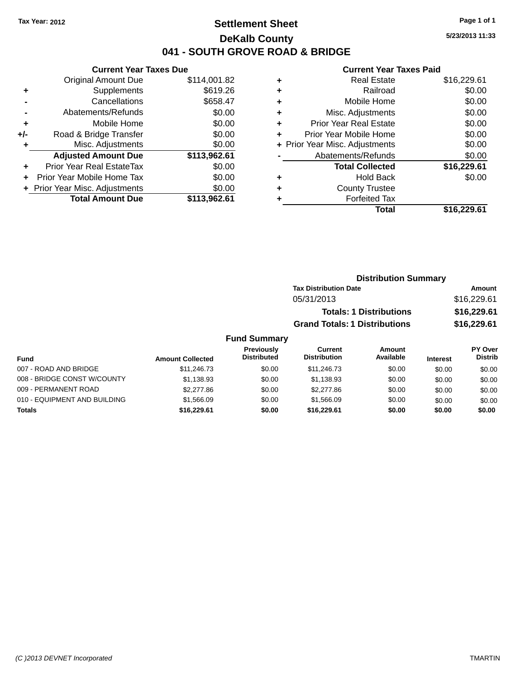### **Settlement Sheet Tax Year: 2012 Page 1 of 1 DeKalb County 041 - SOUTH GROVE ROAD & BRIDGE**

**5/23/2013 11:33**

#### **Current Year Taxes Paid**

|     | <b>Current Year Taxes Due</b>  |              |  |  |  |
|-----|--------------------------------|--------------|--|--|--|
|     | <b>Original Amount Due</b>     | \$114,001.82 |  |  |  |
| ٠   | Supplements                    | \$619.26     |  |  |  |
|     | Cancellations                  | \$658.47     |  |  |  |
|     | Abatements/Refunds             | \$0.00       |  |  |  |
| ٠   | Mobile Home                    | \$0.00       |  |  |  |
| +/- | Road & Bridge Transfer         | \$0.00       |  |  |  |
| ٠   | Misc. Adjustments              | \$0.00       |  |  |  |
|     | <b>Adjusted Amount Due</b>     | \$113,962.61 |  |  |  |
| ٠   | Prior Year Real EstateTax      | \$0.00       |  |  |  |
| ٠   | Prior Year Mobile Home Tax     | \$0.00       |  |  |  |
|     | + Prior Year Misc. Adjustments | \$0.00       |  |  |  |
|     | <b>Total Amount Due</b>        | \$113,962.61 |  |  |  |
|     |                                |              |  |  |  |

| <b>Real Estate</b>            | \$16,229.61                    |
|-------------------------------|--------------------------------|
| Railroad                      | \$0.00                         |
| Mobile Home                   | \$0.00                         |
| Misc. Adjustments             | \$0.00                         |
| <b>Prior Year Real Estate</b> | \$0.00                         |
| Prior Year Mobile Home        | \$0.00                         |
|                               | \$0.00                         |
| Abatements/Refunds            | \$0.00                         |
| <b>Total Collected</b>        | \$16,229.61                    |
| <b>Hold Back</b>              | \$0.00                         |
| <b>County Trustee</b>         |                                |
| <b>Forfeited Tax</b>          |                                |
| Total                         | \$16,229.61                    |
|                               | + Prior Year Misc. Adjustments |

| <b>Distribution Summary</b>          |             |
|--------------------------------------|-------------|
| <b>Tax Distribution Date</b>         | Amount      |
| 05/31/2013                           | \$16,229.61 |
| <b>Totals: 1 Distributions</b>       | \$16,229.61 |
| <b>Grand Totals: 1 Distributions</b> | \$16,229.61 |

| Fund                         | <b>Amount Collected</b> | Previously<br><b>Distributed</b> | Current<br><b>Distribution</b> | Amount<br>Available | <b>Interest</b> | <b>PY Over</b><br><b>Distrib</b> |
|------------------------------|-------------------------|----------------------------------|--------------------------------|---------------------|-----------------|----------------------------------|
| 007 - ROAD AND BRIDGE        | \$11,246.73             | \$0.00                           | \$11,246.73                    | \$0.00              | \$0.00          | \$0.00                           |
| 008 - BRIDGE CONST W/COUNTY  | \$1,138.93              | \$0.00                           | \$1.138.93                     | \$0.00              | \$0.00          | \$0.00                           |
| 009 - PERMANENT ROAD         | \$2,277.86              | \$0.00                           | \$2,277.86                     | \$0.00              | \$0.00          | \$0.00                           |
| 010 - EQUIPMENT AND BUILDING | \$1,566.09              | \$0.00                           | \$1,566.09                     | \$0.00              | \$0.00          | \$0.00                           |
| <b>Totals</b>                | \$16,229.61             | \$0.00                           | \$16,229.61                    | \$0.00              | \$0.00          | \$0.00                           |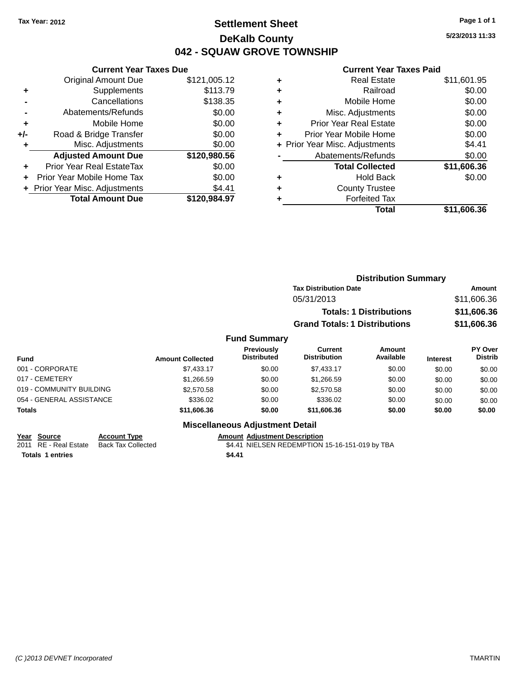## **Settlement Sheet Tax Year: 2012 Page 1 of 1 DeKalb County 042 - SQUAW GROVE TOWNSHIP**

**5/23/2013 11:33**

#### **Current Year Taxes Paid**

|       | <b>Current Year Taxes Due</b>  |              |
|-------|--------------------------------|--------------|
|       | <b>Original Amount Due</b>     | \$121,005.12 |
| ٠     | Supplements                    | \$113.79     |
|       | Cancellations                  | \$138.35     |
|       | Abatements/Refunds             | \$0.00       |
| ٠     | Mobile Home                    | \$0.00       |
| $+/-$ | Road & Bridge Transfer         | \$0.00       |
|       | Misc. Adjustments              | \$0.00       |
|       | <b>Adjusted Amount Due</b>     | \$120,980.56 |
| ÷     | Prior Year Real EstateTax      | \$0.00       |
|       | Prior Year Mobile Home Tax     | \$0.00       |
|       | + Prior Year Misc. Adjustments | \$4.41       |
|       | <b>Total Amount Due</b>        | \$120.984.97 |
|       |                                |              |

| ٠ | <b>Real Estate</b>             | \$11,601.95 |
|---|--------------------------------|-------------|
| ٠ | Railroad                       | \$0.00      |
| ٠ | Mobile Home                    | \$0.00      |
| ٠ | Misc. Adjustments              | \$0.00      |
| ٠ | <b>Prior Year Real Estate</b>  | \$0.00      |
| ٠ | Prior Year Mobile Home         | \$0.00      |
|   | + Prior Year Misc. Adjustments | \$4.41      |
|   | Abatements/Refunds             | \$0.00      |
|   | <b>Total Collected</b>         | \$11,606.36 |
| ٠ | <b>Hold Back</b>               | \$0.00      |
| ٠ | <b>County Trustee</b>          |             |
| ٠ | <b>Forfeited Tax</b>           |             |
|   | Total                          | \$11,606.36 |
|   |                                |             |

|                         |                                         | <b>Distribution Summary</b>          |                                |                 |                                  |  |
|-------------------------|-----------------------------------------|--------------------------------------|--------------------------------|-----------------|----------------------------------|--|
|                         |                                         | <b>Tax Distribution Date</b>         |                                |                 | <b>Amount</b>                    |  |
|                         |                                         | 05/31/2013                           |                                |                 | \$11,606.36                      |  |
|                         |                                         |                                      | <b>Totals: 1 Distributions</b> |                 | \$11,606.36                      |  |
|                         |                                         | <b>Grand Totals: 1 Distributions</b> |                                |                 | \$11,606.36                      |  |
|                         | <b>Fund Summary</b>                     |                                      |                                |                 |                                  |  |
| <b>Amount Collected</b> | <b>Previously</b><br><b>Distributed</b> | Current<br><b>Distribution</b>       | Amount<br>Available            | <b>Interest</b> | <b>PY Over</b><br><b>Distrib</b> |  |
| \$7,433.17              | \$0.00                                  | \$7,433.17                           | \$0.00                         | \$0.00          | \$0.00                           |  |
| \$1,266.59              | \$0.00                                  | \$1.266.59                           | \$0.00                         | \$0.00          | \$0.00                           |  |

| <b>Fund</b>              | <b>Amount Collected</b> | <b>Previousiv</b><br><b>Distributed</b> | current<br><b>Distribution</b> | Amount<br>Available | <b>Interest</b> | <b>PT OVER</b><br><b>Distrib</b> |
|--------------------------|-------------------------|-----------------------------------------|--------------------------------|---------------------|-----------------|----------------------------------|
| 001 - CORPORATE          | \$7.433.17              | \$0.00                                  | \$7.433.17                     | \$0.00              | \$0.00          | \$0.00                           |
| 017 - CEMETERY           | \$1,266.59              | \$0.00                                  | \$1,266.59                     | \$0.00              | \$0.00          | \$0.00                           |
| 019 - COMMUNITY BUILDING | \$2,570.58              | \$0.00                                  | \$2,570.58                     | \$0.00              | \$0.00          | \$0.00                           |
| 054 - GENERAL ASSISTANCE | \$336.02                | \$0.00                                  | \$336.02                       | \$0.00              | \$0.00          | \$0.00                           |
| <b>Totals</b>            | \$11,606.36             | \$0.00                                  | \$11,606,36                    | \$0.00              | \$0.00          | \$0.00                           |

### **Miscellaneous Adjustment Detail**

**Year Source Account Type Amount Adjustment Description Totals 1 entries \$4.41**

2011 RE - Real Estate Back Tax Collected \$4.41 NIELSEN REDEMPTION 15-16-151-019 by TBA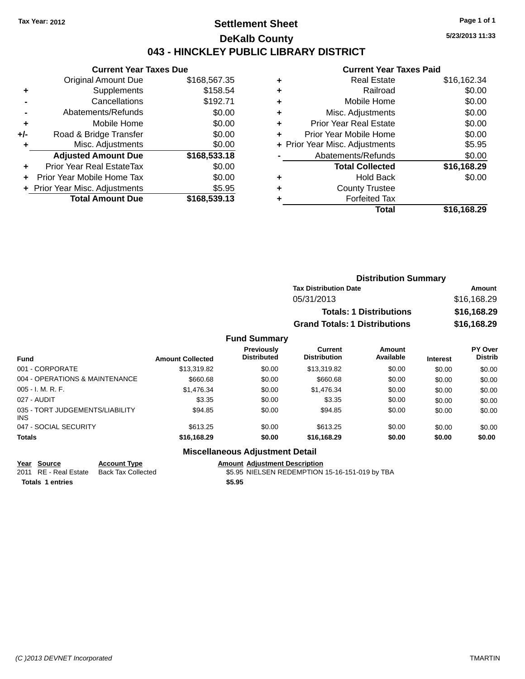### **Settlement Sheet Tax Year: 2012 Page 1 of 1 DeKalb County 043 - HINCKLEY PUBLIC LIBRARY DISTRICT**

**5/23/2013 11:33**

### **Current Year Taxes Paid**

| <b>Current Year Taxes Due</b> |                                |  |  |  |
|-------------------------------|--------------------------------|--|--|--|
| Original Amount Due           | \$168,567.35                   |  |  |  |
| Supplements                   | \$158.54                       |  |  |  |
| Cancellations                 | \$192.71                       |  |  |  |
| Abatements/Refunds            | \$0.00                         |  |  |  |
| Mobile Home                   | \$0.00                         |  |  |  |
| Road & Bridge Transfer        | \$0.00                         |  |  |  |
| Misc. Adjustments             | \$0.00                         |  |  |  |
| <b>Adjusted Amount Due</b>    | \$168,533.18                   |  |  |  |
| Prior Year Real EstateTax     | \$0.00                         |  |  |  |
| Prior Year Mobile Home Tax    | \$0.00                         |  |  |  |
|                               | \$5.95                         |  |  |  |
| <b>Total Amount Due</b>       | \$168,539.13                   |  |  |  |
|                               | + Prior Year Misc. Adjustments |  |  |  |

| ٠ | <b>Real Estate</b>             | \$16,162.34 |
|---|--------------------------------|-------------|
| ٠ | Railroad                       | \$0.00      |
| ٠ | Mobile Home                    | \$0.00      |
| ٠ | Misc. Adjustments              | \$0.00      |
| ٠ | <b>Prior Year Real Estate</b>  | \$0.00      |
|   | Prior Year Mobile Home         | \$0.00      |
|   | + Prior Year Misc. Adjustments | \$5.95      |
|   | Abatements/Refunds             | \$0.00      |
|   | <b>Total Collected</b>         | \$16,168.29 |
| ٠ | <b>Hold Back</b>               | \$0.00      |
|   | <b>County Trustee</b>          |             |
|   | <b>Forfeited Tax</b>           |             |
|   | Total                          | \$16,168.29 |
|   |                                |             |

| <b>Distribution Summary</b>          |             |
|--------------------------------------|-------------|
| <b>Tax Distribution Date</b>         | Amount      |
| 05/31/2013                           | \$16,168.29 |
| <b>Totals: 1 Distributions</b>       | \$16,168.29 |
| <b>Grand Totals: 1 Distributions</b> | \$16,168.29 |

#### **Fund Summary**

| <b>Fund</b>                                   | <b>Amount Collected</b> | Previously<br><b>Distributed</b> | Current<br><b>Distribution</b> | Amount<br>Available | <b>Interest</b> | <b>PY Over</b><br><b>Distrib</b> |
|-----------------------------------------------|-------------------------|----------------------------------|--------------------------------|---------------------|-----------------|----------------------------------|
| 001 - CORPORATE                               | \$13,319.82             | \$0.00                           | \$13.319.82                    | \$0.00              | \$0.00          | \$0.00                           |
| 004 - OPERATIONS & MAINTENANCE                | \$660.68                | \$0.00                           | \$660.68                       | \$0.00              | \$0.00          | \$0.00                           |
| $005 - I. M. R. F.$                           | \$1,476.34              | \$0.00                           | \$1,476.34                     | \$0.00              | \$0.00          | \$0.00                           |
| 027 - AUDIT                                   | \$3.35                  | \$0.00                           | \$3.35                         | \$0.00              | \$0.00          | \$0.00                           |
| 035 - TORT JUDGEMENTS/LIABILITY<br><b>INS</b> | \$94.85                 | \$0.00                           | \$94.85                        | \$0.00              | \$0.00          | \$0.00                           |
| 047 - SOCIAL SECURITY                         | \$613.25                | \$0.00                           | \$613.25                       | \$0.00              | \$0.00          | \$0.00                           |
| <b>Totals</b>                                 | \$16,168.29             | \$0.00                           | \$16,168.29                    | \$0.00              | \$0.00          | \$0.00                           |

### **Miscellaneous Adjustment Detail**

| Year Source           | <b>Account Type</b> | <b>Amount Adiustment Description</b>           |
|-----------------------|---------------------|------------------------------------------------|
| 2011 RE - Real Estate | Back Tax Collected  | \$5.95 NIELSEN REDEMPTION 15-16-151-019 by TBA |
| Totals 1 entries      |                     | \$5.95                                         |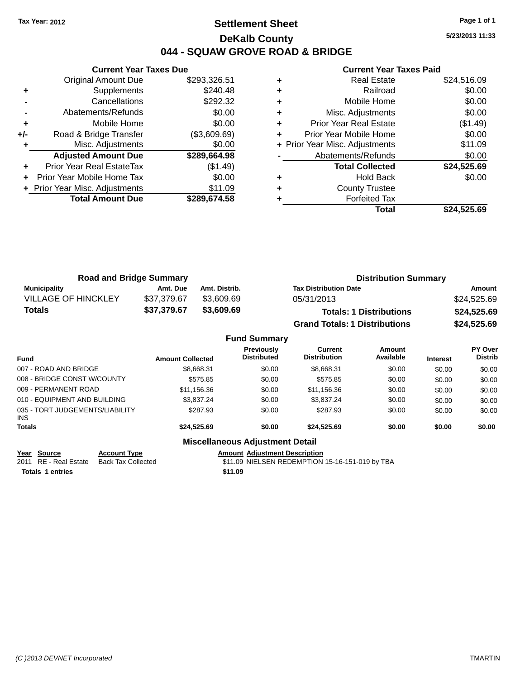### **Settlement Sheet Tax Year: 2012 Page 1 of 1 DeKalb County 044 - SQUAW GROVE ROAD & BRIDGE**

**5/23/2013 11:33**

### **Current Year Taxes Paid**

|     | <b>Current Year Taxes Due</b>  |              |  |  |  |
|-----|--------------------------------|--------------|--|--|--|
|     | <b>Original Amount Due</b>     | \$293,326.51 |  |  |  |
| ٠   | Supplements                    | \$240.48     |  |  |  |
|     | Cancellations                  | \$292.32     |  |  |  |
|     | Abatements/Refunds             | \$0.00       |  |  |  |
| ٠   | Mobile Home                    | \$0.00       |  |  |  |
| +/- | Road & Bridge Transfer         | (\$3,609.69) |  |  |  |
|     | Misc. Adjustments              | \$0.00       |  |  |  |
|     | <b>Adjusted Amount Due</b>     | \$289,664.98 |  |  |  |
| ÷   | Prior Year Real EstateTax      | (\$1.49)     |  |  |  |
|     | Prior Year Mobile Home Tax     | \$0.00       |  |  |  |
|     | + Prior Year Misc. Adjustments | \$11.09      |  |  |  |
|     | <b>Total Amount Due</b>        | \$289.674.58 |  |  |  |
|     |                                |              |  |  |  |

|   | <b>Real Estate</b>             | \$24,516.09 |
|---|--------------------------------|-------------|
| ٠ | Railroad                       | \$0.00      |
| ٠ | Mobile Home                    | \$0.00      |
| ٠ | Misc. Adjustments              | \$0.00      |
| ٠ | <b>Prior Year Real Estate</b>  | (\$1.49)    |
| ÷ | Prior Year Mobile Home         | \$0.00      |
|   | + Prior Year Misc. Adjustments | \$11.09     |
|   | Abatements/Refunds             | \$0.00      |
|   | <b>Total Collected</b>         | \$24,525.69 |
| ٠ | <b>Hold Back</b>               | \$0.00      |
| ٠ | <b>County Trustee</b>          |             |
|   | <b>Forfeited Tax</b>           |             |
|   | Total                          | \$24,525.69 |
|   |                                |             |

| <b>Road and Bridge Summary</b> |             |               | <b>Distribution Summary</b>          |             |  |
|--------------------------------|-------------|---------------|--------------------------------------|-------------|--|
| <b>Municipality</b>            | Amt. Due    | Amt. Distrib. | <b>Tax Distribution Date</b>         | Amount      |  |
| <b>VILLAGE OF HINCKLEY</b>     | \$37,379.67 | \$3,609.69    | 05/31/2013                           | \$24,525.69 |  |
| Totals                         | \$37,379.67 | \$3,609.69    | <b>Totals: 1 Distributions</b>       | \$24,525.69 |  |
|                                |             |               | <b>Grand Totals: 1 Distributions</b> | \$24,525.69 |  |

|                                         |                         | <b>Fund Summary</b>                    |                                       |                     |                 |                                  |
|-----------------------------------------|-------------------------|----------------------------------------|---------------------------------------|---------------------|-----------------|----------------------------------|
| <b>Fund</b>                             | <b>Amount Collected</b> | Previously<br><b>Distributed</b>       | <b>Current</b><br><b>Distribution</b> | Amount<br>Available | <b>Interest</b> | <b>PY Over</b><br><b>Distrib</b> |
| 007 - ROAD AND BRIDGE                   | \$8,668.31              | \$0.00                                 | \$8,668.31                            | \$0.00              | \$0.00          | \$0.00                           |
| 008 - BRIDGE CONST W/COUNTY             | \$575.85                | \$0.00                                 | \$575.85                              | \$0.00              | \$0.00          | \$0.00                           |
| 009 - PERMANENT ROAD                    | \$11,156.36             | \$0.00                                 | \$11,156.36                           | \$0.00              | \$0.00          | \$0.00                           |
| 010 - EQUIPMENT AND BUILDING            | \$3,837,24              | \$0.00                                 | \$3,837.24                            | \$0.00              | \$0.00          | \$0.00                           |
| 035 - TORT JUDGEMENTS/LIABILITY<br>INS. | \$287.93                | \$0.00                                 | \$287.93                              | \$0.00              | \$0.00          | \$0.00                           |
| <b>Totals</b>                           | \$24,525.69             | \$0.00                                 | \$24.525.69                           | \$0.00              | \$0.00          | \$0.00                           |
|                                         |                         | <b>Miscellaneous Adjustment Detail</b> |                                       |                     |                 |                                  |

# **Year Source Account Type Amount Adjustment Description**

 $$11.09$  NIELSEN REDEMPTION 15-16-151-019 by TBA **Totals 1 entries \$11.09**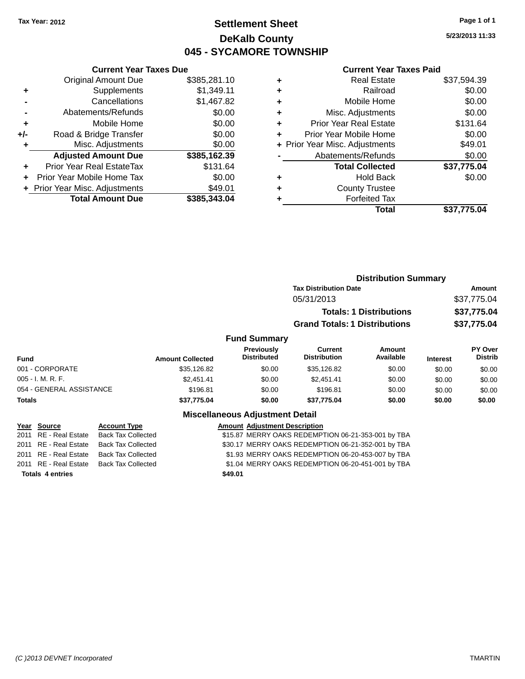### **Settlement Sheet Tax Year: 2012 Page 1 of 1 DeKalb County 045 - SYCAMORE TOWNSHIP**

**5/23/2013 11:33**

|     | <b>Current Year Taxes Due</b>  |              |  |  |  |
|-----|--------------------------------|--------------|--|--|--|
|     | <b>Original Amount Due</b>     | \$385,281.10 |  |  |  |
| ÷   | Supplements                    | \$1,349.11   |  |  |  |
|     | Cancellations                  | \$1,467.82   |  |  |  |
|     | Abatements/Refunds             | \$0.00       |  |  |  |
| ٠   | Mobile Home                    | \$0.00       |  |  |  |
| +/- | Road & Bridge Transfer         | \$0.00       |  |  |  |
| ٠   | Misc. Adjustments              | \$0.00       |  |  |  |
|     | <b>Adjusted Amount Due</b>     | \$385,162.39 |  |  |  |
| ÷   | Prior Year Real EstateTax      | \$131.64     |  |  |  |
|     | Prior Year Mobile Home Tax     | \$0.00       |  |  |  |
|     | + Prior Year Misc. Adjustments | \$49.01      |  |  |  |
|     | <b>Total Amount Due</b>        | \$385,343.04 |  |  |  |
|     |                                |              |  |  |  |

| ٠ | <b>Real Estate</b>             | \$37,594.39 |
|---|--------------------------------|-------------|
| ٠ | Railroad                       | \$0.00      |
| ٠ | Mobile Home                    | \$0.00      |
| ٠ | Misc. Adjustments              | \$0.00      |
| ٠ | <b>Prior Year Real Estate</b>  | \$131.64    |
| ٠ | Prior Year Mobile Home         | \$0.00      |
|   | + Prior Year Misc. Adjustments | \$49.01     |
|   | Abatements/Refunds             | \$0.00      |
|   | <b>Total Collected</b>         | \$37,775.04 |
| ٠ | Hold Back                      | \$0.00      |
| ٠ | <b>County Trustee</b>          |             |
| ٠ | <b>Forfeited Tax</b>           |             |
|   | Total                          | \$37,775.04 |
|   |                                |             |

|                          |                     |                         |                                        | <b>Distribution Summary</b>          |                                |                 |                           |
|--------------------------|---------------------|-------------------------|----------------------------------------|--------------------------------------|--------------------------------|-----------------|---------------------------|
|                          |                     |                         |                                        | <b>Tax Distribution Date</b>         |                                |                 | Amount                    |
|                          |                     |                         |                                        | 05/31/2013                           |                                |                 | \$37,775.04               |
|                          |                     |                         |                                        |                                      | <b>Totals: 1 Distributions</b> |                 | \$37,775.04               |
|                          |                     |                         |                                        | <b>Grand Totals: 1 Distributions</b> |                                |                 | \$37,775.04               |
|                          |                     |                         | <b>Fund Summary</b>                    |                                      |                                |                 |                           |
| <b>Fund</b>              |                     | <b>Amount Collected</b> | Previously<br><b>Distributed</b>       | Current<br><b>Distribution</b>       | Amount<br>Available            | <b>Interest</b> | PY Over<br><b>Distrib</b> |
| 001 - CORPORATE          |                     | \$35,126.82             | \$0.00                                 | \$35,126.82                          | \$0.00                         | \$0.00          | \$0.00                    |
| $005 - I. M. R. F.$      |                     | \$2,451.41              | \$0.00                                 | \$2,451.41                           | \$0.00                         | \$0.00          | \$0.00                    |
| 054 - GENERAL ASSISTANCE |                     | \$196.81                | \$0.00                                 | \$196.81                             | \$0.00                         | \$0.00          | \$0.00                    |
| <b>Totals</b>            |                     | \$37,775.04             | \$0.00                                 | \$37,775.04                          | \$0.00                         | \$0.00          | \$0.00                    |
|                          |                     |                         | <b>Miscellaneous Adjustment Detail</b> |                                      |                                |                 |                           |
| Year Source              | <b>Account Type</b> |                         | <b>Amount Adiustment Description</b>   |                                      |                                |                 |                           |

|                         |                    | $1.010$ and $1.010$ and $1.001$ and $1.000$ and $1.000$ and $1.000$ and $1.000$ and $1.000$ and $1.000$ and $1.000$ and $1.000$ and $1.000$ and $1.000$ and $1.000$ and $1.000$ and $1.000$ and $1.000$ and $1.000$ and $1.00$ |
|-------------------------|--------------------|--------------------------------------------------------------------------------------------------------------------------------------------------------------------------------------------------------------------------------|
| 2011 RE - Real Estate   | Back Tax Collected | \$15.87 MERRY OAKS REDEMPTION 06-21-353-001 by TBA                                                                                                                                                                             |
| 2011 RE - Real Estate   | Back Tax Collected | \$30.17 MERRY OAKS REDEMPTION 06-21-352-001 by TBA                                                                                                                                                                             |
| 2011 RE - Real Estate   | Back Tax Collected | \$1.93 MERRY OAKS REDEMPTION 06-20-453-007 by TBA                                                                                                                                                                              |
| 2011 RE - Real Estate   | Back Tax Collected | \$1.04 MERRY OAKS REDEMPTION 06-20-451-001 by TBA                                                                                                                                                                              |
| <b>Totals 4 entries</b> |                    | \$49.01                                                                                                                                                                                                                        |
|                         |                    |                                                                                                                                                                                                                                |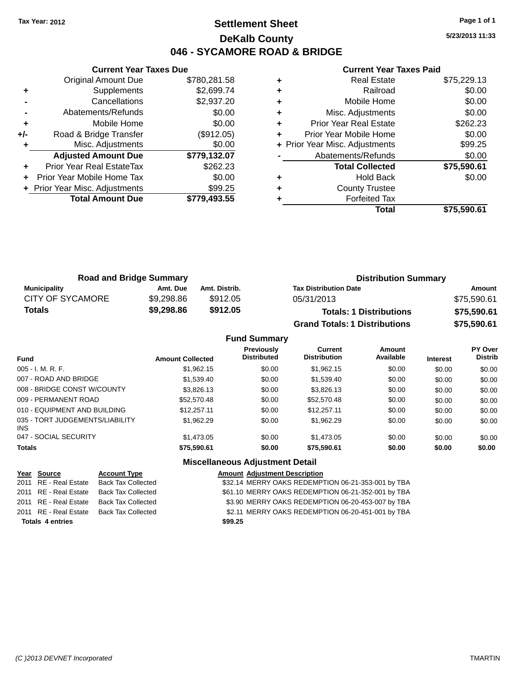### **Settlement Sheet Tax Year: 2012 Page 1 of 1 DeKalb County 046 - SYCAMORE ROAD & BRIDGE**

**5/23/2013 11:33**

#### **Current Year Taxes Paid**

|     | <b>Current Year Taxes Due</b>  |              |  |  |  |
|-----|--------------------------------|--------------|--|--|--|
|     | <b>Original Amount Due</b>     | \$780,281.58 |  |  |  |
| ٠   | Supplements                    | \$2,699.74   |  |  |  |
|     | Cancellations                  | \$2,937.20   |  |  |  |
|     | Abatements/Refunds             | \$0.00       |  |  |  |
| ٠   | Mobile Home                    | \$0.00       |  |  |  |
| +/- | Road & Bridge Transfer         | (\$912.05)   |  |  |  |
|     | Misc. Adjustments              | \$0.00       |  |  |  |
|     | <b>Adjusted Amount Due</b>     | \$779,132.07 |  |  |  |
| ÷   | Prior Year Real EstateTax      | \$262.23     |  |  |  |
|     | Prior Year Mobile Home Tax     | \$0.00       |  |  |  |
|     | + Prior Year Misc. Adjustments | \$99.25      |  |  |  |
|     | <b>Total Amount Due</b>        | \$779.493.55 |  |  |  |
|     |                                |              |  |  |  |

| <b>Real Estate</b>            | \$75,229.13                    |
|-------------------------------|--------------------------------|
| Railroad                      | \$0.00                         |
| Mobile Home                   | \$0.00                         |
| Misc. Adjustments             | \$0.00                         |
| <b>Prior Year Real Estate</b> | \$262.23                       |
| Prior Year Mobile Home        | \$0.00                         |
|                               | \$99.25                        |
| Abatements/Refunds            | \$0.00                         |
| <b>Total Collected</b>        | \$75,590.61                    |
| <b>Hold Back</b>              | \$0.00                         |
| <b>County Trustee</b>         |                                |
| <b>Forfeited Tax</b>          |                                |
| <b>Total</b>                  | \$75,590.61                    |
|                               | + Prior Year Misc. Adjustments |

| <b>Road and Bridge Summary</b> |            |               | <b>Distribution Summary</b>          |             |  |
|--------------------------------|------------|---------------|--------------------------------------|-------------|--|
| <b>Municipality</b>            | Amt. Due   | Amt. Distrib. | <b>Tax Distribution Date</b>         | Amount      |  |
| <b>CITY OF SYCAMORE</b>        | \$9,298.86 | \$912.05      | 05/31/2013                           | \$75,590.61 |  |
| <b>Totals</b>                  | \$9,298.86 | \$912.05      | <b>Totals: 1 Distributions</b>       | \$75,590.61 |  |
|                                |            |               | <b>Grand Totals: 1 Distributions</b> | \$75,590.61 |  |

#### **Fund Summary Fund Interest Amount Collected Distributed PY Over Distrib Amount Available Current Distribution Previously** 005 - I. M. R. F. \$1,962.15 \$0.00 \$1,962.15 \$0.00 \$0.00 \$0.00 007 - ROAD AND BRIDGE 60.00 \$1,539.40 \$1,539.40 \$0.00 \$0.00 \$0.00 \$0.00 \$0.00 008 - BRIDGE CONST W/COUNTY  $$3,826.13$   $$0.00$   $$3,826.13$   $$0.00$   $$0.00$   $$0.00$ 009 - PERMANENT ROAD \$52,570.48 \$0.00 \$0.00 \$0.00 \$0.00 \$0.00 010 - EQUIPMENT AND BUILDING \$12,257.11 \$0.00 \$12,257.11 \$0.00 \$0.00 \$0.00 \$0.00 035 - TORT JUDGEMENTS/LIABILITY INS \$1,962.29 \$0.00 \$1,962.29 \$0.00 \$0.00 \$0.00 047 - SOCIAL SECURITY \$1,473.05 \$0.00 \$0.00 \$0.00 \$0.00 \$0.00 \$0.00 **Totals \$75,590.61 \$0.00 \$75,590.61 \$0.00 \$0.00 \$0.00**

#### **Miscellaneous Adjustment Detail**

| Year Source             | <b>Account Type</b>       | <b>Amount Adjustment Description</b>               |
|-------------------------|---------------------------|----------------------------------------------------|
| 2011 RE - Real Estate   | <b>Back Tax Collected</b> | \$32.14 MERRY OAKS REDEMPTION 06-21-353-001 by TBA |
| 2011 RE - Real Estate   | <b>Back Tax Collected</b> | \$61.10 MERRY OAKS REDEMPTION 06-21-352-001 by TBA |
| 2011 RE - Real Estate   | Back Tax Collected        | \$3.90 MERRY OAKS REDEMPTION 06-20-453-007 by TBA  |
| 2011 RE - Real Estate   | <b>Back Tax Collected</b> | \$2.11 MERRY OAKS REDEMPTION 06-20-451-001 by TBA  |
| <b>Totals 4 entries</b> |                           | \$99.25                                            |
|                         |                           |                                                    |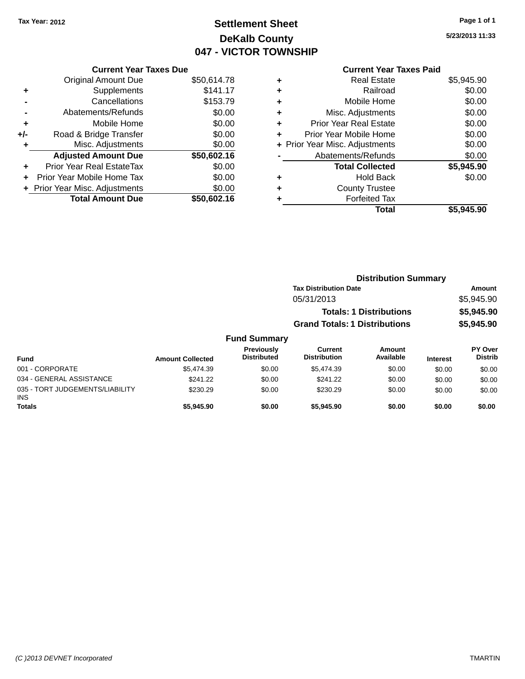# **Settlement Sheet Tax Year: 2012 Page 1 of 1 DeKalb County 047 - VICTOR TOWNSHIP**

**5/23/2013 11:33**

|     | <b>Current Year Taxes Due</b>    |             |
|-----|----------------------------------|-------------|
|     | <b>Original Amount Due</b>       | \$50,614.78 |
| ٠   | Supplements                      | \$141.17    |
|     | Cancellations                    | \$153.79    |
|     | Abatements/Refunds               | \$0.00      |
| ٠   | Mobile Home                      | \$0.00      |
| +/- | Road & Bridge Transfer           | \$0.00      |
| ٠   | Misc. Adjustments                | \$0.00      |
|     | <b>Adjusted Amount Due</b>       | \$50,602.16 |
|     | <b>Prior Year Real EstateTax</b> | \$0.00      |
| ÷   | Prior Year Mobile Home Tax       | \$0.00      |
|     | + Prior Year Misc. Adjustments   | \$0.00      |
|     | <b>Total Amount Due</b>          | \$50,602.16 |

### **Current Year Taxes Paid**

|   | Total                          | \$5,945.90 |
|---|--------------------------------|------------|
| ٠ | <b>Forfeited Tax</b>           |            |
| ٠ | <b>County Trustee</b>          |            |
| ٠ | <b>Hold Back</b>               | \$0.00     |
|   | <b>Total Collected</b>         | \$5,945.90 |
|   | Abatements/Refunds             | \$0.00     |
|   | + Prior Year Misc. Adjustments | \$0.00     |
| ٠ | Prior Year Mobile Home         | \$0.00     |
| ٠ | <b>Prior Year Real Estate</b>  | \$0.00     |
| ٠ | Misc. Adjustments              | \$0.00     |
| ٠ | Mobile Home                    | \$0.00     |
| ÷ | Railroad                       | \$0.00     |
|   | <b>Real Estate</b>             | \$5,945.90 |

|                     | <b>Distribution Summary</b>          |            |
|---------------------|--------------------------------------|------------|
|                     | <b>Tax Distribution Date</b>         | Amount     |
|                     | 05/31/2013                           | \$5,945.90 |
|                     | <b>Totals: 1 Distributions</b>       | \$5,945.90 |
|                     | <b>Grand Totals: 1 Distributions</b> | \$5,945.90 |
| <b>Fund Summary</b> |                                      |            |

#### **Fund Interest Amount Collected Distributed PY Over Distrib Amount Available Current Distribution Previously** 001 - CORPORATE \$5,474.39 \$0.00 \$5,474.39 \$0.00 \$0.00 \$0.00 034 - GENERAL ASSISTANCE \$241.22 \$0.00 \$0.00 \$0.00 \$0.00 \$0.00 035 - TORT JUDGEMENTS/LIABILITY INS \$230.29 \$0.00 \$230.29 \$0.00 \$0.00 \$0.00 **Totals \$5,945.90 \$0.00 \$5,945.90 \$0.00 \$0.00 \$0.00**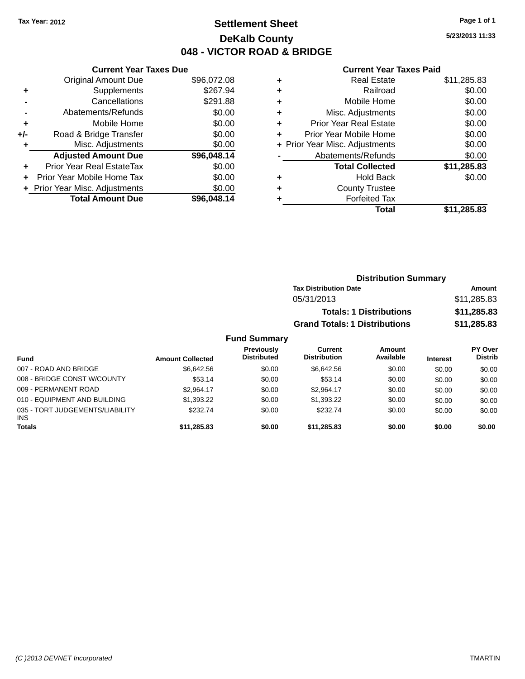### **Settlement Sheet Tax Year: 2012 Page 1 of 1 DeKalb County 048 - VICTOR ROAD & BRIDGE**

**5/23/2013 11:33**

#### **Current Year Taxes Paid**

|     | <b>Current Year Taxes Due</b> |             |
|-----|-------------------------------|-------------|
|     | <b>Original Amount Due</b>    | \$96,072.08 |
| ÷   | Supplements                   | \$267.94    |
|     | Cancellations                 | \$291.88    |
|     | Abatements/Refunds            | \$0.00      |
| ٠   | Mobile Home                   | \$0.00      |
| +/- | Road & Bridge Transfer        | \$0.00      |
|     | Misc. Adjustments             | \$0.00      |
|     | <b>Adjusted Amount Due</b>    | \$96,048.14 |
| ÷   | Prior Year Real EstateTax     | \$0.00      |
| ÷   | Prior Year Mobile Home Tax    | \$0.00      |
|     | Prior Year Misc. Adjustments  | \$0.00      |
|     | <b>Total Amount Due</b>       | \$96.048.14 |
|     |                               |             |
|     |                               |             |

| ٠ | <b>Real Estate</b>             | \$11,285.83 |
|---|--------------------------------|-------------|
| ٠ | Railroad                       | \$0.00      |
| ٠ | Mobile Home                    | \$0.00      |
| ٠ | Misc. Adjustments              | \$0.00      |
| ٠ | <b>Prior Year Real Estate</b>  | \$0.00      |
| ٠ | Prior Year Mobile Home         | \$0.00      |
|   | + Prior Year Misc. Adjustments | \$0.00      |
|   | Abatements/Refunds             | \$0.00      |
|   | <b>Total Collected</b>         | \$11,285.83 |
| ٠ | <b>Hold Back</b>               | \$0.00      |
| ٠ | <b>County Trustee</b>          |             |
| ٠ | <b>Forfeited Tax</b>           |             |
|   | Total                          | \$11,285.83 |
|   |                                |             |

| <b>Distribution Summary</b>          |             |
|--------------------------------------|-------------|
| <b>Tax Distribution Date</b>         | Amount      |
| 05/31/2013                           | \$11,285.83 |
| <b>Totals: 1 Distributions</b>       | \$11,285.83 |
| <b>Grand Totals: 1 Distributions</b> | \$11,285.83 |

| <b>Fund</b>                                   | <b>Amount Collected</b> | Previously<br><b>Distributed</b> | Current<br><b>Distribution</b> | Amount<br>Available | <b>Interest</b> | <b>PY Over</b><br><b>Distrib</b> |
|-----------------------------------------------|-------------------------|----------------------------------|--------------------------------|---------------------|-----------------|----------------------------------|
| 007 - ROAD AND BRIDGE                         | \$6.642.56              | \$0.00                           | \$6.642.56                     | \$0.00              | \$0.00          | \$0.00                           |
| 008 - BRIDGE CONST W/COUNTY                   | \$53.14                 | \$0.00                           | \$53.14                        | \$0.00              | \$0.00          | \$0.00                           |
| 009 - PERMANENT ROAD                          | \$2.964.17              | \$0.00                           | \$2.964.17                     | \$0.00              | \$0.00          | \$0.00                           |
| 010 - EQUIPMENT AND BUILDING                  | \$1.393.22              | \$0.00                           | \$1.393.22                     | \$0.00              | \$0.00          | \$0.00                           |
| 035 - TORT JUDGEMENTS/LIABILITY<br><b>INS</b> | \$232.74                | \$0.00                           | \$232.74                       | \$0.00              | \$0.00          | \$0.00                           |
| <b>Totals</b>                                 | \$11,285.83             | \$0.00                           | \$11,285.83                    | \$0.00              | \$0.00          | \$0.00                           |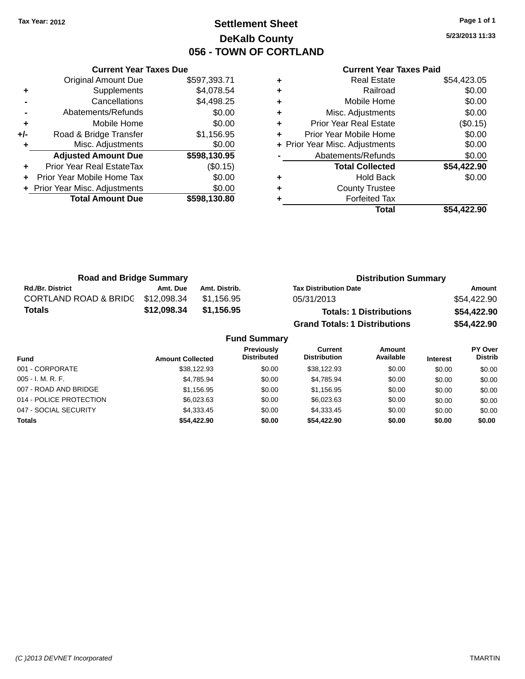## **Settlement Sheet Tax Year: 2012 Page 1 of 1 DeKalb County 056 - TOWN OF CORTLAND**

**5/23/2013 11:33**

|     | <b>Current Year Taxes Due</b>  |              |  |  |
|-----|--------------------------------|--------------|--|--|
|     | <b>Original Amount Due</b>     | \$597,393.71 |  |  |
| ٠   | Supplements                    | \$4,078.54   |  |  |
|     | Cancellations                  | \$4,498.25   |  |  |
|     | Abatements/Refunds             | \$0.00       |  |  |
| ٠   | Mobile Home                    | \$0.00       |  |  |
| +/- | Road & Bridge Transfer         | \$1,156.95   |  |  |
| ٠   | Misc. Adjustments              | \$0.00       |  |  |
|     | <b>Adjusted Amount Due</b>     | \$598,130.95 |  |  |
| ÷   | Prior Year Real EstateTax      | (\$0.15)     |  |  |
|     | Prior Year Mobile Home Tax     | \$0.00       |  |  |
|     | + Prior Year Misc. Adjustments | \$0.00       |  |  |
|     | <b>Total Amount Due</b>        | \$598,130.80 |  |  |
|     |                                |              |  |  |

|   | <b>Real Estate</b>             | \$54,423.05 |
|---|--------------------------------|-------------|
| ٠ | Railroad                       | \$0.00      |
| ٠ | Mobile Home                    | \$0.00      |
| ٠ | Misc. Adjustments              | \$0.00      |
| ٠ | Prior Year Real Estate         | (\$0.15)    |
| ٠ | Prior Year Mobile Home         | \$0.00      |
|   | + Prior Year Misc. Adjustments | \$0.00      |
|   | Abatements/Refunds             | \$0.00      |
|   | <b>Total Collected</b>         | \$54,422.90 |
| ٠ | <b>Hold Back</b>               | \$0.00      |
| ٠ | <b>County Trustee</b>          |             |
| ٠ | <b>Forfeited Tax</b>           |             |
|   | Total                          | \$54,422.90 |
|   |                                |             |

| <b>Road and Bridge Summary</b>    |             |               | <b>Distribution Summary</b>          |             |  |
|-----------------------------------|-------------|---------------|--------------------------------------|-------------|--|
| <b>Rd./Br. District</b>           | Amt. Due    | Amt. Distrib. | <b>Tax Distribution Date</b>         | Amount      |  |
| CORTLAND ROAD & BRIDC \$12,098.34 |             | \$1.156.95    | 05/31/2013                           | \$54,422.90 |  |
| <b>Totals</b>                     | \$12,098.34 | \$1,156.95    | <b>Totals: 1 Distributions</b>       | \$54,422.90 |  |
|                                   |             |               | <b>Grand Totals: 1 Distributions</b> | \$54,422.90 |  |

|                         |                         | <b>Fund Summary</b>                     |                                |                            |                 |                           |
|-------------------------|-------------------------|-----------------------------------------|--------------------------------|----------------------------|-----------------|---------------------------|
| Fund                    | <b>Amount Collected</b> | <b>Previously</b><br><b>Distributed</b> | Current<br><b>Distribution</b> | <b>Amount</b><br>Available | <b>Interest</b> | PY Over<br><b>Distrib</b> |
| 001 - CORPORATE         | \$38,122.93             | \$0.00                                  | \$38.122.93                    | \$0.00                     | \$0.00          | \$0.00                    |
| 005 - I. M. R. F.       | \$4,785.94              | \$0.00                                  | \$4.785.94                     | \$0.00                     | \$0.00          | \$0.00                    |
| 007 - ROAD AND BRIDGE   | \$1,156.95              | \$0.00                                  | \$1,156.95                     | \$0.00                     | \$0.00          | \$0.00                    |
| 014 - POLICE PROTECTION | \$6,023.63              | \$0.00                                  | \$6,023.63                     | \$0.00                     | \$0.00          | \$0.00                    |
| 047 - SOCIAL SECURITY   | \$4,333.45              | \$0.00                                  | \$4.333.45                     | \$0.00                     | \$0.00          | \$0.00                    |
| <b>Totals</b>           | \$54.422.90             | \$0.00                                  | \$54,422.90                    | \$0.00                     | \$0.00          | \$0.00                    |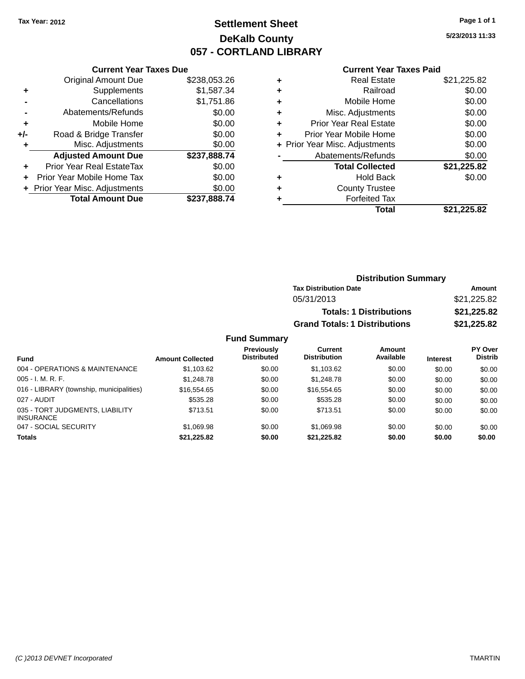# **Settlement Sheet Tax Year: 2012 Page 1 of 1 DeKalb County 057 - CORTLAND LIBRARY**

**5/23/2013 11:33**

#### **Current Year Taxes Paid**

|     | <b>Current Year Taxes Due</b>    |              |  |  |  |
|-----|----------------------------------|--------------|--|--|--|
|     | <b>Original Amount Due</b>       | \$238,053.26 |  |  |  |
| ٠   | Supplements                      | \$1,587.34   |  |  |  |
|     | Cancellations                    | \$1,751.86   |  |  |  |
|     | Abatements/Refunds               | \$0.00       |  |  |  |
| ÷   | Mobile Home                      | \$0.00       |  |  |  |
| +/- | Road & Bridge Transfer           | \$0.00       |  |  |  |
|     | Misc. Adjustments                | \$0.00       |  |  |  |
|     | <b>Adjusted Amount Due</b>       | \$237,888.74 |  |  |  |
| ٠   | <b>Prior Year Real EstateTax</b> | \$0.00       |  |  |  |
|     | Prior Year Mobile Home Tax       | \$0.00       |  |  |  |
|     | + Prior Year Misc. Adjustments   | \$0.00       |  |  |  |
|     | <b>Total Amount Due</b>          | \$237.888.74 |  |  |  |
|     |                                  |              |  |  |  |

| ٠ | <b>Real Estate</b>             | \$21,225.82 |
|---|--------------------------------|-------------|
| ٠ | Railroad                       | \$0.00      |
| ٠ | Mobile Home                    | \$0.00      |
| ٠ | Misc. Adjustments              | \$0.00      |
| ٠ | <b>Prior Year Real Estate</b>  | \$0.00      |
| ÷ | Prior Year Mobile Home         | \$0.00      |
|   | + Prior Year Misc. Adjustments | \$0.00      |
|   | Abatements/Refunds             | \$0.00      |
|   | <b>Total Collected</b>         | \$21,225.82 |
| ٠ | Hold Back                      | \$0.00      |
| ٠ | <b>County Trustee</b>          |             |
| ٠ | <b>Forfeited Tax</b>           |             |
|   | Total                          | \$21,225.82 |
|   |                                |             |

| <b>Distribution Summary</b>          |             |  |  |  |  |
|--------------------------------------|-------------|--|--|--|--|
| <b>Tax Distribution Date</b>         | Amount      |  |  |  |  |
| 05/31/2013                           | \$21,225.82 |  |  |  |  |
| <b>Totals: 1 Distributions</b>       | \$21,225.82 |  |  |  |  |
| <b>Grand Totals: 1 Distributions</b> | \$21,225.82 |  |  |  |  |

| <b>Fund</b>                                         | <b>Amount Collected</b> | <b>Previously</b><br><b>Distributed</b> | Current<br><b>Distribution</b> | Amount<br>Available | <b>Interest</b> | PY Over<br><b>Distrib</b> |
|-----------------------------------------------------|-------------------------|-----------------------------------------|--------------------------------|---------------------|-----------------|---------------------------|
| 004 - OPERATIONS & MAINTENANCE                      | \$1.103.62              | \$0.00                                  | \$1.103.62                     | \$0.00              | \$0.00          | \$0.00                    |
| $005 - I. M. R. F.$                                 | \$1,248.78              | \$0.00                                  | \$1,248.78                     | \$0.00              | \$0.00          | \$0.00                    |
| 016 - LIBRARY (township, municipalities)            | \$16,554.65             | \$0.00                                  | \$16,554.65                    | \$0.00              | \$0.00          | \$0.00                    |
| 027 - AUDIT                                         | \$535.28                | \$0.00                                  | \$535.28                       | \$0.00              | \$0.00          | \$0.00                    |
| 035 - TORT JUDGMENTS, LIABILITY<br><b>INSURANCE</b> | \$713.51                | \$0.00                                  | \$713.51                       | \$0.00              | \$0.00          | \$0.00                    |
| 047 - SOCIAL SECURITY                               | \$1.069.98              | \$0.00                                  | \$1,069.98                     | \$0.00              | \$0.00          | \$0.00                    |
| <b>Totals</b>                                       | \$21,225.82             | \$0.00                                  | \$21.225.82                    | \$0.00              | \$0.00          | \$0.00                    |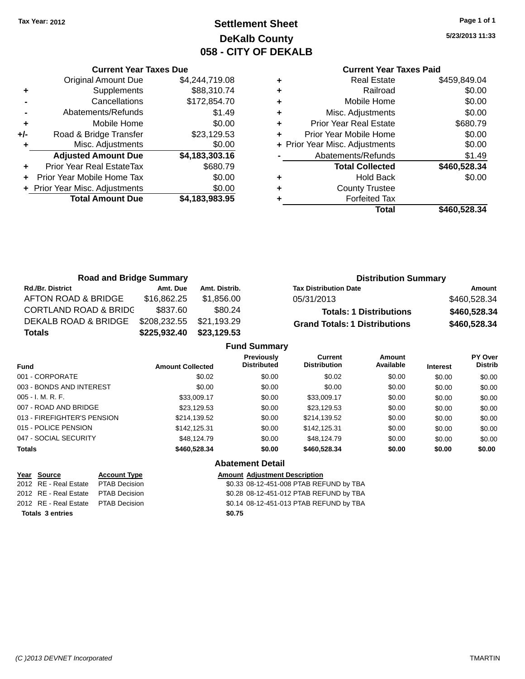# **Settlement Sheet Tax Year: 2012 Page 1 of 1 DeKalb County 058 - CITY OF DEKALB**

**5/23/2013 11:33**

#### **Current Year Taxes Paid**

|     | <b>Total Amount Due</b>          | \$4,183,983.95 |
|-----|----------------------------------|----------------|
|     | + Prior Year Misc. Adjustments   | \$0.00         |
|     | Prior Year Mobile Home Tax       | \$0.00         |
| ÷   | <b>Prior Year Real EstateTax</b> | \$680.79       |
|     | <b>Adjusted Amount Due</b>       | \$4,183,303.16 |
| ٠   | Misc. Adjustments                | \$0.00         |
| +/- | Road & Bridge Transfer           | \$23,129.53    |
| ÷   | Mobile Home                      | \$0.00         |
|     | Abatements/Refunds               | \$1.49         |
|     | Cancellations                    | \$172,854.70   |
| ٠   | Supplements                      | \$88,310.74    |
|     | <b>Original Amount Due</b>       | \$4,244,719.08 |
|     |                                  |                |

**Current Year Taxes Due**

| <b>Real Estate</b>     | \$459,849.04                   |
|------------------------|--------------------------------|
| Railroad               | \$0.00                         |
| Mobile Home            | \$0.00                         |
| Misc. Adjustments      | \$0.00                         |
| Prior Year Real Estate | \$680.79                       |
| Prior Year Mobile Home | \$0.00                         |
|                        | \$0.00                         |
| Abatements/Refunds     | \$1.49                         |
| <b>Total Collected</b> | \$460,528.34                   |
| Hold Back              | \$0.00                         |
| <b>County Trustee</b>  |                                |
| <b>Forfeited Tax</b>   |                                |
| Total                  | \$460,528.34                   |
|                        | + Prior Year Misc. Adjustments |

| <b>Road and Bridge Summary</b>   |              |               | <b>Distribution Summary</b>          |              |  |
|----------------------------------|--------------|---------------|--------------------------------------|--------------|--|
| <b>Rd./Br. District</b>          | Amt. Due     | Amt. Distrib. | <b>Tax Distribution Date</b>         | Amount       |  |
| AFTON ROAD & BRIDGE              | \$16,862.25  | \$1.856.00    | 05/31/2013                           | \$460,528.34 |  |
| <b>CORTLAND ROAD &amp; BRIDC</b> | \$837.60     | \$80.24       | <b>Totals: 1 Distributions</b>       | \$460,528.34 |  |
| DEKALB ROAD & BRIDGE             | \$208,232.55 | \$21,193.29   | <b>Grand Totals: 1 Distributions</b> | \$460,528.34 |  |
| <b>Totals</b>                    | \$225,932.40 | \$23,129.53   |                                      |              |  |
| <b>Fund Summary</b>              |              |               |                                      |              |  |

|                             |                         | <b>Fund Summary</b>                     |                                       |                     |                 |                           |
|-----------------------------|-------------------------|-----------------------------------------|---------------------------------------|---------------------|-----------------|---------------------------|
| <b>Fund</b>                 | <b>Amount Collected</b> | <b>Previously</b><br><b>Distributed</b> | <b>Current</b><br><b>Distribution</b> | Amount<br>Available | <b>Interest</b> | PY Over<br><b>Distrib</b> |
| 001 - CORPORATE             | \$0.02                  | \$0.00                                  | \$0.02                                | \$0.00              | \$0.00          | \$0.00                    |
| 003 - BONDS AND INTEREST    | \$0.00                  | \$0.00                                  | \$0.00                                | \$0.00              | \$0.00          | \$0.00                    |
| $005 - I. M. R. F.$         | \$33,009.17             | \$0.00                                  | \$33,009.17                           | \$0.00              | \$0.00          | \$0.00                    |
| 007 - ROAD AND BRIDGE       | \$23,129.53             | \$0.00                                  | \$23,129.53                           | \$0.00              | \$0.00          | \$0.00                    |
| 013 - FIREFIGHTER'S PENSION | \$214,139.52            | \$0.00                                  | \$214,139.52                          | \$0.00              | \$0.00          | \$0.00                    |
| 015 - POLICE PENSION        | \$142.125.31            | \$0.00                                  | \$142,125.31                          | \$0.00              | \$0.00          | \$0.00                    |
| 047 - SOCIAL SECURITY       | \$48,124.79             | \$0.00                                  | \$48.124.79                           | \$0.00              | \$0.00          | \$0.00                    |
| <b>Totals</b>               | \$460,528.34            | \$0.00                                  | \$460,528.34                          | \$0.00              | \$0.00          | \$0.00                    |
|                             |                         |                                         |                                       |                     |                 |                           |

#### **Abatement Detail**

**Year Source Account Type Amount Adjustment Description** 2012 RE - Real Estate PTAB Decision \$0.28 08-12-451-012 PTAB REFUND by TBA 2012 RE - Real Estate PTAB Decision \$0.14 08-12-451-013 PTAB REFUND by TBA **Totals 3 entries \$0.75**

\$0.33 08-12-451-008 PTAB REFUND by TBA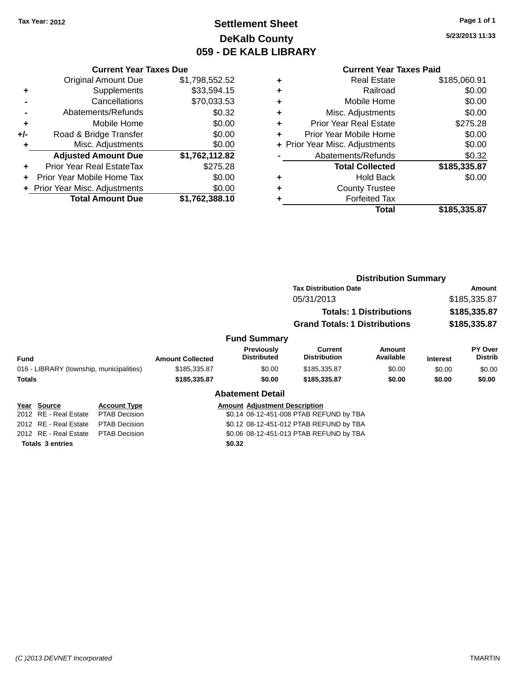# **Settlement Sheet Tax Year: 2012 Page 1 of 1 DeKalb County 059 - DE KALB LIBRARY**

**5/23/2013 11:33**

|     | <b>Current Year Taxes Due</b> |                |
|-----|-------------------------------|----------------|
|     | <b>Original Amount Due</b>    | \$1,798,552.52 |
| ٠   | Supplements                   | \$33,594.15    |
|     | Cancellations                 | \$70,033.53    |
|     | Abatements/Refunds            | \$0.32         |
| ÷   | Mobile Home                   | \$0.00         |
| +/- | Road & Bridge Transfer        | \$0.00         |
| ÷   | Misc. Adjustments             | \$0.00         |
|     | <b>Adjusted Amount Due</b>    | \$1,762,112.82 |
|     | Prior Year Real EstateTax     | \$275.28       |

| <b>Total Amount Due</b>        | \$1,762,388.10 |
|--------------------------------|----------------|
| + Prior Year Misc. Adjustments | \$0.00         |
| + Prior Year Mobile Home Tax   | \$0.00         |
|                                | 941 V.LV       |

**Totals 3 entries \$0.32**

|   | <b>Real Estate</b>             | \$185,060.91 |
|---|--------------------------------|--------------|
| ÷ | Railroad                       | \$0.00       |
| ٠ | Mobile Home                    | \$0.00       |
| ٠ | Misc. Adjustments              | \$0.00       |
| ٠ | <b>Prior Year Real Estate</b>  | \$275.28     |
|   | Prior Year Mobile Home         | \$0.00       |
|   | + Prior Year Misc. Adjustments | \$0.00       |
|   | Abatements/Refunds             | \$0.32       |
|   | <b>Total Collected</b>         | \$185,335.87 |
| ٠ | <b>Hold Back</b>               | \$0.00       |
|   | <b>County Trustee</b>          |              |
|   | <b>Forfeited Tax</b>           |              |
|   | Total                          | \$185,335.87 |
|   |                                |              |

|             |                                          |                      |                         |                                      |                                         | <b>Distribution Summary</b>    |                              |                           |
|-------------|------------------------------------------|----------------------|-------------------------|--------------------------------------|-----------------------------------------|--------------------------------|------------------------------|---------------------------|
|             |                                          |                      |                         |                                      | <b>Tax Distribution Date</b>            |                                | Amount                       |                           |
|             |                                          |                      |                         |                                      | 05/31/2013                              |                                | \$185,335.87<br>\$185,335.87 |                           |
|             |                                          |                      |                         |                                      |                                         | <b>Totals: 1 Distributions</b> |                              |                           |
|             |                                          |                      |                         |                                      | <b>Grand Totals: 1 Distributions</b>    |                                |                              | \$185,335.87              |
|             |                                          |                      |                         | <b>Fund Summary</b>                  |                                         |                                |                              |                           |
| <b>Fund</b> |                                          |                      | <b>Amount Collected</b> | Previously<br><b>Distributed</b>     | Current<br><b>Distribution</b>          | <b>Amount</b><br>Available     | <b>Interest</b>              | PY Over<br><b>Distrib</b> |
|             | 016 - LIBRARY (township, municipalities) |                      | \$185,335.87            | \$0.00                               | \$185,335.87                            | \$0.00                         | \$0.00                       | \$0.00                    |
| Totals      |                                          |                      | \$185,335.87            | \$0.00                               | \$185,335.87                            | \$0.00                         | \$0.00                       | \$0.00                    |
|             |                                          |                      |                         | <b>Abatement Detail</b>              |                                         |                                |                              |                           |
|             | Year Source                              | <b>Account Type</b>  |                         | <b>Amount Adiustment Description</b> |                                         |                                |                              |                           |
|             | 2012 RE - Real Estate                    | <b>PTAB Decision</b> |                         |                                      | \$0.14 08-12-451-008 PTAB REFUND by TBA |                                |                              |                           |
|             | 2012 RE - Real Estate                    | <b>PTAB Decision</b> |                         |                                      | \$0.12 08-12-451-012 PTAB REFUND by TBA |                                |                              |                           |
|             | 2012 RE - Real Estate                    | <b>PTAB Decision</b> |                         |                                      | \$0.06 08-12-451-013 PTAB REFUND by TBA |                                |                              |                           |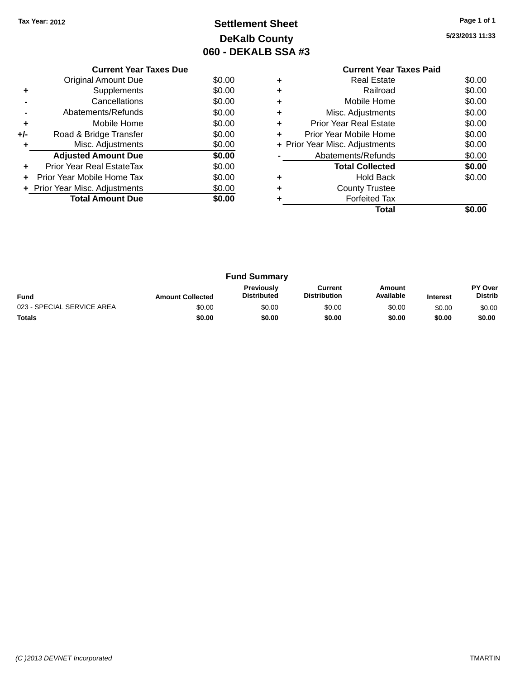# **Settlement Sheet Tax Year: 2012 Page 1 of 1 DeKalb County 060 - DEKALB SSA #3**

**5/23/2013 11:33**

|       | <b>Current Year Taxes Due</b>    |        |
|-------|----------------------------------|--------|
|       | Original Amount Due              | \$0.00 |
|       | Supplements                      | \$0.00 |
|       | Cancellations                    | \$0.00 |
|       | Abatements/Refunds               | \$0.00 |
| ٠     | Mobile Home                      | \$0.00 |
| $+/-$ | Road & Bridge Transfer           | \$0.00 |
| ÷     | Misc. Adjustments                | \$0.00 |
|       | <b>Adjusted Amount Due</b>       | \$0.00 |
| ٠     | <b>Prior Year Real EstateTax</b> | \$0.00 |
|       | Prior Year Mobile Home Tax       | \$0.00 |
|       | + Prior Year Misc. Adjustments   | \$0.00 |
|       | <b>Total Amount Due</b>          | \$0.00 |
|       |                                  |        |

### **Current Year Taxes Paid +** Real Estate \$0.00 **+** Railroad \$0.00 **+** Mobile Home \$0.00 **+** Misc. Adjustments \$0.00 **+** Prior Year Real Estate \$0.00 **+** Prior Year Mobile Home \$0.00<br> **+** Prior Year Misc. Adjustments \$0.00 **+ Prior Year Misc. Adjustments -** Abatements/Refunds \$0.00 **Total Collected \$0.00 +** Hold Back \$0.00 **+** County Trustee **+** Forfeited Tax **Total \$0.00**

|                            |                         | <b>Fund Summary</b>                     |                                |                     |                 |                           |
|----------------------------|-------------------------|-----------------------------------------|--------------------------------|---------------------|-----------------|---------------------------|
| <b>Fund</b>                | <b>Amount Collected</b> | <b>Previously</b><br><b>Distributed</b> | Current<br><b>Distribution</b> | Amount<br>Available | <b>Interest</b> | PY Over<br><b>Distrib</b> |
| 023 - SPECIAL SERVICE AREA | \$0.00                  | \$0.00                                  | \$0.00                         | \$0.00              | \$0.00          | \$0.00                    |
| <b>Totals</b>              | \$0.00                  | \$0.00                                  | \$0.00                         | \$0.00              | \$0.00          | \$0.00                    |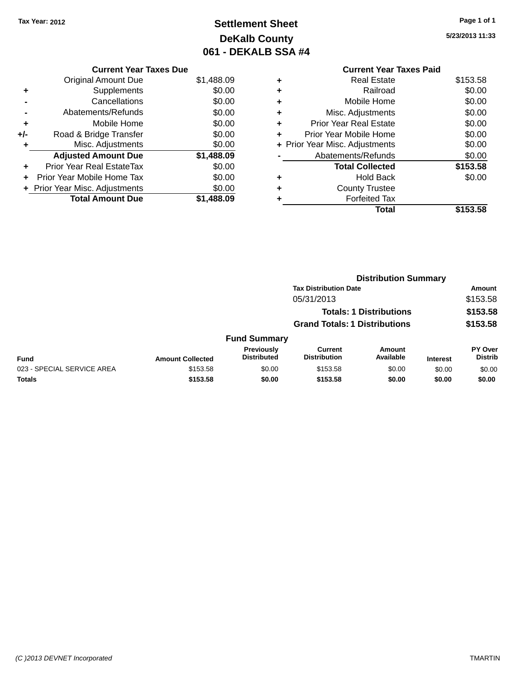# **Settlement Sheet Tax Year: 2012 Page 1 of 1 DeKalb County 061 - DEKALB SSA #4**

**5/23/2013 11:33**

|   | <b>Current Year Taxes Paid</b> |          |
|---|--------------------------------|----------|
| ٠ | Real Estate                    | \$153.58 |
| ٠ | Railroad                       | \$0.00   |
| ٠ | Mobile Home                    | \$0.00   |
| ٠ | Misc. Adjustments              | \$0.00   |
| ٠ | <b>Prior Year Real Estate</b>  | \$0.00   |
| ÷ | Prior Year Mobile Home         | \$0.00   |
|   | + Prior Year Misc. Adjustments | \$0.00   |
|   | Abatements/Refunds             | \$0.00   |
|   | <b>Total Collected</b>         | \$153.58 |
| ÷ | <b>Hold Back</b>               | \$0.00   |
|   | <b>County Trustee</b>          |          |
|   | <b>Forfeited Tax</b>           |          |
|   | Total                          | \$153.58 |

|     | <b>Current Year Taxes Due</b>  |            |
|-----|--------------------------------|------------|
|     | <b>Original Amount Due</b>     | \$1,488.09 |
| ٠   | Supplements                    | \$0.00     |
|     | Cancellations                  | \$0.00     |
|     | Abatements/Refunds             | \$0.00     |
| ٠   | Mobile Home                    | \$0.00     |
| +/- | Road & Bridge Transfer         | \$0.00     |
| ٠   | Misc. Adjustments              | \$0.00     |
|     | <b>Adjusted Amount Due</b>     | \$1,488.09 |
|     | Prior Year Real EstateTax      | \$0.00     |
|     | Prior Year Mobile Home Tax     | \$0.00     |
|     | + Prior Year Misc. Adjustments | \$0.00     |
|     | <b>Total Amount Due</b>        | \$1,488.09 |

|                            |                         |                                  |                                       |                                | <b>Distribution Summary</b> |                                  |  |
|----------------------------|-------------------------|----------------------------------|---------------------------------------|--------------------------------|-----------------------------|----------------------------------|--|
|                            |                         | <b>Tax Distribution Date</b>     |                                       |                                |                             | <b>Amount</b>                    |  |
|                            |                         |                                  | 05/31/2013                            |                                |                             | \$153.58                         |  |
|                            |                         |                                  |                                       | <b>Totals: 1 Distributions</b> |                             | \$153.58                         |  |
|                            |                         |                                  | <b>Grand Totals: 1 Distributions</b>  |                                |                             | \$153.58                         |  |
|                            |                         | <b>Fund Summary</b>              |                                       |                                |                             |                                  |  |
| <b>Fund</b>                | <b>Amount Collected</b> | Previously<br><b>Distributed</b> | <b>Current</b><br><b>Distribution</b> | <b>Amount</b><br>Available     | <b>Interest</b>             | <b>PY Over</b><br><b>Distrib</b> |  |
| 023 - SPECIAL SERVICE AREA | \$153.58                | \$0.00                           | \$153.58                              | \$0.00                         | \$0.00                      | \$0.00                           |  |
| <b>Totals</b>              | \$153.58                | \$0.00                           | \$153.58                              | \$0.00                         | \$0.00                      | \$0.00                           |  |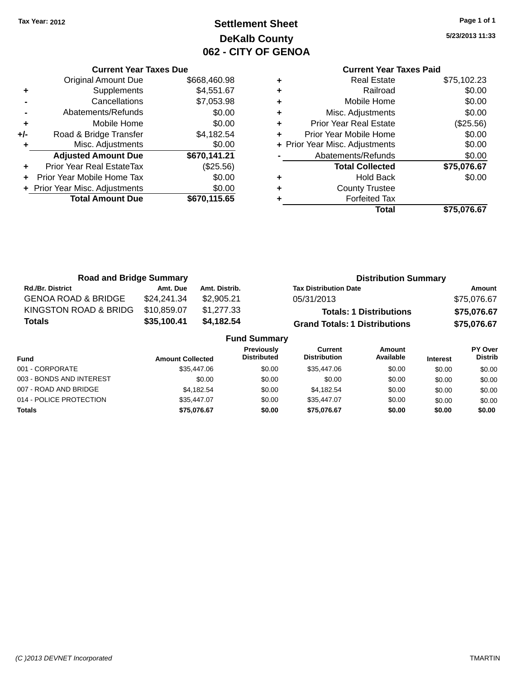# **Settlement Sheet Tax Year: 2012 Page 1 of 1 DeKalb County 062 - CITY OF GENOA**

**5/23/2013 11:33**

|     | <b>Current Year Taxes Due</b>  |              |  |  |  |  |
|-----|--------------------------------|--------------|--|--|--|--|
|     | Original Amount Due            | \$668,460.98 |  |  |  |  |
| ٠   | Supplements                    | \$4,551.67   |  |  |  |  |
|     | Cancellations                  | \$7,053.98   |  |  |  |  |
|     | Abatements/Refunds             | \$0.00       |  |  |  |  |
| ٠   | Mobile Home                    | \$0.00       |  |  |  |  |
| +/- | Road & Bridge Transfer         | \$4,182.54   |  |  |  |  |
|     | Misc. Adjustments              | \$0.00       |  |  |  |  |
|     | <b>Adjusted Amount Due</b>     | \$670,141.21 |  |  |  |  |
|     | Prior Year Real EstateTax      | (\$25.56)    |  |  |  |  |
| ÷   | Prior Year Mobile Home Tax     | \$0.00       |  |  |  |  |
|     | + Prior Year Misc. Adjustments | \$0.00       |  |  |  |  |
|     | <b>Total Amount Due</b>        | \$670,115.65 |  |  |  |  |
|     |                                |              |  |  |  |  |

|   | <b>Real Estate</b>             | \$75,102.23 |
|---|--------------------------------|-------------|
| ٠ | Railroad                       | \$0.00      |
| ٠ | Mobile Home                    | \$0.00      |
| ٠ | Misc. Adjustments              | \$0.00      |
| ÷ | <b>Prior Year Real Estate</b>  | (\$25.56)   |
| ٠ | Prior Year Mobile Home         | \$0.00      |
|   | + Prior Year Misc. Adjustments | \$0.00      |
|   | Abatements/Refunds             | \$0.00      |
|   | <b>Total Collected</b>         | \$75,076.67 |
| ٠ | <b>Hold Back</b>               | \$0.00      |
| ٠ | <b>County Trustee</b>          |             |
|   | <b>Forfeited Tax</b>           |             |
|   | Total                          | \$75,076.67 |
|   |                                |             |

| <b>Road and Bridge Summary</b> |             |               | <b>Distribution Summary</b>          |             |  |
|--------------------------------|-------------|---------------|--------------------------------------|-------------|--|
| <b>Rd./Br. District</b>        | Amt. Due    | Amt. Distrib. | <b>Tax Distribution Date</b>         | Amount      |  |
| <b>GENOA ROAD &amp; BRIDGE</b> | \$24,241.34 | \$2,905.21    | 05/31/2013                           | \$75,076.67 |  |
| KINGSTON ROAD & BRIDG          | \$10.859.07 | \$1,277.33    | <b>Totals: 1 Distributions</b>       | \$75,076.67 |  |
| <b>Totals</b>                  | \$35,100.41 | \$4,182.54    | <b>Grand Totals: 1 Distributions</b> | \$75,076.67 |  |

| <b>Fund Summary</b>      |                         |                                  |                                       |                     |                 |                           |
|--------------------------|-------------------------|----------------------------------|---------------------------------------|---------------------|-----------------|---------------------------|
| Fund                     | <b>Amount Collected</b> | Previously<br><b>Distributed</b> | <b>Current</b><br><b>Distribution</b> | Amount<br>Available | <b>Interest</b> | PY Over<br><b>Distrib</b> |
| 001 - CORPORATE          | \$35,447.06             | \$0.00                           | \$35,447.06                           | \$0.00              | \$0.00          | \$0.00                    |
| 003 - BONDS AND INTEREST | \$0.00                  | \$0.00                           | \$0.00                                | \$0.00              | \$0.00          | \$0.00                    |
| 007 - ROAD AND BRIDGE    | \$4.182.54              | \$0.00                           | \$4.182.54                            | \$0.00              | \$0.00          | \$0.00                    |
| 014 - POLICE PROTECTION  | \$35,447.07             | \$0.00                           | \$35,447.07                           | \$0.00              | \$0.00          | \$0.00                    |
| <b>Totals</b>            | \$75,076.67             | \$0.00                           | \$75,076.67                           | \$0.00              | \$0.00          | \$0.00                    |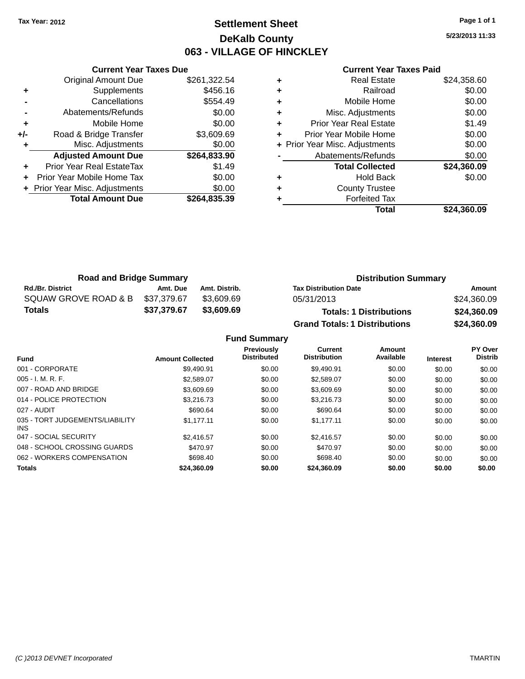### **Settlement Sheet Tax Year: 2012 Page 1 of 1 DeKalb County 063 - VILLAGE OF HINCKLEY**

**5/23/2013 11:33**

#### **Current Year Taxes Paid**

|     | <b>Current Year Taxes Due</b>  |              |  |  |  |  |
|-----|--------------------------------|--------------|--|--|--|--|
|     | <b>Original Amount Due</b>     | \$261,322.54 |  |  |  |  |
| ٠   | Supplements                    | \$456.16     |  |  |  |  |
|     | Cancellations                  | \$554.49     |  |  |  |  |
|     | Abatements/Refunds             | \$0.00       |  |  |  |  |
| ٠   | Mobile Home                    | \$0.00       |  |  |  |  |
| +/- | Road & Bridge Transfer         | \$3,609.69   |  |  |  |  |
|     | Misc. Adjustments              | \$0.00       |  |  |  |  |
|     | <b>Adjusted Amount Due</b>     | \$264,833.90 |  |  |  |  |
| ٠   | Prior Year Real EstateTax      | \$1.49       |  |  |  |  |
|     | Prior Year Mobile Home Tax     | \$0.00       |  |  |  |  |
|     | + Prior Year Misc. Adjustments | \$0.00       |  |  |  |  |
|     | <b>Total Amount Due</b>        | \$264,835.39 |  |  |  |  |
|     |                                |              |  |  |  |  |

|   | Total                          | \$24,360.09 |
|---|--------------------------------|-------------|
|   | <b>Forfeited Tax</b>           |             |
| ٠ | <b>County Trustee</b>          |             |
| ٠ | Hold Back                      | \$0.00      |
|   | <b>Total Collected</b>         | \$24,360.09 |
|   | Abatements/Refunds             | \$0.00      |
|   | + Prior Year Misc. Adjustments | \$0.00      |
| ٠ | Prior Year Mobile Home         | \$0.00      |
| ٠ | <b>Prior Year Real Estate</b>  | \$1.49      |
| ٠ | Misc. Adjustments              | \$0.00      |
| ٠ | Mobile Home                    | \$0.00      |
| ٠ | Railroad                       | \$0.00      |
|   | Real Estate                    | \$24,358.60 |

| <b>Road and Bridge Summary</b> |             |               | <b>Distribution Summary</b>          |             |  |
|--------------------------------|-------------|---------------|--------------------------------------|-------------|--|
| <b>Rd./Br. District</b>        | Amt. Due    | Amt. Distrib. | <b>Tax Distribution Date</b>         | Amount      |  |
| SQUAW GROVE ROAD & B           | \$37,379.67 | \$3.609.69    | 05/31/2013                           | \$24,360.09 |  |
| <b>Totals</b>                  | \$37,379.67 | \$3,609.69    | <b>Totals: 1 Distributions</b>       | \$24,360.09 |  |
|                                |             |               | <b>Grand Totals: 1 Distributions</b> | \$24,360.09 |  |

| <b>Fund</b>                             | <b>Amount Collected</b> | Previously<br><b>Distributed</b> | <b>Current</b><br><b>Distribution</b> | Amount<br>Available | <b>Interest</b> | <b>PY Over</b><br><b>Distrib</b> |
|-----------------------------------------|-------------------------|----------------------------------|---------------------------------------|---------------------|-----------------|----------------------------------|
| 001 - CORPORATE                         | \$9.490.91              | \$0.00                           | \$9,490.91                            | \$0.00              | \$0.00          | \$0.00                           |
| $005 - I. M. R. F.$                     | \$2,589.07              | \$0.00                           | \$2,589.07                            | \$0.00              | \$0.00          | \$0.00                           |
| 007 - ROAD AND BRIDGE                   | \$3,609.69              | \$0.00                           | \$3,609.69                            | \$0.00              | \$0.00          | \$0.00                           |
| 014 - POLICE PROTECTION                 | \$3,216.73              | \$0.00                           | \$3,216.73                            | \$0.00              | \$0.00          | \$0.00                           |
| 027 - AUDIT                             | \$690.64                | \$0.00                           | \$690.64                              | \$0.00              | \$0.00          | \$0.00                           |
| 035 - TORT JUDGEMENTS/LIABILITY<br>INS. | \$1.177.11              | \$0.00                           | \$1.177.11                            | \$0.00              | \$0.00          | \$0.00                           |
| 047 - SOCIAL SECURITY                   | \$2.416.57              | \$0.00                           | \$2.416.57                            | \$0.00              | \$0.00          | \$0.00                           |
| 048 - SCHOOL CROSSING GUARDS            | \$470.97                | \$0.00                           | \$470.97                              | \$0.00              | \$0.00          | \$0.00                           |
| 062 - WORKERS COMPENSATION              | \$698.40                | \$0.00                           | \$698.40                              | \$0.00              | \$0.00          | \$0.00                           |
| <b>Totals</b>                           | \$24.360.09             | \$0.00                           | \$24.360.09                           | \$0.00              | \$0.00          | \$0.00                           |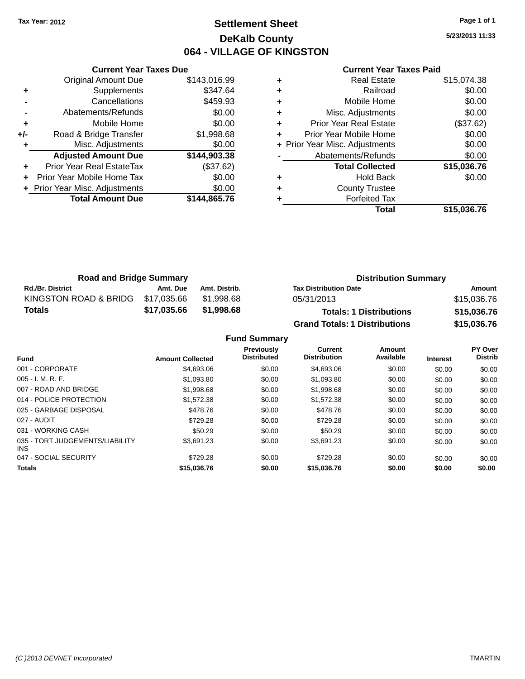### **Settlement Sheet Tax Year: 2012 Page 1 of 1 DeKalb County 064 - VILLAGE OF KINGSTON**

**5/23/2013 11:33**

#### **Current Year Taxes Paid**

|     | <b>Current Year Taxes Due</b>    |              |
|-----|----------------------------------|--------------|
|     | <b>Original Amount Due</b>       | \$143,016.99 |
| ٠   | Supplements                      | \$347.64     |
|     | Cancellations                    | \$459.93     |
|     | Abatements/Refunds               | \$0.00       |
| ٠   | Mobile Home                      | \$0.00       |
| +/- | Road & Bridge Transfer           | \$1,998.68   |
|     | Misc. Adjustments                | \$0.00       |
|     | <b>Adjusted Amount Due</b>       | \$144,903.38 |
| ÷   | <b>Prior Year Real EstateTax</b> | (\$37.62)    |
|     | Prior Year Mobile Home Tax       | \$0.00       |
|     | + Prior Year Misc. Adjustments   | \$0.00       |
|     | <b>Total Amount Due</b>          | \$144,865.76 |
|     |                                  |              |

|   | <b>Real Estate</b>             | \$15,074.38 |
|---|--------------------------------|-------------|
| ٠ | Railroad                       | \$0.00      |
| ٠ | Mobile Home                    | \$0.00      |
| ٠ | Misc. Adjustments              | \$0.00      |
| ٠ | <b>Prior Year Real Estate</b>  | (\$37.62)   |
| ٠ | Prior Year Mobile Home         | \$0.00      |
|   | + Prior Year Misc. Adjustments | \$0.00      |
|   | Abatements/Refunds             | \$0.00      |
|   | <b>Total Collected</b>         | \$15,036.76 |
| ٠ | <b>Hold Back</b>               | \$0.00      |
| ٠ | <b>County Trustee</b>          |             |
| ٠ | <b>Forfeited Tax</b>           |             |
|   | Total                          | \$15,036.76 |
|   |                                |             |

| <b>Road and Bridge Summary</b> |             |               | <b>Distribution Summary</b>          |             |  |
|--------------------------------|-------------|---------------|--------------------------------------|-------------|--|
| <b>Rd./Br. District</b>        | Amt. Due    | Amt. Distrib. | <b>Tax Distribution Date</b>         | Amount      |  |
| KINGSTON ROAD & BRIDG          | \$17,035.66 | \$1.998.68    | 05/31/2013                           | \$15,036.76 |  |
| Totals                         | \$17,035.66 | \$1,998.68    | <b>Totals: 1 Distributions</b>       | \$15,036.76 |  |
|                                |             |               | <b>Grand Totals: 1 Distributions</b> | \$15,036.76 |  |

| <b>Fund</b>                             | <b>Amount Collected</b> | <b>Previously</b><br><b>Distributed</b> | Current<br><b>Distribution</b> | Amount<br>Available | <b>Interest</b> | <b>PY Over</b><br><b>Distrib</b> |
|-----------------------------------------|-------------------------|-----------------------------------------|--------------------------------|---------------------|-----------------|----------------------------------|
| 001 - CORPORATE                         | \$4,693.06              | \$0.00                                  | \$4,693.06                     | \$0.00              | \$0.00          | \$0.00                           |
| $005 - I. M. R. F.$                     | \$1,093.80              | \$0.00                                  | \$1,093.80                     | \$0.00              | \$0.00          | \$0.00                           |
| 007 - ROAD AND BRIDGE                   | \$1,998.68              | \$0.00                                  | \$1,998.68                     | \$0.00              | \$0.00          | \$0.00                           |
| 014 - POLICE PROTECTION                 | \$1.572.38              | \$0.00                                  | \$1.572.38                     | \$0.00              | \$0.00          | \$0.00                           |
| 025 - GARBAGE DISPOSAL                  | \$478.76                | \$0.00                                  | \$478.76                       | \$0.00              | \$0.00          | \$0.00                           |
| 027 - AUDIT                             | \$729.28                | \$0.00                                  | \$729.28                       | \$0.00              | \$0.00          | \$0.00                           |
| 031 - WORKING CASH                      | \$50.29                 | \$0.00                                  | \$50.29                        | \$0.00              | \$0.00          | \$0.00                           |
| 035 - TORT JUDGEMENTS/LIABILITY<br>INS. | \$3.691.23              | \$0.00                                  | \$3.691.23                     | \$0.00              | \$0.00          | \$0.00                           |
| 047 - SOCIAL SECURITY                   | \$729.28                | \$0.00                                  | \$729.28                       | \$0.00              | \$0.00          | \$0.00                           |
| <b>Totals</b>                           | \$15,036.76             | \$0.00                                  | \$15,036.76                    | \$0.00              | \$0.00          | \$0.00                           |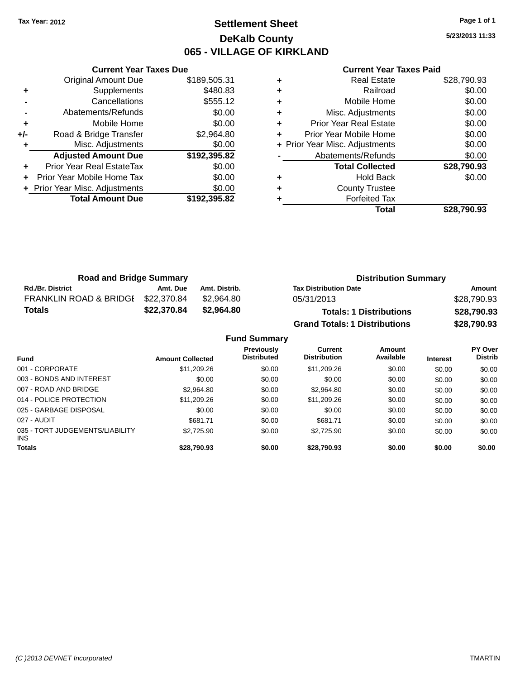### **Settlement Sheet Tax Year: 2012 Page 1 of 1 DeKalb County 065 - VILLAGE OF KIRKLAND**

**5/23/2013 11:33**

|     | <b>Current Year Taxes Due</b>  |              |
|-----|--------------------------------|--------------|
|     | <b>Original Amount Due</b>     | \$189,505.31 |
| ٠   | Supplements                    | \$480.83     |
|     | Cancellations                  | \$555.12     |
|     | Abatements/Refunds             | \$0.00       |
| ٠   | Mobile Home                    | \$0.00       |
| +/- | Road & Bridge Transfer         | \$2,964.80   |
|     | Misc. Adjustments              | \$0.00       |
|     | <b>Adjusted Amount Due</b>     | \$192,395.82 |
|     | Prior Year Real EstateTax      | \$0.00       |
|     | Prior Year Mobile Home Tax     | \$0.00       |
|     | + Prior Year Misc. Adjustments | \$0.00       |
|     | <b>Total Amount Due</b>        | \$192.395.82 |
|     |                                |              |

| <b>Real Estate</b>             | \$28,790.93 |
|--------------------------------|-------------|
| Railroad                       | \$0.00      |
| Mobile Home                    | \$0.00      |
| Misc. Adjustments              | \$0.00      |
| <b>Prior Year Real Estate</b>  | \$0.00      |
| Prior Year Mobile Home         | \$0.00      |
| + Prior Year Misc. Adjustments | \$0.00      |
| Abatements/Refunds             | \$0.00      |
| <b>Total Collected</b>         | \$28,790.93 |
| <b>Hold Back</b>               | \$0.00      |
| <b>County Trustee</b>          |             |
| <b>Forfeited Tax</b>           |             |
| Total                          | \$28.790.93 |
|                                |             |

| <b>Road and Bridge Summary</b>    |             |               | <b>Distribution Summary</b>          |             |  |
|-----------------------------------|-------------|---------------|--------------------------------------|-------------|--|
| <b>Rd./Br. District</b>           | Amt. Due    | Amt. Distrib. | <b>Tax Distribution Date</b>         | Amount      |  |
| <b>FRANKLIN ROAD &amp; BRIDGE</b> | \$22,370.84 | \$2,964.80    | 05/31/2013                           | \$28,790.93 |  |
| <b>Totals</b>                     | \$22,370.84 | \$2,964.80    | <b>Totals: 1 Distributions</b>       | \$28,790.93 |  |
|                                   |             |               | <b>Grand Totals: 1 Distributions</b> | \$28,790.93 |  |

|                                         |                         | <b>Fund Summary</b>                     |                                       |                     |                 |                           |
|-----------------------------------------|-------------------------|-----------------------------------------|---------------------------------------|---------------------|-----------------|---------------------------|
| <b>Fund</b>                             | <b>Amount Collected</b> | <b>Previously</b><br><b>Distributed</b> | <b>Current</b><br><b>Distribution</b> | Amount<br>Available | <b>Interest</b> | PY Over<br><b>Distrib</b> |
| 001 - CORPORATE                         | \$11,209.26             | \$0.00                                  | \$11,209.26                           | \$0.00              | \$0.00          | \$0.00                    |
| 003 - BONDS AND INTEREST                | \$0.00                  | \$0.00                                  | \$0.00                                | \$0.00              | \$0.00          | \$0.00                    |
| 007 - ROAD AND BRIDGE                   | \$2,964.80              | \$0.00                                  | \$2,964.80                            | \$0.00              | \$0.00          | \$0.00                    |
| 014 - POLICE PROTECTION                 | \$11,209.26             | \$0.00                                  | \$11,209.26                           | \$0.00              | \$0.00          | \$0.00                    |
| 025 - GARBAGE DISPOSAL                  | \$0.00                  | \$0.00                                  | \$0.00                                | \$0.00              | \$0.00          | \$0.00                    |
| 027 - AUDIT                             | \$681.71                | \$0.00                                  | \$681.71                              | \$0.00              | \$0.00          | \$0.00                    |
| 035 - TORT JUDGEMENTS/LIABILITY<br>INS. | \$2.725.90              | \$0.00                                  | \$2,725.90                            | \$0.00              | \$0.00          | \$0.00                    |
| <b>Totals</b>                           | \$28.790.93             | \$0.00                                  | \$28,790.93                           | \$0.00              | \$0.00          | \$0.00                    |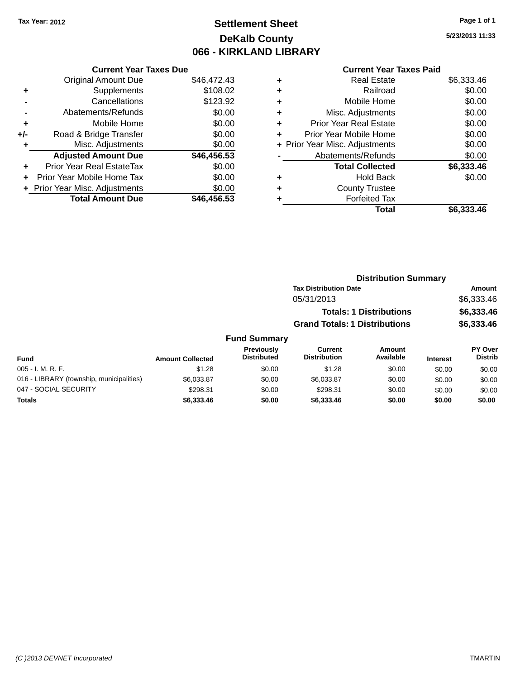# **Settlement Sheet Tax Year: 2012 Page 1 of 1 DeKalb County 066 - KIRKLAND LIBRARY**

**5/23/2013 11:33**

#### **Current Year Taxes Paid**

|     | <b>Current Year Taxes Due</b> |             |
|-----|-------------------------------|-------------|
|     | <b>Original Amount Due</b>    | \$46,472.43 |
| ÷   | Supplements                   | \$108.02    |
|     | Cancellations                 | \$123.92    |
|     | Abatements/Refunds            | \$0.00      |
| ٠   | Mobile Home                   | \$0.00      |
| +/- | Road & Bridge Transfer        | \$0.00      |
|     | Misc. Adjustments             | \$0.00      |
|     | <b>Adjusted Amount Due</b>    | \$46,456.53 |
| ÷   | Prior Year Real EstateTax     | \$0.00      |
| ÷   | Prior Year Mobile Home Tax    | \$0.00      |
|     | Prior Year Misc. Adjustments  | \$0.00      |
|     | <b>Total Amount Due</b>       | \$46,456,53 |
|     |                               |             |

|   | <b>Real Estate</b>             | \$6,333.46 |
|---|--------------------------------|------------|
| ٠ | Railroad                       | \$0.00     |
| ٠ | Mobile Home                    | \$0.00     |
| ٠ | Misc. Adjustments              | \$0.00     |
| ٠ | <b>Prior Year Real Estate</b>  | \$0.00     |
| ٠ | Prior Year Mobile Home         | \$0.00     |
|   | + Prior Year Misc. Adjustments | \$0.00     |
|   | Abatements/Refunds             | \$0.00     |
|   | <b>Total Collected</b>         | \$6,333.46 |
| ٠ | <b>Hold Back</b>               | \$0.00     |
| ٠ | <b>County Trustee</b>          |            |
| ٠ | <b>Forfeited Tax</b>           |            |
|   | Total                          | \$6,333.46 |
|   |                                |            |

|       | <b>Distribution Summary</b>          |            |
|-------|--------------------------------------|------------|
|       | <b>Tax Distribution Date</b>         | Amount     |
|       | 05/31/2013                           | \$6,333.46 |
|       | <b>Totals: 1 Distributions</b>       | \$6,333.46 |
|       | <b>Grand Totals: 1 Distributions</b> | \$6,333.46 |
| nmarv |                                      |            |

#### **Fund Summary Fund Interest Amount Collected Distributed PY Over Distrib Amount Available Current Distribution Previously** 005 - I. M. R. F. Channel Communication (St. 28 \$0.00 \$1.28 \$1.28 \$0.00 \$0.00 \$0.00 \$0.00 \$0.00 016 - LIBRARY (township, municipalities)  $$6,033.87$  \$0.00  $$6,033.87$  \$0.00 \$0.00 \$0.00 047 - SOCIAL SECURITY 60.00 \$298.31 \$0.00 \$298.31 \$0.00 \$0.00 \$0.00 \$0.00 \$0.00 **Totals \$6,333.46 \$0.00 \$6,333.46 \$0.00 \$0.00 \$0.00**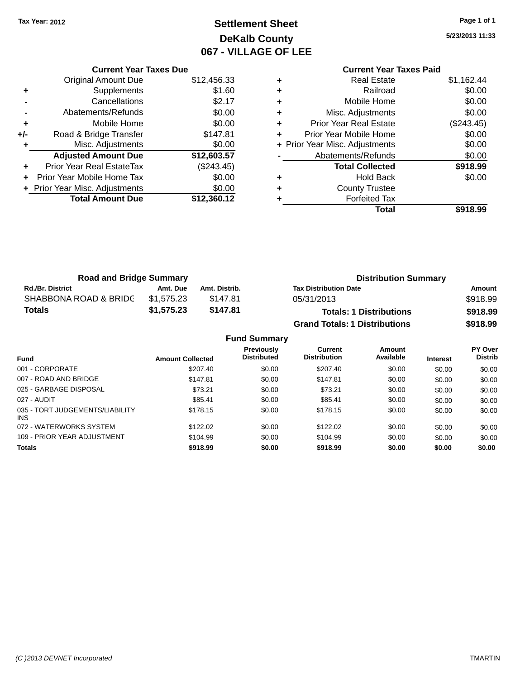# **Settlement Sheet Tax Year: 2012 Page 1 of 1 DeKalb County 067 - VILLAGE OF LEE**

**5/23/2013 11:33**

|     | <b>Current Year Taxes Due</b>  |             |  |  |  |  |
|-----|--------------------------------|-------------|--|--|--|--|
|     | <b>Original Amount Due</b>     | \$12,456.33 |  |  |  |  |
| ٠   | Supplements                    | \$1.60      |  |  |  |  |
|     | Cancellations                  | \$2.17      |  |  |  |  |
|     | Abatements/Refunds             | \$0.00      |  |  |  |  |
| ٠   | Mobile Home                    | \$0.00      |  |  |  |  |
| +/- | Road & Bridge Transfer         | \$147.81    |  |  |  |  |
|     | Misc. Adjustments              | \$0.00      |  |  |  |  |
|     | <b>Adjusted Amount Due</b>     | \$12,603.57 |  |  |  |  |
|     | Prior Year Real EstateTax      | (\$243.45)  |  |  |  |  |
| ÷   | Prior Year Mobile Home Tax     | \$0.00      |  |  |  |  |
|     | + Prior Year Misc. Adjustments | \$0.00      |  |  |  |  |
|     | <b>Total Amount Due</b>        | \$12,360.12 |  |  |  |  |
|     |                                |             |  |  |  |  |

|   | <b>Real Estate</b>             | \$1,162.44 |
|---|--------------------------------|------------|
| ÷ | Railroad                       | \$0.00     |
| ÷ | Mobile Home                    | \$0.00     |
| ٠ | Misc. Adjustments              | \$0.00     |
| ٠ | <b>Prior Year Real Estate</b>  | (\$243.45) |
| ٠ | Prior Year Mobile Home         | \$0.00     |
|   | + Prior Year Misc. Adjustments | \$0.00     |
|   | Abatements/Refunds             | \$0.00     |
|   | <b>Total Collected</b>         | \$918.99   |
| ٠ | <b>Hold Back</b>               | \$0.00     |
| ٠ | <b>County Trustee</b>          |            |
|   | <b>Forfeited Tax</b>           |            |
|   | Total                          | \$918.99   |
|   |                                |            |

| <b>Road and Bridge Summary</b> |            |               | <b>Distribution Summary</b>          |          |  |
|--------------------------------|------------|---------------|--------------------------------------|----------|--|
| <b>Rd./Br. District</b>        | Amt. Due   | Amt. Distrib. | <b>Tax Distribution Date</b>         | Amount   |  |
| SHABBONA ROAD & BRIDC          | \$1.575.23 | \$147.81      | 05/31/2013                           | \$918.99 |  |
| <b>Totals</b>                  | \$1,575.23 | \$147.81      | <b>Totals: 1 Distributions</b>       | \$918.99 |  |
|                                |            |               | <b>Grand Totals: 1 Distributions</b> | \$918.99 |  |

| <b>Fund Summary</b>                           |                         |                                         |                                |                     |                 |                           |
|-----------------------------------------------|-------------------------|-----------------------------------------|--------------------------------|---------------------|-----------------|---------------------------|
| <b>Fund</b>                                   | <b>Amount Collected</b> | <b>Previously</b><br><b>Distributed</b> | Current<br><b>Distribution</b> | Amount<br>Available | <b>Interest</b> | PY Over<br><b>Distrib</b> |
| 001 - CORPORATE                               | \$207.40                | \$0.00                                  | \$207.40                       | \$0.00              | \$0.00          | \$0.00                    |
| 007 - ROAD AND BRIDGE                         | \$147.81                | \$0.00                                  | \$147.81                       | \$0.00              | \$0.00          | \$0.00                    |
| 025 - GARBAGE DISPOSAL                        | \$73.21                 | \$0.00                                  | \$73.21                        | \$0.00              | \$0.00          | \$0.00                    |
| 027 - AUDIT                                   | \$85.41                 | \$0.00                                  | \$85.41                        | \$0.00              | \$0.00          | \$0.00                    |
| 035 - TORT JUDGEMENTS/LIABILITY<br><b>INS</b> | \$178.15                | \$0.00                                  | \$178.15                       | \$0.00              | \$0.00          | \$0.00                    |
| 072 - WATERWORKS SYSTEM                       | \$122.02                | \$0.00                                  | \$122.02                       | \$0.00              | \$0.00          | \$0.00                    |
| 109 - PRIOR YEAR ADJUSTMENT                   | \$104.99                | \$0.00                                  | \$104.99                       | \$0.00              | \$0.00          | \$0.00                    |
| <b>Totals</b>                                 | \$918.99                | \$0.00                                  | \$918.99                       | \$0.00              | \$0.00          | \$0.00                    |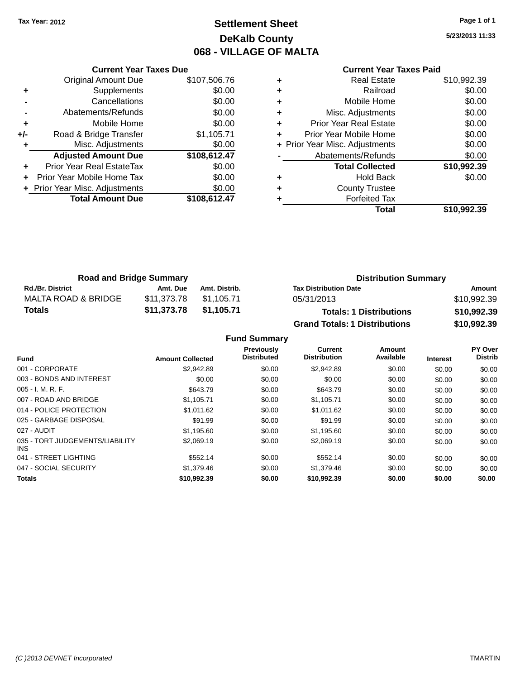# **Settlement Sheet Tax Year: 2012 Page 1 of 1 DeKalb County 068 - VILLAGE OF MALTA**

**5/23/2013 11:33**

### **Current Year Taxes Paid**

|     | <b>Current Year Taxes Due</b>  |              |  |  |  |
|-----|--------------------------------|--------------|--|--|--|
|     | <b>Original Amount Due</b>     | \$107,506.76 |  |  |  |
| ٠   | Supplements                    | \$0.00       |  |  |  |
|     | Cancellations                  | \$0.00       |  |  |  |
|     | Abatements/Refunds             | \$0.00       |  |  |  |
| ٠   | Mobile Home                    | \$0.00       |  |  |  |
| +/- | Road & Bridge Transfer         | \$1,105.71   |  |  |  |
|     | Misc. Adjustments              | \$0.00       |  |  |  |
|     | <b>Adjusted Amount Due</b>     | \$108,612.47 |  |  |  |
| ٠   | Prior Year Real EstateTax      | \$0.00       |  |  |  |
|     | Prior Year Mobile Home Tax     | \$0.00       |  |  |  |
|     | + Prior Year Misc. Adjustments | \$0.00       |  |  |  |
|     | <b>Total Amount Due</b>        | \$108,612.47 |  |  |  |
|     |                                |              |  |  |  |

|   | <b>Real Estate</b>             | \$10,992.39 |
|---|--------------------------------|-------------|
| ٠ | Railroad                       | \$0.00      |
| ٠ | Mobile Home                    | \$0.00      |
| ٠ | Misc. Adjustments              | \$0.00      |
| ٠ | <b>Prior Year Real Estate</b>  | \$0.00      |
| ٠ | Prior Year Mobile Home         | \$0.00      |
|   | + Prior Year Misc. Adjustments | \$0.00      |
|   | Abatements/Refunds             | \$0.00      |
|   | <b>Total Collected</b>         | \$10,992.39 |
| ٠ | <b>Hold Back</b>               | \$0.00      |
| ٠ | <b>County Trustee</b>          |             |
| ٠ | <b>Forfeited Tax</b>           |             |
|   | Total                          | \$10,992.39 |
|   |                                |             |

| <b>Road and Bridge Summary</b> |             |               | <b>Distribution Summary</b>          |             |  |
|--------------------------------|-------------|---------------|--------------------------------------|-------------|--|
| <b>Rd./Br. District</b>        | Amt. Due    | Amt. Distrib. | <b>Tax Distribution Date</b>         | Amount      |  |
| MALTA ROAD & BRIDGE            | \$11,373.78 | \$1.105.71    | 05/31/2013                           | \$10,992.39 |  |
| <b>Totals</b>                  | \$11,373.78 | \$1,105.71    | <b>Totals: 1 Distributions</b>       | \$10,992.39 |  |
|                                |             |               | <b>Grand Totals: 1 Distributions</b> | \$10,992.39 |  |

| <b>Fund</b>                             | <b>Amount Collected</b> | Previously<br><b>Distributed</b> | Current<br><b>Distribution</b> | Amount<br>Available | <b>Interest</b> | PY Over<br><b>Distrib</b> |
|-----------------------------------------|-------------------------|----------------------------------|--------------------------------|---------------------|-----------------|---------------------------|
| 001 - CORPORATE                         | \$2.942.89              | \$0.00                           | \$2,942.89                     | \$0.00              | \$0.00          | \$0.00                    |
| 003 - BONDS AND INTEREST                | \$0.00                  | \$0.00                           | \$0.00                         | \$0.00              | \$0.00          | \$0.00                    |
| $005 - I. M. R. F.$                     | \$643.79                | \$0.00                           | \$643.79                       | \$0.00              | \$0.00          | \$0.00                    |
| 007 - ROAD AND BRIDGE                   | \$1,105.71              | \$0.00                           | \$1,105.71                     | \$0.00              | \$0.00          | \$0.00                    |
| 014 - POLICE PROTECTION                 | \$1,011.62              | \$0.00                           | \$1,011.62                     | \$0.00              | \$0.00          | \$0.00                    |
| 025 - GARBAGE DISPOSAL                  | \$91.99                 | \$0.00                           | \$91.99                        | \$0.00              | \$0.00          | \$0.00                    |
| 027 - AUDIT                             | \$1.195.60              | \$0.00                           | \$1,195.60                     | \$0.00              | \$0.00          | \$0.00                    |
| 035 - TORT JUDGEMENTS/LIABILITY<br>INS. | \$2,069.19              | \$0.00                           | \$2,069.19                     | \$0.00              | \$0.00          | \$0.00                    |
| 041 - STREET LIGHTING                   | \$552.14                | \$0.00                           | \$552.14                       | \$0.00              | \$0.00          | \$0.00                    |
| 047 - SOCIAL SECURITY                   | \$1,379.46              | \$0.00                           | \$1,379.46                     | \$0.00              | \$0.00          | \$0.00                    |
| <b>Totals</b>                           | \$10,992.39             | \$0.00                           | \$10,992.39                    | \$0.00              | \$0.00          | \$0.00                    |
|                                         |                         |                                  |                                |                     |                 |                           |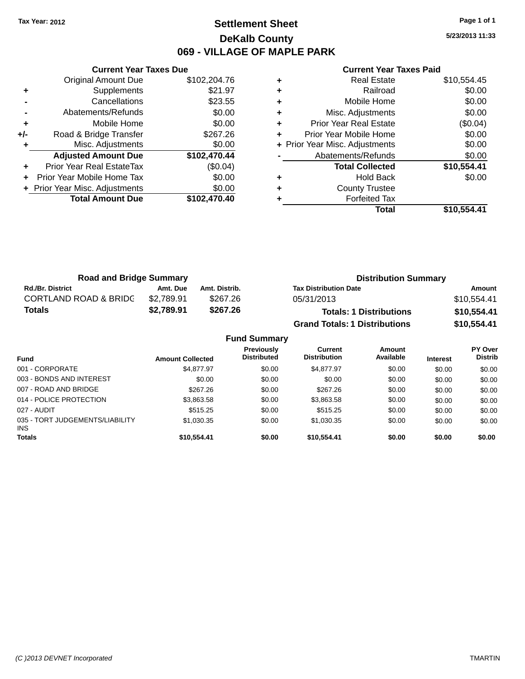### **Settlement Sheet Tax Year: 2012 Page 1 of 1 DeKalb County 069 - VILLAGE OF MAPLE PARK**

**5/23/2013 11:33**

| <b>Current Year Taxes Paid</b> |  |  |  |
|--------------------------------|--|--|--|
|--------------------------------|--|--|--|

|       | <b>Current Year Taxes Due</b>  |              |  |  |  |
|-------|--------------------------------|--------------|--|--|--|
|       | <b>Original Amount Due</b>     | \$102,204.76 |  |  |  |
| ٠     | Supplements                    | \$21.97      |  |  |  |
|       | Cancellations                  | \$23.55      |  |  |  |
|       | Abatements/Refunds             | \$0.00       |  |  |  |
| ٠     | Mobile Home                    | \$0.00       |  |  |  |
| $+/-$ | Road & Bridge Transfer         | \$267.26     |  |  |  |
| ٠     | Misc. Adjustments              | \$0.00       |  |  |  |
|       | <b>Adjusted Amount Due</b>     | \$102,470.44 |  |  |  |
|       | Prior Year Real EstateTax      | (\$0.04)     |  |  |  |
|       | Prior Year Mobile Home Tax     | \$0.00       |  |  |  |
|       | + Prior Year Misc. Adjustments | \$0.00       |  |  |  |
|       | <b>Total Amount Due</b>        | \$102,470.40 |  |  |  |
|       |                                |              |  |  |  |

|   | <b>Real Estate</b>             | \$10,554.45 |
|---|--------------------------------|-------------|
| ٠ | Railroad                       | \$0.00      |
| ٠ | Mobile Home                    | \$0.00      |
| ٠ | Misc. Adjustments              | \$0.00      |
| ٠ | Prior Year Real Estate         | (\$0.04)    |
| ٠ | Prior Year Mobile Home         | \$0.00      |
|   | + Prior Year Misc. Adjustments | \$0.00      |
|   | Abatements/Refunds             | \$0.00      |
|   | <b>Total Collected</b>         | \$10,554.41 |
| ٠ | Hold Back                      | \$0.00      |
| ٠ | <b>County Trustee</b>          |             |
|   | <b>Forfeited Tax</b>           |             |
|   | Total                          | \$10,554.41 |

| <b>Road and Bridge Summary</b>   |            |               | <b>Distribution Summary</b>          |             |  |
|----------------------------------|------------|---------------|--------------------------------------|-------------|--|
| <b>Rd./Br. District</b>          | Amt. Due   | Amt. Distrib. | <b>Tax Distribution Date</b>         | Amount      |  |
| <b>CORTLAND ROAD &amp; BRIDC</b> | \$2.789.91 | \$267.26      | 05/31/2013                           | \$10,554.41 |  |
| Totals                           | \$2,789.91 | \$267.26      | <b>Totals: 1 Distributions</b>       | \$10,554.41 |  |
|                                  |            |               | <b>Grand Totals: 1 Distributions</b> | \$10,554.41 |  |

| <b>Fund Summary</b>                     |                         |                                         |                                       |                     |                 |                           |  |  |
|-----------------------------------------|-------------------------|-----------------------------------------|---------------------------------------|---------------------|-----------------|---------------------------|--|--|
| <b>Fund</b>                             | <b>Amount Collected</b> | <b>Previously</b><br><b>Distributed</b> | <b>Current</b><br><b>Distribution</b> | Amount<br>Available | <b>Interest</b> | PY Over<br><b>Distrib</b> |  |  |
| 001 - CORPORATE                         | \$4,877.97              | \$0.00                                  | \$4,877.97                            | \$0.00              | \$0.00          | \$0.00                    |  |  |
| 003 - BONDS AND INTEREST                | \$0.00                  | \$0.00                                  | \$0.00                                | \$0.00              | \$0.00          | \$0.00                    |  |  |
| 007 - ROAD AND BRIDGE                   | \$267.26                | \$0.00                                  | \$267.26                              | \$0.00              | \$0.00          | \$0.00                    |  |  |
| 014 - POLICE PROTECTION                 | \$3,863.58              | \$0.00                                  | \$3,863.58                            | \$0.00              | \$0.00          | \$0.00                    |  |  |
| 027 - AUDIT                             | \$515.25                | \$0.00                                  | \$515.25                              | \$0.00              | \$0.00          | \$0.00                    |  |  |
| 035 - TORT JUDGEMENTS/LIABILITY<br>INS. | \$1,030.35              | \$0.00                                  | \$1,030.35                            | \$0.00              | \$0.00          | \$0.00                    |  |  |
| <b>Totals</b>                           | \$10,554.41             | \$0.00                                  | \$10.554.41                           | \$0.00              | \$0.00          | \$0.00                    |  |  |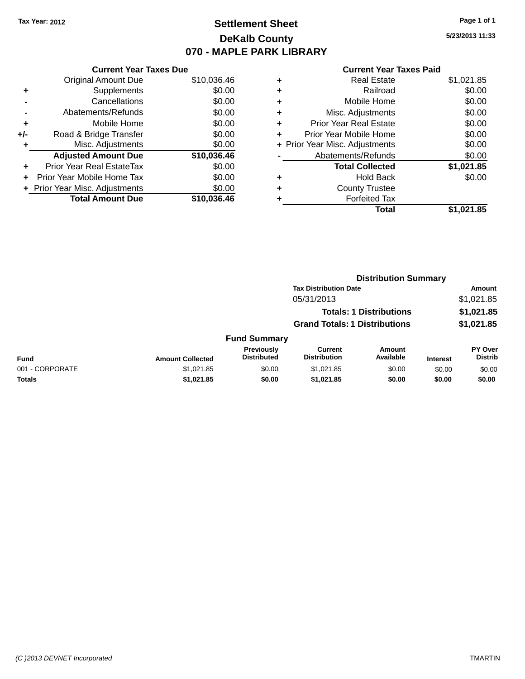# **Settlement Sheet Tax Year: 2012 Page 1 of 1 DeKalb County 070 - MAPLE PARK LIBRARY**

**5/23/2013 11:33**

|     | <b>Current Year Taxes Due</b>  |             |
|-----|--------------------------------|-------------|
|     | <b>Original Amount Due</b>     | \$10,036.46 |
| ٠   | Supplements                    | \$0.00      |
|     | Cancellations                  | \$0.00      |
|     | Abatements/Refunds             | \$0.00      |
| ٠   | Mobile Home                    | \$0.00      |
| +/- | Road & Bridge Transfer         | \$0.00      |
| ٠   | Misc. Adjustments              | \$0.00      |
|     | <b>Adjusted Amount Due</b>     | \$10,036.46 |
| ٠   | Prior Year Real EstateTax      | \$0.00      |
|     | Prior Year Mobile Home Tax     | \$0.00      |
|     | + Prior Year Misc. Adjustments | \$0.00      |
|     | <b>Total Amount Due</b>        | \$10,036.46 |
|     |                                |             |

| ٠ | <b>Real Estate</b>             | \$1,021.85 |
|---|--------------------------------|------------|
| ٠ | Railroad                       | \$0.00     |
| ٠ | Mobile Home                    | \$0.00     |
| ٠ | Misc. Adjustments              | \$0.00     |
| ٠ | <b>Prior Year Real Estate</b>  | \$0.00     |
| ٠ | Prior Year Mobile Home         | \$0.00     |
|   | + Prior Year Misc. Adjustments | \$0.00     |
|   | Abatements/Refunds             | \$0.00     |
|   | <b>Total Collected</b>         | \$1,021.85 |
| ٠ | <b>Hold Back</b>               | \$0.00     |
| ٠ | <b>County Trustee</b>          |            |
| ٠ | <b>Forfeited Tax</b>           |            |
|   | Total                          | \$1,021.85 |
|   |                                |            |

|                 |                              |                                  |                                       | <b>Distribution Summary</b>    |                 |                                  |
|-----------------|------------------------------|----------------------------------|---------------------------------------|--------------------------------|-----------------|----------------------------------|
|                 | <b>Tax Distribution Date</b> |                                  |                                       | Amount                         |                 |                                  |
|                 |                              |                                  | 05/31/2013                            |                                |                 | \$1,021.85                       |
|                 |                              |                                  |                                       | <b>Totals: 1 Distributions</b> |                 | \$1,021.85                       |
|                 |                              |                                  | <b>Grand Totals: 1 Distributions</b>  |                                |                 | \$1,021.85                       |
|                 |                              | <b>Fund Summary</b>              |                                       |                                |                 |                                  |
| <b>Fund</b>     | <b>Amount Collected</b>      | Previously<br><b>Distributed</b> | <b>Current</b><br><b>Distribution</b> | Amount<br>Available            | <b>Interest</b> | <b>PY Over</b><br><b>Distrib</b> |
| 001 - CORPORATE | \$1,021.85                   | \$0.00                           | \$1,021.85                            | \$0.00                         | \$0.00          | \$0.00                           |
| Totals          | \$1,021.85                   | \$0.00                           | \$1,021.85                            | \$0.00                         | \$0.00          | \$0.00                           |
|                 |                              |                                  |                                       |                                |                 |                                  |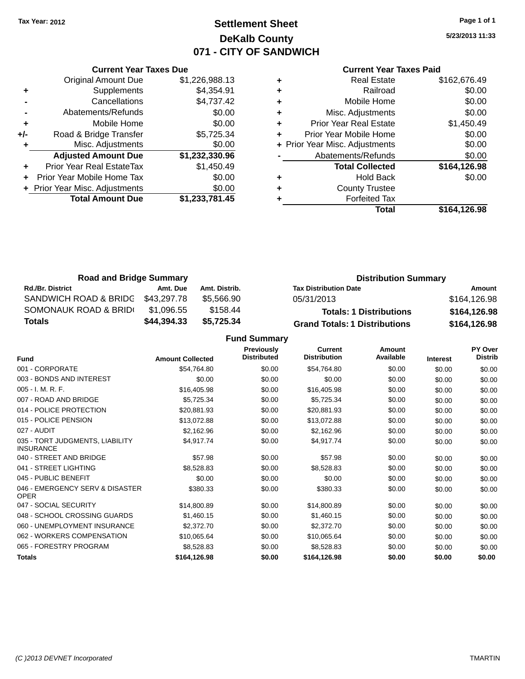### **Settlement Sheet Tax Year: 2012 Page 1 of 1 DeKalb County 071 - CITY OF SANDWICH**

**5/23/2013 11:33**

#### **Current Year Taxes Paid**

|     | <b>Current Year Taxes Due</b>  |                |
|-----|--------------------------------|----------------|
|     | <b>Original Amount Due</b>     | \$1,226,988.13 |
| ٠   | Supplements                    | \$4,354.91     |
|     | Cancellations                  | \$4,737.42     |
|     | Abatements/Refunds             | \$0.00         |
| ٠   | Mobile Home                    | \$0.00         |
| +/- | Road & Bridge Transfer         | \$5,725.34     |
| ٠   | Misc. Adjustments              | \$0.00         |
|     | <b>Adjusted Amount Due</b>     | \$1,232,330.96 |
|     | Prior Year Real EstateTax      | \$1,450.49     |
|     | Prior Year Mobile Home Tax     | \$0.00         |
|     | + Prior Year Misc. Adjustments | \$0.00         |
|     | <b>Total Amount Due</b>        | \$1,233,781.45 |
|     |                                |                |

| <b>Real Estate</b>             | \$162,676.49 |
|--------------------------------|--------------|
| Railroad                       | \$0.00       |
| Mobile Home                    | \$0.00       |
| Misc. Adjustments              | \$0.00       |
| <b>Prior Year Real Estate</b>  | \$1,450.49   |
| Prior Year Mobile Home         | \$0.00       |
| + Prior Year Misc. Adjustments | \$0.00       |
| Abatements/Refunds             | \$0.00       |
| <b>Total Collected</b>         | \$164,126.98 |
| <b>Hold Back</b>               | \$0.00       |
| <b>County Trustee</b>          |              |
| <b>Forfeited Tax</b>           |              |
| Total                          | \$164,126.98 |
|                                |              |

| <b>Road and Bridge Summary</b> |             |               | <b>Distribution Summary</b>          |              |
|--------------------------------|-------------|---------------|--------------------------------------|--------------|
| <b>Rd./Br. District</b>        | Amt. Due    | Amt. Distrib. | <b>Tax Distribution Date</b>         | Amount       |
| SANDWICH ROAD & BRIDG          | \$43.297.78 | \$5.566.90    | 05/31/2013                           | \$164,126.98 |
| SOMONAUK ROAD & BRIDI          | \$1.096.55  | \$158.44      | <b>Totals: 1 Distributions</b>       | \$164,126.98 |
| Totals                         | \$44,394.33 | \$5.725.34    | <b>Grand Totals: 1 Distributions</b> | \$164,126.98 |

| Fund                                                | <b>Amount Collected</b> | <b>Previously</b><br><b>Distributed</b> | <b>Current</b><br><b>Distribution</b> | <b>Amount</b><br>Available | <b>Interest</b> | PY Over<br><b>Distrib</b> |
|-----------------------------------------------------|-------------------------|-----------------------------------------|---------------------------------------|----------------------------|-----------------|---------------------------|
| 001 - CORPORATE                                     | \$54,764.80             | \$0.00                                  | \$54,764.80                           | \$0.00                     | \$0.00          | \$0.00                    |
| 003 - BONDS AND INTEREST                            | \$0.00                  | \$0.00                                  | \$0.00                                | \$0.00                     | \$0.00          | \$0.00                    |
| 005 - I. M. R. F.                                   | \$16,405.98             | \$0.00                                  | \$16,405.98                           | \$0.00                     | \$0.00          | \$0.00                    |
| 007 - ROAD AND BRIDGE                               | \$5,725.34              | \$0.00                                  | \$5,725.34                            | \$0.00                     | \$0.00          | \$0.00                    |
| 014 - POLICE PROTECTION                             | \$20,881.93             | \$0.00                                  | \$20,881.93                           | \$0.00                     | \$0.00          | \$0.00                    |
| 015 - POLICE PENSION                                | \$13,072.88             | \$0.00                                  | \$13,072.88                           | \$0.00                     | \$0.00          | \$0.00                    |
| 027 - AUDIT                                         | \$2,162.96              | \$0.00                                  | \$2,162.96                            | \$0.00                     | \$0.00          | \$0.00                    |
| 035 - TORT JUDGMENTS, LIABILITY<br><b>INSURANCE</b> | \$4,917.74              | \$0.00                                  | \$4,917.74                            | \$0.00                     | \$0.00          | \$0.00                    |
| 040 - STREET AND BRIDGE                             | \$57.98                 | \$0.00                                  | \$57.98                               | \$0.00                     | \$0.00          | \$0.00                    |
| 041 - STREET LIGHTING                               | \$8,528.83              | \$0.00                                  | \$8,528.83                            | \$0.00                     | \$0.00          | \$0.00                    |
| 045 - PUBLIC BENEFIT                                | \$0.00                  | \$0.00                                  | \$0.00                                | \$0.00                     | \$0.00          | \$0.00                    |
| 046 - EMERGENCY SERV & DISASTER<br><b>OPER</b>      | \$380.33                | \$0.00                                  | \$380.33                              | \$0.00                     | \$0.00          | \$0.00                    |
| 047 - SOCIAL SECURITY                               | \$14,800.89             | \$0.00                                  | \$14,800.89                           | \$0.00                     | \$0.00          | \$0.00                    |
| 048 - SCHOOL CROSSING GUARDS                        | \$1,460.15              | \$0.00                                  | \$1,460.15                            | \$0.00                     | \$0.00          | \$0.00                    |
| 060 - UNEMPLOYMENT INSURANCE                        | \$2,372.70              | \$0.00                                  | \$2,372.70                            | \$0.00                     | \$0.00          | \$0.00                    |
| 062 - WORKERS COMPENSATION                          | \$10,065.64             | \$0.00                                  | \$10,065.64                           | \$0.00                     | \$0.00          | \$0.00                    |
| 065 - FORESTRY PROGRAM                              | \$8,528.83              | \$0.00                                  | \$8,528.83                            | \$0.00                     | \$0.00          | \$0.00                    |
| <b>Totals</b>                                       | \$164,126.98            | \$0.00                                  | \$164,126.98                          | \$0.00                     | \$0.00          | \$0.00                    |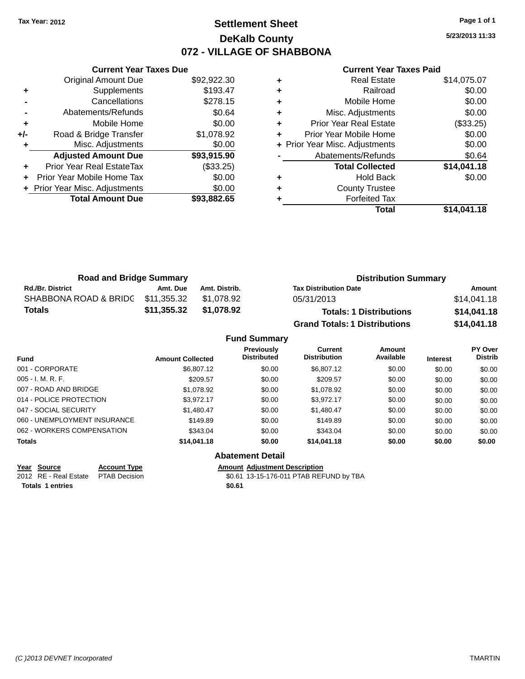### **Settlement Sheet Tax Year: 2012 Page 1 of 1 DeKalb County 072 - VILLAGE OF SHABBONA**

**5/23/2013 11:33**

#### **Current Year Taxes Paid**

|     | <b>Current Year Taxes Due</b>    |             |
|-----|----------------------------------|-------------|
|     | <b>Original Amount Due</b>       | \$92,922.30 |
| ٠   | Supplements                      | \$193.47    |
|     | Cancellations                    | \$278.15    |
|     | Abatements/Refunds               | \$0.64      |
| ٠   | Mobile Home                      | \$0.00      |
| +/- | Road & Bridge Transfer           | \$1,078.92  |
|     | Misc. Adjustments                | \$0.00      |
|     | <b>Adjusted Amount Due</b>       | \$93,915.90 |
|     | <b>Prior Year Real EstateTax</b> | (\$33.25)   |
|     | Prior Year Mobile Home Tax       | \$0.00      |
|     | + Prior Year Misc. Adjustments   | \$0.00      |
|     | <b>Total Amount Due</b>          | \$93.882.65 |
|     |                                  |             |

| ٠ | <b>Real Estate</b>             | \$14,075.07 |
|---|--------------------------------|-------------|
| ٠ | Railroad                       | \$0.00      |
| ٠ | Mobile Home                    | \$0.00      |
| ٠ | Misc. Adjustments              | \$0.00      |
| ٠ | Prior Year Real Estate         | (\$33.25)   |
| ٠ | Prior Year Mobile Home         | \$0.00      |
|   | + Prior Year Misc. Adjustments | \$0.00      |
|   | Abatements/Refunds             | \$0.64      |
|   | <b>Total Collected</b>         | \$14,041.18 |
| ٠ | <b>Hold Back</b>               | \$0.00      |
| ٠ | <b>County Trustee</b>          |             |
| ٠ | <b>Forfeited Tax</b>           |             |
|   | Total                          | \$14,041.18 |
|   |                                |             |

| <b>Road and Bridge Summary</b>    |             |               | <b>Distribution Summary</b>          |             |
|-----------------------------------|-------------|---------------|--------------------------------------|-------------|
| <b>Rd./Br. District</b>           | Amt. Due    | Amt. Distrib. | <b>Tax Distribution Date</b>         | Amount      |
| SHABBONA ROAD & BRIDC \$11,355.32 |             | \$1.078.92    | 05/31/2013                           | \$14,041.18 |
| Totals                            | \$11,355.32 | \$1.078.92    | <b>Totals: 1 Distributions</b>       | \$14,041.18 |
|                                   |             |               | <b>Grand Totals: 1 Distributions</b> | \$14,041.18 |

|                              |                         | <b>Fund Summary</b>                     |                                       |                            |                 |                           |
|------------------------------|-------------------------|-----------------------------------------|---------------------------------------|----------------------------|-----------------|---------------------------|
| <b>Fund</b>                  | <b>Amount Collected</b> | <b>Previously</b><br><b>Distributed</b> | <b>Current</b><br><b>Distribution</b> | <b>Amount</b><br>Available | <b>Interest</b> | PY Over<br><b>Distrib</b> |
| 001 - CORPORATE              | \$6,807.12              | \$0.00                                  | \$6,807.12                            | \$0.00                     | \$0.00          | \$0.00                    |
| 005 - I. M. R. F.            | \$209.57                | \$0.00                                  | \$209.57                              | \$0.00                     | \$0.00          | \$0.00                    |
| 007 - ROAD AND BRIDGE        | \$1,078.92              | \$0.00                                  | \$1,078.92                            | \$0.00                     | \$0.00          | \$0.00                    |
| 014 - POLICE PROTECTION      | \$3.972.17              | \$0.00                                  | \$3.972.17                            | \$0.00                     | \$0.00          | \$0.00                    |
| 047 - SOCIAL SECURITY        | \$1.480.47              | \$0.00                                  | \$1.480.47                            | \$0.00                     | \$0.00          | \$0.00                    |
| 060 - UNEMPLOYMENT INSURANCE | \$149.89                | \$0.00                                  | \$149.89                              | \$0.00                     | \$0.00          | \$0.00                    |
| 062 - WORKERS COMPENSATION   | \$343.04                | \$0.00                                  | \$343.04                              | \$0.00                     | \$0.00          | \$0.00                    |
| <b>Totals</b>                | \$14,041.18             | \$0.00                                  | \$14,041.18                           | \$0.00                     | \$0.00          | \$0.00                    |
|                              |                         | Ahotomont Dotail                        |                                       |                            |                 |                           |

**Totals 1 entries \$0.61**

#### **Abatement Detail**

**Year Source Account Type Amount Adjustment Description**<br>2012 RE - Real Estate PTAB Decision **Amount Adjustment Description** 

\$0.61 13-15-176-011 PTAB REFUND by TBA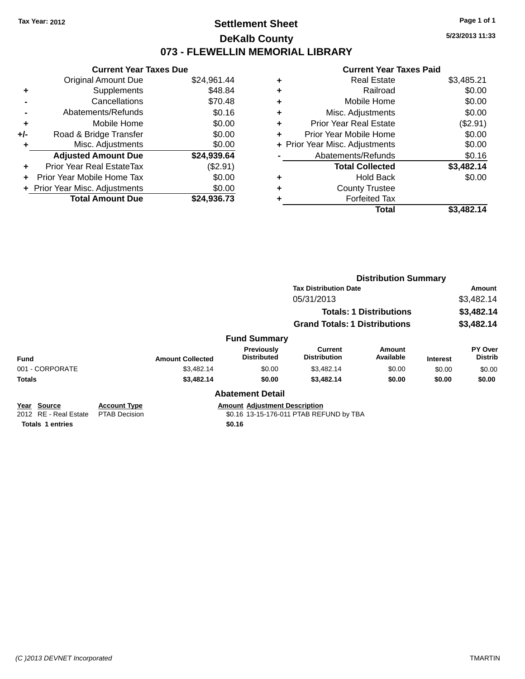### **Settlement Sheet Tax Year: 2012 Page 1 of 1 DeKalb County 073 - FLEWELLIN MEMORIAL LIBRARY**

**5/23/2013 11:33**

#### **Current Year Taxes Paid**

|     | <b>Current Year Taxes Due</b>    |             |
|-----|----------------------------------|-------------|
|     | <b>Original Amount Due</b>       | \$24,961.44 |
| ٠   | Supplements                      | \$48.84     |
|     | Cancellations                    | \$70.48     |
|     | Abatements/Refunds               | \$0.16      |
| ٠   | Mobile Home                      | \$0.00      |
| +/- | Road & Bridge Transfer           | \$0.00      |
|     | Misc. Adjustments                | \$0.00      |
|     | <b>Adjusted Amount Due</b>       | \$24,939.64 |
| ÷   | <b>Prior Year Real EstateTax</b> | (\$2.91)    |
| ÷   | Prior Year Mobile Home Tax       | \$0.00      |
|     | + Prior Year Misc. Adjustments   | \$0.00      |
|     | <b>Total Amount Due</b>          | \$24.936.73 |

| ٠ | <b>Real Estate</b>             | \$3,485.21 |
|---|--------------------------------|------------|
| ٠ | Railroad                       | \$0.00     |
| ٠ | Mobile Home                    | \$0.00     |
| ٠ | Misc. Adjustments              | \$0.00     |
| ٠ | <b>Prior Year Real Estate</b>  | (\$2.91)   |
| ٠ | Prior Year Mobile Home         | \$0.00     |
|   | + Prior Year Misc. Adjustments | \$0.00     |
|   | Abatements/Refunds             | \$0.16     |
|   | <b>Total Collected</b>         | \$3,482.14 |
| ٠ | <b>Hold Back</b>               | \$0.00     |
| ٠ | <b>County Trustee</b>          |            |
| ٠ | <b>Forfeited Tax</b>           |            |
|   | Total                          | \$3,482.14 |
|   |                                |            |

|                                         |                                             |                         |                                         |                                         | <b>Distribution Summary</b>    |                 |                           |
|-----------------------------------------|---------------------------------------------|-------------------------|-----------------------------------------|-----------------------------------------|--------------------------------|-----------------|---------------------------|
|                                         |                                             |                         |                                         | <b>Tax Distribution Date</b>            |                                |                 | <b>Amount</b>             |
|                                         |                                             |                         |                                         | 05/31/2013                              |                                |                 | \$3,482.14                |
|                                         |                                             |                         |                                         |                                         | <b>Totals: 1 Distributions</b> |                 | \$3,482.14                |
|                                         |                                             |                         |                                         | <b>Grand Totals: 1 Distributions</b>    |                                |                 | \$3,482.14                |
|                                         |                                             |                         | <b>Fund Summary</b>                     |                                         |                                |                 |                           |
| <b>Fund</b>                             |                                             | <b>Amount Collected</b> | <b>Previously</b><br><b>Distributed</b> | Current<br><b>Distribution</b>          | Amount<br>Available            | <b>Interest</b> | PY Over<br><b>Distrib</b> |
| 001 - CORPORATE                         |                                             | \$3,482.14              | \$0.00                                  | \$3,482.14                              | \$0.00                         | \$0.00          | \$0.00                    |
| <b>Totals</b>                           |                                             | \$3,482.14              | \$0.00                                  | \$3,482.14                              | \$0.00                         | \$0.00          | \$0.00                    |
|                                         |                                             |                         | <b>Abatement Detail</b>                 |                                         |                                |                 |                           |
| Source<br>Year<br>2012 RE - Real Estate | <b>Account Type</b><br><b>PTAB Decision</b> |                         | <b>Amount Adjustment Description</b>    | \$0.16 13-15-176-011 PTAB REFUND by TBA |                                |                 |                           |

**Totals 1 entries \$0.16**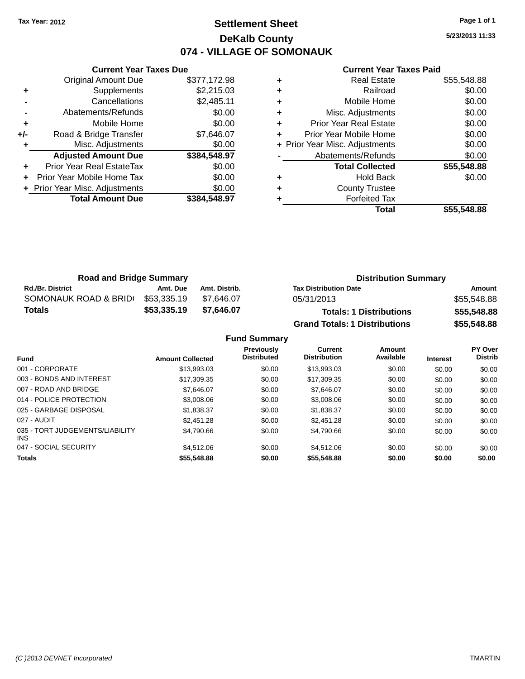### **Settlement Sheet Tax Year: 2012 Page 1 of 1 DeKalb County 074 - VILLAGE OF SOMONAUK**

**5/23/2013 11:33**

|     | <b>Current Year Taxes Due</b>  |              |
|-----|--------------------------------|--------------|
|     | <b>Original Amount Due</b>     | \$377,172.98 |
| ٠   | Supplements                    | \$2,215.03   |
|     | Cancellations                  | \$2,485.11   |
|     | Abatements/Refunds             | \$0.00       |
| ٠   | Mobile Home                    | \$0.00       |
| +/- | Road & Bridge Transfer         | \$7,646.07   |
|     | Misc. Adjustments              | \$0.00       |
|     | <b>Adjusted Amount Due</b>     | \$384,548.97 |
| ÷   | Prior Year Real EstateTax      | \$0.00       |
|     | Prior Year Mobile Home Tax     | \$0.00       |
|     | + Prior Year Misc. Adjustments | \$0.00       |
|     | <b>Total Amount Due</b>        | \$384.548.97 |
|     |                                |              |

|   | <b>Real Estate</b>             | \$55,548.88 |
|---|--------------------------------|-------------|
| ÷ | Railroad                       | \$0.00      |
| ٠ | Mobile Home                    | \$0.00      |
| ٠ | Misc. Adjustments              | \$0.00      |
| ٠ | <b>Prior Year Real Estate</b>  | \$0.00      |
| ٠ | Prior Year Mobile Home         | \$0.00      |
|   | + Prior Year Misc. Adjustments | \$0.00      |
|   | Abatements/Refunds             | \$0.00      |
|   | <b>Total Collected</b>         | \$55,548.88 |
| ٠ | <b>Hold Back</b>               | \$0.00      |
| ٠ | <b>County Trustee</b>          |             |
|   | <b>Forfeited Tax</b>           |             |
|   | Total                          | \$55.548.88 |

| <b>Road and Bridge Summary</b> |             |               | <b>Distribution Summary</b>          |             |
|--------------------------------|-------------|---------------|--------------------------------------|-------------|
| <b>Rd./Br. District</b>        | Amt. Due    | Amt. Distrib. | <b>Tax Distribution Date</b>         | Amount      |
| SOMONAUK ROAD & BRIDI          | \$53,335.19 | \$7.646.07    | 05/31/2013                           | \$55,548.88 |
| Totals                         | \$53,335.19 | \$7.646.07    | <b>Totals: 1 Distributions</b>       | \$55,548.88 |
|                                |             |               | <b>Grand Totals: 1 Distributions</b> | \$55,548.88 |

|                                         |                         | <b>Fund Summary</b>              |                                       |                     |                 |                           |
|-----------------------------------------|-------------------------|----------------------------------|---------------------------------------|---------------------|-----------------|---------------------------|
| <b>Fund</b>                             | <b>Amount Collected</b> | Previously<br><b>Distributed</b> | <b>Current</b><br><b>Distribution</b> | Amount<br>Available | <b>Interest</b> | PY Over<br><b>Distrib</b> |
| 001 - CORPORATE                         | \$13,993.03             | \$0.00                           | \$13,993.03                           | \$0.00              | \$0.00          | \$0.00                    |
| 003 - BONDS AND INTEREST                | \$17,309.35             | \$0.00                           | \$17,309.35                           | \$0.00              | \$0.00          | \$0.00                    |
| 007 - ROAD AND BRIDGE                   | \$7.646.07              | \$0.00                           | \$7,646.07                            | \$0.00              | \$0.00          | \$0.00                    |
| 014 - POLICE PROTECTION                 | \$3,008.06              | \$0.00                           | \$3,008.06                            | \$0.00              | \$0.00          | \$0.00                    |
| 025 - GARBAGE DISPOSAL                  | \$1.838.37              | \$0.00                           | \$1,838.37                            | \$0.00              | \$0.00          | \$0.00                    |
| 027 - AUDIT                             | \$2,451.28              | \$0.00                           | \$2,451.28                            | \$0.00              | \$0.00          | \$0.00                    |
| 035 - TORT JUDGEMENTS/LIABILITY<br>INS. | \$4.790.66              | \$0.00                           | \$4.790.66                            | \$0.00              | \$0.00          | \$0.00                    |
| 047 - SOCIAL SECURITY                   | \$4,512.06              | \$0.00                           | \$4.512.06                            | \$0.00              | \$0.00          | \$0.00                    |
| <b>Totals</b>                           | \$55,548.88             | \$0.00                           | \$55,548.88                           | \$0.00              | \$0.00          | \$0.00                    |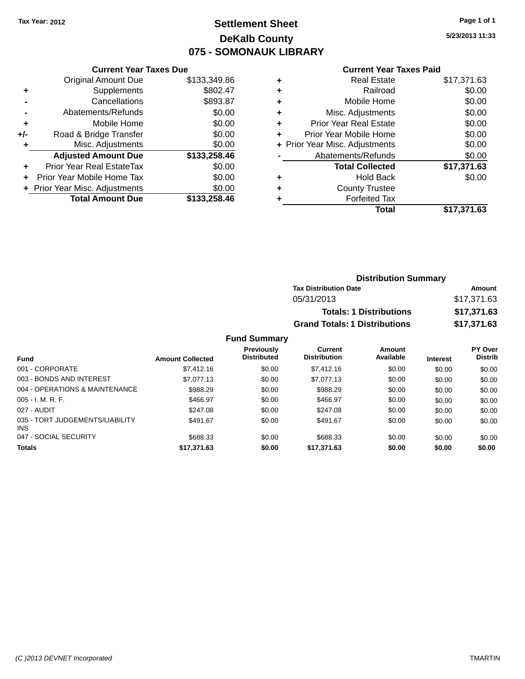# **Settlement Sheet Tax Year: 2012 Page 1 of 1 DeKalb County 075 - SOMONAUK LIBRARY**

**5/23/2013 11:33**

#### **Current Year Taxes Paid**

|     | <b>Current Year Taxes Due</b>  |              |
|-----|--------------------------------|--------------|
|     | <b>Original Amount Due</b>     | \$133,349.86 |
| ÷   | Supplements                    | \$802.47     |
|     | Cancellations                  | \$893.87     |
|     | Abatements/Refunds             | \$0.00       |
| ٠   | Mobile Home                    | \$0.00       |
| +/- | Road & Bridge Transfer         | \$0.00       |
|     | Misc. Adjustments              | \$0.00       |
|     | <b>Adjusted Amount Due</b>     | \$133,258.46 |
| ÷   | Prior Year Real EstateTax      | \$0.00       |
|     | Prior Year Mobile Home Tax     | \$0.00       |
|     | + Prior Year Misc. Adjustments | \$0.00       |
|     | <b>Total Amount Due</b>        | \$133,258.46 |
|     |                                |              |

|   | <b>Real Estate</b>             | \$17,371.63 |
|---|--------------------------------|-------------|
| ٠ | Railroad                       | \$0.00      |
| ٠ | Mobile Home                    | \$0.00      |
| ٠ | Misc. Adjustments              | \$0.00      |
| ٠ | <b>Prior Year Real Estate</b>  | \$0.00      |
| ٠ | Prior Year Mobile Home         | \$0.00      |
|   | + Prior Year Misc. Adjustments | \$0.00      |
|   | Abatements/Refunds             | \$0.00      |
|   | <b>Total Collected</b>         | \$17,371.63 |
| ٠ | <b>Hold Back</b>               | \$0.00      |
| ٠ | <b>County Trustee</b>          |             |
|   | <b>Forfeited Tax</b>           |             |
|   | Total                          | \$17,371.63 |
|   |                                |             |

| <b>Distribution Summary</b>          |             |
|--------------------------------------|-------------|
| <b>Tax Distribution Date</b>         | Amount      |
| 05/31/2013                           | \$17,371.63 |
| <b>Totals: 1 Distributions</b>       | \$17,371.63 |
| <b>Grand Totals: 1 Distributions</b> | \$17,371.63 |

| <b>Fund</b>                                   | <b>Amount Collected</b> | <b>Previously</b><br><b>Distributed</b> | Current<br><b>Distribution</b> | Amount<br>Available | <b>Interest</b> | <b>PY Over</b><br><b>Distrib</b> |
|-----------------------------------------------|-------------------------|-----------------------------------------|--------------------------------|---------------------|-----------------|----------------------------------|
| 001 - CORPORATE                               | \$7,412.16              | \$0.00                                  | \$7,412.16                     | \$0.00              | \$0.00          | \$0.00                           |
| 003 - BONDS AND INTEREST                      | \$7,077.13              | \$0.00                                  | \$7,077.13                     | \$0.00              | \$0.00          | \$0.00                           |
| 004 - OPERATIONS & MAINTENANCE                | \$988.29                | \$0.00                                  | \$988.29                       | \$0.00              | \$0.00          | \$0.00                           |
| $005 - I. M. R. F.$                           | \$466.97                | \$0.00                                  | \$466.97                       | \$0.00              | \$0.00          | \$0.00                           |
| 027 - AUDIT                                   | \$247.08                | \$0.00                                  | \$247.08                       | \$0.00              | \$0.00          | \$0.00                           |
| 035 - TORT JUDGEMENTS/LIABILITY<br><b>INS</b> | \$491.67                | \$0.00                                  | \$491.67                       | \$0.00              | \$0.00          | \$0.00                           |
| 047 - SOCIAL SECURITY                         | \$688.33                | \$0.00                                  | \$688.33                       | \$0.00              | \$0.00          | \$0.00                           |
| <b>Totals</b>                                 | \$17,371.63             | \$0.00                                  | \$17,371.63                    | \$0.00              | \$0.00          | \$0.00                           |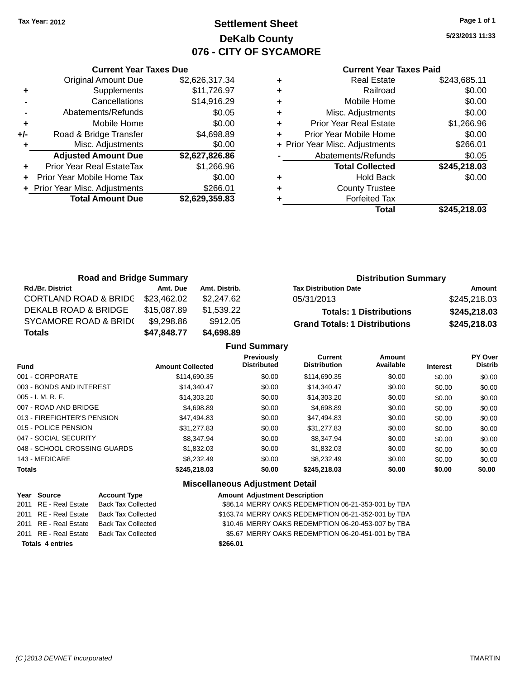### **Settlement Sheet Tax Year: 2012 Page 1 of 1 DeKalb County 076 - CITY OF SYCAMORE**

**5/23/2013 11:33**

| <b>Current Year Taxes Paid</b> |
|--------------------------------|
|--------------------------------|

|     | <b>Current Year Taxes Due</b>  |                |  |  |  |  |
|-----|--------------------------------|----------------|--|--|--|--|
|     | <b>Original Amount Due</b>     | \$2,626,317.34 |  |  |  |  |
| ٠   | Supplements                    | \$11,726.97    |  |  |  |  |
|     | Cancellations                  | \$14,916.29    |  |  |  |  |
|     | Abatements/Refunds             | \$0.05         |  |  |  |  |
| ٠   | Mobile Home                    | \$0.00         |  |  |  |  |
| +/- | Road & Bridge Transfer         | \$4,698.89     |  |  |  |  |
|     | Misc. Adjustments              | \$0.00         |  |  |  |  |
|     | <b>Adjusted Amount Due</b>     | \$2,627,826.86 |  |  |  |  |
|     | Prior Year Real EstateTax      | \$1,266.96     |  |  |  |  |
|     | Prior Year Mobile Home Tax     | \$0.00         |  |  |  |  |
|     | + Prior Year Misc. Adjustments | \$266.01       |  |  |  |  |
|     | <b>Total Amount Due</b>        | \$2,629,359.83 |  |  |  |  |
|     |                                |                |  |  |  |  |

|   | <b>Real Estate</b>             | \$243,685.11 |
|---|--------------------------------|--------------|
| ٠ | Railroad                       | \$0.00       |
| ٠ | Mobile Home                    | \$0.00       |
| ٠ | Misc. Adjustments              | \$0.00       |
| ٠ | <b>Prior Year Real Estate</b>  | \$1,266.96   |
|   | Prior Year Mobile Home         | \$0.00       |
|   | + Prior Year Misc. Adjustments | \$266.01     |
|   | Abatements/Refunds             | \$0.05       |
|   | <b>Total Collected</b>         | \$245,218.03 |
| ٠ | <b>Hold Back</b>               | \$0.00       |
|   | <b>County Trustee</b>          |              |
|   | <b>Forfeited Tax</b>           |              |
|   | Total                          | \$245,218.03 |
|   |                                |              |

| <b>Road and Bridge Summary</b>   |             |               | <b>Distribution Summary</b>          |              |  |
|----------------------------------|-------------|---------------|--------------------------------------|--------------|--|
| <b>Rd./Br. District</b>          | Amt. Due    | Amt. Distrib. | <b>Tax Distribution Date</b>         | Amount       |  |
| <b>CORTLAND ROAD &amp; BRIDC</b> | \$23,462.02 | \$2,247.62    | 05/31/2013                           | \$245,218.03 |  |
| DEKALB ROAD & BRIDGE             | \$15,087.89 | \$1,539.22    | <b>Totals: 1 Distributions</b>       | \$245,218.03 |  |
| <b>SYCAMORE ROAD &amp; BRID(</b> | \$9,298.86  | \$912.05      | <b>Grand Totals: 1 Distributions</b> | \$245,218.03 |  |
| <b>Totals</b>                    | \$47,848.77 | \$4,698.89    |                                      |              |  |

|                              |                         | <b>Fund Summary</b>              |                                |                     |                 |                           |
|------------------------------|-------------------------|----------------------------------|--------------------------------|---------------------|-----------------|---------------------------|
| Fund                         | <b>Amount Collected</b> | Previously<br><b>Distributed</b> | Current<br><b>Distribution</b> | Amount<br>Available | <b>Interest</b> | PY Over<br><b>Distrib</b> |
| 001 - CORPORATE              | \$114,690.35            | \$0.00                           | \$114,690.35                   | \$0.00              | \$0.00          | \$0.00                    |
| 003 - BONDS AND INTEREST     | \$14,340.47             | \$0.00                           | \$14,340.47                    | \$0.00              | \$0.00          | \$0.00                    |
| $005 - I. M. R. F.$          | \$14,303.20             | \$0.00                           | \$14,303.20                    | \$0.00              | \$0.00          | \$0.00                    |
| 007 - ROAD AND BRIDGE        | \$4.698.89              | \$0.00                           | \$4,698.89                     | \$0.00              | \$0.00          | \$0.00                    |
| 013 - FIREFIGHTER'S PENSION  | \$47.494.83             | \$0.00                           | \$47.494.83                    | \$0.00              | \$0.00          | \$0.00                    |
| 015 - POLICE PENSION         | \$31,277.83             | \$0.00                           | \$31,277.83                    | \$0.00              | \$0.00          | \$0.00                    |
| 047 - SOCIAL SECURITY        | \$8.347.94              | \$0.00                           | \$8,347.94                     | \$0.00              | \$0.00          | \$0.00                    |
| 048 - SCHOOL CROSSING GUARDS | \$1.832.03              | \$0.00                           | \$1,832.03                     | \$0.00              | \$0.00          | \$0.00                    |
| 143 - MEDICARE               | \$8,232.49              | \$0.00                           | \$8,232.49                     | \$0.00              | \$0.00          | \$0.00                    |
| <b>Totals</b>                | \$245,218.03            | \$0.00                           | \$245,218.03                   | \$0.00              | \$0.00          | \$0.00                    |

### **Miscellaneous Adjustment Detail**

|                         | Year Source           | <b>Account Type</b> |          | <b>Amount Adjustment Description</b>                |
|-------------------------|-----------------------|---------------------|----------|-----------------------------------------------------|
|                         | 2011 RE - Real Estate | Back Tax Collected  |          | \$86.14 MERRY OAKS REDEMPTION 06-21-353-001 by TBA  |
|                         | 2011 RE - Real Estate | Back Tax Collected  |          | \$163.74 MERRY OAKS REDEMPTION 06-21-352-001 by TBA |
|                         | 2011 RE - Real Estate | Back Tax Collected  |          | \$10.46 MERRY OAKS REDEMPTION 06-20-453-007 by TBA  |
|                         | 2011 RE - Real Estate | Back Tax Collected  |          | \$5.67 MERRY OAKS REDEMPTION 06-20-451-001 by TBA   |
| <b>Totals 4 entries</b> |                       |                     | \$266.01 |                                                     |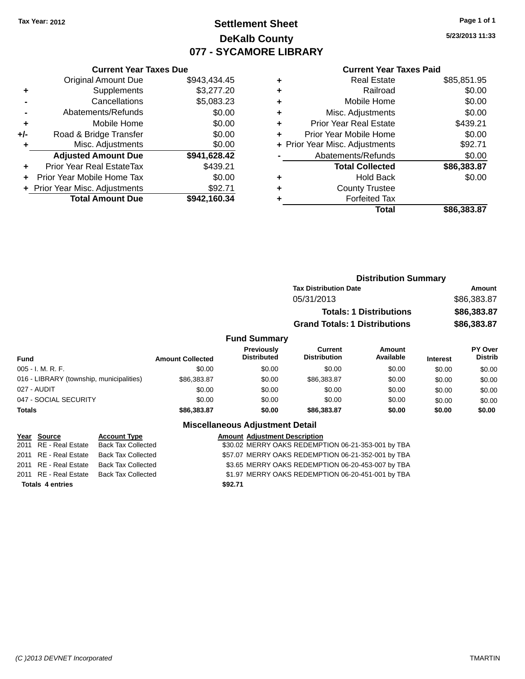# **Settlement Sheet Tax Year: 2012 Page 1 of 1 DeKalb County 077 - SYCAMORE LIBRARY**

**5/23/2013 11:33**

#### **Current Year Taxes Paid**

|     | <b>Current Year Taxes Due</b>  |              |  |  |  |  |  |
|-----|--------------------------------|--------------|--|--|--|--|--|
|     | <b>Original Amount Due</b>     | \$943,434.45 |  |  |  |  |  |
| ٠   | Supplements                    | \$3,277.20   |  |  |  |  |  |
|     | Cancellations                  | \$5,083.23   |  |  |  |  |  |
|     | Abatements/Refunds             | \$0.00       |  |  |  |  |  |
| ٠   | Mobile Home                    | \$0.00       |  |  |  |  |  |
| +/- | Road & Bridge Transfer         | \$0.00       |  |  |  |  |  |
|     | Misc. Adjustments              | \$0.00       |  |  |  |  |  |
|     | <b>Adjusted Amount Due</b>     | \$941,628.42 |  |  |  |  |  |
| ٠   | Prior Year Real EstateTax      | \$439.21     |  |  |  |  |  |
|     | Prior Year Mobile Home Tax     | \$0.00       |  |  |  |  |  |
|     | + Prior Year Misc. Adjustments | \$92.71      |  |  |  |  |  |
|     | <b>Total Amount Due</b>        | \$942,160.34 |  |  |  |  |  |
|     |                                |              |  |  |  |  |  |

| ٠ | <b>Real Estate</b>             | \$85,851.95 |
|---|--------------------------------|-------------|
| ٠ | Railroad                       | \$0.00      |
| ٠ | Mobile Home                    | \$0.00      |
| ٠ | Misc. Adjustments              | \$0.00      |
| ٠ | <b>Prior Year Real Estate</b>  | \$439.21    |
| ٠ | Prior Year Mobile Home         | \$0.00      |
|   | + Prior Year Misc. Adjustments | \$92.71     |
|   | Abatements/Refunds             | \$0.00      |
|   | <b>Total Collected</b>         | \$86,383.87 |
| ٠ | Hold Back                      | \$0.00      |
| ٠ | <b>County Trustee</b>          |             |
| ٠ | <b>Forfeited Tax</b>           |             |
|   | Total                          | \$86,383.87 |
|   |                                |             |

| <b>Distribution Summary</b>          |             |
|--------------------------------------|-------------|
| <b>Tax Distribution Date</b>         | Amount      |
| 05/31/2013                           | \$86,383.87 |
| <b>Totals: 1 Distributions</b>       | \$86,383.87 |
| <b>Grand Totals: 1 Distributions</b> | \$86,383.87 |

### **Fund Summary**

| <b>Fund</b>                              | <b>Amount Collected</b> | <b>Previously</b><br><b>Distributed</b> | Current<br><b>Distribution</b> | Amount<br>Available | <b>Interest</b> | <b>PY Over</b><br><b>Distrib</b> |
|------------------------------------------|-------------------------|-----------------------------------------|--------------------------------|---------------------|-----------------|----------------------------------|
| 005 - I. M. R. F.                        | \$0.00                  | \$0.00                                  | \$0.00                         | \$0.00              | \$0.00          | \$0.00                           |
| 016 - LIBRARY (township, municipalities) | \$86,383.87             | \$0.00                                  | \$86,383.87                    | \$0.00              | \$0.00          | \$0.00                           |
| 027 - AUDIT                              | \$0.00                  | \$0.00                                  | \$0.00                         | \$0.00              | \$0.00          | \$0.00                           |
| 047 - SOCIAL SECURITY                    | \$0.00                  | \$0.00                                  | \$0.00                         | \$0.00              | \$0.00          | \$0.00                           |
| <b>Totals</b>                            | \$86,383,87             | \$0.00                                  | \$86,383,87                    | \$0.00              | \$0.00          | \$0.00                           |

### **Miscellaneous Adjustment Detail**

| <b>Account Type</b>                                                                                                                        |                                                 | <b>Amount Adjustment Description</b>               |
|--------------------------------------------------------------------------------------------------------------------------------------------|-------------------------------------------------|----------------------------------------------------|
| Back Tax Collected                                                                                                                         |                                                 | \$30.02 MERRY OAKS REDEMPTION 06-21-353-001 by TBA |
|                                                                                                                                            |                                                 | \$57.07 MERRY OAKS REDEMPTION 06-21-352-001 by TBA |
| Back Tax Collected                                                                                                                         |                                                 | \$3.65 MERRY OAKS REDEMPTION 06-20-453-007 by TBA  |
|                                                                                                                                            |                                                 | \$1.97 MERRY OAKS REDEMPTION 06-20-451-001 by TBA  |
|                                                                                                                                            | \$92.71                                         |                                                    |
| Year Source<br>2011 RE - Real Estate<br>2011 RE - Real Estate<br>2011 RE - Real Estate<br>2011 RE - Real Estate<br><b>Totals 4 entries</b> | Back Tax Collected<br><b>Back Tax Collected</b> |                                                    |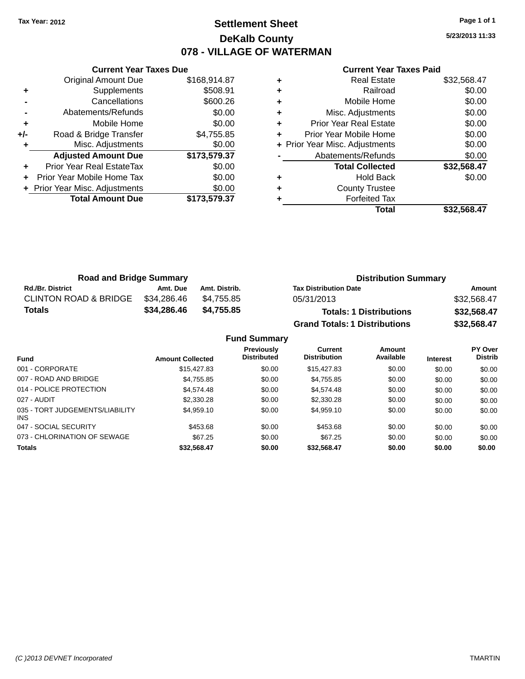### **Settlement Sheet Tax Year: 2012 Page 1 of 1 DeKalb County 078 - VILLAGE OF WATERMAN**

**5/23/2013 11:33**

|     | <b>Current Year Taxes Due</b>  |              |
|-----|--------------------------------|--------------|
|     | <b>Original Amount Due</b>     | \$168,914.87 |
| ٠   | Supplements                    | \$508.91     |
|     | Cancellations                  | \$600.26     |
|     | Abatements/Refunds             | \$0.00       |
| ٠   | Mobile Home                    | \$0.00       |
| +/- | Road & Bridge Transfer         | \$4,755.85   |
|     | Misc. Adjustments              | \$0.00       |
|     | <b>Adjusted Amount Due</b>     | \$173,579.37 |
| ٠   | Prior Year Real EstateTax      | \$0.00       |
|     | Prior Year Mobile Home Tax     | \$0.00       |
|     | + Prior Year Misc. Adjustments | \$0.00       |
|     | <b>Total Amount Due</b>        | \$173,579.37 |
|     |                                |              |

|   | Real Estate                    | \$32,568.47 |
|---|--------------------------------|-------------|
| ٠ | Railroad                       | \$0.00      |
| ٠ | Mobile Home                    | \$0.00      |
| ٠ | Misc. Adjustments              | \$0.00      |
| ٠ | <b>Prior Year Real Estate</b>  | \$0.00      |
| ٠ | Prior Year Mobile Home         | \$0.00      |
|   | + Prior Year Misc. Adjustments | \$0.00      |
|   | Abatements/Refunds             | \$0.00      |
|   | <b>Total Collected</b>         | \$32,568.47 |
| ٠ | Hold Back                      | \$0.00      |
| ٠ | <b>County Trustee</b>          |             |
|   | <b>Forfeited Tax</b>           |             |
|   | Total                          | \$32,568.47 |

| <b>Road and Bridge Summary</b>   |             |               | <b>Distribution Summary</b>          |             |  |
|----------------------------------|-------------|---------------|--------------------------------------|-------------|--|
| <b>Rd./Br. District</b>          | Amt. Due    | Amt. Distrib. | <b>Tax Distribution Date</b>         | Amount      |  |
| <b>CLINTON ROAD &amp; BRIDGE</b> | \$34,286.46 | \$4.755.85    | 05/31/2013                           | \$32,568.47 |  |
| <b>Totals</b>                    | \$34,286.46 | \$4,755.85    | <b>Totals: 1 Distributions</b>       | \$32,568.47 |  |
|                                  |             |               | <b>Grand Totals: 1 Distributions</b> | \$32,568.47 |  |

|                                         |                         | <b>Fund Summary</b>                     |                                |                     |                 |                                  |
|-----------------------------------------|-------------------------|-----------------------------------------|--------------------------------|---------------------|-----------------|----------------------------------|
| <b>Fund</b>                             | <b>Amount Collected</b> | <b>Previously</b><br><b>Distributed</b> | Current<br><b>Distribution</b> | Amount<br>Available | <b>Interest</b> | <b>PY Over</b><br><b>Distrib</b> |
| 001 - CORPORATE                         | \$15,427.83             | \$0.00                                  | \$15,427.83                    | \$0.00              | \$0.00          | \$0.00                           |
| 007 - ROAD AND BRIDGE                   | \$4,755.85              | \$0.00                                  | \$4,755.85                     | \$0.00              | \$0.00          | \$0.00                           |
| 014 - POLICE PROTECTION                 | \$4.574.48              | \$0.00                                  | \$4,574.48                     | \$0.00              | \$0.00          | \$0.00                           |
| 027 - AUDIT                             | \$2,330.28              | \$0.00                                  | \$2,330.28                     | \$0.00              | \$0.00          | \$0.00                           |
| 035 - TORT JUDGEMENTS/LIABILITY<br>INS. | \$4,959.10              | \$0.00                                  | \$4.959.10                     | \$0.00              | \$0.00          | \$0.00                           |
| 047 - SOCIAL SECURITY                   | \$453.68                | \$0.00                                  | \$453.68                       | \$0.00              | \$0.00          | \$0.00                           |
| 073 - CHLORINATION OF SEWAGE            | \$67.25                 | \$0.00                                  | \$67.25                        | \$0.00              | \$0.00          | \$0.00                           |
| <b>Totals</b>                           | \$32,568.47             | \$0.00                                  | \$32,568.47                    | \$0.00              | \$0.00          | \$0.00                           |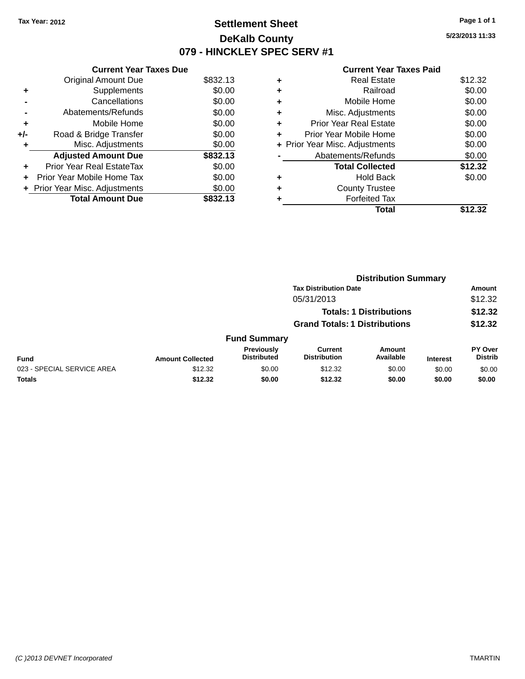### **Settlement Sheet Tax Year: 2012 Page 1 of 1 DeKalb County 079 - HINCKLEY SPEC SERV #1**

**5/23/2013 11:33**

|     | <b>Current Year Taxes Due</b>    |          |
|-----|----------------------------------|----------|
|     | <b>Original Amount Due</b>       | \$832.13 |
| ٠   | Supplements                      | \$0.00   |
|     | Cancellations                    | \$0.00   |
|     | Abatements/Refunds               | \$0.00   |
| ٠   | Mobile Home                      | \$0.00   |
| +/- | Road & Bridge Transfer           | \$0.00   |
| ٠   | Misc. Adjustments                | \$0.00   |
|     | <b>Adjusted Amount Due</b>       | \$832.13 |
| ٠   | <b>Prior Year Real EstateTax</b> | \$0.00   |
| ÷   | Prior Year Mobile Home Tax       | \$0.00   |
|     | + Prior Year Misc. Adjustments   | \$0.00   |
|     | <b>Total Amount Due</b>          | \$832.13 |

| ٠ | <b>Real Estate</b>             | \$12.32 |
|---|--------------------------------|---------|
| ٠ | Railroad                       | \$0.00  |
| ٠ | Mobile Home                    | \$0.00  |
| ٠ | Misc. Adjustments              | \$0.00  |
| ٠ | <b>Prior Year Real Estate</b>  | \$0.00  |
| ٠ | Prior Year Mobile Home         | \$0.00  |
|   | + Prior Year Misc. Adjustments | \$0.00  |
|   | Abatements/Refunds             | \$0.00  |
|   | <b>Total Collected</b>         | \$12.32 |
| ٠ | <b>Hold Back</b>               | \$0.00  |
| ٠ | <b>County Trustee</b>          |         |
| ٠ | <b>Forfeited Tax</b>           |         |
|   | Total                          | \$12.32 |
|   |                                |         |

|                            |                         | <b>Distribution Summary</b>             |                                       |                                |                 |                           |
|----------------------------|-------------------------|-----------------------------------------|---------------------------------------|--------------------------------|-----------------|---------------------------|
|                            |                         |                                         | <b>Tax Distribution Date</b>          |                                |                 | <b>Amount</b>             |
|                            |                         |                                         | 05/31/2013                            |                                |                 | \$12.32                   |
|                            |                         |                                         |                                       | <b>Totals: 1 Distributions</b> |                 | \$12.32                   |
|                            |                         | <b>Grand Totals: 1 Distributions</b>    |                                       |                                | \$12.32         |                           |
|                            |                         | <b>Fund Summary</b>                     |                                       |                                |                 |                           |
| <b>Fund</b>                | <b>Amount Collected</b> | <b>Previously</b><br><b>Distributed</b> | <b>Current</b><br><b>Distribution</b> | Amount<br>Available            | <b>Interest</b> | PY Over<br><b>Distrib</b> |
| 023 - SPECIAL SERVICE AREA | \$12.32                 | \$0.00                                  | \$12.32                               | \$0.00                         | \$0.00          | \$0.00                    |
| <b>Totals</b>              | \$12.32                 | \$0.00                                  | \$12.32                               | \$0.00                         | \$0.00          | \$0.00                    |
|                            |                         |                                         |                                       |                                |                 |                           |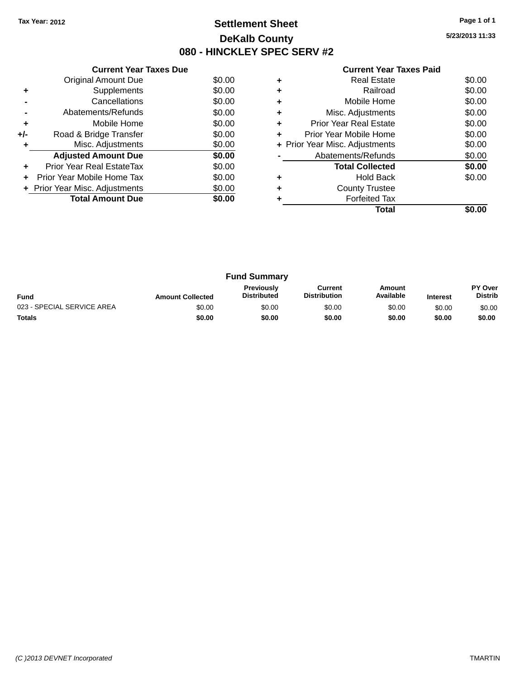### **Settlement Sheet Tax Year: 2012 Page 1 of 1 DeKalb County 080 - HINCKLEY SPEC SERV #2**

**5/23/2013 11:33**

| <b>Current Year Taxes Paid</b> |  |  |  |
|--------------------------------|--|--|--|
|--------------------------------|--|--|--|

|     | <b>Current Year Taxes Due</b>  |        |
|-----|--------------------------------|--------|
|     | <b>Original Amount Due</b>     | \$0.00 |
| ٠   | Supplements                    | \$0.00 |
|     | Cancellations                  | \$0.00 |
|     | Abatements/Refunds             | \$0.00 |
| ÷   | Mobile Home                    | \$0.00 |
| +/- | Road & Bridge Transfer         | \$0.00 |
| ٠   | Misc. Adjustments              | \$0.00 |
|     | <b>Adjusted Amount Due</b>     | \$0.00 |
| ٠   | Prior Year Real EstateTax      | \$0.00 |
|     | Prior Year Mobile Home Tax     | \$0.00 |
|     | + Prior Year Misc. Adjustments | \$0.00 |
|     | <b>Total Amount Due</b>        | \$0.00 |
|     |                                |        |

|   | <b>Real Estate</b>             | \$0.00 |
|---|--------------------------------|--------|
|   | Railroad                       | \$0.00 |
|   | Mobile Home                    | \$0.00 |
| ٠ | Misc. Adjustments              | \$0.00 |
| ٠ | Prior Year Real Estate         | \$0.00 |
| ÷ | Prior Year Mobile Home         | \$0.00 |
|   | + Prior Year Misc. Adjustments | \$0.00 |
|   | Abatements/Refunds             | \$0.00 |
|   | <b>Total Collected</b>         | \$0.00 |
|   | Hold Back                      | \$0.00 |
|   | <b>County Trustee</b>          |        |
|   | <b>Forfeited Tax</b>           |        |
|   | Total                          |        |

| <b>Fund Summary</b>        |                         |                                         |                                |                     |                 |                           |
|----------------------------|-------------------------|-----------------------------------------|--------------------------------|---------------------|-----------------|---------------------------|
| <b>Fund</b>                | <b>Amount Collected</b> | <b>Previously</b><br><b>Distributed</b> | Current<br><b>Distribution</b> | Amount<br>Available | <b>Interest</b> | PY Over<br><b>Distrib</b> |
| 023 - SPECIAL SERVICE AREA | \$0.00                  | \$0.00                                  | \$0.00                         | \$0.00              | \$0.00          | \$0.00                    |
| <b>Totals</b>              | \$0.00                  | \$0.00                                  | \$0.00                         | \$0.00              | \$0.00          | \$0.00                    |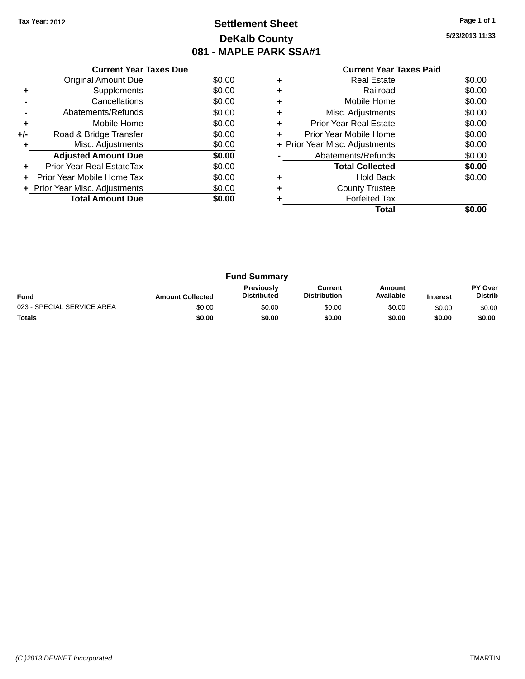### **Settlement Sheet Tax Year: 2012 Page 1 of 1 DeKalb County 081 - MAPLE PARK SSA#1**

**5/23/2013 11:33**

| <b>Current Year Taxes Paid</b> |  |
|--------------------------------|--|
| <b>Dool Ectoto</b>             |  |

|     | <b>Original Amount Due</b>     | \$0.00 |
|-----|--------------------------------|--------|
|     | Supplements                    | \$0.00 |
|     | Cancellations                  | \$0.00 |
|     | Abatements/Refunds             | \$0.00 |
| ٠   | Mobile Home                    | \$0.00 |
| +/- | Road & Bridge Transfer         | \$0.00 |
|     | Misc. Adjustments              | \$0.00 |
|     | <b>Adjusted Amount Due</b>     | \$0.00 |
| ٠   | Prior Year Real EstateTax      | \$0.00 |
| ÷   | Prior Year Mobile Home Tax     | \$0.00 |
|     | + Prior Year Misc. Adjustments | \$0.00 |
|     | <b>Total Amount Due</b>        | \$0.00 |
|     |                                |        |

**Current Year Taxes Due**

|   | Total                          |        |
|---|--------------------------------|--------|
|   | <b>Forfeited Tax</b>           |        |
|   | <b>County Trustee</b>          |        |
|   | Hold Back                      | \$0.00 |
|   | <b>Total Collected</b>         | \$0.00 |
|   | Abatements/Refunds             | \$0.00 |
|   | + Prior Year Misc. Adjustments | \$0.00 |
| ٠ | Prior Year Mobile Home         | \$0.00 |
| ٠ | <b>Prior Year Real Estate</b>  | \$0.00 |
| ٠ | Misc. Adjustments              | \$0.00 |
| ٠ | Mobile Home                    | \$0.00 |
|   | Railroad                       | \$0.00 |
|   | Real Estate                    | \$0.00 |

| <b>Fund Summary</b>        |                         |                                         |                                |                     |                 |                           |
|----------------------------|-------------------------|-----------------------------------------|--------------------------------|---------------------|-----------------|---------------------------|
| <b>Fund</b>                | <b>Amount Collected</b> | <b>Previously</b><br><b>Distributed</b> | Current<br><b>Distribution</b> | Amount<br>Available | <b>Interest</b> | PY Over<br><b>Distrib</b> |
| 023 - SPECIAL SERVICE AREA | \$0.00                  | \$0.00                                  | \$0.00                         | \$0.00              | \$0.00          | \$0.00                    |
| <b>Totals</b>              | \$0.00                  | \$0.00                                  | \$0.00                         | \$0.00              | \$0.00          | \$0.00                    |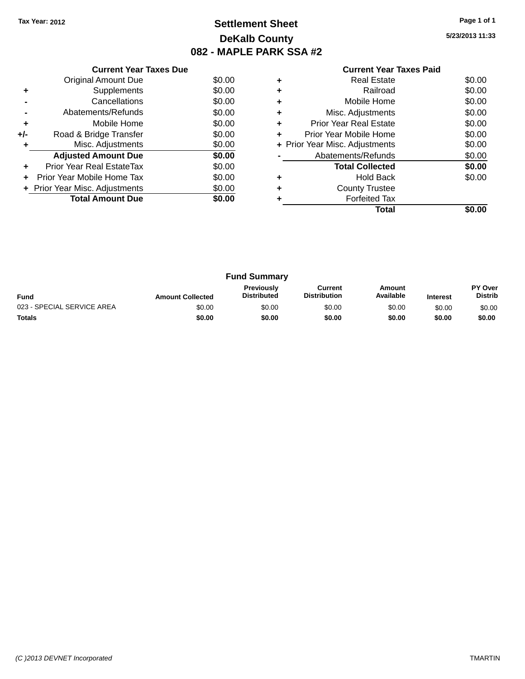### **Settlement Sheet Tax Year: 2012 Page 1 of 1 DeKalb County 082 - MAPLE PARK SSA #2**

**5/23/2013 11:33**

|     | <b>Current Year Taxes Due</b>  |        |
|-----|--------------------------------|--------|
|     | <b>Original Amount Due</b>     | \$0.00 |
| ٠   | Supplements                    | \$0.00 |
|     | Cancellations                  | \$0.00 |
|     | Abatements/Refunds             | \$0.00 |
| ٠   | Mobile Home                    | \$0.00 |
| +/- | Road & Bridge Transfer         | \$0.00 |
| ٠   | Misc. Adjustments              | \$0.00 |
|     | <b>Adjusted Amount Due</b>     | \$0.00 |
| ٠   | Prior Year Real EstateTax      | \$0.00 |
|     | Prior Year Mobile Home Tax     | \$0.00 |
|     | + Prior Year Misc. Adjustments | \$0.00 |
|     | <b>Total Amount Due</b>        | \$0.00 |
|     |                                |        |

|   | Real Estate                    | \$0.00 |
|---|--------------------------------|--------|
| ٠ | Railroad                       | \$0.00 |
| ٠ | Mobile Home                    | \$0.00 |
| ٠ | Misc. Adjustments              | \$0.00 |
| ٠ | <b>Prior Year Real Estate</b>  | \$0.00 |
| ٠ | Prior Year Mobile Home         | \$0.00 |
|   | + Prior Year Misc. Adjustments | \$0.00 |
|   | Abatements/Refunds             | \$0.00 |
|   | <b>Total Collected</b>         | \$0.00 |
| ٠ | Hold Back                      | \$0.00 |
| ٠ | <b>County Trustee</b>          |        |
|   | <b>Forfeited Tax</b>           |        |
|   | Total                          |        |

| <b>Fund Summary</b>                                                                                                                                           |        |        |        |        |        |                           |
|---------------------------------------------------------------------------------------------------------------------------------------------------------------|--------|--------|--------|--------|--------|---------------------------|
| <b>Previously</b><br>Amount<br>Current<br>Available<br><b>Distribution</b><br><b>Distributed</b><br><b>Fund</b><br><b>Amount Collected</b><br><b>Interest</b> |        |        |        |        |        | PY Over<br><b>Distrib</b> |
| 023 - SPECIAL SERVICE AREA                                                                                                                                    | \$0.00 | \$0.00 | \$0.00 | \$0.00 | \$0.00 | \$0.00                    |
| <b>Totals</b>                                                                                                                                                 | \$0.00 | \$0.00 | \$0.00 | \$0.00 | \$0.00 | \$0.00                    |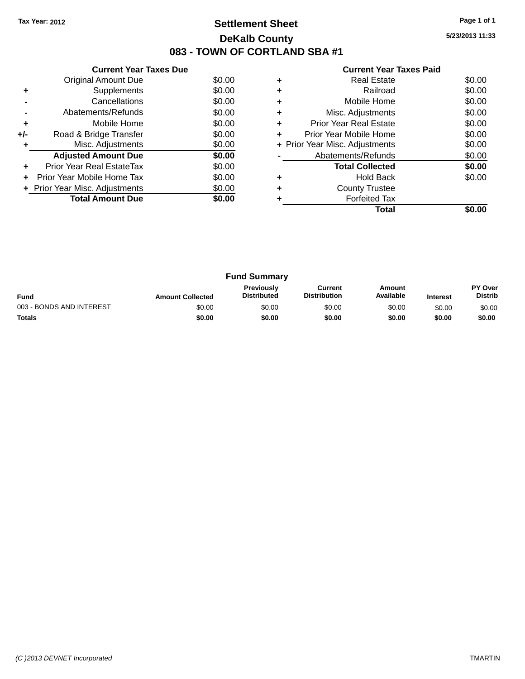### **Settlement Sheet Tax Year: 2012 Page 1 of 1 DeKalb County 083 - TOWN OF CORTLAND SBA #1**

**5/23/2013 11:33**

|     | <b>Current Year Taxes Due</b>  |        |
|-----|--------------------------------|--------|
|     | Original Amount Due            | \$0.00 |
| ٠   | Supplements                    | \$0.00 |
|     | Cancellations                  | \$0.00 |
|     | Abatements/Refunds             | \$0.00 |
| ٠   | Mobile Home                    | \$0.00 |
| +/- | Road & Bridge Transfer         | \$0.00 |
|     | Misc. Adjustments              | \$0.00 |
|     | <b>Adjusted Amount Due</b>     | \$0.00 |
|     | Prior Year Real EstateTax      | \$0.00 |
|     | Prior Year Mobile Home Tax     | \$0.00 |
|     | + Prior Year Misc. Adjustments | \$0.00 |
|     | <b>Total Amount Due</b>        | \$0.00 |
|     |                                |        |

|   | <b>Real Estate</b>             | \$0.00 |
|---|--------------------------------|--------|
| ٠ | Railroad                       | \$0.00 |
| ٠ | Mobile Home                    | \$0.00 |
| ٠ | Misc. Adjustments              | \$0.00 |
| ٠ | <b>Prior Year Real Estate</b>  | \$0.00 |
| ٠ | Prior Year Mobile Home         | \$0.00 |
|   | + Prior Year Misc. Adjustments | \$0.00 |
|   | Abatements/Refunds             | \$0.00 |
|   | <b>Total Collected</b>         | \$0.00 |
| ٠ | Hold Back                      | \$0.00 |
|   | <b>County Trustee</b>          |        |
|   | <b>Forfeited Tax</b>           |        |
|   | Total                          |        |

| <b>Fund Summary</b>                                                                                                                                           |        |        |        |        |        |                           |
|---------------------------------------------------------------------------------------------------------------------------------------------------------------|--------|--------|--------|--------|--------|---------------------------|
| <b>Previously</b><br>Current<br>Amount<br>Available<br><b>Distribution</b><br><b>Distributed</b><br><b>Fund</b><br><b>Amount Collected</b><br><b>Interest</b> |        |        |        |        |        | PY Over<br><b>Distrib</b> |
| 003 - BONDS AND INTEREST                                                                                                                                      | \$0.00 | \$0.00 | \$0.00 | \$0.00 | \$0.00 | \$0.00                    |
| <b>Totals</b>                                                                                                                                                 | \$0.00 | \$0.00 | \$0.00 | \$0.00 | \$0.00 | \$0.00                    |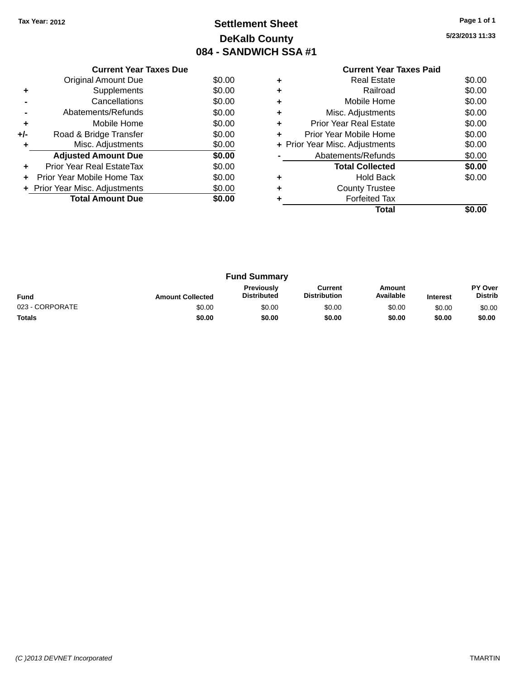### **Settlement Sheet Tax Year: 2012 Page 1 of 1 DeKalb County 084 - SANDWICH SSA #1**

**5/23/2013 11:33**

| <b>Current Year Taxes Paid</b> |  |
|--------------------------------|--|

|     | <b>Current Year Taxes Due</b>  |        |
|-----|--------------------------------|--------|
|     | Original Amount Due            | \$0.00 |
|     | Supplements                    | \$0.00 |
|     | Cancellations                  | \$0.00 |
|     | Abatements/Refunds             | \$0.00 |
| ٠   | Mobile Home                    | \$0.00 |
| +/- | Road & Bridge Transfer         | \$0.00 |
|     | Misc. Adjustments              | \$0.00 |
|     | <b>Adjusted Amount Due</b>     | \$0.00 |
|     | Prior Year Real EstateTax      | \$0.00 |
|     | Prior Year Mobile Home Tax     | \$0.00 |
|     | + Prior Year Misc. Adjustments | \$0.00 |
|     | <b>Total Amount Due</b>        | \$0.00 |
|     |                                |        |

|   | Total                          |        |
|---|--------------------------------|--------|
|   | <b>Forfeited Tax</b>           |        |
|   | <b>County Trustee</b>          |        |
|   | <b>Hold Back</b>               | \$0.00 |
|   | <b>Total Collected</b>         | \$0.00 |
|   | Abatements/Refunds             | \$0.00 |
|   | + Prior Year Misc. Adjustments | \$0.00 |
| ٠ | Prior Year Mobile Home         | \$0.00 |
| ٠ | <b>Prior Year Real Estate</b>  | \$0.00 |
|   | Misc. Adjustments              | \$0.00 |
|   | Mobile Home                    | \$0.00 |
| ٠ | Railroad                       | \$0.00 |
|   | Real Estate                    | \$0.00 |
|   |                                |        |

| <b>Fund Summary</b> |                         |                                         |                                |                     |                 |                                  |
|---------------------|-------------------------|-----------------------------------------|--------------------------------|---------------------|-----------------|----------------------------------|
| <b>Fund</b>         | <b>Amount Collected</b> | <b>Previously</b><br><b>Distributed</b> | Current<br><b>Distribution</b> | Amount<br>Available | <b>Interest</b> | <b>PY Over</b><br><b>Distrib</b> |
| 023 - CORPORATE     | \$0.00                  | \$0.00                                  | \$0.00                         | \$0.00              | \$0.00          | \$0.00                           |
| <b>Totals</b>       | \$0.00                  | \$0.00                                  | \$0.00                         | \$0.00              | \$0.00          | \$0.00                           |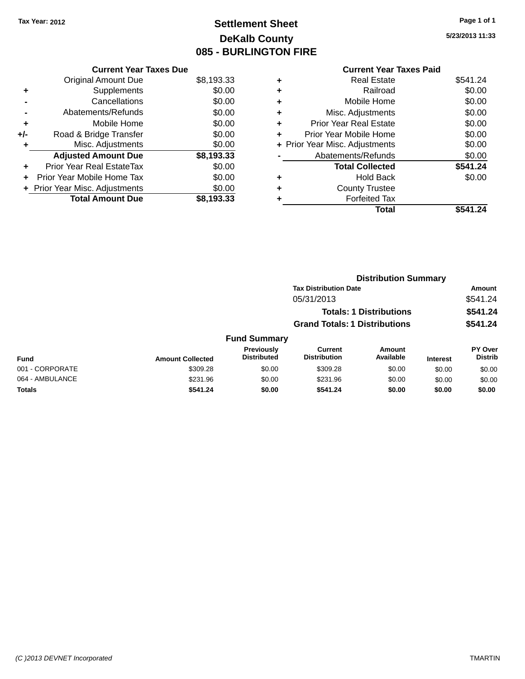### **Settlement Sheet Tax Year: 2012 Page 1 of 1 DeKalb County 085 - BURLINGTON FIRE**

**5/23/2013 11:33**

|     | <b>Current Year Taxes Due</b>  |            |
|-----|--------------------------------|------------|
|     | <b>Original Amount Due</b>     | \$8,193.33 |
| ٠   | Supplements                    | \$0.00     |
|     | Cancellations                  | \$0.00     |
|     | Abatements/Refunds             | \$0.00     |
| ٠   | Mobile Home                    | \$0.00     |
| +/- | Road & Bridge Transfer         | \$0.00     |
|     | Misc. Adjustments              | \$0.00     |
|     | <b>Adjusted Amount Due</b>     | \$8,193.33 |
|     | Prior Year Real EstateTax      | \$0.00     |
|     | Prior Year Mobile Home Tax     | \$0.00     |
|     | + Prior Year Misc. Adjustments | \$0.00     |
|     | <b>Total Amount Due</b>        | \$8.193.33 |

|   | <b>Current Year Taxes Paid</b> |          |
|---|--------------------------------|----------|
| ٠ | <b>Real Estate</b>             | \$541.24 |
| ٠ | Railroad                       | \$0.00   |
| ٠ | Mobile Home                    | \$0.00   |
| ÷ | Misc. Adjustments              | \$0.00   |
| ٠ | <b>Prior Year Real Estate</b>  | \$0.00   |
| ÷ | Prior Year Mobile Home         | \$0.00   |
|   | + Prior Year Misc. Adjustments | \$0.00   |
|   | Abatements/Refunds             | \$0.00   |
|   | <b>Total Collected</b>         | \$541.24 |
| ٠ | Hold Back                      | \$0.00   |
| ٠ | <b>County Trustee</b>          |          |
| ٠ | <b>Forfeited Tax</b>           |          |
|   | <b>Total</b>                   | \$541.24 |

|                 |                         |                                  |                                       | <b>Distribution Summary</b>    |                 |                                  |
|-----------------|-------------------------|----------------------------------|---------------------------------------|--------------------------------|-----------------|----------------------------------|
|                 |                         |                                  | <b>Tax Distribution Date</b>          |                                |                 | Amount                           |
|                 |                         |                                  | 05/31/2013                            |                                |                 | \$541.24                         |
|                 |                         |                                  |                                       | <b>Totals: 1 Distributions</b> |                 | \$541.24                         |
|                 |                         |                                  | <b>Grand Totals: 1 Distributions</b>  |                                |                 | \$541.24                         |
|                 |                         | <b>Fund Summary</b>              |                                       |                                |                 |                                  |
| <b>Fund</b>     | <b>Amount Collected</b> | Previously<br><b>Distributed</b> | <b>Current</b><br><b>Distribution</b> | <b>Amount</b><br>Available     | <b>Interest</b> | <b>PY Over</b><br><b>Distrib</b> |
| 001 - CORPORATE | \$309.28                | \$0.00                           | \$309.28                              | \$0.00                         | \$0.00          | \$0.00                           |
| 064 - AMBULANCE | \$231.96                | \$0.00                           | \$231.96                              | \$0.00                         | \$0.00          | \$0.00                           |
| <b>Totals</b>   | \$541.24                | \$0.00                           | \$541.24                              | \$0.00                         | \$0.00          | \$0.00                           |
|                 |                         |                                  |                                       |                                |                 |                                  |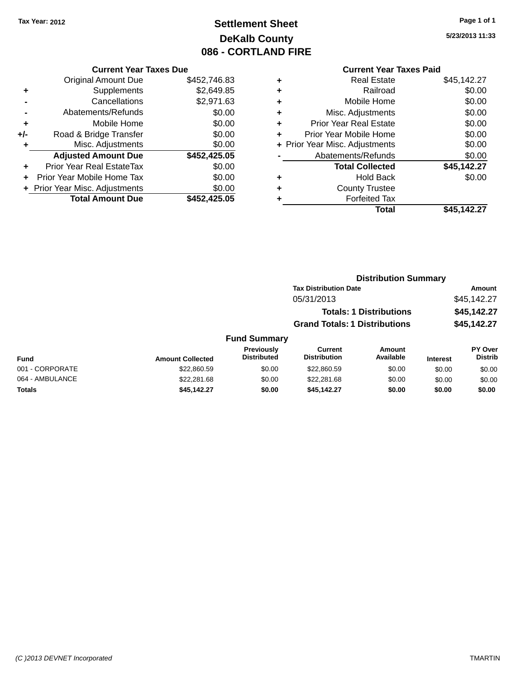### **Settlement Sheet Tax Year: 2012 Page 1 of 1 DeKalb County 086 - CORTLAND FIRE**

**5/23/2013 11:33**

|     | <b>Current Year Taxes Due</b>  |              |
|-----|--------------------------------|--------------|
|     | <b>Original Amount Due</b>     | \$452,746.83 |
| ٠   | Supplements                    | \$2,649.85   |
|     | Cancellations                  | \$2,971.63   |
|     | Abatements/Refunds             | \$0.00       |
| ٠   | Mobile Home                    | \$0.00       |
| +/- | Road & Bridge Transfer         | \$0.00       |
| ٠   | Misc. Adjustments              | \$0.00       |
|     | <b>Adjusted Amount Due</b>     | \$452,425.05 |
| ٠   | Prior Year Real EstateTax      | \$0.00       |
|     | Prior Year Mobile Home Tax     | \$0.00       |
|     | + Prior Year Misc. Adjustments | \$0.00       |
|     | <b>Total Amount Due</b>        | \$452.425.05 |
|     |                                |              |

| ٠ | <b>Real Estate</b>             | \$45,142.27 |
|---|--------------------------------|-------------|
| ٠ | Railroad                       | \$0.00      |
| ٠ | Mobile Home                    | \$0.00      |
| ٠ | Misc. Adjustments              | \$0.00      |
| ٠ | <b>Prior Year Real Estate</b>  | \$0.00      |
| ٠ | Prior Year Mobile Home         | \$0.00      |
|   | + Prior Year Misc. Adjustments | \$0.00      |
|   | Abatements/Refunds             | \$0.00      |
|   | <b>Total Collected</b>         | \$45,142.27 |
| ٠ | <b>Hold Back</b>               | \$0.00      |
| ٠ | <b>County Trustee</b>          |             |
| ٠ | <b>Forfeited Tax</b>           |             |
|   | Total                          | \$45.142.27 |
|   |                                |             |

|                     | <b>Distribution Summary</b>          |             |
|---------------------|--------------------------------------|-------------|
|                     | <b>Tax Distribution Date</b>         | Amount      |
|                     | 05/31/2013                           | \$45.142.27 |
|                     | <b>Totals: 1 Distributions</b>       | \$45,142.27 |
|                     | <b>Grand Totals: 1 Distributions</b> | \$45,142.27 |
| <b>Fund Summary</b> |                                      |             |

| <b>Fund</b>     | <b>Amount Collected</b> | <b>Previously</b><br><b>Distributed</b> | Current<br><b>Distribution</b> | Amount<br>Available | <b>Interest</b> | <b>PY Over</b><br><b>Distrib</b> |
|-----------------|-------------------------|-----------------------------------------|--------------------------------|---------------------|-----------------|----------------------------------|
| 001 - CORPORATE | \$22,860.59             | \$0.00                                  | \$22,860.59                    | \$0.00              | \$0.00          | \$0.00                           |
| 064 - AMBULANCE | \$22,281.68             | \$0.00                                  | \$22,281.68                    | \$0.00              | \$0.00          | \$0.00                           |
| Totals          | \$45,142.27             | \$0.00                                  | \$45.142.27                    | \$0.00              | \$0.00          | \$0.00                           |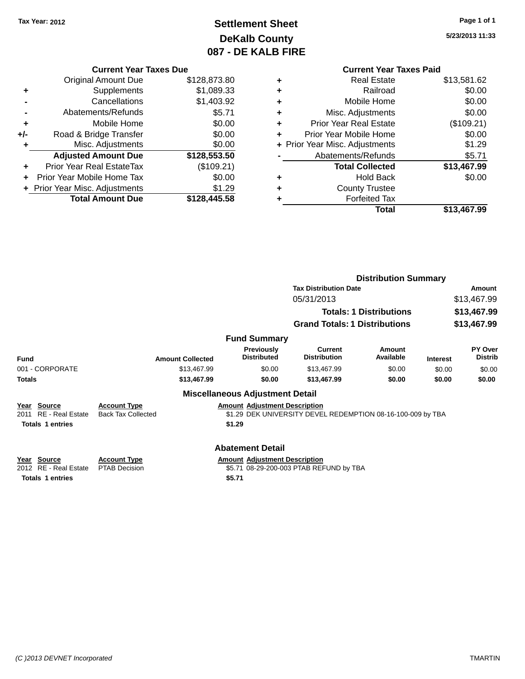### **Settlement Sheet Tax Year: 2012 Page 1 of 1 DeKalb County 087 - DE KALB FIRE**

**5/23/2013 11:33**

### **Current Year Taxes Due**

|     | <b>Original Amount Due</b>     | \$128,873.80 |
|-----|--------------------------------|--------------|
|     | Supplements                    | \$1,089.33   |
|     | Cancellations                  | \$1,403.92   |
|     | Abatements/Refunds             | \$5.71       |
| ٠   | Mobile Home                    | \$0.00       |
| +/- | Road & Bridge Transfer         | \$0.00       |
|     | Misc. Adjustments              | \$0.00       |
|     | <b>Adjusted Amount Due</b>     | \$128,553.50 |
|     | Prior Year Real EstateTax      | (\$109.21)   |
|     | Prior Year Mobile Home Tax     | \$0.00       |
|     | + Prior Year Misc. Adjustments | \$1.29       |
|     | <b>Total Amount Due</b>        | \$128,445.58 |

|   | <b>Current Year Taxes Paid</b> |             |
|---|--------------------------------|-------------|
| ٠ | <b>Real Estate</b>             | \$13,581.62 |
| ٠ | Railroad                       | \$0.00      |
|   | Mobile Home                    | \$0.00      |
| ٠ | Misc. Adjustments              | \$0.00      |
| ٠ | Prior Year Real Estate         | (\$109.21)  |
| ÷ | Prior Year Mobile Home         | \$0.00      |
|   | + Prior Year Misc. Adjustments | \$1.29      |
|   | Abatements/Refunds             | \$5.71      |
|   | <b>Total Collected</b>         | \$13,467.99 |
| ٠ | <b>Hold Back</b>               | \$0.00      |
| ٠ | <b>County Trustee</b>          |             |
|   | <b>Forfeited Tax</b>           |             |
|   | Total                          | \$13,467.99 |

|                                                                              |                                                  |                                                | <b>Distribution Summary</b>                                 |                                |                 |                           |
|------------------------------------------------------------------------------|--------------------------------------------------|------------------------------------------------|-------------------------------------------------------------|--------------------------------|-----------------|---------------------------|
|                                                                              |                                                  |                                                | <b>Tax Distribution Date</b>                                | Amount                         |                 |                           |
|                                                                              |                                                  |                                                | 05/31/2013                                                  |                                |                 | \$13,467.99               |
|                                                                              |                                                  |                                                |                                                             | <b>Totals: 1 Distributions</b> |                 | \$13,467.99               |
|                                                                              |                                                  |                                                | <b>Grand Totals: 1 Distributions</b>                        |                                |                 | \$13,467.99               |
|                                                                              |                                                  | <b>Fund Summary</b>                            |                                                             |                                |                 |                           |
| <b>Fund</b>                                                                  | <b>Amount Collected</b>                          | <b>Previously</b><br><b>Distributed</b>        | Current<br><b>Distribution</b>                              | Amount<br>Available            | <b>Interest</b> | PY Over<br><b>Distrib</b> |
| 001 - CORPORATE                                                              | \$13,467.99                                      | \$0.00                                         | \$13,467.99                                                 | \$0.00                         | \$0.00          | \$0.00                    |
| <b>Totals</b>                                                                | \$13,467.99                                      | \$0.00                                         | \$13,467.99                                                 | \$0.00                         | \$0.00          | \$0.00                    |
|                                                                              |                                                  | <b>Miscellaneous Adjustment Detail</b>         |                                                             |                                |                 |                           |
| Year Source<br><b>RE</b> - Real Estate<br>2011<br><b>Totals 1 entries</b>    | <b>Account Type</b><br><b>Back Tax Collected</b> | <b>Amount Adjustment Description</b><br>\$1.29 | \$1.29 DEK UNIVERSITY DEVEL REDEMPTION 08-16-100-009 by TBA |                                |                 |                           |
|                                                                              |                                                  | <b>Abatement Detail</b>                        |                                                             |                                |                 |                           |
| Source<br>Year<br><b>RE</b> - Real Estate<br>2012<br><b>Totals 1 entries</b> | <b>Account Type</b><br><b>PTAB Decision</b>      | <b>Amount Adjustment Description</b><br>\$5.71 | \$5.71 08-29-200-003 PTAB REFUND by TBA                     |                                |                 |                           |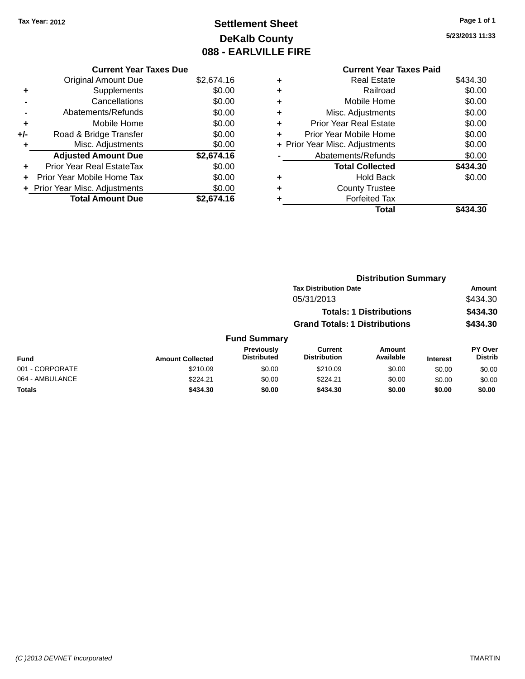## **Settlement Sheet Tax Year: 2012 Page 1 of 1 DeKalb County 088 - EARLVILLE FIRE**

**5/23/2013 11:33**

#### **Current Year Taxes Paid +** Real Estate \$434.30 **+** Railroad \$0.00 **+** Mobile Home \$0.00 **+** Misc. Adjustments \$0.00 **+** Prior Year Real Estate \$0.00 **+** Prior Year Mobile Home \$0.00 **+** Prior Year Misc. Adjustments  $$0.00$ **-** Abatements/Refunds \$0.00 **Total Collected \$434.30 +** Hold Back \$0.00 **+** County Trustee **+** Forfeited Tax **Total \$434.30**

|                 | <b>Distribution Summary</b> |                                  |                                       |                                |                 |                                  |  |
|-----------------|-----------------------------|----------------------------------|---------------------------------------|--------------------------------|-----------------|----------------------------------|--|
|                 |                             |                                  | <b>Tax Distribution Date</b>          |                                |                 | Amount                           |  |
|                 |                             |                                  | 05/31/2013                            |                                |                 | \$434.30                         |  |
|                 |                             |                                  |                                       | <b>Totals: 1 Distributions</b> |                 | \$434.30                         |  |
|                 |                             |                                  | <b>Grand Totals: 1 Distributions</b>  |                                |                 | \$434.30                         |  |
|                 |                             | <b>Fund Summary</b>              |                                       |                                |                 |                                  |  |
| <b>Fund</b>     | <b>Amount Collected</b>     | Previously<br><b>Distributed</b> | <b>Current</b><br><b>Distribution</b> | <b>Amount</b><br>Available     | <b>Interest</b> | <b>PY Over</b><br><b>Distrib</b> |  |
| 001 - CORPORATE | \$210.09                    | \$0.00                           | \$210.09                              | \$0.00                         | \$0.00          | \$0.00                           |  |
| 064 - AMBULANCE | \$224.21                    | \$0.00                           | \$224.21                              | \$0.00                         | \$0.00          | \$0.00                           |  |
| <b>Totals</b>   | \$434.30                    | \$0.00                           | \$434.30                              | \$0.00                         | \$0.00          | \$0.00                           |  |
|                 |                             |                                  |                                       |                                |                 |                                  |  |

### **Current Year Taxes Due**

**+** Supplements \$0.00 **-** Cancellations \$0.00 **-** Abatements/Refunds \$0.00 **+** Mobile Home \$0.00 **+/-** Road & Bridge Transfer \$0.00 **+** Misc. Adjustments \$0.00

**+** Prior Year Real EstateTax \$0.00 **+** Prior Year Mobile Home Tax \$0.00 **+** Prior Year Misc. Adjustments  $$0.00$ 

Original Amount Due \$2,674.16

**Adjusted Amount Due \$2,674.16**

**Total Amount Due \$2,674.16**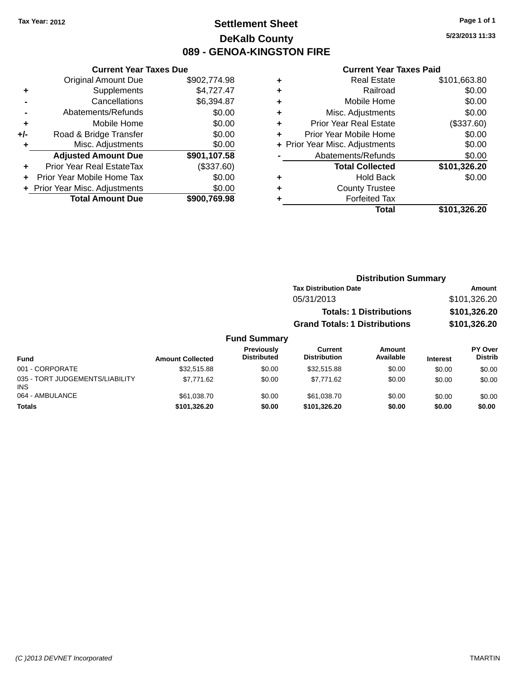### **Settlement Sheet Tax Year: 2012 Page 1 of 1 DeKalb County 089 - GENOA-KINGSTON FIRE**

**5/23/2013 11:33**

#### **Current Year Taxes Paid**

|       | <b>Current Year Taxes Due</b>  |              |  |  |  |
|-------|--------------------------------|--------------|--|--|--|
|       | <b>Original Amount Due</b>     | \$902,774.98 |  |  |  |
| ٠     | Supplements                    | \$4,727.47   |  |  |  |
|       | Cancellations                  | \$6,394.87   |  |  |  |
|       | Abatements/Refunds             | \$0.00       |  |  |  |
| ٠     | Mobile Home                    | \$0.00       |  |  |  |
| $+/-$ | Road & Bridge Transfer         | \$0.00       |  |  |  |
| ٠     | Misc. Adjustments              | \$0.00       |  |  |  |
|       | <b>Adjusted Amount Due</b>     | \$901,107.58 |  |  |  |
| ÷     | Prior Year Real EstateTax      | (\$337.60)   |  |  |  |
|       | Prior Year Mobile Home Tax     | \$0.00       |  |  |  |
|       | + Prior Year Misc. Adjustments | \$0.00       |  |  |  |
|       | <b>Total Amount Due</b>        | \$900.769.98 |  |  |  |
|       |                                |              |  |  |  |

|   | <b>Real Estate</b>             | \$101,663.80 |
|---|--------------------------------|--------------|
| ٠ | Railroad                       | \$0.00       |
| ٠ | Mobile Home                    | \$0.00       |
| ٠ | Misc. Adjustments              | \$0.00       |
| ٠ | <b>Prior Year Real Estate</b>  | (\$337.60)   |
| ٠ | Prior Year Mobile Home         | \$0.00       |
|   | + Prior Year Misc. Adjustments | \$0.00       |
|   | Abatements/Refunds             | \$0.00       |
|   | <b>Total Collected</b>         | \$101,326.20 |
| ٠ | <b>Hold Back</b>               | \$0.00       |
| ٠ | <b>County Trustee</b>          |              |
| ٠ | <b>Forfeited Tax</b>           |              |
|   | Total                          | \$101.326.20 |
|   |                                |              |

### **Distribution Summary Tax Distribution Date Amount** 05/31/2013 \$101,326.20 **Totals: 1 Distributions \$101,326.20 Grand Totals: 1 Distributions \$101,326.20**

| <b>Fund</b>                            | <b>Amount Collected</b> | Previously<br><b>Distributed</b> | Current<br><b>Distribution</b> | Amount<br>Available | <b>Interest</b> | <b>PY Over</b><br><b>Distrib</b> |
|----------------------------------------|-------------------------|----------------------------------|--------------------------------|---------------------|-----------------|----------------------------------|
| 001 - CORPORATE                        | \$32.515.88             | \$0.00                           | \$32,515.88                    | \$0.00              | \$0.00          | \$0.00                           |
| 035 - TORT JUDGEMENTS/LIABILITY<br>INS | \$7.771.62              | \$0.00                           | \$7.771.62                     | \$0.00              | \$0.00          | \$0.00                           |
| 064 - AMBULANCE                        | \$61,038.70             | \$0.00                           | \$61.038.70                    | \$0.00              | \$0.00          | \$0.00                           |
| <b>Totals</b>                          | \$101,326.20            | \$0.00                           | \$101.326.20                   | \$0.00              | \$0.00          | \$0.00                           |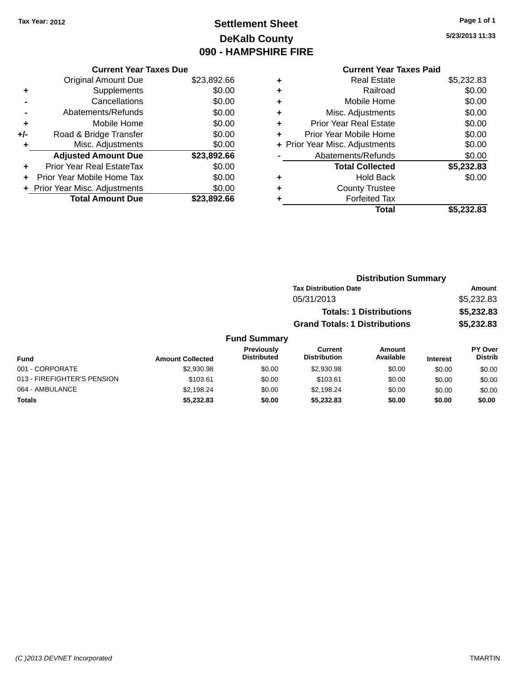### **Settlement Sheet Tax Year: 2012 Page 1 of 1 DeKalb County 090 - HAMPSHIRE FIRE**

**5/23/2013 11:33**

|     | <b>Current Year Taxes Due</b>    |             |
|-----|----------------------------------|-------------|
|     | <b>Original Amount Due</b>       | \$23,892.66 |
| ٠   | Supplements                      | \$0.00      |
|     | Cancellations                    | \$0.00      |
|     | Abatements/Refunds               | \$0.00      |
| ÷   | Mobile Home                      | \$0.00      |
| +/- | Road & Bridge Transfer           | \$0.00      |
|     | Misc. Adjustments                | \$0.00      |
|     | <b>Adjusted Amount Due</b>       | \$23,892.66 |
|     | <b>Prior Year Real EstateTax</b> | \$0.00      |
| ÷   | Prior Year Mobile Home Tax       | \$0.00      |
|     | + Prior Year Misc. Adjustments   | \$0.00      |
|     | <b>Total Amount Due</b>          | \$23,892.66 |

#### **Current Year Taxes Paid**

|   | <b>Real Estate</b>             | \$5,232.83 |
|---|--------------------------------|------------|
| ٠ | Railroad                       | \$0.00     |
| ٠ | Mobile Home                    | \$0.00     |
| ٠ | Misc. Adjustments              | \$0.00     |
| ٠ | <b>Prior Year Real Estate</b>  | \$0.00     |
| ٠ | Prior Year Mobile Home         | \$0.00     |
|   | + Prior Year Misc. Adjustments | \$0.00     |
|   | Abatements/Refunds             | \$0.00     |
|   | <b>Total Collected</b>         | \$5,232.83 |
| ٠ | <b>Hold Back</b>               | \$0.00     |
| ٠ | <b>County Trustee</b>          |            |
| ٠ | <b>Forfeited Tax</b>           |            |
|   | Total                          | \$5,232.83 |
|   |                                |            |

| <b>Distribution Summary</b>          |            |
|--------------------------------------|------------|
| <b>Tax Distribution Date</b>         | Amount     |
| 05/31/2013                           | \$5,232.83 |
| <b>Totals: 1 Distributions</b>       | \$5,232.83 |
| <b>Grand Totals: 1 Distributions</b> | \$5,232.83 |
|                                      |            |

#### **Fund Summary Fund Interest Amount Collected Distributed PY Over Distrib Amount Available Current Distribution Previously** 001 - CORPORATE \$2,930.98 \$0.00 \$2,930.98 \$0.00 \$0.00 \$0.00 013 - FIREFIGHTER'S PENSION \$103.61 \$103.61 \$0.00 \$103.61 \$0.00 \$0.00 \$0.00 \$0.00 064 - AMBULANCE \$2,198.24 \$0.00 \$2,198.24 \$0.00 \$0.00 \$0.00 **Totals \$5,232.83 \$0.00 \$5,232.83 \$0.00 \$0.00 \$0.00**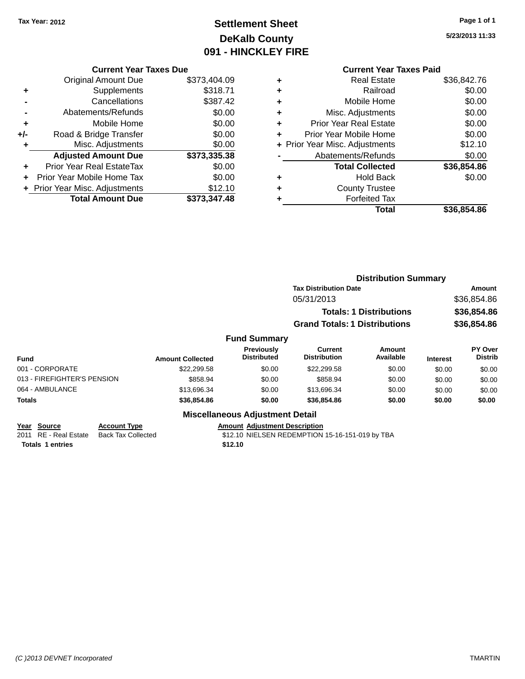### **Settlement Sheet Tax Year: 2012 Page 1 of 1 DeKalb County 091 - HINCKLEY FIRE**

**5/23/2013 11:33**

### **Current Year Taxes Paid**

|       | <b>Current Year Taxes Due</b>    |              |  |  |  |
|-------|----------------------------------|--------------|--|--|--|
|       | Original Amount Due              | \$373,404.09 |  |  |  |
| ٠     | Supplements                      | \$318.71     |  |  |  |
|       | Cancellations                    | \$387.42     |  |  |  |
|       | Abatements/Refunds               | \$0.00       |  |  |  |
| ٠     | Mobile Home                      | \$0.00       |  |  |  |
| $+/-$ | Road & Bridge Transfer           | \$0.00       |  |  |  |
| ٠     | Misc. Adjustments                | \$0.00       |  |  |  |
|       | <b>Adjusted Amount Due</b>       | \$373,335.38 |  |  |  |
| ÷     | <b>Prior Year Real EstateTax</b> | \$0.00       |  |  |  |
| ÷     | Prior Year Mobile Home Tax       | \$0.00       |  |  |  |
|       | + Prior Year Misc. Adjustments   | \$12.10      |  |  |  |
|       | <b>Total Amount Due</b>          | \$373,347.48 |  |  |  |
|       |                                  |              |  |  |  |

| ٠ | <b>Real Estate</b>             | \$36,842.76 |
|---|--------------------------------|-------------|
| ٠ | Railroad                       | \$0.00      |
| ٠ | Mobile Home                    | \$0.00      |
| ٠ | Misc. Adjustments              | \$0.00      |
| ٠ | <b>Prior Year Real Estate</b>  | \$0.00      |
| ٠ | Prior Year Mobile Home         | \$0.00      |
|   | + Prior Year Misc. Adjustments | \$12.10     |
|   | Abatements/Refunds             | \$0.00      |
|   | <b>Total Collected</b>         | \$36,854.86 |
| ٠ | Hold Back                      | \$0.00      |
| ٠ | <b>County Trustee</b>          |             |
|   | <b>Forfeited Tax</b>           |             |
|   | <b>Total</b>                   | \$36.854.86 |
|   |                                |             |

|                                                          |                                                  |                         |                                        | <b>Distribution Summary</b>                     |                                |                 |                                  |
|----------------------------------------------------------|--------------------------------------------------|-------------------------|----------------------------------------|-------------------------------------------------|--------------------------------|-----------------|----------------------------------|
|                                                          |                                                  |                         |                                        | <b>Tax Distribution Date</b>                    |                                | Amount          |                                  |
|                                                          |                                                  |                         |                                        | 05/31/2013                                      |                                |                 | \$36,854.86                      |
|                                                          |                                                  |                         |                                        |                                                 | <b>Totals: 1 Distributions</b> |                 | \$36,854.86                      |
|                                                          |                                                  |                         |                                        | <b>Grand Totals: 1 Distributions</b>            |                                |                 | \$36,854.86                      |
|                                                          |                                                  |                         | <b>Fund Summary</b>                    |                                                 |                                |                 |                                  |
| <b>Fund</b>                                              |                                                  | <b>Amount Collected</b> | Previously<br><b>Distributed</b>       | Current<br><b>Distribution</b>                  | Amount<br>Available            | <b>Interest</b> | <b>PY Over</b><br><b>Distrib</b> |
| 001 - CORPORATE                                          |                                                  | \$22,299.58             | \$0.00                                 | \$22,299.58                                     | \$0.00                         | \$0.00          | \$0.00                           |
| 013 - FIREFIGHTER'S PENSION                              |                                                  | \$858.94                | \$0.00                                 | \$858.94                                        | \$0.00                         | \$0.00          | \$0.00                           |
| 064 - AMBULANCE                                          |                                                  | \$13,696.34             | \$0.00                                 | \$13,696.34                                     | \$0.00                         | \$0.00          | \$0.00                           |
| <b>Totals</b>                                            |                                                  | \$36,854.86             | \$0.00                                 | \$36,854.86                                     | \$0.00                         | \$0.00          | \$0.00                           |
|                                                          |                                                  |                         | <b>Miscellaneous Adjustment Detail</b> |                                                 |                                |                 |                                  |
| <b>Source</b><br>Year<br><b>RE</b> - Real Estate<br>2011 | <b>Account Type</b><br><b>Back Tax Collected</b> |                         | <b>Amount Adjustment Description</b>   | \$12.10 NIELSEN REDEMPTION 15-16-151-019 by TBA |                                |                 |                                  |

**Totals 1 entries \$12.10**

\$12.10 NIELSEN REDEMPTION 15-16-151-019 by TBA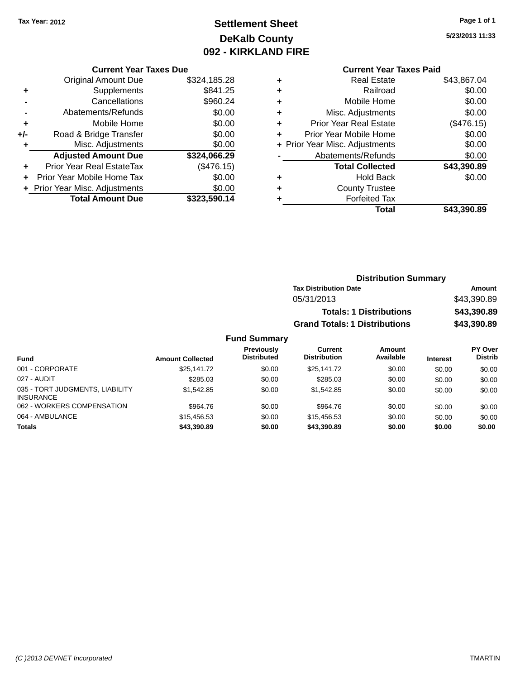### **Settlement Sheet Tax Year: 2012 Page 1 of 1 DeKalb County 092 - KIRKLAND FIRE**

**5/23/2013 11:33**

#### **Current Year Taxes Due**

|     | <b>Original Amount Due</b>     | \$324,185.28 |
|-----|--------------------------------|--------------|
| ٠   | Supplements                    | \$841.25     |
|     | Cancellations                  | \$960.24     |
|     | Abatements/Refunds             | \$0.00       |
| ٠   | Mobile Home                    | \$0.00       |
| +/- | Road & Bridge Transfer         | \$0.00       |
| ٠   | Misc. Adjustments              | \$0.00       |
|     | <b>Adjusted Amount Due</b>     | \$324,066.29 |
| ÷   | Prior Year Real EstateTax      | (\$476.15)   |
|     | Prior Year Mobile Home Tax     | \$0.00       |
|     | + Prior Year Misc. Adjustments | \$0.00       |
|     | <b>Total Amount Due</b>        | \$323,590.14 |

### **Current Year Taxes Paid**

| ٠ | <b>Real Estate</b>             | \$43,867.04 |
|---|--------------------------------|-------------|
| ٠ | Railroad                       | \$0.00      |
| ٠ | Mobile Home                    | \$0.00      |
| ٠ | Misc. Adjustments              | \$0.00      |
| ٠ | <b>Prior Year Real Estate</b>  | (\$476.15)  |
| ٠ | Prior Year Mobile Home         | \$0.00      |
|   | + Prior Year Misc. Adjustments | \$0.00      |
|   | Abatements/Refunds             | \$0.00      |
|   | <b>Total Collected</b>         | \$43,390.89 |
| ٠ | <b>Hold Back</b>               | \$0.00      |
| ٠ | <b>County Trustee</b>          |             |
| ٠ | <b>Forfeited Tax</b>           |             |
|   | Total                          | \$43,390.89 |
|   |                                |             |

### **Distribution Summary Tax Distribution Date Amount** 05/31/2013 \$43,390.89 **Totals: 1 Distributions \$43,390.89 Grand Totals: 1 Distributions \$43,390.89**

| <b>Fund</b>                                         | <b>Amount Collected</b> | Previously<br><b>Distributed</b> | <b>Current</b><br><b>Distribution</b> | Amount<br>Available | <b>Interest</b> | <b>PY Over</b><br><b>Distrib</b> |
|-----------------------------------------------------|-------------------------|----------------------------------|---------------------------------------|---------------------|-----------------|----------------------------------|
| 001 - CORPORATE                                     | \$25,141.72             | \$0.00                           | \$25,141.72                           | \$0.00              | \$0.00          | \$0.00                           |
| 027 - AUDIT                                         | \$285.03                | \$0.00                           | \$285.03                              | \$0.00              | \$0.00          | \$0.00                           |
| 035 - TORT JUDGMENTS, LIABILITY<br><b>INSURANCE</b> | \$1.542.85              | \$0.00                           | \$1,542.85                            | \$0.00              | \$0.00          | \$0.00                           |
| 062 - WORKERS COMPENSATION                          | \$964.76                | \$0.00                           | \$964.76                              | \$0.00              | \$0.00          | \$0.00                           |
| 064 - AMBULANCE                                     | \$15,456.53             | \$0.00                           | \$15,456.53                           | \$0.00              | \$0.00          | \$0.00                           |
| <b>Totals</b>                                       | \$43,390.89             | \$0.00                           | \$43,390.89                           | \$0.00              | \$0.00          | \$0.00                           |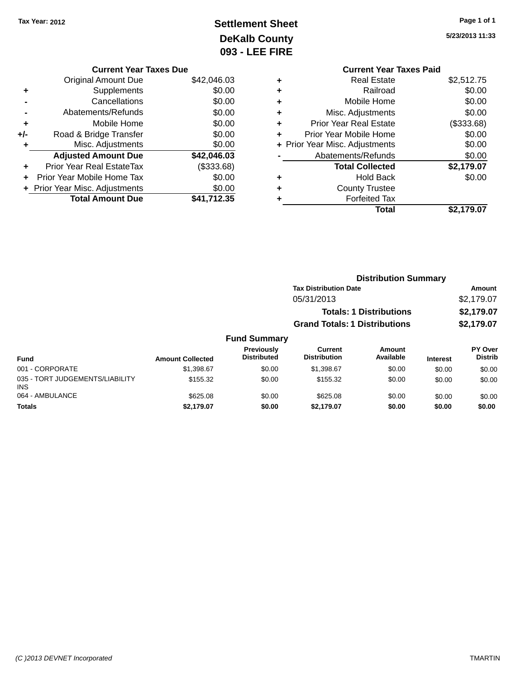# **Settlement Sheet Tax Year: 2012 Page 1 of 1 DeKalb County 093 - LEE FIRE**

|     | <b>Current Year Taxes Due</b>  |             |
|-----|--------------------------------|-------------|
|     | <b>Original Amount Due</b>     | \$42,046.03 |
| ٠   | Supplements                    | \$0.00      |
|     | Cancellations                  | \$0.00      |
|     | Abatements/Refunds             | \$0.00      |
| ٠   | Mobile Home                    | \$0.00      |
| +/- | Road & Bridge Transfer         | \$0.00      |
| ۰   | Misc. Adjustments              | \$0.00      |
|     | <b>Adjusted Amount Due</b>     | \$42,046.03 |
| ÷   | Prior Year Real EstateTax      | (\$333.68)  |
|     | Prior Year Mobile Home Tax     | \$0.00      |
|     | + Prior Year Misc. Adjustments | \$0.00      |
|     | <b>Total Amount Due</b>        | \$41.712.35 |

**5/23/2013 11:33**

|   | <b>Current Year Taxes Paid</b> |            |
|---|--------------------------------|------------|
| ٠ | Real Estate                    | \$2,512.75 |
| ÷ | Railroad                       | \$0.00     |
|   | Mobile Home                    | \$0.00     |
|   | Misc. Adjustments              | \$0.00     |
| ٠ | Prior Year Real Estate         | (\$333.68) |
|   | Prior Year Mobile Home         | \$0.00     |
|   | + Prior Year Misc. Adjustments | \$0.00     |
|   | Abatements/Refunds             | \$0.00     |
|   | <b>Total Collected</b>         | \$2,179.07 |
|   | <b>Hold Back</b>               | \$0.00     |
|   | <b>County Trustee</b>          |            |
|   | <b>Forfeited Tax</b>           |            |
|   | Total                          | \$2,179.07 |
|   |                                |            |

|                 |                         |                                  | <b>Distribution Summary</b>          |                                |                 |                           |
|-----------------|-------------------------|----------------------------------|--------------------------------------|--------------------------------|-----------------|---------------------------|
|                 |                         |                                  | <b>Tax Distribution Date</b>         |                                |                 | Amount                    |
|                 |                         |                                  | 05/31/2013                           |                                |                 | \$2,179.07                |
|                 |                         |                                  |                                      | <b>Totals: 1 Distributions</b> |                 | \$2,179.07                |
|                 |                         |                                  | <b>Grand Totals: 1 Distributions</b> |                                |                 | \$2,179.07                |
|                 |                         | <b>Fund Summary</b>              |                                      |                                |                 |                           |
| <b>Fund</b>     | <b>Amount Collected</b> | Previously<br><b>Distributed</b> | Current<br><b>Distribution</b>       | Amount<br>Available            | <b>Interest</b> | PY Over<br><b>Distrib</b> |
| 001 - CORPORATE | \$1.398.67              | \$0.00                           | \$1,398.67                           | \$0.00                         | \$0.00          | \$0.00                    |

| i uliu                                        | Allivulli Collecteu |        |            |        | ilitel eət | -------- |
|-----------------------------------------------|---------------------|--------|------------|--------|------------|----------|
| 001 - CORPORATE                               | \$1,398.67          | \$0.00 | \$1.398.67 | \$0.00 | \$0.00     | \$0.00   |
| 035 - TORT JUDGEMENTS/LIABILITY<br><b>INS</b> | \$155.32            | \$0.00 | \$155.32   | \$0.00 | \$0.00     | \$0.00   |
| 064 - AMBULANCE                               | \$625.08            | \$0.00 | \$625.08   | \$0.00 | \$0.00     | \$0.00   |
| <b>Totals</b>                                 | \$2.179.07          | \$0.00 | \$2.179.07 | \$0.00 | \$0.00     | \$0.00   |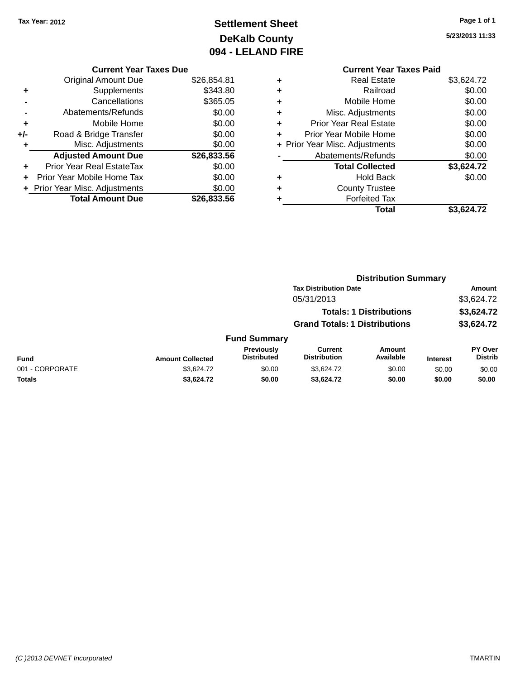# **Settlement Sheet Tax Year: 2012 Page 1 of 1 DeKalb County 094 - LELAND FIRE**

**5/23/2013 11:33**

#### **Current Year Taxes Paid +** Real Estate \$3,624.72 **+** Railroad \$0.00 **+** Mobile Home \$0.00 **+** Misc. Adjustments \$0.00 **+** Prior Year Real Estate \$0.00 **+** Prior Year Mobile Home \$0.00 **+ Prior Year Misc. Adjustments**  $$0.00$ **-** Abatements/Refunds \$0.00 **Total Collected \$3,624.72 +** Hold Back \$0.00 **+** County Trustee **+** Forfeited Tax **Total \$3,624.72**

**Distribution Summary**

|                 |                         |                                         | <b>Tax Distribution Date</b>         |                                |                 | Amount                           |
|-----------------|-------------------------|-----------------------------------------|--------------------------------------|--------------------------------|-----------------|----------------------------------|
|                 |                         |                                         | 05/31/2013                           |                                |                 | \$3,624.72                       |
|                 |                         |                                         |                                      | <b>Totals: 1 Distributions</b> |                 | \$3,624.72                       |
|                 |                         |                                         | <b>Grand Totals: 1 Distributions</b> |                                |                 | \$3,624.72                       |
|                 |                         | <b>Fund Summary</b>                     |                                      |                                |                 |                                  |
| <b>Fund</b>     | <b>Amount Collected</b> | <b>Previously</b><br><b>Distributed</b> | Current<br><b>Distribution</b>       | <b>Amount</b><br>Available     | <b>Interest</b> | <b>PY Over</b><br><b>Distrib</b> |
| 001 - CORPORATE | \$3,624.72              | \$0.00                                  | \$3.624.72                           | \$0.00                         | \$0.00          | \$0.00                           |
| <b>Totals</b>   | \$3.624.72              | \$0.00                                  | \$3.624.72                           | \$0.00                         | \$0.00          | \$0.00                           |

#### **Current Year Taxes Due**

| <b>Original Amount Due</b>       | \$26,854.81 |
|----------------------------------|-------------|
| Supplements                      | \$343.80    |
| Cancellations                    | \$365.05    |
| Abatements/Refunds               | \$0.00      |
| Mobile Home                      | \$0.00      |
| Road & Bridge Transfer           | \$0.00      |
| Misc. Adjustments                | \$0.00      |
| <b>Adjusted Amount Due</b>       | \$26,833.56 |
| <b>Prior Year Real EstateTax</b> | \$0.00      |
| Prior Year Mobile Home Tax       | \$0.00      |
| + Prior Year Misc. Adjustments   | \$0.00      |
| <b>Total Amount Due</b>          | \$26,833.56 |
|                                  |             |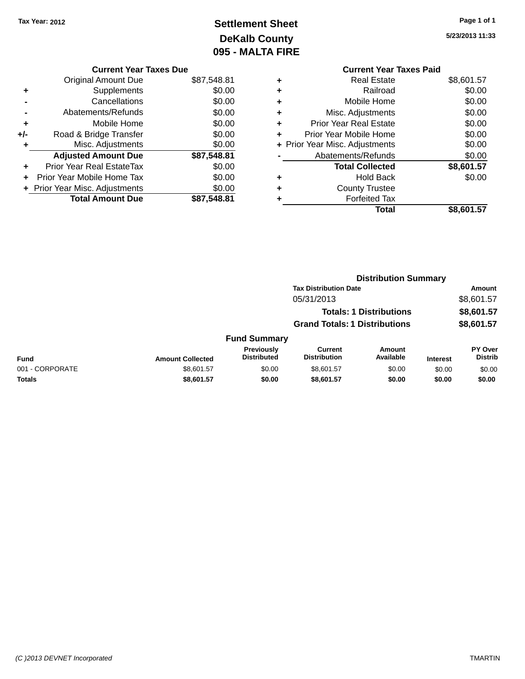# **Settlement Sheet Tax Year: 2012 Page 1 of 1 DeKalb County 095 - MALTA FIRE**

**5/23/2013 11:33**

|   | <b>Current Year Taxes Paid</b> |            |
|---|--------------------------------|------------|
| ٠ | <b>Real Estate</b>             | \$8,601.57 |
| ٠ | Railroad                       | \$0.00     |
| ٠ | Mobile Home                    | \$0.00     |
| ٠ | Misc. Adjustments              | \$0.00     |
| ٠ | <b>Prior Year Real Estate</b>  | \$0.00     |
| ÷ | Prior Year Mobile Home         | \$0.00     |
|   | + Prior Year Misc. Adjustments | \$0.00     |
|   | Abatements/Refunds             | \$0.00     |
|   | <b>Total Collected</b>         | \$8,601.57 |
| ٠ | <b>Hold Back</b>               | \$0.00     |
|   | <b>County Trustee</b>          |            |
|   | <b>Forfeited Tax</b>           |            |
|   | Total                          | \$8,601.57 |
|   |                                |            |

|     | <b>Current Year Taxes Due</b>  |             |
|-----|--------------------------------|-------------|
|     | Original Amount Due            | \$87,548.81 |
| ٠   | Supplements                    | \$0.00      |
|     | Cancellations                  | \$0.00      |
|     | Abatements/Refunds             | \$0.00      |
| ٠   | Mobile Home                    | \$0.00      |
| +/- | Road & Bridge Transfer         | \$0.00      |
| ٠   | Misc. Adjustments              | \$0.00      |
|     | <b>Adjusted Amount Due</b>     | \$87,548.81 |
|     | Prior Year Real EstateTax      | \$0.00      |
|     | Prior Year Mobile Home Tax     | \$0.00      |
|     | + Prior Year Misc. Adjustments | \$0.00      |
|     | <b>Total Amount Due</b>        | \$87.548.81 |
|     |                                |             |

|                 |                         |                                  | <b>Distribution Summary</b>           |                                |                 |                           |
|-----------------|-------------------------|----------------------------------|---------------------------------------|--------------------------------|-----------------|---------------------------|
|                 |                         |                                  | <b>Tax Distribution Date</b>          |                                |                 | Amount                    |
|                 |                         |                                  | 05/31/2013                            |                                |                 | \$8,601.57                |
|                 |                         |                                  |                                       | <b>Totals: 1 Distributions</b> |                 | \$8,601.57                |
|                 |                         |                                  | <b>Grand Totals: 1 Distributions</b>  |                                |                 | \$8,601.57                |
|                 |                         | <b>Fund Summary</b>              |                                       |                                |                 |                           |
| <b>Fund</b>     | <b>Amount Collected</b> | Previously<br><b>Distributed</b> | <b>Current</b><br><b>Distribution</b> | Amount<br>Available            | <b>Interest</b> | PY Over<br><b>Distrib</b> |
| 001 - CORPORATE | \$8,601.57              | \$0.00                           | \$8,601.57                            | \$0.00                         | \$0.00          | \$0.00                    |
| <b>Totals</b>   | \$8,601.57              | \$0.00                           | \$8,601.57                            | \$0.00                         | \$0.00          | \$0.00                    |
|                 |                         |                                  |                                       |                                |                 |                           |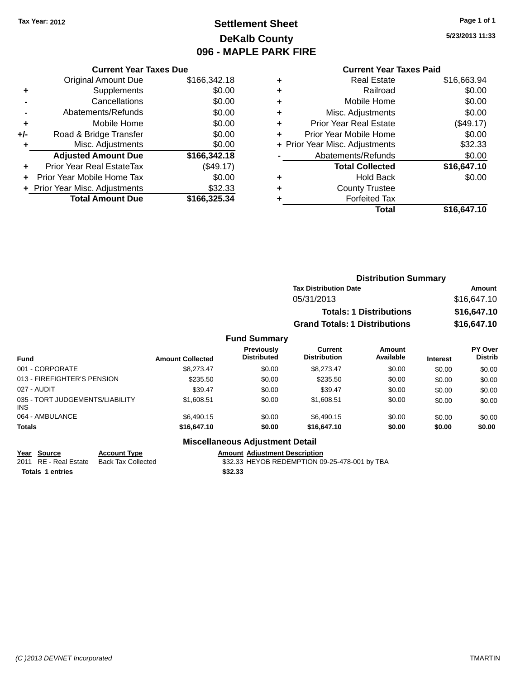### **Settlement Sheet Tax Year: 2012 Page 1 of 1 DeKalb County 096 - MAPLE PARK FIRE**

**5/23/2013 11:33**

#### **Current Year Taxes Paid**

|     | <b>Original Amount Due</b>       | \$166,342.18 |
|-----|----------------------------------|--------------|
| ٠   | Supplements                      | \$0.00       |
|     | Cancellations                    | \$0.00       |
|     | Abatements/Refunds               | \$0.00       |
| ٠   | Mobile Home                      | \$0.00       |
| +/- | Road & Bridge Transfer           | \$0.00       |
| ٠   | Misc. Adjustments                | \$0.00       |
|     | <b>Adjusted Amount Due</b>       | \$166,342.18 |
|     | <b>Prior Year Real EstateTax</b> | (\$49.17)    |
|     | Prior Year Mobile Home Tax       | \$0.00       |
|     | + Prior Year Misc. Adjustments   | \$32.33      |
|     | <b>Total Amount Due</b>          | \$166,325.34 |
|     |                                  |              |

**Current Year Taxes Due**

|   | <b>Real Estate</b>             | \$16,663.94 |
|---|--------------------------------|-------------|
| ٠ | Railroad                       | \$0.00      |
| ٠ | Mobile Home                    | \$0.00      |
| ٠ | Misc. Adjustments              | \$0.00      |
| ٠ | <b>Prior Year Real Estate</b>  | (\$49.17)   |
| ٠ | Prior Year Mobile Home         | \$0.00      |
|   | + Prior Year Misc. Adjustments | \$32.33     |
|   | Abatements/Refunds             | \$0.00      |
|   | <b>Total Collected</b>         | \$16,647.10 |
| ٠ | Hold Back                      | \$0.00      |
| ٠ | <b>County Trustee</b>          |             |
| ٠ | <b>Forfeited Tax</b>           |             |
|   | Total                          | \$16,647.10 |
|   |                                |             |

| <b>Distribution Summary</b>          |             |
|--------------------------------------|-------------|
| <b>Tax Distribution Date</b>         | Amount      |
| 05/31/2013                           | \$16,647.10 |
| <b>Totals: 1 Distributions</b>       | \$16,647.10 |
| <b>Grand Totals: 1 Distributions</b> | \$16,647.10 |
|                                      |             |

#### **Fund Summary Fund Interest Amount Collected Distributed PY Over Distrib Amount Available Current Distribution Previously** 001 - CORPORATE 60.00 \$8,273.47 \$0.00 \$8,273.47 \$0.00 \$0.00 \$0.00 \$0.00 013 - FIREFIGHTER'S PENSION \$235.50 \$0.00 \$235.50 \$0.00 \$0.00 \$0.00 \$0.00 \$0.00 027 - AUDIT \$39.47 \$0.00 \$39.47 \$0.00 \$0.00 \$0.00 035 - TORT JUDGEMENTS/LIABILITY INS \$1,608.51 \$0.00 \$1,608.51 \$0.00 \$0.00 \$0.00 064 - AMBULANCE \$6,490.15 \$0.00 \$6,490.15 \$0.00 \$0.00 \$0.00 **Totals \$16,647.10 \$0.00 \$16,647.10 \$0.00 \$0.00 \$0.00**

**Totals 1 entries \$32.33**

**Miscellaneous Adjustment Detail**

**Year** Source **Account Type Account Adjustment Description** 

2011 RE - Real Estate Back Tax Collected \$32.33 HEYOB REDEMPTION 09-25-478-001 by TBA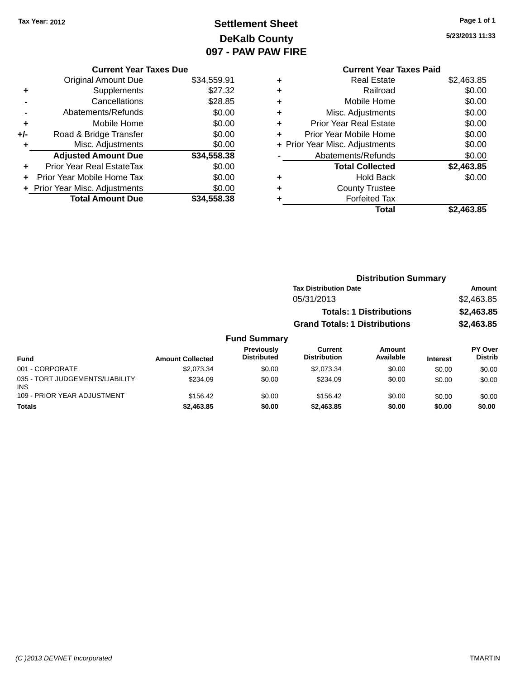INS

### **Settlement Sheet Tax Year: 2012 Page 1 of 1 DeKalb County 097 - PAW PAW FIRE**

**5/23/2013 11:33**

|       | <b>Current Year Taxes Due</b>  |             |
|-------|--------------------------------|-------------|
|       | <b>Original Amount Due</b>     | \$34,559.91 |
| ٠     | Supplements                    | \$27.32     |
|       | Cancellations                  | \$28.85     |
|       | Abatements/Refunds             | \$0.00      |
| ٠     | Mobile Home                    | \$0.00      |
| $+/-$ | Road & Bridge Transfer         | \$0.00      |
| ٠     | Misc. Adjustments              | \$0.00      |
|       | <b>Adjusted Amount Due</b>     | \$34,558.38 |
|       | Prior Year Real EstateTax      | \$0.00      |
|       | Prior Year Mobile Home Tax     | \$0.00      |
|       | + Prior Year Misc. Adjustments | \$0.00      |
|       | <b>Total Amount Due</b>        | \$34,558.38 |
|       |                                |             |

#### **Current Year Taxes Paid** <sup>+</sup><br>Real Estate \$2,463.85<br>Railroad \$0.00 **+** Railroad \$0.00

|           | Total                          | \$2,463.85 |
|-----------|--------------------------------|------------|
|           | <b>Forfeited Tax</b>           |            |
| ٠         | <b>County Trustee</b>          |            |
| ٠         | <b>Hold Back</b>               | \$0.00     |
|           | <b>Total Collected</b>         | \$2,463.85 |
|           | Abatements/Refunds             | \$0.00     |
|           | + Prior Year Misc. Adjustments | \$0.00     |
|           | Prior Year Mobile Home         | \$0.00     |
|           | <b>Prior Year Real Estate</b>  | \$0.00     |
|           | Misc. Adjustments              | \$0.00     |
| $\ddot{}$ | Mobile Home                    | \$0.00     |
|           | .                              | ៴៴.៴៴      |

|                                 |                         |                                  | <b>Distribution Summary</b>          |                                |                 |                                  |
|---------------------------------|-------------------------|----------------------------------|--------------------------------------|--------------------------------|-----------------|----------------------------------|
|                                 |                         |                                  | <b>Tax Distribution Date</b>         |                                |                 | Amount                           |
|                                 |                         |                                  | 05/31/2013                           |                                |                 | \$2,463.85                       |
|                                 |                         |                                  |                                      | <b>Totals: 1 Distributions</b> |                 | \$2,463.85                       |
|                                 |                         |                                  | <b>Grand Totals: 1 Distributions</b> |                                |                 | \$2,463.85                       |
|                                 |                         | <b>Fund Summary</b>              |                                      |                                |                 |                                  |
| Fund                            | <b>Amount Collected</b> | Previously<br><b>Distributed</b> | Current<br><b>Distribution</b>       | Amount<br>Available            | <b>Interest</b> | <b>PY Over</b><br><b>Distrib</b> |
| 001 - CORPORATE                 | \$2,073.34              | \$0.00                           | \$2,073.34                           | \$0.00                         | \$0.00          | \$0.00                           |
| 035 - TORT JUDGEMENTS/LIABILITY | \$234.09                | \$0.00                           | \$234.09                             | \$0.00                         | \$0.00          | \$0.00                           |

109 - PRIOR YEAR ADJUSTMENT \$156.42 \$0.00 \$156.42 \$0.00 \$0.00 \$0.00 \$0.00 \$0.00 **Totals \$2,463.85 \$0.00 \$2,463.85 \$0.00 \$0.00 \$0.00**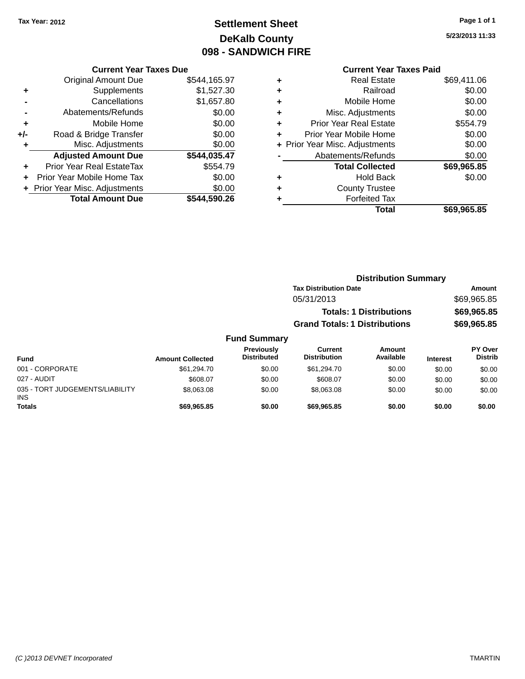### **Settlement Sheet Tax Year: 2012 Page 1 of 1 DeKalb County 098 - SANDWICH FIRE**

**5/23/2013 11:33**

### **Current Year Taxes Paid**

| <b>Current Year Taxes Due</b><br><b>Original Amount Due</b><br>\$544,165.97<br>\$1,527.30<br>Supplements<br>٠<br>Cancellations<br>\$1,657.80<br>\$0.00<br>Abatements/Refunds<br>\$0.00<br>Mobile Home<br>٠<br>\$0.00<br>Road & Bridge Transfer<br>$+/-$<br>\$0.00<br>Misc. Adjustments<br>٠<br>\$544,035.47<br><b>Adjusted Amount Due</b> |                                |              |
|-------------------------------------------------------------------------------------------------------------------------------------------------------------------------------------------------------------------------------------------------------------------------------------------------------------------------------------------|--------------------------------|--------------|
|                                                                                                                                                                                                                                                                                                                                           |                                |              |
|                                                                                                                                                                                                                                                                                                                                           |                                |              |
|                                                                                                                                                                                                                                                                                                                                           |                                |              |
|                                                                                                                                                                                                                                                                                                                                           |                                |              |
|                                                                                                                                                                                                                                                                                                                                           |                                |              |
|                                                                                                                                                                                                                                                                                                                                           |                                |              |
|                                                                                                                                                                                                                                                                                                                                           |                                |              |
|                                                                                                                                                                                                                                                                                                                                           |                                |              |
| ٠                                                                                                                                                                                                                                                                                                                                         | Prior Year Real EstateTax      | \$554.79     |
|                                                                                                                                                                                                                                                                                                                                           | Prior Year Mobile Home Tax     | \$0.00       |
|                                                                                                                                                                                                                                                                                                                                           | + Prior Year Misc. Adjustments | \$0.00       |
|                                                                                                                                                                                                                                                                                                                                           | <b>Total Amount Due</b>        | \$544,590.26 |
|                                                                                                                                                                                                                                                                                                                                           |                                |              |

|   | <b>Real Estate</b>             | \$69,411.06 |
|---|--------------------------------|-------------|
| ٠ | Railroad                       | \$0.00      |
| ٠ | Mobile Home                    | \$0.00      |
| ٠ | Misc. Adjustments              | \$0.00      |
| ٠ | <b>Prior Year Real Estate</b>  | \$554.79    |
| ٠ | Prior Year Mobile Home         | \$0.00      |
|   | + Prior Year Misc. Adjustments | \$0.00      |
|   | Abatements/Refunds             | \$0.00      |
|   | <b>Total Collected</b>         | \$69,965.85 |
| ٠ | <b>Hold Back</b>               | \$0.00      |
| ٠ | <b>County Trustee</b>          |             |
| ٠ | <b>Forfeited Tax</b>           |             |
|   | Total                          | \$69,965.85 |
|   |                                |             |

|                     | <b>Distribution Summary</b>          |             |
|---------------------|--------------------------------------|-------------|
|                     | <b>Tax Distribution Date</b>         | Amount      |
|                     | 05/31/2013                           | \$69,965.85 |
|                     | <b>Totals: 1 Distributions</b>       | \$69,965.85 |
|                     | <b>Grand Totals: 1 Distributions</b> | \$69,965.85 |
| <b>Fund Summary</b> |                                      |             |

#### **Fund Interest Amount Collected Distributed PY Over Distrib Amount Available Current Distribution Previously** 001 - CORPORATE \$61,294.70 \$0.00 \$61,294.70 \$0.00 \$0.00 \$0.00 027 - AUDIT \$608.07 \$0.00 \$608.07 \$0.00 \$0.00 \$0.00 035 - TORT JUDGEMENTS/LIABILITY INS \$8,063.08 \$0.00 \$8,063.08 \$0.00 \$0.00 \$0.00 **Totals \$69,965.85 \$0.00 \$69,965.85 \$0.00 \$0.00 \$0.00**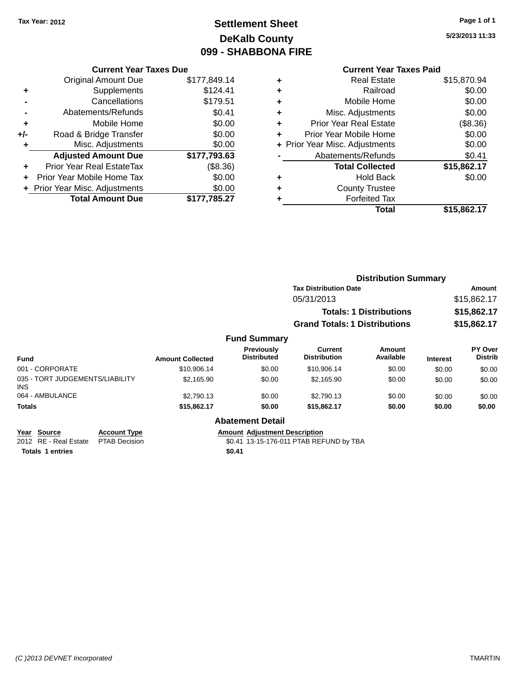### **Settlement Sheet Tax Year: 2012 Page 1 of 1 DeKalb County 099 - SHABBONA FIRE**

**5/23/2013 11:33**

### **Current Year Taxes Paid**

|     | <b>Current Year Taxes Due</b>  |              |
|-----|--------------------------------|--------------|
|     | <b>Original Amount Due</b>     | \$177,849.14 |
| ٠   | Supplements                    | \$124.41     |
|     | Cancellations                  | \$179.51     |
|     | Abatements/Refunds             | \$0.41       |
| ٠   | Mobile Home                    | \$0.00       |
| +/- | Road & Bridge Transfer         | \$0.00       |
| ٠   | Misc. Adjustments              | \$0.00       |
|     | <b>Adjusted Amount Due</b>     | \$177,793.63 |
| ٠   | Prior Year Real EstateTax      | (\$8.36)     |
|     | Prior Year Mobile Home Tax     | \$0.00       |
|     | + Prior Year Misc. Adjustments | \$0.00       |
|     | <b>Total Amount Due</b>        | \$177,785.27 |
|     |                                |              |

| ٠ | <b>Real Estate</b>             | \$15,870.94 |
|---|--------------------------------|-------------|
| ٠ | Railroad                       | \$0.00      |
| ٠ | Mobile Home                    | \$0.00      |
| ٠ | Misc. Adjustments              | \$0.00      |
| ٠ | <b>Prior Year Real Estate</b>  | (\$8.36)    |
| ٠ | Prior Year Mobile Home         | \$0.00      |
|   | + Prior Year Misc. Adjustments | \$0.00      |
|   | Abatements/Refunds             | \$0.41      |
|   | <b>Total Collected</b>         | \$15,862.17 |
| ٠ | Hold Back                      | \$0.00      |
| ٠ | <b>County Trustee</b>          |             |
|   | <b>Forfeited Tax</b>           |             |
|   | <b>Total</b>                   | \$15,862.17 |
|   |                                |             |

|                                         |                         |                                  | <b>Distribution Summary</b>                                            |                     |                            |                                  |  |
|-----------------------------------------|-------------------------|----------------------------------|------------------------------------------------------------------------|---------------------|----------------------------|----------------------------------|--|
|                                         |                         |                                  | <b>Tax Distribution Date</b>                                           |                     |                            | Amount                           |  |
|                                         |                         |                                  | 05/31/2013                                                             |                     | \$15,862.17                |                                  |  |
|                                         |                         |                                  | <b>Totals: 1 Distributions</b><br><b>Grand Totals: 1 Distributions</b> |                     | \$15,862.17<br>\$15,862.17 |                                  |  |
|                                         |                         |                                  |                                                                        |                     |                            |                                  |  |
|                                         |                         | <b>Fund Summary</b>              |                                                                        |                     |                            |                                  |  |
| <b>Fund</b>                             | <b>Amount Collected</b> | Previously<br><b>Distributed</b> | Current<br><b>Distribution</b>                                         | Amount<br>Available | <b>Interest</b>            | <b>PY Over</b><br><b>Distrib</b> |  |
| 001 - CORPORATE                         | \$10,906.14             | \$0.00                           | \$10,906.14                                                            | \$0.00              | \$0.00                     | \$0.00                           |  |
| 035 - TORT JUDGEMENTS/LIABILITY<br>INS. | \$2.165.90              | \$0.00                           | \$2,165.90                                                             | \$0.00              | \$0.00                     | \$0.00                           |  |
| 064 - AMBULANCE                         | \$2,790.13              | \$0.00                           | \$2,790.13                                                             | \$0.00              | \$0.00                     | \$0.00                           |  |
| <b>Totals</b>                           | \$15,862.17             | \$0.00                           | \$15,862.17                                                            | \$0.00              | \$0.00                     | \$0.00                           |  |

#### **Abatement Detail**

**Year** Source **Account Type Account Type Amount Adjustment Description** 2012 RE - Real Estate PTAB Decision \$0.41 13-15-176-011 PTAB REFUND by TBA

**Totals 1 entries \$0.41**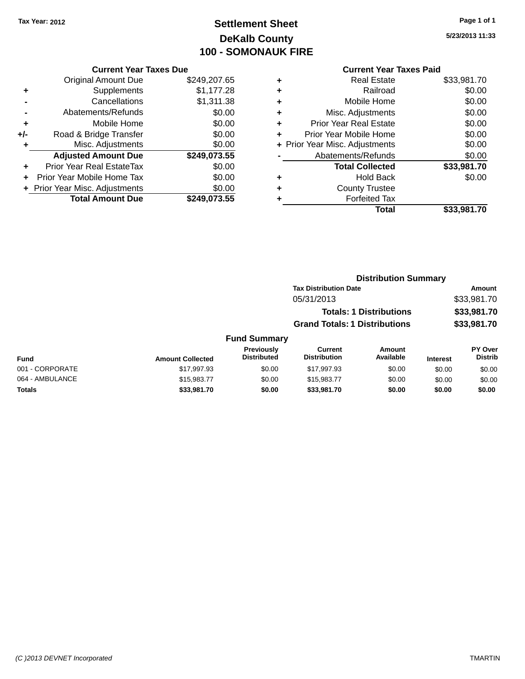### **Settlement Sheet Tax Year: 2012 Page 1 of 1 DeKalb County 100 - SOMONAUK FIRE**

**5/23/2013 11:33**

|     | <b>Current Year Taxes Due</b>     |              |
|-----|-----------------------------------|--------------|
|     | <b>Original Amount Due</b>        | \$249,207.65 |
| ٠   | Supplements                       | \$1,177.28   |
|     | Cancellations                     | \$1,311.38   |
|     | Abatements/Refunds                | \$0.00       |
| ٠   | Mobile Home                       | \$0.00       |
| +/- | Road & Bridge Transfer            | \$0.00       |
| ٠   | Misc. Adjustments                 | \$0.00       |
|     | <b>Adjusted Amount Due</b>        | \$249,073.55 |
| +   | <b>Prior Year Real EstateTax</b>  | \$0.00       |
|     | <b>Prior Year Mobile Home Tax</b> | \$0.00       |
|     | + Prior Year Misc. Adjustments    | \$0.00       |
|     | <b>Total Amount Due</b>           | \$249.073.55 |
|     |                                   |              |

| ٠ | <b>Real Estate</b>             | \$33,981.70 |
|---|--------------------------------|-------------|
| ٠ | Railroad                       | \$0.00      |
| ٠ | Mobile Home                    | \$0.00      |
| ٠ | Misc. Adjustments              | \$0.00      |
| ٠ | <b>Prior Year Real Estate</b>  | \$0.00      |
| ٠ | Prior Year Mobile Home         | \$0.00      |
|   | + Prior Year Misc. Adjustments | \$0.00      |
|   | Abatements/Refunds             | \$0.00      |
|   | <b>Total Collected</b>         | \$33,981.70 |
| ٠ | <b>Hold Back</b>               | \$0.00      |
| ٠ | <b>County Trustee</b>          |             |
|   | <b>Forfeited Tax</b>           |             |
|   | Total                          | \$33,981.70 |
|   |                                |             |

|           |                                  |                                      | <b>Distribution Summary</b>    |                 |                                  |
|-----------|----------------------------------|--------------------------------------|--------------------------------|-----------------|----------------------------------|
|           |                                  | <b>Tax Distribution Date</b>         |                                |                 | <b>Amount</b>                    |
|           |                                  | 05/31/2013                           |                                |                 | \$33,981.70                      |
|           |                                  |                                      | <b>Totals: 1 Distributions</b> |                 | \$33,981.70                      |
|           |                                  | <b>Grand Totals: 1 Distributions</b> |                                |                 | \$33,981.70                      |
|           | <b>Fund Summary</b>              |                                      |                                |                 |                                  |
| Collected | Previously<br><b>Distributed</b> | Current<br><b>Distribution</b>       | Amount<br>Available            | <b>Interest</b> | <b>PY Over</b><br><b>Distrib</b> |

| Fund            | <b>Amount Collected</b> | <b>Previously</b><br><b>Distributed</b> | Current<br><b>Distribution</b> | Amount<br>Available | <b>Interest</b> | <b>PY Over</b><br>Distrib |
|-----------------|-------------------------|-----------------------------------------|--------------------------------|---------------------|-----------------|---------------------------|
| 001 - CORPORATE | \$17.997.93             | \$0.00                                  | \$17.997.93                    | \$0.00              | \$0.00          | \$0.00                    |
| 064 - AMBULANCE | \$15.983.77             | \$0.00                                  | \$15.983.77                    | \$0.00              | \$0.00          | \$0.00                    |
| <b>Totals</b>   | \$33,981.70             | \$0.00                                  | \$33,981.70                    | \$0.00              | \$0.00          | \$0.00                    |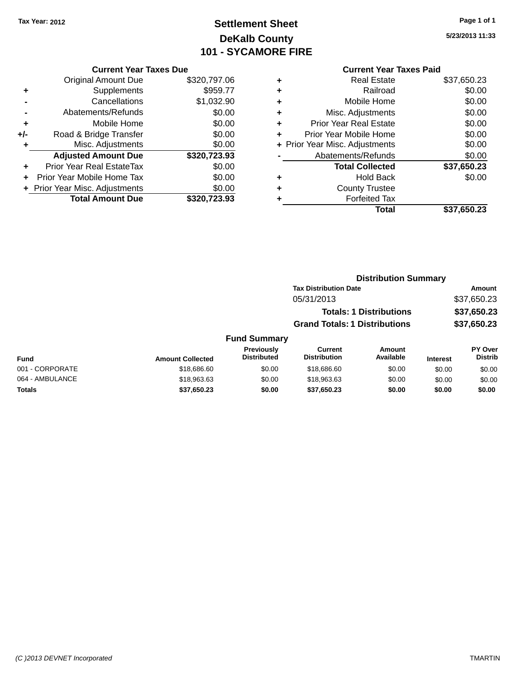### **Settlement Sheet Tax Year: 2012 Page 1 of 1 DeKalb County 101 - SYCAMORE FIRE**

**5/23/2013 11:33**

#### **Current Year Taxes Paid**

| <b>Current Year Taxes Due</b>  |                         |
|--------------------------------|-------------------------|
| <b>Original Amount Due</b>     | \$320,797.06            |
| Supplements                    | \$959.77                |
| Cancellations                  | \$1,032.90              |
| Abatements/Refunds             | \$0.00                  |
| Mobile Home                    | \$0.00                  |
| Road & Bridge Transfer         | \$0.00                  |
| Misc. Adjustments              | \$0.00                  |
| <b>Adjusted Amount Due</b>     | \$320,723.93            |
| Prior Year Real EstateTax      | \$0.00                  |
| Prior Year Mobile Home Tax     | \$0.00                  |
| + Prior Year Misc. Adjustments | \$0.00                  |
|                                | \$320,723.93            |
|                                | <b>Total Amount Due</b> |

|   | <b>Real Estate</b>             | \$37,650.23 |
|---|--------------------------------|-------------|
| ٠ | Railroad                       | \$0.00      |
| ٠ | Mobile Home                    | \$0.00      |
| ٠ | Misc. Adjustments              | \$0.00      |
| ٠ | Prior Year Real Estate         | \$0.00      |
| ÷ | Prior Year Mobile Home         | \$0.00      |
|   | + Prior Year Misc. Adjustments | \$0.00      |
|   | Abatements/Refunds             | \$0.00      |
|   | <b>Total Collected</b>         | \$37,650.23 |
| ٠ | Hold Back                      | \$0.00      |
| ٠ | <b>County Trustee</b>          |             |
| ٠ | <b>Forfeited Tax</b>           |             |
|   | Total                          | \$37,650.23 |
|   |                                |             |

### **Distribution Summary Tax Distribution Date Amount** 05/31/2013 \$37,650.23 **Totals: 1 Distributions \$37,650.23 Grand Totals: 1 Distributions \$37,650.23 Fund Summary**

| <b>Fund</b>     | <b>Amount Collected</b> | <b>Previously</b><br><b>Distributed</b> | Current<br><b>Distribution</b> | Amount<br>Available | <b>Interest</b> | PY Over<br><b>Distrib</b> |
|-----------------|-------------------------|-----------------------------------------|--------------------------------|---------------------|-----------------|---------------------------|
| 001 - CORPORATE | \$18,686,60             | \$0.00                                  | \$18,686,60                    | \$0.00              | \$0.00          | \$0.00                    |
| 064 - AMBULANCE | \$18,963.63             | \$0.00                                  | \$18,963,63                    | \$0.00              | \$0.00          | \$0.00                    |
| <b>Totals</b>   | \$37,650.23             | \$0.00                                  | \$37.650.23                    | \$0.00              | \$0.00          | \$0.00                    |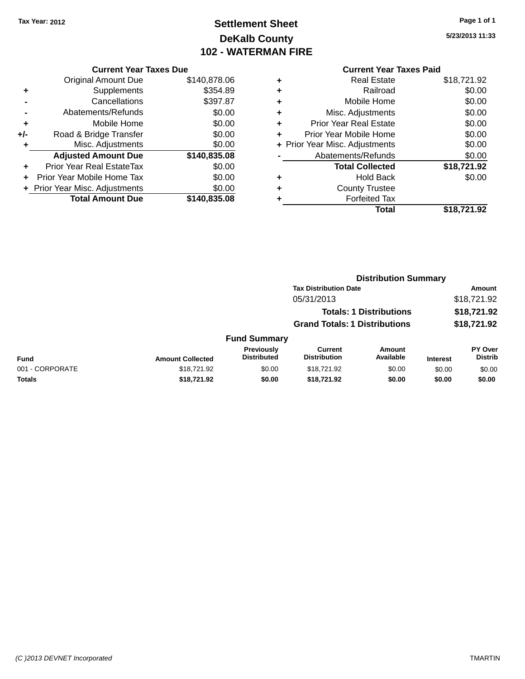### **Settlement Sheet Tax Year: 2012 Page 1 of 1 DeKalb County 102 - WATERMAN FIRE**

**5/23/2013 11:33**

|     | <b>Current Year Taxes Due</b>  |              |
|-----|--------------------------------|--------------|
|     | <b>Original Amount Due</b>     | \$140,878.06 |
| ٠   | Supplements                    | \$354.89     |
|     | Cancellations                  | \$397.87     |
|     | Abatements/Refunds             | \$0.00       |
| ٠   | Mobile Home                    | \$0.00       |
| +/- | Road & Bridge Transfer         | \$0.00       |
| ٠   | Misc. Adjustments              | \$0.00       |
|     | <b>Adjusted Amount Due</b>     | \$140,835.08 |
| ÷   | Prior Year Real EstateTax      | \$0.00       |
| ÷   | Prior Year Mobile Home Tax     | \$0.00       |
|     | + Prior Year Misc. Adjustments | \$0.00       |
|     | <b>Total Amount Due</b>        | \$140,835.08 |
|     |                                |              |

|   | <b>Current Year Taxes Paid</b> |             |
|---|--------------------------------|-------------|
| ٠ | <b>Real Estate</b>             | \$18,721.92 |
| ٠ | Railroad                       | \$0.00      |
| ٠ | Mobile Home                    | \$0.00      |
| ٠ | Misc. Adjustments              | \$0.00      |
| ٠ | <b>Prior Year Real Estate</b>  | \$0.00      |
| ٠ | Prior Year Mobile Home         | \$0.00      |
|   | + Prior Year Misc. Adjustments | \$0.00      |
|   | Abatements/Refunds             | \$0.00      |
|   | <b>Total Collected</b>         | \$18,721.92 |
| ٠ | <b>Hold Back</b>               | \$0.00      |
| ٠ | <b>County Trustee</b>          |             |
| ٠ | <b>Forfeited Tax</b>           |             |
|   | Total                          | \$18,721.92 |

|                 |                         |                                  |                                       | <b>Distribution Summary</b>    |                 |                                  |
|-----------------|-------------------------|----------------------------------|---------------------------------------|--------------------------------|-----------------|----------------------------------|
|                 |                         |                                  | <b>Tax Distribution Date</b>          |                                |                 | Amount                           |
|                 |                         |                                  | 05/31/2013                            |                                |                 | \$18,721.92                      |
|                 |                         |                                  |                                       | <b>Totals: 1 Distributions</b> |                 | \$18,721.92                      |
|                 |                         |                                  | <b>Grand Totals: 1 Distributions</b>  |                                |                 | \$18,721.92                      |
|                 |                         | <b>Fund Summary</b>              |                                       |                                |                 |                                  |
| <b>Fund</b>     | <b>Amount Collected</b> | Previously<br><b>Distributed</b> | <b>Current</b><br><b>Distribution</b> | Amount<br>Available            | <b>Interest</b> | <b>PY Over</b><br><b>Distrib</b> |
| 001 - CORPORATE | \$18,721.92             | \$0.00                           | \$18,721.92                           | \$0.00                         | \$0.00          | \$0.00                           |
| Totals          | \$18,721.92             | \$0.00                           | \$18,721.92                           | \$0.00                         | \$0.00          | \$0.00                           |
|                 |                         |                                  |                                       |                                |                 |                                  |

#### *(C )2013 DEVNET Incorporated* TMARTIN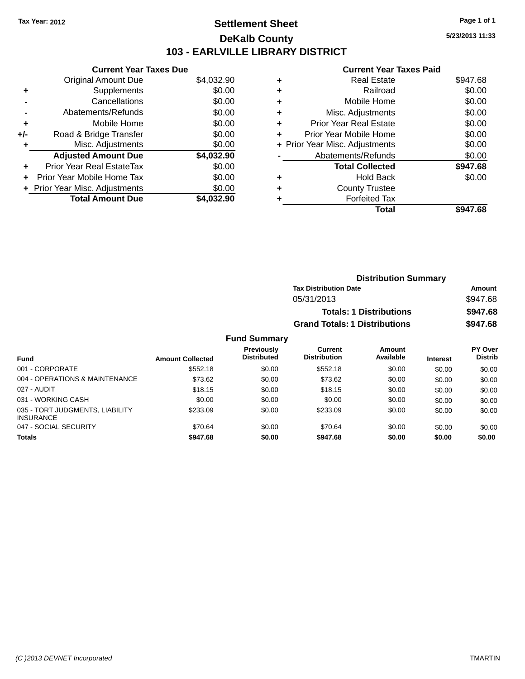### **Settlement Sheet Tax Year: 2012 Page 1 of 1 DeKalb County 103 - EARLVILLE LIBRARY DISTRICT**

**5/23/2013 11:33**

### **Current Year Taxes Paid**

| <b>Current Year Taxes Due</b>     |                                |
|-----------------------------------|--------------------------------|
| <b>Original Amount Due</b>        | \$4,032.90                     |
| Supplements                       | \$0.00                         |
| Cancellations                     | \$0.00                         |
| Abatements/Refunds                | \$0.00                         |
| Mobile Home                       | \$0.00                         |
| Road & Bridge Transfer            | \$0.00                         |
| Misc. Adjustments                 | \$0.00                         |
| <b>Adjusted Amount Due</b>        | \$4,032.90                     |
| <b>Prior Year Real EstateTax</b>  | \$0.00                         |
| <b>Prior Year Mobile Home Tax</b> | \$0.00                         |
|                                   | \$0.00                         |
| <b>Total Amount Due</b>           | \$4.032.90                     |
|                                   | + Prior Year Misc. Adjustments |

|   | Total                          | \$947.68 |
|---|--------------------------------|----------|
| ٠ | <b>Forfeited Tax</b>           |          |
| ٠ | <b>County Trustee</b>          |          |
| ٠ | Hold Back                      | \$0.00   |
|   | <b>Total Collected</b>         | \$947.68 |
|   | Abatements/Refunds             | \$0.00   |
|   | + Prior Year Misc. Adjustments | \$0.00   |
| ٠ | Prior Year Mobile Home         | \$0.00   |
| ٠ | <b>Prior Year Real Estate</b>  | \$0.00   |
| ٠ | Misc. Adjustments              | \$0.00   |
| ٠ | Mobile Home                    | \$0.00   |
| ٠ | Railroad                       | \$0.00   |
| ٠ | Real Estate                    | \$947.68 |
|   |                                |          |

| <b>Distribution Summary</b>          |          |  |  |  |  |
|--------------------------------------|----------|--|--|--|--|
| <b>Tax Distribution Date</b>         | Amount   |  |  |  |  |
| 05/31/2013                           | \$947.68 |  |  |  |  |
| <b>Totals: 1 Distributions</b>       | \$947.68 |  |  |  |  |
| <b>Grand Totals: 1 Distributions</b> | \$947.68 |  |  |  |  |

| <b>Fund</b>                                         | <b>Amount Collected</b> | Previously<br><b>Distributed</b> | Current<br><b>Distribution</b> | <b>Amount</b><br>Available | <b>Interest</b> | <b>PY Over</b><br><b>Distrib</b> |
|-----------------------------------------------------|-------------------------|----------------------------------|--------------------------------|----------------------------|-----------------|----------------------------------|
| 001 - CORPORATE                                     | \$552.18                | \$0.00                           | \$552.18                       | \$0.00                     | \$0.00          | \$0.00                           |
| 004 - OPERATIONS & MAINTENANCE                      | \$73.62                 | \$0.00                           | \$73.62                        | \$0.00                     | \$0.00          | \$0.00                           |
| 027 - AUDIT                                         | \$18.15                 | \$0.00                           | \$18.15                        | \$0.00                     | \$0.00          | \$0.00                           |
| 031 - WORKING CASH                                  | \$0.00                  | \$0.00                           | \$0.00                         | \$0.00                     | \$0.00          | \$0.00                           |
| 035 - TORT JUDGMENTS, LIABILITY<br><b>INSURANCE</b> | \$233.09                | \$0.00                           | \$233.09                       | \$0.00                     | \$0.00          | \$0.00                           |
| 047 - SOCIAL SECURITY                               | \$70.64                 | \$0.00                           | \$70.64                        | \$0.00                     | \$0.00          | \$0.00                           |
| <b>Totals</b>                                       | \$947.68                | \$0.00                           | \$947.68                       | \$0.00                     | \$0.00          | \$0.00                           |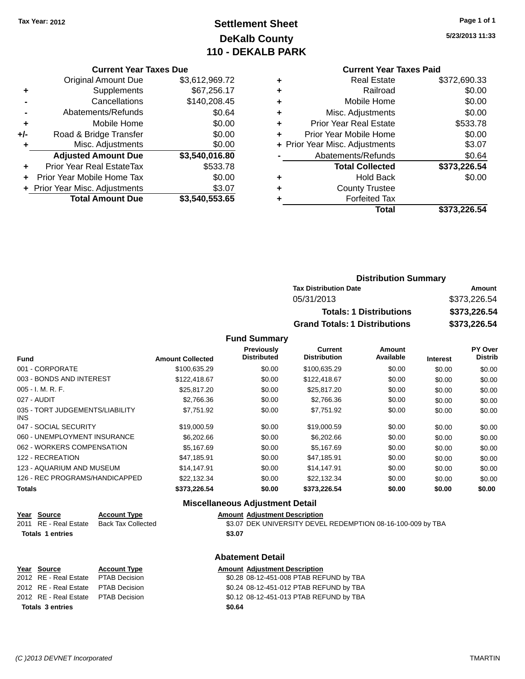### **Settlement Sheet Tax Year: 2012 Page 1 of 1 DeKalb County 110 - DEKALB PARK**

**5/23/2013 11:33**

#### **Current Year Taxes Due**

|     | <b>Original Amount Due</b>     | \$3,612,969.72 |
|-----|--------------------------------|----------------|
| ٠   | Supplements                    | \$67,256.17    |
|     | Cancellations                  | \$140,208.45   |
|     | Abatements/Refunds             | \$0.64         |
| ٠   | Mobile Home                    | \$0.00         |
| +/- | Road & Bridge Transfer         | \$0.00         |
| ٠   | Misc. Adjustments              | \$0.00         |
|     | <b>Adjusted Amount Due</b>     | \$3,540,016.80 |
|     | Prior Year Real EstateTax      | \$533.78       |
|     | Prior Year Mobile Home Tax     | \$0.00         |
|     | + Prior Year Misc. Adjustments | \$3.07         |
|     | <b>Total Amount Due</b>        | \$3,540,553.65 |

#### **Current Year Taxes Paid**

|   | <b>Real Estate</b>             | \$372,690.33 |
|---|--------------------------------|--------------|
| ٠ | Railroad                       | \$0.00       |
| ٠ | Mobile Home                    | \$0.00       |
| ٠ | Misc. Adjustments              | \$0.00       |
| ٠ | <b>Prior Year Real Estate</b>  | \$533.78     |
|   | Prior Year Mobile Home         | \$0.00       |
|   | + Prior Year Misc. Adjustments | \$3.07       |
|   | Abatements/Refunds             | \$0.64       |
|   | <b>Total Collected</b>         | \$373,226.54 |
| ٠ | <b>Hold Back</b>               | \$0.00       |
|   | <b>County Trustee</b>          |              |
|   | <b>Forfeited Tax</b>           |              |
|   | Total                          | \$373,226.54 |
|   |                                |              |

### **Distribution Summary Tax Distribution Date Amount** 05/31/2013 \$373,226.54 **Totals: 1 Distributions \$373,226.54 Grand Totals: 1 Distributions \$373,226.54**

#### **Fund Summary**

| <b>Fund</b>                                   | <b>Amount Collected</b> | Previously<br><b>Distributed</b> | Current<br><b>Distribution</b> | Amount<br>Available | <b>Interest</b> | PY Over<br><b>Distrib</b> |
|-----------------------------------------------|-------------------------|----------------------------------|--------------------------------|---------------------|-----------------|---------------------------|
|                                               |                         |                                  |                                |                     |                 |                           |
| 001 - CORPORATE                               | \$100,635.29            | \$0.00                           | \$100,635.29                   | \$0.00              | \$0.00          | \$0.00                    |
| 003 - BONDS AND INTEREST                      | \$122,418.67            | \$0.00                           | \$122,418.67                   | \$0.00              | \$0.00          | \$0.00                    |
| 005 - I. M. R. F.                             | \$25,817.20             | \$0.00                           | \$25.817.20                    | \$0.00              | \$0.00          | \$0.00                    |
| 027 - AUDIT                                   | \$2,766.36              | \$0.00                           | \$2,766.36                     | \$0.00              | \$0.00          | \$0.00                    |
| 035 - TORT JUDGEMENTS/LIABILITY<br><b>INS</b> | \$7,751.92              | \$0.00                           | \$7,751.92                     | \$0.00              | \$0.00          | \$0.00                    |
| 047 - SOCIAL SECURITY                         | \$19,000.59             | \$0.00                           | \$19,000.59                    | \$0.00              | \$0.00          | \$0.00                    |
| 060 - UNEMPLOYMENT INSURANCE                  | \$6,202.66              | \$0.00                           | \$6,202.66                     | \$0.00              | \$0.00          | \$0.00                    |
| 062 - WORKERS COMPENSATION                    | \$5.167.69              | \$0.00                           | \$5,167.69                     | \$0.00              | \$0.00          | \$0.00                    |
| 122 - RECREATION                              | \$47.185.91             | \$0.00                           | \$47,185.91                    | \$0.00              | \$0.00          | \$0.00                    |
| 123 - AQUARIUM AND MUSEUM                     | \$14,147.91             | \$0.00                           | \$14,147.91                    | \$0.00              | \$0.00          | \$0.00                    |
| 126 - REC PROGRAMS/HANDICAPPED                | \$22.132.34             | \$0.00                           | \$22,132.34                    | \$0.00              | \$0.00          | \$0.00                    |
| <b>Totals</b>                                 | \$373,226.54            | \$0.00                           | \$373,226.54                   | \$0.00              | \$0.00          | \$0.00                    |

#### **Miscellaneous Adjustment Detail**

| Year Source             | <b>Account Type</b> | <b>Amount Adiustment Description</b>                        |
|-------------------------|---------------------|-------------------------------------------------------------|
| 2011 RE - Real Estate   | Back Tax Collected  | \$3.07 DEK UNIVERSITY DEVEL REDEMPTION 08-16-100-009 by TBA |
| <b>Totals 1 entries</b> |                     | \$3.07                                                      |

#### **Abatement Detail**

|                         | Year Source                         | <b>Account Type</b> |        | <b>Amount Adjustment Description</b>    |
|-------------------------|-------------------------------------|---------------------|--------|-----------------------------------------|
|                         | 2012 RE - Real Estate PTAB Decision |                     |        | \$0.28 08-12-451-008 PTAB REFUND by TBA |
|                         | 2012 RE - Real Estate PTAB Decision |                     |        | \$0.24 08-12-451-012 PTAB REFUND by TBA |
|                         | 2012 RE - Real Estate PTAB Decision |                     |        | \$0.12 08-12-451-013 PTAB REFUND by TBA |
| <b>Totals 3 entries</b> |                                     |                     | \$0.64 |                                         |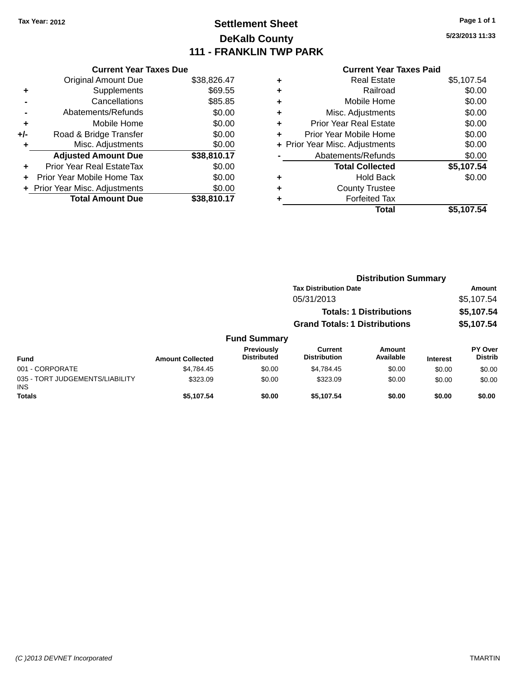### **Settlement Sheet Tax Year: 2012 Page 1 of 1 DeKalb County 111 - FRANKLIN TWP PARK**

**5/23/2013 11:33**

| \$38,826.47 |
|-------------|
| \$69.55     |
| \$85.85     |
| \$0.00      |
| \$0.00      |
| \$0.00      |
| \$0.00      |
| \$38,810.17 |
| \$0.00      |
| \$0.00      |
| \$0.00      |
| \$38,810.17 |
|             |

| ٠ | <b>Real Estate</b>             | \$5,107.54 |
|---|--------------------------------|------------|
| ٠ | Railroad                       | \$0.00     |
| ٠ | Mobile Home                    | \$0.00     |
| ٠ | Misc. Adjustments              | \$0.00     |
| ٠ | <b>Prior Year Real Estate</b>  | \$0.00     |
| ٠ | Prior Year Mobile Home         | \$0.00     |
|   | + Prior Year Misc. Adjustments | \$0.00     |
|   | Abatements/Refunds             | \$0.00     |
|   | <b>Total Collected</b>         | \$5,107.54 |
| ٠ | Hold Back                      | \$0.00     |
| ٠ | <b>County Trustee</b>          |            |
| ٠ | <b>Forfeited Tax</b>           |            |
|   | Total                          | \$5,107.54 |
|   |                                |            |

|                                         |                         |                                  | <b>Distribution Summary</b>           |                                |                 |                                  |
|-----------------------------------------|-------------------------|----------------------------------|---------------------------------------|--------------------------------|-----------------|----------------------------------|
|                                         |                         |                                  | <b>Tax Distribution Date</b>          |                                |                 | Amount                           |
|                                         |                         |                                  | 05/31/2013                            |                                |                 | \$5,107.54                       |
|                                         |                         |                                  |                                       | <b>Totals: 1 Distributions</b> |                 | \$5,107.54                       |
|                                         |                         |                                  | <b>Grand Totals: 1 Distributions</b>  |                                |                 | \$5,107.54                       |
|                                         |                         | <b>Fund Summary</b>              |                                       |                                |                 |                                  |
| <b>Fund</b>                             | <b>Amount Collected</b> | Previously<br><b>Distributed</b> | <b>Current</b><br><b>Distribution</b> | <b>Amount</b><br>Available     | <b>Interest</b> | <b>PY Over</b><br><b>Distrib</b> |
| 001 - CORPORATE                         | \$4,784.45              | \$0.00                           | \$4,784.45                            | \$0.00                         | \$0.00          | \$0.00                           |
| 035 - TORT JUDGEMENTS/LIABILITY<br>INS. | \$323.09                | \$0.00                           | \$323.09                              | \$0.00                         | \$0.00          | \$0.00                           |
| <b>Totals</b>                           | \$5.107.54              | \$0.00                           | \$5.107.54                            | \$0.00                         | \$0.00          | \$0.00                           |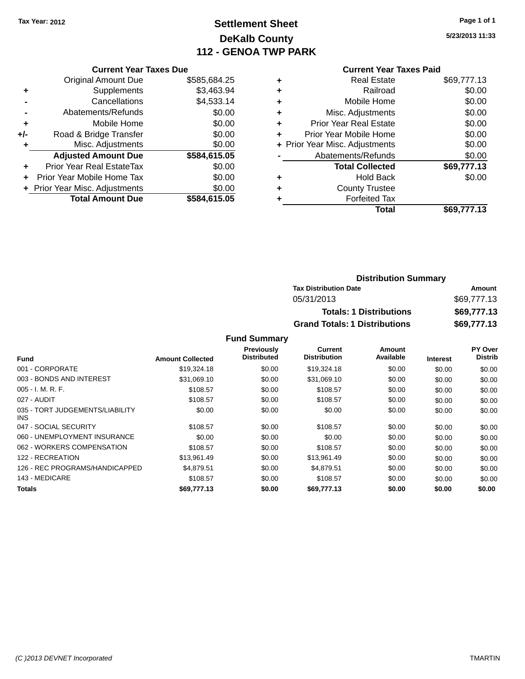### **Settlement Sheet Tax Year: 2012 Page 1 of 1 DeKalb County 112 - GENOA TWP PARK**

**5/23/2013 11:33**

|     | <b>Current Year Taxes Due</b>  |              |  |  |  |
|-----|--------------------------------|--------------|--|--|--|
|     | <b>Original Amount Due</b>     | \$585,684.25 |  |  |  |
|     | Supplements                    | \$3,463.94   |  |  |  |
|     | Cancellations                  | \$4,533.14   |  |  |  |
|     | Abatements/Refunds             | \$0.00       |  |  |  |
| ٠   | Mobile Home                    | \$0.00       |  |  |  |
| +/- | Road & Bridge Transfer         | \$0.00       |  |  |  |
|     | Misc. Adjustments              | \$0.00       |  |  |  |
|     | <b>Adjusted Amount Due</b>     | \$584,615.05 |  |  |  |
| ٠   | Prior Year Real EstateTax      | \$0.00       |  |  |  |
|     | Prior Year Mobile Home Tax     | \$0.00       |  |  |  |
|     | + Prior Year Misc. Adjustments | \$0.00       |  |  |  |
|     | <b>Total Amount Due</b>        | \$584,615.05 |  |  |  |
|     |                                |              |  |  |  |

# **Current Year Taxes Paid**

|   | <b>Real Estate</b>             | \$69,777.13 |
|---|--------------------------------|-------------|
| ٠ | Railroad                       | \$0.00      |
|   | Mobile Home                    | \$0.00      |
| ٠ | Misc. Adjustments              | \$0.00      |
| ٠ | Prior Year Real Estate         | \$0.00      |
| ٠ | Prior Year Mobile Home         | \$0.00      |
|   | + Prior Year Misc. Adjustments | \$0.00      |
|   | Abatements/Refunds             | \$0.00      |
|   | <b>Total Collected</b>         | \$69,777.13 |
|   | <b>Hold Back</b>               | \$0.00      |
|   | <b>County Trustee</b>          |             |
|   | <b>Forfeited Tax</b>           |             |
|   | Total                          | \$69,777.13 |
|   |                                |             |

### **Distribution Summary Tax Distribution Date Amount** 05/31/2013 \$69,777.13 **Totals: 1 Distributions \$69,777.13 Grand Totals: 1 Distributions \$69,777.13**

|                                         |                         | Previously         | Current             | Amount    |                 | PY Over        |
|-----------------------------------------|-------------------------|--------------------|---------------------|-----------|-----------------|----------------|
| <b>Fund</b>                             | <b>Amount Collected</b> | <b>Distributed</b> | <b>Distribution</b> | Available | <b>Interest</b> | <b>Distrib</b> |
| 001 - CORPORATE                         | \$19,324.18             | \$0.00             | \$19,324.18         | \$0.00    | \$0.00          | \$0.00         |
| 003 - BONDS AND INTEREST                | \$31,069.10             | \$0.00             | \$31,069.10         | \$0.00    | \$0.00          | \$0.00         |
| $005 - I. M. R. F.$                     | \$108.57                | \$0.00             | \$108.57            | \$0.00    | \$0.00          | \$0.00         |
| 027 - AUDIT                             | \$108.57                | \$0.00             | \$108.57            | \$0.00    | \$0.00          | \$0.00         |
| 035 - TORT JUDGEMENTS/LIABILITY<br>INS. | \$0.00                  | \$0.00             | \$0.00              | \$0.00    | \$0.00          | \$0.00         |
| 047 - SOCIAL SECURITY                   | \$108.57                | \$0.00             | \$108.57            | \$0.00    | \$0.00          | \$0.00         |
| 060 - UNEMPLOYMENT INSURANCE            | \$0.00                  | \$0.00             | \$0.00              | \$0.00    | \$0.00          | \$0.00         |
| 062 - WORKERS COMPENSATION              | \$108.57                | \$0.00             | \$108.57            | \$0.00    | \$0.00          | \$0.00         |
| 122 - RECREATION                        | \$13,961.49             | \$0.00             | \$13,961.49         | \$0.00    | \$0.00          | \$0.00         |
| 126 - REC PROGRAMS/HANDICAPPED          | \$4.879.51              | \$0.00             | \$4,879.51          | \$0.00    | \$0.00          | \$0.00         |
| 143 - MEDICARE                          | \$108.57                | \$0.00             | \$108.57            | \$0.00    | \$0.00          | \$0.00         |
| Totals                                  | \$69,777.13             | \$0.00             | \$69,777.13         | \$0.00    | \$0.00          | \$0.00         |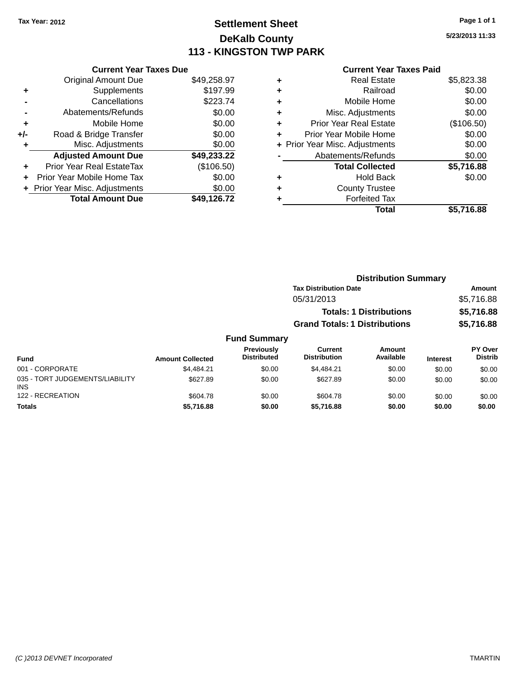### **Settlement Sheet Tax Year: 2012 Page 1 of 1 DeKalb County 113 - KINGSTON TWP PARK**

**5/23/2013 11:33**

|     | <b>Current Year Taxes Due</b>    |             |  |  |  |  |
|-----|----------------------------------|-------------|--|--|--|--|
|     | <b>Original Amount Due</b>       | \$49,258.97 |  |  |  |  |
| ٠   | Supplements                      | \$197.99    |  |  |  |  |
|     | Cancellations                    | \$223.74    |  |  |  |  |
|     | Abatements/Refunds               | \$0.00      |  |  |  |  |
| ٠   | Mobile Home                      | \$0.00      |  |  |  |  |
| +/- | Road & Bridge Transfer           | \$0.00      |  |  |  |  |
| ٠   | Misc. Adjustments                | \$0.00      |  |  |  |  |
|     | <b>Adjusted Amount Due</b>       | \$49,233.22 |  |  |  |  |
| ٠   | <b>Prior Year Real EstateTax</b> | (\$106.50)  |  |  |  |  |
| ÷   | Prior Year Mobile Home Tax       | \$0.00      |  |  |  |  |
|     | + Prior Year Misc. Adjustments   | \$0.00      |  |  |  |  |
|     | <b>Total Amount Due</b>          | \$49.126.72 |  |  |  |  |

| ٠ | <b>Real Estate</b>             | \$5,823.38 |
|---|--------------------------------|------------|
| ٠ | Railroad                       | \$0.00     |
| ٠ | Mobile Home                    | \$0.00     |
| ٠ | Misc. Adjustments              | \$0.00     |
| ٠ | <b>Prior Year Real Estate</b>  | (\$106.50) |
| ٠ | Prior Year Mobile Home         | \$0.00     |
|   | + Prior Year Misc. Adjustments | \$0.00     |
|   | Abatements/Refunds             | \$0.00     |
|   | <b>Total Collected</b>         | \$5,716.88 |
| ٠ | <b>Hold Back</b>               | \$0.00     |
| ٠ | <b>County Trustee</b>          |            |
|   | <b>Forfeited Tax</b>           |            |
|   | Total                          | \$5,716.88 |
|   |                                |            |

|                     |                                      | <b>Distribution Summary</b>    |             |
|---------------------|--------------------------------------|--------------------------------|-------------|
|                     | <b>Tax Distribution Date</b>         |                                | Amount      |
|                     | 05/31/2013                           |                                | \$5,716.88  |
|                     |                                      | <b>Totals: 1 Distributions</b> | \$5,716.88  |
|                     | <b>Grand Totals: 1 Distributions</b> |                                | \$5,716.88  |
| <b>Fund Summary</b> |                                      |                                |             |
| Donald and the      | $\mathcal{L}$                        | $A - 2 - 1$                    | <b>DV 0</b> |

|                                               |                         | Previously         | Current             | Amount    |                 | <b>PY Over</b> |
|-----------------------------------------------|-------------------------|--------------------|---------------------|-----------|-----------------|----------------|
| <b>Fund</b>                                   | <b>Amount Collected</b> | <b>Distributed</b> | <b>Distribution</b> | Available | <b>Interest</b> | <b>Distrib</b> |
| 001 - CORPORATE                               | \$4.484.21              | \$0.00             | \$4.484.21          | \$0.00    | \$0.00          | \$0.00         |
| 035 - TORT JUDGEMENTS/LIABILITY<br><b>INS</b> | \$627.89                | \$0.00             | \$627.89            | \$0.00    | \$0.00          | \$0.00         |
| 122 - RECREATION                              | \$604.78                | \$0.00             | \$604.78            | \$0.00    | \$0.00          | \$0.00         |
| <b>Totals</b>                                 | \$5,716.88              | \$0.00             | \$5,716.88          | \$0.00    | \$0.00          | \$0.00         |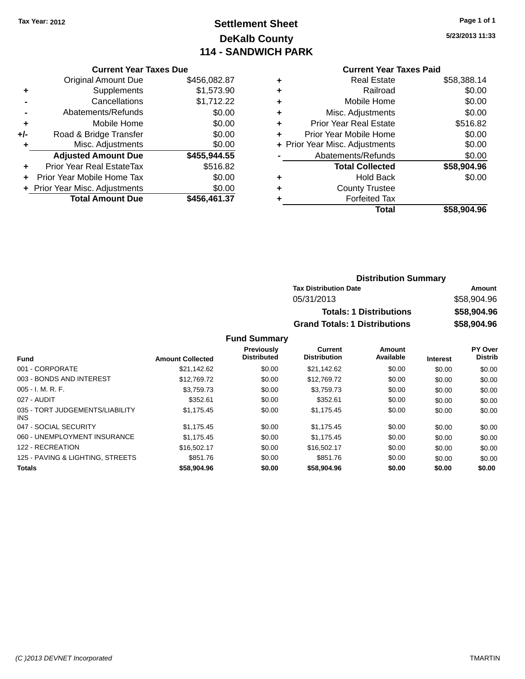### **Settlement Sheet Tax Year: 2012 Page 1 of 1 DeKalb County 114 - SANDWICH PARK**

**5/23/2013 11:33**

#### **Current Year Taxes Paid**

| <b>Current Year Taxes Due</b>    |                                |
|----------------------------------|--------------------------------|
| <b>Original Amount Due</b>       | \$456,082.87                   |
| Supplements                      | \$1,573.90                     |
| Cancellations                    | \$1,712.22                     |
| Abatements/Refunds               | \$0.00                         |
| Mobile Home                      | \$0.00                         |
| Road & Bridge Transfer           | \$0.00                         |
| Misc. Adjustments                | \$0.00                         |
| <b>Adjusted Amount Due</b>       | \$455,944.55                   |
| <b>Prior Year Real EstateTax</b> | \$516.82                       |
| Prior Year Mobile Home Tax       | \$0.00                         |
|                                  | \$0.00                         |
| <b>Total Amount Due</b>          | \$456,461.37                   |
|                                  | + Prior Year Misc. Adjustments |

| ٠ | <b>Real Estate</b>             | \$58,388.14 |
|---|--------------------------------|-------------|
| ٠ | Railroad                       | \$0.00      |
| ٠ | Mobile Home                    | \$0.00      |
| ٠ | Misc. Adjustments              | \$0.00      |
| ٠ | <b>Prior Year Real Estate</b>  | \$516.82    |
| ٠ | Prior Year Mobile Home         | \$0.00      |
|   | + Prior Year Misc. Adjustments | \$0.00      |
|   | Abatements/Refunds             | \$0.00      |
|   | <b>Total Collected</b>         | \$58,904.96 |
| ٠ | <b>Hold Back</b>               | \$0.00      |
| ٠ | <b>County Trustee</b>          |             |
| ٠ | <b>Forfeited Tax</b>           |             |
|   | Total                          | \$58,904.96 |
|   |                                |             |

| <b>Distribution Summary</b>          |             |
|--------------------------------------|-------------|
| <b>Tax Distribution Date</b>         | Amount      |
| 05/31/2013                           | \$58,904.96 |
| <b>Totals: 1 Distributions</b>       | \$58,904.96 |
| <b>Grand Totals: 1 Distributions</b> | \$58,904.96 |

| <b>Fund</b>                             | <b>Amount Collected</b> | Previously<br><b>Distributed</b> | Current<br><b>Distribution</b> | Amount<br>Available | <b>Interest</b> | PY Over<br><b>Distrib</b> |
|-----------------------------------------|-------------------------|----------------------------------|--------------------------------|---------------------|-----------------|---------------------------|
|                                         |                         |                                  |                                |                     |                 |                           |
| 001 - CORPORATE                         | \$21.142.62             | \$0.00                           | \$21.142.62                    | \$0.00              | \$0.00          | \$0.00                    |
| 003 - BONDS AND INTEREST                | \$12,769.72             | \$0.00                           | \$12,769.72                    | \$0.00              | \$0.00          | \$0.00                    |
| $005 - I. M. R. F.$                     | \$3,759.73              | \$0.00                           | \$3,759.73                     | \$0.00              | \$0.00          | \$0.00                    |
| 027 - AUDIT                             | \$352.61                | \$0.00                           | \$352.61                       | \$0.00              | \$0.00          | \$0.00                    |
| 035 - TORT JUDGEMENTS/LIABILITY<br>INS. | \$1.175.45              | \$0.00                           | \$1.175.45                     | \$0.00              | \$0.00          | \$0.00                    |
| 047 - SOCIAL SECURITY                   | \$1.175.45              | \$0.00                           | \$1.175.45                     | \$0.00              | \$0.00          | \$0.00                    |
| 060 - UNEMPLOYMENT INSURANCE            | \$1.175.45              | \$0.00                           | \$1.175.45                     | \$0.00              | \$0.00          | \$0.00                    |
| 122 - RECREATION                        | \$16,502.17             | \$0.00                           | \$16,502.17                    | \$0.00              | \$0.00          | \$0.00                    |
| 125 - PAVING & LIGHTING, STREETS        | \$851.76                | \$0.00                           | \$851.76                       | \$0.00              | \$0.00          | \$0.00                    |
| <b>Totals</b>                           | \$58,904.96             | \$0.00                           | \$58,904.96                    | \$0.00              | \$0.00          | \$0.00                    |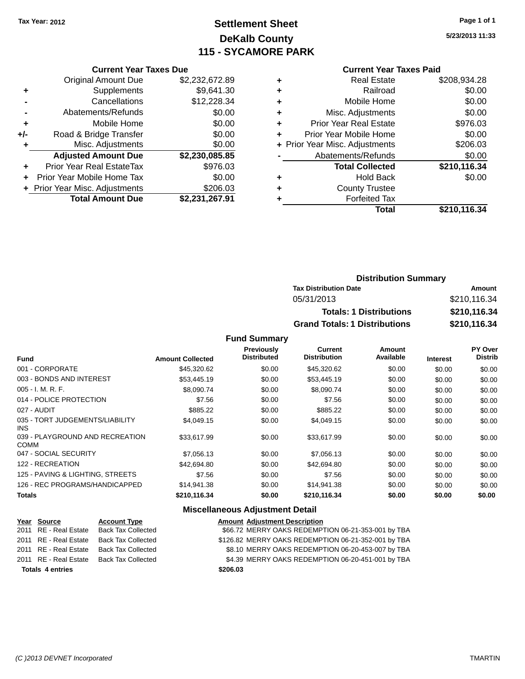### **Settlement Sheet Tax Year: 2012 Page 1 of 1 DeKalb County 115 - SYCAMORE PARK**

**5/23/2013 11:33**

#### **Current Year Taxes Paid**

|     | <b>Current Year Taxes Due</b>  |                |  |  |  |
|-----|--------------------------------|----------------|--|--|--|
|     | <b>Original Amount Due</b>     | \$2,232,672.89 |  |  |  |
| ٠   | Supplements                    | \$9,641.30     |  |  |  |
|     | Cancellations                  | \$12,228.34    |  |  |  |
|     | Abatements/Refunds             | \$0.00         |  |  |  |
| ٠   | Mobile Home                    | \$0.00         |  |  |  |
| +/- | Road & Bridge Transfer         | \$0.00         |  |  |  |
| ٠   | Misc. Adjustments              | \$0.00         |  |  |  |
|     | <b>Adjusted Amount Due</b>     | \$2,230,085.85 |  |  |  |
| ٠   | Prior Year Real EstateTax      | \$976.03       |  |  |  |
| ÷   | Prior Year Mobile Home Tax     | \$0.00         |  |  |  |
|     | + Prior Year Misc. Adjustments | \$206.03       |  |  |  |
|     | <b>Total Amount Due</b>        | \$2,231,267.91 |  |  |  |

|   | <b>Real Estate</b>             | \$208,934.28 |
|---|--------------------------------|--------------|
| ٠ | Railroad                       | \$0.00       |
| ٠ | Mobile Home                    | \$0.00       |
| ٠ | Misc. Adjustments              | \$0.00       |
| ٠ | <b>Prior Year Real Estate</b>  | \$976.03     |
| ٠ | Prior Year Mobile Home         | \$0.00       |
|   | + Prior Year Misc. Adjustments | \$206.03     |
|   | Abatements/Refunds             | \$0.00       |
|   | <b>Total Collected</b>         | \$210,116.34 |
| ٠ | Hold Back                      | \$0.00       |
| ٠ | <b>County Trustee</b>          |              |
| ٠ | <b>Forfeited Tax</b>           |              |
|   | Total                          | \$210,116.34 |
|   |                                |              |

### **Distribution Summary Tax Distribution Date Amount** 05/31/2013 \$210,116.34 **Totals: 1 Distributions \$210,116.34 Grand Totals: 1 Distributions \$210,116.34**

#### **Fund Summary**

|                                                |                         | <b>Previously</b>  | Current             | Amount    |                 | <b>PY Over</b> |
|------------------------------------------------|-------------------------|--------------------|---------------------|-----------|-----------------|----------------|
| <b>Fund</b>                                    | <b>Amount Collected</b> | <b>Distributed</b> | <b>Distribution</b> | Available | <b>Interest</b> | <b>Distrib</b> |
| 001 - CORPORATE                                | \$45,320.62             | \$0.00             | \$45,320.62         | \$0.00    | \$0.00          | \$0.00         |
| 003 - BONDS AND INTEREST                       | \$53,445.19             | \$0.00             | \$53,445.19         | \$0.00    | \$0.00          | \$0.00         |
| $005 - I. M. R. F.$                            | \$8,090.74              | \$0.00             | \$8,090.74          | \$0.00    | \$0.00          | \$0.00         |
| 014 - POLICE PROTECTION                        | \$7.56                  | \$0.00             | \$7.56              | \$0.00    | \$0.00          | \$0.00         |
| 027 - AUDIT                                    | \$885.22                | \$0.00             | \$885.22            | \$0.00    | \$0.00          | \$0.00         |
| 035 - TORT JUDGEMENTS/LIABILITY<br><b>INS</b>  | \$4,049.15              | \$0.00             | \$4,049.15          | \$0.00    | \$0.00          | \$0.00         |
| 039 - PLAYGROUND AND RECREATION<br><b>COMM</b> | \$33,617.99             | \$0.00             | \$33,617.99         | \$0.00    | \$0.00          | \$0.00         |
| 047 - SOCIAL SECURITY                          | \$7,056.13              | \$0.00             | \$7,056.13          | \$0.00    | \$0.00          | \$0.00         |
| 122 - RECREATION                               | \$42,694.80             | \$0.00             | \$42,694.80         | \$0.00    | \$0.00          | \$0.00         |
| 125 - PAVING & LIGHTING, STREETS               | \$7.56                  | \$0.00             | \$7.56              | \$0.00    | \$0.00          | \$0.00         |
| 126 - REC PROGRAMS/HANDICAPPED                 | \$14,941.38             | \$0.00             | \$14,941.38         | \$0.00    | \$0.00          | \$0.00         |
| Totals                                         | \$210,116.34            | \$0.00             | \$210,116.34        | \$0.00    | \$0.00          | \$0.00         |

#### **Miscellaneous Adjustment Detail**

| Year Source             | <b>Account Type</b> | <b>Amount Adjustment Description</b>                |
|-------------------------|---------------------|-----------------------------------------------------|
| 2011 RE - Real Estate   | Back Tax Collected  | \$66.72 MERRY OAKS REDEMPTION 06-21-353-001 by TBA  |
| 2011 RE - Real Estate   | Back Tax Collected  | \$126.82 MERRY OAKS REDEMPTION 06-21-352-001 by TBA |
| 2011 RE - Real Estate   | Back Tax Collected  | \$8.10 MERRY OAKS REDEMPTION 06-20-453-007 by TBA   |
| 2011 RE - Real Estate   | Back Tax Collected  | \$4.39 MERRY OAKS REDEMPTION 06-20-451-001 by TBA   |
| <b>Totals 4 entries</b> |                     | \$206.03                                            |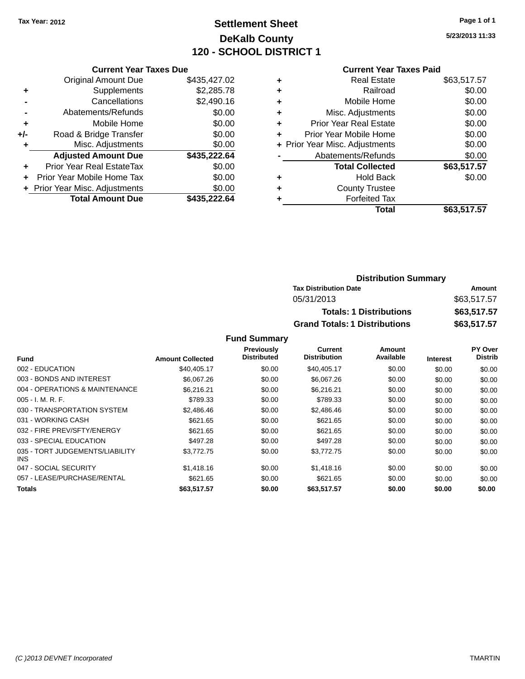### **Settlement Sheet Tax Year: 2012 Page 1 of 1 DeKalb County 120 - SCHOOL DISTRICT 1**

**5/23/2013 11:33**

#### **Current Year Taxes Paid**

|       | <b>Current Year Taxes Due</b>  |              |
|-------|--------------------------------|--------------|
|       | <b>Original Amount Due</b>     | \$435,427.02 |
| ٠     | Supplements                    | \$2,285.78   |
|       | Cancellations                  | \$2,490.16   |
|       | Abatements/Refunds             | \$0.00       |
| ٠     | Mobile Home                    | \$0.00       |
| $+/-$ | Road & Bridge Transfer         | \$0.00       |
| ٠     | Misc. Adjustments              | \$0.00       |
|       | <b>Adjusted Amount Due</b>     | \$435,222.64 |
| ÷     | Prior Year Real EstateTax      | \$0.00       |
|       | Prior Year Mobile Home Tax     | \$0.00       |
|       | + Prior Year Misc. Adjustments | \$0.00       |
|       | <b>Total Amount Due</b>        | \$435.222.64 |

|   | <b>Real Estate</b>             | \$63,517.57 |
|---|--------------------------------|-------------|
| ٠ | Railroad                       | \$0.00      |
| ٠ | Mobile Home                    | \$0.00      |
| ٠ | Misc. Adjustments              | \$0.00      |
| ٠ | <b>Prior Year Real Estate</b>  | \$0.00      |
| ÷ | Prior Year Mobile Home         | \$0.00      |
|   | + Prior Year Misc. Adjustments | \$0.00      |
|   | Abatements/Refunds             | \$0.00      |
|   | <b>Total Collected</b>         | \$63,517.57 |
| ٠ | <b>Hold Back</b>               | \$0.00      |
| ٠ | <b>County Trustee</b>          |             |
| ٠ | <b>Forfeited Tax</b>           |             |
|   | Total                          | \$63,517.57 |
|   |                                |             |

| <b>Distribution Summary</b>          |             |  |  |
|--------------------------------------|-------------|--|--|
| <b>Tax Distribution Date</b>         | Amount      |  |  |
| 05/31/2013                           | \$63,517.57 |  |  |
| <b>Totals: 1 Distributions</b>       | \$63,517.57 |  |  |
| <b>Grand Totals: 1 Distributions</b> | \$63,517.57 |  |  |

|                                         |                         | <b>Previously</b>  | <b>Current</b>      | Amount    |                 | PY Over        |
|-----------------------------------------|-------------------------|--------------------|---------------------|-----------|-----------------|----------------|
| <b>Fund</b>                             | <b>Amount Collected</b> | <b>Distributed</b> | <b>Distribution</b> | Available | <b>Interest</b> | <b>Distrib</b> |
| 002 - EDUCATION                         | \$40,405.17             | \$0.00             | \$40,405.17         | \$0.00    | \$0.00          | \$0.00         |
| 003 - BONDS AND INTEREST                | \$6,067.26              | \$0.00             | \$6,067.26          | \$0.00    | \$0.00          | \$0.00         |
| 004 - OPERATIONS & MAINTENANCE          | \$6.216.21              | \$0.00             | \$6.216.21          | \$0.00    | \$0.00          | \$0.00         |
| $005 - I. M. R. F.$                     | \$789.33                | \$0.00             | \$789.33            | \$0.00    | \$0.00          | \$0.00         |
| 030 - TRANSPORTATION SYSTEM             | \$2,486.46              | \$0.00             | \$2,486.46          | \$0.00    | \$0.00          | \$0.00         |
| 031 - WORKING CASH                      | \$621.65                | \$0.00             | \$621.65            | \$0.00    | \$0.00          | \$0.00         |
| 032 - FIRE PREV/SFTY/ENERGY             | \$621.65                | \$0.00             | \$621.65            | \$0.00    | \$0.00          | \$0.00         |
| 033 - SPECIAL EDUCATION                 | \$497.28                | \$0.00             | \$497.28            | \$0.00    | \$0.00          | \$0.00         |
| 035 - TORT JUDGEMENTS/LIABILITY<br>INS. | \$3,772.75              | \$0.00             | \$3,772.75          | \$0.00    | \$0.00          | \$0.00         |
| 047 - SOCIAL SECURITY                   | \$1,418.16              | \$0.00             | \$1,418.16          | \$0.00    | \$0.00          | \$0.00         |
| 057 - LEASE/PURCHASE/RENTAL             | \$621.65                | \$0.00             | \$621.65            | \$0.00    | \$0.00          | \$0.00         |
| <b>Totals</b>                           | \$63,517.57             | \$0.00             | \$63,517.57         | \$0.00    | \$0.00          | \$0.00         |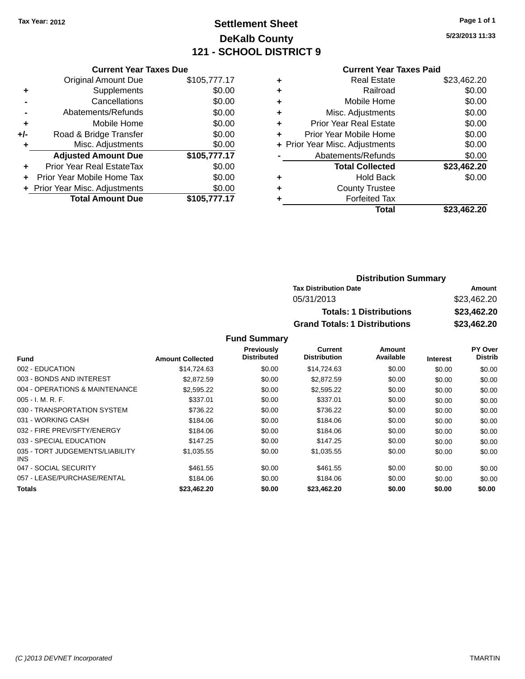### **Settlement Sheet Tax Year: 2012 Page 1 of 1 DeKalb County 121 - SCHOOL DISTRICT 9**

**5/23/2013 11:33**

#### **Current Year Taxes Paid**

|     | <b>Current Year Taxes Due</b>  |              |
|-----|--------------------------------|--------------|
|     | <b>Original Amount Due</b>     | \$105,777.17 |
| ٠   | Supplements                    | \$0.00       |
|     | Cancellations                  | \$0.00       |
|     | Abatements/Refunds             | \$0.00       |
| ٠   | Mobile Home                    | \$0.00       |
| +/- | Road & Bridge Transfer         | \$0.00       |
|     | Misc. Adjustments              | \$0.00       |
|     | <b>Adjusted Amount Due</b>     | \$105,777.17 |
| ٠   | Prior Year Real EstateTax      | \$0.00       |
|     | Prior Year Mobile Home Tax     | \$0.00       |
|     | + Prior Year Misc. Adjustments | \$0.00       |
|     | <b>Total Amount Due</b>        | \$105,777.17 |
|     |                                |              |

| ٠ | <b>Real Estate</b>             | \$23,462.20 |
|---|--------------------------------|-------------|
| ٠ | Railroad                       | \$0.00      |
| ٠ | Mobile Home                    | \$0.00      |
| ٠ | Misc. Adjustments              | \$0.00      |
| ٠ | <b>Prior Year Real Estate</b>  | \$0.00      |
| ÷ | Prior Year Mobile Home         | \$0.00      |
|   | + Prior Year Misc. Adjustments | \$0.00      |
|   | Abatements/Refunds             | \$0.00      |
|   | <b>Total Collected</b>         | \$23,462.20 |
| ٠ | Hold Back                      | \$0.00      |
| ٠ | <b>County Trustee</b>          |             |
| ٠ | <b>Forfeited Tax</b>           |             |
|   | Total                          | \$23,462.20 |
|   |                                |             |

#### **Distribution Summary Tax Distribution Date Amount** 05/31/2013 \$23,462.20 **Totals: 1 Distributions \$23,462.20 Grand Totals: 1 Distributions \$23,462.20**

|                                         |                         | Previously         | Current             | Amount    |                 | PY Over        |
|-----------------------------------------|-------------------------|--------------------|---------------------|-----------|-----------------|----------------|
| <b>Fund</b>                             | <b>Amount Collected</b> | <b>Distributed</b> | <b>Distribution</b> | Available | <b>Interest</b> | <b>Distrib</b> |
| 002 - EDUCATION                         | \$14,724.63             | \$0.00             | \$14.724.63         | \$0.00    | \$0.00          | \$0.00         |
| 003 - BONDS AND INTEREST                | \$2,872.59              | \$0.00             | \$2,872.59          | \$0.00    | \$0.00          | \$0.00         |
| 004 - OPERATIONS & MAINTENANCE          | \$2,595.22              | \$0.00             | \$2,595.22          | \$0.00    | \$0.00          | \$0.00         |
| $005 - I. M. R. F.$                     | \$337.01                | \$0.00             | \$337.01            | \$0.00    | \$0.00          | \$0.00         |
| 030 - TRANSPORTATION SYSTEM             | \$736.22                | \$0.00             | \$736.22            | \$0.00    | \$0.00          | \$0.00         |
| 031 - WORKING CASH                      | \$184.06                | \$0.00             | \$184.06            | \$0.00    | \$0.00          | \$0.00         |
| 032 - FIRE PREV/SFTY/ENERGY             | \$184.06                | \$0.00             | \$184.06            | \$0.00    | \$0.00          | \$0.00         |
| 033 - SPECIAL EDUCATION                 | \$147.25                | \$0.00             | \$147.25            | \$0.00    | \$0.00          | \$0.00         |
| 035 - TORT JUDGEMENTS/LIABILITY<br>INS. | \$1,035.55              | \$0.00             | \$1,035.55          | \$0.00    | \$0.00          | \$0.00         |
| 047 - SOCIAL SECURITY                   | \$461.55                | \$0.00             | \$461.55            | \$0.00    | \$0.00          | \$0.00         |
| 057 - LEASE/PURCHASE/RENTAL             | \$184.06                | \$0.00             | \$184.06            | \$0.00    | \$0.00          | \$0.00         |
| Totals                                  | \$23,462.20             | \$0.00             | \$23,462.20         | \$0.00    | \$0.00          | \$0.00         |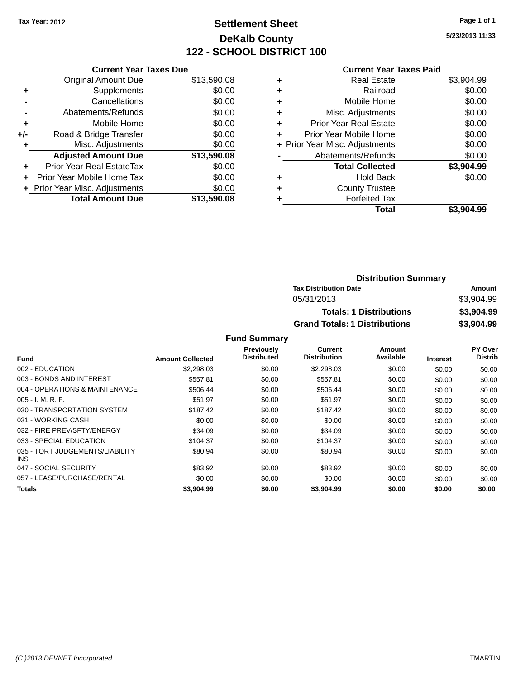### **Settlement Sheet Tax Year: 2012 Page 1 of 1 DeKalb County 122 - SCHOOL DISTRICT 100**

**5/23/2013 11:33**

#### **Current Year Taxes Paid**

|     | <b>Current Year Taxes Due</b>  |             |
|-----|--------------------------------|-------------|
|     | <b>Original Amount Due</b>     | \$13,590.08 |
| ٠   | Supplements                    | \$0.00      |
|     | Cancellations                  | \$0.00      |
|     | Abatements/Refunds             | \$0.00      |
| ٠   | Mobile Home                    | \$0.00      |
| +/- | Road & Bridge Transfer         | \$0.00      |
|     | Misc. Adjustments              | \$0.00      |
|     | <b>Adjusted Amount Due</b>     | \$13,590.08 |
| ٠   | Prior Year Real EstateTax      | \$0.00      |
|     | Prior Year Mobile Home Tax     | \$0.00      |
|     | + Prior Year Misc. Adjustments | \$0.00      |
|     | <b>Total Amount Due</b>        | \$13,590.08 |
|     |                                |             |

|   | <b>Real Estate</b>             | \$3,904.99 |
|---|--------------------------------|------------|
| ٠ | Railroad                       | \$0.00     |
| ٠ | Mobile Home                    | \$0.00     |
| ٠ | Misc. Adjustments              | \$0.00     |
| ٠ | <b>Prior Year Real Estate</b>  | \$0.00     |
| ٠ | Prior Year Mobile Home         | \$0.00     |
|   | + Prior Year Misc. Adjustments | \$0.00     |
|   | Abatements/Refunds             | \$0.00     |
|   | <b>Total Collected</b>         | \$3,904.99 |
| ٠ | <b>Hold Back</b>               | \$0.00     |
| ٠ | <b>County Trustee</b>          |            |
| ٠ | <b>Forfeited Tax</b>           |            |
|   | Total                          | \$3.904.99 |
|   |                                |            |

| <b>Distribution Summary</b>          |            |  |
|--------------------------------------|------------|--|
| <b>Tax Distribution Date</b>         | Amount     |  |
| 05/31/2013                           | \$3,904.99 |  |
| <b>Totals: 1 Distributions</b>       | \$3,904.99 |  |
| <b>Grand Totals: 1 Distributions</b> | \$3,904.99 |  |

|                                         |                         | Previously         | Current             | Amount    |                 | <b>PY Over</b> |
|-----------------------------------------|-------------------------|--------------------|---------------------|-----------|-----------------|----------------|
| <b>Fund</b>                             | <b>Amount Collected</b> | <b>Distributed</b> | <b>Distribution</b> | Available | <b>Interest</b> | <b>Distrib</b> |
| 002 - EDUCATION                         | \$2,298.03              | \$0.00             | \$2,298.03          | \$0.00    | \$0.00          | \$0.00         |
| 003 - BONDS AND INTEREST                | \$557.81                | \$0.00             | \$557.81            | \$0.00    | \$0.00          | \$0.00         |
| 004 - OPERATIONS & MAINTENANCE          | \$506.44                | \$0.00             | \$506.44            | \$0.00    | \$0.00          | \$0.00         |
| $005 - I. M. R. F.$                     | \$51.97                 | \$0.00             | \$51.97             | \$0.00    | \$0.00          | \$0.00         |
| 030 - TRANSPORTATION SYSTEM             | \$187.42                | \$0.00             | \$187.42            | \$0.00    | \$0.00          | \$0.00         |
| 031 - WORKING CASH                      | \$0.00                  | \$0.00             | \$0.00              | \$0.00    | \$0.00          | \$0.00         |
| 032 - FIRE PREV/SFTY/ENERGY             | \$34.09                 | \$0.00             | \$34.09             | \$0.00    | \$0.00          | \$0.00         |
| 033 - SPECIAL EDUCATION                 | \$104.37                | \$0.00             | \$104.37            | \$0.00    | \$0.00          | \$0.00         |
| 035 - TORT JUDGEMENTS/LIABILITY<br>INS. | \$80.94                 | \$0.00             | \$80.94             | \$0.00    | \$0.00          | \$0.00         |
| 047 - SOCIAL SECURITY                   | \$83.92                 | \$0.00             | \$83.92             | \$0.00    | \$0.00          | \$0.00         |
| 057 - LEASE/PURCHASE/RENTAL             | \$0.00                  | \$0.00             | \$0.00              | \$0.00    | \$0.00          | \$0.00         |
| Totals                                  | \$3,904.99              | \$0.00             | \$3,904.99          | \$0.00    | \$0.00          | \$0.00         |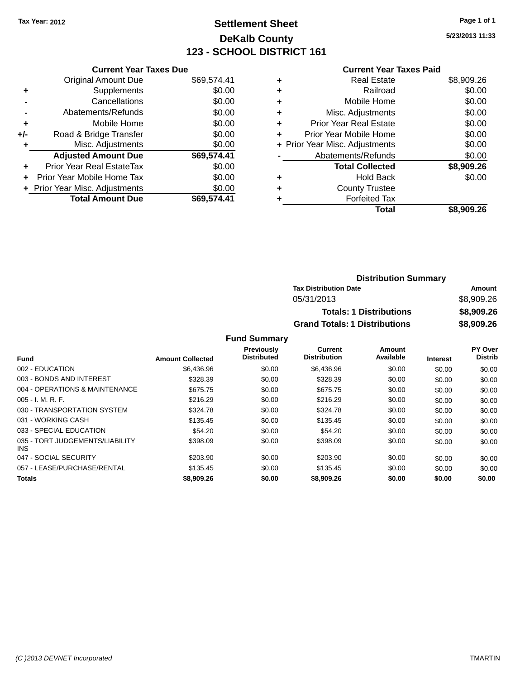### **Settlement Sheet Tax Year: 2012 Page 1 of 1 DeKalb County 123 - SCHOOL DISTRICT 161**

**5/23/2013 11:33**

#### **Current Year Taxes Paid**

|     | <b>Current Year Taxes Due</b>  |             |
|-----|--------------------------------|-------------|
|     | <b>Original Amount Due</b>     | \$69,574.41 |
| ٠   | Supplements                    | \$0.00      |
|     | Cancellations                  | \$0.00      |
|     | Abatements/Refunds             | \$0.00      |
| ٠   | Mobile Home                    | \$0.00      |
| +/- | Road & Bridge Transfer         | \$0.00      |
|     | Misc. Adjustments              | \$0.00      |
|     | <b>Adjusted Amount Due</b>     | \$69,574.41 |
| ÷   | Prior Year Real EstateTax      | \$0.00      |
|     | Prior Year Mobile Home Tax     | \$0.00      |
|     | + Prior Year Misc. Adjustments | \$0.00      |
|     | <b>Total Amount Due</b>        | \$69.574.41 |

|   | <b>Real Estate</b>             | \$8,909.26 |
|---|--------------------------------|------------|
| ٠ | Railroad                       | \$0.00     |
| ٠ | Mobile Home                    | \$0.00     |
| ٠ | Misc. Adjustments              | \$0.00     |
| ٠ | <b>Prior Year Real Estate</b>  | \$0.00     |
| ٠ | Prior Year Mobile Home         | \$0.00     |
|   | + Prior Year Misc. Adjustments | \$0.00     |
|   | Abatements/Refunds             | \$0.00     |
|   | <b>Total Collected</b>         | \$8,909.26 |
| ٠ | <b>Hold Back</b>               | \$0.00     |
|   | <b>County Trustee</b>          |            |
| ٠ | <b>Forfeited Tax</b>           |            |
|   | <b>Total</b>                   | \$8,909.26 |
|   |                                |            |

| <b>Distribution Summary</b>          |            |  |
|--------------------------------------|------------|--|
| <b>Tax Distribution Date</b>         | Amount     |  |
| 05/31/2013                           | \$8,909.26 |  |
| <b>Totals: 1 Distributions</b>       | \$8,909.26 |  |
| <b>Grand Totals: 1 Distributions</b> | \$8,909.26 |  |

|                                         |                         | Previously         | Current             | Amount    |                 | PY Over        |
|-----------------------------------------|-------------------------|--------------------|---------------------|-----------|-----------------|----------------|
| <b>Fund</b>                             | <b>Amount Collected</b> | <b>Distributed</b> | <b>Distribution</b> | Available | <b>Interest</b> | <b>Distrib</b> |
| 002 - EDUCATION                         | \$6,436.96              | \$0.00             | \$6,436.96          | \$0.00    | \$0.00          | \$0.00         |
| 003 - BONDS AND INTEREST                | \$328.39                | \$0.00             | \$328.39            | \$0.00    | \$0.00          | \$0.00         |
| 004 - OPERATIONS & MAINTENANCE          | \$675.75                | \$0.00             | \$675.75            | \$0.00    | \$0.00          | \$0.00         |
| $005 - I. M. R. F.$                     | \$216.29                | \$0.00             | \$216.29            | \$0.00    | \$0.00          | \$0.00         |
| 030 - TRANSPORTATION SYSTEM             | \$324.78                | \$0.00             | \$324.78            | \$0.00    | \$0.00          | \$0.00         |
| 031 - WORKING CASH                      | \$135.45                | \$0.00             | \$135.45            | \$0.00    | \$0.00          | \$0.00         |
| 033 - SPECIAL EDUCATION                 | \$54.20                 | \$0.00             | \$54.20             | \$0.00    | \$0.00          | \$0.00         |
| 035 - TORT JUDGEMENTS/LIABILITY<br>INS. | \$398.09                | \$0.00             | \$398.09            | \$0.00    | \$0.00          | \$0.00         |
| 047 - SOCIAL SECURITY                   | \$203.90                | \$0.00             | \$203.90            | \$0.00    | \$0.00          | \$0.00         |
| 057 - LEASE/PURCHASE/RENTAL             | \$135.45                | \$0.00             | \$135.45            | \$0.00    | \$0.00          | \$0.00         |
| <b>Totals</b>                           | \$8,909.26              | \$0.00             | \$8,909.26          | \$0.00    | \$0.00          | \$0.00         |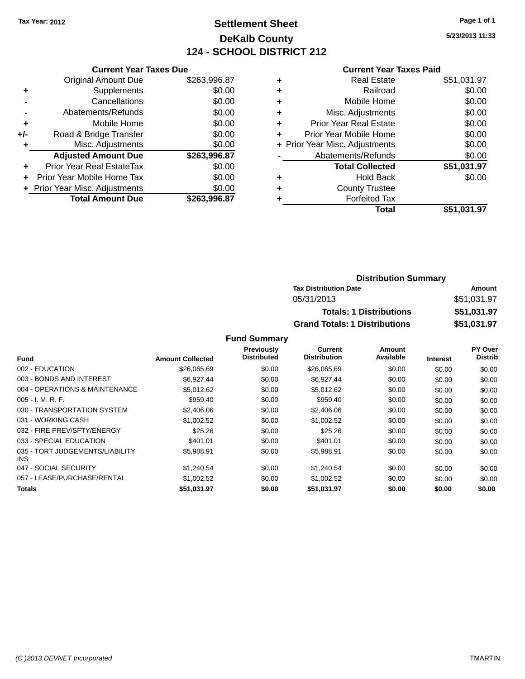# **Settlement Sheet Tax Year: 2012 Page 1 of 1 DeKalb County 124 - SCHOOL DISTRICT 212**

**5/23/2013 11:33**

|     | <b>Current Year Taxes Due</b>  |              |
|-----|--------------------------------|--------------|
|     | <b>Original Amount Due</b>     | \$263,996.87 |
| ٠   | Supplements                    | \$0.00       |
|     | Cancellations                  | \$0.00       |
|     | Abatements/Refunds             | \$0.00       |
| ٠   | Mobile Home                    | \$0.00       |
| +/- | Road & Bridge Transfer         | \$0.00       |
|     | Misc. Adjustments              | \$0.00       |
|     | <b>Adjusted Amount Due</b>     | \$263,996.87 |
| ÷   | Prior Year Real EstateTax      | \$0.00       |
| ÷   | Prior Year Mobile Home Tax     | \$0.00       |
|     | + Prior Year Misc. Adjustments | \$0.00       |
|     | <b>Total Amount Due</b>        | \$263,996.87 |
|     |                                |              |

#### **Current Year Taxes Paid**

|   | <b>Real Estate</b>             | \$51,031.97 |
|---|--------------------------------|-------------|
| ٠ | Railroad                       | \$0.00      |
| ٠ | Mobile Home                    | \$0.00      |
| ٠ | Misc. Adjustments              | \$0.00      |
| ٠ | <b>Prior Year Real Estate</b>  | \$0.00      |
| ÷ | Prior Year Mobile Home         | \$0.00      |
|   | + Prior Year Misc. Adjustments | \$0.00      |
|   | Abatements/Refunds             | \$0.00      |
|   | <b>Total Collected</b>         | \$51,031.97 |
| ٠ | Hold Back                      | \$0.00      |
| ٠ | <b>County Trustee</b>          |             |
|   | <b>Forfeited Tax</b>           |             |
|   | Total                          | \$51,031.97 |
|   |                                |             |

## **Distribution Summary Tax Distribution Date Amount** 05/31/2013 \$51,031.97 **Totals: 1 Distributions \$51,031.97 Grand Totals: 1 Distributions \$51,031.97**

|                                         |                         | Previously         | Current             | Amount    |                 | PY Over        |
|-----------------------------------------|-------------------------|--------------------|---------------------|-----------|-----------------|----------------|
| <b>Fund</b>                             | <b>Amount Collected</b> | <b>Distributed</b> | <b>Distribution</b> | Available | <b>Interest</b> | <b>Distrib</b> |
| 002 - EDUCATION                         | \$26,065.69             | \$0.00             | \$26,065.69         | \$0.00    | \$0.00          | \$0.00         |
| 003 - BONDS AND INTEREST                | \$6,927.44              | \$0.00             | \$6,927.44          | \$0.00    | \$0.00          | \$0.00         |
| 004 - OPERATIONS & MAINTENANCE          | \$5,012.62              | \$0.00             | \$5,012.62          | \$0.00    | \$0.00          | \$0.00         |
| $005 - I. M. R. F.$                     | \$959.40                | \$0.00             | \$959.40            | \$0.00    | \$0.00          | \$0.00         |
| 030 - TRANSPORTATION SYSTEM             | \$2,406.06              | \$0.00             | \$2,406.06          | \$0.00    | \$0.00          | \$0.00         |
| 031 - WORKING CASH                      | \$1.002.52              | \$0.00             | \$1,002.52          | \$0.00    | \$0.00          | \$0.00         |
| 032 - FIRE PREV/SFTY/ENERGY             | \$25.26                 | \$0.00             | \$25.26             | \$0.00    | \$0.00          | \$0.00         |
| 033 - SPECIAL EDUCATION                 | \$401.01                | \$0.00             | \$401.01            | \$0.00    | \$0.00          | \$0.00         |
| 035 - TORT JUDGEMENTS/LIABILITY<br>INS. | \$5,988.91              | \$0.00             | \$5,988.91          | \$0.00    | \$0.00          | \$0.00         |
| 047 - SOCIAL SECURITY                   | \$1,240.54              | \$0.00             | \$1,240.54          | \$0.00    | \$0.00          | \$0.00         |
| 057 - LEASE/PURCHASE/RENTAL             | \$1,002.52              | \$0.00             | \$1,002.52          | \$0.00    | \$0.00          | \$0.00         |
| Totals                                  | \$51,031.97             | \$0.00             | \$51,031.97         | \$0.00    | \$0.00          | \$0.00         |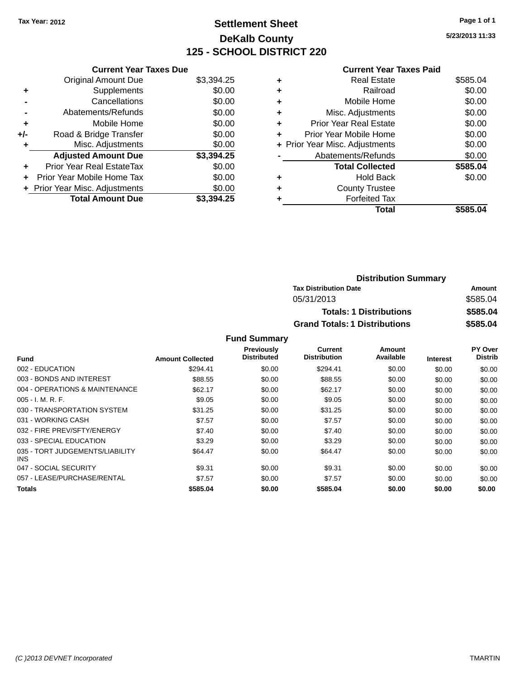# **Settlement Sheet Tax Year: 2012 Page 1 of 1 DeKalb County 125 - SCHOOL DISTRICT 220**

**5/23/2013 11:33**

|       | <b>Current Year Taxes Due</b>     |            |
|-------|-----------------------------------|------------|
|       | <b>Original Amount Due</b>        | \$3,394.25 |
| ٠     | Supplements                       | \$0.00     |
|       | Cancellations                     | \$0.00     |
|       | Abatements/Refunds                | \$0.00     |
| ٠     | Mobile Home                       | \$0.00     |
| $+/-$ | Road & Bridge Transfer            | \$0.00     |
|       | Misc. Adjustments                 | \$0.00     |
|       | <b>Adjusted Amount Due</b>        | \$3,394.25 |
| ÷     | <b>Prior Year Real EstateTax</b>  | \$0.00     |
| ÷     | <b>Prior Year Mobile Home Tax</b> | \$0.00     |
|       | + Prior Year Misc. Adjustments    | \$0.00     |
|       | <b>Total Amount Due</b>           | \$3,394.25 |

|   | <b>Current Year Taxes Paid</b> |          |
|---|--------------------------------|----------|
| ÷ | Real Estate                    | \$585.04 |
|   | Railroad                       | \$0.00   |
| ٠ | Mobile Home                    | \$0.00   |
| ٠ | Misc. Adjustments              | \$0.00   |
| ٠ | <b>Prior Year Real Estate</b>  | \$0.00   |
| ÷ | Prior Year Mobile Home         | \$0.00   |
|   | + Prior Year Misc. Adjustments | \$0.00   |
|   | Abatements/Refunds             | \$0.00   |
|   | <b>Total Collected</b>         | \$585.04 |
|   | <b>Hold Back</b>               | \$0.00   |
|   | <b>County Trustee</b>          |          |
|   | <b>Forfeited Tax</b>           |          |
|   | Total                          | \$585.04 |

| <b>Distribution Summary</b>          |          |  |  |  |
|--------------------------------------|----------|--|--|--|
| <b>Tax Distribution Date</b>         | Amount   |  |  |  |
| 05/31/2013                           | \$585.04 |  |  |  |
| <b>Totals: 1 Distributions</b>       | \$585.04 |  |  |  |
| <b>Grand Totals: 1 Distributions</b> | \$585.04 |  |  |  |

| Fund                                    | <b>Amount Collected</b> | <b>Previously</b><br><b>Distributed</b> | Current<br><b>Distribution</b> | Amount<br>Available | <b>Interest</b> | PY Over<br><b>Distrib</b> |
|-----------------------------------------|-------------------------|-----------------------------------------|--------------------------------|---------------------|-----------------|---------------------------|
| 002 - EDUCATION                         | \$294.41                | \$0.00                                  | \$294.41                       | \$0.00              | \$0.00          | \$0.00                    |
| 003 - BONDS AND INTEREST                | \$88.55                 | \$0.00                                  | \$88.55                        | \$0.00              | \$0.00          | \$0.00                    |
| 004 - OPERATIONS & MAINTENANCE          | \$62.17                 | \$0.00                                  | \$62.17                        | \$0.00              | \$0.00          | \$0.00                    |
| $005 - I. M. R. F.$                     | \$9.05                  | \$0.00                                  | \$9.05                         | \$0.00              | \$0.00          | \$0.00                    |
| 030 - TRANSPORTATION SYSTEM             | \$31.25                 | \$0.00                                  | \$31.25                        | \$0.00              | \$0.00          | \$0.00                    |
| 031 - WORKING CASH                      | \$7.57                  | \$0.00                                  | \$7.57                         | \$0.00              | \$0.00          | \$0.00                    |
| 032 - FIRE PREV/SFTY/ENERGY             | \$7.40                  | \$0.00                                  | \$7.40                         | \$0.00              | \$0.00          | \$0.00                    |
| 033 - SPECIAL EDUCATION                 | \$3.29                  | \$0.00                                  | \$3.29                         | \$0.00              | \$0.00          | \$0.00                    |
| 035 - TORT JUDGEMENTS/LIABILITY<br>INS. | \$64.47                 | \$0.00                                  | \$64.47                        | \$0.00              | \$0.00          | \$0.00                    |
| 047 - SOCIAL SECURITY                   | \$9.31                  | \$0.00                                  | \$9.31                         | \$0.00              | \$0.00          | \$0.00                    |
| 057 - LEASE/PURCHASE/RENTAL             | \$7.57                  | \$0.00                                  | \$7.57                         | \$0.00              | \$0.00          | \$0.00                    |
| Totals                                  | \$585.04                | \$0.00                                  | \$585.04                       | \$0.00              | \$0.00          | \$0.00                    |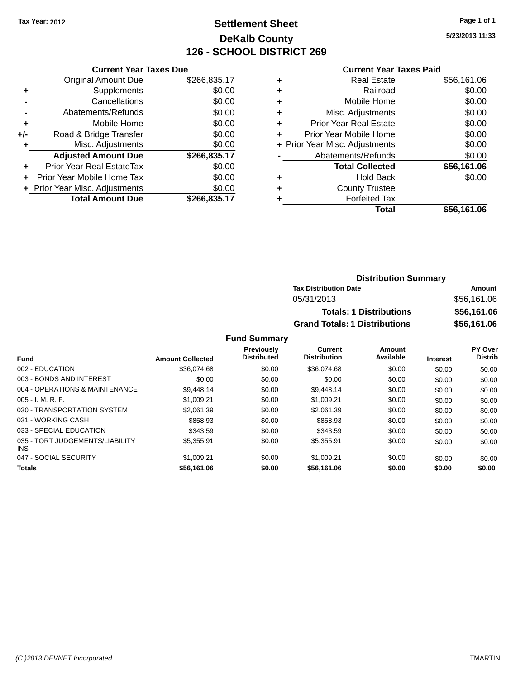# **Settlement Sheet Tax Year: 2012 Page 1 of 1 DeKalb County 126 - SCHOOL DISTRICT 269**

**5/23/2013 11:33**

#### **Current Year Taxes Paid**

|     | <b>Current Year Taxes Due</b>  |              |
|-----|--------------------------------|--------------|
|     | <b>Original Amount Due</b>     | \$266,835.17 |
| ٠   | Supplements                    | \$0.00       |
|     | Cancellations                  | \$0.00       |
|     | Abatements/Refunds             | \$0.00       |
| ٠   | Mobile Home                    | \$0.00       |
| +/- | Road & Bridge Transfer         | \$0.00       |
| ٠   | Misc. Adjustments              | \$0.00       |
|     | <b>Adjusted Amount Due</b>     | \$266,835.17 |
| ÷   | Prior Year Real EstateTax      | \$0.00       |
| ÷   | Prior Year Mobile Home Tax     | \$0.00       |
|     | + Prior Year Misc. Adjustments | \$0.00       |
|     | <b>Total Amount Due</b>        | \$266,835.17 |
|     |                                |              |

| <b>Real Estate</b>            | \$56,161.06                    |
|-------------------------------|--------------------------------|
| Railroad                      | \$0.00                         |
| Mobile Home                   | \$0.00                         |
| Misc. Adjustments             | \$0.00                         |
| <b>Prior Year Real Estate</b> | \$0.00                         |
| Prior Year Mobile Home        | \$0.00                         |
|                               | \$0.00                         |
| Abatements/Refunds            | \$0.00                         |
| <b>Total Collected</b>        | \$56,161.06                    |
| <b>Hold Back</b>              | \$0.00                         |
| <b>County Trustee</b>         |                                |
| <b>Forfeited Tax</b>          |                                |
| <b>Total</b>                  | \$56,161.06                    |
|                               | + Prior Year Misc. Adjustments |

| <b>Distribution Summary</b>          |             |  |  |  |  |
|--------------------------------------|-------------|--|--|--|--|
| <b>Tax Distribution Date</b>         | Amount      |  |  |  |  |
| 05/31/2013                           | \$56,161.06 |  |  |  |  |
| <b>Totals: 1 Distributions</b>       | \$56,161.06 |  |  |  |  |
| <b>Grand Totals: 1 Distributions</b> | \$56,161.06 |  |  |  |  |

| <b>Fund</b>                                   | <b>Amount Collected</b> | <b>Previously</b><br><b>Distributed</b> | Current<br><b>Distribution</b> | Amount<br>Available | <b>Interest</b> | PY Over<br><b>Distrib</b> |
|-----------------------------------------------|-------------------------|-----------------------------------------|--------------------------------|---------------------|-----------------|---------------------------|
| 002 - EDUCATION                               | \$36,074.68             | \$0.00                                  | \$36,074.68                    | \$0.00              | \$0.00          | \$0.00                    |
| 003 - BONDS AND INTEREST                      | \$0.00                  | \$0.00                                  | \$0.00                         | \$0.00              | \$0.00          | \$0.00                    |
| 004 - OPERATIONS & MAINTENANCE                | \$9.448.14              | \$0.00                                  | \$9,448.14                     | \$0.00              | \$0.00          | \$0.00                    |
| $005 - I. M. R. F.$                           | \$1.009.21              | \$0.00                                  | \$1.009.21                     | \$0.00              | \$0.00          | \$0.00                    |
| 030 - TRANSPORTATION SYSTEM                   | \$2,061.39              | \$0.00                                  | \$2,061.39                     | \$0.00              | \$0.00          | \$0.00                    |
| 031 - WORKING CASH                            | \$858.93                | \$0.00                                  | \$858.93                       | \$0.00              | \$0.00          | \$0.00                    |
| 033 - SPECIAL EDUCATION                       | \$343.59                | \$0.00                                  | \$343.59                       | \$0.00              | \$0.00          | \$0.00                    |
| 035 - TORT JUDGEMENTS/LIABILITY<br><b>INS</b> | \$5.355.91              | \$0.00                                  | \$5.355.91                     | \$0.00              | \$0.00          | \$0.00                    |
| 047 - SOCIAL SECURITY                         | \$1.009.21              | \$0.00                                  | \$1.009.21                     | \$0.00              | \$0.00          | \$0.00                    |
| <b>Totals</b>                                 | \$56,161.06             | \$0.00                                  | \$56.161.06                    | \$0.00              | \$0.00          | \$0.00                    |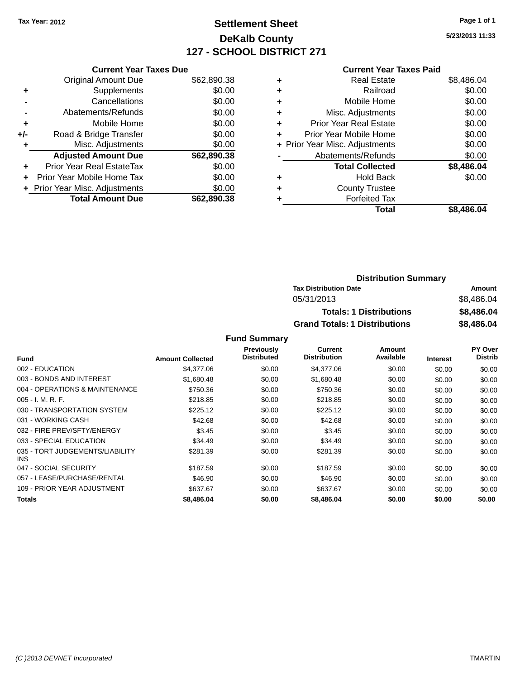# **Settlement Sheet Tax Year: 2012 Page 1 of 1 DeKalb County 127 - SCHOOL DISTRICT 271**

**5/23/2013 11:33**

#### **Current Year Taxes Paid**

|     | <b>Current Year Taxes Due</b>  |             |
|-----|--------------------------------|-------------|
|     | <b>Original Amount Due</b>     | \$62,890.38 |
| ÷   | Supplements                    | \$0.00      |
|     | Cancellations                  | \$0.00      |
|     | Abatements/Refunds             | \$0.00      |
| ٠   | Mobile Home                    | \$0.00      |
| +/- | Road & Bridge Transfer         | \$0.00      |
|     | Misc. Adjustments              | \$0.00      |
|     | <b>Adjusted Amount Due</b>     | \$62,890.38 |
| ٠   | Prior Year Real EstateTax      | \$0.00      |
|     | Prior Year Mobile Home Tax     | \$0.00      |
|     | + Prior Year Misc. Adjustments | \$0.00      |
|     | <b>Total Amount Due</b>        | \$62.890.38 |
|     |                                |             |

|   | <b>Real Estate</b>             | \$8,486.04 |
|---|--------------------------------|------------|
| ٠ | Railroad                       | \$0.00     |
| ٠ | Mobile Home                    | \$0.00     |
| ٠ | Misc. Adjustments              | \$0.00     |
| ٠ | <b>Prior Year Real Estate</b>  | \$0.00     |
| ٠ | Prior Year Mobile Home         | \$0.00     |
|   | + Prior Year Misc. Adjustments | \$0.00     |
|   | Abatements/Refunds             | \$0.00     |
|   | <b>Total Collected</b>         | \$8,486.04 |
| ٠ | <b>Hold Back</b>               | \$0.00     |
| ٠ | <b>County Trustee</b>          |            |
| ٠ | <b>Forfeited Tax</b>           |            |
|   | Total                          | \$8,486.04 |
|   |                                |            |

| <b>Distribution Summary</b>          |            |  |
|--------------------------------------|------------|--|
| <b>Tax Distribution Date</b>         | Amount     |  |
| 05/31/2013                           | \$8.486.04 |  |
| <b>Totals: 1 Distributions</b>       | \$8,486.04 |  |
| <b>Grand Totals: 1 Distributions</b> | \$8,486.04 |  |

|                                         |                         | Previously         | Current             | Amount    |                 | <b>PY Over</b> |
|-----------------------------------------|-------------------------|--------------------|---------------------|-----------|-----------------|----------------|
| <b>Fund</b>                             | <b>Amount Collected</b> | <b>Distributed</b> | <b>Distribution</b> | Available | <b>Interest</b> | <b>Distrib</b> |
| 002 - EDUCATION                         | \$4,377.06              | \$0.00             | \$4,377.06          | \$0.00    | \$0.00          | \$0.00         |
| 003 - BONDS AND INTEREST                | \$1,680.48              | \$0.00             | \$1,680.48          | \$0.00    | \$0.00          | \$0.00         |
| 004 - OPERATIONS & MAINTENANCE          | \$750.36                | \$0.00             | \$750.36            | \$0.00    | \$0.00          | \$0.00         |
| $005 - I. M. R. F.$                     | \$218.85                | \$0.00             | \$218.85            | \$0.00    | \$0.00          | \$0.00         |
| 030 - TRANSPORTATION SYSTEM             | \$225.12                | \$0.00             | \$225.12            | \$0.00    | \$0.00          | \$0.00         |
| 031 - WORKING CASH                      | \$42.68                 | \$0.00             | \$42.68             | \$0.00    | \$0.00          | \$0.00         |
| 032 - FIRE PREV/SFTY/ENERGY             | \$3.45                  | \$0.00             | \$3.45              | \$0.00    | \$0.00          | \$0.00         |
| 033 - SPECIAL EDUCATION                 | \$34.49                 | \$0.00             | \$34.49             | \$0.00    | \$0.00          | \$0.00         |
| 035 - TORT JUDGEMENTS/LIABILITY<br>INS. | \$281.39                | \$0.00             | \$281.39            | \$0.00    | \$0.00          | \$0.00         |
| 047 - SOCIAL SECURITY                   | \$187.59                | \$0.00             | \$187.59            | \$0.00    | \$0.00          | \$0.00         |
| 057 - LEASE/PURCHASE/RENTAL             | \$46.90                 | \$0.00             | \$46.90             | \$0.00    | \$0.00          | \$0.00         |
| 109 - PRIOR YEAR ADJUSTMENT             | \$637.67                | \$0.00             | \$637.67            | \$0.00    | \$0.00          | \$0.00         |
| Totals                                  | \$8,486.04              | \$0.00             | \$8,486.04          | \$0.00    | \$0.00          | \$0.00         |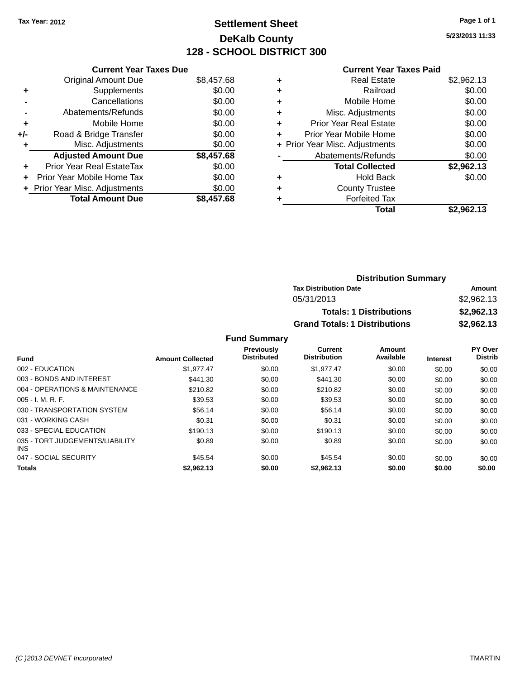# **Settlement Sheet Tax Year: 2012 Page 1 of 1 DeKalb County 128 - SCHOOL DISTRICT 300**

**5/23/2013 11:33**

#### **Current Year Taxes Paid**

|     | <b>Current Year Taxes Due</b>  |            |
|-----|--------------------------------|------------|
|     | <b>Original Amount Due</b>     | \$8,457.68 |
| ÷   | Supplements                    | \$0.00     |
|     | Cancellations                  | \$0.00     |
|     | Abatements/Refunds             | \$0.00     |
| ٠   | Mobile Home                    | \$0.00     |
| +/- | Road & Bridge Transfer         | \$0.00     |
|     | Misc. Adjustments              | \$0.00     |
|     | <b>Adjusted Amount Due</b>     | \$8,457.68 |
| ÷   | Prior Year Real EstateTax      | \$0.00     |
| ÷   | Prior Year Mobile Home Tax     | \$0.00     |
|     | + Prior Year Misc. Adjustments | \$0.00     |
|     | <b>Total Amount Due</b>        | \$8,457.68 |

| ٠ | <b>Real Estate</b>             | \$2,962.13 |
|---|--------------------------------|------------|
| ٠ | Railroad                       | \$0.00     |
| ٠ | Mobile Home                    | \$0.00     |
| ٠ | Misc. Adjustments              | \$0.00     |
| ٠ | <b>Prior Year Real Estate</b>  | \$0.00     |
| ٠ | Prior Year Mobile Home         | \$0.00     |
|   | + Prior Year Misc. Adjustments | \$0.00     |
|   | Abatements/Refunds             | \$0.00     |
|   | <b>Total Collected</b>         | \$2,962.13 |
| ٠ | Hold Back                      | \$0.00     |
| ٠ | <b>County Trustee</b>          |            |
| ٠ | <b>Forfeited Tax</b>           |            |
|   | Total                          | \$2,962.13 |
|   |                                |            |

| <b>Distribution Summary</b>          |            |
|--------------------------------------|------------|
| <b>Tax Distribution Date</b>         | Amount     |
| 05/31/2013                           | \$2,962.13 |
| <b>Totals: 1 Distributions</b>       | \$2,962.13 |
| <b>Grand Totals: 1 Distributions</b> | \$2,962.13 |

|                                               |                         | <b>Previously</b>  | Current             | Amount    |                 | <b>PY Over</b> |
|-----------------------------------------------|-------------------------|--------------------|---------------------|-----------|-----------------|----------------|
| <b>Fund</b>                                   | <b>Amount Collected</b> | <b>Distributed</b> | <b>Distribution</b> | Available | <b>Interest</b> | <b>Distrib</b> |
| 002 - EDUCATION                               | \$1.977.47              | \$0.00             | \$1.977.47          | \$0.00    | \$0.00          | \$0.00         |
| 003 - BONDS AND INTEREST                      | \$441.30                | \$0.00             | \$441.30            | \$0.00    | \$0.00          | \$0.00         |
| 004 - OPERATIONS & MAINTENANCE                | \$210.82                | \$0.00             | \$210.82            | \$0.00    | \$0.00          | \$0.00         |
| $005 - I. M. R. F.$                           | \$39.53                 | \$0.00             | \$39.53             | \$0.00    | \$0.00          | \$0.00         |
| 030 - TRANSPORTATION SYSTEM                   | \$56.14                 | \$0.00             | \$56.14             | \$0.00    | \$0.00          | \$0.00         |
| 031 - WORKING CASH                            | \$0.31                  | \$0.00             | \$0.31              | \$0.00    | \$0.00          | \$0.00         |
| 033 - SPECIAL EDUCATION                       | \$190.13                | \$0.00             | \$190.13            | \$0.00    | \$0.00          | \$0.00         |
| 035 - TORT JUDGEMENTS/LIABILITY<br><b>INS</b> | \$0.89                  | \$0.00             | \$0.89              | \$0.00    | \$0.00          | \$0.00         |
| 047 - SOCIAL SECURITY                         | \$45.54                 | \$0.00             | \$45.54             | \$0.00    | \$0.00          | \$0.00         |
| <b>Totals</b>                                 | \$2,962.13              | \$0.00             | \$2,962.13          | \$0.00    | \$0.00          | \$0.00         |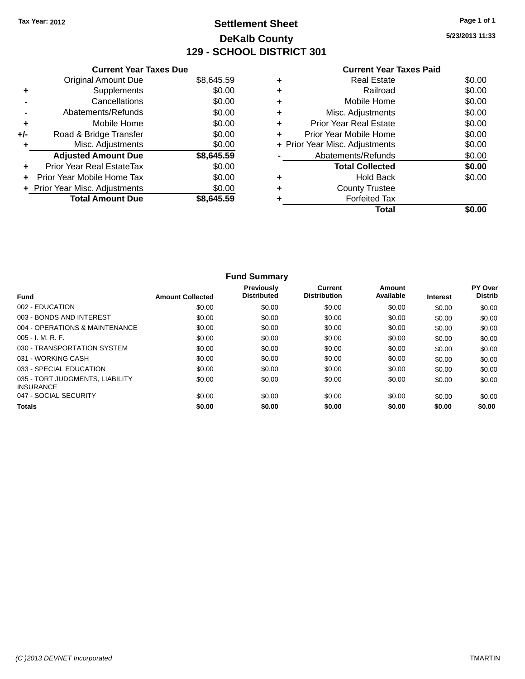# **Settlement Sheet Tax Year: 2012 Page 1 of 1 DeKalb County 129 - SCHOOL DISTRICT 301**

**5/23/2013 11:33**

|     | <b>Current Year Taxes Due</b>  |            |
|-----|--------------------------------|------------|
|     | <b>Original Amount Due</b>     | \$8,645.59 |
| ٠   | Supplements                    | \$0.00     |
|     | Cancellations                  | \$0.00     |
|     | Abatements/Refunds             | \$0.00     |
| ٠   | Mobile Home                    | \$0.00     |
| +/- | Road & Bridge Transfer         | \$0.00     |
|     | Misc. Adjustments              | \$0.00     |
|     | <b>Adjusted Amount Due</b>     | \$8,645.59 |
| ÷   | Prior Year Real EstateTax      | \$0.00     |
|     | Prior Year Mobile Home Tax     | \$0.00     |
|     | + Prior Year Misc. Adjustments | \$0.00     |
|     | <b>Total Amount Due</b>        | \$8.645.59 |
|     |                                |            |

## **Current Year Taxes Paid**

| Real Estate                    | \$0.00 |
|--------------------------------|--------|
| Railroad                       | \$0.00 |
| Mobile Home                    | \$0.00 |
| Misc. Adjustments              | \$0.00 |
| <b>Prior Year Real Estate</b>  | \$0.00 |
| Prior Year Mobile Home         | \$0.00 |
| + Prior Year Misc. Adjustments | \$0.00 |
| Abatements/Refunds             | \$0.00 |
| <b>Total Collected</b>         | \$0.00 |
| <b>Hold Back</b>               | \$0.00 |
| <b>County Trustee</b>          |        |
| <b>Forfeited Tax</b>           |        |
| Total                          |        |
|                                |        |

|                                                     |                         | <b>Fund Summary</b>                     |                                |                     |                 |                           |
|-----------------------------------------------------|-------------------------|-----------------------------------------|--------------------------------|---------------------|-----------------|---------------------------|
| <b>Fund</b>                                         | <b>Amount Collected</b> | <b>Previously</b><br><b>Distributed</b> | Current<br><b>Distribution</b> | Amount<br>Available | <b>Interest</b> | PY Over<br><b>Distrib</b> |
| 002 - EDUCATION                                     | \$0.00                  | \$0.00                                  | \$0.00                         | \$0.00              | \$0.00          | \$0.00                    |
| 003 - BONDS AND INTEREST                            | \$0.00                  | \$0.00                                  | \$0.00                         | \$0.00              | \$0.00          | \$0.00                    |
| 004 - OPERATIONS & MAINTENANCE                      | \$0.00                  | \$0.00                                  | \$0.00                         | \$0.00              | \$0.00          | \$0.00                    |
| $005 - I. M. R. F.$                                 | \$0.00                  | \$0.00                                  | \$0.00                         | \$0.00              | \$0.00          | \$0.00                    |
| 030 - TRANSPORTATION SYSTEM                         | \$0.00                  | \$0.00                                  | \$0.00                         | \$0.00              | \$0.00          | \$0.00                    |
| 031 - WORKING CASH                                  | \$0.00                  | \$0.00                                  | \$0.00                         | \$0.00              | \$0.00          | \$0.00                    |
| 033 - SPECIAL EDUCATION                             | \$0.00                  | \$0.00                                  | \$0.00                         | \$0.00              | \$0.00          | \$0.00                    |
| 035 - TORT JUDGMENTS, LIABILITY<br><b>INSURANCE</b> | \$0.00                  | \$0.00                                  | \$0.00                         | \$0.00              | \$0.00          | \$0.00                    |
| 047 - SOCIAL SECURITY                               | \$0.00                  | \$0.00                                  | \$0.00                         | \$0.00              | \$0.00          | \$0.00                    |
| <b>Totals</b>                                       | \$0.00                  | \$0.00                                  | \$0.00                         | \$0.00              | \$0.00          | \$0.00                    |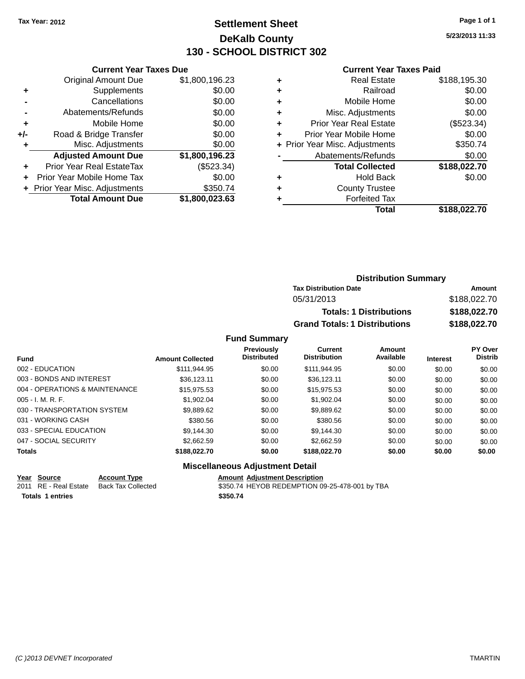## **Settlement Sheet Tax Year: 2012 Page 1 of 1 DeKalb County 130 - SCHOOL DISTRICT 302**

**5/23/2013 11:33**

#### **Current Year Taxes Paid**

|     | <b>Current Year Taxes Due</b>  |                |  |  |  |
|-----|--------------------------------|----------------|--|--|--|
|     | <b>Original Amount Due</b>     | \$1,800,196.23 |  |  |  |
| ÷   | Supplements                    | \$0.00         |  |  |  |
|     | Cancellations                  | \$0.00         |  |  |  |
|     | Abatements/Refunds             | \$0.00         |  |  |  |
| ٠   | Mobile Home                    | \$0.00         |  |  |  |
| +/- | Road & Bridge Transfer         | \$0.00         |  |  |  |
| ٠   | Misc. Adjustments              | \$0.00         |  |  |  |
|     | <b>Adjusted Amount Due</b>     | \$1,800,196.23 |  |  |  |
|     | Prior Year Real EstateTax      | (\$523.34)     |  |  |  |
|     | Prior Year Mobile Home Tax     | \$0.00         |  |  |  |
|     | + Prior Year Misc. Adjustments | \$350.74       |  |  |  |
|     | <b>Total Amount Due</b>        | \$1,800,023.63 |  |  |  |
|     |                                |                |  |  |  |

|   | <b>Real Estate</b>             | \$188,195.30 |
|---|--------------------------------|--------------|
| ٠ | Railroad                       | \$0.00       |
| ٠ | Mobile Home                    | \$0.00       |
| ٠ | Misc. Adjustments              | \$0.00       |
| ٠ | <b>Prior Year Real Estate</b>  | (\$523.34)   |
| ٠ | Prior Year Mobile Home         | \$0.00       |
|   | + Prior Year Misc. Adjustments | \$350.74     |
|   | Abatements/Refunds             | \$0.00       |
|   | <b>Total Collected</b>         | \$188,022.70 |
| ٠ | <b>Hold Back</b>               | \$0.00       |
| ٠ | <b>County Trustee</b>          |              |
|   | <b>Forfeited Tax</b>           |              |
|   | Total                          | \$188,022.70 |
|   |                                |              |

| <b>Distribution Summary</b>          |              |  |
|--------------------------------------|--------------|--|
| <b>Tax Distribution Date</b>         | Amount       |  |
| 05/31/2013                           | \$188,022.70 |  |
| <b>Totals: 1 Distributions</b>       | \$188,022.70 |  |
| <b>Grand Totals: 1 Distributions</b> | \$188,022.70 |  |

#### **Fund Summary**

| <b>Fund</b>                    | <b>Amount Collected</b> | <b>Previously</b><br><b>Distributed</b> | Current<br><b>Distribution</b> | Amount<br>Available | <b>Interest</b> | PY Over<br><b>Distrib</b> |
|--------------------------------|-------------------------|-----------------------------------------|--------------------------------|---------------------|-----------------|---------------------------|
| 002 - EDUCATION                | \$111,944.95            | \$0.00                                  | \$111.944.95                   | \$0.00              | \$0.00          | \$0.00                    |
| 003 - BONDS AND INTEREST       | \$36,123,11             | \$0.00                                  | \$36.123.11                    | \$0.00              | \$0.00          | \$0.00                    |
| 004 - OPERATIONS & MAINTENANCE | \$15,975.53             | \$0.00                                  | \$15,975.53                    | \$0.00              | \$0.00          | \$0.00                    |
| $005 - I. M. R. F.$            | \$1,902.04              | \$0.00                                  | \$1.902.04                     | \$0.00              | \$0.00          | \$0.00                    |
| 030 - TRANSPORTATION SYSTEM    | \$9,889.62              | \$0.00                                  | \$9,889.62                     | \$0.00              | \$0.00          | \$0.00                    |
| 031 - WORKING CASH             | \$380.56                | \$0.00                                  | \$380.56                       | \$0.00              | \$0.00          | \$0.00                    |
| 033 - SPECIAL EDUCATION        | \$9,144.30              | \$0.00                                  | \$9.144.30                     | \$0.00              | \$0.00          | \$0.00                    |
| 047 - SOCIAL SECURITY          | \$2,662.59              | \$0.00                                  | \$2.662.59                     | \$0.00              | \$0.00          | \$0.00                    |
| <b>Totals</b>                  | \$188,022.70            | \$0.00                                  | \$188,022.70                   | \$0.00              | \$0.00          | \$0.00                    |

## **Miscellaneous Adjustment Detail**

**Year Source Account Type**<br>
2011 RE - Real Estate Back Tax Collected **Amount Adjustment Description**<br>
\$350.74 HEYOB REDEMPTION 09 **Totals 1 entries \$350.74**

\$350.74 HEYOB REDEMPTION 09-25-478-001 by TBA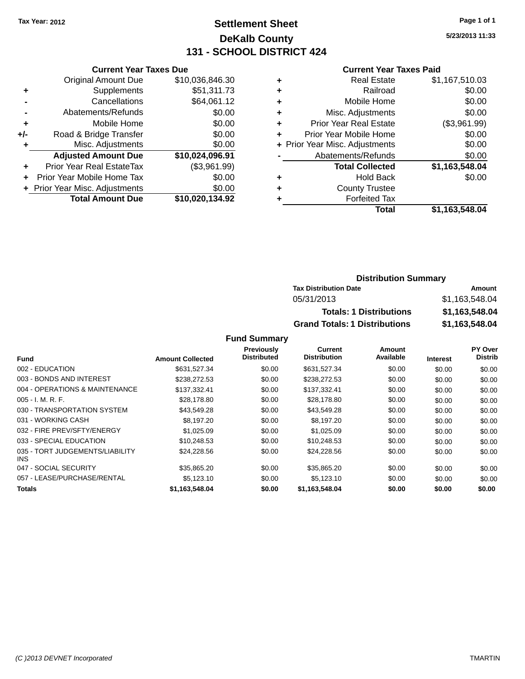## **Settlement Sheet Tax Year: 2012 Page 1 of 1 DeKalb County 131 - SCHOOL DISTRICT 424**

**5/23/2013 11:33**

#### **Current Year Taxes Paid**

|     | <b>Current Year Taxes Due</b>  |                 |  |  |  |
|-----|--------------------------------|-----------------|--|--|--|
|     | <b>Original Amount Due</b>     | \$10,036,846.30 |  |  |  |
| ٠   | Supplements                    | \$51,311.73     |  |  |  |
|     | Cancellations                  | \$64,061.12     |  |  |  |
|     | Abatements/Refunds             | \$0.00          |  |  |  |
| ٠   | Mobile Home                    | \$0.00          |  |  |  |
| +/- | Road & Bridge Transfer         | \$0.00          |  |  |  |
| ٠   | Misc. Adjustments              | \$0.00          |  |  |  |
|     | <b>Adjusted Amount Due</b>     | \$10,024,096.91 |  |  |  |
|     | Prior Year Real EstateTax      | (\$3,961.99)    |  |  |  |
|     | Prior Year Mobile Home Tax     | \$0.00          |  |  |  |
|     | + Prior Year Misc. Adjustments | \$0.00          |  |  |  |
|     | <b>Total Amount Due</b>        | \$10,020,134.92 |  |  |  |
|     |                                |                 |  |  |  |

|   | Total                          | \$1,163,548.04 |
|---|--------------------------------|----------------|
| ٠ | <b>Forfeited Tax</b>           |                |
| ٠ | <b>County Trustee</b>          |                |
| ٠ | <b>Hold Back</b>               | \$0.00         |
|   | <b>Total Collected</b>         | \$1,163,548.04 |
|   | Abatements/Refunds             | \$0.00         |
|   | + Prior Year Misc. Adjustments | \$0.00         |
| ٠ | Prior Year Mobile Home         | \$0.00         |
| ÷ | <b>Prior Year Real Estate</b>  | (\$3,961.99)   |
| ٠ | Misc. Adjustments              | \$0.00         |
| ٠ | Mobile Home                    | \$0.00         |
| ٠ | Railroad                       | \$0.00         |
| ٠ | <b>Real Estate</b>             | \$1,167,510.03 |
|   |                                |                |

## **Distribution Summary Tax Distribution Date Amount** 05/31/2013 \$1,163,548.04 **Totals: 1 Distributions \$1,163,548.04 Grand Totals: 1 Distributions \$1,163,548.04**

|                                         |                         | Previously<br><b>Distributed</b> | <b>Current</b><br><b>Distribution</b> | Amount<br>Available |                 | PY Over<br><b>Distrib</b> |
|-----------------------------------------|-------------------------|----------------------------------|---------------------------------------|---------------------|-----------------|---------------------------|
| <b>Fund</b>                             | <b>Amount Collected</b> |                                  |                                       |                     | <b>Interest</b> |                           |
| 002 - EDUCATION                         | \$631.527.34            | \$0.00                           | \$631,527.34                          | \$0.00              | \$0.00          | \$0.00                    |
| 003 - BONDS AND INTEREST                | \$238,272.53            | \$0.00                           | \$238,272.53                          | \$0.00              | \$0.00          | \$0.00                    |
| 004 - OPERATIONS & MAINTENANCE          | \$137.332.41            | \$0.00                           | \$137.332.41                          | \$0.00              | \$0.00          | \$0.00                    |
| $005 - I. M. R. F.$                     | \$28,178.80             | \$0.00                           | \$28,178.80                           | \$0.00              | \$0.00          | \$0.00                    |
| 030 - TRANSPORTATION SYSTEM             | \$43,549.28             | \$0.00                           | \$43,549.28                           | \$0.00              | \$0.00          | \$0.00                    |
| 031 - WORKING CASH                      | \$8.197.20              | \$0.00                           | \$8,197.20                            | \$0.00              | \$0.00          | \$0.00                    |
| 032 - FIRE PREV/SFTY/ENERGY             | \$1.025.09              | \$0.00                           | \$1,025.09                            | \$0.00              | \$0.00          | \$0.00                    |
| 033 - SPECIAL EDUCATION                 | \$10.248.53             | \$0.00                           | \$10.248.53                           | \$0.00              | \$0.00          | \$0.00                    |
| 035 - TORT JUDGEMENTS/LIABILITY<br>INS. | \$24,228.56             | \$0.00                           | \$24,228.56                           | \$0.00              | \$0.00          | \$0.00                    |
| 047 - SOCIAL SECURITY                   | \$35,865.20             | \$0.00                           | \$35,865.20                           | \$0.00              | \$0.00          | \$0.00                    |
| 057 - LEASE/PURCHASE/RENTAL             | \$5.123.10              | \$0.00                           | \$5.123.10                            | \$0.00              | \$0.00          | \$0.00                    |
| Totals                                  | \$1.163.548.04          | \$0.00                           | \$1.163.548.04                        | \$0.00              | \$0.00          | \$0.00                    |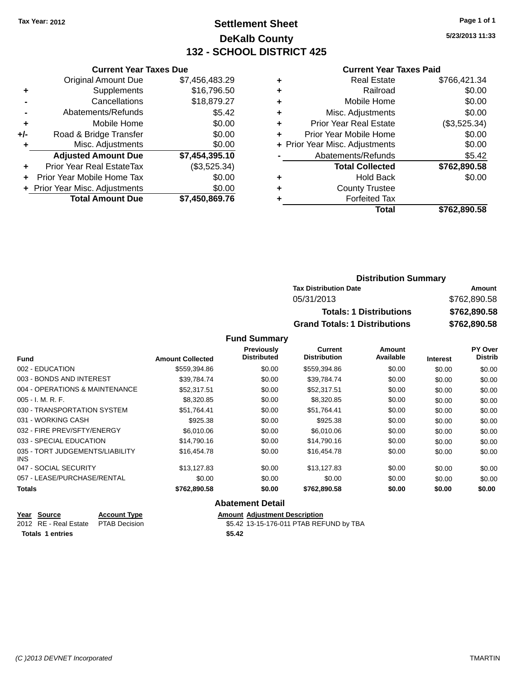## **Settlement Sheet Tax Year: 2012 Page 1 of 1 DeKalb County 132 - SCHOOL DISTRICT 425**

**5/23/2013 11:33**

#### **Current Year Taxes Paid**

|     | <b>Current Year Taxes Due</b>  |                |  |  |  |
|-----|--------------------------------|----------------|--|--|--|
|     | <b>Original Amount Due</b>     | \$7,456,483.29 |  |  |  |
| ÷   | Supplements                    | \$16,796.50    |  |  |  |
|     | Cancellations                  | \$18,879.27    |  |  |  |
|     | Abatements/Refunds             | \$5.42         |  |  |  |
| ٠   | Mobile Home                    | \$0.00         |  |  |  |
| +/- | Road & Bridge Transfer         | \$0.00         |  |  |  |
| ٠   | Misc. Adjustments              | \$0.00         |  |  |  |
|     | <b>Adjusted Amount Due</b>     | \$7,454,395.10 |  |  |  |
| ٠   | Prior Year Real EstateTax      | (\$3,525.34)   |  |  |  |
|     | Prior Year Mobile Home Tax     | \$0.00         |  |  |  |
|     | + Prior Year Misc. Adjustments | \$0.00         |  |  |  |
|     | <b>Total Amount Due</b>        | \$7,450,869.76 |  |  |  |
|     |                                |                |  |  |  |

|   | <b>Real Estate</b>             | \$766,421.34 |
|---|--------------------------------|--------------|
| ٠ | Railroad                       | \$0.00       |
| ٠ | Mobile Home                    | \$0.00       |
| ٠ | Misc. Adjustments              | \$0.00       |
| ٠ | <b>Prior Year Real Estate</b>  | (\$3,525.34) |
|   | Prior Year Mobile Home         | \$0.00       |
|   | + Prior Year Misc. Adjustments | \$0.00       |
|   | Abatements/Refunds             | \$5.42       |
|   | <b>Total Collected</b>         | \$762,890.58 |
| ٠ | <b>Hold Back</b>               | \$0.00       |
|   | <b>County Trustee</b>          |              |
|   | <b>Forfeited Tax</b>           |              |
|   | Total                          | \$762,890.58 |
|   |                                |              |

| <b>Distribution Summary</b>          |              |  |  |
|--------------------------------------|--------------|--|--|
| <b>Tax Distribution Date</b>         | Amount       |  |  |
| 05/31/2013                           | \$762,890.58 |  |  |
| <b>Totals: 1 Distributions</b>       | \$762,890.58 |  |  |
| <b>Grand Totals: 1 Distributions</b> | \$762,890.58 |  |  |

#### **Fund Summary**

|                                         |                         | Previously         | Current             | Amount    |                 | PY Over        |
|-----------------------------------------|-------------------------|--------------------|---------------------|-----------|-----------------|----------------|
| <b>Fund</b>                             | <b>Amount Collected</b> | <b>Distributed</b> | <b>Distribution</b> | Available | <b>Interest</b> | <b>Distrib</b> |
| 002 - EDUCATION                         | \$559,394.86            | \$0.00             | \$559,394.86        | \$0.00    | \$0.00          | \$0.00         |
| 003 - BONDS AND INTEREST                | \$39.784.74             | \$0.00             | \$39,784.74         | \$0.00    | \$0.00          | \$0.00         |
| 004 - OPERATIONS & MAINTENANCE          | \$52,317.51             | \$0.00             | \$52,317.51         | \$0.00    | \$0.00          | \$0.00         |
| $005 - I. M. R. F.$                     | \$8,320.85              | \$0.00             | \$8,320.85          | \$0.00    | \$0.00          | \$0.00         |
| 030 - TRANSPORTATION SYSTEM             | \$51,764.41             | \$0.00             | \$51,764.41         | \$0.00    | \$0.00          | \$0.00         |
| 031 - WORKING CASH                      | \$925.38                | \$0.00             | \$925.38            | \$0.00    | \$0.00          | \$0.00         |
| 032 - FIRE PREV/SFTY/ENERGY             | \$6,010,06              | \$0.00             | \$6,010.06          | \$0.00    | \$0.00          | \$0.00         |
| 033 - SPECIAL EDUCATION                 | \$14,790.16             | \$0.00             | \$14,790.16         | \$0.00    | \$0.00          | \$0.00         |
| 035 - TORT JUDGEMENTS/LIABILITY<br>INS. | \$16,454.78             | \$0.00             | \$16,454.78         | \$0.00    | \$0.00          | \$0.00         |
| 047 - SOCIAL SECURITY                   | \$13.127.83             | \$0.00             | \$13.127.83         | \$0.00    | \$0.00          | \$0.00         |
| 057 - LEASE/PURCHASE/RENTAL             | \$0.00                  | \$0.00             | \$0.00              | \$0.00    | \$0.00          | \$0.00         |
| Totals                                  | \$762,890.58            | \$0.00             | \$762,890.58        | \$0.00    | \$0.00          | \$0.00         |

### **Abatement Detail**

| Year Source             | <b>Account Type</b> |        | <b>Amount Adiustment Description</b>    |
|-------------------------|---------------------|--------|-----------------------------------------|
| 2012 RE - Real Estate   | PTAB Decision       |        | \$5.42 13-15-176-011 PTAB REFUND by TBA |
| <b>Totals 1 entries</b> |                     | \$5.42 |                                         |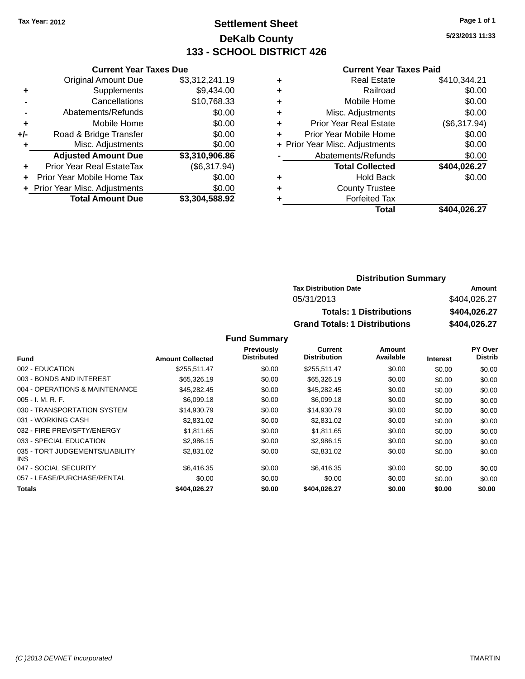## **Settlement Sheet Tax Year: 2012 Page 1 of 1 DeKalb County 133 - SCHOOL DISTRICT 426**

**5/23/2013 11:33**

#### **Current Year Taxes Paid**

|     | <b>Current Year Taxes Due</b>               |                |  |  |  |
|-----|---------------------------------------------|----------------|--|--|--|
|     | <b>Original Amount Due</b>                  | \$3,312,241.19 |  |  |  |
| ٠   | Supplements                                 | \$9,434.00     |  |  |  |
|     | Cancellations                               | \$10,768.33    |  |  |  |
|     | Abatements/Refunds                          | \$0.00         |  |  |  |
| ٠   | \$0.00<br>Mobile Home                       |                |  |  |  |
| +/- | \$0.00<br>Road & Bridge Transfer            |                |  |  |  |
| ٠   | Misc. Adjustments                           | \$0.00         |  |  |  |
|     | <b>Adjusted Amount Due</b>                  | \$3,310,906.86 |  |  |  |
| ÷   | Prior Year Real EstateTax                   | (\$6,317.94)   |  |  |  |
| ÷   | \$0.00<br><b>Prior Year Mobile Home Tax</b> |                |  |  |  |
|     | + Prior Year Misc. Adjustments              | \$0.00         |  |  |  |
|     | <b>Total Amount Due</b>                     | \$3,304,588.92 |  |  |  |

| ٠ | <b>Real Estate</b>             | \$410,344.21 |
|---|--------------------------------|--------------|
| ٠ | Railroad                       | \$0.00       |
| ٠ | Mobile Home                    | \$0.00       |
| ٠ | Misc. Adjustments              | \$0.00       |
| ٠ | <b>Prior Year Real Estate</b>  | (\$6,317.94) |
| ٠ | Prior Year Mobile Home         | \$0.00       |
|   | + Prior Year Misc. Adjustments | \$0.00       |
|   | Abatements/Refunds             | \$0.00       |
|   | <b>Total Collected</b>         | \$404,026.27 |
| ٠ | <b>Hold Back</b>               | \$0.00       |
| ٠ | <b>County Trustee</b>          |              |
| ٠ | <b>Forfeited Tax</b>           |              |
|   | Total                          | \$404,026.27 |
|   |                                |              |

| <b>Distribution Summary</b> |                                      |              |  |  |  |
|-----------------------------|--------------------------------------|--------------|--|--|--|
|                             | <b>Tax Distribution Date</b>         | Amount       |  |  |  |
|                             | 05/31/2013                           | \$404,026.27 |  |  |  |
|                             | <b>Totals: 1 Distributions</b>       | \$404,026.27 |  |  |  |
|                             | <b>Grand Totals: 1 Distributions</b> | \$404,026.27 |  |  |  |

|                                         |                         | <b>Previously</b>  | <b>Current</b>      | Amount    |                 | PY Over        |
|-----------------------------------------|-------------------------|--------------------|---------------------|-----------|-----------------|----------------|
| <b>Fund</b>                             | <b>Amount Collected</b> | <b>Distributed</b> | <b>Distribution</b> | Available | <b>Interest</b> | <b>Distrib</b> |
| 002 - EDUCATION                         | \$255,511.47            | \$0.00             | \$255,511.47        | \$0.00    | \$0.00          | \$0.00         |
| 003 - BONDS AND INTEREST                | \$65,326.19             | \$0.00             | \$65,326,19         | \$0.00    | \$0.00          | \$0.00         |
| 004 - OPERATIONS & MAINTENANCE          | \$45,282.45             | \$0.00             | \$45.282.45         | \$0.00    | \$0.00          | \$0.00         |
| $005 - I. M. R. F.$                     | \$6.099.18              | \$0.00             | \$6,099.18          | \$0.00    | \$0.00          | \$0.00         |
| 030 - TRANSPORTATION SYSTEM             | \$14,930.79             | \$0.00             | \$14,930.79         | \$0.00    | \$0.00          | \$0.00         |
| 031 - WORKING CASH                      | \$2,831.02              | \$0.00             | \$2,831.02          | \$0.00    | \$0.00          | \$0.00         |
| 032 - FIRE PREV/SFTY/ENERGY             | \$1,811.65              | \$0.00             | \$1,811.65          | \$0.00    | \$0.00          | \$0.00         |
| 033 - SPECIAL EDUCATION                 | \$2,986.15              | \$0.00             | \$2,986.15          | \$0.00    | \$0.00          | \$0.00         |
| 035 - TORT JUDGEMENTS/LIABILITY<br>INS. | \$2,831.02              | \$0.00             | \$2,831.02          | \$0.00    | \$0.00          | \$0.00         |
| 047 - SOCIAL SECURITY                   | \$6,416.35              | \$0.00             | \$6,416.35          | \$0.00    | \$0.00          | \$0.00         |
| 057 - LEASE/PURCHASE/RENTAL             | \$0.00                  | \$0.00             | \$0.00              | \$0.00    | \$0.00          | \$0.00         |
| <b>Totals</b>                           | \$404.026.27            | \$0.00             | \$404.026.27        | \$0.00    | \$0.00          | \$0.00         |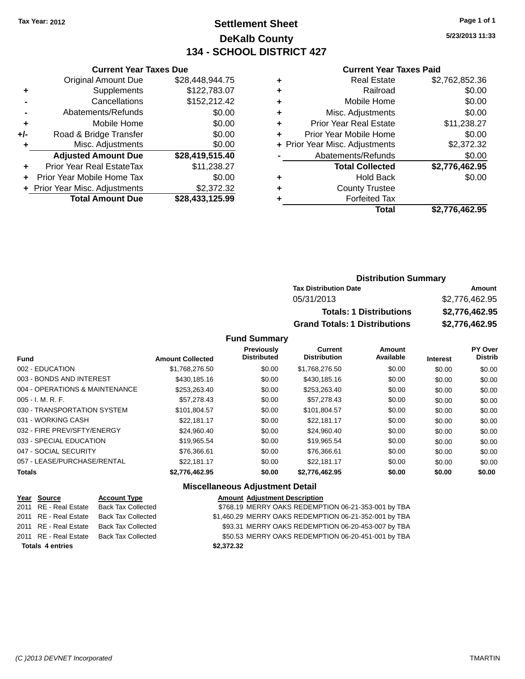## **Settlement Sheet Tax Year: 2012 Page 1 of 1 DeKalb County 134 - SCHOOL DISTRICT 427**

**5/23/2013 11:33**

#### **Current Year Taxes Paid**

|       | <b>Current Year Taxes Due</b>  |                 |  |  |  |  |
|-------|--------------------------------|-----------------|--|--|--|--|
|       | <b>Original Amount Due</b>     | \$28,448,944.75 |  |  |  |  |
| ٠     | Supplements                    | \$122,783.07    |  |  |  |  |
|       | Cancellations                  | \$152,212.42    |  |  |  |  |
|       | Abatements/Refunds             | \$0.00          |  |  |  |  |
| ٠     | Mobile Home                    | \$0.00          |  |  |  |  |
| $+/-$ | Road & Bridge Transfer         | \$0.00          |  |  |  |  |
| ٠     | Misc. Adjustments              | \$0.00          |  |  |  |  |
|       | <b>Adjusted Amount Due</b>     | \$28,419,515.40 |  |  |  |  |
| ÷     | Prior Year Real EstateTax      | \$11,238.27     |  |  |  |  |
|       | Prior Year Mobile Home Tax     | \$0.00          |  |  |  |  |
|       | + Prior Year Misc. Adjustments | \$2,372.32      |  |  |  |  |
|       | <b>Total Amount Due</b>        | \$28,433,125.99 |  |  |  |  |
|       |                                |                 |  |  |  |  |

|   | <b>Real Estate</b>             | \$2,762,852.36 |
|---|--------------------------------|----------------|
| ٠ | Railroad                       | \$0.00         |
| ٠ | Mobile Home                    | \$0.00         |
| ٠ | Misc. Adjustments              | \$0.00         |
| ٠ | <b>Prior Year Real Estate</b>  | \$11,238.27    |
| ٠ | Prior Year Mobile Home         | \$0.00         |
|   | + Prior Year Misc. Adjustments | \$2,372.32     |
|   | Abatements/Refunds             | \$0.00         |
|   | <b>Total Collected</b>         | \$2,776,462.95 |
| ٠ | Hold Back                      | \$0.00         |
|   | <b>County Trustee</b>          |                |
| ٠ | <b>Forfeited Tax</b>           |                |
|   | Total                          | \$2,776,462.95 |
|   |                                |                |

## **Distribution Summary Tax Distribution Date Amount** 05/31/2013 \$2,776,462.95 **Totals: 1 Distributions \$2,776,462.95 Grand Totals: 1 Distributions \$2,776,462.95**

#### **Fund Summary**

| <b>Fund</b>                    | <b>Amount Collected</b> | <b>Previously</b><br><b>Distributed</b> | Current<br><b>Distribution</b> | <b>Amount</b><br>Available | <b>Interest</b> | <b>PY Over</b><br><b>Distrib</b> |
|--------------------------------|-------------------------|-----------------------------------------|--------------------------------|----------------------------|-----------------|----------------------------------|
| 002 - EDUCATION                | \$1,768,276.50          | \$0.00                                  | \$1,768,276.50                 | \$0.00                     | \$0.00          | \$0.00                           |
| 003 - BONDS AND INTEREST       | \$430,185,16            | \$0.00                                  | \$430,185,16                   | \$0.00                     | \$0.00          | \$0.00                           |
| 004 - OPERATIONS & MAINTENANCE | \$253,263.40            | \$0.00                                  | \$253,263.40                   | \$0.00                     | \$0.00          | \$0.00                           |
| $005 - I. M. R. F.$            | \$57.278.43             | \$0.00                                  | \$57,278.43                    | \$0.00                     | \$0.00          | \$0.00                           |
| 030 - TRANSPORTATION SYSTEM    | \$101.804.57            | \$0.00                                  | \$101.804.57                   | \$0.00                     | \$0.00          | \$0.00                           |
| 031 - WORKING CASH             | \$22.181.17             | \$0.00                                  | \$22.181.17                    | \$0.00                     | \$0.00          | \$0.00                           |
| 032 - FIRE PREV/SFTY/ENERGY    | \$24.960.40             | \$0.00                                  | \$24.960.40                    | \$0.00                     | \$0.00          | \$0.00                           |
| 033 - SPECIAL EDUCATION        | \$19.965.54             | \$0.00                                  | \$19,965.54                    | \$0.00                     | \$0.00          | \$0.00                           |
| 047 - SOCIAL SECURITY          | \$76.366.61             | \$0.00                                  | \$76,366.61                    | \$0.00                     | \$0.00          | \$0.00                           |
| 057 - LEASE/PURCHASE/RENTAL    | \$22.181.17             | \$0.00                                  | \$22.181.17                    | \$0.00                     | \$0.00          | \$0.00                           |
| <b>Totals</b>                  | \$2,776,462.95          | \$0.00                                  | \$2,776,462.95                 | \$0.00                     | \$0.00          | \$0.00                           |

## **Miscellaneous Adjustment Detail**

| Year Source             | <b>Account Type</b>       | <b>Amount Adjustment Description</b>                  |
|-------------------------|---------------------------|-------------------------------------------------------|
| 2011 RE - Real Estate   | <b>Back Tax Collected</b> | \$768.19 MERRY OAKS REDEMPTION 06-21-353-001 by TBA   |
| 2011 RE - Real Estate   | <b>Back Tax Collected</b> | \$1,460.29 MERRY OAKS REDEMPTION 06-21-352-001 by TBA |
| 2011 RE - Real Estate   | <b>Back Tax Collected</b> | \$93.31 MERRY OAKS REDEMPTION 06-20-453-007 by TBA    |
| 2011 RE - Real Estate   | <b>Back Tax Collected</b> | \$50.53 MERRY OAKS REDEMPTION 06-20-451-001 by TBA    |
| <b>Totals 4 entries</b> |                           | \$2,372.32                                            |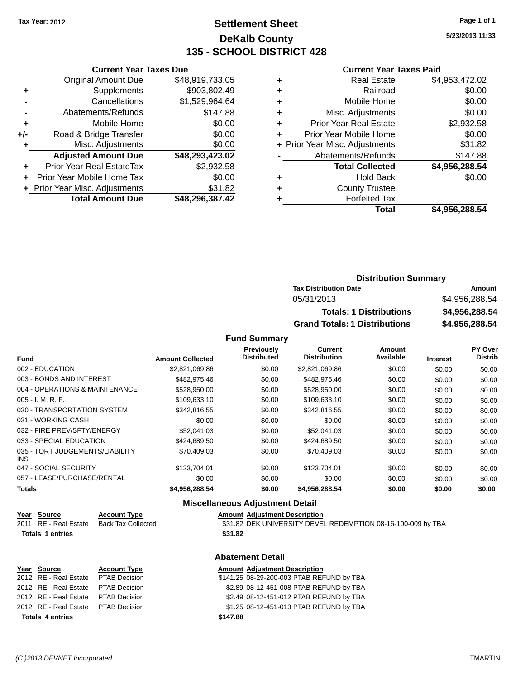## **Settlement Sheet Tax Year: 2012 Page 1 of 1 DeKalb County 135 - SCHOOL DISTRICT 428**

**5/23/2013 11:33**

#### **Current Year Taxes Paid**

|     | <b>Current Year Taxes Due</b> |                 |  |  |  |
|-----|-------------------------------|-----------------|--|--|--|
|     | <b>Original Amount Due</b>    | \$48,919,733.05 |  |  |  |
| ٠   | Supplements                   | \$903,802.49    |  |  |  |
|     | Cancellations                 | \$1,529,964.64  |  |  |  |
|     | Abatements/Refunds            | \$147.88        |  |  |  |
| ٠   | Mobile Home                   | \$0.00          |  |  |  |
| +/- | Road & Bridge Transfer        | \$0.00          |  |  |  |
| ٠   | Misc. Adjustments             | \$0.00          |  |  |  |
|     | <b>Adjusted Amount Due</b>    | \$48,293,423.02 |  |  |  |
| ٠   | Prior Year Real EstateTax     | \$2,932.58      |  |  |  |
| ٠   | Prior Year Mobile Home Tax    | \$0.00          |  |  |  |
|     | Prior Year Misc. Adjustments  | \$31.82         |  |  |  |
|     | <b>Total Amount Due</b>       | \$48,296,387.42 |  |  |  |
|     |                               |                 |  |  |  |

|   | <b>Real Estate</b>             | \$4,953,472.02 |
|---|--------------------------------|----------------|
| ٠ | Railroad                       | \$0.00         |
| ٠ | Mobile Home                    | \$0.00         |
| ٠ | Misc. Adjustments              | \$0.00         |
| ٠ | <b>Prior Year Real Estate</b>  | \$2,932.58     |
|   | Prior Year Mobile Home         | \$0.00         |
|   | + Prior Year Misc. Adjustments | \$31.82        |
|   | Abatements/Refunds             | \$147.88       |
|   | <b>Total Collected</b>         | \$4,956,288.54 |
| ٠ | <b>Hold Back</b>               | \$0.00         |
|   | <b>County Trustee</b>          |                |
|   | <b>Forfeited Tax</b>           |                |
|   | Total                          | \$4,956,288.54 |
|   |                                |                |

## **Distribution Summary Tax Distribution Date Amount** 05/31/2013 \$4,956,288.54 **Totals: 1 Distributions \$4,956,288.54 Grand Totals: 1 Distributions \$4,956,288.54**

**Fund Summary**

| <b>Fund</b>                             | <b>Amount Collected</b> | <b>Previously</b><br><b>Distributed</b> | Current<br><b>Distribution</b> | Amount<br>Available | <b>Interest</b> | <b>PY Over</b><br><b>Distrib</b> |
|-----------------------------------------|-------------------------|-----------------------------------------|--------------------------------|---------------------|-----------------|----------------------------------|
|                                         |                         |                                         |                                |                     |                 |                                  |
| 002 - EDUCATION                         | \$2,821,069.86          | \$0.00                                  | \$2,821,069.86                 | \$0.00              | \$0.00          | \$0.00                           |
| 003 - BONDS AND INTEREST                | \$482,975,46            | \$0.00                                  | \$482,975.46                   | \$0.00              | \$0.00          | \$0.00                           |
| 004 - OPERATIONS & MAINTENANCE          | \$528,950.00            | \$0.00                                  | \$528,950,00                   | \$0.00              | \$0.00          | \$0.00                           |
| $005 - I. M. R. F.$                     | \$109.633.10            | \$0.00                                  | \$109.633.10                   | \$0.00              | \$0.00          | \$0.00                           |
| 030 - TRANSPORTATION SYSTEM             | \$342,816.55            | \$0.00                                  | \$342.816.55                   | \$0.00              | \$0.00          | \$0.00                           |
| 031 - WORKING CASH                      | \$0.00                  | \$0.00                                  | \$0.00                         | \$0.00              | \$0.00          | \$0.00                           |
| 032 - FIRE PREV/SFTY/ENERGY             | \$52,041.03             | \$0.00                                  | \$52,041.03                    | \$0.00              | \$0.00          | \$0.00                           |
| 033 - SPECIAL EDUCATION                 | \$424.689.50            | \$0.00                                  | \$424,689.50                   | \$0.00              | \$0.00          | \$0.00                           |
| 035 - TORT JUDGEMENTS/LIABILITY<br>INS. | \$70.409.03             | \$0.00                                  | \$70.409.03                    | \$0.00              | \$0.00          | \$0.00                           |
| 047 - SOCIAL SECURITY                   | \$123,704.01            | \$0.00                                  | \$123,704.01                   | \$0.00              | \$0.00          | \$0.00                           |
| 057 - LEASE/PURCHASE/RENTAL             | \$0.00                  | \$0.00                                  | \$0.00                         | \$0.00              | \$0.00          | \$0.00                           |
| <b>Totals</b>                           | \$4,956,288.54          | \$0.00                                  | \$4,956,288.54                 | \$0.00              | \$0.00          | \$0.00                           |

#### **Miscellaneous Adjustment Detail**

| Year Source             | <b>Account Type</b> | <b>Amount Adiustment Description</b>                         |
|-------------------------|---------------------|--------------------------------------------------------------|
| 2011 RE - Real Estate   | Back Tax Collected  | \$31.82 DEK UNIVERSITY DEVEL REDEMPTION 08-16-100-009 by TBA |
| <b>Totals 1 entries</b> |                     | \$31.82                                                      |
|                         |                     |                                                              |

#### **Abatement Detail**

| Year Source                         | <b>Account Type</b> |          | <b>Amount Adjustment Description</b>      |
|-------------------------------------|---------------------|----------|-------------------------------------------|
| 2012 RE - Real Estate PTAB Decision |                     |          | \$141.25 08-29-200-003 PTAB REFUND by TBA |
| 2012 RE - Real Estate PTAB Decision |                     |          | \$2.89 08-12-451-008 PTAB REFUND by TBA   |
| 2012 RE - Real Estate PTAB Decision |                     |          | \$2.49 08-12-451-012 PTAB REFUND by TBA   |
| 2012 RE - Real Estate PTAB Decision |                     |          | \$1.25 08-12-451-013 PTAB REFUND by TBA   |
| <b>Totals 4 entries</b>             |                     | \$147.88 |                                           |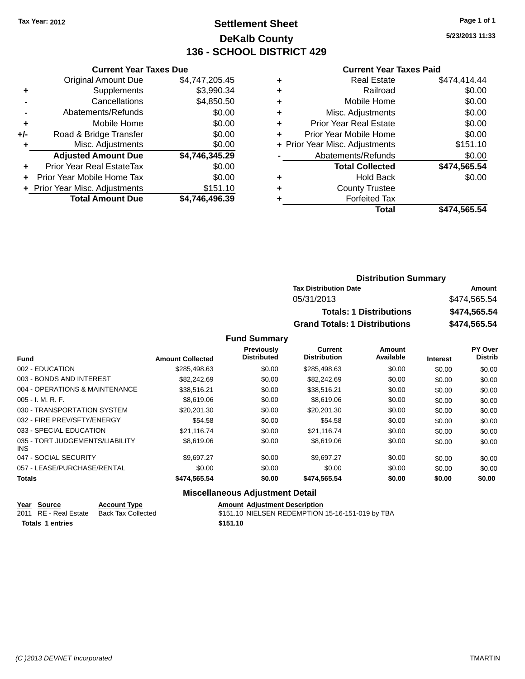## **Settlement Sheet Tax Year: 2012 Page 1 of 1 DeKalb County 136 - SCHOOL DISTRICT 429**

**5/23/2013 11:33**

|     | <b>Current Year Taxes Due</b>  |                |  |  |  |  |
|-----|--------------------------------|----------------|--|--|--|--|
|     | <b>Original Amount Due</b>     | \$4,747,205.45 |  |  |  |  |
| ٠   | Supplements                    | \$3,990.34     |  |  |  |  |
|     | Cancellations                  | \$4,850.50     |  |  |  |  |
|     | Abatements/Refunds             | \$0.00         |  |  |  |  |
| ٠   | Mobile Home                    | \$0.00         |  |  |  |  |
| +/- | Road & Bridge Transfer         | \$0.00         |  |  |  |  |
|     | Misc. Adjustments              | \$0.00         |  |  |  |  |
|     | <b>Adjusted Amount Due</b>     | \$4,746,345.29 |  |  |  |  |
| ÷   | Prior Year Real EstateTax      | \$0.00         |  |  |  |  |
|     | Prior Year Mobile Home Tax     | \$0.00         |  |  |  |  |
|     | + Prior Year Misc. Adjustments | \$151.10       |  |  |  |  |
|     | <b>Total Amount Due</b>        | \$4.746.496.39 |  |  |  |  |

### **Current Year Taxes Paid**

|   | <b>Real Estate</b>             | \$474,414.44 |
|---|--------------------------------|--------------|
| ٠ | Railroad                       | \$0.00       |
| ٠ | Mobile Home                    | \$0.00       |
| ٠ | Misc. Adjustments              | \$0.00       |
| ٠ | <b>Prior Year Real Estate</b>  | \$0.00       |
|   | Prior Year Mobile Home         | \$0.00       |
|   | + Prior Year Misc. Adjustments | \$151.10     |
|   | Abatements/Refunds             | \$0.00       |
|   | <b>Total Collected</b>         | \$474,565.54 |
| ٠ | <b>Hold Back</b>               | \$0.00       |
| ٠ | <b>County Trustee</b>          |              |
|   | <b>Forfeited Tax</b>           |              |
|   | Total                          | \$474,565.54 |
|   |                                |              |

|            | <b>Distribution Summary</b>          |              |  |
|------------|--------------------------------------|--------------|--|
|            | <b>Tax Distribution Date</b>         | Amount       |  |
| 05/31/2013 |                                      | \$474.565.54 |  |
|            | <b>Totals: 1 Distributions</b>       | \$474,565.54 |  |
|            | <b>Grand Totals: 1 Distributions</b> | \$474,565.54 |  |

#### **Fund Summary**

|                         | Previously | <b>Current</b>     | Amount              |                 | PY Over        |
|-------------------------|------------|--------------------|---------------------|-----------------|----------------|
| <b>Amount Collected</b> |            |                    |                     | <b>Interest</b> | <b>Distrib</b> |
| \$285,498.63            | \$0.00     | \$285,498.63       | \$0.00              | \$0.00          | \$0.00         |
| \$82,242.69             | \$0.00     | \$82,242.69        | \$0.00              | \$0.00          | \$0.00         |
| \$38,516.21             | \$0.00     | \$38,516.21        | \$0.00              | \$0.00          | \$0.00         |
| \$8,619.06              | \$0.00     | \$8,619.06         | \$0.00              | \$0.00          | \$0.00         |
| \$20,201.30             | \$0.00     | \$20,201.30        | \$0.00              | \$0.00          | \$0.00         |
| \$54.58                 | \$0.00     | \$54.58            | \$0.00              | \$0.00          | \$0.00         |
| \$21,116.74             | \$0.00     | \$21,116.74        | \$0.00              | \$0.00          | \$0.00         |
| \$8,619.06              | \$0.00     | \$8,619.06         | \$0.00              | \$0.00          | \$0.00         |
| \$9.697.27              | \$0.00     | \$9,697.27         | \$0.00              | \$0.00          | \$0.00         |
| \$0.00                  | \$0.00     | \$0.00             | \$0.00              | \$0.00          | \$0.00         |
| \$474,565.54            | \$0.00     | \$474,565.54       | \$0.00              | \$0.00          | \$0.00         |
|                         |            | <b>Distributed</b> | <b>Distribution</b> | Available       |                |

#### **Miscellaneous Adjustment Detail**

|                         | Year Source           | <b>Account Type</b> | <b>Amount Adiustment Description</b>             |
|-------------------------|-----------------------|---------------------|--------------------------------------------------|
|                         | 2011 RE - Real Estate | Back Tax Collected  | \$151.10 NIELSEN REDEMPTION 15-16-151-019 by TBA |
| <b>Totals 1 entries</b> |                       |                     | \$151.10                                         |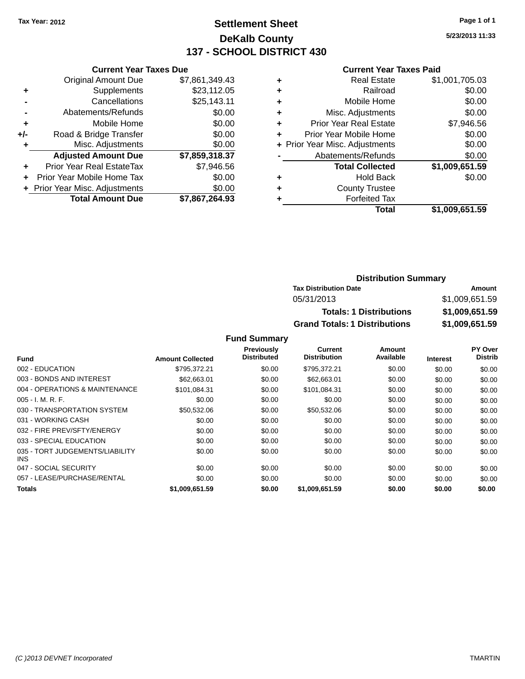## **Settlement Sheet Tax Year: 2012 Page 1 of 1 DeKalb County 137 - SCHOOL DISTRICT 430**

**5/23/2013 11:33**

#### **Current Year Taxes Paid**

|     | <b>Current Year Taxes Due</b>  |                |  |  |  |  |
|-----|--------------------------------|----------------|--|--|--|--|
|     | <b>Original Amount Due</b>     | \$7,861,349.43 |  |  |  |  |
| ٠   | Supplements                    | \$23,112.05    |  |  |  |  |
|     | Cancellations                  | \$25,143.11    |  |  |  |  |
|     | Abatements/Refunds             | \$0.00         |  |  |  |  |
| ٠   | Mobile Home                    | \$0.00         |  |  |  |  |
| +/- | Road & Bridge Transfer         | \$0.00         |  |  |  |  |
| ٠   | Misc. Adjustments              | \$0.00         |  |  |  |  |
|     | <b>Adjusted Amount Due</b>     | \$7,859,318.37 |  |  |  |  |
| ٠   | Prior Year Real EstateTax      | \$7,946.56     |  |  |  |  |
| ÷   | Prior Year Mobile Home Tax     | \$0.00         |  |  |  |  |
|     | + Prior Year Misc. Adjustments | \$0.00         |  |  |  |  |
|     | <b>Total Amount Due</b>        | \$7,867,264.93 |  |  |  |  |

|   | <b>Real Estate</b>             | \$1,001,705.03 |
|---|--------------------------------|----------------|
| ٠ | Railroad                       | \$0.00         |
| ٠ | Mobile Home                    | \$0.00         |
| ٠ | Misc. Adjustments              | \$0.00         |
| ٠ | <b>Prior Year Real Estate</b>  | \$7,946.56     |
| ÷ | Prior Year Mobile Home         | \$0.00         |
|   | + Prior Year Misc. Adjustments | \$0.00         |
|   | Abatements/Refunds             | \$0.00         |
|   | <b>Total Collected</b>         | \$1,009,651.59 |
| ٠ | Hold Back                      | \$0.00         |
| ٠ | <b>County Trustee</b>          |                |
| ٠ | <b>Forfeited Tax</b>           |                |
|   | Total                          | \$1,009,651.59 |
|   |                                |                |

## **Distribution Summary Tax Distribution Date Amount** 05/31/2013 \$1,009,651.59 **Totals: 1 Distributions \$1,009,651.59 Grand Totals: 1 Distributions \$1,009,651.59**

|                                         |                         | <b>Previously</b>  | <b>Current</b>      | Amount    |                 | PY Over        |
|-----------------------------------------|-------------------------|--------------------|---------------------|-----------|-----------------|----------------|
| <b>Fund</b>                             | <b>Amount Collected</b> | <b>Distributed</b> | <b>Distribution</b> | Available | <b>Interest</b> | <b>Distrib</b> |
| 002 - EDUCATION                         | \$795.372.21            | \$0.00             | \$795,372.21        | \$0.00    | \$0.00          | \$0.00         |
| 003 - BONDS AND INTEREST                | \$62,663,01             | \$0.00             | \$62,663,01         | \$0.00    | \$0.00          | \$0.00         |
| 004 - OPERATIONS & MAINTENANCE          | \$101.084.31            | \$0.00             | \$101.084.31        | \$0.00    | \$0.00          | \$0.00         |
| $005 - I. M. R. F.$                     | \$0.00                  | \$0.00             | \$0.00              | \$0.00    | \$0.00          | \$0.00         |
| 030 - TRANSPORTATION SYSTEM             | \$50,532.06             | \$0.00             | \$50,532.06         | \$0.00    | \$0.00          | \$0.00         |
| 031 - WORKING CASH                      | \$0.00                  | \$0.00             | \$0.00              | \$0.00    | \$0.00          | \$0.00         |
| 032 - FIRE PREV/SFTY/ENERGY             | \$0.00                  | \$0.00             | \$0.00              | \$0.00    | \$0.00          | \$0.00         |
| 033 - SPECIAL EDUCATION                 | \$0.00                  | \$0.00             | \$0.00              | \$0.00    | \$0.00          | \$0.00         |
| 035 - TORT JUDGEMENTS/LIABILITY<br>INS. | \$0.00                  | \$0.00             | \$0.00              | \$0.00    | \$0.00          | \$0.00         |
| 047 - SOCIAL SECURITY                   | \$0.00                  | \$0.00             | \$0.00              | \$0.00    | \$0.00          | \$0.00         |
| 057 - LEASE/PURCHASE/RENTAL             | \$0.00                  | \$0.00             | \$0.00              | \$0.00    | \$0.00          | \$0.00         |
| <b>Totals</b>                           | \$1,009,651.59          | \$0.00             | \$1.009.651.59      | \$0.00    | \$0.00          | \$0.00         |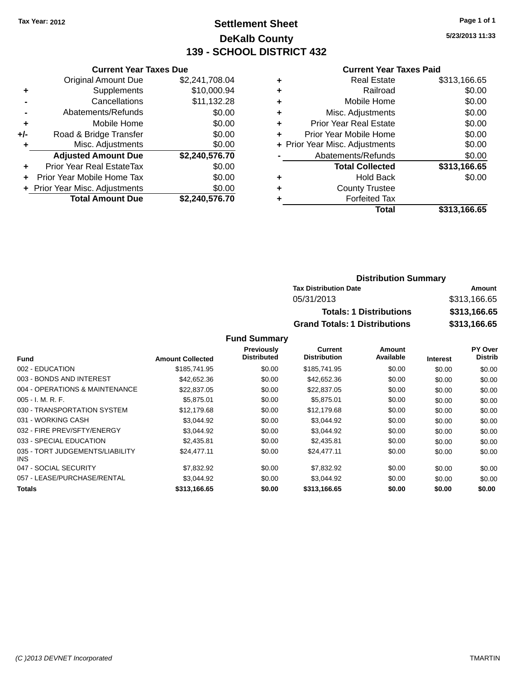## **Settlement Sheet Tax Year: 2012 Page 1 of 1 DeKalb County 139 - SCHOOL DISTRICT 432**

**5/23/2013 11:33**

#### **Current Year Taxes Paid**

| <b>Current Year Taxes Due</b>  |                |
|--------------------------------|----------------|
| <b>Original Amount Due</b>     | \$2,241,708.04 |
| Supplements                    | \$10,000.94    |
| Cancellations                  | \$11,132.28    |
| Abatements/Refunds             | \$0.00         |
| Mobile Home                    | \$0.00         |
| Road & Bridge Transfer         | \$0.00         |
| Misc. Adjustments              | \$0.00         |
| <b>Adjusted Amount Due</b>     | \$2,240,576.70 |
| Prior Year Real EstateTax      | \$0.00         |
| Prior Year Mobile Home Tax     | \$0.00         |
| + Prior Year Misc. Adjustments | \$0.00         |
| <b>Total Amount Due</b>        | \$2,240,576.70 |
|                                |                |

| ٠ | <b>Real Estate</b>             | \$313,166.65 |
|---|--------------------------------|--------------|
| ٠ | Railroad                       | \$0.00       |
| ٠ | Mobile Home                    | \$0.00       |
| ٠ | Misc. Adjustments              | \$0.00       |
| ٠ | <b>Prior Year Real Estate</b>  | \$0.00       |
| ٠ | Prior Year Mobile Home         | \$0.00       |
|   | + Prior Year Misc. Adjustments | \$0.00       |
|   | Abatements/Refunds             | \$0.00       |
|   | <b>Total Collected</b>         | \$313,166.65 |
| ٠ | <b>Hold Back</b>               | \$0.00       |
| ٠ | <b>County Trustee</b>          |              |
| ٠ | <b>Forfeited Tax</b>           |              |
|   | Total                          | \$313,166.65 |
|   |                                |              |

## **Distribution Summary Tax Distribution Date Amount** 05/31/2013 \$313,166.65 **Totals: 1 Distributions \$313,166.65 Grand Totals: 1 Distributions \$313,166.65**

|                                         |                         | Previously         | Current             | Amount    |                 | PY Over        |
|-----------------------------------------|-------------------------|--------------------|---------------------|-----------|-----------------|----------------|
| <b>Fund</b>                             | <b>Amount Collected</b> | <b>Distributed</b> | <b>Distribution</b> | Available | <b>Interest</b> | <b>Distrib</b> |
| 002 - EDUCATION                         | \$185,741.95            | \$0.00             | \$185,741.95        | \$0.00    | \$0.00          | \$0.00         |
| 003 - BONDS AND INTEREST                | \$42,652.36             | \$0.00             | \$42,652.36         | \$0.00    | \$0.00          | \$0.00         |
| 004 - OPERATIONS & MAINTENANCE          | \$22,837.05             | \$0.00             | \$22,837.05         | \$0.00    | \$0.00          | \$0.00         |
| $005 - I. M. R. F.$                     | \$5,875.01              | \$0.00             | \$5,875.01          | \$0.00    | \$0.00          | \$0.00         |
| 030 - TRANSPORTATION SYSTEM             | \$12,179.68             | \$0.00             | \$12,179.68         | \$0.00    | \$0.00          | \$0.00         |
| 031 - WORKING CASH                      | \$3.044.92              | \$0.00             | \$3,044.92          | \$0.00    | \$0.00          | \$0.00         |
| 032 - FIRE PREV/SFTY/ENERGY             | \$3.044.92              | \$0.00             | \$3,044.92          | \$0.00    | \$0.00          | \$0.00         |
| 033 - SPECIAL EDUCATION                 | \$2,435.81              | \$0.00             | \$2,435.81          | \$0.00    | \$0.00          | \$0.00         |
| 035 - TORT JUDGEMENTS/LIABILITY<br>INS. | \$24,477.11             | \$0.00             | \$24,477.11         | \$0.00    | \$0.00          | \$0.00         |
| 047 - SOCIAL SECURITY                   | \$7,832.92              | \$0.00             | \$7,832.92          | \$0.00    | \$0.00          | \$0.00         |
| 057 - LEASE/PURCHASE/RENTAL             | \$3,044.92              | \$0.00             | \$3,044.92          | \$0.00    | \$0.00          | \$0.00         |
| Totals                                  | \$313,166.65            | \$0.00             | \$313,166,65        | \$0.00    | \$0.00          | \$0.00         |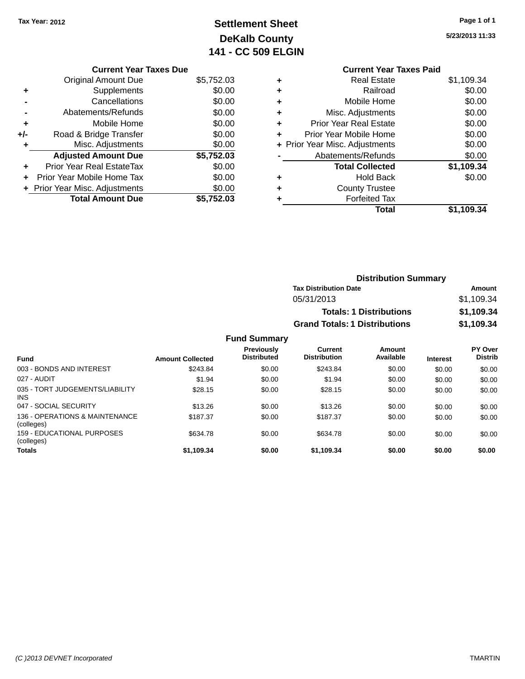# **Settlement Sheet Tax Year: 2012 Page 1 of 1 DeKalb County 141 - CC 509 ELGIN**

**5/23/2013 11:33**

|     | <b>Current Year Taxes Due</b>  |            |
|-----|--------------------------------|------------|
|     | <b>Original Amount Due</b>     | \$5,752.03 |
| ٠   | Supplements                    | \$0.00     |
|     | Cancellations                  | \$0.00     |
|     | Abatements/Refunds             | \$0.00     |
| ٠   | Mobile Home                    | \$0.00     |
| +/- | Road & Bridge Transfer         | \$0.00     |
| ٠   | Misc. Adjustments              | \$0.00     |
|     | <b>Adjusted Amount Due</b>     | \$5,752.03 |
| ÷   | Prior Year Real EstateTax      | \$0.00     |
|     | Prior Year Mobile Home Tax     | \$0.00     |
|     | + Prior Year Misc. Adjustments | \$0.00     |
|     | <b>Total Amount Due</b>        | \$5.752.03 |

|   | <b>Current Year Taxes Paid</b> |            |
|---|--------------------------------|------------|
| ٠ | <b>Real Estate</b>             | \$1,109.34 |
| ٠ | Railroad                       | \$0.00     |
| ٠ | Mobile Home                    | \$0.00     |
| ٠ | Misc. Adjustments              | \$0.00     |
| ٠ | <b>Prior Year Real Estate</b>  | \$0.00     |
| ÷ | Prior Year Mobile Home         | \$0.00     |
|   | + Prior Year Misc. Adjustments | \$0.00     |
|   | Abatements/Refunds             | \$0.00     |
|   | <b>Total Collected</b>         | \$1,109.34 |
| ٠ | <b>Hold Back</b>               | \$0.00     |
|   | <b>County Trustee</b>          |            |
|   | <b>Forfeited Tax</b>           |            |
|   | Total                          | \$1.109.34 |

| <b>Distribution Summary</b>          |            |  |  |
|--------------------------------------|------------|--|--|
| <b>Tax Distribution Date</b>         | Amount     |  |  |
| 05/31/2013                           | \$1,109.34 |  |  |
| <b>Totals: 1 Distributions</b>       | \$1,109.34 |  |  |
| <b>Grand Totals: 1 Distributions</b> | \$1,109.34 |  |  |

| <b>Fund</b>                                     | <b>Amount Collected</b> | <b>Previously</b><br><b>Distributed</b> | Current<br><b>Distribution</b> | Amount<br>Available | <b>Interest</b> | <b>PY Over</b><br><b>Distrib</b> |
|-------------------------------------------------|-------------------------|-----------------------------------------|--------------------------------|---------------------|-----------------|----------------------------------|
|                                                 |                         |                                         |                                |                     |                 |                                  |
| 003 - BONDS AND INTEREST                        | \$243.84                | \$0.00                                  | \$243.84                       | \$0.00              | \$0.00          | \$0.00                           |
| 027 - AUDIT                                     | \$1.94                  | \$0.00                                  | \$1.94                         | \$0.00              | \$0.00          | \$0.00                           |
| 035 - TORT JUDGEMENTS/LIABILITY<br><b>INS</b>   | \$28.15                 | \$0.00                                  | \$28.15                        | \$0.00              | \$0.00          | \$0.00                           |
| 047 - SOCIAL SECURITY                           | \$13.26                 | \$0.00                                  | \$13.26                        | \$0.00              | \$0.00          | \$0.00                           |
| 136 - OPERATIONS & MAINTENANCE<br>(colleges)    | \$187.37                | \$0.00                                  | \$187.37                       | \$0.00              | \$0.00          | \$0.00                           |
| <b>159 - EDUCATIONAL PURPOSES</b><br>(colleges) | \$634.78                | \$0.00                                  | \$634.78                       | \$0.00              | \$0.00          | \$0.00                           |
| <b>Totals</b>                                   | \$1,109.34              | \$0.00                                  | \$1,109.34                     | \$0.00              | \$0.00          | \$0.00                           |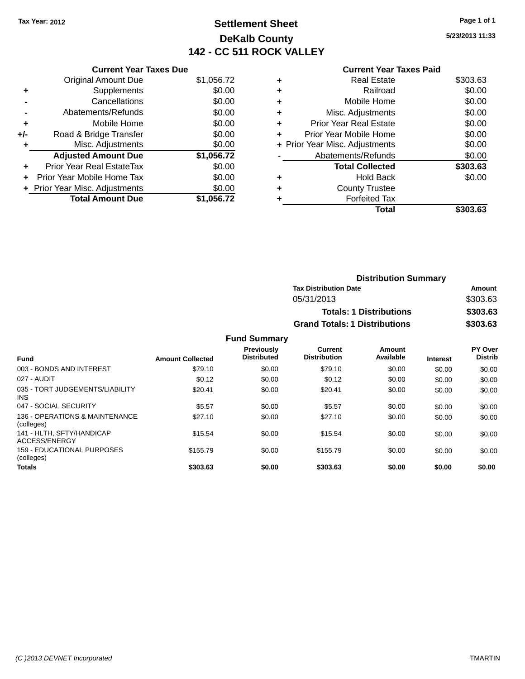# **Settlement Sheet Tax Year: 2012 Page 1 of 1 DeKalb County 142 - CC 511 ROCK VALLEY**

**5/23/2013 11:33**

#### **Current Year Taxes Paid**

|     | <b>Current Year Taxes Due</b> |            |
|-----|-------------------------------|------------|
|     | <b>Original Amount Due</b>    | \$1,056.72 |
| ÷   | Supplements                   | \$0.00     |
|     | Cancellations                 | \$0.00     |
|     | Abatements/Refunds            | \$0.00     |
| ٠   | Mobile Home                   | \$0.00     |
| +/- | Road & Bridge Transfer        | \$0.00     |
|     | Misc. Adjustments             | \$0.00     |
|     | <b>Adjusted Amount Due</b>    | \$1,056.72 |
| ÷   | Prior Year Real EstateTax     | \$0.00     |
|     | Prior Year Mobile Home Tax    | \$0.00     |
|     | Prior Year Misc. Adjustments  | \$0.00     |
|     | <b>Total Amount Due</b>       | \$1.056.72 |

|   | Total                          | \$303.63 |
|---|--------------------------------|----------|
|   | <b>Forfeited Tax</b>           |          |
| ٠ | <b>County Trustee</b>          |          |
| ٠ | <b>Hold Back</b>               | \$0.00   |
|   | <b>Total Collected</b>         | \$303.63 |
|   | Abatements/Refunds             | \$0.00   |
|   | + Prior Year Misc. Adjustments | \$0.00   |
| ٠ | Prior Year Mobile Home         | \$0.00   |
| ÷ | <b>Prior Year Real Estate</b>  | \$0.00   |
| ٠ | Misc. Adjustments              | \$0.00   |
| ٠ | Mobile Home                    | \$0.00   |
| ٠ | Railroad                       | \$0.00   |
| ٠ | <b>Real Estate</b>             | \$303.63 |
|   |                                |          |

| <b>Distribution Summary</b>          |          |  |
|--------------------------------------|----------|--|
| <b>Tax Distribution Date</b>         | Amount   |  |
| 05/31/2013                           | \$303.63 |  |
| <b>Totals: 1 Distributions</b>       | \$303.63 |  |
| <b>Grand Totals: 1 Distributions</b> | \$303.63 |  |

| <b>Fund</b>                                   | <b>Amount Collected</b> | <b>Previously</b><br><b>Distributed</b> | Current<br><b>Distribution</b> | Amount<br>Available | <b>Interest</b> | PY Over<br><b>Distrib</b> |
|-----------------------------------------------|-------------------------|-----------------------------------------|--------------------------------|---------------------|-----------------|---------------------------|
| 003 - BONDS AND INTEREST                      | \$79.10                 | \$0.00                                  | \$79.10                        | \$0.00              | \$0.00          | \$0.00                    |
| 027 - AUDIT                                   | \$0.12                  | \$0.00                                  | \$0.12                         | \$0.00              | \$0.00          | \$0.00                    |
| 035 - TORT JUDGEMENTS/LIABILITY<br><b>INS</b> | \$20.41                 | \$0.00                                  | \$20.41                        | \$0.00              | \$0.00          | \$0.00                    |
| 047 - SOCIAL SECURITY                         | \$5.57                  | \$0.00                                  | \$5.57                         | \$0.00              | \$0.00          | \$0.00                    |
| 136 - OPERATIONS & MAINTENANCE<br>(colleges)  | \$27.10                 | \$0.00                                  | \$27.10                        | \$0.00              | \$0.00          | \$0.00                    |
| 141 - HLTH, SFTY/HANDICAP<br>ACCESS/ENERGY    | \$15.54                 | \$0.00                                  | \$15.54                        | \$0.00              | \$0.00          | \$0.00                    |
| 159 - EDUCATIONAL PURPOSES<br>(colleges)      | \$155.79                | \$0.00                                  | \$155.79                       | \$0.00              | \$0.00          | \$0.00                    |
| <b>Totals</b>                                 | \$303.63                | \$0.00                                  | \$303.63                       | \$0.00              | \$0.00          | \$0.00                    |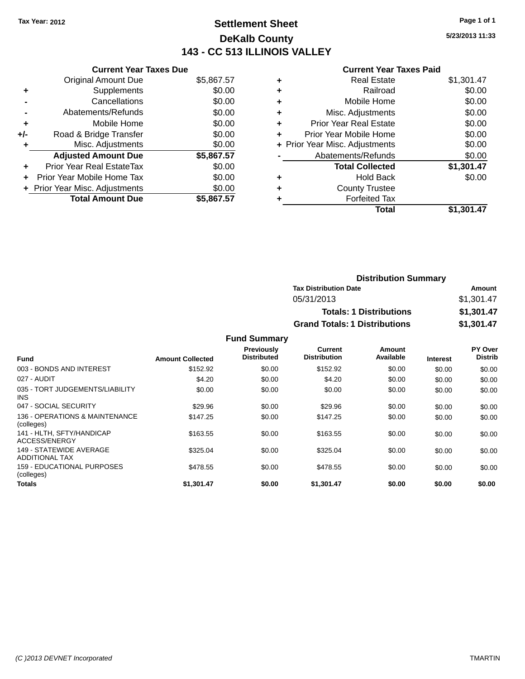# **Settlement Sheet Tax Year: 2012 Page 1 of 1 DeKalb County 143 - CC 513 ILLINOIS VALLEY**

**5/23/2013 11:33**

#### **Current Year Taxes Paid**

|     | <b>Current Year Taxes Due</b>  |            |
|-----|--------------------------------|------------|
|     | <b>Original Amount Due</b>     | \$5,867.57 |
| ٠   | Supplements                    | \$0.00     |
|     | Cancellations                  | \$0.00     |
|     | Abatements/Refunds             | \$0.00     |
| ٠   | Mobile Home                    | \$0.00     |
| +/- | Road & Bridge Transfer         | \$0.00     |
|     | Misc. Adjustments              | \$0.00     |
|     | <b>Adjusted Amount Due</b>     | \$5,867.57 |
| ÷   | Prior Year Real EstateTax      | \$0.00     |
|     | Prior Year Mobile Home Tax     | \$0.00     |
|     | + Prior Year Misc. Adjustments | \$0.00     |
|     | <b>Total Amount Due</b>        | \$5.867.57 |

|   | <b>Real Estate</b>             | \$1,301.47 |
|---|--------------------------------|------------|
| ٠ | Railroad                       | \$0.00     |
| ٠ | Mobile Home                    | \$0.00     |
| ٠ | Misc. Adjustments              | \$0.00     |
| ٠ | <b>Prior Year Real Estate</b>  | \$0.00     |
| ٠ | Prior Year Mobile Home         | \$0.00     |
|   | + Prior Year Misc. Adjustments | \$0.00     |
|   | Abatements/Refunds             | \$0.00     |
|   | <b>Total Collected</b>         | \$1,301.47 |
| ٠ | <b>Hold Back</b>               | \$0.00     |
| ٠ | <b>County Trustee</b>          |            |
| ٠ | <b>Forfeited Tax</b>           |            |
|   | Total                          | \$1,301.47 |
|   |                                |            |

| <b>Distribution Summary</b>          |            |  |  |
|--------------------------------------|------------|--|--|
| <b>Tax Distribution Date</b>         | Amount     |  |  |
| 05/31/2013                           | \$1,301.47 |  |  |
| <b>Totals: 1 Distributions</b>       | \$1,301.47 |  |  |
| <b>Grand Totals: 1 Distributions</b> | \$1,301.47 |  |  |

|                                                  |                         | <b>Previously</b><br><b>Distributed</b> | Current<br><b>Distribution</b> | Amount<br>Available |                 | PY Over<br><b>Distrib</b> |
|--------------------------------------------------|-------------------------|-----------------------------------------|--------------------------------|---------------------|-----------------|---------------------------|
| <b>Fund</b>                                      | <b>Amount Collected</b> |                                         |                                |                     | <b>Interest</b> |                           |
| 003 - BONDS AND INTEREST                         | \$152.92                | \$0.00                                  | \$152.92                       | \$0.00              | \$0.00          | \$0.00                    |
| 027 - AUDIT                                      | \$4.20                  | \$0.00                                  | \$4.20                         | \$0.00              | \$0.00          | \$0.00                    |
| 035 - TORT JUDGEMENTS/LIABILITY<br><b>INS</b>    | \$0.00                  | \$0.00                                  | \$0.00                         | \$0.00              | \$0.00          | \$0.00                    |
| 047 - SOCIAL SECURITY                            | \$29.96                 | \$0.00                                  | \$29.96                        | \$0.00              | \$0.00          | \$0.00                    |
| 136 - OPERATIONS & MAINTENANCE<br>(colleges)     | \$147.25                | \$0.00                                  | \$147.25                       | \$0.00              | \$0.00          | \$0.00                    |
| 141 - HLTH, SFTY/HANDICAP<br>ACCESS/ENERGY       | \$163.55                | \$0.00                                  | \$163.55                       | \$0.00              | \$0.00          | \$0.00                    |
| 149 - STATEWIDE AVERAGE<br><b>ADDITIONAL TAX</b> | \$325.04                | \$0.00                                  | \$325.04                       | \$0.00              | \$0.00          | \$0.00                    |
| <b>159 - EDUCATIONAL PURPOSES</b><br>(colleges)  | \$478.55                | \$0.00                                  | \$478.55                       | \$0.00              | \$0.00          | \$0.00                    |
| <b>Totals</b>                                    | \$1.301.47              | \$0.00                                  | \$1.301.47                     | \$0.00              | \$0.00          | \$0.00                    |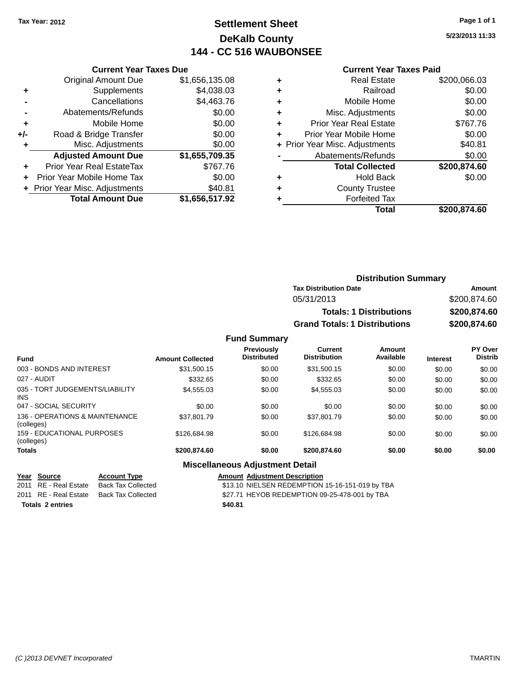# **Settlement Sheet Tax Year: 2012 Page 1 of 1 DeKalb County 144 - CC 516 WAUBONSEE**

**5/23/2013 11:33**

#### **Current Year Taxes Paid**

| <b>Current Year Taxes Due</b>  |                         |  |  |
|--------------------------------|-------------------------|--|--|
| <b>Original Amount Due</b>     | \$1,656,135.08          |  |  |
| Supplements                    | \$4,038.03              |  |  |
| Cancellations                  | \$4,463.76              |  |  |
| Abatements/Refunds             | \$0.00                  |  |  |
| Mobile Home                    | \$0.00                  |  |  |
| Road & Bridge Transfer         | \$0.00                  |  |  |
| Misc. Adjustments              | \$0.00                  |  |  |
| <b>Adjusted Amount Due</b>     | \$1,655,709.35          |  |  |
| Prior Year Real EstateTax      | \$767.76                |  |  |
| Prior Year Mobile Home Tax     | \$0.00                  |  |  |
| + Prior Year Misc. Adjustments | \$40.81                 |  |  |
|                                | \$1,656,517.92          |  |  |
|                                | <b>Total Amount Due</b> |  |  |

| \$0.00<br>Railroad<br>٠<br>\$0.00<br>Mobile Home<br>٠<br>\$0.00<br>Misc. Adjustments<br>٠<br>\$767.76<br><b>Prior Year Real Estate</b><br>٠<br>\$0.00<br>Prior Year Mobile Home<br>٠<br>\$40.81<br>+ Prior Year Misc. Adjustments<br>\$0.00<br>Abatements/Refunds<br>\$200,874.60<br><b>Total Collected</b><br>\$0.00<br><b>Hold Back</b><br>٠<br><b>County Trustee</b><br>٠<br><b>Forfeited Tax</b><br>٠ | <b>Real Estate</b> | \$200,066.03 |
|-----------------------------------------------------------------------------------------------------------------------------------------------------------------------------------------------------------------------------------------------------------------------------------------------------------------------------------------------------------------------------------------------------------|--------------------|--------------|
|                                                                                                                                                                                                                                                                                                                                                                                                           |                    |              |
|                                                                                                                                                                                                                                                                                                                                                                                                           |                    |              |
|                                                                                                                                                                                                                                                                                                                                                                                                           |                    |              |
|                                                                                                                                                                                                                                                                                                                                                                                                           |                    |              |
|                                                                                                                                                                                                                                                                                                                                                                                                           |                    |              |
|                                                                                                                                                                                                                                                                                                                                                                                                           |                    |              |
|                                                                                                                                                                                                                                                                                                                                                                                                           |                    |              |
|                                                                                                                                                                                                                                                                                                                                                                                                           |                    |              |
|                                                                                                                                                                                                                                                                                                                                                                                                           |                    |              |
|                                                                                                                                                                                                                                                                                                                                                                                                           |                    |              |
|                                                                                                                                                                                                                                                                                                                                                                                                           |                    |              |
|                                                                                                                                                                                                                                                                                                                                                                                                           | Total              | \$200,874.60 |

| <b>Distribution Summary</b>          |              |  |  |
|--------------------------------------|--------------|--|--|
| <b>Tax Distribution Date</b>         | Amount       |  |  |
| 05/31/2013                           | \$200,874.60 |  |  |
| <b>Totals: 1 Distributions</b>       | \$200,874,60 |  |  |
| <b>Grand Totals: 1 Distributions</b> | \$200,874.60 |  |  |

#### **Fund Summary**

| <b>Fund</b>                                  | <b>Amount Collected</b> | Previously<br><b>Distributed</b> | Current<br><b>Distribution</b> | Amount<br>Available | <b>Interest</b> | <b>PY Over</b><br><b>Distrib</b> |
|----------------------------------------------|-------------------------|----------------------------------|--------------------------------|---------------------|-----------------|----------------------------------|
| 003 - BONDS AND INTEREST                     | \$31,500.15             | \$0.00                           | \$31,500.15                    | \$0.00              | \$0.00          | \$0.00                           |
| 027 - AUDIT                                  | \$332.65                | \$0.00                           | \$332.65                       | \$0.00              | \$0.00          | \$0.00                           |
| 035 - TORT JUDGEMENTS/LIABILITY<br>INS.      | \$4,555.03              | \$0.00                           | \$4,555.03                     | \$0.00              | \$0.00          | \$0.00                           |
| 047 - SOCIAL SECURITY                        | \$0.00                  | \$0.00                           | \$0.00                         | \$0.00              | \$0.00          | \$0.00                           |
| 136 - OPERATIONS & MAINTENANCE<br>(colleges) | \$37.801.79             | \$0.00                           | \$37.801.79                    | \$0.00              | \$0.00          | \$0.00                           |
| 159 - EDUCATIONAL PURPOSES<br>(colleges)     | \$126,684.98            | \$0.00                           | \$126,684.98                   | \$0.00              | \$0.00          | \$0.00                           |
| <b>Totals</b>                                | \$200,874,60            | \$0.00                           | \$200,874.60                   | \$0.00              | \$0.00          | \$0.00                           |

## **Miscellaneous Adjustment Detail**

| Year Source             | <b>Account Type</b>                              | <b>Amount Adjustment Description</b>            |
|-------------------------|--------------------------------------------------|-------------------------------------------------|
| 2011 RE - Real Estate   | Back Tax Collected                               | \$13.10 NIELSEN REDEMPTION 15-16-151-019 by TBA |
|                         | 2011    RE - Real Estate      Back Tax Collected | \$27.71 HEYOB REDEMPTION 09-25-478-001 by TBA   |
| <b>Totals 2 entries</b> |                                                  | \$40.81                                         |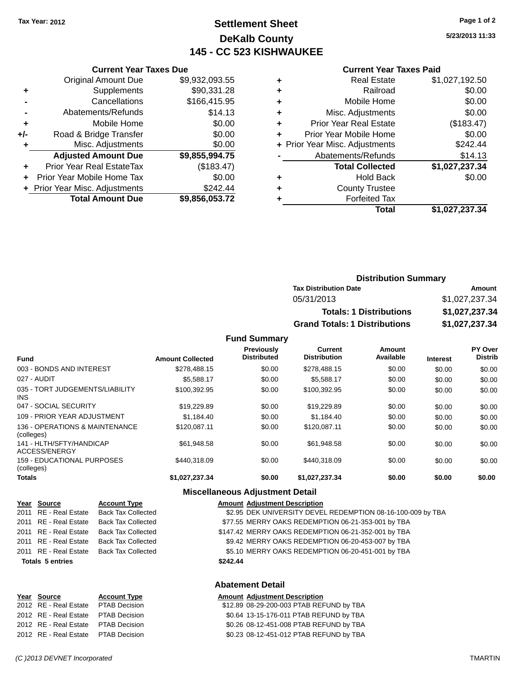## **Settlement Sheet Tax Year: 2012 Page 1 of 2 DeKalb County 145 - CC 523 KISHWAUKEE**

**5/23/2013 11:33**

#### **Current Year Taxes Paid**

|       | <b>Total Amount Due</b>          | \$9,856,053.72 |
|-------|----------------------------------|----------------|
|       | + Prior Year Misc. Adjustments   | \$242.44       |
| ٠     | Prior Year Mobile Home Tax       | \$0.00         |
| ٠     | <b>Prior Year Real EstateTax</b> | (\$183.47)     |
|       | <b>Adjusted Amount Due</b>       | \$9,855,994.75 |
| ٠     | Misc. Adjustments                | \$0.00         |
| $+/-$ | Road & Bridge Transfer           | \$0.00         |
| ٠     | Mobile Home                      | \$0.00         |
|       | Abatements/Refunds               | \$14.13        |
|       | Cancellations                    | \$166,415.95   |
| ٠     | Supplements                      | \$90,331.28    |
|       | <b>Original Amount Due</b>       | \$9,932,093.55 |
|       |                                  |                |

**Current Year Taxes Due**

| ٠ | <b>Real Estate</b>             | \$1,027,192.50 |
|---|--------------------------------|----------------|
| ٠ | Railroad                       | \$0.00         |
| ٠ | Mobile Home                    | \$0.00         |
| ٠ | Misc. Adjustments              | \$0.00         |
| ٠ | <b>Prior Year Real Estate</b>  | (\$183.47)     |
| ٠ | Prior Year Mobile Home         | \$0.00         |
|   | + Prior Year Misc. Adjustments | \$242.44       |
|   | Abatements/Refunds             | \$14.13        |
|   | <b>Total Collected</b>         | \$1,027,237.34 |
| ٠ | Hold Back                      | \$0.00         |
| ٠ | <b>County Trustee</b>          |                |
| ٠ | <b>Forfeited Tax</b>           |                |
|   | Total                          | \$1,027,237.34 |

## **Distribution Summary Tax Distribution Date Amount** 05/31/2013 \$1,027,237.34 **Totals: 1 Distributions \$1,027,237.34 Grand Totals: 1 Distributions \$1,027,237.34**

#### **Fund Summary**

| <b>Fund</b>                                   | <b>Amount Collected</b> | Previously<br><b>Distributed</b> | Current<br><b>Distribution</b> | <b>Amount</b><br>Available | <b>Interest</b> | <b>PY Over</b><br><b>Distrib</b> |
|-----------------------------------------------|-------------------------|----------------------------------|--------------------------------|----------------------------|-----------------|----------------------------------|
|                                               |                         |                                  |                                |                            |                 |                                  |
| 003 - BONDS AND INTEREST                      | \$278.488.15            | \$0.00                           | \$278,488.15                   | \$0.00                     | \$0.00          | \$0.00                           |
| 027 - AUDIT                                   | \$5,588,17              | \$0.00                           | \$5,588.17                     | \$0.00                     | \$0.00          | \$0.00                           |
| 035 - TORT JUDGEMENTS/LIABILITY<br><b>INS</b> | \$100.392.95            | \$0.00                           | \$100.392.95                   | \$0.00                     | \$0.00          | \$0.00                           |
| 047 - SOCIAL SECURITY                         | \$19,229.89             | \$0.00                           | \$19,229.89                    | \$0.00                     | \$0.00          | \$0.00                           |
| 109 - PRIOR YEAR ADJUSTMENT                   | \$1.184.40              | \$0.00                           | \$1,184.40                     | \$0.00                     | \$0.00          | \$0.00                           |
| 136 - OPERATIONS & MAINTENANCE<br>(colleges)  | \$120.087.11            | \$0.00                           | \$120.087.11                   | \$0.00                     | \$0.00          | \$0.00                           |
| 141 - HLTH/SFTY/HANDICAP<br>ACCESS/ENERGY     | \$61.948.58             | \$0.00                           | \$61.948.58                    | \$0.00                     | \$0.00          | \$0.00                           |
| 159 - EDUCATIONAL PURPOSES<br>(colleges)      | \$440,318,09            | \$0.00                           | \$440.318.09                   | \$0.00                     | \$0.00          | \$0.00                           |
| <b>Totals</b>                                 | \$1,027,237.34          | \$0.00                           | \$1,027,237.34                 | \$0.00                     | \$0.00          | \$0.00                           |

#### **Miscellaneous Adjustment Detail**

| Year Source                         | <b>Account Type</b>                      |  | <b>Amount Adjustment Description</b>                        |  |
|-------------------------------------|------------------------------------------|--|-------------------------------------------------------------|--|
|                                     | 2011 RE - Real Estate Back Tax Collected |  | \$2.95 DEK UNIVERSITY DEVEL REDEMPTION 08-16-100-009 by TBA |  |
| 2011 RE - Real Estate               | <b>Back Tax Collected</b>                |  | \$77.55 MERRY OAKS REDEMPTION 06-21-353-001 by TBA          |  |
|                                     | 2011 RE - Real Estate Back Tax Collected |  | \$147.42 MERRY OAKS REDEMPTION 06-21-352-001 by TBA         |  |
|                                     | 2011 RE - Real Estate Back Tax Collected |  | \$9.42 MERRY OAKS REDEMPTION 06-20-453-007 by TBA           |  |
|                                     | 2011 RE - Real Estate Back Tax Collected |  | \$5.10 MERRY OAKS REDEMPTION 06-20-451-001 by TBA           |  |
| <b>Totals 5 entries</b><br>\$242.44 |                                          |  |                                                             |  |
|                                     |                                          |  |                                                             |  |
| <b>Abatement Detail</b>             |                                          |  |                                                             |  |

#### Account Type **Amount Adjustment Description**

| Year Source                         | <b>Account Type</b> | <b>Amount Adjustment Description</b>     |
|-------------------------------------|---------------------|------------------------------------------|
| 2012 RE - Real Estate PTAB Decision |                     | \$12.89 08-29-200-003 PTAB REFUND by TBA |
| 2012 RE - Real Estate PTAB Decision |                     | \$0.64 13-15-176-011 PTAB REFUND by TBA  |
| 2012 RE - Real Estate PTAB Decision |                     | \$0.26 08-12-451-008 PTAB REFUND by TBA  |
| 2012 RE - Real Estate PTAB Decision |                     | \$0.23 08-12-451-012 PTAB REFUND by TBA  |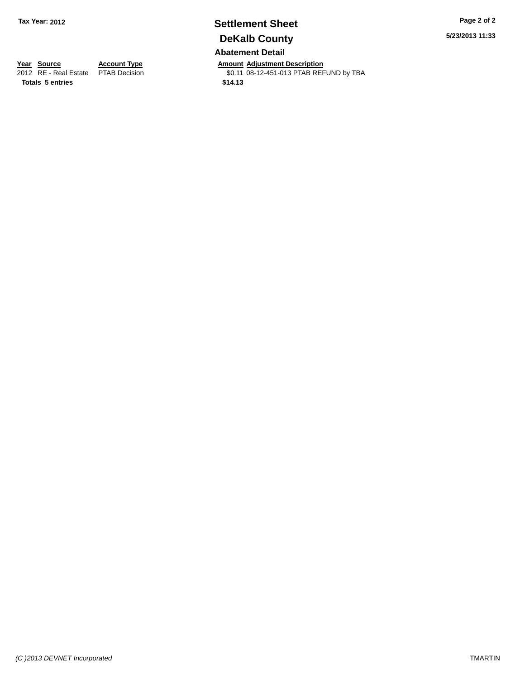# **Settlement Sheet Tax Year: 2012 Page 2 of 2 DeKalb County**

**Abatement Detail**

**Year Source Account Type And Amount Adjustment Description**<br>2012 RE - Real Estate PTAB Decision **Amount 1890-12-451-013 PTAB REF** \$0.11 08-12-451-013 PTAB REFUND by TBA

**Totals 5 entries \$14.13**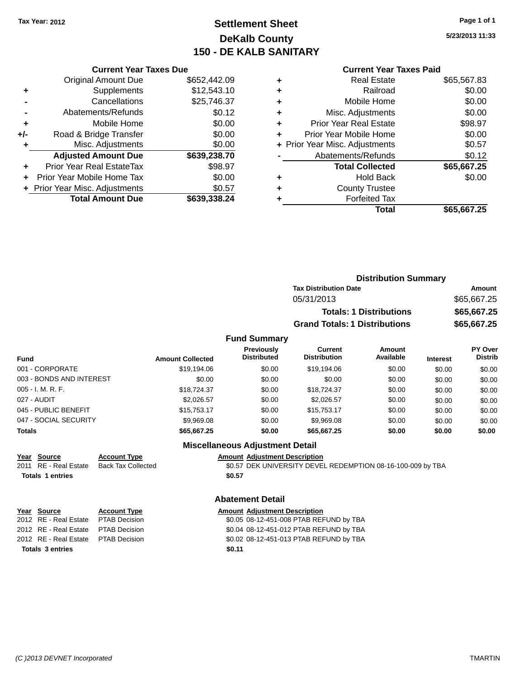# **Settlement Sheet Tax Year: 2012 Page 1 of 1 DeKalb County 150 - DE KALB SANITARY**

**5/23/2013 11:33**

### **Current Year Taxes Paid**

|     | <b>Current Year Taxes Due</b>  |              |  |  |  |  |
|-----|--------------------------------|--------------|--|--|--|--|
|     | <b>Original Amount Due</b>     | \$652,442.09 |  |  |  |  |
| ٠   | Supplements                    | \$12,543.10  |  |  |  |  |
|     | Cancellations                  | \$25,746.37  |  |  |  |  |
|     | Abatements/Refunds             | \$0.12       |  |  |  |  |
| ٠   | Mobile Home                    | \$0.00       |  |  |  |  |
| +/- | Road & Bridge Transfer         | \$0.00       |  |  |  |  |
|     | Misc. Adjustments              | \$0.00       |  |  |  |  |
|     | <b>Adjusted Amount Due</b>     | \$639,238.70 |  |  |  |  |
| ÷   | Prior Year Real EstateTax      | \$98.97      |  |  |  |  |
|     | Prior Year Mobile Home Tax     | \$0.00       |  |  |  |  |
|     | + Prior Year Misc. Adjustments | \$0.57       |  |  |  |  |
|     | <b>Total Amount Due</b>        | \$639,338.24 |  |  |  |  |

|   | <b>Real Estate</b>             | \$65,567.83 |
|---|--------------------------------|-------------|
| ٠ | Railroad                       | \$0.00      |
| ٠ | Mobile Home                    | \$0.00      |
| ٠ | Misc. Adjustments              | \$0.00      |
| ٠ | <b>Prior Year Real Estate</b>  | \$98.97     |
| ٠ | Prior Year Mobile Home         | \$0.00      |
|   | + Prior Year Misc. Adjustments | \$0.57      |
|   | Abatements/Refunds             | \$0.12      |
|   | <b>Total Collected</b>         | \$65,667.25 |
| ٠ | <b>Hold Back</b>               | \$0.00      |
| ٠ | <b>County Trustee</b>          |             |
| ٠ | <b>Forfeited Tax</b>           |             |
|   | Total                          | \$65,667.25 |
|   |                                |             |

|                     | <b>Distribution Summary</b>          |             |
|---------------------|--------------------------------------|-------------|
|                     | <b>Tax Distribution Date</b>         | Amount      |
|                     | 05/31/2013                           | \$65,667.25 |
|                     | <b>Totals: 1 Distributions</b>       | \$65,667.25 |
|                     | <b>Grand Totals: 1 Distributions</b> | \$65,667.25 |
| <b>Fund Summary</b> |                                      |             |

#### **Fund Interest Amount Collected Distributed PY Over Distrib Amount Available Current Distribution Previously** 001 - CORPORATE \$19,194.06 \$0.00 \$19,194.06 \$0.00 \$0.00 \$0.00 003 - BONDS AND INTEREST  $$0.00$  \$0.00 \$0.00 \$0.00 \$0.00 \$0.00 \$0.00 \$0.00 005 - I. M. R. F. \$18,724.37 \$0.00 \$18,724.37 \$0.00 \$0.00 \$0.00 027 - AUDIT \$2,026.57 \$0.00 \$2,026.57 \$0.00 \$0.00 \$0.00 045 - PUBLIC BENEFIT 60.00 \$15,753.17 \$0.00 \$15,753.17 \$0.00 \$0.00 \$0.00 \$0.00 047 - SOCIAL SECURITY 69,969.08 \$9,969.08 \$0.00 \$9,969.08 \$0.00 \$0.00 \$0.00 \$0.00 **Totals \$65,667.25 \$0.00 \$65,667.25 \$0.00 \$0.00 \$0.00 Miscellaneous Adjustment Detail**

## **Year Source Account Type Amount Adjustment Description Totals 1 entries \$0.57**

2011 RE - Real Estate Back Tax Collected \$0.57 DEK UNIVERSITY DEVEL REDEMPTION 08-16-100-009 by TBA

### **Abatement Detail**

| <u>Year Source</u>                  | <b>Account Type</b> |        | <b>Amount Adjustment Description</b>    |
|-------------------------------------|---------------------|--------|-----------------------------------------|
| 2012 RE - Real Estate PTAB Decision |                     |        | \$0.05 08-12-451-008 PTAB REFUND by TBA |
| 2012 RE - Real Estate PTAB Decision |                     |        | \$0.04 08-12-451-012 PTAB REFUND by TBA |
| 2012 RE - Real Estate PTAB Decision |                     |        | \$0.02 08-12-451-013 PTAB REFUND by TBA |
| <b>Totals 3 entries</b>             |                     | \$0.11 |                                         |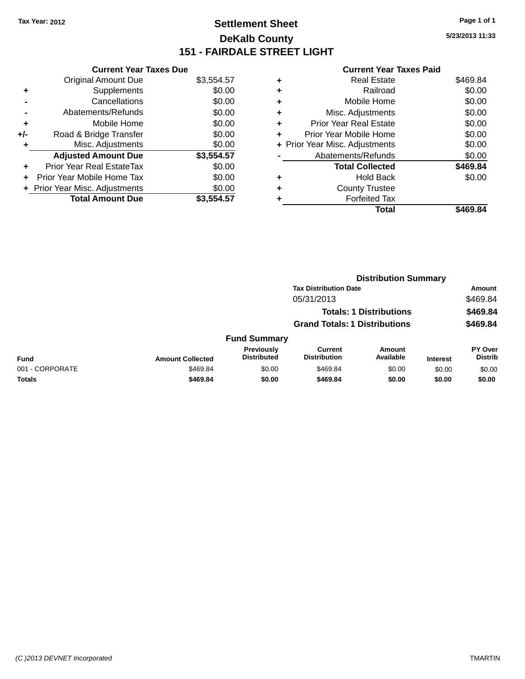# **Settlement Sheet Tax Year: 2012 Page 1 of 1 DeKalb County 151 - FAIRDALE STREET LIGHT**

**5/23/2013 11:33**

#### **Current Year Taxes Paid**

|     | <b>Current Year Taxes Due</b>    |            |  |  |  |  |  |
|-----|----------------------------------|------------|--|--|--|--|--|
|     | <b>Original Amount Due</b>       | \$3,554.57 |  |  |  |  |  |
| ٠   | Supplements                      | \$0.00     |  |  |  |  |  |
|     | Cancellations                    | \$0.00     |  |  |  |  |  |
|     | \$0.00<br>Abatements/Refunds     |            |  |  |  |  |  |
| ٠   | Mobile Home                      | \$0.00     |  |  |  |  |  |
| +/- | Road & Bridge Transfer           | \$0.00     |  |  |  |  |  |
| ٠   | Misc. Adjustments                | \$0.00     |  |  |  |  |  |
|     | <b>Adjusted Amount Due</b>       | \$3,554.57 |  |  |  |  |  |
| ٠   | <b>Prior Year Real EstateTax</b> | \$0.00     |  |  |  |  |  |
| ÷   | Prior Year Mobile Home Tax       | \$0.00     |  |  |  |  |  |
|     | + Prior Year Misc. Adjustments   | \$0.00     |  |  |  |  |  |
|     | <b>Total Amount Due</b>          | \$3,554.57 |  |  |  |  |  |

|   | <b>Real Estate</b>             | \$469.84 |
|---|--------------------------------|----------|
| ٠ | Railroad                       | \$0.00   |
| ٠ | Mobile Home                    | \$0.00   |
| ٠ | Misc. Adjustments              | \$0.00   |
| ٠ | <b>Prior Year Real Estate</b>  | \$0.00   |
| ٠ | Prior Year Mobile Home         | \$0.00   |
|   | + Prior Year Misc. Adjustments | \$0.00   |
|   | Abatements/Refunds             | \$0.00   |
|   | <b>Total Collected</b>         | \$469.84 |
| ٠ | <b>Hold Back</b>               | \$0.00   |
| ٠ | <b>County Trustee</b>          |          |
| ٠ | <b>Forfeited Tax</b>           |          |
|   | Total                          | \$469.84 |
|   |                                |          |

|                 |                         |                                  | <b>Distribution Summary</b>           |                                |                 |                                  |  |
|-----------------|-------------------------|----------------------------------|---------------------------------------|--------------------------------|-----------------|----------------------------------|--|
|                 |                         |                                  | <b>Tax Distribution Date</b>          |                                |                 | Amount                           |  |
|                 |                         |                                  | 05/31/2013                            |                                |                 | \$469.84                         |  |
|                 |                         |                                  |                                       | <b>Totals: 1 Distributions</b> |                 | \$469.84                         |  |
|                 |                         |                                  | <b>Grand Totals: 1 Distributions</b>  |                                |                 | \$469.84                         |  |
|                 |                         | <b>Fund Summary</b>              |                                       |                                |                 |                                  |  |
| Fund            | <b>Amount Collected</b> | Previously<br><b>Distributed</b> | <b>Current</b><br><b>Distribution</b> | Amount<br>Available            | <b>Interest</b> | <b>PY Over</b><br><b>Distrib</b> |  |
| 001 - CORPORATE | \$469.84                | \$0.00                           | \$469.84                              | \$0.00                         | \$0.00          | \$0.00                           |  |
| <b>Totals</b>   | \$469.84                | \$0.00                           | \$469.84                              | \$0.00                         | \$0.00          | \$0.00                           |  |
|                 |                         |                                  |                                       |                                |                 |                                  |  |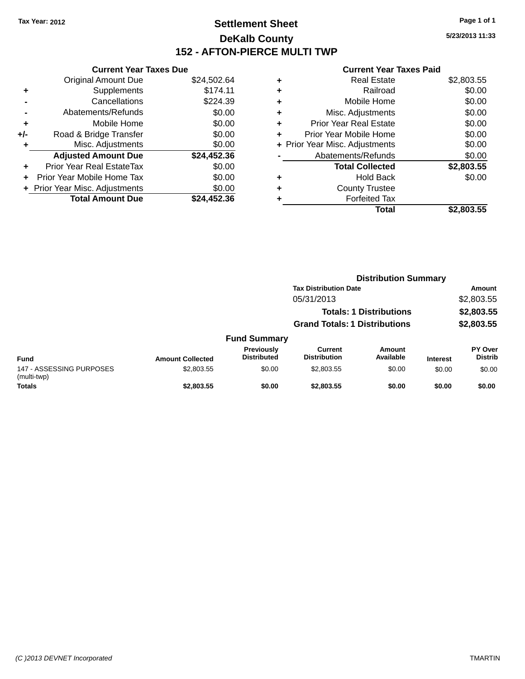# **Settlement Sheet Tax Year: 2012 Page 1 of 1 DeKalb County 152 - AFTON-PIERCE MULTI TWP**

**5/23/2013 11:33**

#### **Current Year Taxes Paid**

|     | <b>Current Year Taxes Due</b>  |             |
|-----|--------------------------------|-------------|
|     | <b>Original Amount Due</b>     | \$24,502.64 |
| ÷   | Supplements                    | \$174.11    |
|     | Cancellations                  | \$224.39    |
|     | Abatements/Refunds             | \$0.00      |
| ٠   | Mobile Home                    | \$0.00      |
| +/- | Road & Bridge Transfer         | \$0.00      |
|     | Misc. Adjustments              | \$0.00      |
|     | <b>Adjusted Amount Due</b>     | \$24,452.36 |
| ٠   | Prior Year Real EstateTax      | \$0.00      |
|     | Prior Year Mobile Home Tax     | \$0.00      |
|     | + Prior Year Misc. Adjustments | \$0.00      |
|     | <b>Total Amount Due</b>        | \$24,452.36 |
|     |                                |             |

| ٠ | <b>Real Estate</b>             | \$2,803.55 |
|---|--------------------------------|------------|
| ٠ | Railroad                       | \$0.00     |
| ٠ | Mobile Home                    | \$0.00     |
| ٠ | Misc. Adjustments              | \$0.00     |
| ٠ | <b>Prior Year Real Estate</b>  | \$0.00     |
| ٠ | Prior Year Mobile Home         | \$0.00     |
|   | + Prior Year Misc. Adjustments | \$0.00     |
|   | Abatements/Refunds             | \$0.00     |
|   | <b>Total Collected</b>         | \$2,803.55 |
| ٠ | <b>Hold Back</b>               | \$0.00     |
| ٠ | <b>County Trustee</b>          |            |
| ٠ | <b>Forfeited Tax</b>           |            |
|   | Total                          | \$2,803.55 |
|   |                                |            |

|                                         |                         |                                  | <b>Distribution Summary</b>           |                                |                 |                                  |
|-----------------------------------------|-------------------------|----------------------------------|---------------------------------------|--------------------------------|-----------------|----------------------------------|
|                                         |                         |                                  | <b>Tax Distribution Date</b>          |                                |                 | Amount                           |
|                                         |                         |                                  | 05/31/2013                            |                                |                 | \$2,803.55                       |
|                                         |                         |                                  |                                       | <b>Totals: 1 Distributions</b> |                 | \$2,803.55                       |
|                                         |                         |                                  | <b>Grand Totals: 1 Distributions</b>  |                                |                 | \$2,803.55                       |
|                                         |                         | <b>Fund Summary</b>              |                                       |                                |                 |                                  |
| <b>Fund</b>                             | <b>Amount Collected</b> | Previously<br><b>Distributed</b> | <b>Current</b><br><b>Distribution</b> | Amount<br>Available            | <b>Interest</b> | <b>PY Over</b><br><b>Distrib</b> |
| 147 - ASSESSING PURPOSES<br>(multi-twp) | \$2,803.55              | \$0.00                           | \$2,803.55                            | \$0.00                         | \$0.00          | \$0.00                           |
| <b>Totals</b>                           | \$2,803.55              | \$0.00                           | \$2,803.55                            | \$0.00                         | \$0.00          | \$0.00                           |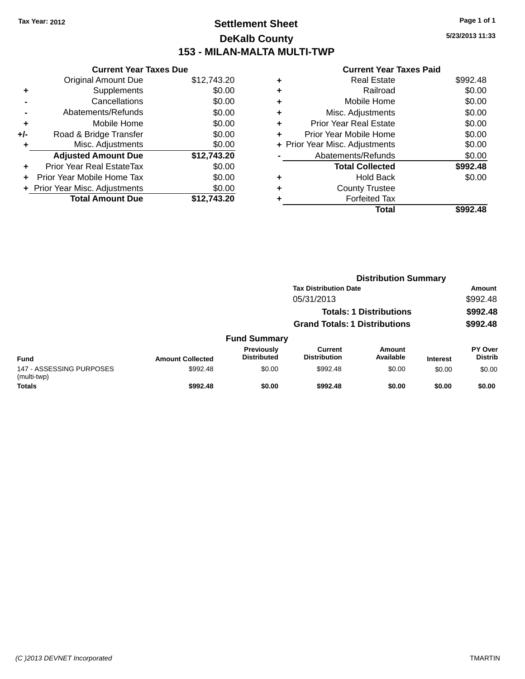## **Settlement Sheet Tax Year: 2012 Page 1 of 1 DeKalb County 153 - MILAN-MALTA MULTI-TWP**

**Current Year Taxes Due** Original Amount Due \$12,743.20 **+** Supplements \$0.00 **-** Cancellations \$0.00 **-** Abatements/Refunds \$0.00 **+** Mobile Home \$0.00 **+/-** Road & Bridge Transfer \$0.00 **+** Misc. Adjustments \$0.00 **Adjusted Amount Due \$12,743.20 +** Prior Year Real EstateTax \$0.00 **+** Prior Year Mobile Home Tax \$0.00 **+** Prior Year Misc. Adjustments \$0.00<br>Total Amount Due \$12,743.20 **Total Amount Due** 

#### **Current Year Taxes Paid**

|   | <b>Real Estate</b>             | \$992.48 |
|---|--------------------------------|----------|
| ٠ | Railroad                       | \$0.00   |
| ٠ | Mobile Home                    | \$0.00   |
| ٠ | Misc. Adjustments              | \$0.00   |
| ٠ | <b>Prior Year Real Estate</b>  | \$0.00   |
| ÷ | Prior Year Mobile Home         | \$0.00   |
|   | + Prior Year Misc. Adjustments | \$0.00   |
|   | Abatements/Refunds             | \$0.00   |
|   | <b>Total Collected</b>         | \$992.48 |
| ٠ | Hold Back                      | \$0.00   |
| ٠ | <b>County Trustee</b>          |          |
|   | <b>Forfeited Tax</b>           |          |
|   | Total                          | \$992.48 |
|   |                                |          |

|                                         |                         |                                  | <b>Distribution Summary</b>          |                                |                 |                                  |
|-----------------------------------------|-------------------------|----------------------------------|--------------------------------------|--------------------------------|-----------------|----------------------------------|
|                                         |                         |                                  | <b>Tax Distribution Date</b>         |                                |                 | Amount                           |
|                                         |                         |                                  | 05/31/2013                           |                                |                 | \$992.48                         |
|                                         |                         |                                  |                                      | <b>Totals: 1 Distributions</b> |                 | \$992.48                         |
|                                         |                         |                                  | <b>Grand Totals: 1 Distributions</b> |                                |                 | \$992.48                         |
|                                         |                         | <b>Fund Summary</b>              |                                      |                                |                 |                                  |
| <b>Fund</b>                             | <b>Amount Collected</b> | Previously<br><b>Distributed</b> | Current<br><b>Distribution</b>       | Amount<br>Available            | <b>Interest</b> | <b>PY Over</b><br><b>Distrib</b> |
| 147 - ASSESSING PURPOSES<br>(multi-twp) | \$992.48                | \$0.00                           | \$992.48                             | \$0.00                         | \$0.00          | \$0.00                           |
| <b>Totals</b>                           | \$992.48                | \$0.00                           | \$992.48                             | \$0.00                         | \$0.00          | \$0.00                           |

**5/23/2013 11:33**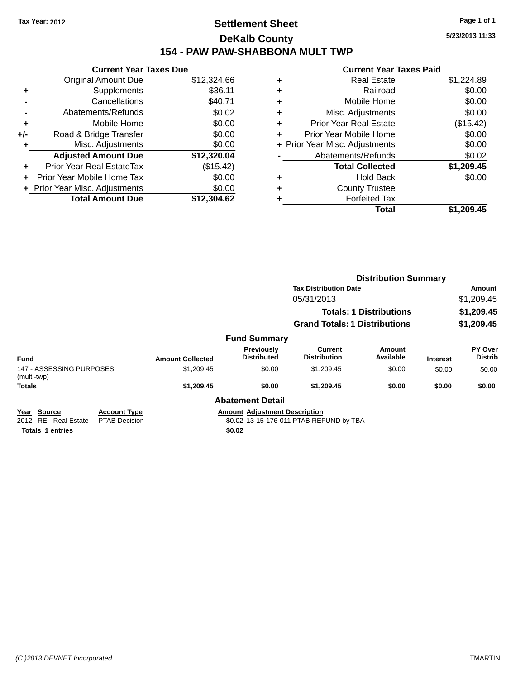## **Settlement Sheet Tax Year: 2012 Page 1 of 1 DeKalb County 154 - PAW PAW-SHABBONA MULT TWP**

|     | <b>Current Year Taxes Due</b>  |             |
|-----|--------------------------------|-------------|
|     | <b>Original Amount Due</b>     | \$12,324.66 |
| ٠   | Supplements                    | \$36.11     |
|     | Cancellations                  | \$40.71     |
|     | Abatements/Refunds             | \$0.02      |
| ٠   | Mobile Home                    | \$0.00      |
| +/- | Road & Bridge Transfer         | \$0.00      |
| ٠   | Misc. Adjustments              | \$0.00      |
|     | <b>Adjusted Amount Due</b>     | \$12,320.04 |
| ÷   | Prior Year Real EstateTax      | (\$15.42)   |
|     | Prior Year Mobile Home Tax     | \$0.00      |
|     | + Prior Year Misc. Adjustments | \$0.00      |
|     | <b>Total Amount Due</b>        | \$12,304.62 |

| <b>Current Year Taxes Paid</b> |                                |
|--------------------------------|--------------------------------|
| <b>Real Estate</b>             | \$1,224.89                     |
| Railroad                       | \$0.00                         |
| Mobile Home                    | \$0.00                         |
| Misc. Adjustments              | \$0.00                         |
| <b>Prior Year Real Estate</b>  | (\$15.42)                      |
| Prior Year Mobile Home         | \$0.00                         |
|                                | \$0.00                         |
| Abatements/Refunds             | \$0.02                         |
| <b>Total Collected</b>         | \$1,209.45                     |
| <b>Hold Back</b>               | \$0.00                         |
| <b>County Trustee</b>          |                                |
| <b>Forfeited Tax</b>           |                                |
| Total                          | \$1,209.45                     |
|                                | + Prior Year Misc. Adjustments |

|                                         |                                             |                         |                                      | <b>Distribution Summary</b>             |                                |                 |                           |
|-----------------------------------------|---------------------------------------------|-------------------------|--------------------------------------|-----------------------------------------|--------------------------------|-----------------|---------------------------|
|                                         |                                             |                         |                                      | <b>Tax Distribution Date</b>            |                                |                 | Amount                    |
|                                         |                                             |                         |                                      | 05/31/2013                              |                                |                 | \$1,209.45                |
|                                         |                                             |                         |                                      |                                         | <b>Totals: 1 Distributions</b> |                 | \$1,209.45                |
|                                         |                                             |                         |                                      | <b>Grand Totals: 1 Distributions</b>    |                                |                 | \$1,209.45                |
|                                         |                                             |                         | <b>Fund Summary</b>                  |                                         |                                |                 |                           |
| Fund                                    |                                             | <b>Amount Collected</b> | Previously<br><b>Distributed</b>     | Current<br><b>Distribution</b>          | Amount<br>Available            | <b>Interest</b> | PY Over<br><b>Distrib</b> |
| 147 - ASSESSING PURPOSES<br>(multi-twp) |                                             | \$1,209.45              | \$0.00                               | \$1,209.45                              | \$0.00                         | \$0.00          | \$0.00                    |
| <b>Totals</b>                           |                                             | \$1,209.45              | \$0.00                               | \$1,209.45                              | \$0.00                         | \$0.00          | \$0.00                    |
|                                         |                                             |                         | <b>Abatement Detail</b>              |                                         |                                |                 |                           |
| Year<br>Source<br>2012 RE - Real Estate | <b>Account Type</b><br><b>PTAB Decision</b> |                         | <b>Amount Adjustment Description</b> | \$0.02 13-15-176-011 PTAB REFUND by TBA |                                |                 |                           |
| <b>Totals 1 entries</b>                 |                                             |                         | \$0.02                               |                                         |                                |                 |                           |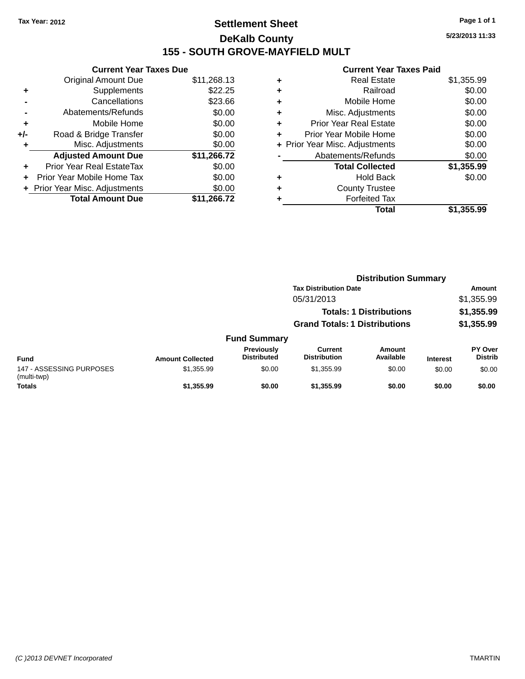# **Settlement Sheet Tax Year: 2012 Page 1 of 1 DeKalb County 155 - SOUTH GROVE-MAYFIELD MULT**

**5/23/2013 11:33**

#### **Current Year Taxes Paid**

| <b>Current Year Taxes Due</b> |                                |  |  |  |
|-------------------------------|--------------------------------|--|--|--|
| <b>Original Amount Due</b>    | \$11,268.13                    |  |  |  |
| Supplements                   | \$22.25                        |  |  |  |
| Cancellations                 | \$23.66                        |  |  |  |
| Abatements/Refunds            |                                |  |  |  |
| Mobile Home                   | \$0.00                         |  |  |  |
| Road & Bridge Transfer        | \$0.00                         |  |  |  |
| Misc. Adjustments             | \$0.00                         |  |  |  |
| <b>Adjusted Amount Due</b>    | \$11,266.72                    |  |  |  |
| Prior Year Real EstateTax     | \$0.00                         |  |  |  |
| Prior Year Mobile Home Tax    | \$0.00                         |  |  |  |
|                               | \$0.00                         |  |  |  |
| <b>Total Amount Due</b>       | \$11.266.72                    |  |  |  |
|                               | + Prior Year Misc. Adjustments |  |  |  |

| ٠ | <b>Real Estate</b>             | \$1,355.99 |
|---|--------------------------------|------------|
| ٠ | Railroad                       | \$0.00     |
| ٠ | Mobile Home                    | \$0.00     |
| ٠ | Misc. Adjustments              | \$0.00     |
| ٠ | <b>Prior Year Real Estate</b>  | \$0.00     |
| ٠ | Prior Year Mobile Home         | \$0.00     |
|   | + Prior Year Misc. Adjustments | \$0.00     |
|   | Abatements/Refunds             | \$0.00     |
|   | <b>Total Collected</b>         | \$1,355.99 |
| ٠ | <b>Hold Back</b>               | \$0.00     |
| ٠ | <b>County Trustee</b>          |            |
| ٠ | <b>Forfeited Tax</b>           |            |
|   | <b>Total</b>                   | \$1,355.99 |
|   |                                |            |

|                                         |                         |                                         |                                                                              | <b>Distribution Summary</b> |                 |                           |
|-----------------------------------------|-------------------------|-----------------------------------------|------------------------------------------------------------------------------|-----------------------------|-----------------|---------------------------|
|                                         |                         |                                         | <b>Tax Distribution Date</b><br>05/31/2013<br><b>Totals: 1 Distributions</b> |                             |                 | Amount                    |
|                                         |                         |                                         |                                                                              |                             |                 | \$1,355.99                |
|                                         |                         |                                         |                                                                              |                             |                 | \$1,355.99                |
|                                         |                         |                                         | <b>Grand Totals: 1 Distributions</b>                                         |                             |                 | \$1,355.99                |
|                                         |                         | <b>Fund Summary</b>                     |                                                                              |                             |                 |                           |
| <b>Fund</b>                             | <b>Amount Collected</b> | <b>Previously</b><br><b>Distributed</b> | Current<br><b>Distribution</b>                                               | Amount<br>Available         | <b>Interest</b> | PY Over<br><b>Distrib</b> |
| 147 - ASSESSING PURPOSES<br>(multi-twp) | \$1,355.99              | \$0.00                                  | \$1,355.99                                                                   | \$0.00                      | \$0.00          | \$0.00                    |
| <b>Totals</b>                           | \$1,355.99              | \$0.00                                  | \$1,355.99                                                                   | \$0.00                      | \$0.00          | \$0.00                    |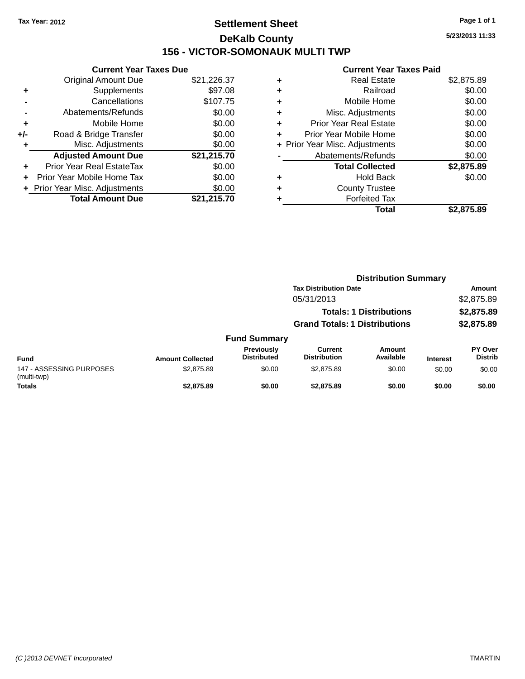# **Settlement Sheet Tax Year: 2012 Page 1 of 1 DeKalb County 156 - VICTOR-SOMONAUK MULTI TWP**

**5/23/2013 11:33**

## **Current Year Taxes Paid**

|     | <b>Current Year Taxes Due</b> |             |  |  |  |
|-----|-------------------------------|-------------|--|--|--|
|     | <b>Original Amount Due</b>    | \$21,226.37 |  |  |  |
| ٠   | Supplements                   | \$97.08     |  |  |  |
|     | Cancellations                 | \$107.75    |  |  |  |
|     | Abatements/Refunds            | \$0.00      |  |  |  |
| ٠   | Mobile Home                   | \$0.00      |  |  |  |
| +/- | Road & Bridge Transfer        | \$0.00      |  |  |  |
|     | Misc. Adjustments             | \$0.00      |  |  |  |
|     | <b>Adjusted Amount Due</b>    | \$21,215.70 |  |  |  |
| ÷   | Prior Year Real EstateTax     | \$0.00      |  |  |  |
| ÷   | Prior Year Mobile Home Tax    | \$0.00      |  |  |  |
|     | Prior Year Misc. Adjustments  | \$0.00      |  |  |  |
|     | <b>Total Amount Due</b>       | \$21,215.70 |  |  |  |

| ٠ | <b>Real Estate</b>             | \$2,875.89 |
|---|--------------------------------|------------|
| ٠ | Railroad                       | \$0.00     |
| ٠ | Mobile Home                    | \$0.00     |
| ٠ | Misc. Adjustments              | \$0.00     |
| ٠ | <b>Prior Year Real Estate</b>  | \$0.00     |
|   | Prior Year Mobile Home         | \$0.00     |
|   | + Prior Year Misc. Adjustments | \$0.00     |
|   | Abatements/Refunds             | \$0.00     |
|   | <b>Total Collected</b>         | \$2,875.89 |
| ٠ | <b>Hold Back</b>               | \$0.00     |
| ٠ | <b>County Trustee</b>          |            |
| ٠ | <b>Forfeited Tax</b>           |            |
|   | Total                          | \$2.875.89 |
|   |                                |            |

|                                         | <b>Distribution Summary</b> |                                         |                                                                              |                     |                 |                           |  |
|-----------------------------------------|-----------------------------|-----------------------------------------|------------------------------------------------------------------------------|---------------------|-----------------|---------------------------|--|
|                                         |                             |                                         | <b>Tax Distribution Date</b><br>05/31/2013<br><b>Totals: 1 Distributions</b> |                     |                 | Amount                    |  |
|                                         |                             |                                         |                                                                              |                     |                 | \$2,875.89<br>\$2,875.89  |  |
|                                         |                             |                                         |                                                                              |                     |                 |                           |  |
|                                         |                             |                                         | <b>Grand Totals: 1 Distributions</b>                                         |                     |                 | \$2,875.89                |  |
|                                         |                             | <b>Fund Summary</b>                     |                                                                              |                     |                 |                           |  |
| <b>Fund</b>                             | <b>Amount Collected</b>     | <b>Previously</b><br><b>Distributed</b> | <b>Current</b><br><b>Distribution</b>                                        | Amount<br>Available | <b>Interest</b> | PY Over<br><b>Distrib</b> |  |
| 147 - ASSESSING PURPOSES<br>(multi-twp) | \$2,875.89                  | \$0.00                                  | \$2,875.89                                                                   | \$0.00              | \$0.00          | \$0.00                    |  |
| <b>Totals</b>                           | \$2,875.89                  | \$0.00                                  | \$2,875.89                                                                   | \$0.00              | \$0.00          | \$0.00                    |  |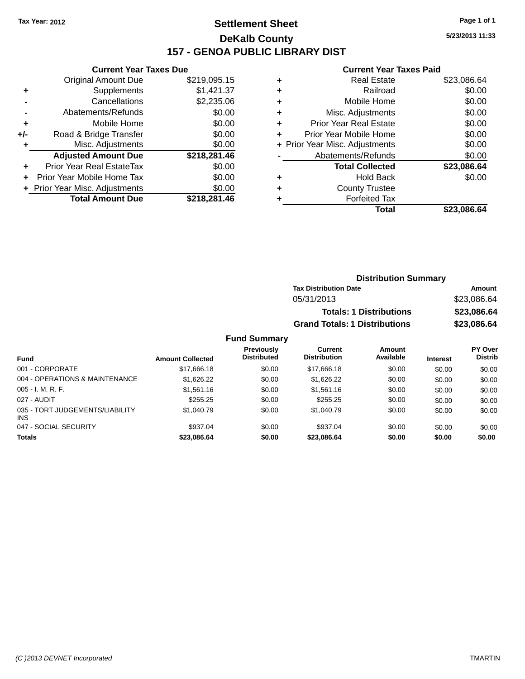# **Settlement Sheet Tax Year: 2012 Page 1 of 1 DeKalb County 157 - GENOA PUBLIC LIBRARY DIST**

**Current Year Taxes Due**

|       | <b>Original Amount Due</b>     | \$219,095.15 |
|-------|--------------------------------|--------------|
| ٠     | Supplements                    | \$1,421.37   |
|       | Cancellations                  | \$2,235.06   |
|       | Abatements/Refunds             | \$0.00       |
| ٠     | Mobile Home                    | \$0.00       |
| $+/-$ | Road & Bridge Transfer         | \$0.00       |
| ٠     | Misc. Adjustments              | \$0.00       |
|       | <b>Adjusted Amount Due</b>     | \$218,281.46 |
| ÷     | Prior Year Real EstateTax      | \$0.00       |
|       | Prior Year Mobile Home Tax     | \$0.00       |
|       | + Prior Year Misc. Adjustments | \$0.00       |
|       | <b>Total Amount Due</b>        | \$218,281.46 |

#### **Current Year Taxes Paid**

|   | <b>Real Estate</b>             | \$23,086.64 |
|---|--------------------------------|-------------|
| ٠ | Railroad                       | \$0.00      |
| ٠ | Mobile Home                    | \$0.00      |
| ٠ | Misc. Adjustments              | \$0.00      |
| ٠ | Prior Year Real Estate         | \$0.00      |
|   | Prior Year Mobile Home         | \$0.00      |
|   | + Prior Year Misc. Adjustments | \$0.00      |
|   | Abatements/Refunds             | \$0.00      |
|   | <b>Total Collected</b>         | \$23,086.64 |
| ٠ | Hold Back                      | \$0.00      |
|   | <b>County Trustee</b>          |             |
|   | <b>Forfeited Tax</b>           |             |
|   | Total                          | \$23,086.64 |
|   |                                |             |

| <b>Distribution Summary</b>          |             |
|--------------------------------------|-------------|
| <b>Tax Distribution Date</b>         | Amount      |
| 05/31/2013                           | \$23,086.64 |
| <b>Totals: 1 Distributions</b>       | \$23,086.64 |
| <b>Grand Totals: 1 Distributions</b> | \$23,086.64 |

| <b>Fund</b>                                   | <b>Amount Collected</b> | <b>Previously</b><br><b>Distributed</b> | Current<br><b>Distribution</b> | Amount<br>Available | <b>Interest</b> | PY Over<br><b>Distrib</b> |
|-----------------------------------------------|-------------------------|-----------------------------------------|--------------------------------|---------------------|-----------------|---------------------------|
| 001 - CORPORATE                               | \$17,666.18             | \$0.00                                  | \$17,666.18                    | \$0.00              | \$0.00          | \$0.00                    |
| 004 - OPERATIONS & MAINTENANCE                | \$1,626.22              | \$0.00                                  | \$1,626.22                     | \$0.00              | \$0.00          | \$0.00                    |
| $005 - I. M. R. F.$                           | \$1,561.16              | \$0.00                                  | \$1,561.16                     | \$0.00              | \$0.00          | \$0.00                    |
| 027 - AUDIT                                   | \$255.25                | \$0.00                                  | \$255.25                       | \$0.00              | \$0.00          | \$0.00                    |
| 035 - TORT JUDGEMENTS/LIABILITY<br><b>INS</b> | \$1,040.79              | \$0.00                                  | \$1,040.79                     | \$0.00              | \$0.00          | \$0.00                    |
| 047 - SOCIAL SECURITY                         | \$937.04                | \$0.00                                  | \$937.04                       | \$0.00              | \$0.00          | \$0.00                    |
| <b>Totals</b>                                 | \$23,086.64             | \$0.00                                  | \$23,086.64                    | \$0.00              | \$0.00          | \$0.00                    |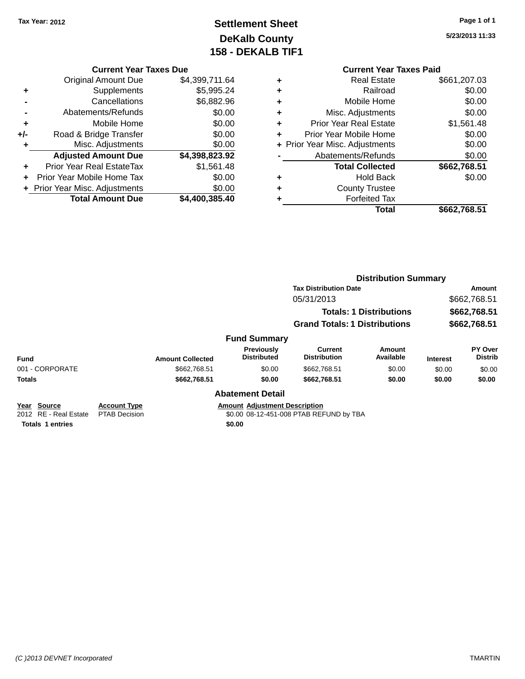# **Settlement Sheet Tax Year: 2012 Page 1 of 1 DeKalb County 158 - DEKALB TIF1**

**5/23/2013 11:33**

#### **Current Year Taxes Due**

|     | <b>Original Amount Due</b>     | \$4,399,711.64 |
|-----|--------------------------------|----------------|
| ٠   | Supplements                    | \$5,995.24     |
|     | Cancellations                  | \$6,882.96     |
|     | Abatements/Refunds             | \$0.00         |
| ٠   | Mobile Home                    | \$0.00         |
| +/- | Road & Bridge Transfer         | \$0.00         |
| ٠   | Misc. Adjustments              | \$0.00         |
|     | <b>Adjusted Amount Due</b>     | \$4,398,823.92 |
|     | Prior Year Real EstateTax      | \$1,561.48     |
|     | Prior Year Mobile Home Tax     | \$0.00         |
|     | + Prior Year Misc. Adjustments | \$0.00         |
|     | <b>Total Amount Due</b>        | \$4,400,385.40 |

## **Current Year Taxes Paid**

|   | Total                          | \$662,768.51 |
|---|--------------------------------|--------------|
|   | <b>Forfeited Tax</b>           |              |
| ٠ | <b>County Trustee</b>          |              |
| ٠ | <b>Hold Back</b>               | \$0.00       |
|   | <b>Total Collected</b>         | \$662,768.51 |
|   | Abatements/Refunds             | \$0.00       |
|   | + Prior Year Misc. Adjustments | \$0.00       |
| ٠ | Prior Year Mobile Home         | \$0.00       |
| ٠ | <b>Prior Year Real Estate</b>  | \$1,561.48   |
| ٠ | Misc. Adjustments              | \$0.00       |
| ٠ | Mobile Home                    | \$0.00       |
| ٠ | Railroad                       | \$0.00       |
|   | <b>Real Estate</b>             | \$661,207.03 |

|                                      |                                                                        |                         |                                      |                                         | <b>Distribution Summary</b> |                 |                           |  |  |
|--------------------------------------|------------------------------------------------------------------------|-------------------------|--------------------------------------|-----------------------------------------|-----------------------------|-----------------|---------------------------|--|--|
|                                      |                                                                        |                         |                                      | <b>Tax Distribution Date</b>            |                             |                 | Amount                    |  |  |
|                                      |                                                                        |                         |                                      | 05/31/2013                              |                             | \$662,768.51    |                           |  |  |
|                                      | <b>Totals: 1 Distributions</b><br><b>Grand Totals: 1 Distributions</b> |                         | \$662,768.51                         |                                         |                             |                 |                           |  |  |
|                                      |                                                                        |                         |                                      | \$662,768.51                            |                             |                 |                           |  |  |
|                                      |                                                                        |                         | <b>Fund Summary</b>                  |                                         |                             |                 |                           |  |  |
| <b>Fund</b>                          |                                                                        | <b>Amount Collected</b> | Previously<br><b>Distributed</b>     | Current<br><b>Distribution</b>          | Amount<br>Available         | <b>Interest</b> | PY Over<br><b>Distrib</b> |  |  |
| 001 - CORPORATE                      |                                                                        | \$662,768.51            | \$0.00                               | \$662,768.51                            | \$0.00                      | \$0.00          | \$0.00                    |  |  |
| <b>Totals</b>                        |                                                                        | \$662,768.51            | \$0.00                               | \$662,768.51                            | \$0.00                      | \$0.00          | \$0.00                    |  |  |
|                                      |                                                                        |                         | <b>Abatement Detail</b>              |                                         |                             |                 |                           |  |  |
| Year Source<br>2012 RE - Real Estate | <b>Account Type</b><br><b>PTAB Decision</b>                            |                         | <b>Amount Adiustment Description</b> | \$0.00 08-12-451-008 PTAB REFUND by TBA |                             |                 |                           |  |  |

**Totals 1 entries \$0.00**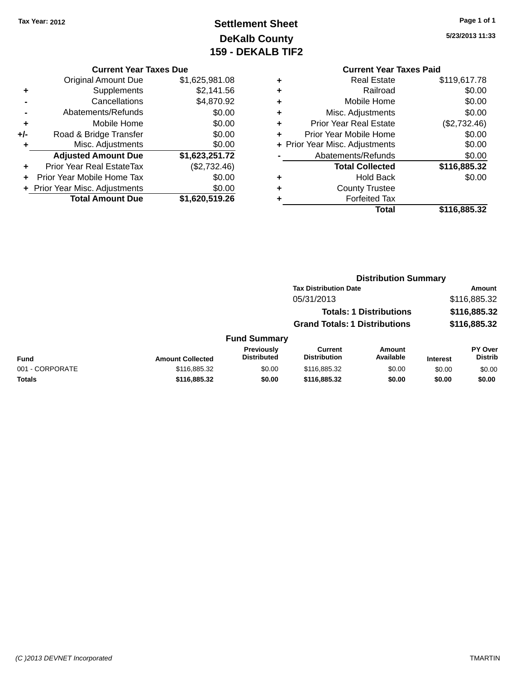# **Settlement Sheet Tax Year: 2012 Page 1 of 1 DeKalb County 159 - DEKALB TIF2**

**5/23/2013 11:33**

#### **Current Year Taxes Due**

|     | <b>Original Amount Due</b>       | \$1,625,981.08 |
|-----|----------------------------------|----------------|
| ٠   | Supplements                      | \$2,141.56     |
|     | Cancellations                    | \$4,870.92     |
|     | Abatements/Refunds               | \$0.00         |
| ٠   | Mobile Home                      | \$0.00         |
| +/- | Road & Bridge Transfer           | \$0.00         |
| ٠   | Misc. Adjustments                | \$0.00         |
|     | <b>Adjusted Amount Due</b>       | \$1,623,251.72 |
|     | <b>Prior Year Real EstateTax</b> | (\$2,732.46)   |
|     | Prior Year Mobile Home Tax       | \$0.00         |
|     | + Prior Year Misc. Adjustments   | \$0.00         |
|     | <b>Total Amount Due</b>          | \$1,620,519.26 |

## **Current Year Taxes Paid**

|   | <b>Real Estate</b>             | \$119,617.78 |
|---|--------------------------------|--------------|
| ٠ | Railroad                       | \$0.00       |
| ٠ | Mobile Home                    | \$0.00       |
| ٠ | Misc. Adjustments              | \$0.00       |
| ÷ | <b>Prior Year Real Estate</b>  | (\$2,732.46) |
| ٠ | Prior Year Mobile Home         | \$0.00       |
|   | + Prior Year Misc. Adjustments | \$0.00       |
|   | Abatements/Refunds             | \$0.00       |
|   | <b>Total Collected</b>         | \$116,885.32 |
| ٠ | <b>Hold Back</b>               | \$0.00       |
| ٠ | <b>County Trustee</b>          |              |
|   | <b>Forfeited Tax</b>           |              |
|   | Total                          | \$116,885.32 |
|   |                                |              |

## **Distribution Summary Tax Distribution Date Amount** 05/31/2013 \$116,885.32 **Totals: 1 Distributions \$116,885.32 Grand Totals: 1 Distributions \$116,885.32 Fund Summary**

| Fund            | <b>Amount Collected</b> | Previously<br>Distributed | Current<br><b>Distribution</b> | Amount<br>Available | <b>Interest</b> | <b>PY Over</b><br>Distrib |
|-----------------|-------------------------|---------------------------|--------------------------------|---------------------|-----------------|---------------------------|
| 001 - CORPORATE | \$116,885.32            | \$0.00                    | \$116,885,32                   | \$0.00              | \$0.00          | \$0.00                    |
| Totals          | \$116,885,32            | \$0.00                    | \$116,885,32                   | \$0.00              | \$0.00          | \$0.00                    |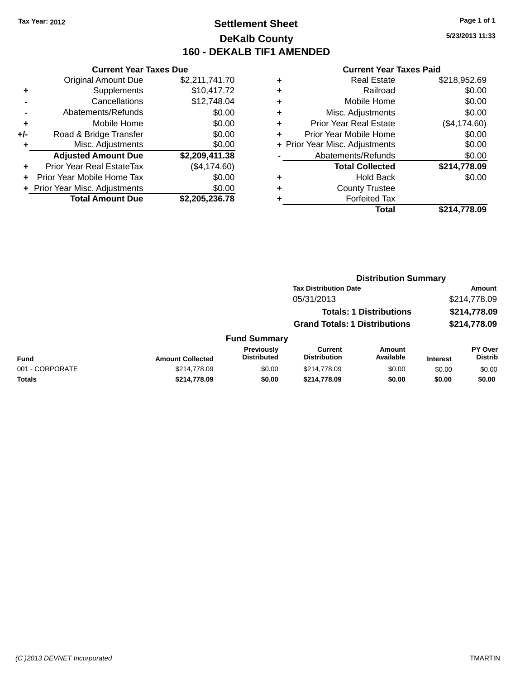# **Settlement Sheet Tax Year: 2012 Page 1 of 1 DeKalb County 160 - DEKALB TIF1 AMENDED**

**5/23/2013 11:33**

#### **Current Year Taxes Paid**

|     | <b>Current Year Taxes Due</b>  |                |
|-----|--------------------------------|----------------|
|     | <b>Original Amount Due</b>     | \$2,211,741.70 |
| ÷   | Supplements                    | \$10,417.72    |
|     | Cancellations                  | \$12,748.04    |
|     | Abatements/Refunds             | \$0.00         |
| ٠   | Mobile Home                    | \$0.00         |
| +/- | Road & Bridge Transfer         | \$0.00         |
|     | Misc. Adjustments              | \$0.00         |
|     | <b>Adjusted Amount Due</b>     | \$2,209,411.38 |
| ÷   | Prior Year Real EstateTax      | (\$4,174.60)   |
|     | Prior Year Mobile Home Tax     | \$0.00         |
|     | + Prior Year Misc. Adjustments | \$0.00         |
|     | <b>Total Amount Due</b>        | \$2,205,236.78 |

|   | <b>Real Estate</b>             | \$218,952.69 |
|---|--------------------------------|--------------|
| ٠ | Railroad                       | \$0.00       |
| ٠ | Mobile Home                    | \$0.00       |
| ٠ | Misc. Adjustments              | \$0.00       |
| ٠ | <b>Prior Year Real Estate</b>  | (\$4,174.60) |
| ٠ | Prior Year Mobile Home         | \$0.00       |
|   | + Prior Year Misc. Adjustments | \$0.00       |
|   | Abatements/Refunds             | \$0.00       |
|   | <b>Total Collected</b>         | \$214,778.09 |
| ٠ | <b>Hold Back</b>               | \$0.00       |
| ٠ | <b>County Trustee</b>          |              |
| ٠ | <b>Forfeited Tax</b>           |              |
|   | Total                          | \$214,778.09 |
|   |                                |              |

|                 |                              |                                  | <b>Distribution Summary</b>          |                                |                 |                                  |  |
|-----------------|------------------------------|----------------------------------|--------------------------------------|--------------------------------|-----------------|----------------------------------|--|
|                 | <b>Tax Distribution Date</b> |                                  |                                      |                                | Amount          |                                  |  |
|                 |                              | 05/31/2013                       |                                      |                                |                 | \$214,778.09                     |  |
|                 |                              |                                  |                                      | <b>Totals: 1 Distributions</b> |                 | \$214,778.09                     |  |
|                 |                              |                                  | <b>Grand Totals: 1 Distributions</b> |                                |                 | \$214,778.09                     |  |
|                 |                              | <b>Fund Summary</b>              |                                      |                                |                 |                                  |  |
| <b>Fund</b>     | <b>Amount Collected</b>      | Previously<br><b>Distributed</b> | Current<br><b>Distribution</b>       | Amount<br>Available            | <b>Interest</b> | <b>PY Over</b><br><b>Distrib</b> |  |
| 001 - CORPORATE | \$214,778.09                 | \$0.00                           | \$214,778.09                         | \$0.00                         | \$0.00          | \$0.00                           |  |

**Totals \$214,778.09 \$0.00 \$214,778.09 \$0.00 \$0.00 \$0.00**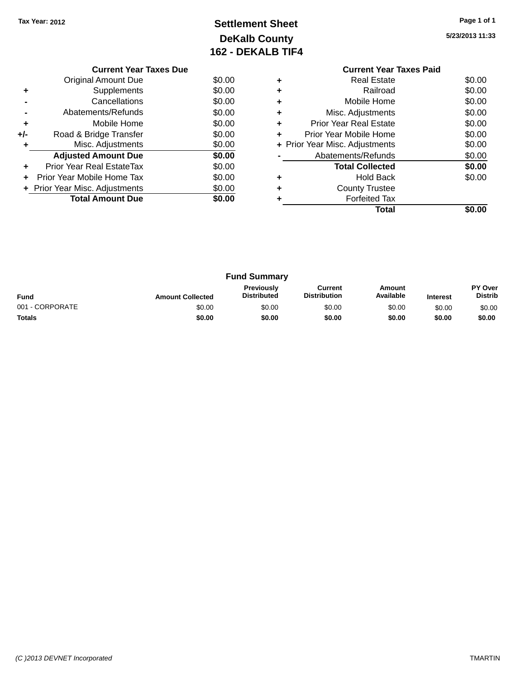# **Settlement Sheet Tax Year: 2012 Page 1 of 1 DeKalb County 162 - DEKALB TIF4**

**5/23/2013 11:33**

|     | <b>Current Year Taxes Due</b>  |        |  |  |  |
|-----|--------------------------------|--------|--|--|--|
|     | Original Amount Due            | \$0.00 |  |  |  |
|     | Supplements                    | \$0.00 |  |  |  |
|     | Cancellations                  | \$0.00 |  |  |  |
|     | Abatements/Refunds             | \$0.00 |  |  |  |
| ٠   | Mobile Home                    | \$0.00 |  |  |  |
| +/- | Road & Bridge Transfer         | \$0.00 |  |  |  |
|     | Misc. Adjustments              | \$0.00 |  |  |  |
|     | <b>Adjusted Amount Due</b>     | \$0.00 |  |  |  |
| ٠   | Prior Year Real EstateTax      | \$0.00 |  |  |  |
|     | Prior Year Mobile Home Tax     | \$0.00 |  |  |  |
|     | + Prior Year Misc. Adjustments | \$0.00 |  |  |  |
|     | <b>Total Amount Due</b>        | \$0.00 |  |  |  |
|     |                                |        |  |  |  |

### **Current Year Taxes Paid +** Real Estate \$0.00

|   | Total                          |        |
|---|--------------------------------|--------|
|   | <b>Forfeited Tax</b>           |        |
|   | <b>County Trustee</b>          |        |
|   | <b>Hold Back</b>               | \$0.00 |
|   | <b>Total Collected</b>         | \$0.00 |
|   | Abatements/Refunds             | \$0.00 |
|   | + Prior Year Misc. Adjustments | \$0.00 |
| ٠ | Prior Year Mobile Home         | \$0.00 |
|   | <b>Prior Year Real Estate</b>  | \$0.00 |
|   | Misc. Adjustments              | \$0.00 |
|   | Mobile Home                    | \$0.00 |
|   | Railroad                       | \$0.00 |
| T | ngal Lolal <del>c</del>        | vv.vv  |

| <b>Fund Summary</b> |                         |                                         |                                |                     |                 |                           |
|---------------------|-------------------------|-----------------------------------------|--------------------------------|---------------------|-----------------|---------------------------|
| <b>Fund</b>         | <b>Amount Collected</b> | <b>Previously</b><br><b>Distributed</b> | Current<br><b>Distribution</b> | Amount<br>Available | <b>Interest</b> | PY Over<br><b>Distrib</b> |
| 001 - CORPORATE     | \$0.00                  | \$0.00                                  | \$0.00                         | \$0.00              | \$0.00          | \$0.00                    |
| <b>Totals</b>       | \$0.00                  | \$0.00                                  | \$0.00                         | \$0.00              | \$0.00          | \$0.00                    |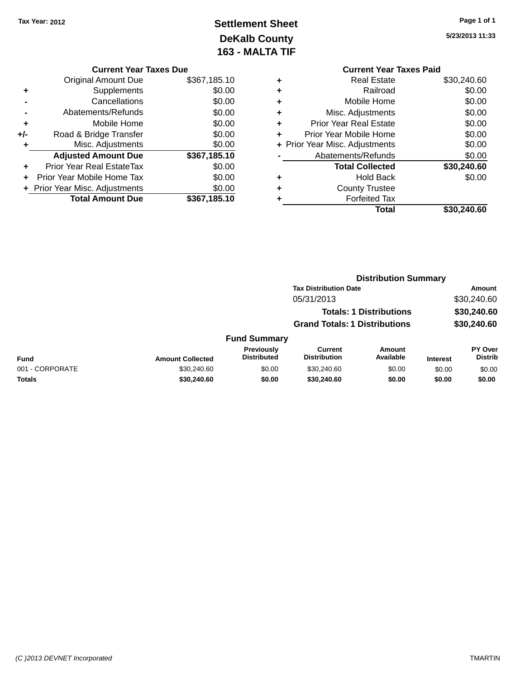# **Settlement Sheet Tax Year: 2012 Page 1 of 1 DeKalb County 163 - MALTA TIF**

**5/23/2013 11:33**

|   | <b>Current Year Taxes Paid</b> |             |
|---|--------------------------------|-------------|
| ٠ | <b>Real Estate</b>             | \$30,240.60 |
| ٠ | Railroad                       | \$0.00      |
| ٠ | Mobile Home                    | \$0.00      |
| ٠ | Misc. Adjustments              | \$0.00      |
| ٠ | <b>Prior Year Real Estate</b>  | \$0.00      |
| ٠ | Prior Year Mobile Home         | \$0.00      |
|   | + Prior Year Misc. Adjustments | \$0.00      |
|   | Abatements/Refunds             | \$0.00      |
|   | <b>Total Collected</b>         | \$30,240.60 |
| ٠ | <b>Hold Back</b>               | \$0.00      |
|   | <b>County Trustee</b>          |             |
| ٠ | <b>Forfeited Tax</b>           |             |
|   | Total                          | \$30.240.60 |
|   |                                |             |

|     | <b>Current Year Taxes Due</b>  |              |  |  |  |
|-----|--------------------------------|--------------|--|--|--|
|     | Original Amount Due            | \$367,185.10 |  |  |  |
| ٠   | Supplements                    | \$0.00       |  |  |  |
|     | Cancellations                  | \$0.00       |  |  |  |
|     | Abatements/Refunds             | \$0.00       |  |  |  |
| ٠   | Mobile Home                    | \$0.00       |  |  |  |
| +/- | Road & Bridge Transfer         | \$0.00       |  |  |  |
| ٠   | Misc. Adjustments              | \$0.00       |  |  |  |
|     | <b>Adjusted Amount Due</b>     | \$367,185.10 |  |  |  |
| ٠   | Prior Year Real EstateTax      | \$0.00       |  |  |  |
|     | Prior Year Mobile Home Tax     | \$0.00       |  |  |  |
|     | + Prior Year Misc. Adjustments | \$0.00       |  |  |  |
|     | <b>Total Amount Due</b>        | \$367,185.10 |  |  |  |
|     |                                |              |  |  |  |

|                 |                         | <b>Distribution Summary</b>             |                                       |                                |                 |                           |  |
|-----------------|-------------------------|-----------------------------------------|---------------------------------------|--------------------------------|-----------------|---------------------------|--|
|                 |                         |                                         | <b>Tax Distribution Date</b>          |                                | <b>Amount</b>   |                           |  |
|                 |                         |                                         | 05/31/2013                            |                                |                 | \$30,240.60               |  |
|                 |                         |                                         |                                       | <b>Totals: 1 Distributions</b> |                 | \$30,240.60               |  |
|                 |                         |                                         | <b>Grand Totals: 1 Distributions</b>  |                                |                 | \$30,240.60               |  |
|                 |                         | <b>Fund Summary</b>                     |                                       |                                |                 |                           |  |
| <b>Fund</b>     | <b>Amount Collected</b> | <b>Previously</b><br><b>Distributed</b> | <b>Current</b><br><b>Distribution</b> | Amount<br>Available            | <b>Interest</b> | PY Over<br><b>Distrib</b> |  |
| 001 - CORPORATE | \$30,240.60             | \$0.00                                  | \$30,240.60                           | \$0.00                         | \$0.00          | \$0.00                    |  |
| <b>Totals</b>   | \$30,240.60             | \$0.00                                  | \$30,240.60                           | \$0.00                         | \$0.00          | \$0.00                    |  |
|                 |                         |                                         |                                       |                                |                 |                           |  |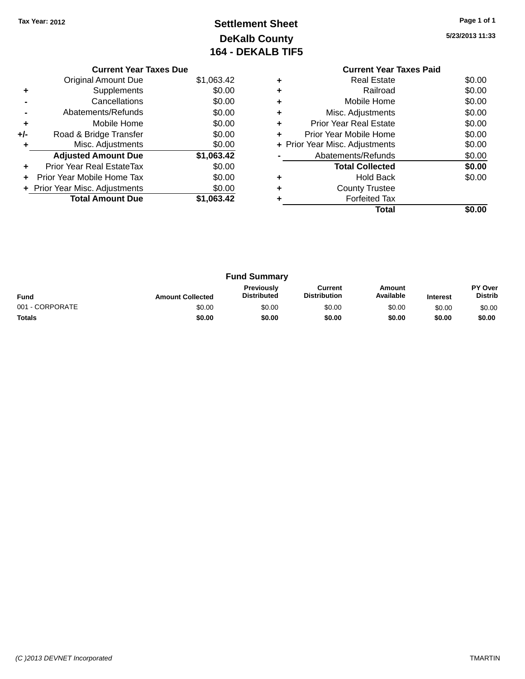# **Settlement Sheet Tax Year: 2012 Page 1 of 1 DeKalb County 164 - DEKALB TIF5**

**5/23/2013 11:33**

|     | <b>Current Year Taxes Due</b>  |            |
|-----|--------------------------------|------------|
|     | Original Amount Due            | \$1,063.42 |
|     | Supplements                    | \$0.00     |
|     | Cancellations                  | \$0.00     |
|     | Abatements/Refunds             | \$0.00     |
| ٠   | Mobile Home                    | \$0.00     |
| +/- | Road & Bridge Transfer         | \$0.00     |
|     | Misc. Adjustments              | \$0.00     |
|     | <b>Adjusted Amount Due</b>     | \$1,063.42 |
| ÷   | Prior Year Real EstateTax      | \$0.00     |
| ÷   | Prior Year Mobile Home Tax     | \$0.00     |
|     | + Prior Year Misc. Adjustments | \$0.00     |
|     | <b>Total Amount Due</b>        | \$1,063.42 |
|     |                                |            |

## **Current Year Taxes Paid +** Real Estate \$0.00 **+** Railroad \$0.00 **+** Mobile Home \$0.00 **+** Misc. Adjustments \$0.00 **+** Prior Year Real Estate \$0.00 **+** Prior Year Mobile Home \$0.00<br> **+** Prior Year Misc. Adjustments \$0.00 **+ Prior Year Misc. Adjustments -** Abatements/Refunds \$0.00 **Total Collected \$0.00 +** Hold Back \$0.00 **+** County Trustee **+** Forfeited Tax **Total \$0.00**

| <b>Fund Summary</b> |                         |                                         |                                |                     |                 |                           |
|---------------------|-------------------------|-----------------------------------------|--------------------------------|---------------------|-----------------|---------------------------|
| <b>Fund</b>         | <b>Amount Collected</b> | <b>Previously</b><br><b>Distributed</b> | Current<br><b>Distribution</b> | Amount<br>Available | <b>Interest</b> | PY Over<br><b>Distrib</b> |
| 001 - CORPORATE     | \$0.00                  | \$0.00                                  | \$0.00                         | \$0.00              | \$0.00          | \$0.00                    |
| <b>Totals</b>       | \$0.00                  | \$0.00                                  | \$0.00                         | \$0.00              | \$0.00          | \$0.00                    |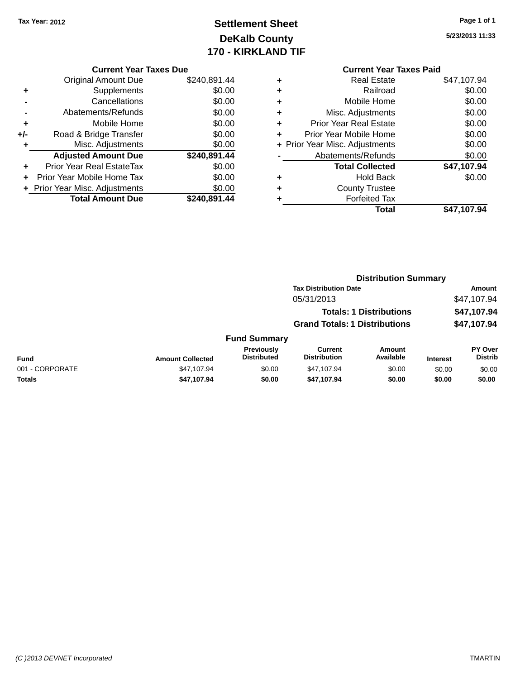# **Settlement Sheet Tax Year: 2012 Page 1 of 1 DeKalb County 170 - KIRKLAND TIF**

**5/23/2013 11:33**

|     | <b>Current Year Taxes Due</b>  |              |  |  |  |
|-----|--------------------------------|--------------|--|--|--|
|     | Original Amount Due            | \$240,891.44 |  |  |  |
| ٠   | Supplements                    | \$0.00       |  |  |  |
|     | Cancellations                  | \$0.00       |  |  |  |
|     | Abatements/Refunds             | \$0.00       |  |  |  |
| ٠   | Mobile Home                    | \$0.00       |  |  |  |
| +/- | Road & Bridge Transfer         | \$0.00       |  |  |  |
| ٠   | Misc. Adjustments              | \$0.00       |  |  |  |
|     | <b>Adjusted Amount Due</b>     | \$240,891.44 |  |  |  |
| ٠   | Prior Year Real EstateTax      | \$0.00       |  |  |  |
|     | Prior Year Mobile Home Tax     | \$0.00       |  |  |  |
|     | + Prior Year Misc. Adjustments | \$0.00       |  |  |  |
|     | <b>Total Amount Due</b>        | \$240,891.44 |  |  |  |
|     |                                |              |  |  |  |

#### **Current Year Taxes Paid +** Real Estate \$47,107.94

|   | Total                          | \$47,107.94 |
|---|--------------------------------|-------------|
| ٠ | <b>Forfeited Tax</b>           |             |
| ٠ | <b>County Trustee</b>          |             |
| ٠ | <b>Hold Back</b>               | \$0.00      |
|   | <b>Total Collected</b>         | \$47,107.94 |
|   | Abatements/Refunds             | \$0.00      |
|   | + Prior Year Misc. Adjustments | \$0.00      |
| ٠ | Prior Year Mobile Home         | \$0.00      |
| ٠ | <b>Prior Year Real Estate</b>  | \$0.00      |
| ٠ | Misc. Adjustments              | \$0.00      |
| ٠ | Mobile Home                    | \$0.00      |
| ÷ | Railroad                       | \$0.00      |
|   | Redi Esidie                    | 947.IU7.94  |

|                 |                         | <b>Distribution Summary</b>      |                                       |                     |                 |                           |
|-----------------|-------------------------|----------------------------------|---------------------------------------|---------------------|-----------------|---------------------------|
|                 |                         |                                  | <b>Tax Distribution Date</b>          |                     | Amount          |                           |
|                 |                         |                                  | 05/31/2013                            |                     |                 | \$47,107.94               |
|                 |                         |                                  | <b>Totals: 1 Distributions</b>        |                     | \$47,107.94     |                           |
|                 |                         |                                  | <b>Grand Totals: 1 Distributions</b>  |                     |                 | \$47,107.94               |
|                 |                         | <b>Fund Summary</b>              |                                       |                     |                 |                           |
| <b>Fund</b>     | <b>Amount Collected</b> | Previously<br><b>Distributed</b> | <b>Current</b><br><b>Distribution</b> | Amount<br>Available | <b>Interest</b> | PY Over<br><b>Distrib</b> |
| 001 - CORPORATE | \$47,107.94             | \$0.00                           | \$47,107.94                           | \$0.00              | \$0.00          | \$0.00                    |
| Totals          | \$47,107.94             | \$0.00                           | \$47,107.94                           | \$0.00              | \$0.00          | \$0.00                    |
|                 |                         |                                  |                                       |                     |                 |                           |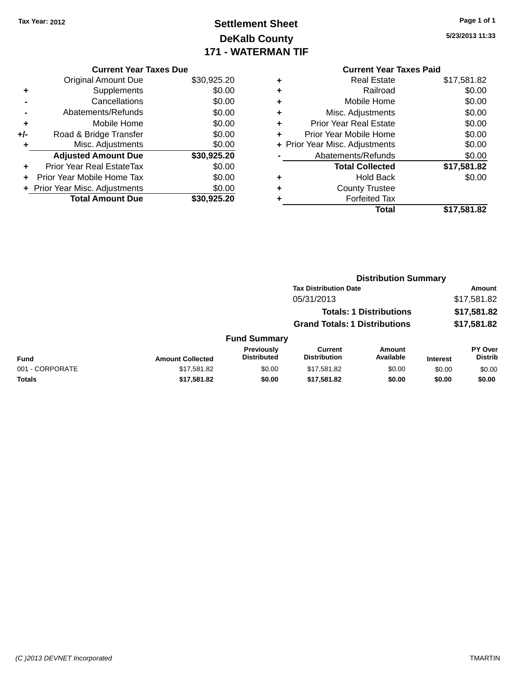# **Settlement Sheet Tax Year: 2012 Page 1 of 1 DeKalb County 171 - WATERMAN TIF**

**5/23/2013 11:33**

| <b>Original Amount Due</b>     | \$30,925.20                   |
|--------------------------------|-------------------------------|
| Supplements                    | \$0.00                        |
| Cancellations                  | \$0.00                        |
| Abatements/Refunds             | \$0.00                        |
| Mobile Home                    | \$0.00                        |
| Road & Bridge Transfer         | \$0.00                        |
| Misc. Adjustments              | \$0.00                        |
| <b>Adjusted Amount Due</b>     | \$30,925.20                   |
| Prior Year Real EstateTax      | \$0.00                        |
| Prior Year Mobile Home Tax     | \$0.00                        |
| + Prior Year Misc. Adjustments | \$0.00                        |
| <b>Total Amount Due</b>        | \$30.925.20                   |
|                                | <b>Current Year Taxes Due</b> |

# **Current Year Taxes Paid**

| ٠ | <b>Real Estate</b>             | \$17,581.82 |
|---|--------------------------------|-------------|
| ٠ | Railroad                       | \$0.00      |
| ٠ | Mobile Home                    | \$0.00      |
| ٠ | Misc. Adjustments              | \$0.00      |
| ٠ | <b>Prior Year Real Estate</b>  | \$0.00      |
| ÷ | Prior Year Mobile Home         | \$0.00      |
|   | + Prior Year Misc. Adjustments | \$0.00      |
|   | Abatements/Refunds             | \$0.00      |
|   | <b>Total Collected</b>         | \$17,581.82 |
| ٠ | <b>Hold Back</b>               | \$0.00      |
| ٠ | <b>County Trustee</b>          |             |
|   | <b>Forfeited Tax</b>           |             |
|   | Total                          | \$17,581.82 |
|   |                                |             |

#### **Distribution Summary Tax Distribution Date Amount** 05/31/2013 \$17,581.82 **Totals: 1 Distributions \$17,581.82 Grand Totals: 1 Distributions \$17,581.82 Fund Summary Fund Interest Amount Collected Distributed PY Over Distrib Amount Available Current Distribution Previously** 001 - CORPORATE \$17,581.82 \$0.00 \$17,581.82 \$0.00 \$0.00 \$0.00 **Totals \$17,581.82 \$0.00 \$17,581.82 \$0.00 \$0.00 \$0.00**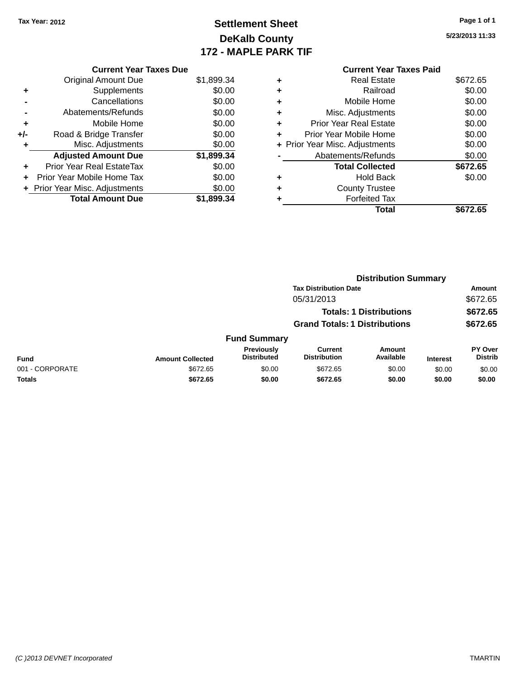# **Settlement Sheet Tax Year: 2012 Page 1 of 1 DeKalb County 172 - MAPLE PARK TIF**

**5/23/2013 11:33**

|       | <b>Current Year Taxes Due</b>    |            |
|-------|----------------------------------|------------|
|       | <b>Original Amount Due</b>       | \$1,899.34 |
| ٠     | Supplements                      | \$0.00     |
|       | Cancellations                    | \$0.00     |
|       | Abatements/Refunds               | \$0.00     |
| ٠     | Mobile Home                      | \$0.00     |
| $+/-$ | Road & Bridge Transfer           | \$0.00     |
|       | Misc. Adjustments                | \$0.00     |
|       | <b>Adjusted Amount Due</b>       | \$1,899.34 |
|       | <b>Prior Year Real EstateTax</b> | \$0.00     |
|       | Prior Year Mobile Home Tax       | \$0.00     |
|       | + Prior Year Misc. Adjustments   | \$0.00     |
|       | <b>Total Amount Due</b>          | \$1,899.34 |

#### **Current Year Taxes Paid +** Real Estate \$672.65 **+** Railroad \$0.00 **+** Mobile Home \$0.00 **+** Misc. Adjustments \$0.00 **+** Prior Year Real Estate \$0.00 **+** Prior Year Mobile Home \$0.00 **+ Prior Year Misc. Adjustments**  $$0.00$ **-** Abatements/Refunds \$0.00 **Total Collected \$672.65 +** Hold Back \$0.00 **+** County Trustee **+** Forfeited Tax **Total \$672.65**

|                 |                         |                                  | <b>Distribution Summary</b>           |                                |                 |                                  |  |
|-----------------|-------------------------|----------------------------------|---------------------------------------|--------------------------------|-----------------|----------------------------------|--|
|                 |                         |                                  | <b>Tax Distribution Date</b>          |                                |                 | Amount                           |  |
|                 |                         |                                  | 05/31/2013                            |                                |                 | \$672.65                         |  |
|                 |                         |                                  |                                       | <b>Totals: 1 Distributions</b> |                 | \$672.65                         |  |
|                 |                         |                                  | <b>Grand Totals: 1 Distributions</b>  |                                |                 | \$672.65                         |  |
|                 |                         | <b>Fund Summary</b>              |                                       |                                |                 |                                  |  |
| <b>Fund</b>     | <b>Amount Collected</b> | Previously<br><b>Distributed</b> | <b>Current</b><br><b>Distribution</b> | <b>Amount</b><br>Available     | <b>Interest</b> | <b>PY Over</b><br><b>Distrib</b> |  |
| 001 - CORPORATE | \$672.65                | \$0.00                           | \$672.65                              | \$0.00                         | \$0.00          | \$0.00                           |  |
| <b>Totals</b>   | \$672.65                | \$0.00                           | \$672.65                              | \$0.00                         | \$0.00          | \$0.00                           |  |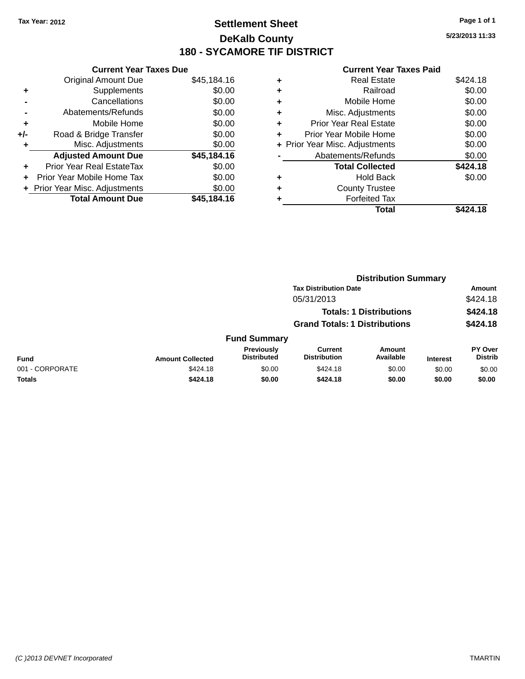### **Settlement Sheet Tax Year: 2012 Page 1 of 1 DeKalb County 180 - SYCAMORE TIF DISTRICT**

**5/23/2013 11:33**

| <b>Current Year Taxes Due</b> |                                |
|-------------------------------|--------------------------------|
| <b>Original Amount Due</b>    | \$45,184.16                    |
| Supplements                   | \$0.00                         |
| Cancellations                 | \$0.00                         |
| Abatements/Refunds            | \$0.00                         |
| Mobile Home                   | \$0.00                         |
| Road & Bridge Transfer        | \$0.00                         |
| Misc. Adjustments             | \$0.00                         |
| <b>Adjusted Amount Due</b>    | \$45,184.16                    |
| Prior Year Real EstateTax     | \$0.00                         |
| Prior Year Mobile Home Tax    | \$0.00                         |
|                               | \$0.00                         |
| <b>Total Amount Due</b>       | \$45.184.16                    |
|                               | + Prior Year Misc. Adjustments |

|   | <b>Real Estate</b>             | \$424.18 |
|---|--------------------------------|----------|
| ٠ | Railroad                       | \$0.00   |
| ٠ | Mobile Home                    | \$0.00   |
| ٠ | Misc. Adjustments              | \$0.00   |
| ٠ | <b>Prior Year Real Estate</b>  | \$0.00   |
| ٠ | Prior Year Mobile Home         | \$0.00   |
|   | + Prior Year Misc. Adjustments | \$0.00   |
|   | Abatements/Refunds             | \$0.00   |
|   | <b>Total Collected</b>         | \$424.18 |
| ٠ | <b>Hold Back</b>               | \$0.00   |
| ٠ | <b>County Trustee</b>          |          |
|   | <b>Forfeited Tax</b>           |          |
|   | Total                          | \$424.18 |
|   |                                |          |

|                 |                         |                                  |                                       | <b>Distribution Summary</b>    |                 |                                  |
|-----------------|-------------------------|----------------------------------|---------------------------------------|--------------------------------|-----------------|----------------------------------|
|                 |                         |                                  | <b>Tax Distribution Date</b>          |                                |                 | Amount                           |
|                 |                         |                                  | 05/31/2013                            |                                |                 | \$424.18                         |
|                 |                         |                                  |                                       | <b>Totals: 1 Distributions</b> |                 | \$424.18                         |
|                 |                         |                                  | <b>Grand Totals: 1 Distributions</b>  |                                |                 | \$424.18                         |
|                 |                         | <b>Fund Summary</b>              |                                       |                                |                 |                                  |
| <b>Fund</b>     | <b>Amount Collected</b> | Previously<br><b>Distributed</b> | <b>Current</b><br><b>Distribution</b> | <b>Amount</b><br>Available     | <b>Interest</b> | <b>PY Over</b><br><b>Distrib</b> |
| 001 - CORPORATE | \$424.18                | \$0.00                           | \$424.18                              | \$0.00                         | \$0.00          | \$0.00                           |
| Totals          | \$424.18                | \$0.00                           | \$424.18                              | \$0.00                         | \$0.00          | \$0.00                           |
|                 |                         |                                  |                                       |                                |                 |                                  |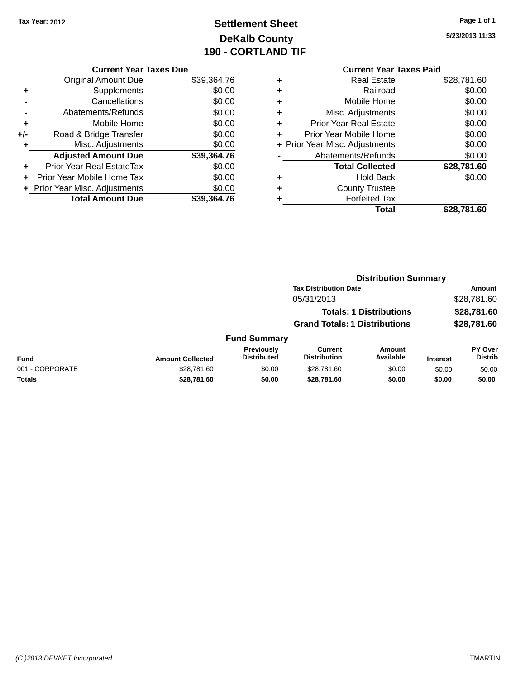# **Settlement Sheet Tax Year: 2012 Page 1 of 1 DeKalb County 190 - CORTLAND TIF**

**5/23/2013 11:33**

|     | <b>Current Year Taxes Due</b>  |             |
|-----|--------------------------------|-------------|
|     | Original Amount Due            | \$39,364.76 |
|     | Supplements                    | \$0.00      |
|     | Cancellations                  | \$0.00      |
|     | Abatements/Refunds             | \$0.00      |
| ٠   | Mobile Home                    | \$0.00      |
| +/- | Road & Bridge Transfer         | \$0.00      |
| ٠   | Misc. Adjustments              | \$0.00      |
|     | <b>Adjusted Amount Due</b>     | \$39,364.76 |
| ٠   | Prior Year Real EstateTax      | \$0.00      |
|     | Prior Year Mobile Home Tax     | \$0.00      |
|     | + Prior Year Misc. Adjustments | \$0.00      |
|     | <b>Total Amount Due</b>        | \$39,364.76 |
|     |                                |             |

| <b>Current Year Taxes Paid</b>      |             |
|-------------------------------------|-------------|
| Real Estate<br>٠                    | \$28,781.60 |
| Railroad<br>٠                       | \$0.00      |
| Mobile Home<br>٠                    | \$0.00      |
| Misc. Adjustments<br>٠              | \$0.00      |
| Prior Year Real Estate<br>٠         | \$0.00      |
| Prior Year Mobile Home<br>÷         | \$0.00      |
| Prior Year Misc. Adjustments<br>$+$ | \$0.00      |
| Abatements/Refunds                  | \$0.00      |
| <b>Total Collected</b>              | \$28,781.60 |
| <b>Hold Back</b><br>+               | \$0.00      |
| <b>County Trustee</b>               |             |
| <b>Forfeited Tax</b><br>٠           |             |
| Total                               | \$28.781.60 |
|                                     |             |

|                 |                         |                                  | <b>Distribution Summary</b>           |                                |                 |                                  |
|-----------------|-------------------------|----------------------------------|---------------------------------------|--------------------------------|-----------------|----------------------------------|
|                 |                         |                                  | <b>Tax Distribution Date</b>          |                                |                 | Amount                           |
|                 |                         |                                  | 05/31/2013                            |                                |                 | \$28,781.60                      |
|                 |                         |                                  |                                       | <b>Totals: 1 Distributions</b> |                 | \$28,781.60                      |
|                 |                         |                                  | <b>Grand Totals: 1 Distributions</b>  |                                |                 | \$28,781.60                      |
|                 |                         | <b>Fund Summary</b>              |                                       |                                |                 |                                  |
| <b>Fund</b>     | <b>Amount Collected</b> | Previously<br><b>Distributed</b> | <b>Current</b><br><b>Distribution</b> | Amount<br>Available            | <b>Interest</b> | <b>PY Over</b><br><b>Distrib</b> |
| 001 - CORPORATE | \$28,781.60             | \$0.00                           | \$28,781.60                           | \$0.00                         | \$0.00          | \$0.00                           |
| Totals          | \$28,781.60             | \$0.00                           | \$28,781.60                           | \$0.00                         | \$0.00          | \$0.00                           |
|                 |                         |                                  |                                       |                                |                 |                                  |

#### *(C )2013 DEVNET Incorporated* TMARTIN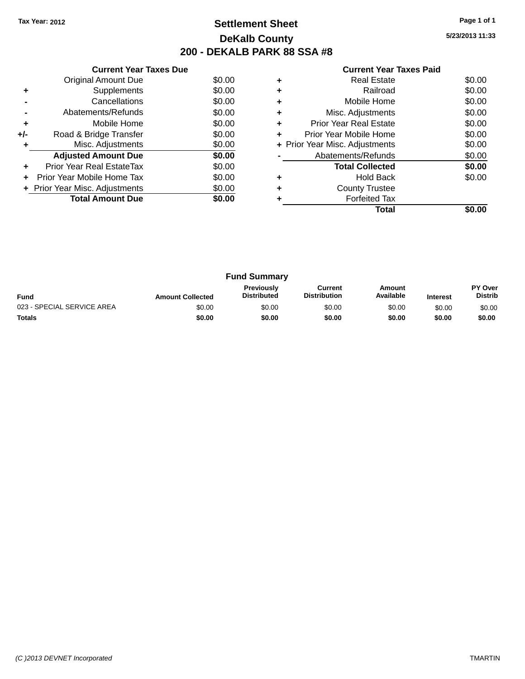### **Settlement Sheet Tax Year: 2012 Page 1 of 1 DeKalb County 200 - DEKALB PARK 88 SSA #8**

**5/23/2013 11:33**

| <b>Current Year Taxes Paid</b> |  |  |  |
|--------------------------------|--|--|--|
|--------------------------------|--|--|--|

|     | <b>Current Year Taxes Due</b>  |        |
|-----|--------------------------------|--------|
|     | <b>Original Amount Due</b>     | \$0.00 |
| ٠   | Supplements                    | \$0.00 |
|     | Cancellations                  | \$0.00 |
|     | Abatements/Refunds             | \$0.00 |
| ÷   | Mobile Home                    | \$0.00 |
| +/- | Road & Bridge Transfer         | \$0.00 |
|     | Misc. Adjustments              | \$0.00 |
|     | <b>Adjusted Amount Due</b>     | \$0.00 |
|     | Prior Year Real EstateTax      | \$0.00 |
|     | Prior Year Mobile Home Tax     | \$0.00 |
|     | + Prior Year Misc. Adjustments | \$0.00 |
|     | <b>Total Amount Due</b>        | \$0.00 |
|     |                                |        |

|   | <b>Real Estate</b>             | \$0.00 |
|---|--------------------------------|--------|
|   | Railroad                       | \$0.00 |
|   | Mobile Home                    | \$0.00 |
| ٠ | Misc. Adjustments              | \$0.00 |
| ٠ | Prior Year Real Estate         | \$0.00 |
| ÷ | Prior Year Mobile Home         | \$0.00 |
|   | + Prior Year Misc. Adjustments | \$0.00 |
|   | Abatements/Refunds             | \$0.00 |
|   | <b>Total Collected</b>         | \$0.00 |
|   | Hold Back                      | \$0.00 |
|   | <b>County Trustee</b>          |        |
|   | <b>Forfeited Tax</b>           |        |
|   | Total                          |        |

|                            |                         | <b>Fund Summary</b>                     |                                |                     |                 |                           |
|----------------------------|-------------------------|-----------------------------------------|--------------------------------|---------------------|-----------------|---------------------------|
| <b>Fund</b>                | <b>Amount Collected</b> | <b>Previously</b><br><b>Distributed</b> | Current<br><b>Distribution</b> | Amount<br>Available | <b>Interest</b> | PY Over<br><b>Distrib</b> |
| 023 - SPECIAL SERVICE AREA | \$0.00                  | \$0.00                                  | \$0.00                         | \$0.00              | \$0.00          | \$0.00                    |
| <b>Totals</b>              | \$0.00                  | \$0.00                                  | \$0.00                         | \$0.00              | \$0.00          | \$0.00                    |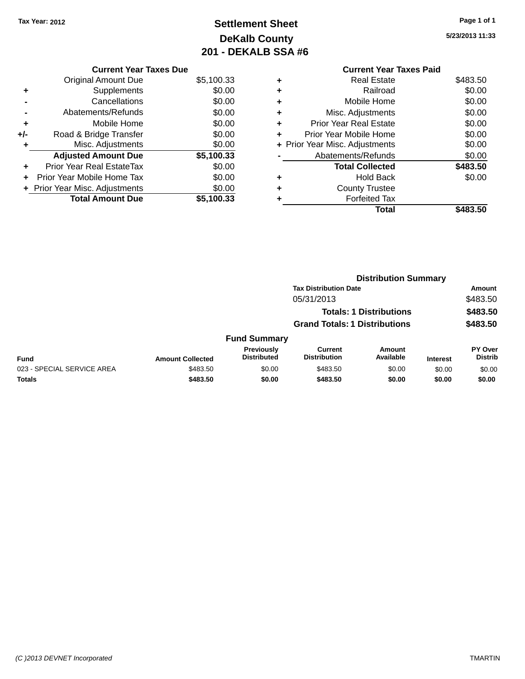# **Settlement Sheet Tax Year: 2012 Page 1 of 1 DeKalb County 201 - DEKALB SSA #6**

**5/23/2013 11:33**

|   | <b>Current Year Taxes Paid</b> |          |
|---|--------------------------------|----------|
|   | <b>Real Estate</b>             | \$483.50 |
| ٠ | Railroad                       | \$0.00   |
| ٠ | Mobile Home                    | \$0.00   |
|   | Misc. Adjustments              | \$0.00   |
|   | <b>Prior Year Real Estate</b>  | \$0.00   |
| ٠ | Prior Year Mobile Home         | \$0.00   |
|   | + Prior Year Misc. Adjustments | \$0.00   |
|   | Abatements/Refunds             | \$0.00   |
|   | <b>Total Collected</b>         | \$483.50 |
|   | <b>Hold Back</b>               | \$0.00   |
|   | <b>County Trustee</b>          |          |
|   | <b>Forfeited Tax</b>           |          |
|   | Total                          | \$483.50 |

|     | <b>Current Year Taxes Due</b>  |            |
|-----|--------------------------------|------------|
|     | <b>Original Amount Due</b>     | \$5,100.33 |
| ٠   | Supplements                    | \$0.00     |
|     | Cancellations                  | \$0.00     |
|     | Abatements/Refunds             | \$0.00     |
| ٠   | Mobile Home                    | \$0.00     |
| +/- | Road & Bridge Transfer         | \$0.00     |
|     | Misc. Adjustments              | \$0.00     |
|     | <b>Adjusted Amount Due</b>     | \$5,100.33 |
|     | Prior Year Real EstateTax      | \$0.00     |
|     | Prior Year Mobile Home Tax     | \$0.00     |
|     | + Prior Year Misc. Adjustments | \$0.00     |
|     | <b>Total Amount Due</b>        | \$5.100.33 |
|     |                                |            |

|                            |                         |                                         | <b>Distribution Summary</b>          |                                |                 |                           |
|----------------------------|-------------------------|-----------------------------------------|--------------------------------------|--------------------------------|-----------------|---------------------------|
|                            |                         |                                         | <b>Tax Distribution Date</b>         |                                |                 | <b>Amount</b>             |
|                            |                         |                                         | 05/31/2013                           |                                |                 | \$483.50                  |
|                            |                         |                                         |                                      | <b>Totals: 1 Distributions</b> |                 | \$483.50                  |
|                            |                         |                                         | <b>Grand Totals: 1 Distributions</b> |                                |                 | \$483.50                  |
|                            |                         | <b>Fund Summary</b>                     |                                      |                                |                 |                           |
| <b>Fund</b>                | <b>Amount Collected</b> | <b>Previously</b><br><b>Distributed</b> | Current<br><b>Distribution</b>       | Amount<br>Available            | <b>Interest</b> | PY Over<br><b>Distrib</b> |
| 023 - SPECIAL SERVICE AREA | \$483.50                | \$0.00                                  | \$483.50                             | \$0.00                         | \$0.00          | \$0.00                    |
| <b>Totals</b>              | \$483.50                | \$0.00                                  | \$483.50                             | \$0.00                         | \$0.00          | \$0.00                    |
|                            |                         |                                         |                                      |                                |                 |                           |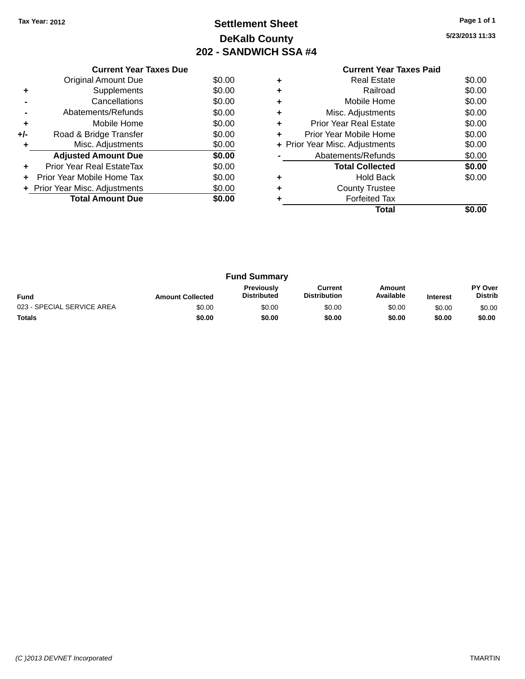# **Settlement Sheet Tax Year: 2012 Page 1 of 1 DeKalb County 202 - SANDWICH SSA #4**

**5/23/2013 11:33**

|     | <b>Current Year Taxes Due</b>  |        |  |  |  |  |  |
|-----|--------------------------------|--------|--|--|--|--|--|
|     | Original Amount Due            | \$0.00 |  |  |  |  |  |
|     | Supplements                    | \$0.00 |  |  |  |  |  |
|     | Cancellations                  | \$0.00 |  |  |  |  |  |
|     | Abatements/Refunds             | \$0.00 |  |  |  |  |  |
| ٠   | Mobile Home                    | \$0.00 |  |  |  |  |  |
| +/- | Road & Bridge Transfer         | \$0.00 |  |  |  |  |  |
|     | Misc. Adjustments              | \$0.00 |  |  |  |  |  |
|     | <b>Adjusted Amount Due</b>     | \$0.00 |  |  |  |  |  |
| ٠   | Prior Year Real EstateTax      | \$0.00 |  |  |  |  |  |
| ÷   | Prior Year Mobile Home Tax     | \$0.00 |  |  |  |  |  |
|     | + Prior Year Misc. Adjustments | \$0.00 |  |  |  |  |  |
|     | <b>Total Amount Due</b>        | \$0.00 |  |  |  |  |  |
|     |                                |        |  |  |  |  |  |

#### **Current Year Taxes Paid +** Real Estate \$0.00 **+** Railroad \$0.00

|           | Total                          | \$0.00 |
|-----------|--------------------------------|--------|
|           | <b>Forfeited Tax</b>           |        |
| $\ddot{}$ | <b>County Trustee</b>          |        |
| ÷         | <b>Hold Back</b>               | \$0.00 |
|           | <b>Total Collected</b>         | \$0.00 |
|           | Abatements/Refunds             | \$0.00 |
|           | + Prior Year Misc. Adjustments | \$0.00 |
| ÷         | Prior Year Mobile Home         | \$0.00 |
| ÷         | <b>Prior Year Real Estate</b>  | \$0.00 |
| $\ddot{}$ | Misc. Adjustments              | \$0.00 |
| $\ddot{}$ | Mobile Home                    | \$0.00 |
|           |                                |        |

|                            |                         | <b>Fund Summary</b>                     |                                |                     |                 |                           |
|----------------------------|-------------------------|-----------------------------------------|--------------------------------|---------------------|-----------------|---------------------------|
| <b>Fund</b>                | <b>Amount Collected</b> | <b>Previously</b><br><b>Distributed</b> | Current<br><b>Distribution</b> | Amount<br>Available | <b>Interest</b> | PY Over<br><b>Distrib</b> |
| 023 - SPECIAL SERVICE AREA | \$0.00                  | \$0.00                                  | \$0.00                         | \$0.00              | \$0.00          | \$0.00                    |
| <b>Totals</b>              | \$0.00                  | \$0.00                                  | \$0.00                         | \$0.00              | \$0.00          | \$0.00                    |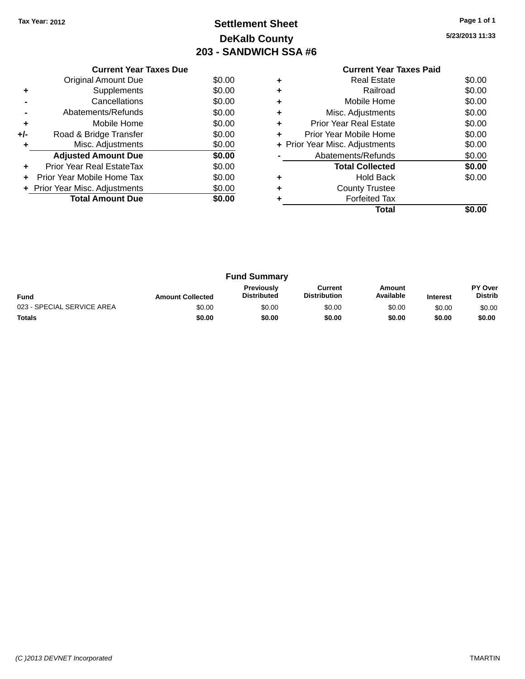# **Settlement Sheet Tax Year: 2012 Page 1 of 1 DeKalb County 203 - SANDWICH SSA #6**

**5/23/2013 11:33**

**Total \$0.00**

|     | <b>Current Year Taxes Due</b>  |        |  |  |  |  |  |
|-----|--------------------------------|--------|--|--|--|--|--|
|     | Original Amount Due            | \$0.00 |  |  |  |  |  |
| ٠   | Supplements                    | \$0.00 |  |  |  |  |  |
|     | Cancellations                  | \$0.00 |  |  |  |  |  |
|     | Abatements/Refunds             | \$0.00 |  |  |  |  |  |
| ÷   | Mobile Home                    | \$0.00 |  |  |  |  |  |
| +/- | Road & Bridge Transfer         | \$0.00 |  |  |  |  |  |
| ٠   | Misc. Adjustments              | \$0.00 |  |  |  |  |  |
|     | <b>Adjusted Amount Due</b>     | \$0.00 |  |  |  |  |  |
| ÷   | Prior Year Real EstateTax      | \$0.00 |  |  |  |  |  |
| ÷   | Prior Year Mobile Home Tax     | \$0.00 |  |  |  |  |  |
|     | + Prior Year Misc. Adjustments | \$0.00 |  |  |  |  |  |
|     | <b>Total Amount Due</b>        | \$0.00 |  |  |  |  |  |
|     |                                |        |  |  |  |  |  |

#### **Current Year Taxes Paid +** Real Estate \$0.00 **+** Railroad \$0.00 **+** Mobile Home \$0.00 **+** Misc. Adjustments \$0.00 **+** Prior Year Real Estate \$0.00 **+** Prior Year Mobile Home \$0.00<br> **+** Prior Year Misc. Adjustments \$0.00 **+ Prior Year Misc. Adjustments -** Abatements/Refunds \$0.00 **Total Collected \$0.00 +** Hold Back \$0.00 **+** County Trustee **+** Forfeited Tax

|                            |                         | <b>Fund Summary</b>                     |                                |                     |                 |                           |
|----------------------------|-------------------------|-----------------------------------------|--------------------------------|---------------------|-----------------|---------------------------|
| <b>Fund</b>                | <b>Amount Collected</b> | <b>Previously</b><br><b>Distributed</b> | Current<br><b>Distribution</b> | Amount<br>Available | <b>Interest</b> | PY Over<br><b>Distrib</b> |
| 023 - SPECIAL SERVICE AREA | \$0.00                  | \$0.00                                  | \$0.00                         | \$0.00              | \$0.00          | \$0.00                    |
| <b>Totals</b>              | \$0.00                  | \$0.00                                  | \$0.00                         | \$0.00              | \$0.00          | \$0.00                    |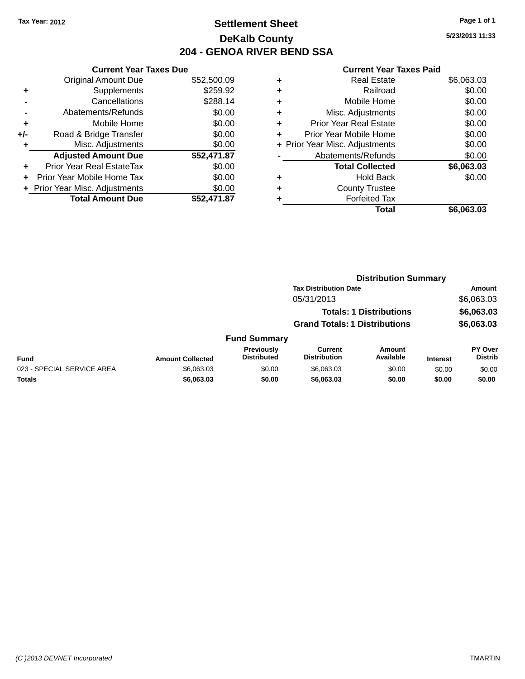### **Settlement Sheet Tax Year: 2012 Page 1 of 1 DeKalb County 204 - GENOA RIVER BEND SSA**

**5/23/2013 11:33**

|     | <b>Current Year Taxes Due</b>             |             |  |  |  |  |
|-----|-------------------------------------------|-------------|--|--|--|--|
|     | <b>Original Amount Due</b><br>\$52,500.09 |             |  |  |  |  |
| ٠   | Supplements                               | \$259.92    |  |  |  |  |
|     | Cancellations                             | \$288.14    |  |  |  |  |
|     | Abatements/Refunds                        | \$0.00      |  |  |  |  |
| ٠   | Mobile Home                               | \$0.00      |  |  |  |  |
| +/- | Road & Bridge Transfer                    | \$0.00      |  |  |  |  |
|     | Misc. Adjustments                         | \$0.00      |  |  |  |  |
|     | <b>Adjusted Amount Due</b>                | \$52,471.87 |  |  |  |  |
| ÷   | Prior Year Real EstateTax                 | \$0.00      |  |  |  |  |
|     | Prior Year Mobile Home Tax                | \$0.00      |  |  |  |  |
|     | + Prior Year Misc. Adjustments            | \$0.00      |  |  |  |  |
|     | <b>Total Amount Due</b>                   | \$52,471.87 |  |  |  |  |

|   | <b>Real Estate</b>             | \$6,063.03 |
|---|--------------------------------|------------|
| ٠ | Railroad                       | \$0.00     |
| ٠ | Mobile Home                    | \$0.00     |
| ٠ | Misc. Adjustments              | \$0.00     |
| ٠ | <b>Prior Year Real Estate</b>  | \$0.00     |
| ÷ | Prior Year Mobile Home         | \$0.00     |
|   | + Prior Year Misc. Adjustments | \$0.00     |
|   | Abatements/Refunds             | \$0.00     |
|   | <b>Total Collected</b>         | \$6,063.03 |
| ٠ | <b>Hold Back</b>               | \$0.00     |
| ٠ | <b>County Trustee</b>          |            |
|   | <b>Forfeited Tax</b>           |            |
|   | Total                          | \$6,063.03 |
|   |                                |            |

|                         | <b>Distribution Summary</b>             |                                      |                     |                                |                           |
|-------------------------|-----------------------------------------|--------------------------------------|---------------------|--------------------------------|---------------------------|
|                         |                                         | <b>Tax Distribution Date</b>         |                     |                                | Amount                    |
|                         |                                         | 05/31/2013                           |                     |                                | \$6,063.03                |
|                         |                                         |                                      |                     |                                | \$6,063.03                |
|                         |                                         | <b>Grand Totals: 1 Distributions</b> |                     | \$6,063.03                     |                           |
|                         |                                         |                                      |                     |                                |                           |
| <b>Amount Collected</b> | <b>Previously</b><br><b>Distributed</b> | Current<br><b>Distribution</b>       | Amount<br>Available | <b>Interest</b>                | PY Over<br><b>Distrib</b> |
| \$6,063,03              | \$0.00                                  | \$6,063,03                           | \$0.00              | \$0.00                         | \$0.00                    |
| \$6,063.03              | \$0.00                                  | \$6,063.03                           | \$0.00              | \$0.00                         | \$0.00                    |
|                         |                                         | <b>Fund Summary</b>                  |                     | <b>Totals: 1 Distributions</b> |                           |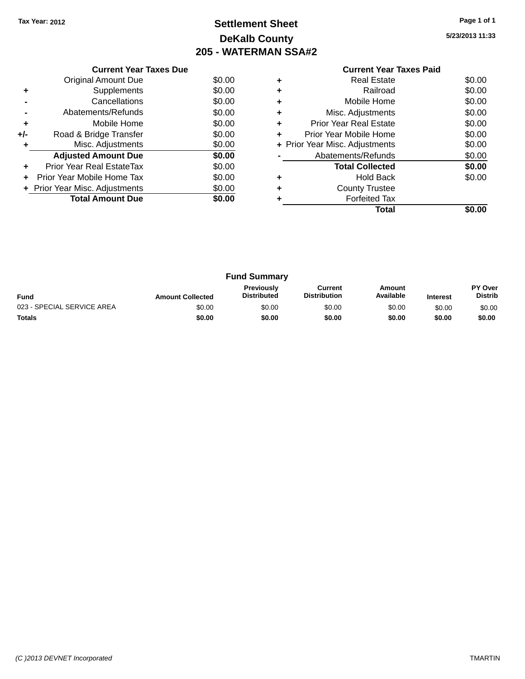# **Settlement Sheet Tax Year: 2012 Page 1 of 1 DeKalb County 205 - WATERMAN SSA#2**

**5/23/2013 11:33**

| <b>Current Year Taxes Paid</b> |  |  |
|--------------------------------|--|--|

|       | <b>Current Year Taxes Due</b>  |        |  |  |  |  |  |
|-------|--------------------------------|--------|--|--|--|--|--|
|       | Original Amount Due            | \$0.00 |  |  |  |  |  |
| ٠     | Supplements                    | \$0.00 |  |  |  |  |  |
|       | Cancellations                  | \$0.00 |  |  |  |  |  |
|       | Abatements/Refunds             | \$0.00 |  |  |  |  |  |
| ٠     | Mobile Home                    | \$0.00 |  |  |  |  |  |
| $+/-$ | Road & Bridge Transfer         | \$0.00 |  |  |  |  |  |
|       | Misc. Adjustments              | \$0.00 |  |  |  |  |  |
|       | <b>Adjusted Amount Due</b>     | \$0.00 |  |  |  |  |  |
|       | Prior Year Real EstateTax      | \$0.00 |  |  |  |  |  |
|       | Prior Year Mobile Home Tax     | \$0.00 |  |  |  |  |  |
|       | + Prior Year Misc. Adjustments | \$0.00 |  |  |  |  |  |
|       | <b>Total Amount Due</b>        | \$0.00 |  |  |  |  |  |
|       |                                |        |  |  |  |  |  |

| ٠ | <b>Real Estate</b>             | \$0.00 |
|---|--------------------------------|--------|
|   | Railroad                       | \$0.00 |
| ٠ | Mobile Home                    | \$0.00 |
| ٠ | Misc. Adjustments              | \$0.00 |
| ٠ | Prior Year Real Estate         | \$0.00 |
| ٠ | Prior Year Mobile Home         | \$0.00 |
|   | + Prior Year Misc. Adjustments | \$0.00 |
|   | Abatements/Refunds             | \$0.00 |
|   | <b>Total Collected</b>         | \$0.00 |
|   | <b>Hold Back</b>               | \$0.00 |
| ٠ | <b>County Trustee</b>          |        |
|   | <b>Forfeited Tax</b>           |        |
|   | Total                          |        |
|   |                                |        |

| <b>Fund Summary</b>        |                         |                                         |                                |                     |                 |                                  |
|----------------------------|-------------------------|-----------------------------------------|--------------------------------|---------------------|-----------------|----------------------------------|
| <b>Fund</b>                | <b>Amount Collected</b> | <b>Previously</b><br><b>Distributed</b> | Current<br><b>Distribution</b> | Amount<br>Available | <b>Interest</b> | <b>PY Over</b><br><b>Distrib</b> |
| 023 - SPECIAL SERVICE AREA | \$0.00                  | \$0.00                                  | \$0.00                         | \$0.00              | \$0.00          | \$0.00                           |
| <b>Totals</b>              | \$0.00                  | \$0.00                                  | \$0.00                         | \$0.00              | \$0.00          | \$0.00                           |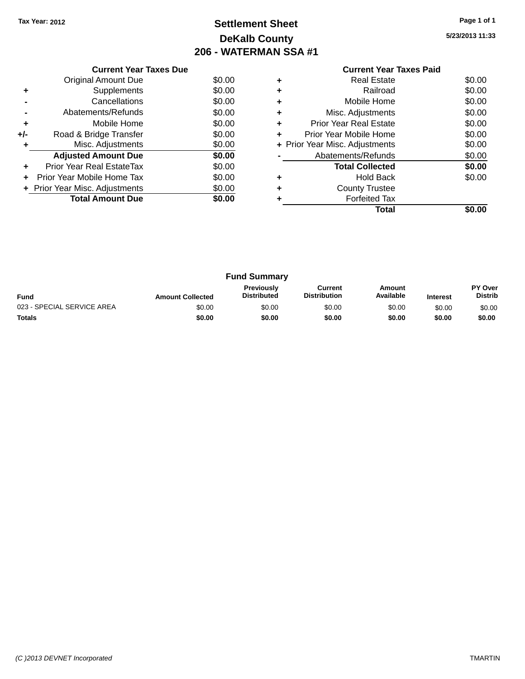# **Settlement Sheet Tax Year: 2012 Page 1 of 1 DeKalb County 206 - WATERMAN SSA #1**

**5/23/2013 11:33**

|     | <b>Current Year Taxes Due</b>  |        |
|-----|--------------------------------|--------|
|     | Original Amount Due            | \$0.00 |
| ٠   | Supplements                    | \$0.00 |
|     | Cancellations                  | \$0.00 |
|     | Abatements/Refunds             | \$0.00 |
| ٠   | Mobile Home                    | \$0.00 |
| +/- | Road & Bridge Transfer         | \$0.00 |
| ٠   | Misc. Adjustments              | \$0.00 |
|     | <b>Adjusted Amount Due</b>     | \$0.00 |
| ٠   | Prior Year Real EstateTax      | \$0.00 |
| ÷   | Prior Year Mobile Home Tax     | \$0.00 |
|     | + Prior Year Misc. Adjustments | \$0.00 |
|     | <b>Total Amount Due</b>        | \$0.00 |
|     |                                |        |

|   | <b>Real Estate</b>             | \$0.00 |
|---|--------------------------------|--------|
|   | Railroad                       | \$0.00 |
| ٠ | Mobile Home                    | \$0.00 |
| ٠ | Misc. Adjustments              | \$0.00 |
| ٠ | <b>Prior Year Real Estate</b>  | \$0.00 |
| ٠ | Prior Year Mobile Home         | \$0.00 |
|   | + Prior Year Misc. Adjustments | \$0.00 |
|   | Abatements/Refunds             | \$0.00 |
|   | <b>Total Collected</b>         | \$0.00 |
| ٠ | <b>Hold Back</b>               | \$0.00 |
| ٠ | <b>County Trustee</b>          |        |
|   | <b>Forfeited Tax</b>           |        |
|   | Total                          |        |

| <b>Fund Summary</b>        |                         |                                         |                                |                     |                 |                           |
|----------------------------|-------------------------|-----------------------------------------|--------------------------------|---------------------|-----------------|---------------------------|
| <b>Fund</b>                | <b>Amount Collected</b> | <b>Previously</b><br><b>Distributed</b> | Current<br><b>Distribution</b> | Amount<br>Available | <b>Interest</b> | PY Over<br><b>Distrib</b> |
| 023 - SPECIAL SERVICE AREA | \$0.00                  | \$0.00                                  | \$0.00                         | \$0.00              | \$0.00          | \$0.00                    |
| <b>Totals</b>              | \$0.00                  | \$0.00                                  | \$0.00                         | \$0.00              | \$0.00          | \$0.00                    |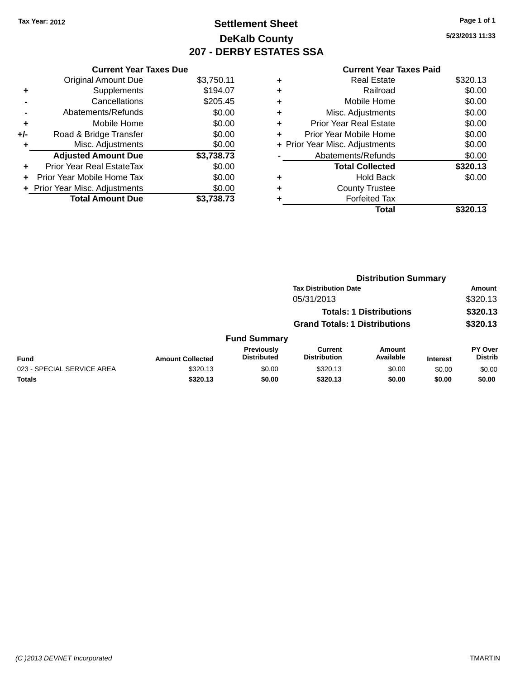# **Settlement Sheet Tax Year: 2012 Page 1 of 1 DeKalb County 207 - DERBY ESTATES SSA**

**5/23/2013 11:33**

| \$3,750.11 |
|------------|
| \$194.07   |
| \$205.45   |
| \$0.00     |
| \$0.00     |
| \$0.00     |
| \$0.00     |
| \$3,738.73 |
| \$0.00     |
| \$0.00     |
| \$0.00     |
| \$3.738.73 |
|            |

| ٠ | <b>Real Estate</b>             | \$320.13 |
|---|--------------------------------|----------|
| ٠ | Railroad                       | \$0.00   |
| ٠ | Mobile Home                    | \$0.00   |
| ٠ | Misc. Adjustments              | \$0.00   |
| ٠ | <b>Prior Year Real Estate</b>  | \$0.00   |
| ٠ | Prior Year Mobile Home         | \$0.00   |
|   | + Prior Year Misc. Adjustments | \$0.00   |
|   | Abatements/Refunds             | \$0.00   |
|   | <b>Total Collected</b>         | \$320.13 |
| ٠ | Hold Back                      | \$0.00   |
| ٠ | <b>County Trustee</b>          |          |
|   | <b>Forfeited Tax</b>           |          |
|   | Total                          | \$320.13 |
|   |                                |          |

|                            |                                      |                                  |                                       | <b>Distribution Summary</b> |                 |                           |  |
|----------------------------|--------------------------------------|----------------------------------|---------------------------------------|-----------------------------|-----------------|---------------------------|--|
|                            |                                      | <b>Tax Distribution Date</b>     |                                       |                             |                 | <b>Amount</b>             |  |
| 05/31/2013                 |                                      |                                  |                                       | \$320.13                    |                 |                           |  |
|                            |                                      | <b>Totals: 1 Distributions</b>   |                                       |                             | \$320.13        |                           |  |
|                            | <b>Grand Totals: 1 Distributions</b> |                                  |                                       |                             | \$320.13        |                           |  |
|                            |                                      | <b>Fund Summary</b>              |                                       |                             |                 |                           |  |
| <b>Fund</b>                | <b>Amount Collected</b>              | Previously<br><b>Distributed</b> | <b>Current</b><br><b>Distribution</b> | <b>Amount</b><br>Available  | <b>Interest</b> | PY Over<br><b>Distrib</b> |  |
| 023 - SPECIAL SERVICE AREA | \$320.13                             | \$0.00                           | \$320.13                              | \$0.00                      | \$0.00          | \$0.00                    |  |
| <b>Totals</b>              | \$320.13                             | \$0.00                           | \$320.13                              | \$0.00                      | \$0.00          | \$0.00                    |  |
|                            |                                      |                                  |                                       |                             |                 |                           |  |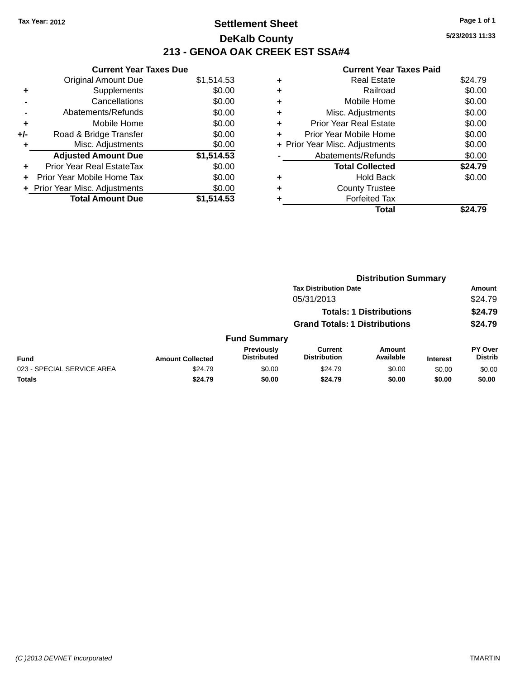### **Settlement Sheet Tax Year: 2012 Page 1 of 1 DeKalb County 213 - GENOA OAK CREEK EST SSA#4**

**5/23/2013 11:33**

|     | <b>Current Year Taxes Due</b>  |            |
|-----|--------------------------------|------------|
|     | <b>Original Amount Due</b>     | \$1,514.53 |
|     | Supplements                    | \$0.00     |
|     | Cancellations                  | \$0.00     |
|     | Abatements/Refunds             | \$0.00     |
| ٠   | Mobile Home                    | \$0.00     |
| +/- | Road & Bridge Transfer         | \$0.00     |
|     | Misc. Adjustments              | \$0.00     |
|     | <b>Adjusted Amount Due</b>     | \$1,514.53 |
| ٠   | Prior Year Real EstateTax      | \$0.00     |
|     | Prior Year Mobile Home Tax     | \$0.00     |
|     | + Prior Year Misc. Adjustments | \$0.00     |
|     | <b>Total Amount Due</b>        | \$1.514.53 |
|     |                                |            |

| ٠ | <b>Real Estate</b>             | \$24.79 |
|---|--------------------------------|---------|
| ٠ | Railroad                       | \$0.00  |
| ٠ | Mobile Home                    | \$0.00  |
| ٠ | Misc. Adjustments              | \$0.00  |
| ٠ | <b>Prior Year Real Estate</b>  | \$0.00  |
| ٠ | Prior Year Mobile Home         | \$0.00  |
|   | + Prior Year Misc. Adjustments | \$0.00  |
|   | Abatements/Refunds             | \$0.00  |
|   | <b>Total Collected</b>         | \$24.79 |
| ٠ | <b>Hold Back</b>               | \$0.00  |
| ٠ | <b>County Trustee</b>          |         |
|   | <b>Forfeited Tax</b>           |         |
|   | Total                          | \$24.79 |
|   |                                |         |

|                            |                         |                                         |                                      | <b>Distribution Summary</b>    |                 |                           |
|----------------------------|-------------------------|-----------------------------------------|--------------------------------------|--------------------------------|-----------------|---------------------------|
|                            |                         |                                         | <b>Tax Distribution Date</b>         |                                |                 | <b>Amount</b>             |
|                            |                         |                                         | 05/31/2013                           |                                |                 | \$24.79                   |
|                            |                         |                                         |                                      | <b>Totals: 1 Distributions</b> |                 | \$24.79                   |
|                            |                         |                                         | <b>Grand Totals: 1 Distributions</b> |                                |                 | \$24.79                   |
|                            |                         | <b>Fund Summary</b>                     |                                      |                                |                 |                           |
| <b>Fund</b>                | <b>Amount Collected</b> | <b>Previously</b><br><b>Distributed</b> | Current<br><b>Distribution</b>       | Amount<br>Available            | <b>Interest</b> | PY Over<br><b>Distrib</b> |
| 023 - SPECIAL SERVICE AREA | \$24.79                 | \$0.00                                  | \$24.79                              | \$0.00                         | \$0.00          | \$0.00                    |
| <b>Totals</b>              | \$24.79                 | \$0.00                                  | \$24.79                              | \$0.00                         | \$0.00          | \$0.00                    |
|                            |                         |                                         |                                      |                                |                 |                           |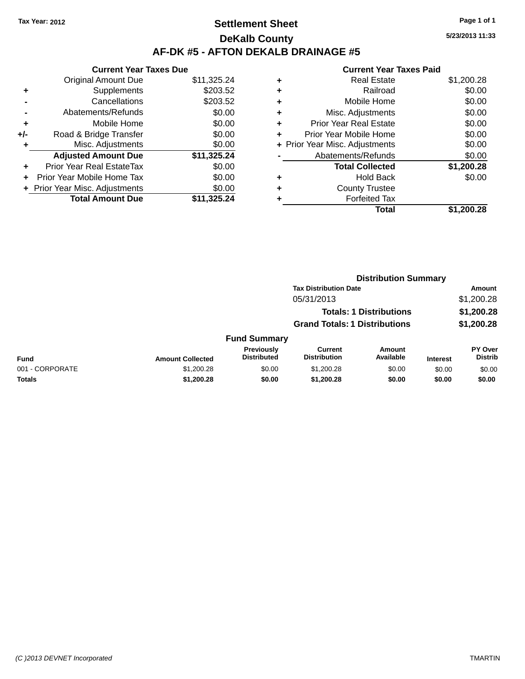### **Settlement Sheet Tax Year: 2012 Page 1 of 1 DeKalb County AF-DK #5 - AFTON DEKALB DRAINAGE #5**

**Current Year Taxes Due** Original Amount Due \$11,325.24 **+** Supplements \$203.52 **-** Cancellations \$203.52 **-** Abatements/Refunds \$0.00 **+** Mobile Home \$0.00 **+/-** Road & Bridge Transfer \$0.00 **+** Misc. Adjustments \$0.00 **Adjusted Amount Due \$11,325.24 +** Prior Year Real EstateTax \$0.00 **+** Prior Year Mobile Home Tax \$0.00 **+** Prior Year Misc. Adjustments  $$0.00$ **Total Amount Due \$11,325.24**

#### **Current Year Taxes Paid +** Real Estate \$1,200.28 **+** Railroad \$0.00 **+** Mobile Home \$0.00 **+** Misc. Adjustments \$0.00 **+** Prior Year Real Estate \$0.00 **+** Prior Year Mobile Home \$0.00 **+** Prior Year Misc. Adjustments  $$0.00$ Abatements/Refunds \$0.00 **Total Collected \$1,200.28 +** Hold Back \$0.00 **+** County Trustee **+** Forfeited Tax **Total \$1,200.28**

|                 | <b>Distribution Summary</b> |                                  |                                       |                                |                 |                                  |
|-----------------|-----------------------------|----------------------------------|---------------------------------------|--------------------------------|-----------------|----------------------------------|
|                 |                             |                                  | <b>Tax Distribution Date</b>          |                                |                 | Amount                           |
|                 |                             |                                  | 05/31/2013                            |                                |                 | \$1,200.28                       |
|                 |                             |                                  |                                       | <b>Totals: 1 Distributions</b> |                 | \$1,200.28                       |
|                 |                             |                                  | <b>Grand Totals: 1 Distributions</b>  |                                |                 | \$1,200.28                       |
|                 |                             | <b>Fund Summary</b>              |                                       |                                |                 |                                  |
| <b>Fund</b>     | <b>Amount Collected</b>     | Previously<br><b>Distributed</b> | <b>Current</b><br><b>Distribution</b> | <b>Amount</b><br>Available     | <b>Interest</b> | <b>PY Over</b><br><b>Distrib</b> |
| 001 - CORPORATE | \$1,200.28                  | \$0.00                           | \$1,200.28                            | \$0.00                         | \$0.00          | \$0.00                           |
| <b>Totals</b>   | \$1,200.28                  | \$0.00                           | \$1,200.28                            | \$0.00                         | \$0.00          | \$0.00                           |

**5/23/2013 11:33**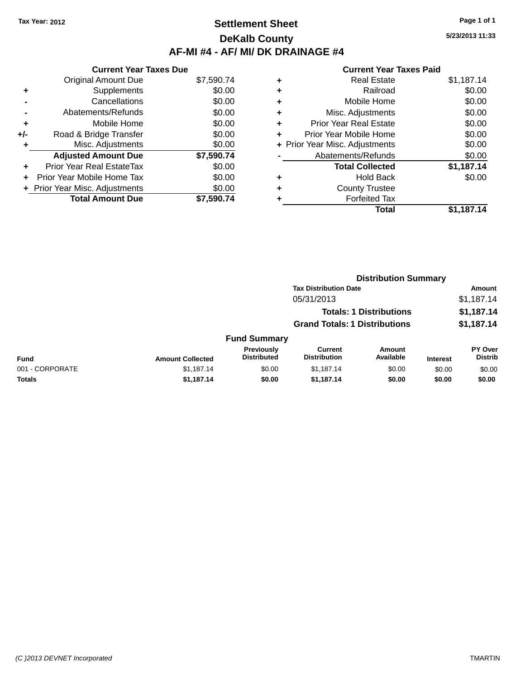### **Settlement Sheet Tax Year: 2012 Page 1 of 1 DeKalb County AF-MI #4 - AF/ MI/ DK DRAINAGE #4**

**5/23/2013 11:33**

|     | <b>Current Year Taxes Due</b>  |            |  |  |  |  |  |
|-----|--------------------------------|------------|--|--|--|--|--|
|     | <b>Original Amount Due</b>     | \$7,590.74 |  |  |  |  |  |
|     | Supplements                    | \$0.00     |  |  |  |  |  |
|     | Cancellations                  | \$0.00     |  |  |  |  |  |
|     | \$0.00<br>Abatements/Refunds   |            |  |  |  |  |  |
| ٠   | Mobile Home                    | \$0.00     |  |  |  |  |  |
| +/- | Road & Bridge Transfer         | \$0.00     |  |  |  |  |  |
|     | Misc. Adjustments              | \$0.00     |  |  |  |  |  |
|     | <b>Adjusted Amount Due</b>     | \$7,590.74 |  |  |  |  |  |
|     | Prior Year Real EstateTax      | \$0.00     |  |  |  |  |  |
|     | Prior Year Mobile Home Tax     | \$0.00     |  |  |  |  |  |
|     | + Prior Year Misc. Adjustments | \$0.00     |  |  |  |  |  |
|     | <b>Total Amount Due</b>        | \$7.590.74 |  |  |  |  |  |

| ٠ | <b>Real Estate</b>             | \$1,187.14 |
|---|--------------------------------|------------|
| ٠ | Railroad                       | \$0.00     |
| ٠ | Mobile Home                    | \$0.00     |
| ٠ | Misc. Adjustments              | \$0.00     |
| ٠ | <b>Prior Year Real Estate</b>  | \$0.00     |
| ٠ | Prior Year Mobile Home         | \$0.00     |
|   | + Prior Year Misc. Adjustments | \$0.00     |
|   | Abatements/Refunds             | \$0.00     |
|   | <b>Total Collected</b>         | \$1,187.14 |
| ٠ | <b>Hold Back</b>               | \$0.00     |
| ٠ | <b>County Trustee</b>          |            |
| ٠ | <b>Forfeited Tax</b>           |            |
|   | Total                          | \$1.187.14 |
|   |                                |            |

|                 |                         |                                         | <b>Distribution Summary</b>          |                                |                 |                           |
|-----------------|-------------------------|-----------------------------------------|--------------------------------------|--------------------------------|-----------------|---------------------------|
|                 |                         |                                         | <b>Tax Distribution Date</b>         |                                |                 | Amount                    |
|                 |                         |                                         | 05/31/2013                           |                                |                 | \$1,187.14                |
|                 |                         |                                         |                                      | <b>Totals: 1 Distributions</b> |                 | \$1,187.14                |
|                 |                         |                                         | <b>Grand Totals: 1 Distributions</b> |                                |                 | \$1,187.14                |
|                 |                         | <b>Fund Summary</b>                     |                                      |                                |                 |                           |
| <b>Fund</b>     | <b>Amount Collected</b> | <b>Previously</b><br><b>Distributed</b> | Current<br><b>Distribution</b>       | <b>Amount</b><br>Available     | <b>Interest</b> | PY Over<br><b>Distrib</b> |
| 001 - CORPORATE | \$1,187.14              | \$0.00                                  | \$1,187.14                           | \$0.00                         | \$0.00          | \$0.00                    |
| Totals          | \$1,187.14              | \$0.00                                  | \$1,187.14                           | \$0.00                         | \$0.00          | \$0.00                    |
|                 |                         |                                         |                                      |                                |                 |                           |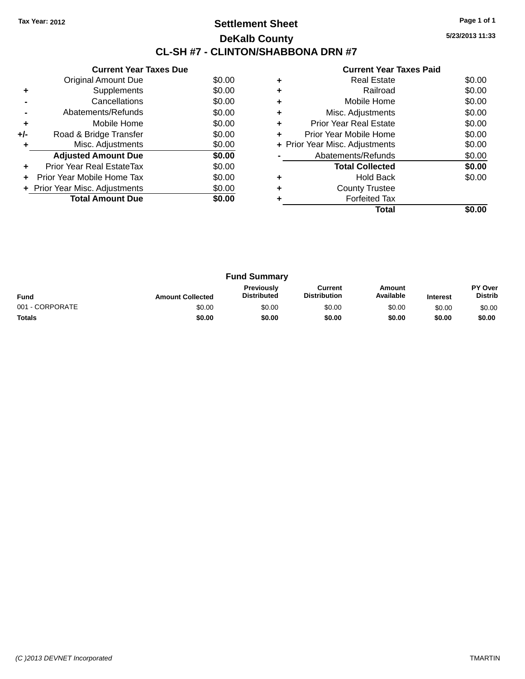### **Settlement Sheet Tax Year: 2012 Page 1 of 1 DeKalb County CL-SH #7 - CLINTON/SHABBONA DRN #7**

**5/23/2013 11:33**

|     | <b>Current Year Taxes Due</b>  |        |
|-----|--------------------------------|--------|
|     | Original Amount Due            | \$0.00 |
| ٠   | Supplements                    | \$0.00 |
|     | Cancellations                  | \$0.00 |
|     | Abatements/Refunds             | \$0.00 |
| ٠   | Mobile Home                    | \$0.00 |
| +/- | Road & Bridge Transfer         | \$0.00 |
|     | Misc. Adjustments              | \$0.00 |
|     | <b>Adjusted Amount Due</b>     | \$0.00 |
|     | Prior Year Real EstateTax      | \$0.00 |
| ÷   | Prior Year Mobile Home Tax     | \$0.00 |
|     | + Prior Year Misc. Adjustments | \$0.00 |
|     | <b>Total Amount Due</b>        | \$0.00 |
|     |                                |        |

|   | Total                          |        |
|---|--------------------------------|--------|
|   | <b>Forfeited Tax</b>           |        |
|   | <b>County Trustee</b>          |        |
| ٠ | <b>Hold Back</b>               | \$0.00 |
|   | <b>Total Collected</b>         | \$0.00 |
|   | Abatements/Refunds             | \$0.00 |
|   | + Prior Year Misc. Adjustments | \$0.00 |
| ٠ | Prior Year Mobile Home         | \$0.00 |
| ٠ | <b>Prior Year Real Estate</b>  | \$0.00 |
|   | Misc. Adjustments              | \$0.00 |
| ٠ | Mobile Home                    | \$0.00 |
|   | Railroad                       | \$0.00 |
|   | <b>Real Estate</b>             | \$0.00 |
|   |                                |        |

| <b>Fund Summary</b> |                         |                                         |                                |                     |                 |                                  |
|---------------------|-------------------------|-----------------------------------------|--------------------------------|---------------------|-----------------|----------------------------------|
| <b>Fund</b>         | <b>Amount Collected</b> | <b>Previously</b><br><b>Distributed</b> | Current<br><b>Distribution</b> | Amount<br>Available | <b>Interest</b> | <b>PY Over</b><br><b>Distrib</b> |
| 001 - CORPORATE     | \$0.00                  | \$0.00                                  | \$0.00                         | \$0.00              | \$0.00          | \$0.00                           |
| <b>Totals</b>       | \$0.00                  | \$0.00                                  | \$0.00                         | \$0.00              | \$0.00          | \$0.00                           |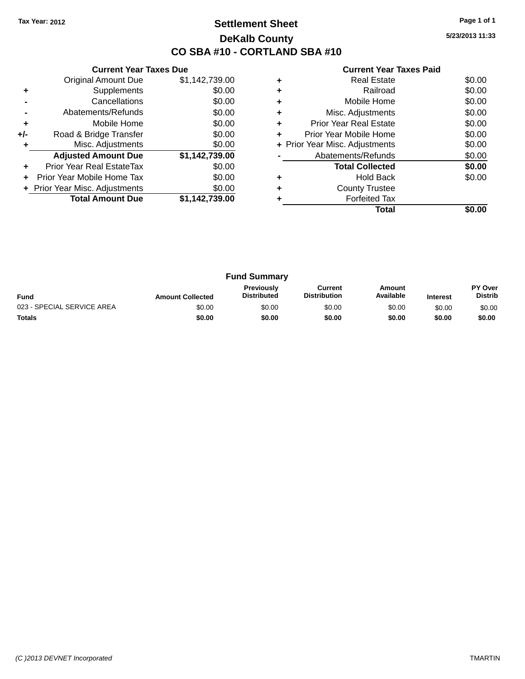### **Settlement Sheet Tax Year: 2012 Page 1 of 1 DeKalb County CO SBA #10 - CORTLAND SBA #10**

**5/23/2013 11:33**

|     | <b>Current Year Taxes Due</b> |                |
|-----|-------------------------------|----------------|
|     | <b>Original Amount Due</b>    | \$1,142,739.00 |
| ٠   | Supplements                   | \$0.00         |
|     | Cancellations                 | \$0.00         |
|     | Abatements/Refunds            | \$0.00         |
| ٠   | Mobile Home                   | \$0.00         |
| +/- | Road & Bridge Transfer        | \$0.00         |
| ٠   | Misc. Adjustments             | \$0.00         |
|     | <b>Adjusted Amount Due</b>    | \$1,142,739.00 |
| ÷   | Prior Year Real EstateTax     | \$0.00         |
| ÷   | Prior Year Mobile Home Tax    | \$0.00         |
|     | Prior Year Misc. Adjustments  | \$0.00         |
|     | <b>Total Amount Due</b>       | \$1,142,739.00 |
|     |                               |                |

|   | Real Estate                    | \$0.00 |
|---|--------------------------------|--------|
| ٠ | Railroad                       | \$0.00 |
| ٠ | Mobile Home                    | \$0.00 |
| ٠ | Misc. Adjustments              | \$0.00 |
| ٠ | <b>Prior Year Real Estate</b>  | \$0.00 |
| ٠ | Prior Year Mobile Home         | \$0.00 |
|   | + Prior Year Misc. Adjustments | \$0.00 |
|   | Abatements/Refunds             | \$0.00 |
|   | <b>Total Collected</b>         | \$0.00 |
|   | Hold Back                      | \$0.00 |
|   | <b>County Trustee</b>          |        |
|   | <b>Forfeited Tax</b>           |        |
|   | Total                          |        |

| <b>Fund Summary</b>        |                         |                                         |                                |                     |                 |                                  |
|----------------------------|-------------------------|-----------------------------------------|--------------------------------|---------------------|-----------------|----------------------------------|
| <b>Fund</b>                | <b>Amount Collected</b> | <b>Previously</b><br><b>Distributed</b> | Current<br><b>Distribution</b> | Amount<br>Available | <b>Interest</b> | <b>PY Over</b><br><b>Distrib</b> |
| 023 - SPECIAL SERVICE AREA | \$0.00                  | \$0.00                                  | \$0.00                         | \$0.00              | \$0.00          | \$0.00                           |
| <b>Totals</b>              | \$0.00                  | \$0.00                                  | \$0.00                         | \$0.00              | \$0.00          | \$0.00                           |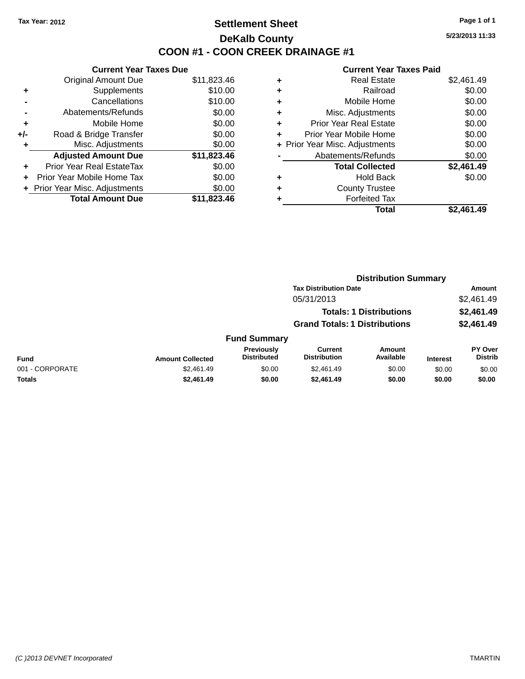### **Settlement Sheet Tax Year: 2012 Page 1 of 1 DeKalb County COON #1 - COON CREEK DRAINAGE #1**

**5/23/2013 11:33**

|     | <b>Current Year Taxes Due</b>  |             |
|-----|--------------------------------|-------------|
|     | <b>Original Amount Due</b>     | \$11,823.46 |
| ٠   | Supplements                    | \$10.00     |
|     | Cancellations                  | \$10.00     |
|     | Abatements/Refunds             | \$0.00      |
| ٠   | Mobile Home                    | \$0.00      |
| +/- | Road & Bridge Transfer         | \$0.00      |
| ٠   | Misc. Adjustments              | \$0.00      |
|     | <b>Adjusted Amount Due</b>     | \$11,823.46 |
| ÷   | Prior Year Real EstateTax      | \$0.00      |
| ÷   | Prior Year Mobile Home Tax     | \$0.00      |
|     | + Prior Year Misc. Adjustments | \$0.00      |
|     | <b>Total Amount Due</b>        | \$11.823.46 |

| ٠ | <b>Real Estate</b>             | \$2,461.49 |
|---|--------------------------------|------------|
| ٠ | Railroad                       | \$0.00     |
| ٠ | Mobile Home                    | \$0.00     |
| ٠ | Misc. Adjustments              | \$0.00     |
| ٠ | <b>Prior Year Real Estate</b>  | \$0.00     |
| ٠ | Prior Year Mobile Home         | \$0.00     |
|   | + Prior Year Misc. Adjustments | \$0.00     |
|   | Abatements/Refunds             | \$0.00     |
|   | <b>Total Collected</b>         | \$2,461.49 |
| ٠ | Hold Back                      | \$0.00     |
| ٠ | <b>County Trustee</b>          |            |
| ٠ | <b>Forfeited Tax</b>           |            |
|   | Total                          | \$2,461.49 |
|   |                                |            |

|                 |                         |                                  | <b>Distribution Summary</b>           |                                |                 |                                  |
|-----------------|-------------------------|----------------------------------|---------------------------------------|--------------------------------|-----------------|----------------------------------|
|                 |                         |                                  | <b>Tax Distribution Date</b>          |                                |                 | Amount                           |
|                 |                         |                                  | 05/31/2013                            |                                |                 | \$2,461.49                       |
|                 |                         |                                  |                                       | <b>Totals: 1 Distributions</b> |                 | \$2,461.49                       |
|                 |                         |                                  | <b>Grand Totals: 1 Distributions</b>  |                                |                 | \$2,461.49                       |
|                 |                         | <b>Fund Summary</b>              |                                       |                                |                 |                                  |
| <b>Fund</b>     | <b>Amount Collected</b> | Previously<br><b>Distributed</b> | <b>Current</b><br><b>Distribution</b> | Amount<br>Available            | <b>Interest</b> | <b>PY Over</b><br><b>Distrib</b> |
| 001 - CORPORATE | \$2.461.49              | \$0.00                           | \$2,461.49                            | \$0.00                         | \$0.00          | \$0.00                           |
| Totals          | \$2,461.49              | \$0.00                           | \$2,461.49                            | \$0.00                         | \$0.00          | \$0.00                           |
|                 |                         |                                  |                                       |                                |                 |                                  |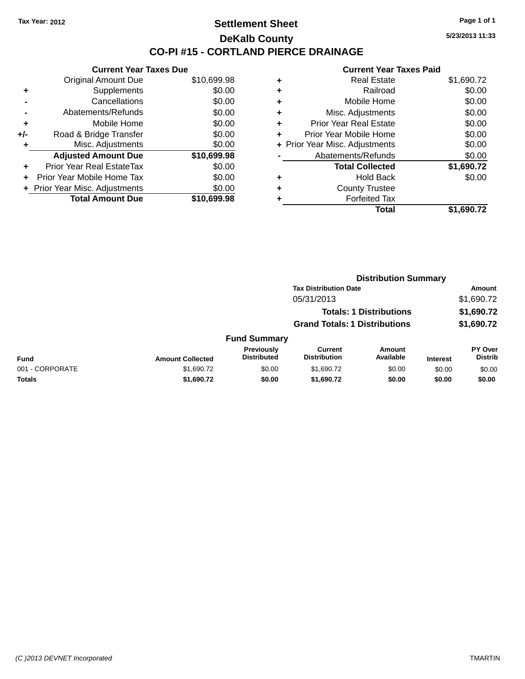#### **Settlement Sheet Tax Year: 2012 Page 1 of 1 DeKalb County CO-PI #15 - CORTLAND PIERCE DRAINAGE**

**5/23/2013 11:33**

|     | <b>Current Year Taxes Due</b>  |             |
|-----|--------------------------------|-------------|
|     | <b>Original Amount Due</b>     | \$10,699.98 |
| ٠   | Supplements                    | \$0.00      |
|     | Cancellations                  | \$0.00      |
|     | Abatements/Refunds             | \$0.00      |
| ٠   | Mobile Home                    | \$0.00      |
| +/- | Road & Bridge Transfer         | \$0.00      |
| ٠   | Misc. Adjustments              | \$0.00      |
|     | <b>Adjusted Amount Due</b>     | \$10,699.98 |
| ÷   | Prior Year Real EstateTax      | \$0.00      |
|     | Prior Year Mobile Home Tax     | \$0.00      |
|     | + Prior Year Misc. Adjustments | \$0.00      |
|     | <b>Total Amount Due</b>        | \$10,699.98 |
|     |                                |             |

| ٠ | <b>Real Estate</b>             | \$1,690.72 |
|---|--------------------------------|------------|
| ٠ | Railroad                       | \$0.00     |
| ٠ | Mobile Home                    | \$0.00     |
| ٠ | Misc. Adjustments              | \$0.00     |
| ٠ | <b>Prior Year Real Estate</b>  | \$0.00     |
| ٠ | Prior Year Mobile Home         | \$0.00     |
|   | + Prior Year Misc. Adjustments | \$0.00     |
|   | Abatements/Refunds             | \$0.00     |
|   | <b>Total Collected</b>         | \$1,690.72 |
| ٠ | <b>Hold Back</b>               | \$0.00     |
| ٠ | <b>County Trustee</b>          |            |
| ٠ | <b>Forfeited Tax</b>           |            |
|   | Total                          | \$1,690.72 |
|   |                                |            |

|                 |                         |                                  | <b>Distribution Summary</b>           |                                |                 |                                  |  |
|-----------------|-------------------------|----------------------------------|---------------------------------------|--------------------------------|-----------------|----------------------------------|--|
|                 |                         |                                  | <b>Tax Distribution Date</b>          |                                |                 | Amount                           |  |
|                 |                         |                                  | 05/31/2013                            |                                |                 | \$1,690.72                       |  |
|                 |                         |                                  |                                       | <b>Totals: 1 Distributions</b> |                 | \$1,690.72                       |  |
|                 |                         |                                  | <b>Grand Totals: 1 Distributions</b>  |                                |                 | \$1,690.72                       |  |
|                 |                         | <b>Fund Summary</b>              |                                       |                                |                 |                                  |  |
| <b>Fund</b>     | <b>Amount Collected</b> | Previously<br><b>Distributed</b> | <b>Current</b><br><b>Distribution</b> | Amount<br>Available            | <b>Interest</b> | <b>PY Over</b><br><b>Distrib</b> |  |
| 001 - CORPORATE | \$1,690.72              | \$0.00                           | \$1,690.72                            | \$0.00                         | \$0.00          | \$0.00                           |  |
| Totals          | \$1,690.72              | \$0.00                           | \$1,690.72                            | \$0.00                         | \$0.00          | \$0.00                           |  |
|                 |                         |                                  |                                       |                                |                 |                                  |  |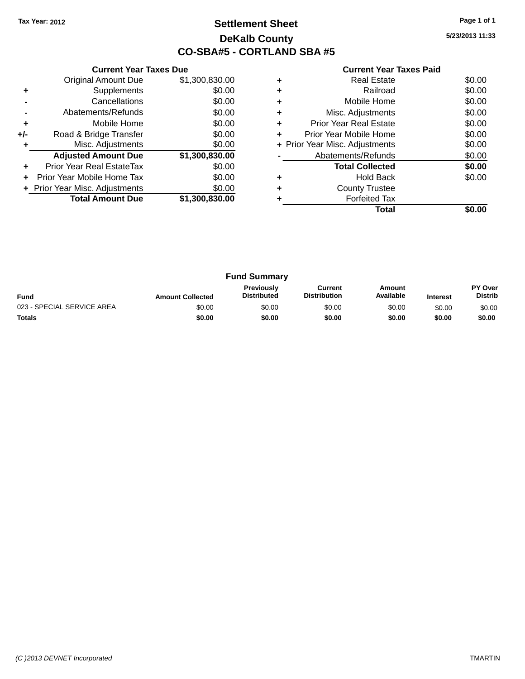### **Settlement Sheet Tax Year: 2012 Page 1 of 1 DeKalb County CO-SBA#5 - CORTLAND SBA #5**

**5/23/2013 11:33**

| <b>Current Year Taxes Paid</b> |  |  |  |
|--------------------------------|--|--|--|
|--------------------------------|--|--|--|

|       | <b>Current Year Taxes Due</b> |                |  |  |  |  |  |
|-------|-------------------------------|----------------|--|--|--|--|--|
|       | <b>Original Amount Due</b>    | \$1,300,830.00 |  |  |  |  |  |
| ٠     | Supplements                   | \$0.00         |  |  |  |  |  |
|       | Cancellations                 | \$0.00         |  |  |  |  |  |
|       | Abatements/Refunds            | \$0.00         |  |  |  |  |  |
| ٠     | Mobile Home                   | \$0.00         |  |  |  |  |  |
| $+/-$ | Road & Bridge Transfer        | \$0.00         |  |  |  |  |  |
|       | Misc. Adjustments             | \$0.00         |  |  |  |  |  |
|       | <b>Adjusted Amount Due</b>    | \$1,300,830.00 |  |  |  |  |  |
| ٠     | Prior Year Real EstateTax     | \$0.00         |  |  |  |  |  |
|       | Prior Year Mobile Home Tax    | \$0.00         |  |  |  |  |  |
|       | Prior Year Misc. Adjustments  | \$0.00         |  |  |  |  |  |
|       | <b>Total Amount Due</b>       | \$1,300,830.00 |  |  |  |  |  |
|       |                               |                |  |  |  |  |  |

|   | <b>Real Estate</b>             | \$0.00 |
|---|--------------------------------|--------|
| ٠ | Railroad                       | \$0.00 |
|   | Mobile Home                    | \$0.00 |
| ٠ | Misc. Adjustments              | \$0.00 |
| ÷ | <b>Prior Year Real Estate</b>  | \$0.00 |
| ٠ | Prior Year Mobile Home         | \$0.00 |
|   | + Prior Year Misc. Adjustments | \$0.00 |
|   | Abatements/Refunds             | \$0.00 |
|   | <b>Total Collected</b>         | \$0.00 |
|   | <b>Hold Back</b>               | \$0.00 |
| ٠ | <b>County Trustee</b>          |        |
|   | <b>Forfeited Tax</b>           |        |
|   | Total                          |        |

| <b>Fund Summary</b>        |                         |                                  |                                |                     |                 |                                  |
|----------------------------|-------------------------|----------------------------------|--------------------------------|---------------------|-----------------|----------------------------------|
| <b>Fund</b>                | <b>Amount Collected</b> | Previously<br><b>Distributed</b> | Current<br><b>Distribution</b> | Amount<br>Available | <b>Interest</b> | <b>PY Over</b><br><b>Distrib</b> |
| 023 - SPECIAL SERVICE AREA | \$0.00                  | \$0.00                           | \$0.00                         | \$0.00              | \$0.00          | \$0.00                           |
| <b>Totals</b>              | \$0.00                  | \$0.00                           | \$0.00                         | \$0.00              | \$0.00          | \$0.00                           |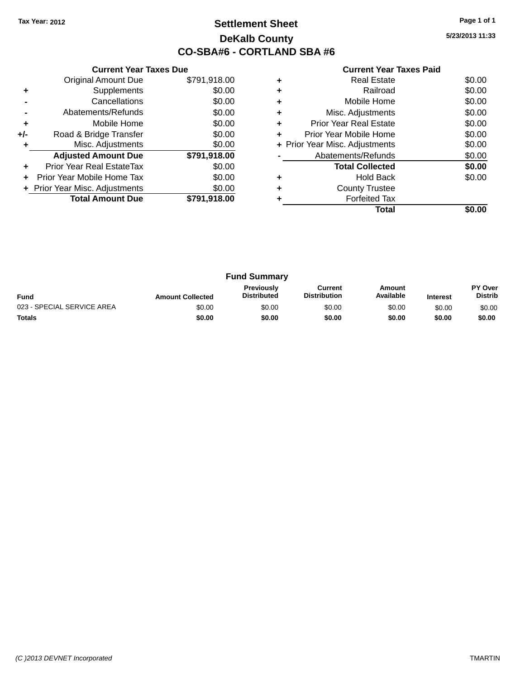### **Settlement Sheet Tax Year: 2012 Page 1 of 1 DeKalb County CO-SBA#6 - CORTLAND SBA #6**

**5/23/2013 11:33**

|     | <b>Current Year Taxes Due</b>  |              |
|-----|--------------------------------|--------------|
|     | <b>Original Amount Due</b>     | \$791,918.00 |
| ٠   | Supplements                    | \$0.00       |
|     | Cancellations                  | \$0.00       |
|     | Abatements/Refunds             | \$0.00       |
| ٠   | Mobile Home                    | \$0.00       |
| +/- | Road & Bridge Transfer         | \$0.00       |
| ٠   | Misc. Adjustments              | \$0.00       |
|     | <b>Adjusted Amount Due</b>     | \$791,918.00 |
| ٠   | Prior Year Real EstateTax      | \$0.00       |
|     | Prior Year Mobile Home Tax     | \$0.00       |
|     | + Prior Year Misc. Adjustments | \$0.00       |
|     | <b>Total Amount Due</b>        | \$791,918.00 |
|     |                                |              |

|   | <b>Real Estate</b>             | \$0.00 |
|---|--------------------------------|--------|
| ٠ | Railroad                       | \$0.00 |
| ٠ | Mobile Home                    | \$0.00 |
| ٠ | Misc. Adjustments              | \$0.00 |
| ٠ | <b>Prior Year Real Estate</b>  | \$0.00 |
| ٠ | Prior Year Mobile Home         | \$0.00 |
|   | + Prior Year Misc. Adjustments | \$0.00 |
|   | Abatements/Refunds             | \$0.00 |
|   | <b>Total Collected</b>         | \$0.00 |
|   | <b>Hold Back</b>               | \$0.00 |
| ٠ | <b>County Trustee</b>          |        |
|   | <b>Forfeited Tax</b>           |        |
|   | Total                          |        |

| <b>Fund Summary</b>        |                         |                                         |                                |                     |                 |                                  |
|----------------------------|-------------------------|-----------------------------------------|--------------------------------|---------------------|-----------------|----------------------------------|
| <b>Fund</b>                | <b>Amount Collected</b> | <b>Previously</b><br><b>Distributed</b> | Current<br><b>Distribution</b> | Amount<br>Available | <b>Interest</b> | <b>PY Over</b><br><b>Distrib</b> |
| 023 - SPECIAL SERVICE AREA | \$0.00                  | \$0.00                                  | \$0.00                         | \$0.00              | \$0.00          | \$0.00                           |
| <b>Totals</b>              | \$0.00                  | \$0.00                                  | \$0.00                         | \$0.00              | \$0.00          | \$0.00                           |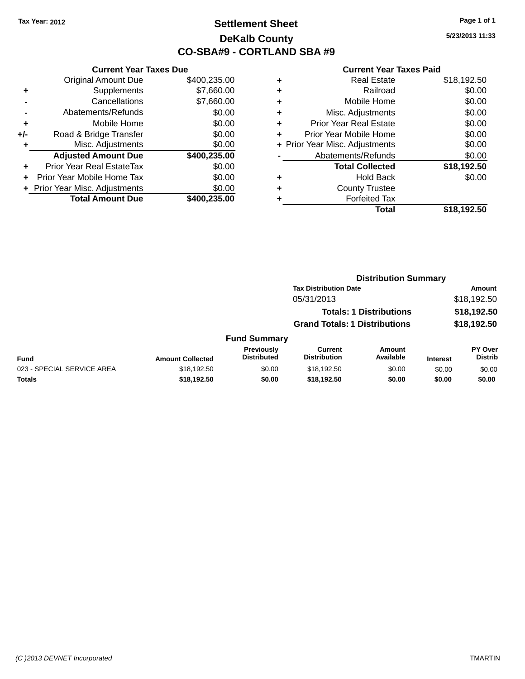### **Settlement Sheet Tax Year: 2012 Page 1 of 1 DeKalb County CO-SBA#9 - CORTLAND SBA #9**

**5/23/2013 11:33**

| <b>Current Year Taxes Due</b> |                              |  |  |  |
|-------------------------------|------------------------------|--|--|--|
| <b>Original Amount Due</b>    | \$400,235.00                 |  |  |  |
| Supplements                   | \$7,660.00                   |  |  |  |
| Cancellations                 | \$7,660.00                   |  |  |  |
| Abatements/Refunds            | \$0.00                       |  |  |  |
| Mobile Home                   | \$0.00                       |  |  |  |
| Road & Bridge Transfer        | \$0.00                       |  |  |  |
| Misc. Adjustments             | \$0.00                       |  |  |  |
| <b>Adjusted Amount Due</b>    | \$400,235.00                 |  |  |  |
| Prior Year Real EstateTax     | \$0.00                       |  |  |  |
| Prior Year Mobile Home Tax    | \$0.00                       |  |  |  |
|                               | \$0.00                       |  |  |  |
| <b>Total Amount Due</b>       | \$400,235.00                 |  |  |  |
|                               | Prior Year Misc. Adjustments |  |  |  |

| ٠ | <b>Real Estate</b>             | \$18,192.50 |
|---|--------------------------------|-------------|
| ÷ | Railroad                       | \$0.00      |
| ٠ | Mobile Home                    | \$0.00      |
| ٠ | Misc. Adjustments              | \$0.00      |
| ٠ | <b>Prior Year Real Estate</b>  | \$0.00      |
| ٠ | Prior Year Mobile Home         | \$0.00      |
|   | + Prior Year Misc. Adjustments | \$0.00      |
|   | Abatements/Refunds             | \$0.00      |
|   | <b>Total Collected</b>         | \$18,192.50 |
| ٠ | Hold Back                      | \$0.00      |
| ٠ | <b>County Trustee</b>          |             |
| ٠ | <b>Forfeited Tax</b>           |             |
|   | Total                          | \$18,192.50 |
|   |                                |             |

|                            |                         |                                  | <b>Distribution Summary</b>           |                                |                 |                           |
|----------------------------|-------------------------|----------------------------------|---------------------------------------|--------------------------------|-----------------|---------------------------|
|                            |                         |                                  | <b>Tax Distribution Date</b>          |                                |                 | Amount                    |
|                            |                         |                                  | 05/31/2013                            |                                |                 | \$18,192.50               |
|                            |                         |                                  |                                       | <b>Totals: 1 Distributions</b> |                 | \$18,192.50               |
|                            |                         |                                  | <b>Grand Totals: 1 Distributions</b>  |                                |                 | \$18,192.50               |
|                            |                         | <b>Fund Summary</b>              |                                       |                                |                 |                           |
| <b>Fund</b>                | <b>Amount Collected</b> | Previously<br><b>Distributed</b> | <b>Current</b><br><b>Distribution</b> | Amount<br>Available            | <b>Interest</b> | PY Over<br><b>Distrib</b> |
| 023 - SPECIAL SERVICE AREA | \$18,192.50             | \$0.00                           | \$18,192.50                           | \$0.00                         | \$0.00          | \$0.00                    |
| Totals                     | \$18,192.50             | \$0.00                           | \$18,192.50                           | \$0.00                         | \$0.00          | \$0.00                    |
|                            |                         |                                  |                                       |                                |                 |                           |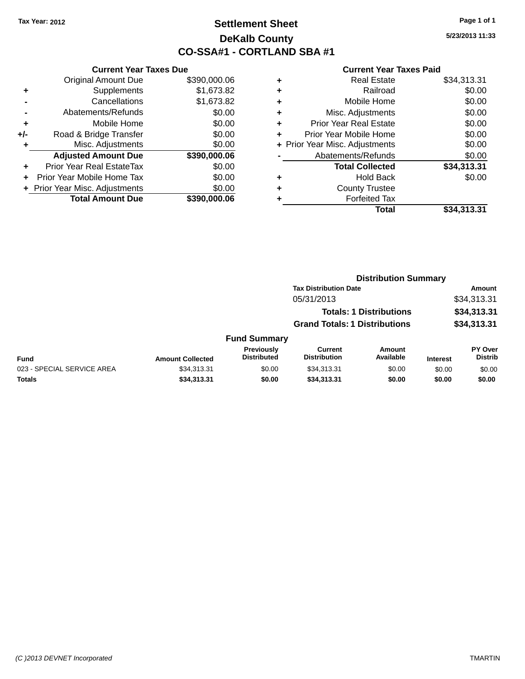### **Settlement Sheet Tax Year: 2012 Page 1 of 1 DeKalb County CO-SSA#1 - CORTLAND SBA #1**

**5/23/2013 11:33**

| <b>Current Year Taxes Due</b> |                                |
|-------------------------------|--------------------------------|
| <b>Original Amount Due</b>    | \$390,000.06                   |
| Supplements                   | \$1,673.82                     |
| Cancellations                 | \$1,673.82                     |
| Abatements/Refunds            | \$0.00                         |
| Mobile Home                   | \$0.00                         |
| Road & Bridge Transfer        | \$0.00                         |
| Misc. Adjustments             | \$0.00                         |
| <b>Adjusted Amount Due</b>    | \$390,000.06                   |
| Prior Year Real EstateTax     | \$0.00                         |
| Prior Year Mobile Home Tax    | \$0.00                         |
|                               | \$0.00                         |
| <b>Total Amount Due</b>       | \$390,000,06                   |
|                               |                                |
|                               | + Prior Year Misc. Adjustments |

| ٠ | <b>Real Estate</b>             | \$34,313.31 |
|---|--------------------------------|-------------|
| ٠ | Railroad                       | \$0.00      |
| ٠ | Mobile Home                    | \$0.00      |
| ٠ | Misc. Adjustments              | \$0.00      |
| ٠ | <b>Prior Year Real Estate</b>  | \$0.00      |
| ٠ | Prior Year Mobile Home         | \$0.00      |
|   | + Prior Year Misc. Adjustments | \$0.00      |
|   | Abatements/Refunds             | \$0.00      |
|   | <b>Total Collected</b>         | \$34,313.31 |
| ٠ | <b>Hold Back</b>               | \$0.00      |
| ٠ | <b>County Trustee</b>          |             |
| ٠ | <b>Forfeited Tax</b>           |             |
|   | Total                          | \$34,313.31 |
|   |                                |             |

|                            |                         |                                  | <b>Distribution Summary</b>           |                                |                 |                                  |
|----------------------------|-------------------------|----------------------------------|---------------------------------------|--------------------------------|-----------------|----------------------------------|
|                            |                         |                                  | <b>Tax Distribution Date</b>          |                                |                 | <b>Amount</b>                    |
|                            |                         |                                  | 05/31/2013                            |                                |                 | \$34,313.31                      |
|                            |                         |                                  |                                       | <b>Totals: 1 Distributions</b> |                 | \$34,313.31                      |
|                            |                         |                                  | <b>Grand Totals: 1 Distributions</b>  |                                |                 | \$34,313.31                      |
|                            |                         | <b>Fund Summary</b>              |                                       |                                |                 |                                  |
| <b>Fund</b>                | <b>Amount Collected</b> | Previously<br><b>Distributed</b> | <b>Current</b><br><b>Distribution</b> | Amount<br>Available            | <b>Interest</b> | <b>PY Over</b><br><b>Distrib</b> |
| 023 - SPECIAL SERVICE AREA | \$34,313.31             | \$0.00                           | \$34,313.31                           | \$0.00                         | \$0.00          | \$0.00                           |
| <b>Totals</b>              | \$34,313.31             | \$0.00                           | \$34,313.31                           | \$0.00                         | \$0.00          | \$0.00                           |
|                            |                         |                                  |                                       |                                |                 |                                  |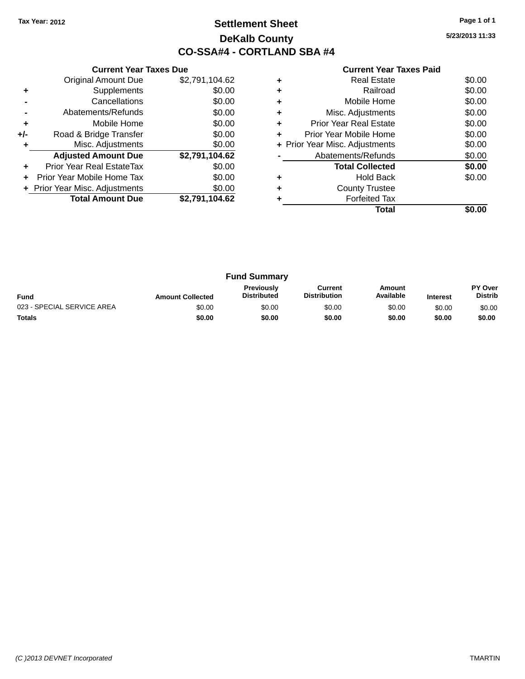### **Settlement Sheet Tax Year: 2012 Page 1 of 1 DeKalb County CO-SSA#4 - CORTLAND SBA #4**

**5/23/2013 11:33**

|       | <b>Current Year Taxes Due</b>  |                |  |  |  |
|-------|--------------------------------|----------------|--|--|--|
|       | <b>Original Amount Due</b>     | \$2,791,104.62 |  |  |  |
| ٠     | Supplements                    | \$0.00         |  |  |  |
|       | Cancellations                  | \$0.00         |  |  |  |
|       | Abatements/Refunds             | \$0.00         |  |  |  |
| ٠     | Mobile Home                    | \$0.00         |  |  |  |
| $+/-$ | Road & Bridge Transfer         | \$0.00         |  |  |  |
| ٠     | Misc. Adjustments              | \$0.00         |  |  |  |
|       | <b>Adjusted Amount Due</b>     | \$2,791,104.62 |  |  |  |
|       | Prior Year Real EstateTax      | \$0.00         |  |  |  |
|       | Prior Year Mobile Home Tax     | \$0.00         |  |  |  |
|       |                                |                |  |  |  |
|       | + Prior Year Misc. Adjustments | \$0.00         |  |  |  |
|       | <b>Total Amount Due</b>        | \$2,791,104.62 |  |  |  |

|   | <b>Real Estate</b>             | \$0.00 |
|---|--------------------------------|--------|
| ٠ | Railroad                       | \$0.00 |
| ٠ | Mobile Home                    | \$0.00 |
| ٠ | Misc. Adjustments              | \$0.00 |
|   | <b>Prior Year Real Estate</b>  | \$0.00 |
| ÷ | Prior Year Mobile Home         | \$0.00 |
|   | + Prior Year Misc. Adjustments | \$0.00 |
|   | Abatements/Refunds             | \$0.00 |
|   | <b>Total Collected</b>         | \$0.00 |
| ٠ | <b>Hold Back</b>               | \$0.00 |
| ٠ | <b>County Trustee</b>          |        |
|   | <b>Forfeited Tax</b>           |        |
|   | Total                          |        |

| <b>Fund Summary</b>        |                         |                                         |                                |                     |                 |                           |
|----------------------------|-------------------------|-----------------------------------------|--------------------------------|---------------------|-----------------|---------------------------|
| <b>Fund</b>                | <b>Amount Collected</b> | <b>Previously</b><br><b>Distributed</b> | Current<br><b>Distribution</b> | Amount<br>Available | <b>Interest</b> | PY Over<br><b>Distrib</b> |
| 023 - SPECIAL SERVICE AREA | \$0.00                  | \$0.00                                  | \$0.00                         | \$0.00              | \$0.00          | \$0.00                    |
| <b>Totals</b>              | \$0.00                  | \$0.00                                  | \$0.00                         | \$0.00              | \$0.00          | \$0.00                    |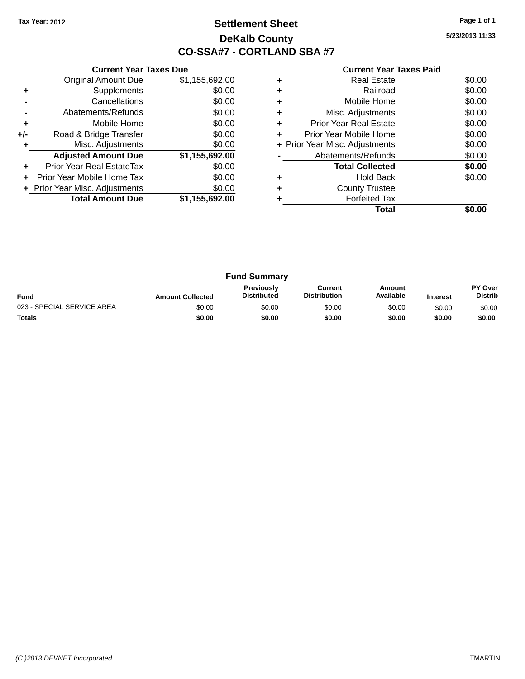### **Settlement Sheet Tax Year: 2012 Page 1 of 1 DeKalb County CO-SSA#7 - CORTLAND SBA #7**

**5/23/2013 11:33**

|     | <b>Current Year Taxes Due</b>  |                |
|-----|--------------------------------|----------------|
|     | <b>Original Amount Due</b>     | \$1,155,692.00 |
| ٠   | Supplements                    | \$0.00         |
|     | Cancellations                  | \$0.00         |
|     | Abatements/Refunds             | \$0.00         |
| ÷   | Mobile Home                    | \$0.00         |
| +/- | Road & Bridge Transfer         | \$0.00         |
|     | Misc. Adjustments              | \$0.00         |
|     | <b>Adjusted Amount Due</b>     | \$1,155,692.00 |
|     | Prior Year Real EstateTax      | \$0.00         |
|     | Prior Year Mobile Home Tax     | \$0.00         |
|     | + Prior Year Misc. Adjustments | \$0.00         |
|     | <b>Total Amount Due</b>        | \$1,155,692.00 |
|     |                                |                |

|   | <b>Real Estate</b>             | \$0.00 |
|---|--------------------------------|--------|
| ٠ | Railroad                       | \$0.00 |
|   | Mobile Home                    | \$0.00 |
| ٠ | Misc. Adjustments              | \$0.00 |
| ٠ | Prior Year Real Estate         | \$0.00 |
| ٠ | Prior Year Mobile Home         | \$0.00 |
|   | + Prior Year Misc. Adjustments | \$0.00 |
|   | Abatements/Refunds             | \$0.00 |
|   | <b>Total Collected</b>         | \$0.00 |
|   | <b>Hold Back</b>               | \$0.00 |
| ٠ | <b>County Trustee</b>          |        |
|   | <b>Forfeited Tax</b>           |        |
|   | Total                          |        |

| <b>Fund Summary</b>        |                         |                                         |                                |                     |                 |                                  |
|----------------------------|-------------------------|-----------------------------------------|--------------------------------|---------------------|-----------------|----------------------------------|
| <b>Fund</b>                | <b>Amount Collected</b> | <b>Previously</b><br><b>Distributed</b> | Current<br><b>Distribution</b> | Amount<br>Available | <b>Interest</b> | <b>PY Over</b><br><b>Distrib</b> |
| 023 - SPECIAL SERVICE AREA | \$0.00                  | \$0.00                                  | \$0.00                         | \$0.00              | \$0.00          | \$0.00                           |
| <b>Totals</b>              | \$0.00                  | \$0.00                                  | \$0.00                         | \$0.00              | \$0.00          | \$0.00                           |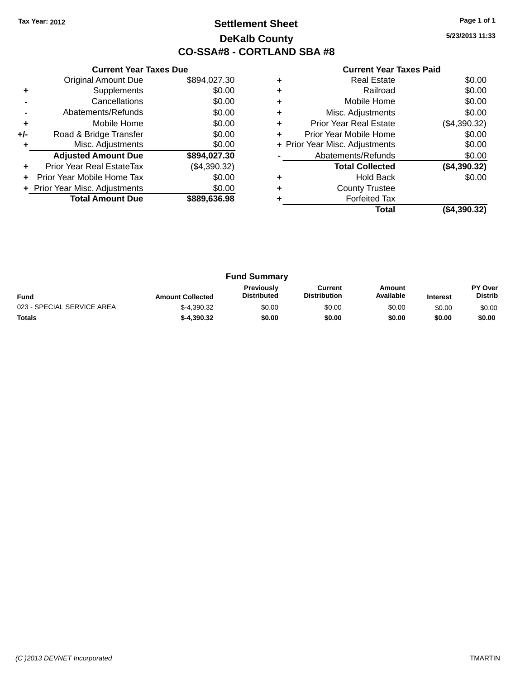### **Settlement Sheet Tax Year: 2012 Page 1 of 1 DeKalb County CO-SSA#8 - CORTLAND SBA #8**

**5/23/2013 11:33**

|     | <b>Current Year Taxes Due</b>  |              |
|-----|--------------------------------|--------------|
|     | <b>Original Amount Due</b>     | \$894,027.30 |
| ٠   | Supplements                    | \$0.00       |
|     | Cancellations                  | \$0.00       |
|     | Abatements/Refunds             | \$0.00       |
| ٠   | Mobile Home                    | \$0.00       |
| +/- | Road & Bridge Transfer         | \$0.00       |
| ۰   | Misc. Adjustments              | \$0.00       |
|     | <b>Adjusted Amount Due</b>     | \$894,027.30 |
| ٠   | Prior Year Real EstateTax      | (\$4,390.32) |
|     | Prior Year Mobile Home Tax     | \$0.00       |
|     | + Prior Year Misc. Adjustments | \$0.00       |
|     | <b>Total Amount Due</b>        | \$889,636.98 |
|     |                                |              |

|   | Total                          | (\$4,390.32) |
|---|--------------------------------|--------------|
|   | <b>Forfeited Tax</b>           |              |
| ٠ | <b>County Trustee</b>          |              |
|   | <b>Hold Back</b>               | \$0.00       |
|   | <b>Total Collected</b>         | (\$4,390.32) |
|   | Abatements/Refunds             | \$0.00       |
|   | + Prior Year Misc. Adjustments | \$0.00       |
| ٠ | Prior Year Mobile Home         | \$0.00       |
| ٠ | <b>Prior Year Real Estate</b>  | (\$4,390.32) |
| ٠ | Misc. Adjustments              | \$0.00       |
| ٠ | Mobile Home                    | \$0.00       |
| ٠ | Railroad                       | \$0.00       |
| ٠ | <b>Real Estate</b>             | \$0.00       |
|   |                                |              |

| <b>Fund Summary</b>        |                         |                                         |                                |                     |                 |                                  |
|----------------------------|-------------------------|-----------------------------------------|--------------------------------|---------------------|-----------------|----------------------------------|
| <b>Fund</b>                | <b>Amount Collected</b> | <b>Previously</b><br><b>Distributed</b> | Current<br><b>Distribution</b> | Amount<br>Available | <b>Interest</b> | <b>PY Over</b><br><b>Distrib</b> |
| 023 - SPECIAL SERVICE AREA | $$-4.390.32$            | \$0.00                                  | \$0.00                         | \$0.00              | \$0.00          | \$0.00                           |
| <b>Totals</b>              | $$-4.390.32$            | \$0.00                                  | \$0.00                         | \$0.00              | \$0.00          | \$0.00                           |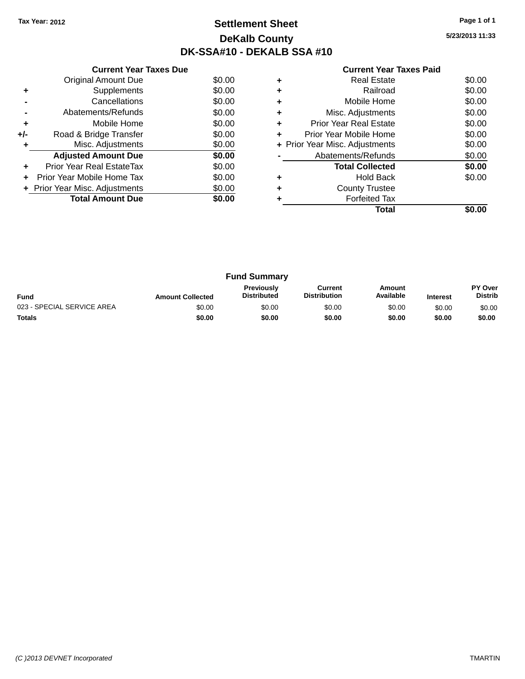## **Settlement Sheet Tax Year: 2012 Page 1 of 1 DeKalb County DK-SSA#10 - DEKALB SSA #10**

**5/23/2013 11:33**

| <b>Current Year Taxes Paid</b> |  |  |  |
|--------------------------------|--|--|--|
|--------------------------------|--|--|--|

|     | <b>Current Year Taxes Due</b>            |        |  |  |  |  |
|-----|------------------------------------------|--------|--|--|--|--|
|     | Original Amount Due                      | \$0.00 |  |  |  |  |
| ٠   | Supplements                              | \$0.00 |  |  |  |  |
|     | Cancellations                            | \$0.00 |  |  |  |  |
|     | Abatements/Refunds                       | \$0.00 |  |  |  |  |
| ٠   | Mobile Home                              | \$0.00 |  |  |  |  |
| +/- | Road & Bridge Transfer                   | \$0.00 |  |  |  |  |
| ٠   | Misc. Adjustments<br>\$0.00              |        |  |  |  |  |
|     | <b>Adjusted Amount Due</b>               | \$0.00 |  |  |  |  |
| ٠   | Prior Year Real EstateTax                | \$0.00 |  |  |  |  |
|     | Prior Year Mobile Home Tax               | \$0.00 |  |  |  |  |
|     | \$0.00<br>+ Prior Year Misc. Adjustments |        |  |  |  |  |
|     | <b>Total Amount Due</b>                  | \$0.00 |  |  |  |  |
|     |                                          |        |  |  |  |  |

|   | Total                          |        |
|---|--------------------------------|--------|
|   | <b>Forfeited Tax</b>           |        |
| ٠ | <b>County Trustee</b>          |        |
|   | <b>Hold Back</b>               | \$0.00 |
|   | <b>Total Collected</b>         | \$0.00 |
|   | Abatements/Refunds             | \$0.00 |
|   | + Prior Year Misc. Adjustments | \$0.00 |
| ٠ | Prior Year Mobile Home         | \$0.00 |
| ٠ | <b>Prior Year Real Estate</b>  | \$0.00 |
| ٠ | Misc. Adjustments              | \$0.00 |
| ٠ | Mobile Home                    | \$0.00 |
| ٠ | Railroad                       | \$0.00 |
|   | <b>Real Estate</b>             | \$0.00 |

| <b>Fund Summary</b>        |                         |                                         |                                |                     |                 |                                  |
|----------------------------|-------------------------|-----------------------------------------|--------------------------------|---------------------|-----------------|----------------------------------|
| <b>Fund</b>                | <b>Amount Collected</b> | <b>Previously</b><br><b>Distributed</b> | Current<br><b>Distribution</b> | Amount<br>Available | <b>Interest</b> | <b>PY Over</b><br><b>Distrib</b> |
| 023 - SPECIAL SERVICE AREA | \$0.00                  | \$0.00                                  | \$0.00                         | \$0.00              | \$0.00          | \$0.00                           |
| <b>Totals</b>              | \$0.00                  | \$0.00                                  | \$0.00                         | \$0.00              | \$0.00          | \$0.00                           |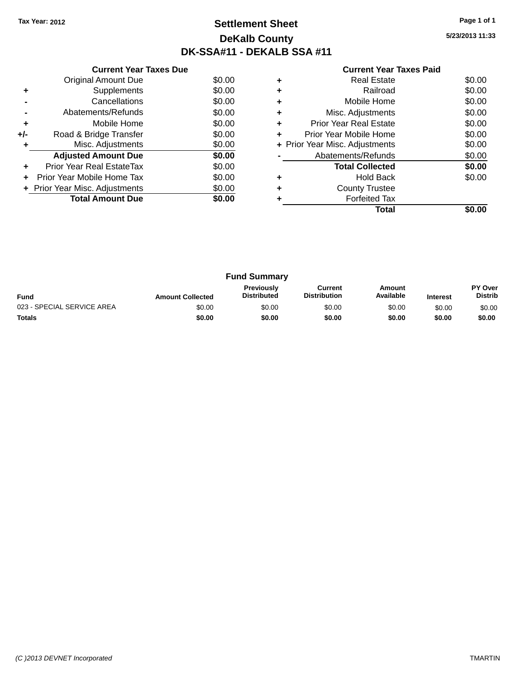### **Settlement Sheet Tax Year: 2012 Page 1 of 1 DeKalb County DK-SSA#11 - DEKALB SSA #11**

**5/23/2013 11:33**

| <b>Current Year Taxes Paid</b> |  |  |
|--------------------------------|--|--|
|                                |  |  |

|     | <b>Current Year Taxes Due</b>  |        |  |
|-----|--------------------------------|--------|--|
|     | <b>Original Amount Due</b>     | \$0.00 |  |
| ٠   | Supplements                    | \$0.00 |  |
|     | Cancellations                  | \$0.00 |  |
|     | Abatements/Refunds             | \$0.00 |  |
| ٠   | Mobile Home                    | \$0.00 |  |
| +/- | Road & Bridge Transfer         | \$0.00 |  |
| ٠   | Misc. Adjustments<br>\$0.00    |        |  |
|     | <b>Adjusted Amount Due</b>     | \$0.00 |  |
| ÷   | Prior Year Real EstateTax      | \$0.00 |  |
|     | Prior Year Mobile Home Tax     | \$0.00 |  |
|     | + Prior Year Misc. Adjustments | \$0.00 |  |
|     | <b>Total Amount Due</b>        | \$0.00 |  |
|     |                                |        |  |

|   | <b>Real Estate</b>             | \$0.00 |
|---|--------------------------------|--------|
|   | Railroad                       | \$0.00 |
| ٠ | Mobile Home                    | \$0.00 |
| ٠ | Misc. Adjustments              | \$0.00 |
| ٠ | Prior Year Real Estate         | \$0.00 |
|   | Prior Year Mobile Home         | \$0.00 |
|   | + Prior Year Misc. Adjustments | \$0.00 |
|   | Abatements/Refunds             | \$0.00 |
|   | <b>Total Collected</b>         | \$0.00 |
|   | <b>Hold Back</b>               | \$0.00 |
| ٠ | <b>County Trustee</b>          |        |
|   | <b>Forfeited Tax</b>           |        |
|   | Total                          |        |

| <b>Fund Summary</b>        |                         |                                         |                                |                     |                 |                           |
|----------------------------|-------------------------|-----------------------------------------|--------------------------------|---------------------|-----------------|---------------------------|
| <b>Fund</b>                | <b>Amount Collected</b> | <b>Previously</b><br><b>Distributed</b> | Current<br><b>Distribution</b> | Amount<br>Available | <b>Interest</b> | PY Over<br><b>Distrib</b> |
| 023 - SPECIAL SERVICE AREA | \$0.00                  | \$0.00                                  | \$0.00                         | \$0.00              | \$0.00          | \$0.00                    |
| <b>Totals</b>              | \$0.00                  | \$0.00                                  | \$0.00                         | \$0.00              | \$0.00          | \$0.00                    |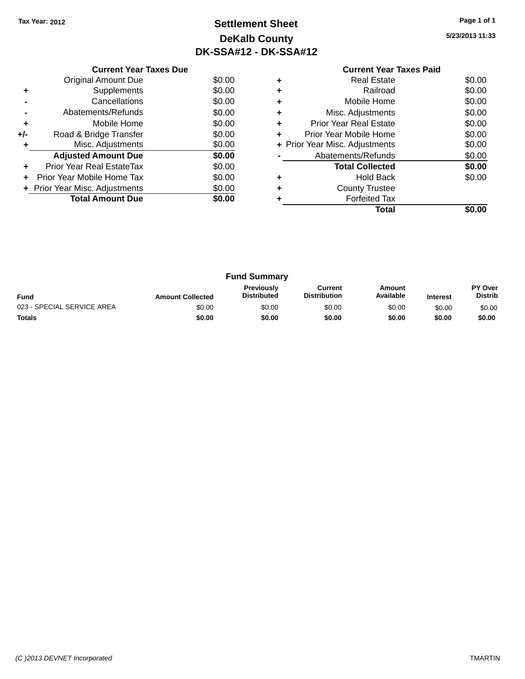# **Settlement Sheet Tax Year: 2012 Page 1 of 1 DeKalb County DK-SSA#12 - DK-SSA#12**

**5/23/2013 11:33**

|     | <b>Current Year Taxes Due</b>    |        |
|-----|----------------------------------|--------|
|     | Original Amount Due              | \$0.00 |
|     | Supplements                      | \$0.00 |
|     | Cancellations                    | \$0.00 |
|     | Abatements/Refunds               | \$0.00 |
| ٠   | Mobile Home                      | \$0.00 |
| +/- | Road & Bridge Transfer           | \$0.00 |
|     | Misc. Adjustments                | \$0.00 |
|     | <b>Adjusted Amount Due</b>       | \$0.00 |
| ٠   | <b>Prior Year Real EstateTax</b> | \$0.00 |
|     | Prior Year Mobile Home Tax       | \$0.00 |
|     | + Prior Year Misc. Adjustments   | \$0.00 |
|     | <b>Total Amount Due</b>          | \$0.00 |
|     |                                  |        |

#### **Current Year Taxes Paid +** Real Estate \$0.00 **+** Railroad \$0.00 **+** Mobile Home \$0.00 **+** Misc. Adjustments \$0.00 **+** Prior Year Real Estate \$0.00 **+** Prior Year Mobile Home \$0.00<br> **+** Prior Year Misc. Adjustments \$0.00 **+ Prior Year Misc. Adjustments -** Abatements/Refunds \$0.00 **Total Collected \$0.00 +** Hold Back \$0.00 **+** County Trustee **+** Forfeited Tax **Total \$0.00**

| <b>Fund Summary</b>        |                         |                                         |                                |                     |                 |                           |
|----------------------------|-------------------------|-----------------------------------------|--------------------------------|---------------------|-----------------|---------------------------|
| <b>Fund</b>                | <b>Amount Collected</b> | <b>Previously</b><br><b>Distributed</b> | Current<br><b>Distribution</b> | Amount<br>Available | <b>Interest</b> | PY Over<br><b>Distrib</b> |
| 023 - SPECIAL SERVICE AREA | \$0.00                  | \$0.00                                  | \$0.00                         | \$0.00              | \$0.00          | \$0.00                    |
| <b>Totals</b>              | \$0.00                  | \$0.00                                  | \$0.00                         | \$0.00              | \$0.00          | \$0.00                    |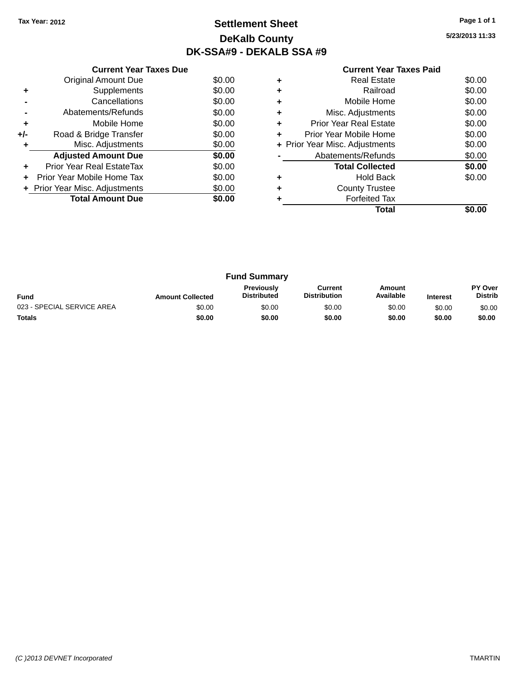# **Settlement Sheet Tax Year: 2012 Page 1 of 1 DeKalb County DK-SSA#9 - DEKALB SSA #9**

**5/23/2013 11:33**

|     | <b>Current Year Taxes Due</b>  |        |
|-----|--------------------------------|--------|
|     | <b>Original Amount Due</b>     | \$0.00 |
| ٠   | Supplements                    | \$0.00 |
|     | Cancellations                  | \$0.00 |
|     | Abatements/Refunds             | \$0.00 |
| ٠   | Mobile Home                    | \$0.00 |
| +/- | Road & Bridge Transfer         | \$0.00 |
| ٠   | Misc. Adjustments              | \$0.00 |
|     | <b>Adjusted Amount Due</b>     | \$0.00 |
| ٠   | Prior Year Real EstateTax      | \$0.00 |
|     | Prior Year Mobile Home Tax     | \$0.00 |
|     | + Prior Year Misc. Adjustments | \$0.00 |
|     | <b>Total Amount Due</b>        | \$0.00 |
|     |                                |        |

|   | <b>Real Estate</b>             | \$0.00 |
|---|--------------------------------|--------|
|   | Railroad                       | \$0.00 |
| ٠ | Mobile Home                    | \$0.00 |
| ٠ | Misc. Adjustments              | \$0.00 |
| ٠ | Prior Year Real Estate         | \$0.00 |
|   | Prior Year Mobile Home         | \$0.00 |
|   | + Prior Year Misc. Adjustments | \$0.00 |
|   | Abatements/Refunds             | \$0.00 |
|   | <b>Total Collected</b>         | \$0.00 |
|   | <b>Hold Back</b>               | \$0.00 |
|   | <b>County Trustee</b>          |        |
|   | <b>Forfeited Tax</b>           |        |
|   | Total                          |        |

| <b>Fund Summary</b>        |                         |                                         |                                |                     |                 |                           |
|----------------------------|-------------------------|-----------------------------------------|--------------------------------|---------------------|-----------------|---------------------------|
| <b>Fund</b>                | <b>Amount Collected</b> | <b>Previously</b><br><b>Distributed</b> | Current<br><b>Distribution</b> | Amount<br>Available | <b>Interest</b> | PY Over<br><b>Distrib</b> |
| 023 - SPECIAL SERVICE AREA | \$0.00                  | \$0.00                                  | \$0.00                         | \$0.00              | \$0.00          | \$0.00                    |
| <b>Totals</b>              | \$0.00                  | \$0.00                                  | \$0.00                         | \$0.00              | \$0.00          | \$0.00                    |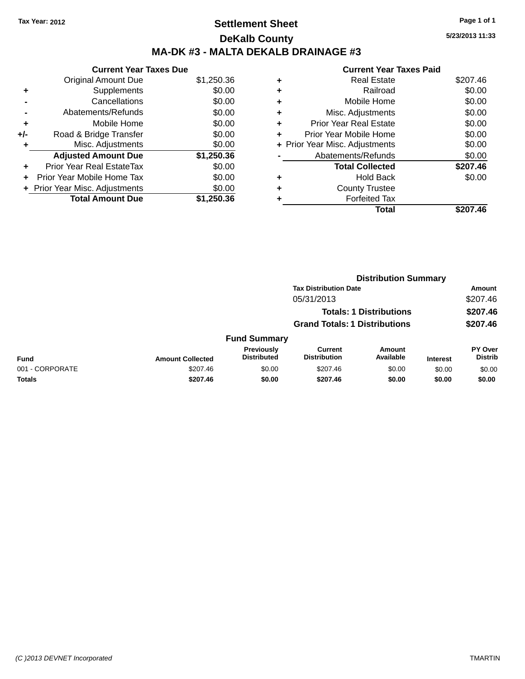# **Settlement Sheet Tax Year: 2012 Page 1 of 1 DeKalb County MA-DK #3 - MALTA DEKALB DRAINAGE #3**

|     | <b>Current Year Taxes Due</b> |            |
|-----|-------------------------------|------------|
|     | <b>Original Amount Due</b>    | \$1,250.36 |
| ٠   | Supplements                   | \$0.00     |
|     | Cancellations                 | \$0.00     |
|     | Abatements/Refunds            | \$0.00     |
| ٠   | Mobile Home                   | \$0.00     |
| +/- | Road & Bridge Transfer        | \$0.00     |
| ٠   | Misc. Adjustments             | \$0.00     |
|     | <b>Adjusted Amount Due</b>    | \$1,250.36 |
| ÷   | Prior Year Real EstateTax     | \$0.00     |
|     | Prior Year Mobile Home Tax    | \$0.00     |
|     | Prior Year Misc. Adjustments  | \$0.00     |
|     | <b>Total Amount Due</b>       | \$1,250.36 |

#### **Current Year Taxes Paid +** Real Estate \$207.46 **+** Railroad \$0.00 **+** Mobile Home \$0.00 **+** Misc. Adjustments \$0.00 **+** Prior Year Real Estate \$0.00 **+** Prior Year Mobile Home \$0.00 **+ Prior Year Misc. Adjustments**  $$0.00$ **-** Abatements/Refunds \$0.00 **Total Collected \$207.46 +** Hold Back \$0.00 **+** County Trustee **+** Forfeited Tax **Total \$207.46**

|                 |                         | <b>Distribution Summary</b>      |                                       |                                |                 |                                  |
|-----------------|-------------------------|----------------------------------|---------------------------------------|--------------------------------|-----------------|----------------------------------|
|                 |                         |                                  | <b>Tax Distribution Date</b>          |                                |                 | Amount                           |
|                 |                         |                                  | 05/31/2013                            |                                |                 | \$207.46                         |
|                 |                         |                                  |                                       | <b>Totals: 1 Distributions</b> |                 | \$207.46                         |
|                 |                         |                                  | <b>Grand Totals: 1 Distributions</b>  |                                |                 | \$207.46                         |
|                 |                         | <b>Fund Summary</b>              |                                       |                                |                 |                                  |
| <b>Fund</b>     | <b>Amount Collected</b> | Previously<br><b>Distributed</b> | <b>Current</b><br><b>Distribution</b> | Amount<br>Available            | <b>Interest</b> | <b>PY Over</b><br><b>Distrib</b> |
| 001 - CORPORATE | \$207.46                | \$0.00                           | \$207.46                              | \$0.00                         | \$0.00          | \$0.00                           |
| <b>Totals</b>   | \$207.46                | \$0.00                           | \$207.46                              | \$0.00                         | \$0.00          | \$0.00                           |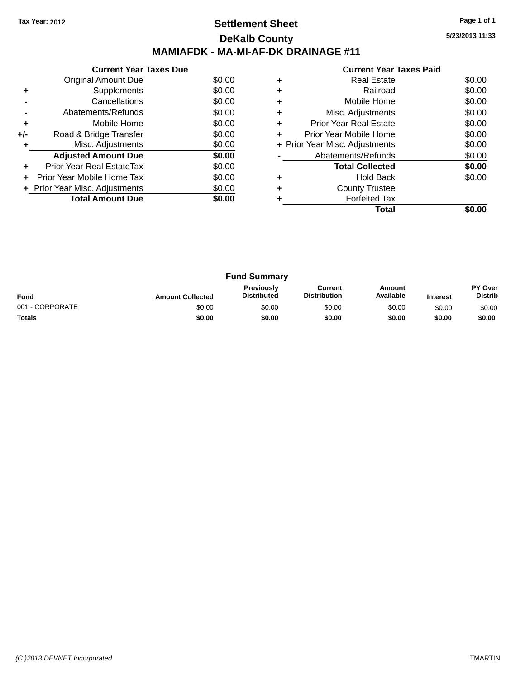### **Settlement Sheet Tax Year: 2012 Page 1 of 1 DeKalb County MAMIAFDK - MA-MI-AF-DK DRAINAGE #11**

**5/23/2013 11:33**

|     | <b>Current Year Taxes Due</b>  |        |
|-----|--------------------------------|--------|
|     | Original Amount Due            | \$0.00 |
| ٠   | Supplements                    | \$0.00 |
|     | Cancellations                  | \$0.00 |
|     | Abatements/Refunds             | \$0.00 |
| ٠   | Mobile Home                    | \$0.00 |
| +/- | Road & Bridge Transfer         | \$0.00 |
|     | Misc. Adjustments              | \$0.00 |
|     | <b>Adjusted Amount Due</b>     | \$0.00 |
| ٠   | Prior Year Real EstateTax      | \$0.00 |
|     | Prior Year Mobile Home Tax     | \$0.00 |
|     | + Prior Year Misc. Adjustments | \$0.00 |
|     | <b>Total Amount Due</b>        | \$0.00 |
|     |                                |        |

|   | Total                          |        |
|---|--------------------------------|--------|
|   | <b>Forfeited Tax</b>           |        |
| ٠ | <b>County Trustee</b>          |        |
|   | <b>Hold Back</b>               | \$0.00 |
|   | <b>Total Collected</b>         | \$0.00 |
|   | Abatements/Refunds             | \$0.00 |
|   | + Prior Year Misc. Adjustments | \$0.00 |
| ٠ | Prior Year Mobile Home         | \$0.00 |
| ٠ | <b>Prior Year Real Estate</b>  | \$0.00 |
| ٠ | Misc. Adjustments              | \$0.00 |
| ٠ | Mobile Home                    | \$0.00 |
| ٠ | Railroad                       | \$0.00 |
|   | <b>Real Estate</b>             | \$0.00 |
|   |                                |        |

| <b>Fund Summary</b> |                         |                                         |                                |                     |                 |                           |
|---------------------|-------------------------|-----------------------------------------|--------------------------------|---------------------|-----------------|---------------------------|
| <b>Fund</b>         | <b>Amount Collected</b> | <b>Previously</b><br><b>Distributed</b> | Current<br><b>Distribution</b> | Amount<br>Available | <b>Interest</b> | PY Over<br><b>Distrib</b> |
| 001 - CORPORATE     | \$0.00                  | \$0.00                                  | \$0.00                         | \$0.00              | \$0.00          | \$0.00                    |
| <b>Totals</b>       | \$0.00                  | \$0.00                                  | \$0.00                         | \$0.00              | \$0.00          | \$0.00                    |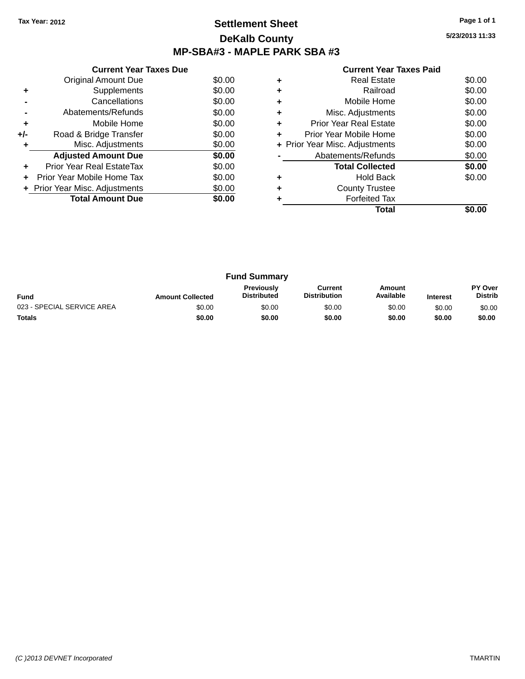### **Settlement Sheet Tax Year: 2012 Page 1 of 1 DeKalb County MP-SBA#3 - MAPLE PARK SBA #3**

**5/23/2013 11:33**

|     | <b>Current Year Taxes Due</b>  |        |
|-----|--------------------------------|--------|
|     | <b>Original Amount Due</b>     | \$0.00 |
| ٠   | Supplements                    | \$0.00 |
|     | Cancellations                  | \$0.00 |
|     | Abatements/Refunds             | \$0.00 |
| ٠   | Mobile Home                    | \$0.00 |
| +/- | Road & Bridge Transfer         | \$0.00 |
| ٠   | Misc. Adjustments              | \$0.00 |
|     | <b>Adjusted Amount Due</b>     | \$0.00 |
| ٠   | Prior Year Real EstateTax      | \$0.00 |
|     | Prior Year Mobile Home Tax     | \$0.00 |
|     | + Prior Year Misc. Adjustments | \$0.00 |
|     | <b>Total Amount Due</b>        | \$0.00 |
|     |                                |        |

|   | <b>Real Estate</b>             | \$0.00 |
|---|--------------------------------|--------|
| ٠ | Railroad                       | \$0.00 |
| ٠ | Mobile Home                    | \$0.00 |
| ٠ | Misc. Adjustments              | \$0.00 |
| ٠ | <b>Prior Year Real Estate</b>  | \$0.00 |
| ٠ | Prior Year Mobile Home         | \$0.00 |
|   | + Prior Year Misc. Adjustments | \$0.00 |
|   | Abatements/Refunds             | \$0.00 |
|   | <b>Total Collected</b>         | \$0.00 |
| ٠ | <b>Hold Back</b>               | \$0.00 |
| ٠ | <b>County Trustee</b>          |        |
|   | <b>Forfeited Tax</b>           |        |
|   | Total                          |        |

| <b>Fund Summary</b>        |                         |                                         |                                |                     |                 |                           |
|----------------------------|-------------------------|-----------------------------------------|--------------------------------|---------------------|-----------------|---------------------------|
| <b>Fund</b>                | <b>Amount Collected</b> | <b>Previously</b><br><b>Distributed</b> | Current<br><b>Distribution</b> | Amount<br>Available | <b>Interest</b> | PY Over<br><b>Distrib</b> |
| 023 - SPECIAL SERVICE AREA | \$0.00                  | \$0.00                                  | \$0.00                         | \$0.00              | \$0.00          | \$0.00                    |
| <b>Totals</b>              | \$0.00                  | \$0.00                                  | \$0.00                         | \$0.00              | \$0.00          | \$0.00                    |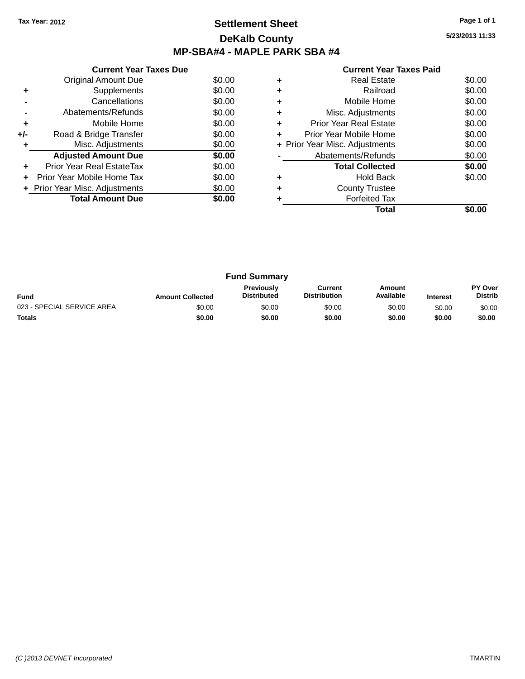### **Settlement Sheet Tax Year: 2012 Page 1 of 1 DeKalb County MP-SBA#4 - MAPLE PARK SBA #4**

**5/23/2013 11:33**

|     | <b>Current Year Taxes Due</b>  |        |  |  |  |
|-----|--------------------------------|--------|--|--|--|
|     | <b>Original Amount Due</b>     | \$0.00 |  |  |  |
| ٠   | Supplements                    | \$0.00 |  |  |  |
|     | Cancellations                  | \$0.00 |  |  |  |
|     | Abatements/Refunds             | \$0.00 |  |  |  |
| ٠   | Mobile Home                    | \$0.00 |  |  |  |
| +/- | Road & Bridge Transfer         | \$0.00 |  |  |  |
| ÷   | Misc. Adjustments              | \$0.00 |  |  |  |
|     | <b>Adjusted Amount Due</b>     | \$0.00 |  |  |  |
| ٠   | Prior Year Real EstateTax      | \$0.00 |  |  |  |
|     | Prior Year Mobile Home Tax     | \$0.00 |  |  |  |
|     | + Prior Year Misc. Adjustments | \$0.00 |  |  |  |
|     | <b>Total Amount Due</b>        | \$0.00 |  |  |  |
|     |                                |        |  |  |  |

|   | <b>Real Estate</b>             | \$0.00 |
|---|--------------------------------|--------|
| ٠ | Railroad                       | \$0.00 |
| ٠ | Mobile Home                    | \$0.00 |
| ٠ | Misc. Adjustments              | \$0.00 |
| ٠ | <b>Prior Year Real Estate</b>  | \$0.00 |
| ÷ | Prior Year Mobile Home         | \$0.00 |
|   | + Prior Year Misc. Adjustments | \$0.00 |
|   | Abatements/Refunds             | \$0.00 |
|   | <b>Total Collected</b>         | \$0.00 |
| ٠ | <b>Hold Back</b>               | \$0.00 |
| ٠ | <b>County Trustee</b>          |        |
|   | <b>Forfeited Tax</b>           |        |
|   | Total                          |        |

| <b>Fund Summary</b>        |                         |                                         |                                |                     |                 |                                  |
|----------------------------|-------------------------|-----------------------------------------|--------------------------------|---------------------|-----------------|----------------------------------|
| <b>Fund</b>                | <b>Amount Collected</b> | <b>Previously</b><br><b>Distributed</b> | Current<br><b>Distribution</b> | Amount<br>Available | <b>Interest</b> | <b>PY Over</b><br><b>Distrib</b> |
| 023 - SPECIAL SERVICE AREA | \$0.00                  | \$0.00                                  | \$0.00                         | \$0.00              | \$0.00          | \$0.00                           |
| <b>Totals</b>              | \$0.00                  | \$0.00                                  | \$0.00                         | \$0.00              | \$0.00          | \$0.00                           |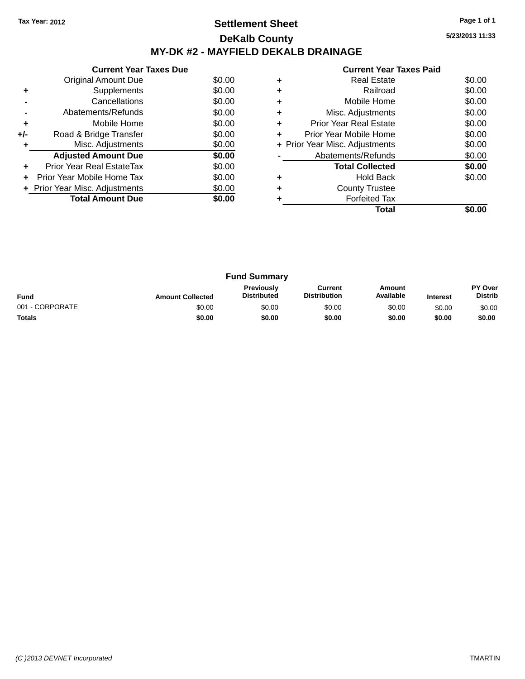### **Settlement Sheet Tax Year: 2012 Page 1 of 1 DeKalb County MY-DK #2 - MAYFIELD DEKALB DRAINAGE**

**5/23/2013 11:33**

|     | <b>Current Year Taxes Due</b>  |        |
|-----|--------------------------------|--------|
|     | Original Amount Due            | \$0.00 |
| ٠   | Supplements                    | \$0.00 |
|     | Cancellations                  | \$0.00 |
|     | Abatements/Refunds             | \$0.00 |
| ٠   | Mobile Home                    | \$0.00 |
| +/- | Road & Bridge Transfer         | \$0.00 |
|     | Misc. Adjustments              | \$0.00 |
|     | <b>Adjusted Amount Due</b>     | \$0.00 |
| ٠   | Prior Year Real EstateTax      | \$0.00 |
|     | Prior Year Mobile Home Tax     | \$0.00 |
|     | + Prior Year Misc. Adjustments | \$0.00 |
|     | <b>Total Amount Due</b>        | \$0.00 |
|     |                                |        |

|   | <b>Real Estate</b>             | \$0.00 |
|---|--------------------------------|--------|
|   | Railroad                       | \$0.00 |
|   | Mobile Home                    | \$0.00 |
| ٠ | Misc. Adjustments              | \$0.00 |
| ٠ | <b>Prior Year Real Estate</b>  | \$0.00 |
| ٠ | Prior Year Mobile Home         | \$0.00 |
|   | + Prior Year Misc. Adjustments | \$0.00 |
|   | Abatements/Refunds             | \$0.00 |
|   | <b>Total Collected</b>         | \$0.00 |
|   | Hold Back                      | \$0.00 |
|   | <b>County Trustee</b>          |        |
|   | <b>Forfeited Tax</b>           |        |
|   | Total                          |        |

| <b>Fund Summary</b> |                         |                                  |                                |                            |                 |                                  |
|---------------------|-------------------------|----------------------------------|--------------------------------|----------------------------|-----------------|----------------------------------|
| <b>Fund</b>         | <b>Amount Collected</b> | Previously<br><b>Distributed</b> | Current<br><b>Distribution</b> | <b>Amount</b><br>Available | <b>Interest</b> | <b>PY Over</b><br><b>Distrib</b> |
| 001 - CORPORATE     | \$0.00                  | \$0.00                           | \$0.00                         | \$0.00                     | \$0.00          | \$0.00                           |
| <b>Totals</b>       | \$0.00                  | \$0.00                           | \$0.00                         | \$0.00                     | \$0.00          | \$0.00                           |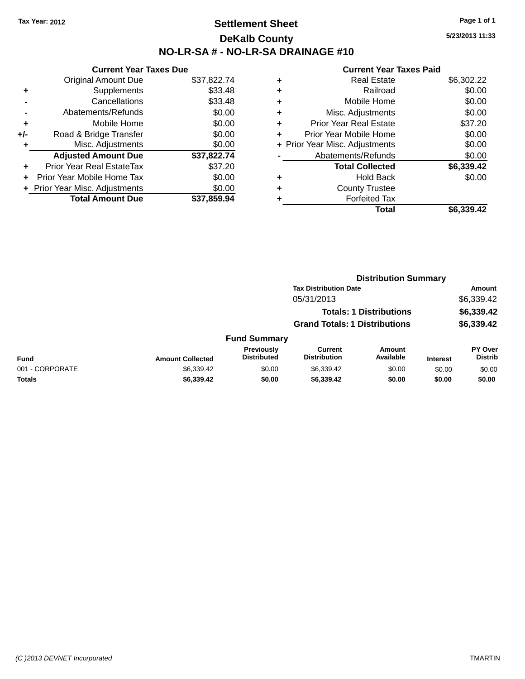### **Settlement Sheet Tax Year: 2012 Page 1 of 1 DeKalb County NO-LR-SA # - NO-LR-SA DRAINAGE #10**

**5/23/2013 11:33**

|     | <b>Current Year Taxes Due</b>  |             |  |  |  |
|-----|--------------------------------|-------------|--|--|--|
|     | <b>Original Amount Due</b>     | \$37,822.74 |  |  |  |
| ٠   | Supplements                    | \$33.48     |  |  |  |
|     | Cancellations                  | \$33.48     |  |  |  |
|     | Abatements/Refunds             | \$0.00      |  |  |  |
| ٠   | Mobile Home                    | \$0.00      |  |  |  |
| +/- | Road & Bridge Transfer         | \$0.00      |  |  |  |
|     | Misc. Adjustments              | \$0.00      |  |  |  |
|     | <b>Adjusted Amount Due</b>     | \$37,822.74 |  |  |  |
| ÷   | Prior Year Real EstateTax      | \$37.20     |  |  |  |
|     | Prior Year Mobile Home Tax     | \$0.00      |  |  |  |
|     | + Prior Year Misc. Adjustments | \$0.00      |  |  |  |
|     | <b>Total Amount Due</b>        | \$37.859.94 |  |  |  |

| ٠ | <b>Real Estate</b>             | \$6,302.22 |
|---|--------------------------------|------------|
| ٠ | Railroad                       | \$0.00     |
| ٠ | Mobile Home                    | \$0.00     |
| ٠ | Misc. Adjustments              | \$0.00     |
| ٠ | <b>Prior Year Real Estate</b>  | \$37.20    |
| ٠ | Prior Year Mobile Home         | \$0.00     |
|   | + Prior Year Misc. Adjustments | \$0.00     |
|   | Abatements/Refunds             | \$0.00     |
|   | <b>Total Collected</b>         | \$6,339.42 |
| ٠ | <b>Hold Back</b>               | \$0.00     |
| ٠ | <b>County Trustee</b>          |            |
| ٠ | <b>Forfeited Tax</b>           |            |
|   | Total                          | \$6,339,42 |
|   |                                |            |

|                 |                         | <b>Distribution Summary</b>             |                                       |                                |                 |                                  |  |
|-----------------|-------------------------|-----------------------------------------|---------------------------------------|--------------------------------|-----------------|----------------------------------|--|
|                 |                         |                                         | <b>Tax Distribution Date</b>          |                                |                 | Amount                           |  |
|                 |                         |                                         | 05/31/2013                            |                                |                 | \$6,339.42                       |  |
|                 |                         |                                         |                                       | <b>Totals: 1 Distributions</b> |                 | \$6,339.42                       |  |
|                 |                         |                                         | <b>Grand Totals: 1 Distributions</b>  |                                |                 | \$6,339.42                       |  |
|                 |                         | <b>Fund Summary</b>                     |                                       |                                |                 |                                  |  |
| <b>Fund</b>     | <b>Amount Collected</b> | <b>Previously</b><br><b>Distributed</b> | <b>Current</b><br><b>Distribution</b> | Amount<br>Available            | <b>Interest</b> | <b>PY Over</b><br><b>Distrib</b> |  |
| 001 - CORPORATE | \$6,339.42              | \$0.00                                  | \$6,339.42                            | \$0.00                         | \$0.00          | \$0.00                           |  |
| <b>Totals</b>   | \$6,339.42              | \$0.00                                  | \$6,339.42                            | \$0.00                         | \$0.00          | \$0.00                           |  |
|                 |                         |                                         |                                       |                                |                 |                                  |  |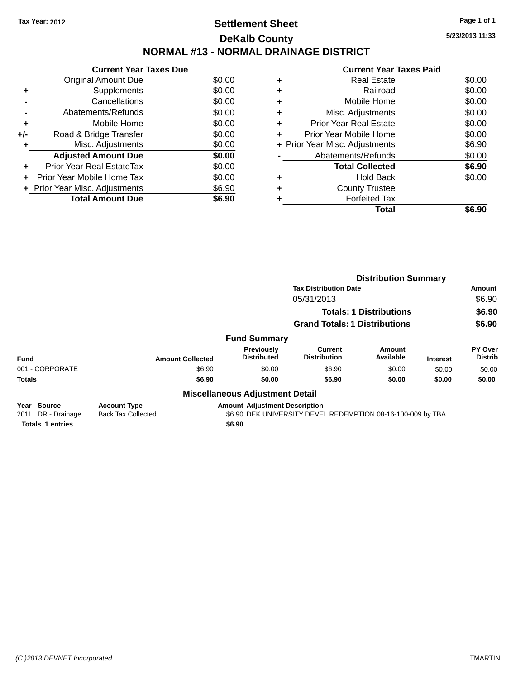# **Settlement Sheet Tax Year: 2012 Page 1 of 1 DeKalb County NORMAL #13 - NORMAL DRAINAGE DISTRICT**

**Current Year Taxes Due** Original Amount Due \$0.00<br>Supplements \$0.00 **+** Supplements **-** Cancellations \$0.00 **-** Abatements/Refunds \$0.00 **+** Mobile Home \$0.00 **+/-** Road & Bridge Transfer \$0.00<br> **+** Misc. Adjustments \$0.00 **+** Misc. Adjustments **Adjusted Amount Due \$0.00 +** Prior Year Real EstateTax \$0.00 **+** Prior Year Mobile Home Tax \$0.00 **+ Prior Year Misc. Adjustments**  $$6.90$ **Total Amount Due** \$6.90

| ٠ | <b>Real Estate</b>             | \$0.00 |
|---|--------------------------------|--------|
| ٠ | Railroad                       | \$0.00 |
| ٠ | Mobile Home                    | \$0.00 |
| ٠ | Misc. Adjustments              | \$0.00 |
| ٠ | Prior Year Real Estate         | \$0.00 |
| ٠ | Prior Year Mobile Home         | \$0.00 |
|   | + Prior Year Misc. Adjustments | \$6.90 |
|   | Abatements/Refunds             | \$0.00 |
|   | <b>Total Collected</b>         | \$6.90 |
| ٠ | <b>Hold Back</b>               | \$0.00 |
| ٠ | <b>County Trustee</b>          |        |
| ٠ | <b>Forfeited Tax</b>           |        |
|   | Total                          | S6.90  |
|   |                                |        |

|                                                |                                                  |                                        |                                                             | <b>Distribution Summary</b>    |                 |                           |
|------------------------------------------------|--------------------------------------------------|----------------------------------------|-------------------------------------------------------------|--------------------------------|-----------------|---------------------------|
|                                                |                                                  |                                        | <b>Tax Distribution Date</b>                                |                                |                 | <b>Amount</b>             |
|                                                |                                                  |                                        | 05/31/2013                                                  |                                |                 | \$6.90                    |
|                                                |                                                  |                                        |                                                             | <b>Totals: 1 Distributions</b> |                 | \$6.90                    |
|                                                |                                                  |                                        | <b>Grand Totals: 1 Distributions</b>                        |                                |                 | \$6.90                    |
|                                                |                                                  | <b>Fund Summary</b>                    |                                                             |                                |                 |                           |
| <b>Fund</b>                                    | <b>Amount Collected</b>                          | Previously<br><b>Distributed</b>       | <b>Current</b><br><b>Distribution</b>                       | Amount<br>Available            | <b>Interest</b> | PY Over<br><b>Distrib</b> |
| 001 - CORPORATE                                | \$6.90                                           | \$0.00                                 | \$6.90                                                      | \$0.00                         | \$0.00          | \$0.00                    |
| <b>Totals</b>                                  | \$6.90                                           | \$0.00                                 | \$6.90                                                      | \$0.00                         | \$0.00          | \$0.00                    |
|                                                |                                                  | <b>Miscellaneous Adjustment Detail</b> |                                                             |                                |                 |                           |
| <b>Source</b><br>Year<br>DR - Drainage<br>2011 | <b>Account Type</b><br><b>Back Tax Collected</b> | <b>Amount Adjustment Description</b>   | \$6.90 DEK UNIVERSITY DEVEL REDEMPTION 08-16-100-009 by TBA |                                |                 |                           |
| <b>Totals 1 entries</b>                        |                                                  | \$6.90                                 |                                                             |                                |                 |                           |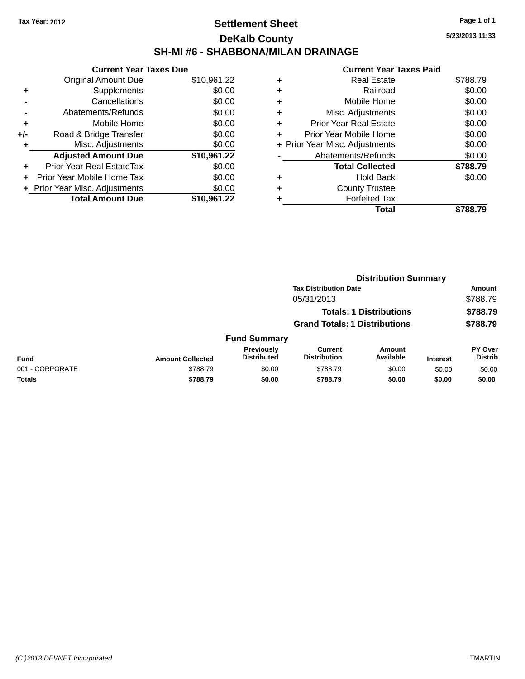### **Settlement Sheet Tax Year: 2012 Page 1 of 1 DeKalb County SH-MI #6 - SHABBONA/MILAN DRAINAGE**

**5/23/2013 11:33**

| <b>Current Year Taxes Due</b> |                              |  |  |  |
|-------------------------------|------------------------------|--|--|--|
| <b>Original Amount Due</b>    | \$10,961.22                  |  |  |  |
| Supplements                   | \$0.00                       |  |  |  |
| Cancellations                 | \$0.00                       |  |  |  |
| Abatements/Refunds            | \$0.00                       |  |  |  |
| Mobile Home                   | \$0.00                       |  |  |  |
| Road & Bridge Transfer        | \$0.00                       |  |  |  |
| Misc. Adjustments             | \$0.00                       |  |  |  |
| <b>Adjusted Amount Due</b>    | \$10,961.22                  |  |  |  |
| Prior Year Real EstateTax     | \$0.00                       |  |  |  |
| Prior Year Mobile Home Tax    | \$0.00                       |  |  |  |
|                               | \$0.00                       |  |  |  |
| <b>Total Amount Due</b>       | \$10,961.22                  |  |  |  |
|                               | Prior Year Misc. Adjustments |  |  |  |

| ٠ | <b>Real Estate</b>             | \$788.79 |
|---|--------------------------------|----------|
| ٠ | Railroad                       | \$0.00   |
| ٠ | Mobile Home                    | \$0.00   |
| ٠ | Misc. Adjustments              | \$0.00   |
| ٠ | <b>Prior Year Real Estate</b>  | \$0.00   |
|   | Prior Year Mobile Home         | \$0.00   |
|   | + Prior Year Misc. Adjustments | \$0.00   |
|   | Abatements/Refunds             | \$0.00   |
|   | <b>Total Collected</b>         | \$788.79 |
|   | <b>Hold Back</b>               | \$0.00   |
| ٠ | <b>County Trustee</b>          |          |
|   | <b>Forfeited Tax</b>           |          |
|   | Total                          | \$788.79 |
|   |                                |          |

|                 |                         |                                         |                                       | <b>Distribution Summary</b>    |                 |                           |
|-----------------|-------------------------|-----------------------------------------|---------------------------------------|--------------------------------|-----------------|---------------------------|
|                 |                         |                                         | <b>Tax Distribution Date</b>          |                                |                 | <b>Amount</b>             |
|                 |                         |                                         | 05/31/2013                            |                                |                 | \$788.79                  |
|                 |                         |                                         |                                       | <b>Totals: 1 Distributions</b> |                 | \$788.79                  |
|                 |                         |                                         | <b>Grand Totals: 1 Distributions</b>  |                                |                 | \$788.79                  |
|                 |                         | <b>Fund Summary</b>                     |                                       |                                |                 |                           |
| <b>Fund</b>     | <b>Amount Collected</b> | <b>Previously</b><br><b>Distributed</b> | <b>Current</b><br><b>Distribution</b> | Amount<br>Available            | <b>Interest</b> | PY Over<br><b>Distrib</b> |
| 001 - CORPORATE | \$788.79                | \$0.00                                  | \$788.79                              | \$0.00                         | \$0.00          | \$0.00                    |
| <b>Totals</b>   | \$788.79                | \$0.00                                  | \$788.79                              | \$0.00                         | \$0.00          | \$0.00                    |
|                 |                         |                                         |                                       |                                |                 |                           |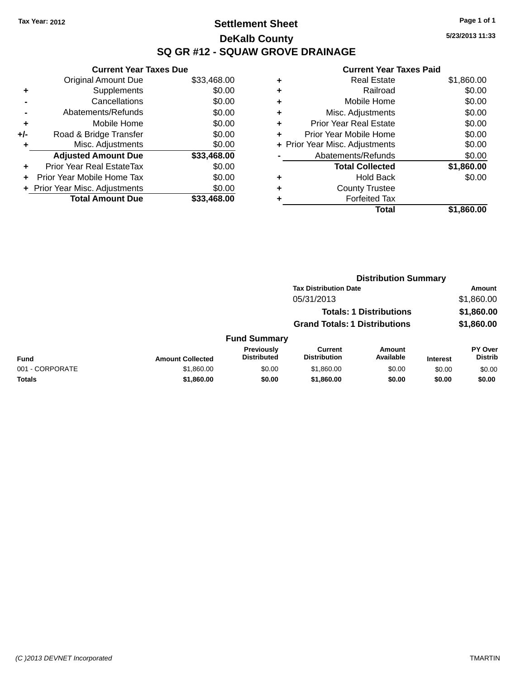### **Settlement Sheet Tax Year: 2012 Page 1 of 1 DeKalb County SQ GR #12 - SQUAW GROVE DRAINAGE**

**5/23/2013 11:33**

|     | <b>Current Year Taxes Due</b>  |             |  |  |  |
|-----|--------------------------------|-------------|--|--|--|
|     | <b>Original Amount Due</b>     | \$33,468.00 |  |  |  |
| ٠   | Supplements                    | \$0.00      |  |  |  |
|     | Cancellations                  | \$0.00      |  |  |  |
|     | Abatements/Refunds             | \$0.00      |  |  |  |
| ٠   | Mobile Home                    | \$0.00      |  |  |  |
| +/- | Road & Bridge Transfer         | \$0.00      |  |  |  |
|     | Misc. Adjustments              | \$0.00      |  |  |  |
|     | <b>Adjusted Amount Due</b>     | \$33,468.00 |  |  |  |
| ÷   | Prior Year Real EstateTax      | \$0.00      |  |  |  |
| ÷   | Prior Year Mobile Home Tax     | \$0.00      |  |  |  |
|     | + Prior Year Misc. Adjustments | \$0.00      |  |  |  |
|     | <b>Total Amount Due</b>        | \$33.468.00 |  |  |  |

| ٠ | <b>Real Estate</b>             | \$1,860.00 |
|---|--------------------------------|------------|
| ٠ | Railroad                       | \$0.00     |
| ٠ | Mobile Home                    | \$0.00     |
| ٠ | Misc. Adjustments              | \$0.00     |
| ٠ | <b>Prior Year Real Estate</b>  | \$0.00     |
| ÷ | Prior Year Mobile Home         | \$0.00     |
|   | + Prior Year Misc. Adjustments | \$0.00     |
|   | Abatements/Refunds             | \$0.00     |
|   | <b>Total Collected</b>         | \$1,860.00 |
| ٠ | <b>Hold Back</b>               | \$0.00     |
|   | <b>County Trustee</b>          |            |
| ٠ | <b>Forfeited Tax</b>           |            |
|   | Total                          | \$1,860.00 |
|   |                                |            |

|                 |                         |                                  |                                       | <b>Distribution Summary</b>    |                 |                           |
|-----------------|-------------------------|----------------------------------|---------------------------------------|--------------------------------|-----------------|---------------------------|
|                 |                         |                                  | <b>Tax Distribution Date</b>          |                                |                 | Amount                    |
|                 |                         |                                  | 05/31/2013                            |                                |                 | \$1,860.00                |
|                 |                         |                                  |                                       | <b>Totals: 1 Distributions</b> |                 | \$1,860.00                |
|                 |                         |                                  | <b>Grand Totals: 1 Distributions</b>  |                                |                 | \$1,860.00                |
|                 |                         | <b>Fund Summary</b>              |                                       |                                |                 |                           |
| <b>Fund</b>     | <b>Amount Collected</b> | Previously<br><b>Distributed</b> | <b>Current</b><br><b>Distribution</b> | Amount<br>Available            | <b>Interest</b> | PY Over<br><b>Distrib</b> |
| 001 - CORPORATE | \$1,860.00              | \$0.00                           | \$1,860.00                            | \$0.00                         | \$0.00          | \$0.00                    |
| <b>Totals</b>   | \$1,860.00              | \$0.00                           | \$1,860.00                            | \$0.00                         | \$0.00          | \$0.00                    |
|                 |                         |                                  |                                       |                                |                 |                           |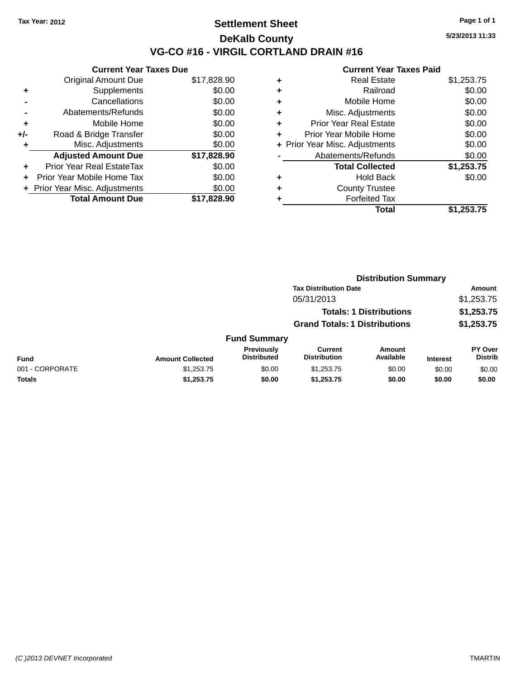### **Settlement Sheet Tax Year: 2012 Page 1 of 1 DeKalb County VG-CO #16 - VIRGIL CORTLAND DRAIN #16**

**5/23/2013 11:33**

| <b>Current Year Taxes Due</b> |             |  |  |  |
|-------------------------------|-------------|--|--|--|
| <b>Original Amount Due</b>    | \$17,828.90 |  |  |  |
| Supplements                   | \$0.00      |  |  |  |
| Cancellations                 | \$0.00      |  |  |  |
| Abatements/Refunds            | \$0.00      |  |  |  |
| Mobile Home                   | \$0.00      |  |  |  |
| Road & Bridge Transfer        | \$0.00      |  |  |  |
| Misc. Adjustments             | \$0.00      |  |  |  |
| <b>Adjusted Amount Due</b>    | \$17,828.90 |  |  |  |
| Prior Year Real EstateTax     | \$0.00      |  |  |  |
| Prior Year Mobile Home Tax    | \$0.00      |  |  |  |
| Prior Year Misc. Adjustments  | \$0.00      |  |  |  |
| <b>Total Amount Due</b>       | \$17.828.90 |  |  |  |
|                               |             |  |  |  |

|   | <b>Real Estate</b>             | \$1,253.75 |
|---|--------------------------------|------------|
| ٠ | Railroad                       | \$0.00     |
| ٠ | Mobile Home                    | \$0.00     |
| ٠ | Misc. Adjustments              | \$0.00     |
| ٠ | <b>Prior Year Real Estate</b>  | \$0.00     |
| ÷ | Prior Year Mobile Home         | \$0.00     |
|   | + Prior Year Misc. Adjustments | \$0.00     |
|   | Abatements/Refunds             | \$0.00     |
|   | <b>Total Collected</b>         | \$1,253.75 |
| ٠ | <b>Hold Back</b>               | \$0.00     |
| ٠ | <b>County Trustee</b>          |            |
| ٠ | <b>Forfeited Tax</b>           |            |
|   | Total                          | \$1,253.75 |
|   |                                |            |

|                 |                         |                                  |                                       | <b>Distribution Summary</b>    |                 |                                  |
|-----------------|-------------------------|----------------------------------|---------------------------------------|--------------------------------|-----------------|----------------------------------|
|                 |                         |                                  | <b>Tax Distribution Date</b>          |                                |                 | <b>Amount</b>                    |
|                 |                         |                                  | 05/31/2013                            |                                |                 | \$1,253.75                       |
|                 |                         |                                  |                                       | <b>Totals: 1 Distributions</b> |                 | \$1,253.75                       |
|                 |                         |                                  | <b>Grand Totals: 1 Distributions</b>  |                                |                 | \$1,253.75                       |
|                 |                         | <b>Fund Summary</b>              |                                       |                                |                 |                                  |
| <b>Fund</b>     | <b>Amount Collected</b> | Previously<br><b>Distributed</b> | <b>Current</b><br><b>Distribution</b> | Amount<br>Available            | <b>Interest</b> | <b>PY Over</b><br><b>Distrib</b> |
| 001 - CORPORATE | \$1,253.75              | \$0.00                           | \$1,253.75                            | \$0.00                         | \$0.00          | \$0.00                           |
| Totals          | \$1,253.75              | \$0.00                           | \$1,253.75                            | \$0.00                         | \$0.00          | \$0.00                           |
|                 |                         |                                  |                                       |                                |                 |                                  |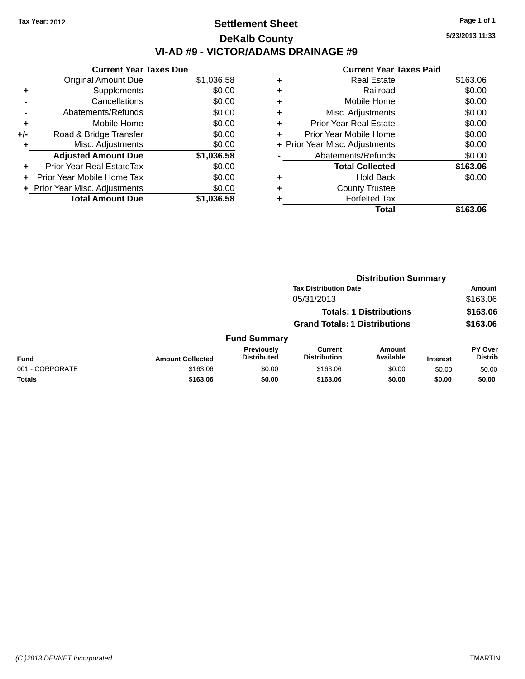## **Settlement Sheet Tax Year: 2012 Page 1 of 1 DeKalb County VI-AD #9 - VICTOR/ADAMS DRAINAGE #9**

**Current Year Taxes Due** Original Amount Due \$1,036.58 **+** Supplements \$0.00 **-** Cancellations \$0.00 **-** Abatements/Refunds \$0.00 **+** Mobile Home \$0.00 **+/-** Road & Bridge Transfer \$0.00 **+** Misc. Adjustments \$0.00 **Adjusted Amount Due \$1,036.58 +** Prior Year Real EstateTax \$0.00 **+** Prior Year Mobile Home Tax \$0.00 **+ Prior Year Misc. Adjustments**  $$0.00$ **Total Amount Due \$1,036.58**

| \$163.06 |
|----------|
| \$0.00   |
| \$0.00   |
| \$0.00   |
| \$0.00   |
| \$0.00   |
| \$0.00   |
| \$0.00   |
| \$163.06 |
|          |
| \$0.00   |
|          |
|          |
|          |

**Distribution Summary**

|                 |                         |                                  | <b>Tax Distribution Date</b>          |                            |                 | Amount                           |  |
|-----------------|-------------------------|----------------------------------|---------------------------------------|----------------------------|-----------------|----------------------------------|--|
|                 |                         |                                  | 05/31/2013                            |                            |                 | \$163.06                         |  |
|                 |                         |                                  | <b>Totals: 1 Distributions</b>        |                            |                 | \$163.06                         |  |
|                 |                         |                                  | <b>Grand Totals: 1 Distributions</b>  |                            |                 | \$163.06                         |  |
|                 |                         | <b>Fund Summary</b>              |                                       |                            |                 |                                  |  |
| <b>Fund</b>     | <b>Amount Collected</b> | Previously<br><b>Distributed</b> | <b>Current</b><br><b>Distribution</b> | <b>Amount</b><br>Available | <b>Interest</b> | <b>PY Over</b><br><b>Distrib</b> |  |
| 001 - CORPORATE | \$163.06                | \$0.00                           | \$163.06                              | \$0.00                     | \$0.00          | \$0.00                           |  |
| Totals          | \$163.06                | \$0.00                           | \$163.06                              | \$0.00                     | \$0.00          | \$0.00                           |  |
|                 |                         |                                  |                                       |                            |                 |                                  |  |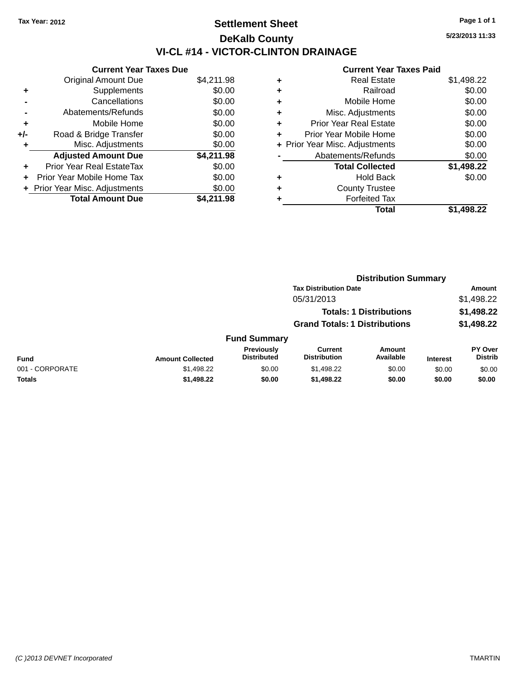# **Settlement Sheet Tax Year: 2012 Page 1 of 1 DeKalb County VI-CL #14 - VICTOR-CLINTON DRAINAGE**

|       | <b>Current Year Taxes Due</b>  |            |  |  |  |
|-------|--------------------------------|------------|--|--|--|
|       | <b>Original Amount Due</b>     | \$4,211.98 |  |  |  |
|       | Supplements                    | \$0.00     |  |  |  |
|       | Cancellations                  | \$0.00     |  |  |  |
|       | Abatements/Refunds             | \$0.00     |  |  |  |
| ٠     | Mobile Home                    | \$0.00     |  |  |  |
| $+/-$ | Road & Bridge Transfer         | \$0.00     |  |  |  |
| ٠     | Misc. Adjustments              | \$0.00     |  |  |  |
|       | <b>Adjusted Amount Due</b>     | \$4,211.98 |  |  |  |
| ÷     | Prior Year Real EstateTax      | \$0.00     |  |  |  |
|       | Prior Year Mobile Home Tax     | \$0.00     |  |  |  |
|       | + Prior Year Misc. Adjustments | \$0.00     |  |  |  |
|       | <b>Total Amount Due</b>        | \$4.211.98 |  |  |  |
|       |                                |            |  |  |  |

|   | <b>Real Estate</b>             | \$1,498.22 |
|---|--------------------------------|------------|
| ٠ | Railroad                       | \$0.00     |
| ٠ | Mobile Home                    | \$0.00     |
| ٠ | Misc. Adjustments              | \$0.00     |
| ٠ | <b>Prior Year Real Estate</b>  | \$0.00     |
|   | Prior Year Mobile Home         | \$0.00     |
|   | + Prior Year Misc. Adjustments | \$0.00     |
|   | Abatements/Refunds             | \$0.00     |
|   | <b>Total Collected</b>         | \$1,498.22 |
| ٠ | Hold Back                      | \$0.00     |
| ٠ | <b>County Trustee</b>          |            |
|   | <b>Forfeited Tax</b>           |            |
|   | Total                          | \$1,498.22 |
|   |                                |            |

|                                         |                                       | <b>Distribution Summary</b>    |                 |                                  |
|-----------------------------------------|---------------------------------------|--------------------------------|-----------------|----------------------------------|
|                                         | <b>Tax Distribution Date</b>          |                                |                 | Amount                           |
|                                         | 05/31/2013                            |                                |                 | \$1,498.22                       |
|                                         |                                       | <b>Totals: 1 Distributions</b> |                 | \$1,498.22                       |
|                                         | <b>Grand Totals: 1 Distributions</b>  |                                |                 | \$1,498.22                       |
| <b>Fund Summary</b>                     |                                       |                                |                 |                                  |
| <b>Previously</b><br><b>Distributed</b> | <b>Current</b><br><b>Distribution</b> | <b>Amount</b><br>Available     | <b>Interest</b> | <b>PY Over</b><br><b>Distrib</b> |

|                 |                         | _________<br>Previouslv | Current             | Amount    |                 | PY Over        |
|-----------------|-------------------------|-------------------------|---------------------|-----------|-----------------|----------------|
| <b>Fund</b>     | <b>Amount Collected</b> | <b>Distributed</b>      | <b>Distribution</b> | Available | <b>Interest</b> | <b>Distrib</b> |
| 001 - CORPORATE | \$1,498.22              | \$0.00                  | \$1.498.22          | \$0.00    | \$0.00          | \$0.00         |
| Totals          | \$1,498.22              | \$0.00                  | \$1,498.22          | \$0.00    | \$0.00          | \$0.00         |